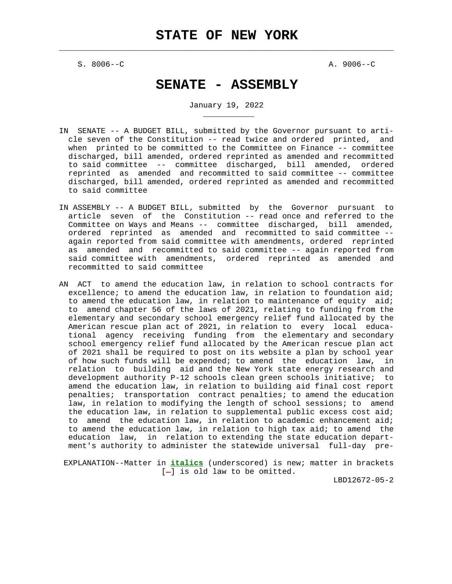$\mathcal{L}_\text{max} = \frac{1}{2} \sum_{i=1}^{n} \frac{1}{2} \sum_{i=1}^{n} \frac{1}{2} \sum_{i=1}^{n} \frac{1}{2} \sum_{i=1}^{n} \frac{1}{2} \sum_{i=1}^{n} \frac{1}{2} \sum_{i=1}^{n} \frac{1}{2} \sum_{i=1}^{n} \frac{1}{2} \sum_{i=1}^{n} \frac{1}{2} \sum_{i=1}^{n} \frac{1}{2} \sum_{i=1}^{n} \frac{1}{2} \sum_{i=1}^{n} \frac{1}{2} \sum_{i=1}^{n} \frac{1$ 

 $S. 8006 - C$  A. 9006--C

\_\_\_\_\_\_\_\_\_\_\_

# **SENATE - ASSEMBLY**

January 19, 2022

- IN SENATE -- A BUDGET BILL, submitted by the Governor pursuant to arti cle seven of the Constitution -- read twice and ordered printed, and when printed to be committed to the Committee on Finance -- committee discharged, bill amended, ordered reprinted as amended and recommitted to said committee -- committee discharged, bill amended, ordered reprinted as amended and recommitted to said committee -- committee discharged, bill amended, ordered reprinted as amended and recommitted to said committee
- IN ASSEMBLY -- A BUDGET BILL, submitted by the Governor pursuant to article seven of the Constitution -- read once and referred to the Committee on Ways and Means -- committee discharged, bill amended, ordered reprinted as amended and recommitted to said committee - again reported from said committee with amendments, ordered reprinted as amended and recommitted to said committee -- again reported from said committee with amendments, ordered reprinted as amended and recommitted to said committee
- AN ACT to amend the education law, in relation to school contracts for excellence; to amend the education law, in relation to foundation aid; to amend the education law, in relation to maintenance of equity aid; to amend chapter 56 of the laws of 2021, relating to funding from the elementary and secondary school emergency relief fund allocated by the American rescue plan act of 2021, in relation to every local educa tional agency receiving funding from the elementary and secondary school emergency relief fund allocated by the American rescue plan act of 2021 shall be required to post on its website a plan by school year of how such funds will be expended; to amend the education law, in relation to building aid and the New York state energy research and development authority P-12 schools clean green schools initiative; to amend the education law, in relation to building aid final cost report penalties; transportation contract penalties; to amend the education law, in relation to modifying the length of school sessions; to amend the education law, in relation to supplemental public excess cost aid; to amend the education law, in relation to academic enhancement aid; to amend the education law, in relation to high tax aid; to amend the education law, in relation to extending the state education depart ment's authority to administer the statewide universal full-day pre-

 EXPLANATION--Matter in **italics** (underscored) is new; matter in brackets  $[-]$  is old law to be omitted.

LBD12672-05-2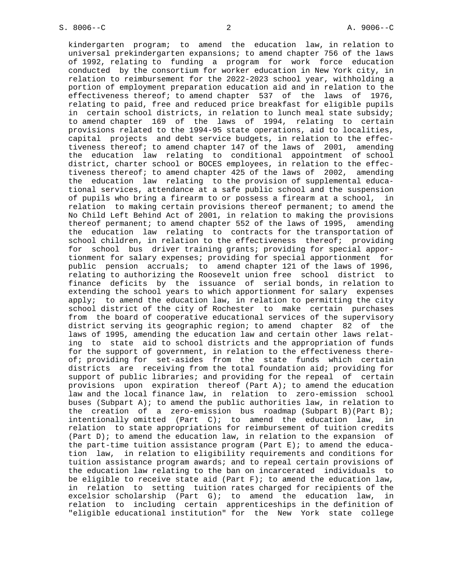kindergarten program; to amend the education law, in relation to universal prekindergarten expansions; to amend chapter 756 of the laws of 1992, relating to funding a program for work force education conducted by the consortium for worker education in New York city, in relation to reimbursement for the 2022-2023 school year, withholding a portion of employment preparation education aid and in relation to the effectiveness thereof; to amend chapter 537 of the laws of 1976, relating to paid, free and reduced price breakfast for eligible pupils in certain school districts, in relation to lunch meal state subsidy; to amend chapter 169 of the laws of 1994, relating to certain provisions related to the 1994-95 state operations, aid to localities, capital projects and debt service budgets, in relation to the effec tiveness thereof; to amend chapter 147 of the laws of 2001, amending the education law relating to conditional appointment of school district, charter school or BOCES employees, in relation to the effec tiveness thereof; to amend chapter 425 of the laws of 2002, amending the education law relating to the provision of supplemental educa tional services, attendance at a safe public school and the suspension of pupils who bring a firearm to or possess a firearm at a school, in relation to making certain provisions thereof permanent; to amend the No Child Left Behind Act of 2001, in relation to making the provisions thereof permanent; to amend chapter 552 of the laws of 1995, amending the education law relating to contracts for the transportation of school children, in relation to the effectiveness thereof; providing for school bus driver training grants; providing for special appor tionment for salary expenses; providing for special apportionment for public pension accruals; to amend chapter 121 of the laws of 1996, relating to authorizing the Roosevelt union free school district to finance deficits by the issuance of serial bonds, in relation to extending the school years to which apportionment for salary expenses apply; to amend the education law, in relation to permitting the city school district of the city of Rochester to make certain purchases from the board of cooperative educational services of the supervisory district serving its geographic region; to amend chapter 82 of the laws of 1995, amending the education law and certain other laws relat ing to state aid to school districts and the appropriation of funds for the support of government, in relation to the effectiveness there of; providing for set-asides from the state funds which certain districts are receiving from the total foundation aid; providing for support of public libraries; and providing for the repeal of certain provisions upon expiration thereof (Part A); to amend the education law and the local finance law, in relation to zero-emission school buses (Subpart A); to amend the public authorities law, in relation to the creation of a zero-emission bus roadmap (Subpart B)(Part B); intentionally omitted (Part C); to amend the education law, in relation to state appropriations for reimbursement of tuition credits (Part  $D$ ); to amend the education law, in relation to the expansion of the part-time tuition assistance program (Part  $E$ ); to amend the educa tion law, in relation to eligibility requirements and conditions for tuition assistance program awards; and to repeal certain provisions of the education law relating to the ban on incarcerated individuals to be eligible to receive state aid (Part  $F$ ); to amend the education law, in relation to setting tuition rates charged for recipients of the excelsior scholarship (Part G); to amend the education law, in relation to including certain apprenticeships in the definition of "eligible educational institution" for the New York state college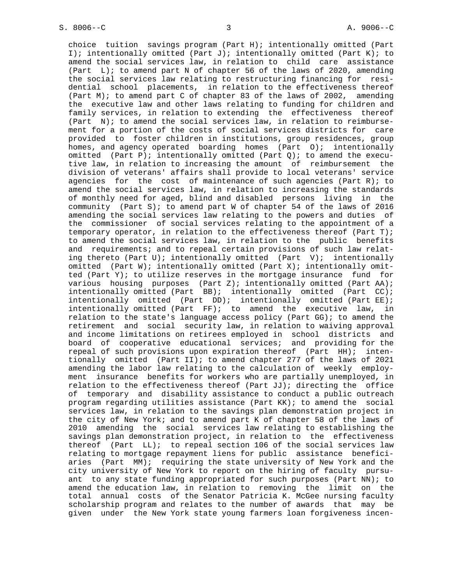choice tuition savings program (Part H); intentionally omitted (Part I); intentionally omitted (Part J); intentionally omitted (Part K); to amend the social services law, in relation to child care assistance (Part L); to amend part N of chapter 56 of the laws of 2020, amending the social services law relating to restructuring financing for resi dential school placements, in relation to the effectiveness thereof (Part M); to amend part C of chapter 83 of the laws of 2002, amending the executive law and other laws relating to funding for children and family services, in relation to extending the effectiveness thereof (Part N); to amend the social services law, in relation to reimburse ment for a portion of the costs of social services districts for care provided to foster children in institutions, group residences, group homes, and agency operated boarding homes (Part O); intentionally omitted (Part P); intentionally omitted (Part Q); to amend the execu tive law, in relation to increasing the amount of reimbursement the division of veterans' affairs shall provide to local veterans' service agencies for the cost of maintenance of such agencies (Part R); to amend the social services law, in relation to increasing the standards of monthly need for aged, blind and disabled persons living in the community (Part S); to amend part W of chapter 54 of the laws of 2016 amending the social services law relating to the powers and duties of the commissioner of social services relating to the appointment of a temporary operator, in relation to the effectiveness thereof (Part T); to amend the social services law, in relation to the public benefits and requirements; and to repeal certain provisions of such law relat ing thereto (Part U); intentionally omitted (Part V); intentionally omitted (Part W); intentionally omitted (Part X); intentionally omit ted (Part Y); to utilize reserves in the mortgage insurance fund for various housing purposes (Part Z); intentionally omitted (Part AA); intentionally omitted (Part BB); intentionally omitted (Part CC); intentionally omitted (Part DD); intentionally omitted (Part EE); intentionally omitted (Part FF); to amend the executive law, in relation to the state's language access policy (Part GG); to amend the retirement and social security law, in relation to waiving approval and income limitations on retirees employed in school districts and board of cooperative educational services; and providing for the repeal of such provisions upon expiration thereof (Part HH); inten tionally omitted (Part II); to amend chapter 277 of the laws of 2021 amending the labor law relating to the calculation of weekly employ ment insurance benefits for workers who are partially unemployed, in relation to the effectiveness thereof (Part JJ); directing the office of temporary and disability assistance to conduct a public outreach program regarding utilities assistance (Part KK); to amend the social services law, in relation to the savings plan demonstration project in the city of New York; and to amend part K of chapter 58 of the laws of 2010 amending the social services law relating to establishing the savings plan demonstration project, in relation to the effectiveness thereof (Part  $LL$ ); to repeal section 106 of the social services law relating to mortgage repayment liens for public assistance benefici aries (Part MM); requiring the state university of New York and the city university of New York to report on the hiring of faculty pursu ant to any state funding appropriated for such purposes (Part NN); to amend the education law, in relation to removing the limit on the total annual costs of the Senator Patricia K. McGee nursing faculty scholarship program and relates to the number of awards that may be given under the New York state young farmers loan forgiveness incen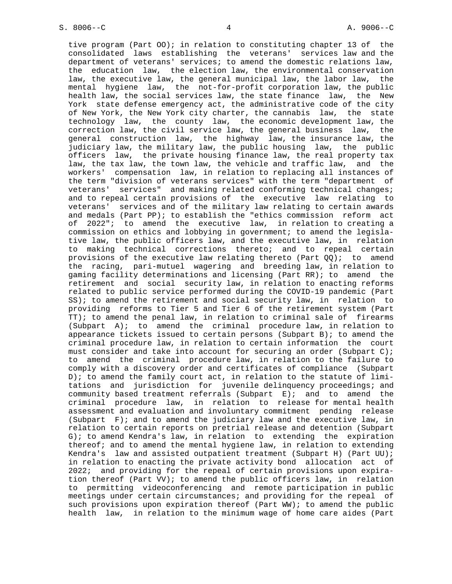tive program (Part OO); in relation to constituting chapter 13 of the consolidated laws establishing the veterans' services law and the department of veterans' services; to amend the domestic relations law, the education law, the election law, the environmental conservation law, the executive law, the general municipal law, the labor law, the mental hygiene law, the not-for-profit corporation law, the public health law, the social services law, the state finance law, the New York state defense emergency act, the administrative code of the city of New York, the New York city charter, the cannabis law, the state technology law, the county law, the economic development law, the correction law, the civil service law, the general business law, the general construction law, the highway law, the insurance law, the judiciary law, the military law, the public housing law, the public officers law, the private housing finance law, the real property tax law, the tax law, the town law, the vehicle and traffic law, and the workers' compensation law, in relation to replacing all instances of the term "division of veterans services" with the term "department of veterans' services" and making related conforming technical changes; and to repeal certain provisions of the executive law relating to veterans' services and of the military law relating to certain awards and medals (Part PP); to establish the "ethics commission reform act of 2022"; to amend the executive law, in relation to creating a commission on ethics and lobbying in government; to amend the legisla tive law, the public officers law, and the executive law, in relation to making technical corrections thereto; and to repeal certain provisions of the executive law relating thereto (Part  $QQ$ ); to amend the racing, pari-mutuel wagering and breeding law, in relation to gaming facility determinations and licensing (Part RR); to amend the retirement and social security law, in relation to enacting reforms related to public service performed during the COVID-19 pandemic (Part SS); to amend the retirement and social security law, in relation to providing reforms to Tier 5 and Tier 6 of the retirement system (Part TT); to amend the penal law, in relation to criminal sale of firearms (Subpart A); to amend the criminal procedure law, in relation to appearance tickets issued to certain persons (Subpart B); to amend the criminal procedure law, in relation to certain information the court must consider and take into account for securing an order (Subpart C); to amend the criminal procedure law, in relation to the failure to comply with a discovery order and certificates of compliance (Subpart D); to amend the family court act, in relation to the statute of limi tations and jurisdiction for juvenile delinquency proceedings; and community based treatment referrals (Subpart E); and to amend the criminal procedure law, in relation to release for mental health assessment and evaluation and involuntary commitment pending release (Subpart F); and to amend the judiciary law and the executive law, in relation to certain reports on pretrial release and detention (Subpart G); to amend Kendra's law, in relation to extending the expiration thereof; and to amend the mental hygiene law, in relation to extending Kendra's law and assisted outpatient treatment (Subpart H) (Part UU); in relation to enacting the private activity bond allocation act of 2022; and providing for the repeal of certain provisions upon expira tion thereof (Part VV); to amend the public officers law, in relation to permitting videoconferencing and remote participation in public meetings under certain circumstances; and providing for the repeal of such provisions upon expiration thereof (Part WW); to amend the public health law, in relation to the minimum wage of home care aides (Part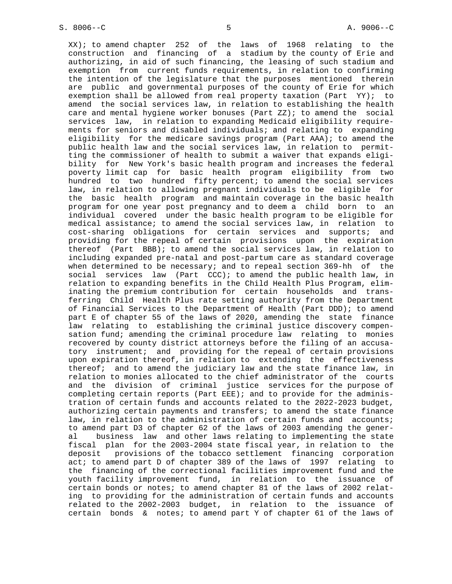XX); to amend chapter 252 of the laws of 1968 relating to the construction and financing of a stadium by the county of Erie and authorizing, in aid of such financing, the leasing of such stadium and exemption from current funds requirements, in relation to confirming the intention of the legislature that the purposes mentioned therein are public and governmental purposes of the county of Erie for which exemption shall be allowed from real property taxation (Part YY); to amend the social services law, in relation to establishing the health care and mental hygiene worker bonuses (Part ZZ); to amend the social services law, in relation to expanding Medicaid eligibility require ments for seniors and disabled individuals; and relating to expanding eligibility for the medicare savings program (Part AAA); to amend the public health law and the social services law, in relation to permit ting the commissioner of health to submit a waiver that expands eligi bility for New York's basic health program and increases the federal poverty limit cap for basic health program eligibility from two hundred to two hundred fifty percent; to amend the social services law, in relation to allowing pregnant individuals to be eligible for the basic health program and maintain coverage in the basic health program for one year post pregnancy and to deem a child born to an individual covered under the basic health program to be eligible for medical assistance; to amend the social services law, in relation to cost-sharing obligations for certain services and supports; and providing for the repeal of certain provisions upon the expiration thereof (Part BBB); to amend the social services law, in relation to including expanded pre-natal and post-partum care as standard coverage when determined to be necessary; and to repeal section 369-hh of the social services law (Part CCC); to amend the public health law, in relation to expanding benefits in the Child Health Plus Program, elim inating the premium contribution for certain households and trans ferring Child Health Plus rate setting authority from the Department of Financial Services to the Department of Health (Part DDD); to amend part E of chapter 55 of the laws of 2020, amending the state finance law relating to establishing the criminal justice discovery compen sation fund; amending the criminal procedure law relating to monies recovered by county district attorneys before the filing of an accusa tory instrument; and providing for the repeal of certain provisions upon expiration thereof, in relation to extending the effectiveness thereof; and to amend the judiciary law and the state finance law, in relation to monies allocated to the chief administrator of the courts and the division of criminal justice services for the purpose of completing certain reports (Part EEE); and to provide for the adminis tration of certain funds and accounts related to the 2022-2023 budget, authorizing certain payments and transfers; to amend the state finance law, in relation to the administration of certain funds and accounts; to amend part D3 of chapter 62 of the laws of 2003 amending the gener al business law and other laws relating to implementing the state fiscal plan for the 2003-2004 state fiscal year, in relation to the deposit provisions of the tobacco settlement financing corporation act; to amend part D of chapter 389 of the laws of 1997 relating to the financing of the correctional facilities improvement fund and the youth facility improvement fund, in relation to the issuance of certain bonds or notes; to amend chapter 81 of the laws of 2002 relat ing to providing for the administration of certain funds and accounts related to the 2002-2003 budget, in relation to the issuance of certain bonds & notes; to amend part Y of chapter 61 of the laws of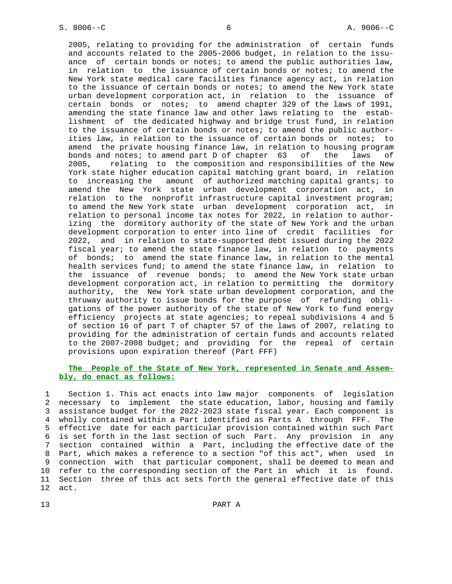2005, relating to providing for the administration of certain funds and accounts related to the 2005-2006 budget, in relation to the issu ance of certain bonds or notes; to amend the public authorities law, in relation to the issuance of certain bonds or notes; to amend the New York state medical care facilities finance agency act, in relation to the issuance of certain bonds or notes; to amend the New York state urban development corporation act, in relation to the issuance of certain bonds or notes; to amend chapter 329 of the laws of 1991, amending the state finance law and other laws relating to the estab lishment of the dedicated highway and bridge trust fund, in relation to the issuance of certain bonds or notes; to amend the public author ities law, in relation to the issuance of certain bonds or notes; to amend the private housing finance law, in relation to housing program bonds and notes; to amend part D of chapter 63 of the laws of 2005, relating to the composition and responsibilities of the New York state higher education capital matching grant board, in relation to increasing the amount of authorized matching capital grants; to amend the New York state urban development corporation act, in relation to the nonprofit infrastructure capital investment program; to amend the New York state urban development corporation act, in relation to personal income tax notes for 2022, in relation to author izing the dormitory authority of the state of New York and the urban development corporation to enter into line of credit facilities for 2022, and in relation to state-supported debt issued during the 2022 fiscal year; to amend the state finance law, in relation to payments of bonds; to amend the state finance law, in relation to the mental health services fund; to amend the state finance law, in relation to the issuance of revenue bonds; to amend the New York state urban development corporation act, in relation to permitting the dormitory authority, the New York state urban development corporation, and the thruway authority to issue bonds for the purpose of refunding obli gations of the power authority of the state of New York to fund energy efficiency projects at state agencies; to repeal subdivisions 4 and 5 of section 16 of part T of chapter 57 of the laws of 2007, relating to providing for the administration of certain funds and accounts related to the 2007-2008 budget; and providing for the repeal of certain provisions upon expiration thereof (Part FFF)

### **The People of the State of New York, represented in Senate and Assem bly, do enact as follows:**

 1 Section 1. This act enacts into law major components of legislation 2 necessary to implement the state education, labor, housing and family 3 assistance budget for the 2022-2023 state fiscal year. Each component is 4 wholly contained within a Part identified as Parts A through FFF. The 5 effective date for each particular provision contained within such Part 6 is set forth in the last section of such Part. Any provision in any 7 section contained within a Part, including the effective date of the 8 Part, which makes a reference to a section "of this act", when used in 9 connection with that particular component, shall be deemed to mean and 10 refer to the corresponding section of the Part in which it is found. 11 Section three of this act sets forth the general effective date of this 12 act.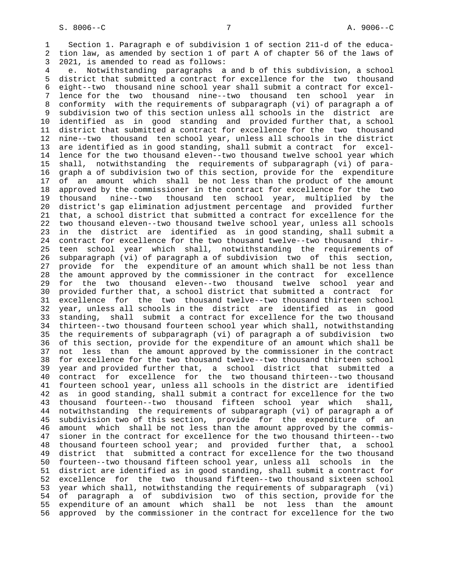1 Section 1. Paragraph e of subdivision 1 of section 211-d of the educa- 2 tion law, as amended by section 1 of part A of chapter 56 of the laws of 3 2021, is amended to read as follows:

 4 e. Notwithstanding paragraphs a and b of this subdivision, a school 5 district that submitted a contract for excellence for the two thousand 6 eight--two thousand nine school year shall submit a contract for excel- 7 lence for the two thousand nine--two thousand ten school year in 8 conformity with the requirements of subparagraph (vi) of paragraph a of 9 subdivision two of this section unless all schools in the district are 10 identified as in good standing and provided further that, a school 11 district that submitted a contract for excellence for the two thousand 12 nine--two thousand ten school year, unless all schools in the district 13 are identified as in good standing, shall submit a contract for excel- 14 lence for the two thousand eleven--two thousand twelve school year which 15 shall, notwithstanding the requirements of subparagraph (vi) of para- 16 graph a of subdivision two of this section, provide for the expenditure 17 of an amount which shall be not less than the product of the amount 18 approved by the commissioner in the contract for excellence for the two 19 thousand nine--two thousand ten school year, multiplied by the 20 district's gap elimination adjustment percentage and provided further 21 that, a school district that submitted a contract for excellence for the 22 two thousand eleven--two thousand twelve school year, unless all schools 23 in the district are identified as in good standing, shall submit a 24 contract for excellence for the two thousand twelve--two thousand thir- 25 teen school year which shall, notwithstanding the requirements of 26 subparagraph (vi) of paragraph a of subdivision two of this section, 27 provide for the expenditure of an amount which shall be not less than 28 the amount approved by the commissioner in the contract for excellence 29 for the two thousand eleven--two thousand twelve school year and 30 provided further that, a school district that submitted a contract for 31 excellence for the two thousand twelve--two thousand thirteen school 32 year, unless all schools in the district are identified as in good 33 standing, shall submit a contract for excellence for the two thousand 34 thirteen--two thousand fourteen school year which shall, notwithstanding 35 the requirements of subparagraph (vi) of paragraph a of subdivision two 36 of this section, provide for the expenditure of an amount which shall be 37 not less than the amount approved by the commissioner in the contract 38 for excellence for the two thousand twelve--two thousand thirteen school 39 year and provided further that, a school district that submitted a 40 contract for excellence for the two thousand thirteen--two thousand 41 fourteen school year, unless all schools in the district are identified 42 as in good standing, shall submit a contract for excellence for the two 43 thousand fourteen--two thousand fifteen school year which shall, 44 notwithstanding the requirements of subparagraph (vi) of paragraph a of 45 subdivision two of this section, provide for the expenditure of an 46 amount which shall be not less than the amount approved by the commis- 47 sioner in the contract for excellence for the two thousand thirteen--two 48 thousand fourteen school year; and provided further that, a school 49 district that submitted a contract for excellence for the two thousand 50 fourteen--two thousand fifteen school year, unless all schools in the 51 district are identified as in good standing, shall submit a contract for 52 excellence for the two thousand fifteen--two thousand sixteen school 53 year which shall, notwithstanding the requirements of subparagraph (vi) 54 of paragraph a of subdivision two of this section, provide for the 55 expenditure of an amount which shall be not less than the amount 56 approved by the commissioner in the contract for excellence for the two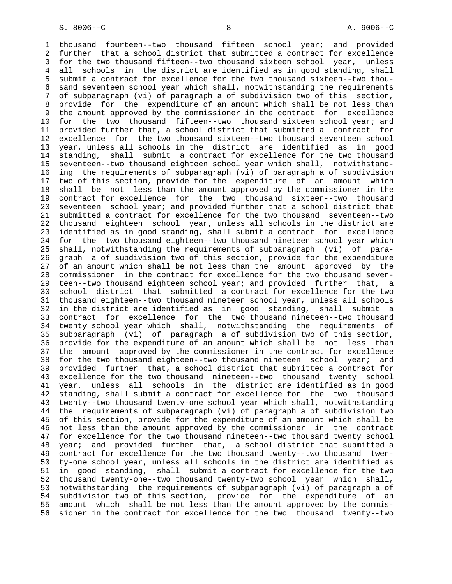1 thousand fourteen--two thousand fifteen school year; and provided 2 further that a school district that submitted a contract for excellence 3 for the two thousand fifteen--two thousand sixteen school year, unless 4 all schools in the district are identified as in good standing, shall 5 submit a contract for excellence for the two thousand sixteen--two thou- 6 sand seventeen school year which shall, notwithstanding the requirements 7 of subparagraph (vi) of paragraph a of subdivision two of this section, 8 provide for the expenditure of an amount which shall be not less than 9 the amount approved by the commissioner in the contract for excellence 10 for the two thousand fifteen--two thousand sixteen school year; and 11 provided further that, a school district that submitted a contract for 12 excellence for the two thousand sixteen--two thousand seventeen school 13 year, unless all schools in the district are identified as in good 14 standing, shall submit a contract for excellence for the two thousand 15 seventeen--two thousand eighteen school year which shall, notwithstand- 16 ing the requirements of subparagraph (vi) of paragraph a of subdivision 17 two of this section, provide for the expenditure of an amount which 18 shall be not less than the amount approved by the commissioner in the 19 contract for excellence for the two thousand sixteen--two thousand 20 seventeen school year; and provided further that a school district that 21 submitted a contract for excellence for the two thousand seventeen--two 22 thousand eighteen school year, unless all schools in the district are 23 identified as in good standing, shall submit a contract for excellence 24 for the two thousand eighteen--two thousand nineteen school year which 25 shall, notwithstanding the requirements of subparagraph (vi) of para- 26 graph a of subdivision two of this section, provide for the expenditure 27 of an amount which shall be not less than the amount approved by the 28 commissioner in the contract for excellence for the two thousand seven- 29 teen--two thousand eighteen school year; and provided further that, a 30 school district that submitted a contract for excellence for the two 31 thousand eighteen--two thousand nineteen school year, unless all schools 32 in the district are identified as in good standing, shall submit a 33 contract for excellence for the two thousand nineteen--two thousand 34 twenty school year which shall, notwithstanding the requirements of 35 subparagraph (vi) of paragraph a of subdivision two of this section, 36 provide for the expenditure of an amount which shall be not less than 37 the amount approved by the commissioner in the contract for excellence 38 for the two thousand eighteen--two thousand nineteen school year; and 39 provided further that, a school district that submitted a contract for 40 excellence for the two thousand nineteen--two thousand twenty school 41 year, unless all schools in the district are identified as in good 42 standing, shall submit a contract for excellence for the two thousand 43 twenty--two thousand twenty-one school year which shall, notwithstanding 44 the requirements of subparagraph (vi) of paragraph a of subdivision two 45 of this section, provide for the expenditure of an amount which shall be 46 not less than the amount approved by the commissioner in the contract 47 for excellence for the two thousand nineteen--two thousand twenty school 48 year; and provided further that, a school district that submitted a 49 contract for excellence for the two thousand twenty--two thousand twen- 50 ty-one school year, unless all schools in the district are identified as 51 in good standing, shall submit a contract for excellence for the two 52 thousand twenty-one--two thousand twenty-two school year which shall, 53 notwithstanding the requirements of subparagraph (vi) of paragraph a of 54 subdivision two of this section, provide for the expenditure of an 55 amount which shall be not less than the amount approved by the commis- 56 sioner in the contract for excellence for the two thousand twenty--two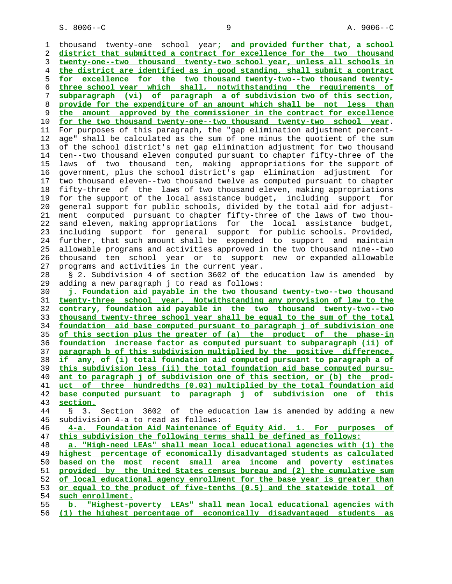S. 8006--C 9 A. 9006--C

 1 thousand twenty-one school year**; and provided further that, a school** 2 **district that submitted a contract for excellence for the two thousand** 3 **twenty-one--two thousand twenty-two school year, unless all schools in** 4 **the district are identified as in good standing, shall submit a contract** 5 **for excellence for the two thousand twenty-two--two thousand twenty-** 6 **three school year which shall, notwithstanding the requirements of** 7 **subparagraph (vi) of paragraph a of subdivision two of this section,** 8 **provide for the expenditure of an amount which shall be not less than** 9 **the amount approved by the commissioner in the contract for excellence** 10 **for the two thousand twenty-one--two thousand twenty-two school year**. 11 For purposes of this paragraph, the "gap elimination adjustment percent- 12 age" shall be calculated as the sum of one minus the quotient of the sum 13 of the school district's net gap elimination adjustment for two thousand 14 ten--two thousand eleven computed pursuant to chapter fifty-three of the 15 laws of two thousand ten, making appropriations for the support of 16 government, plus the school district's gap elimination adjustment for 17 two thousand eleven--two thousand twelve as computed pursuant to chapter 18 fifty-three of the laws of two thousand eleven, making appropriations 19 for the support of the local assistance budget, including support for 20 general support for public schools, divided by the total aid for adjust- 21 ment computed pursuant to chapter fifty-three of the laws of two thou- 22 sand eleven, making appropriations for the local assistance budget, 23 including support for general support for public schools. Provided, 24 further, that such amount shall be expended to support and maintain 25 allowable programs and activities approved in the two thousand nine--two 26 thousand ten school year or to support new or expanded allowable 27 programs and activities in the current year. 28 § 2. Subdivision 4 of section 3602 of the education law is amended by 29 adding a new paragraph j to read as follows: 30 **j. Foundation aid payable in the two thousand twenty-two--two thousand** 31 **twenty-three school year. Notwithstanding any provision of law to the** 32 **contrary, foundation aid payable in the two thousand twenty-two--two** 33 **thousand twenty-three school year shall be equal to the sum of the total** 34 **foundation aid base computed pursuant to paragraph j of subdivision one** 35 **of this section plus the greater of (a) the product of the phase-in** 36 **foundation increase factor as computed pursuant to subparagraph (ii) of** 37 **paragraph b of this subdivision multiplied by the positive difference,** 38 **if any, of (i) total foundation aid computed pursuant to paragraph a of** 39 **this subdivision less (ii) the total foundation aid base computed pursu-** 40 **ant to paragraph j of subdivision one of this section, or (b) the prod-** 41 **uct of three hundredths (0.03) multiplied by the total foundation aid** 42 **base computed pursuant to paragraph j of subdivision one of this** 43 **section.** 44 § 3. Section 3602 of the education law is amended by adding a new 45 subdivision 4-a to read as follows: 46 **4-a. Foundation Aid Maintenance of Equity Aid. 1. For purposes of** 47 **this subdivision the following terms shall be defined as follows:** 48 **a. "High-need LEAs" shall mean local educational agencies with (1) the** 49 **highest percentage of economically disadvantaged students as calculated** 50 **based on the most recent small area income and poverty estimates** 51 **provided by the United States census bureau and (2) the cumulative sum** 52 **of local educational agency enrollment for the base year is greater than** 53 **or equal to the product of five-tenths (0.5) and the statewide total of** 54 **such enrollment.** 55 **b. "Highest-poverty LEAs" shall mean local educational agencies with**

56 **(1) the highest percentage of economically disadvantaged students as**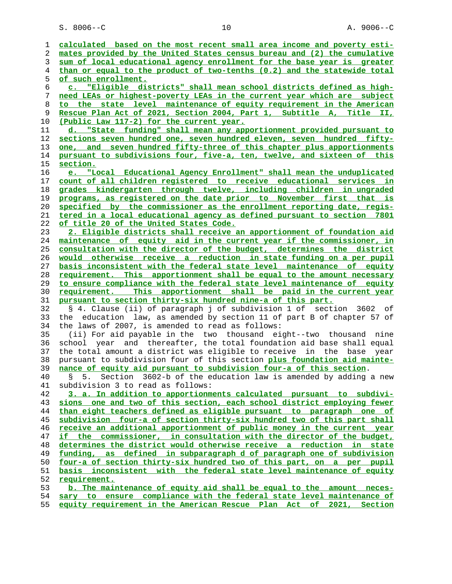S. 8006--C 10 10 A. 9006--C

| 1  | calculated based on the most recent small area income and poverty esti-  |
|----|--------------------------------------------------------------------------|
| 2  | mates provided by the United States census bureau and (2) the cumulative |
| 3  | sum of local educational agency enrollment for the base year is greater  |
| 4  | than or equal to the product of two-tenths (0.2) and the statewide total |
| 5  | of such enrollment.                                                      |
| 6  | c. "Eligible districts" shall mean school districts defined as high-     |
| 7  | need LEAs or highest-poverty LEAs in the current year which are subject  |
| 8  | to the state level maintenance of equity requirement in the American     |
| 9  | Rescue Plan Act of 2021, Section 2004, Part 1, Subtitle A, Title II,     |
| 10 | (Public Law 117-2) for the current year.                                 |
| 11 | d. "State funding" shall mean any apportionment provided pursuant to     |
| 12 | sections seven hundred one, seven hundred eleven, seven hundred fifty-   |
| 13 | one, and seven hundred fifty-three of this chapter plus apportionments   |
| 14 | pursuant to subdivisions four, five-a, ten, twelve, and sixteen of this  |
| 15 | section.                                                                 |
| 16 | e. "Local Educational Agency Enrollment" shall mean the unduplicated     |
| 17 | count of all children registered to receive educational services in      |
| 18 | grades kindergarten through twelve, including children in ungraded       |
| 19 | programs, as registered on the date prior to November first that is      |
| 20 | specified by the commissioner as the enrollment reporting date, regis-   |
| 21 | tered in a local educational agency as defined pursuant to section 7801  |
| 22 | of title 20 of the United States Code.                                   |
| 23 | 2. Eligible districts shall receive an apportionment of foundation aid   |
| 24 | maintenance of equity aid in the current year if the commissioner, in    |
| 25 | consultation with the director of the budget, determines the district    |
| 26 | would otherwise receive a reduction in state funding on a per pupil      |
| 27 | basis inconsistent with the federal state level maintenance of equity    |
| 28 | requirement. This apportionment shall be equal to the amount necessary   |
| 29 | to ensure compliance with the federal state level maintenance of equity  |
| 30 | requirement. This apportionment shall be paid in the current year        |
| 31 | pursuant to section thirty-six hundred nine-a of this part.              |
| 32 | § 4. Clause (ii) of paragraph j of subdivision 1 of section 3602 of      |
| 33 | the education law, as amended by section 11 of part B of chapter 57 of   |
| 34 | the laws of 2007, is amended to read as follows:                         |
| 35 | (ii) For aid payable in the two thousand eight--two thousand<br>nine     |
| 36 | school year and thereafter, the total foundation aid base shall equal    |
| 37 | the total amount a district was eligible to receive in the base<br>year  |
| 38 | pursuant to subdivision four of this section plus foundation aid mainte- |
| 39 | nance of equity aid pursuant to subdivision four-a of this section.      |
| 40 | § 5. Section 3602-b of the education law is amended by adding a new      |
| 41 | subdivision 3 to read as follows:                                        |
| 42 | 3. a. In addition to apportionments calculated pursuant to subdivi-      |
| 43 | sions one and two of this section, each school district employing fewer  |
| 44 | than eight teachers defined as eligible pursuant to paragraph one of     |
| 45 | subdivision four-a of section thirty-six hundred two of this part shall  |
| 46 | receive an additional apportionment of public money in the current year  |
| 47 | if the commissioner, in consultation with the director of the budget,    |
| 48 | determines the district would otherwise receive a reduction in state     |
| 49 | funding, as defined in subparagraph d of paragraph one of subdivision    |
| 50 | four-a of section thirty-six hundred two of this part, on a per pupil    |
| 51 | basis inconsistent with the federal state level maintenance of equity    |
| 52 | requirement.                                                             |
| 53 | b. The maintenance of equity aid shall be equal to the amount neces-     |
| 54 | sary to ensure compliance with the federal state level maintenance of    |
| 55 | equity requirement in the American Rescue Plan Act of 2021, Section      |
|    |                                                                          |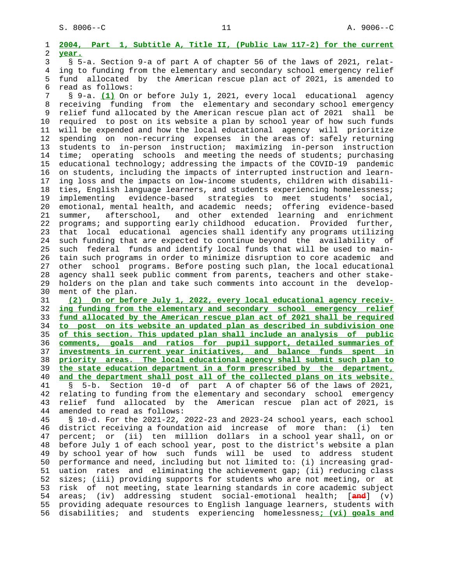1 **2004, Part 1, Subtitle A, Title II, (Public Law 117-2) for the current** 2 **year.** 3 § 5-a. Section 9-a of part A of chapter 56 of the laws of 2021, relat-

 4 ing to funding from the elementary and secondary school emergency relief 5 fund allocated by the American rescue plan act of 2021, is amended to 6 read as follows:

 7 § 9-a. **(1)** On or before July 1, 2021, every local educational agency 8 receiving funding from the elementary and secondary school emergency 9 relief fund allocated by the American rescue plan act of 2021 shall be<br>10 required to post on its website a plan by school vear of how such funds required to post on its website a plan by school year of how such funds 11 will be expended and how the local educational agency will prioritize 12 spending on non-recurring expenses in the areas of: safely returning 13 students to in-person instruction; maximizing in-person instruction 14 time; operating schools and meeting the needs of students; purchasing 15 educational technology; addressing the impacts of the COVID-19 pandemic 16 on students, including the impacts of interrupted instruction and learn- 17 ing loss and the impacts on low-income students, children with disabili- 18 ties, English language learners, and students experiencing homelessness; 19 implementing evidence-based strategies to meet students' social, 20 emotional, mental health, and academic needs; offering evidence-based 21 summer, afterschool, and other extended learning and enrichment 22 programs; and supporting early childhood education. Provided further, 23 that local educational agencies shall identify any programs utilizing 24 such funding that are expected to continue beyond the availability of 25 such federal funds and identify local funds that will be used to main- 26 tain such programs in order to minimize disruption to core academic and 27 other school programs. Before posting such plan, the local educational 28 agency shall seek public comment from parents, teachers and other stake- 29 holders on the plan and take such comments into account in the develop- 30 ment of the plan.

**(2) On or before July 1, 2022, every local educational agency receiv- ing funding from the elementary and secondary school emergency relief fund allocated by the American rescue plan act of 2021 shall be required to post on its website an updated plan as described in subdivision one of this section. This updated plan shall include an analysis of public comments, goals and ratios for pupil support, detailed summaries of investments in current year initiatives, and balance funds spent in priority areas. The local educational agency shall submit such plan to the state education department in a form prescribed by the department, and the department shall post all of the collected plans on its website.** 41 § 5-b. Section 10-d of part A of chapter 56 of the laws of 2021, 42 relating to funding from the elementary and secondary school emergency 43 relief fund allocated by the American rescue plan act of 2021, is

 44 amended to read as follows: 45 § 10-d. For the 2021-22, 2022-23 and 2023-24 school years, each school

 46 district receiving a foundation aid increase of more than: (i) ten 47 percent; or (ii) ten million dollars in a school year shall, on or 48 before July 1 of each school year, post to the district's website a plan 49 by school year of how such funds will be used to address student 50 performance and need, including but not limited to: (i) increasing grad- 51 uation rates and eliminating the achievement gap; (ii) reducing class 52 sizes; (iii) providing supports for students who are not meeting, or at 53 risk of not meeting, state learning standards in core academic subject 54 areas; (iv) addressing student social-emotional health; [**and**] (v) 55 providing adequate resources to English language learners, students with 56 disabilities; and students experiencing homelessness**; (vi) goals and**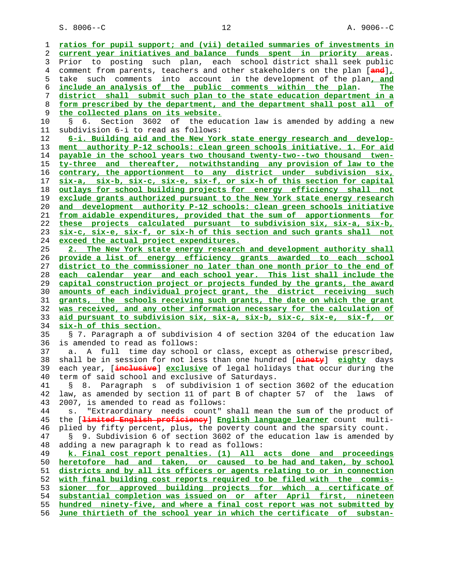S. 8006--C 12 12 A. 9006--C

| 1        | ratios for pupil support; and (vii) detailed summaries of investments in                                                                          |
|----------|---------------------------------------------------------------------------------------------------------------------------------------------------|
| 2        | current year initiatives and balance funds spent in priority areas.                                                                               |
| 3        | Prior to posting such plan, each school district shall seek public                                                                                |
| 4        | comment from parents, teachers and other stakeholders on the plan [and],                                                                          |
| 5        | take such comments into account in the development of the plan, and                                                                               |
| 6        | include an analysis of the public comments within the plan.<br><b>The</b>                                                                         |
| 7        | district shall submit such plan to the state education department in a                                                                            |
| 8        | form prescribed by the department, and the department shall post all of                                                                           |
| 9        | the collected plans on its website.                                                                                                               |
| 10       | Section 3602 of the education law is amended by adding a new<br>6.<br>S                                                                           |
| 11       | subdivision 6-i to read as follows:                                                                                                               |
| 12       | 6-i. Building aid and the New York state energy research and develop-                                                                             |
| 13       | ment authority P-12 schools: clean green schools initiative. 1. For aid                                                                           |
| 14       | payable in the school years two thousand twenty-two--two thousand twen-                                                                           |
| 15       | ty-three and thereafter, notwithstanding any provision of law to the                                                                              |
| 16       | contrary, the apportionment to any district under subdivision six,                                                                                |
| 17       | six-a, six-b, six-c, six-e, six-f, or six-h of this section for capital                                                                           |
| 18       | outlays for school building projects for energy efficiency shall not                                                                              |
| 19       | exclude grants authorized pursuant to the New York state energy research                                                                          |
| 20       | and development authority P-12 schools: clean green schools initiative                                                                            |
| 21       | from aidable expenditures, provided that the sum of apportionments for                                                                            |
| 22       | these projects calculated pursuant to subdivision six, six-a, six-b,                                                                              |
| 23       | six-c, six-e, six-f, or six-h of this section and such grants shall not                                                                           |
| 24       | exceed the actual project expenditures.                                                                                                           |
| 25       | 2. The New York state energy research and development authority shall                                                                             |
| 26       | provide a list of energy efficiency grants awarded to each school                                                                                 |
| 27       | district to the commissioner no later than one month prior to the end of                                                                          |
| 28       | each calendar year and each school year. This list shall include the                                                                              |
| 29       | capital construction project or projects funded by the grants, the award                                                                          |
| 30       | amounts of each individual project grant, the district receiving such                                                                             |
| 31       | grants, the schools receiving such grants, the date on which the grant                                                                            |
| 32       | was received, and any other information necessary for the calculation of                                                                          |
| 33       | aid pursuant to subdivision six, six-a, six-b, six-c, six-e, six-f, or                                                                            |
| 34       | six-h of this section.                                                                                                                            |
| 35       | § 7. Paragraph a of subdivision 4 of section 3204 of the education law                                                                            |
| 36       | is amended to read as follows:                                                                                                                    |
| 37       | A full time day school or class, except as otherwise prescribed,<br>а.                                                                            |
| 38       | shall be in session for not less than one hundred [ninety] eighty days                                                                            |
| 39       | each year, [indlusive] exclusive of legal holidays that occur during the                                                                          |
| 40       | term of said school and exclusive of Saturdays.                                                                                                   |
| 41       | § 8. Paragraph s of subdivision 1 of section 3602 of the education                                                                                |
| 42       | law, as amended by section 11 of part B of chapter 57 of the laws of                                                                              |
| 43       |                                                                                                                                                   |
|          | 2007, is amended to read as follows:                                                                                                              |
| 44       | s. "Extraordinary needs count" shall mean the sum of the product of                                                                               |
| 45       | the [limited English proficiency] English language learner count multi-                                                                           |
| 46       | plied by fifty percent, plus, the poverty count and the sparsity count.                                                                           |
| 47       | 9. Subdivision 6 of section 3602 of the education law is amended by<br>Š.                                                                         |
| 48       | adding a new paragraph k to read as follows:                                                                                                      |
| 49       | k. Final cost report penalties. (1) All acts done and proceedings                                                                                 |
| 50       | heretofore had and taken, or caused to be had and taken, by school                                                                                |
| 51       | districts and by all its officers or agents relating to or in connection                                                                          |
| 52       | with final building cost reports required to be filed with the commis-                                                                            |
| 53       | sioner for approved building projects for which a certificate of                                                                                  |
| 54       | substantial completion was issued on or after April first, nineteen                                                                               |
| 55<br>56 | hundred ninety-five, and where a final cost report was not submitted by<br>June thirtieth of the school year in which the certificate of substan- |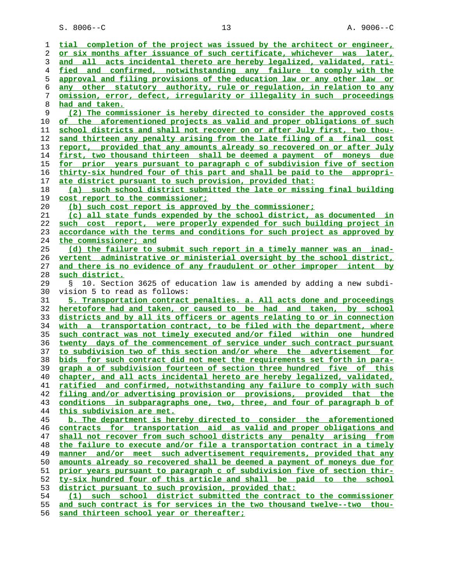S. 8006--C 13 A. 9006--C

| ı  | tial completion of the project was issued by the architect or engineer,   |
|----|---------------------------------------------------------------------------|
| 2  | or six months after issuance of such certificate, whichever was later,    |
| 3  | and all acts incidental thereto are hereby legalized, validated, rati-    |
| 4  | fied and confirmed, notwithstanding any failure to comply with the        |
| 5  | approval and filing provisions of the education law or any other law or   |
| 6  | any other statutory authority, rule or requlation, in relation to any     |
| 7  | omission, error, defect, irregularity or illegality in such proceedings   |
| 8  | had and taken.                                                            |
| 9  | (2) The commissioner is hereby directed to consider the approved costs    |
| 10 | of the aforementioned projects as valid and proper obligations of such    |
| 11 | school districts and shall not recover on or after July first, two thou-  |
| 12 | sand thirteen any penalty arising from the late filing of a final cost    |
| 13 | report, provided that any amounts already so recovered on or after July   |
| 14 | first, two thousand thirteen shall be deemed a payment of moneys due      |
| 15 | for prior years pursuant to paragraph c of subdivision five of section    |
| 16 | thirty-six hundred four of this part and shall be paid to the appropri-   |
| 17 | ate district pursuant to such provision, provided that:                   |
| 18 | (a) such school district submitted the late or missing final building     |
| 19 | cost report to the commissioner;                                          |
|    | (b) such cost report is approved by the commissioner;                     |
| 20 |                                                                           |
| 21 | (c) all state funds expended by the school district, as documented in     |
| 22 | such cost report, were properly expended for such building project in     |
| 23 | accordance with the terms and conditions for such project as approved by  |
| 24 | the commissioner; and                                                     |
| 25 | (d) the failure to submit such report in a timely manner was an inad-     |
| 26 | vertent administrative or ministerial oversight by the school district,   |
| 27 | and there is no evidence of any fraudulent or other improper intent by    |
| 28 | such district.                                                            |
| 29 | 10. Section 3625 of education law is amended by adding a new subdi-<br>S. |
| 30 | vision 5 to read as follows:                                              |
| 31 | 5. Transportation contract penalties. a. All acts done and proceedings    |
| 32 | heretofore had and taken, or caused to be had and taken, by school        |
| 33 | districts and by all its officers or agents relating to or in connection  |
| 34 | with a transportation contract, to be filed with the department, where    |
| 35 | such contract was not timely executed and/or filed within one hundred     |
| 36 | twenty days of the commencement of service under such contract pursuant   |
| 37 | to subdivision two of this section and/or where the advertisement for     |
| 38 | bids for such contract did not meet the requirements set forth in para-   |
| 39 | graph a of subdivision fourteen of section three hundred five of this     |
| 40 | chapter, and all acts incidental hereto are hereby legalized, validated,  |
| 41 | ratified and confirmed, notwithstanding any failure to comply with such   |
| 42 | filing and/or advertising provision or provisions, provided that the      |
| 43 | conditions in subparagraphs one, two, three, and four of paragraph b of   |
| 44 | this subdivision are met.                                                 |
| 45 | b. The department is hereby directed to consider the aforementioned       |
| 46 | contracts for transportation aid as valid and proper obligations and      |
| 47 | shall not recover from such school districts any penalty arising from     |
| 48 | the failure to execute and/or file a transportation contract in a timely  |
| 49 | manner and/or meet such advertisement requirements, provided that any     |
| 50 | amounts already so recovered shall be deemed a payment of moneys due for  |
| 51 | prior years pursuant to paragraph c of subdivision five of section thir-  |
| 52 | ty-six hundred four of this article and shall be paid to the school       |
| 53 | district pursuant to such provision, provided that:                       |
| 54 | such school district submitted the contract to the commissioner<br>(1)    |
| 55 | and such contract is for services in the two thousand twelve--two thou-   |

**sand thirteen school year or thereafter;**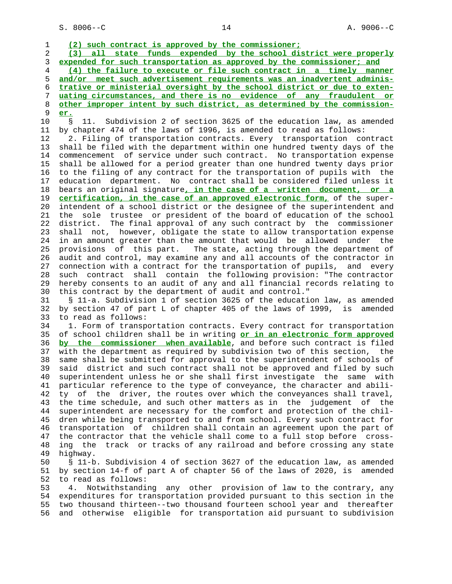| 1              | (2) such contract is approved by the commissioner;                                                                                                |
|----------------|---------------------------------------------------------------------------------------------------------------------------------------------------|
| 2              | (3) all state funds expended by the school district were properly                                                                                 |
| 3              | expended for such transportation as approved by the commissioner; and                                                                             |
| $\overline{4}$ | (4) the failure to execute or file such contract in a timely manner                                                                               |
| 5              | and/or meet such advertisement requirements was an inadvertent adminis-                                                                           |
| 6              | trative or ministerial oversight by the school district or due to exten-                                                                          |
| 7              | uating circumstances, and there is no evidence of any fraudulent or                                                                               |
| 8              | other improper intent by such district, as determined by the commission-                                                                          |
| 9              | er.                                                                                                                                               |
| 10             | Subdivision 2 of section 3625 of the education law, as amended<br>Ş.<br>11.                                                                       |
| 11             | by chapter 474 of the laws of 1996, is amended to read as follows:                                                                                |
| 12<br>13       | 2. Filing of transportation contracts. Every transportation contract<br>shall be filed with the department within one hundred twenty days of the  |
| 14             | commencement of service under such contract. No transportation expense                                                                            |
| 15             | shall be allowed for a period greater than one hundred twenty days prior                                                                          |
| 16             | to the filing of any contract for the transportation of pupils with the                                                                           |
| 17             | education department. No contract shall be considered filed unless it                                                                             |
| 18             | bears an original signature, in the case of a written document, or a                                                                              |
| 19             | certification, in the case of an approved electronic form, of the super-                                                                          |
| 20             | intendent of a school district or the designee of the superintendent and                                                                          |
| 21             | sole trustee or president of the board of education of the school<br>the                                                                          |
| 22             | district. The final approval of any such contract by the commissioner                                                                             |
| 23             | shall not, however, obligate the state to allow transportation expense                                                                            |
| 24             | in an amount greater than the amount that would be allowed under the                                                                              |
| 25             | provisions of this part. The state, acting through the department of                                                                              |
| 26             | audit and control, may examine any and all accounts of the contractor in                                                                          |
| 27             | connection with a contract for the transportation of pupils, and every                                                                            |
| 28             | such contract shall contain the following provision: "The contractor                                                                              |
| 29             | hereby consents to an audit of any and all financial records relating to                                                                          |
| 30             | this contract by the department of audit and control."                                                                                            |
| 31             | § 11-a. Subdivision 1 of section 3625 of the education law, as amended                                                                            |
| 32             | by section 47 of part L of chapter 405 of the laws of 1999, is amended                                                                            |
| 33             | to read as follows:                                                                                                                               |
| 34             | 1. Form of transportation contracts. Every contract for transportation                                                                            |
| 35             | of school children shall be in writing or in an electronic form approved                                                                          |
| 36             | by the commissioner when available, and before such contract is filed                                                                             |
| 37             | with the department as required by subdivision two of this section, the                                                                           |
| 38             | same shall be submitted for approval to the superintendent of schools of                                                                          |
| 39             | said district and such contract shall not be approved and filed by such                                                                           |
| 40             | superintendent unless he or she shall first investigate the<br>same with                                                                          |
| 41             | particular reference to the type of conveyance, the character and abili-                                                                          |
| 42             | ty of the driver, the routes over which the conveyances shall travel,                                                                             |
| 43             | the time schedule, and such other matters as in the judgement of the                                                                              |
| 44             | superintendent are necessary for the comfort and protection of the chil-                                                                          |
| 45             | dren while being transported to and from school. Every such contract for                                                                          |
| 46             | transportation of children shall contain an agreement upon the part of<br>the contractor that the vehicle shall come to a full stop before cross- |
| 47<br>48       | track or tracks of any railroad and before crossing any state<br>ing the                                                                          |
| 49             | highway.                                                                                                                                          |
| 50             | § 11-b. Subdivision 4 of section 3627 of the education law, as amended                                                                            |
| 51             | by section 14-f of part A of chapter 56 of the laws of 2020, is amended                                                                           |
| 52             | to read as follows:                                                                                                                               |
| 53             | any other provision of law to the contrary, any<br>4.<br>Notwithstanding                                                                          |
|                | expenditures for transportation provided pursuant to this section in the                                                                          |
|                |                                                                                                                                                   |
| 54<br>55       | two thousand thirteen--two thousand fourteen school year and thereafter                                                                           |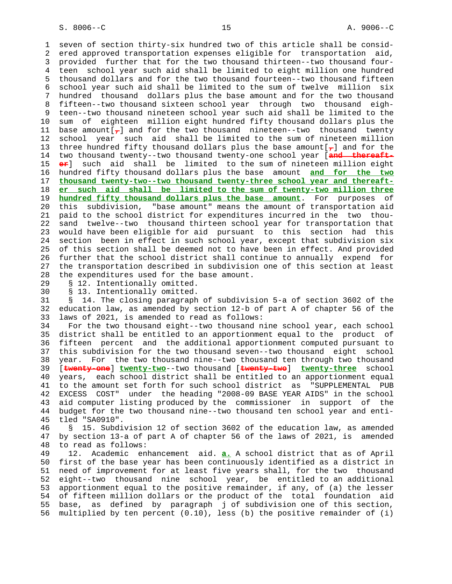1 seven of section thirty-six hundred two of this article shall be consid- 2 ered approved transportation expenses eligible for transportation aid, 3 provided further that for the two thousand thirteen--two thousand four- 4 teen school year such aid shall be limited to eight million one hundred 5 thousand dollars and for the two thousand fourteen--two thousand fifteen 6 school year such aid shall be limited to the sum of twelve million six 7 hundred thousand dollars plus the base amount and for the two thousand 8 fifteen--two thousand sixteen school year through two thousand eigh- 9 teen--two thousand nineteen school year such aid shall be limited to the 10 sum of eighteen million eight hundred fifty thousand dollars plus the 11 base amount[**,**] and for the two thousand nineteen--two thousand twenty 12 school year such aid shall be limited to the sum of nineteen million 13 three hundred fifty thousand dollars plus the base amount[**,**] and for the 14 two thousand twenty--two thousand twenty-one school year [**and thereaft-** 15 **er**] such aid shall be limited to the sum of nineteen million eight 16 hundred fifty thousand dollars plus the base amount **and for the two** 17 **thousand twenty-two--two thousand twenty-three school year and thereaft-** 18 **er such aid shall be limited to the sum of twenty-two million three** 19 **hundred fifty thousand dollars plus the base amount**. For purposes of 20 this subdivision, "base amount" means the amount of transportation aid 21 paid to the school district for expenditures incurred in the two thou- 22 sand twelve--two thousand thirteen school year for transportation that 23 would have been eligible for aid pursuant to this section had this 24 section been in effect in such school year, except that subdivision six 25 of this section shall be deemed not to have been in effect. And provided 26 further that the school district shall continue to annually expend for 27 the transportation described in subdivision one of this section at least 28 the expenditures used for the base amount.

 29 § 12. Intentionally omitted. 30 § 13. Intentionally omitted.

 31 § 14. The closing paragraph of subdivision 5-a of section 3602 of the 32 education law, as amended by section 12-b of part A of chapter 56 of the 33 laws of 2021, is amended to read as follows:

 34 For the two thousand eight--two thousand nine school year, each school 35 district shall be entitled to an apportionment equal to the product of 36 fifteen percent and the additional apportionment computed pursuant to 37 this subdivision for the two thousand seven--two thousand eight school 38 year. For the two thousand nine--two thousand ten through two thousand 39 [**twenty-one**] **twenty-two**--two thousand [**twenty-two**] **twenty-three** school 40 years, each school district shall be entitled to an apportionment equal 41 to the amount set forth for such school district as "SUPPLEMENTAL PUB 42 EXCESS COST" under the heading "2008-09 BASE YEAR AIDS" in the school 43 aid computer listing produced by the commissioner in support of the 44 budget for the two thousand nine--two thousand ten school year and enti- 45 tled "SA0910".

 46 § 15. Subdivision 12 of section 3602 of the education law, as amended 47 by section 13-a of part A of chapter 56 of the laws of 2021, is amended 48 to read as follows:

 49 12. Academic enhancement aid. **a.** A school district that as of April 50 first of the base year has been continuously identified as a district in 51 need of improvement for at least five years shall, for the two thousand 52 eight--two thousand nine school year, be entitled to an additional 53 apportionment equal to the positive remainder, if any, of (a) the lesser 54 of fifteen million dollars or the product of the total foundation aid 55 base, as defined by paragraph j of subdivision one of this section, 56 multiplied by ten percent (0.10), less (b) the positive remainder of (i)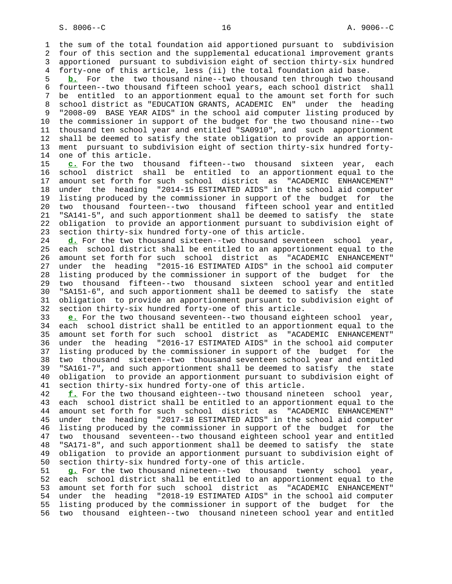1 the sum of the total foundation aid apportioned pursuant to subdivision 2 four of this section and the supplemental educational improvement grants 3 apportioned pursuant to subdivision eight of section thirty-six hundred 4 forty-one of this article, less (ii) the total foundation aid base.

5 **b.** For the two thousand nine--two thousand ten through two thousand 6 fourteen--two thousand fifteen school years, each school district shall 7 be entitled to an apportionment equal to the amount set forth for such 8 school district as "EDUCATION GRANTS, ACADEMIC EN" under the heading 9 "2008-09 BASE YEAR AIDS" in the school aid computer listing produced by 10 the commissioner in support of the budget for the two thousand nine--two 11 thousand ten school year and entitled "SA0910", and such apportionment 12 shall be deemed to satisfy the state obligation to provide an apportion- 13 ment pursuant to subdivision eight of section thirty-six hundred forty- 14 one of this article.

 15 **c.** For the two thousand fifteen--two thousand sixteen year, each 16 school district shall be entitled to an apportionment equal to the 17 amount set forth for such school district as "ACADEMIC ENHANCEMENT" 18 under the heading "2014-15 ESTIMATED AIDS" in the school aid computer 19 listing produced by the commissioner in support of the budget for the 20 two thousand fourteen--two thousand fifteen school year and entitled 21 "SA141-5", and such apportionment shall be deemed to satisfy the state 22 obligation to provide an apportionment pursuant to subdivision eight of 23 section thirty-six hundred forty-one of this article.

 24 **d.** For the two thousand sixteen--two thousand seventeen school year, 25 each school district shall be entitled to an apportionment equal to the 26 amount set forth for such school district as "ACADEMIC ENHANCEMENT" 27 under the heading "2015-16 ESTIMATED AIDS" in the school aid computer 28 listing produced by the commissioner in support of the budget for the 29 two thousand fifteen--two thousand sixteen school year and entitled 30 "SA151-6", and such apportionment shall be deemed to satisfy the state 31 obligation to provide an apportionment pursuant to subdivision eight of 32 section thirty-six hundred forty-one of this article.

 33 **e.** For the two thousand seventeen--two thousand eighteen school year, 34 each school district shall be entitled to an apportionment equal to the 35 amount set forth for such school district as "ACADEMIC ENHANCEMENT" 36 under the heading "2016-17 ESTIMATED AIDS" in the school aid computer 37 listing produced by the commissioner in support of the budget for the 38 two thousand sixteen--two thousand seventeen school year and entitled 39 "SA161-7", and such apportionment shall be deemed to satisfy the state 40 obligation to provide an apportionment pursuant to subdivision eight of 41 section thirty-six hundred forty-one of this article.

 42 **f.** For the two thousand eighteen--two thousand nineteen school year, 43 each school district shall be entitled to an apportionment equal to the 44 amount set forth for such school district as "ACADEMIC ENHANCEMENT" 45 under the heading "2017-18 ESTIMATED AIDS" in the school aid computer 46 listing produced by the commissioner in support of the budget for the 47 two thousand seventeen--two thousand eighteen school year and entitled 48 "SA171-8", and such apportionment shall be deemed to satisfy the state 49 obligation to provide an apportionment pursuant to subdivision eight of 50 section thirty-six hundred forty-one of this article.

 51 **g.** For the two thousand nineteen--two thousand twenty school year, 52 each school district shall be entitled to an apportionment equal to the 53 amount set forth for such school district as "ACADEMIC ENHANCEMENT" 54 under the heading "2018-19 ESTIMATED AIDS" in the school aid computer 55 listing produced by the commissioner in support of the budget for the 56 two thousand eighteen--two thousand nineteen school year and entitled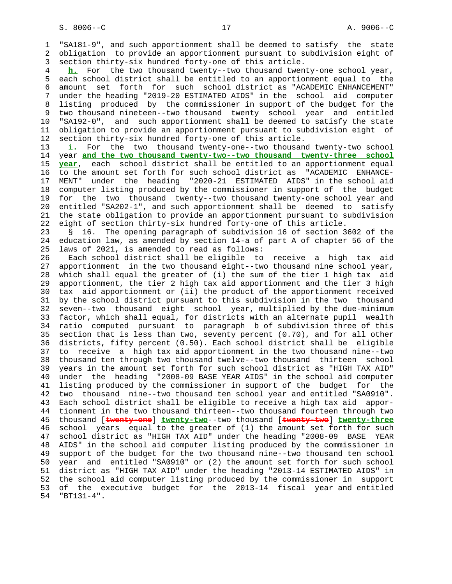1 "SA181-9", and such apportionment shall be deemed to satisfy the state 2 obligation to provide an apportionment pursuant to subdivision eight of 3 section thirty-six hundred forty-one of this article.

 4 **h.** For the two thousand twenty--two thousand twenty-one school year, 5 each school district shall be entitled to an apportionment equal to the 6 amount set forth for such school district as "ACADEMIC ENHANCEMENT" 7 under the heading "2019-20 ESTIMATED AIDS" in the school aid computer 8 listing produced by the commissioner in support of the budget for the 9 two thousand nineteen--two thousand twenty school year and entitled 10 "SA192-0", and such apportionment shall be deemed to satisfy the state 11 obligation to provide an apportionment pursuant to subdivision eight of 12 section thirty-six hundred forty-one of this article.

 13 **i.** For the two thousand twenty-one--two thousand twenty-two school 14 year **and the two thousand twenty-two--two thousand twenty-three school** 15 **year**, each school district shall be entitled to an apportionment equal 16 to the amount set forth for such school district as "ACADEMIC ENHANCE- 17 MENT" under the heading "2020-21 ESTIMATED AIDS" in the school aid 18 computer listing produced by the commissioner in support of the budget 19 for the two thousand twenty--two thousand twenty-one school year and 20 entitled "SA202-1", and such apportionment shall be deemed to satisfy 21 the state obligation to provide an apportionment pursuant to subdivision 22 eight of section thirty-six hundred forty-one of this article.

 23 § 16. The opening paragraph of subdivision 16 of section 3602 of the 24 education law, as amended by section 14-a of part A of chapter 56 of the 25 laws of 2021, is amended to read as follows:

 26 Each school district shall be eligible to receive a high tax aid 27 apportionment in the two thousand eight--two thousand nine school year, 28 which shall equal the greater of (i) the sum of the tier 1 high tax aid 29 apportionment, the tier 2 high tax aid apportionment and the tier 3 high 30 tax aid apportionment or (ii) the product of the apportionment received 31 by the school district pursuant to this subdivision in the two thousand 32 seven--two thousand eight school year, multiplied by the due-minimum 33 factor, which shall equal, for districts with an alternate pupil wealth 34 ratio computed pursuant to paragraph b of subdivision three of this 35 section that is less than two, seventy percent (0.70), and for all other 36 districts, fifty percent (0.50). Each school district shall be eligible 37 to receive a high tax aid apportionment in the two thousand nine--two 38 thousand ten through two thousand twelve--two thousand thirteen school 39 years in the amount set forth for such school district as "HIGH TAX AID" 40 under the heading "2008-09 BASE YEAR AIDS" in the school aid computer 41 listing produced by the commissioner in support of the budget for the 42 two thousand nine--two thousand ten school year and entitled "SA0910". 43 Each school district shall be eligible to receive a high tax aid appor- 44 tionment in the two thousand thirteen--two thousand fourteen through two 45 thousand [**twenty-one**] **twenty-two**--two thousand [**twenty-two**] **twenty-three** 46 school years equal to the greater of (1) the amount set forth for such 47 school district as "HIGH TAX AID" under the heading "2008-09 BASE YEAR 48 AIDS" in the school aid computer listing produced by the commissioner in 49 support of the budget for the two thousand nine--two thousand ten school 50 year and entitled "SA0910" or (2) the amount set forth for such school 51 district as "HIGH TAX AID" under the heading "2013-14 ESTIMATED AIDS" in 52 the school aid computer listing produced by the commissioner in support 53 of the executive budget for the 2013-14 fiscal year and entitled 54 "BT131-4".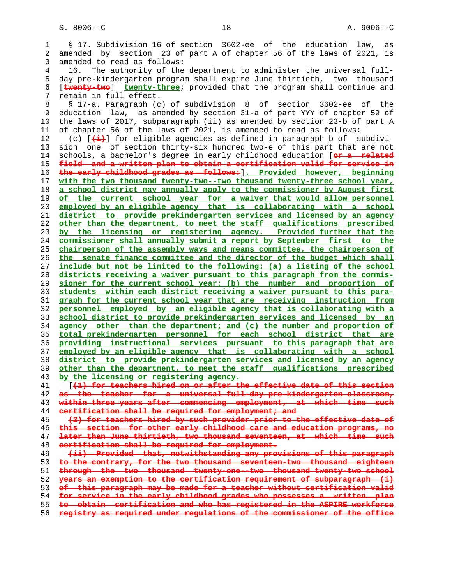1 § 17. Subdivision 16 of section 3602-ee of the education law, as 2 amended by section 23 of part A of chapter 56 of the laws of 2021, is 3 amended to read as follows: 4 16. The authority of the department to administer the universal full- 5 day pre-kindergarten program shall expire June thirtieth, two thousand 6 [**twenty-two**] **twenty-three**; provided that the program shall continue and 7 remain in full effect. 8 § 17-a. Paragraph (c) of subdivision 8 of section 3602-ee of the 9 education law, as amended by section 31-a of part YYY of chapter 59 of 10 the laws of 2017, subparagraph (ii) as amended by section 23-b of part A 11 of chapter 56 of the laws of 2021, is amended to read as follows: 12 (c) [**(i)**] for eligible agencies as defined in paragraph b of subdivi- 13 sion one of section thirty-six hundred two-e of this part that are not 14 schools, a bachelor's degree in early childhood education [**or a related field and a written plan to obtain a certification valid for service in the early childhood grades as follows:**]**. Provided however, beginning with the two thousand twenty-two--two thousand twenty-three school year, a school district may annually apply to the commissioner by August first of the current school year for a waiver that would allow personnel employed by an eligible agency that is collaborating with a school district to provide prekindergarten services and licensed by an agency other than the department, to meet the staff qualifications prescribed by the licensing or registering agency. Provided further that the commissioner shall annually submit a report by September first to the chairperson of the assembly ways and means committee, the chairperson of the senate finance committee and the director of the budget which shall include but not be limited to the following: (a) a listing of the school districts receiving a waiver pursuant to this paragraph from the commis- sioner for the current school year; (b) the number and proportion of students within each district receiving a waiver pursuant to this para- graph for the current school year that are receiving instruction from personnel employed by an eligible agency that is collaborating with a school district to provide prekindergarten services and licensed by an agency other than the department; and (c) the number and proportion of total prekindergarten personnel for each school district that are providing instructional services pursuant to this paragraph that are employed by an eligible agency that is collaborating with a school district to provide prekindergarten services and licensed by an agency other than the department, to meet the staff qualifications prescribed by the licensing or registering agency.** 41 [**(1) for teachers hired on or after the effective date of this section as the teacher for a universal full-day pre-kindergarten classroom, within three years after commencing employment, at which time such certification shall be required for employment; and (2) for teachers hired by such provider prior to the effective date of this section for other early childhood care and education programs, no later than June thirtieth, two thousand seventeen, at which time such certification shall be required for employment. (ii) Provided that, notwithstanding any provisions of this paragraph to the contrary, for the two thousand seventeen-two thousand eighteen through the two thousand twenty-one--two thousand twenty-two school years an exemption to the certification requirement of subparagraph (i) of this paragraph may be made for a teacher without certification valid for service in the early childhood grades who possesses a written plan to obtain certification and who has registered in the ASPIRE workforce registry as required under regulations of the commissioner of the office**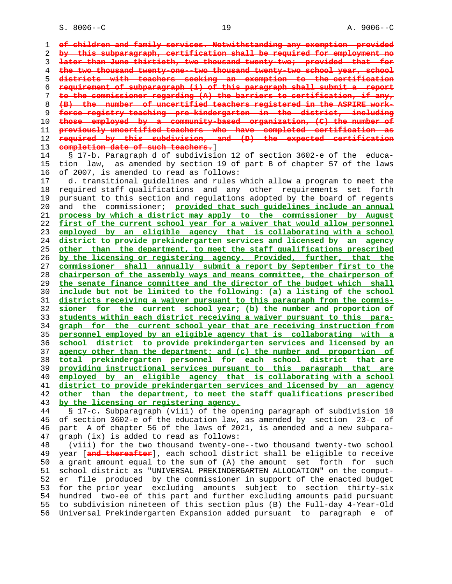**of children and family services. Notwithstanding any exemption provided by this subparagraph, certification shall be required for employment no later than June thirtieth, two thousand twenty-two; provided that for the two thousand twenty-one--two thousand twenty-two school year, school districts with teachers seeking an exemption to the certification requirement of subparagraph (i) of this paragraph shall submit a report to the commissioner regarding (A) the barriers to certification, if any, (B) the number of uncertified teachers registered in the ASPIRE work- force registry teaching pre-kindergarten in the district, including those employed by a community-based organization, (C) the number of previously uncertified teachers who have completed certification as required by this subdivision, and (D) the expected certification completion date of such teachers.**] 14 § 17-b. Paragraph d of subdivision 12 of section 3602-e of the educa- 15 tion law, as amended by section 19 of part B of chapter 57 of the laws 16 of 2007, is amended to read as follows: 17 d. transitional guidelines and rules which allow a program to meet the 18 required staff qualifications and any other requirements set forth 19 pursuant to this section and regulations adopted by the board of regents 20 and the commissioner; **provided that such guidelines include an annual process by which a district may apply to the commissioner by August first of the current school year for a waiver that would allow personnel employed by an eligible agency that is collaborating with a school district to provide prekindergarten services and licensed by an agency other than the department, to meet the staff qualifications prescribed by the licensing or registering agency. Provided, further, that the commissioner shall annually submit a report by September first to the chairperson of the assembly ways and means committee, the chairperson of the senate finance committee and the director of the budget which shall include but not be limited to the following: (a) a listing of the school districts receiving a waiver pursuant to this paragraph from the commis- sioner for the current school year; (b) the number and proportion of students within each district receiving a waiver pursuant to this para- graph for the current school year that are receiving instruction from personnel employed by an eligible agency that is collaborating with a school district to provide prekindergarten services and licensed by an agency other than the department; and (c) the number and proportion of total prekindergarten personnel for each school district that are providing instructional services pursuant to this paragraph that are employed by an eligible agency that is collaborating with a school district to provide prekindergarten services and licensed by an agency other than the department, to meet the staff qualifications prescribed by the licensing or registering agency.**

 44 § 17-c. Subparagraph (viii) of the opening paragraph of subdivision 10 45 of section 3602-e of the education law, as amended by section 23-c of 46 part A of chapter 56 of the laws of 2021, is amended and a new subpara- 47 graph (ix) is added to read as follows:

 48 (viii) for the two thousand twenty-one--two thousand twenty-two school 49 year [**and thereafter**], each school district shall be eligible to receive 50 a grant amount equal to the sum of (A) the amount set forth for such 51 school district as "UNIVERSAL PREKINDERGARTEN ALLOCATION" on the comput- 52 er file produced by the commissioner in support of the enacted budget 53 for the prior year excluding amounts subject to section thirty-six 54 hundred two-ee of this part and further excluding amounts paid pursuant 55 to subdivision nineteen of this section plus (B) the Full-day 4-Year-Old 56 Universal Prekindergarten Expansion added pursuant to paragraph e of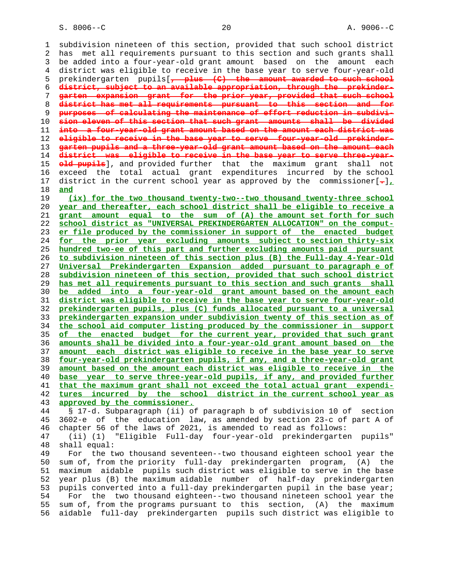S. 8006--C 20 A. 9006--C

 1 subdivision nineteen of this section, provided that such school district 2 has met all requirements pursuant to this section and such grants shall 3 be added into a four-year-old grant amount based on the amount each 4 district was eligible to receive in the base year to serve four-year-old 5 prekindergarten pupils[**, plus (C) the amount awarded to such school district, subject to an available appropriation, through the prekinder- garten expansion grant for the prior year, provided that such school district has met all requirements pursuant to this section and for purposes of calculating the maintenance of effort reduction in subdivi- sion eleven of this section that such grant amounts shall be divided into a four-year-old grant amount based on the amount each district was eligible to receive in the base year to serve four-year-old prekinder- garten pupils and a three-year-old grant amount based on the amount each district was eligible to receive in the base year to serve three-year- old pupils**], and provided further that the maximum grant shall not 16 exceed the total actual grant expenditures incurred by the school 17 district in the current school year as approved by the commissioner[**.**]**, and (ix) for the two thousand twenty-two--two thousand twenty-three school year and thereafter, each school district shall be eligible to receive a grant amount equal to the sum of (A) the amount set forth for such school district as "UNIVERSAL PREKINDERGARTEN ALLOCATION" on the comput- er file produced by the commissioner in support of the enacted budget for the prior year excluding amounts subject to section thirty-six hundred two-ee of this part and further excluding amounts paid pursuant to subdivision nineteen of this section plus (B) the Full-day 4-Year-Old Universal Prekindergarten Expansion added pursuant to paragraph e of subdivision nineteen of this section, provided that such school district has met all requirements pursuant to this section and such grants shall be added into a four-year-old grant amount based on the amount each district was eligible to receive in the base year to serve four-year-old prekindergarten pupils, plus (C) funds allocated pursuant to a universal prekindergarten expansion under subdivision twenty of this section as of the school aid computer listing produced by the commissioner in support of the enacted budget for the current year, provided that such grant amounts shall be divided into a four-year-old grant amount based on the amount each district was eligible to receive in the base year to serve four-year-old prekindergarten pupils, if any, and a three-year-old grant amount based on the amount each district was eligible to receive in the base year to serve three-year-old pupils, if any, and provided further that the maximum grant shall not exceed the total actual grant expendi- tures incurred by the school district in the current school year as approved by the commissioner.** 44 § 17-d. Subparagraph (ii) of paragraph b of subdivision 10 of section 45 3602-e of the education law, as amended by section 23-c of part A of 46 chapter 56 of the laws of 2021, is amended to read as follows: 47 (ii) (1) "Eligible Full-day four-year-old prekindergarten pupils" 48 shall equal: 49 For the two thousand seventeen--two thousand eighteen school year the 50 sum of, from the priority full-day prekindergarten program, (A) the 51 maximum aidable pupils such district was eligible to serve in the base 52 year plus (B) the maximum aidable number of half-day prekindergarten 53 pupils converted into a full-day prekindergarten pupil in the base year; 54 For the two thousand eighteen--two thousand nineteen school year the

 55 sum of, from the programs pursuant to this section, (A) the maximum 56 aidable full-day prekindergarten pupils such district was eligible to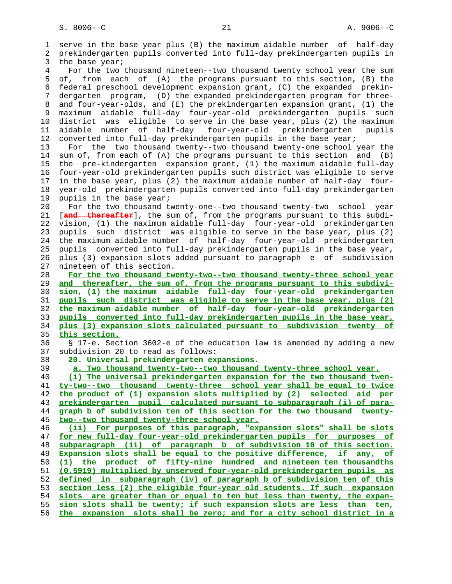1 serve in the base year plus (B) the maximum aidable number of half-day 2 prekindergarten pupils converted into full-day prekindergarten pupils in 3 the base year; 4 For the two thousand nineteen--two thousand twenty school year the sum 5 of, from each of (A) the programs pursuant to this section, (B) the 6 federal preschool development expansion grant, (C) the expanded prekin- 7 dergarten program, (D) the expanded prekindergarten program for three- 8 and four-year-olds, and (E) the prekindergarten expansion grant, (1) the 9 maximum aidable full-day four-year-old prekindergarten pupils such 10 district was eligible to serve in the base year, plus (2) the maximum 11 aidable number of half-day four-year-old prekindergarten pupils 12 converted into full-day prekindergarten pupils in the base year; 13 For the two thousand twenty--two thousand twenty-one school year the 14 sum of, from each of (A) the programs pursuant to this section and (B) 15 the pre-kindergarten expansion grant, (1) the maximum aidable full-day 16 four-year-old prekindergarten pupils such district was eligible to serve 17 in the base year, plus (2) the maximum aidable number of half-day four- 18 year-old prekindergarten pupils converted into full-day prekindergarten 19 pupils in the base year; 20 For the two thousand twenty-one--two thousand twenty-two school year 21 [**and thereafter**], the sum of, from the programs pursuant to this subdi- 22 vision, (1) the maximum aidable full-day four-year-old prekindergarten 23 pupils such district was eligible to serve in the base year, plus (2) 24 the maximum aidable number of half-day four-year-old prekindergarten 25 pupils converted into full-day prekindergarten pupils in the base year, 26 plus (3) expansion slots added pursuant to paragraph e of subdivision 27 nineteen of this section. 28 **For the two thousand twenty-two--two thousand twenty-three school year** 29 **and thereafter, the sum of, from the programs pursuant to this subdivi-** 30 **sion, (1) the maximum aidable full-day four-year-old prekindergarten** 31 **pupils such district was eligible to serve in the base year, plus (2)** 32 **the maximum aidable number of half-day four-year-old prekindergarten** 33 **pupils converted into full-day prekindergarten pupils in the base year,** 34 **plus (3) expansion slots calculated pursuant to subdivision twenty of** 35 **this section.** 36 § 17-e. Section 3602-e of the education law is amended by adding a new 37 subdivision 20 to read as follows: 38 **20. Universal prekindergarten expansions.** 39 **a. Two thousand twenty-two--two thousand twenty-three school year.** 40 **(i) The universal prekindergarten expansion for the two thousand twen-** 41 **ty-two--two thousand twenty-three school year shall be equal to twice** 42 **the product of (1) expansion slots multiplied by (2) selected aid per** 43 **prekindergarten pupil calculated pursuant to subparagraph (i) of para-** 44 **graph b of subdivision ten of this section for the two thousand twenty-** 45 **two--two thousand twenty-three school year.** 46 **(ii) For purposes of this paragraph, "expansion slots" shall be slots** 47 **for new full-day four-year-old prekindergarten pupils for purposes of** 48 **subparagraph (ii) of paragraph b of subdivision 10 of this section.** 49 **Expansion slots shall be equal to the positive difference, if any, of** 50 **(1) the product of fifty-nine hundred and nineteen ten thousandths** 51 **(0.5919) multiplied by unserved four-year-old prekindergarten pupils as** 52 **defined in subparagraph (iv) of paragraph b of subdivision ten of this** 53 **section less (2) the eligible four-year old students. If such expansion** 54 **slots are greater than or equal to ten but less than twenty, the expan-** 55 **sion slots shall be twenty; if such expansion slots are less than ten,**

56 **the expansion slots shall be zero; and for a city school district in a**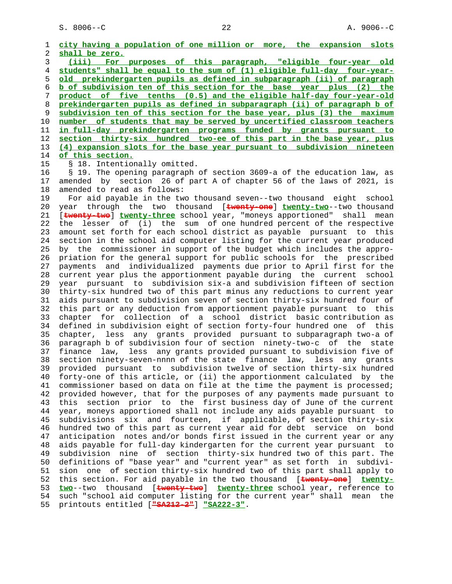1 **city having a population of one million or more, the expansion slots** 2 **shall be zero.** 3 **(iii) For purposes of this paragraph, "eligible four-year old** 4 **students" shall be equal to the sum of (1) eligible full-day four-year-** 5 **old prekindergarten pupils as defined in subparagraph (ii) of paragraph** 6 **b of subdivision ten of this section for the base year plus (2) the** 7 **product of five tenths (0.5) and the eligible half-day four-year-old** 8 **prekindergarten pupils as defined in subparagraph (ii) of paragraph b of** 9 **subdivision ten of this section for the base year, plus (3) the maximum** 10 **number of students that may be served by uncertified classroom teachers** 11 **in full-day prekindergarten programs funded by grants pursuant to** 12 **section thirty-six hundred two-ee of this part in the base year, plus** 13 **(4) expansion slots for the base year pursuant to subdivision nineteen** 14 **of this section.** 15 § 18. Intentionally omitted. 16 § 19. The opening paragraph of section 3609-a of the education law, as 17 amended by section 26 of part A of chapter 56 of the laws of 2021, is 18 amended to read as follows: 19 For aid payable in the two thousand seven--two thousand eight school 20 year through the two thousand [**twenty-one**] **twenty-two**--two thousand 21 [**twenty-two**] **twenty-three** school year, "moneys apportioned" shall mean 22 the lesser of (i) the sum of one hundred percent of the respective 23 amount set forth for each school district as payable pursuant to this 24 section in the school aid computer listing for the current year produced 25 by the commissioner in support of the budget which includes the appro- 26 priation for the general support for public schools for the prescribed 27 payments and individualized payments due prior to April first for the 28 current year plus the apportionment payable during the current school 29 year pursuant to subdivision six-a and subdivision fifteen of section 30 thirty-six hundred two of this part minus any reductions to current year 31 aids pursuant to subdivision seven of section thirty-six hundred four of 32 this part or any deduction from apportionment payable pursuant to this 33 chapter for collection of a school district basic contribution as 34 defined in subdivision eight of section forty-four hundred one of this 35 chapter, less any grants provided pursuant to subparagraph two-a of 36 paragraph b of subdivision four of section ninety-two-c of the state 37 finance law, less any grants provided pursuant to subdivision five of 38 section ninety-seven-nnnn of the state finance law, less any grants 39 provided pursuant to subdivision twelve of section thirty-six hundred 40 forty-one of this article, or (ii) the apportionment calculated by the 41 commissioner based on data on file at the time the payment is processed; 42 provided however, that for the purposes of any payments made pursuant to 43 this section prior to the first business day of June of the current 44 year, moneys apportioned shall not include any aids payable pursuant to 45 subdivisions six and fourteen, if applicable, of section thirty-six 46 hundred two of this part as current year aid for debt service on bond 47 anticipation notes and/or bonds first issued in the current year or any 48 aids payable for full-day kindergarten for the current year pursuant to 49 subdivision nine of section thirty-six hundred two of this part. The 50 definitions of "base year" and "current year" as set forth in subdivi- 51 sion one of section thirty-six hundred two of this part shall apply to 52 this section. For aid payable in the two thousand [**twenty-one**] **twenty-** 53 **two**--two thousand [**twenty-two**] **twenty-three** school year, reference to 54 such "school aid computer listing for the current year" shall mean the 55 printouts entitled [**"SA212-2"**] **"SA222-3"**.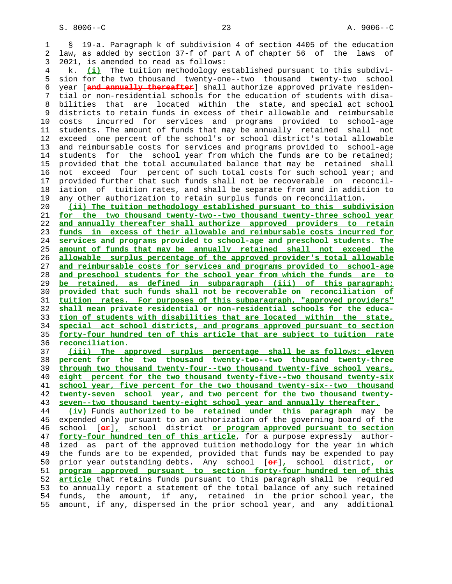1 § 19-a. Paragraph k of subdivision 4 of section 4405 of the education 2 law, as added by section 37-f of part A of chapter 56 of the laws of 3 2021, is amended to read as follows:

 4 k. **(i)** The tuition methodology established pursuant to this subdivi- 5 sion for the two thousand twenty-one--two thousand twenty-two school 6 year [**and annually thereafter**] shall authorize approved private residen- 7 tial or non-residential schools for the education of students with disa- 8 bilities that are located within the state, and special act school 9 districts to retain funds in excess of their allowable and reimbursable 10 costs incurred for services and programs provided to school-age 11 students. The amount of funds that may be annually retained shall not 12 exceed one percent of the school's or school district's total allowable 13 and reimbursable costs for services and programs provided to school-age 14 students for the school year from which the funds are to be retained; 15 provided that the total accumulated balance that may be retained shall 16 not exceed four percent of such total costs for such school year; and 17 provided further that such funds shall not be recoverable on reconcil- 18 iation of tuition rates, and shall be separate from and in addition to 19 any other authorization to retain surplus funds on reconciliation.

**(ii) The tuition methodology established pursuant to this subdivision for the two thousand twenty-two--two thousand twenty-three school year and annually thereafter shall authorize approved providers to retain funds in excess of their allowable and reimbursable costs incurred for services and programs provided to school-age and preschool students. The amount of funds that may be annually retained shall not exceed the allowable surplus percentage of the approved provider's total allowable and reimbursable costs for services and programs provided to school-age and preschool students for the school year from which the funds are to be retained, as defined in subparagraph (iii) of this paragraph; provided that such funds shall not be recoverable on reconciliation of tuition rates. For purposes of this subparagraph, "approved providers" shall mean private residential or non-residential schools for the educa- tion of students with disabilities that are located within the state, special act school districts, and programs approved pursuant to section forty-four hundred ten of this article that are subject to tuition rate reconciliation.**

**(iii) The approved surplus percentage shall be as follows: eleven percent for the two thousand twenty-two--two thousand twenty-three through two thousand twenty-four--two thousand twenty-five school years, eight percent for the two thousand twenty-five--two thousand twenty-six school year, five percent for the two thousand twenty-six--two thousand twenty-seven school year, and two percent for the two thousand twenty- seven--two thousand twenty-eight school year and annually thereafter.**

 44 **(iv)** Funds **authorized to be retained under this paragraph** may be 45 expended only pursuant to an authorization of the governing board of the 46 school [**or**]**,** school district **or program approved pursuant to section** 47 **forty-four hundred ten of this article**, for a purpose expressly author- 48 ized as part of the approved tuition methodology for the year in which 49 the funds are to be expended, provided that funds may be expended to pay 50 prior year outstanding debts. Any school [**or**]**,** school district**, or** 51 **program approved pursuant to section forty-four hundred ten of this** 52 **article** that retains funds pursuant to this paragraph shall be required 53 to annually report a statement of the total balance of any such retained 54 funds, the amount, if any, retained in the prior school year, the 55 amount, if any, dispersed in the prior school year, and any additional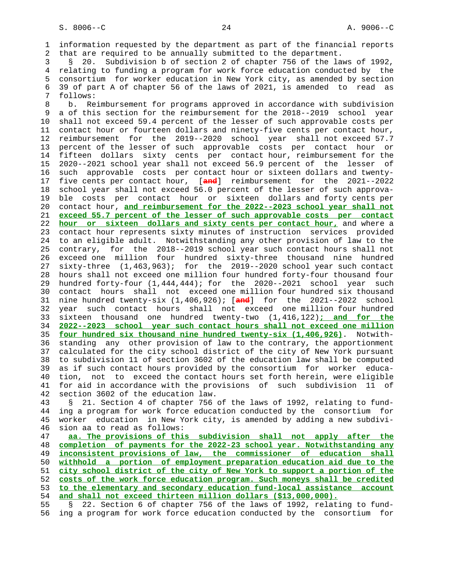1 information requested by the department as part of the financial reports 2 that are required to be annually submitted to the department.

 3 § 20. Subdivision b of section 2 of chapter 756 of the laws of 1992, 4 relating to funding a program for work force education conducted by the 5 consortium for worker education in New York city, as amended by section 6 39 of part A of chapter 56 of the laws of 2021, is amended to read as 7 follows:

 8 b. Reimbursement for programs approved in accordance with subdivision 9 a of this section for the reimbursement for the 2018--2019 school year 10 shall not exceed 59.4 percent of the lesser of such approvable costs per 11 contact hour or fourteen dollars and ninety-five cents per contact hour, 12 reimbursement for the 2019--2020 school year shall not exceed 57.7 13 percent of the lesser of such approvable costs per contact hour or 14 fifteen dollars sixty cents per contact hour, reimbursement for the 15 2020--2021 school year shall not exceed 56.9 percent of the lesser of 16 such approvable costs per contact hour or sixteen dollars and twenty- 17 five cents per contact hour, [**and**] reimbursement for the 2021--2022 18 school year shall not exceed 56.0 percent of the lesser of such approva- 19 ble costs per contact hour or sixteen dollars and forty cents per 20 contact hour, **and reimbursement for the 2022--2023 school year shall not** 21 **exceed 55.7 percent of the lesser of such approvable costs per contact** 22 **hour or sixteen dollars and sixty cents per contact hour,** and where a 23 contact hour represents sixty minutes of instruction services provided 24 to an eligible adult. Notwithstanding any other provision of law to the 25 contrary, for the 2018--2019 school year such contact hours shall not 26 exceed one million four hundred sixty-three thousand nine hundred 27 sixty-three (1,463,963); for the 2019--2020 school year such contact 28 hours shall not exceed one million four hundred forty-four thousand four 29 hundred forty-four (1,444,444); for the 2020--2021 school year such 30 contact hours shall not exceed one million four hundred six thousand 31 nine hundred twenty-six (1,406,926); [**and**] for the 2021--2022 school 32 year such contact hours shall not exceed one million four hundred 33 sixteen thousand one hundred twenty-two (1,416,122)**; and for the** 34 **2022--2023 school year such contact hours shall not exceed one million** 35 **four hundred six thousand nine hundred twenty-six (1,406,926)**. Notwith- 36 standing any other provision of law to the contrary, the apportionment 37 calculated for the city school district of the city of New York pursuant 38 to subdivision 11 of section 3602 of the education law shall be computed 39 as if such contact hours provided by the consortium for worker educa- 40 tion, not to exceed the contact hours set forth herein, were eligible 41 for aid in accordance with the provisions of such subdivision 11 of 42 section 3602 of the education law.

 43 § 21. Section 4 of chapter 756 of the laws of 1992, relating to fund- 44 ing a program for work force education conducted by the consortium for 45 worker education in New York city, is amended by adding a new subdivi- 46 sion aa to read as follows:

**aa. The provisions of this subdivision shall not apply after the completion of payments for the 2022-23 school year. Notwithstanding any inconsistent provisions of law, the commissioner of education shall withhold a portion of employment preparation education aid due to the city school district of the city of New York to support a portion of the costs of the work force education program. Such moneys shall be credited to the elementary and secondary education fund-local assistance account and shall not exceed thirteen million dollars (\$13,000,000).**

 55 § 22. Section 6 of chapter 756 of the laws of 1992, relating to fund- 56 ing a program for work force education conducted by the consortium for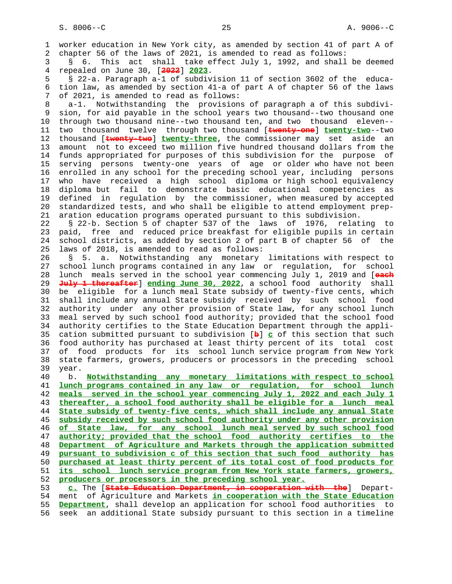1 worker education in New York city, as amended by section 41 of part A of 2 chapter 56 of the laws of 2021, is amended to read as follows:

 3 § 6. This act shall take effect July 1, 1992, and shall be deemed 4 repealed on June 30, [**2022**] **2023**.

 5 § 22-a. Paragraph a-1 of subdivision 11 of section 3602 of the educa- 6 tion law, as amended by section 41-a of part A of chapter 56 of the laws 7 of 2021, is amended to read as follows:

 8 a-1. Notwithstanding the provisions of paragraph a of this subdivi- 9 sion, for aid payable in the school years two thousand--two thousand one 10 through two thousand nine--two thousand ten, and two thousand eleven-- 11 two thousand twelve through two thousand [**twenty-one**] **twenty-two**--two 12 thousand [**twenty-two**] **twenty-three**, the commissioner may set aside an 13 amount not to exceed two million five hundred thousand dollars from the 14 funds appropriated for purposes of this subdivision for the purpose of 15 serving persons twenty-one years of age or older who have not been 16 enrolled in any school for the preceding school year, including persons 17 who have received a high school diploma or high school equivalency 18 diploma but fail to demonstrate basic educational competencies as 19 defined in regulation by the commissioner, when measured by accepted 20 standardized tests, and who shall be eligible to attend employment prep- 21 aration education programs operated pursuant to this subdivision.

 22 § 22-b. Section 5 of chapter 537 of the laws of 1976, relating to 23 paid, free and reduced price breakfast for eligible pupils in certain 24 school districts, as added by section 2 of part B of chapter 56 of the 25 laws of 2018, is amended to read as follows:

 26 § 5. a. Notwithstanding any monetary limitations with respect to 27 school lunch programs contained in any law or regulation, for school 28 lunch meals served in the school year commencing July 1, 2019 and [**each** 29 **July 1 thereafter**] **ending June 30, 2022**, a school food authority shall 30 be eligible for a lunch meal State subsidy of twenty-five cents, which 31 shall include any annual State subsidy received by such school food 32 authority under any other provision of State law, for any school lunch 33 meal served by such school food authority; provided that the school food 34 authority certifies to the State Education Department through the appli- 35 cation submitted pursuant to subdivision [**b**] **c** of this section that such 36 food authority has purchased at least thirty percent of its total cost 37 of food products for its school lunch service program from New York 38 state farmers, growers, producers or processors in the preceding school 39 year.

 40 b. **Notwithstanding any monetary limitations with respect to school lunch programs contained in any law or regulation, for school lunch meals served in the school year commencing July 1, 2022 and each July 1 thereafter, a school food authority shall be eligible for a lunch meal State subsidy of twenty-five cents, which shall include any annual State subsidy received by such school food authority under any other provision of State law, for any school lunch meal served by such school food authority; provided that the school food authority certifies to the Department of Agriculture and Markets through the application submitted pursuant to subdivision c of this section that such food authority has purchased at least thirty percent of its total cost of food products for its school lunch service program from New York state farmers, growers, producers or processors in the preceding school year. c.** The [**State Education Department, in cooperation with the**] Depart-

 54 ment of Agriculture and Markets **in cooperation with the State Education** 55 **Department**, shall develop an application for school food authorities to 56 seek an additional State subsidy pursuant to this section in a timeline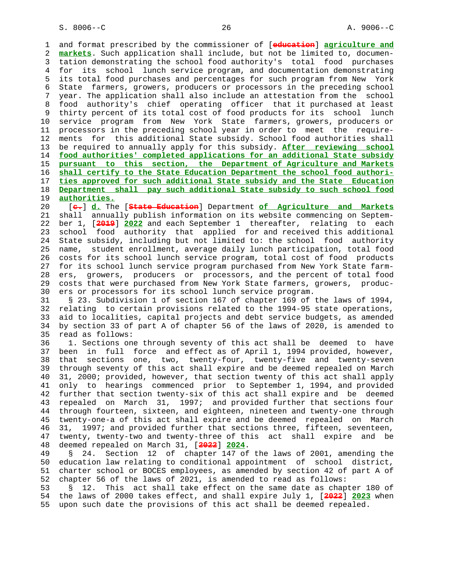1 and format prescribed by the commissioner of [**education**] **agriculture and** 2 **markets**. Such application shall include, but not be limited to, documen- 3 tation demonstrating the school food authority's total food purchases 4 for its school lunch service program, and documentation demonstrating 5 its total food purchases and percentages for such program from New York 6 State farmers, growers, producers or processors in the preceding school 7 year. The application shall also include an attestation from the school 8 food authority's chief operating officer that it purchased at least 9 thirty percent of its total cost of food products for its school lunch<br>10 service program from New York State farmers, growers, producers or service program from New York State farmers, growers, producers or 11 processors in the preceding school year in order to meet the require- 12 ments for this additional State subsidy. School food authorities shall 13 be required to annually apply for this subsidy. **After reviewing school** 14 **food authorities' completed applications for an additional State subsidy** 15 **pursuant to this section, the Department of Agriculture and Markets** 16 **shall certify to the State Education Department the school food authori-** 17 **ties approved for such additional State subsidy and the State Education** 18 **Department shall pay such additional State subsidy to such school food** 19 **authorities.**

 20 [**c.**] **d.** The [**State Education**] Department **of Agriculture and Markets** 21 shall annually publish information on its website commencing on Septem- 22 ber 1, [**2019**] **2022** and each September 1 thereafter, relating to each 23 school food authority that applied for and received this additional 24 State subsidy, including but not limited to: the school food authority 25 name, student enrollment, average daily lunch participation, total food 26 costs for its school lunch service program, total cost of food products 27 for its school lunch service program purchased from New York State farm- 28 ers, growers, producers or processors, and the percent of total food 29 costs that were purchased from New York State farmers, growers, produc- 30 ers or processors for its school lunch service program.

 31 § 23. Subdivision 1 of section 167 of chapter 169 of the laws of 1994, 32 relating to certain provisions related to the 1994-95 state operations, 33 aid to localities, capital projects and debt service budgets, as amended 34 by section 33 of part A of chapter 56 of the laws of 2020, is amended to 35 read as follows:

 36 1. Sections one through seventy of this act shall be deemed to have 37 been in full force and effect as of April 1, 1994 provided, however, 38 that sections one, two, twenty-four, twenty-five and twenty-seven 39 through seventy of this act shall expire and be deemed repealed on March 40 31, 2000; provided, however, that section twenty of this act shall apply 41 only to hearings commenced prior to September 1, 1994, and provided 42 further that section twenty-six of this act shall expire and be deemed 43 repealed on March 31, 1997; and provided further that sections four 44 through fourteen, sixteen, and eighteen, nineteen and twenty-one through 45 twenty-one-a of this act shall expire and be deemed repealed on March 46 31, 1997; and provided further that sections three, fifteen, seventeen, 47 twenty, twenty-two and twenty-three of this act shall expire and be 48 deemed repealed on March 31, [**2022**] **2024**.

 49 § 24. Section 12 of chapter 147 of the laws of 2001, amending the 50 education law relating to conditional appointment of school district, 51 charter school or BOCES employees, as amended by section 42 of part A of 52 chapter 56 of the laws of 2021, is amended to read as follows:

 53 § 12. This act shall take effect on the same date as chapter 180 of 54 the laws of 2000 takes effect, and shall expire July 1, [**2022**] **2023** when 55 upon such date the provisions of this act shall be deemed repealed.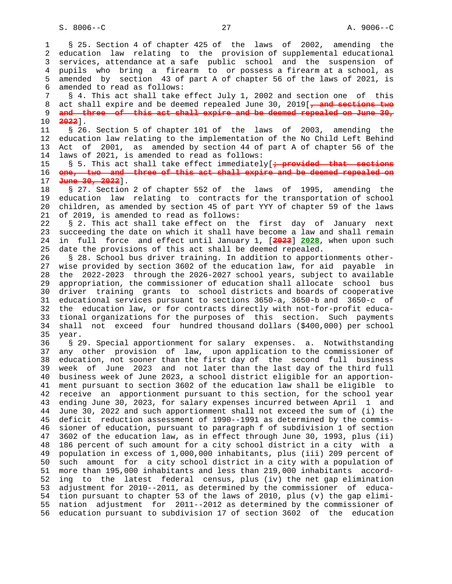1 § 25. Section 4 of chapter 425 of the laws of 2002, amending the 2 education law relating to the provision of supplemental educational 3 services, attendance at a safe public school and the suspension of 4 pupils who bring a firearm to or possess a firearm at a school, as 5 amended by section 43 of part A of chapter 56 of the laws of 2021, is 6 amended to read as follows: 7 § 4. This act shall take effect July 1, 2002 and section one of this 8 act shall expire and be deemed repealed June 30, 2019[**, and sections two** 9 **and three of this act shall expire and be deemed repealed on June 30,** 10 **2022**]. 11 § 26. Section 5 of chapter 101 of the laws of 2003, amending the 12 education law relating to the implementation of the No Child Left Behind 13 Act of 2001, as amended by section 44 of part A of chapter 56 of the 14 laws of 2021, is amended to read as follows: 15 § 5. This act shall take effect immediately[**; provided that sections** 16 **one, two and three of this act shall expire and be deemed repealed on** 17 **June 30, 2022**]. 18 § 27. Section 2 of chapter 552 of the laws of 1995, amending the 19 education law relating to contracts for the transportation of school 20 children, as amended by section 45 of part YYY of chapter 59 of the laws 21 of 2019, is amended to read as follows: 22 § 2. This act shall take effect on the first day of January next 23 succeeding the date on which it shall have become a law and shall remain 24 in full force and effect until January 1, [**2023**] **2028**, when upon such 25 date the provisions of this act shall be deemed repealed. 26 § 28. School bus driver training. In addition to apportionments other- 27 wise provided by section 3602 of the education law, for aid payable in 28 the 2022-2023 through the 2026-2027 school years, subject to available 29 appropriation, the commissioner of education shall allocate school bus 30 driver training grants to school districts and boards of cooperative 31 educational services pursuant to sections 3650-a, 3650-b and 3650-c of 32 the education law, or for contracts directly with not-for-profit educa- 33 tional organizations for the purposes of this section. Such payments 34 shall not exceed four hundred thousand dollars (\$400,000) per school 35 year. 36 § 29. Special apportionment for salary expenses. a. Notwithstanding 37 any other provision of law, upon application to the commissioner of 38 education, not sooner than the first day of the second full business 39 week of June 2023 and not later than the last day of the third full 40 business week of June 2023, a school district eligible for an apportion- 41 ment pursuant to section 3602 of the education law shall be eligible to 42 receive an apportionment pursuant to this section, for the school year 43 ending June 30, 2023, for salary expenses incurred between April 1 and 44 June 30, 2022 and such apportionment shall not exceed the sum of (i) the 45 deficit reduction assessment of 1990--1991 as determined by the commis- 46 sioner of education, pursuant to paragraph f of subdivision 1 of section 47 3602 of the education law, as in effect through June 30, 1993, plus (ii) 48 186 percent of such amount for a city school district in a city with a 49 population in excess of 1,000,000 inhabitants, plus (iii) 209 percent of 50 such amount for a city school district in a city with a population of 51 more than 195,000 inhabitants and less than 219,000 inhabitants accord- 52 ing to the latest federal census, plus (iv) the net gap elimination 53 adjustment for 2010--2011, as determined by the commissioner of educa- 54 tion pursuant to chapter 53 of the laws of 2010, plus (v) the gap elimi- 55 nation adjustment for 2011--2012 as determined by the commissioner of 56 education pursuant to subdivision 17 of section 3602 of the education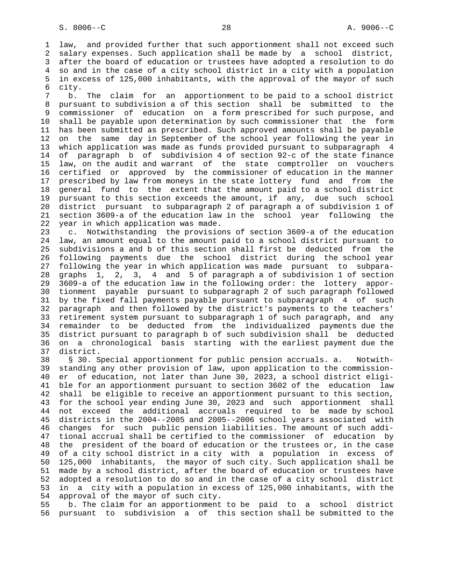1 law, and provided further that such apportionment shall not exceed such 2 salary expenses. Such application shall be made by a school district, 3 after the board of education or trustees have adopted a resolution to do 4 so and in the case of a city school district in a city with a population 5 in excess of 125,000 inhabitants, with the approval of the mayor of such 6 city.

 7 b. The claim for an apportionment to be paid to a school district 8 pursuant to subdivision a of this section shall be submitted to the 9 commissioner of education on a form prescribed for such purpose, and 10 shall be payable upon determination by such commissioner that the form 11 has been submitted as prescribed. Such approved amounts shall be payable 12 on the same day in September of the school year following the year in 13 which application was made as funds provided pursuant to subparagraph 4 14 of paragraph b of subdivision 4 of section 92-c of the state finance 15 law, on the audit and warrant of the state comptroller on vouchers 16 certified or approved by the commissioner of education in the manner 17 prescribed by law from moneys in the state lottery fund and from the 18 general fund to the extent that the amount paid to a school district 19 pursuant to this section exceeds the amount, if any, due such school 20 district pursuant to subparagraph 2 of paragraph a of subdivision 1 of 21 section 3609-a of the education law in the school year following the 22 year in which application was made.

 23 c. Notwithstanding the provisions of section 3609-a of the education 24 law, an amount equal to the amount paid to a school district pursuant to 25 subdivisions a and b of this section shall first be deducted from the 26 following payments due the school district during the school year 27 following the year in which application was made pursuant to subpara- 28 graphs 1, 2, 3, 4 and 5 of paragraph a of subdivision 1 of section 29 3609-a of the education law in the following order: the lottery appor- 30 tionment payable pursuant to subparagraph 2 of such paragraph followed 31 by the fixed fall payments payable pursuant to subparagraph 4 of such 32 paragraph and then followed by the district's payments to the teachers' 33 retirement system pursuant to subparagraph 1 of such paragraph, and any 34 remainder to be deducted from the individualized payments due the 35 district pursuant to paragraph b of such subdivision shall be deducted 36 on a chronological basis starting with the earliest payment due the 37 district.

 38 § 30. Special apportionment for public pension accruals. a. Notwith- 39 standing any other provision of law, upon application to the commission- 40 er of education, not later than June 30, 2023, a school district eligi- 41 ble for an apportionment pursuant to section 3602 of the education law 42 shall be eligible to receive an apportionment pursuant to this section, 43 for the school year ending June 30, 2023 and such apportionment shall 44 not exceed the additional accruals required to be made by school 45 districts in the 2004--2005 and 2005--2006 school years associated with 46 changes for such public pension liabilities. The amount of such addi- 47 tional accrual shall be certified to the commissioner of education by 48 the president of the board of education or the trustees or, in the case 49 of a city school district in a city with a population in excess of 50 125,000 inhabitants, the mayor of such city. Such application shall be 51 made by a school district, after the board of education or trustees have 52 adopted a resolution to do so and in the case of a city school district 53 in a city with a population in excess of 125,000 inhabitants, with the 54 approval of the mayor of such city.

 55 b. The claim for an apportionment to be paid to a school district 56 pursuant to subdivision a of this section shall be submitted to the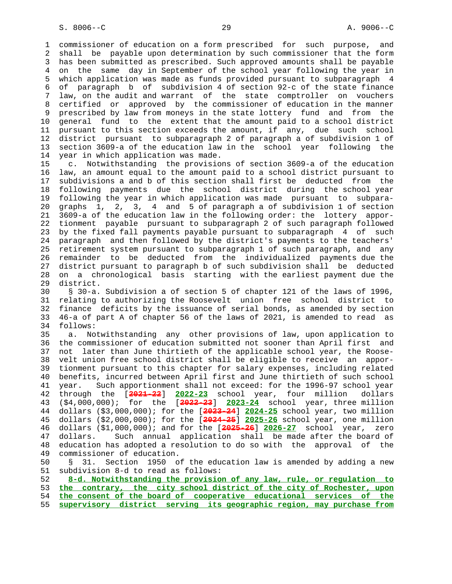1 commissioner of education on a form prescribed for such purpose, and 2 shall be payable upon determination by such commissioner that the form 3 has been submitted as prescribed. Such approved amounts shall be payable 4 on the same day in September of the school year following the year in 5 which application was made as funds provided pursuant to subparagraph 4 6 of paragraph b of subdivision 4 of section 92-c of the state finance 7 law, on the audit and warrant of the state comptroller on vouchers 8 certified or approved by the commissioner of education in the manner 9 prescribed by law from moneys in the state lottery fund and from the 10 general fund to the extent that the amount paid to a school district general fund to the extent that the amount paid to a school district 11 pursuant to this section exceeds the amount, if any, due such school 12 district pursuant to subparagraph 2 of paragraph a of subdivision 1 of 13 section 3609-a of the education law in the school year following the 14 year in which application was made.

 15 c. Notwithstanding the provisions of section 3609-a of the education 16 law, an amount equal to the amount paid to a school district pursuant to 17 subdivisions a and b of this section shall first be deducted from the 18 following payments due the school district during the school year 19 following the year in which application was made pursuant to subpara- 20 graphs 1, 2, 3, 4 and 5 of paragraph a of subdivision 1 of section 21 3609-a of the education law in the following order: the lottery appor- 22 tionment payable pursuant to subparagraph 2 of such paragraph followed 23 by the fixed fall payments payable pursuant to subparagraph 4 of such 24 paragraph and then followed by the district's payments to the teachers' 25 retirement system pursuant to subparagraph 1 of such paragraph, and any 26 remainder to be deducted from the individualized payments due the 27 district pursuant to paragraph b of such subdivision shall be deducted 28 on a chronological basis starting with the earliest payment due the 29 district.

 30 § 30-a. Subdivision a of section 5 of chapter 121 of the laws of 1996, 31 relating to authorizing the Roosevelt union free school district to 32 finance deficits by the issuance of serial bonds, as amended by section 33 46-a of part A of chapter 56 of the laws of 2021, is amended to read as 34 follows:

 35 a. Notwithstanding any other provisions of law, upon application to 36 the commissioner of education submitted not sooner than April first and 37 not later than June thirtieth of the applicable school year, the Roose- 38 velt union free school district shall be eligible to receive an appor- 39 tionment pursuant to this chapter for salary expenses, including related 40 benefits, incurred between April first and June thirtieth of such school 41 year. Such apportionment shall not exceed: for the 1996-97 school year 42 through the [**2021-22**] **2022-23** school year, four million dollars 43 (\$4,000,000); for the [**2022-23**] **2023-24** school year, three million 44 dollars (\$3,000,000); for the [**2023-24**] **2024-25** school year, two million 45 dollars (\$2,000,000); for the [**2024-25**] **2025-26** school year, one million 46 dollars (\$1,000,000); and for the [**2025-26**] **2026-27** school year, zero 47 dollars. Such annual application shall be made after the board of 48 education has adopted a resolution to do so with the approval of the 49 commissioner of education.

 50 § 31. Section 1950 of the education law is amended by adding a new 51 subdivision 8-d to read as follows:

**8-d. Notwithstanding the provision of any law, rule, or regulation to the contrary, the city school district of the city of Rochester, upon the consent of the board of cooperative educational services of the supervisory district serving its geographic region, may purchase from**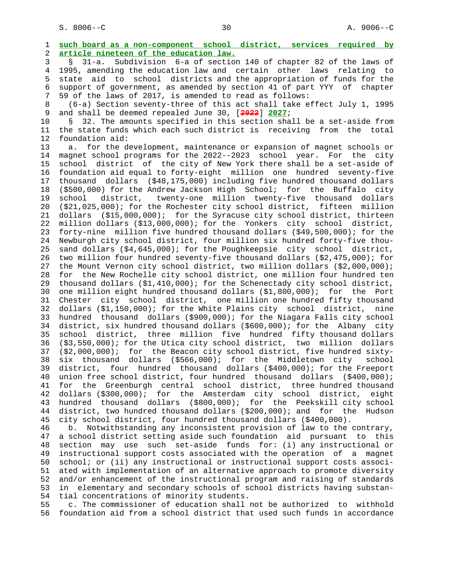1 **such board as a non-component school district, services required by** 2 **article nineteen of the education law.** 3 § 31-a. Subdivision 6-a of section 140 of chapter 82 of the laws of 4 1995, amending the education law and certain other laws relating to 5 state aid to school districts and the appropriation of funds for the 6 support of government, as amended by section 41 of part YYY of chapter 7 59 of the laws of 2017, is amended to read as follows: 8 (6-a) Section seventy-three of this act shall take effect July 1, 1995 9 and shall be deemed repealed June 30, [**2022**] **2027**; § 32. The amounts specified in this section shall be a set-aside from 11 the state funds which each such district is receiving from the total 12 foundation aid: 13 a. for the development, maintenance or expansion of magnet schools or 14 magnet school programs for the 2022--2023 school year. For the city 15 school district of the city of New York there shall be a set-aside of 16 foundation aid equal to forty-eight million one hundred seventy-five 17 thousand dollars (\$48,175,000) including five hundred thousand dollars 18 (\$500,000) for the Andrew Jackson High School; for the Buffalo city 19 school district, twenty-one million twenty-five thousand dollars 20 (\$21,025,000); for the Rochester city school district, fifteen million 21 dollars (\$15,000,000); for the Syracuse city school district, thirteen 22 million dollars (\$13,000,000); for the Yonkers city school district, 23 forty-nine million five hundred thousand dollars (\$49,500,000); for the 24 Newburgh city school district, four million six hundred forty-five thou- 25 sand dollars (\$4,645,000); for the Poughkeepsie city school district, 26 two million four hundred seventy-five thousand dollars (\$2,475,000); for 27 the Mount Vernon city school district, two million dollars (\$2,000,000); 28 for the New Rochelle city school district, one million four hundred ten 29 thousand dollars (\$1,410,000); for the Schenectady city school district, 30 one million eight hundred thousand dollars (\$1,800,000); for the Port 31 Chester city school district, one million one hundred fifty thousand 32 dollars (\$1,150,000); for the White Plains city school district, nine 33 hundred thousand dollars (\$900,000); for the Niagara Falls city school 34 district, six hundred thousand dollars (\$600,000); for the Albany city 35 school district, three million five hundred fifty thousand dollars 36 (\$3,550,000); for the Utica city school district, two million dollars 37 (\$2,000,000); for the Beacon city school district, five hundred sixty- 38 six thousand dollars (\$566,000); for the Middletown city school 39 district, four hundred thousand dollars (\$400,000); for the Freeport 40 union free school district, four hundred thousand dollars (\$400,000); 41 for the Greenburgh central school district, three hundred thousand 42 dollars (\$300,000); for the Amsterdam city school district, eight 43 hundred thousand dollars (\$800,000); for the Peekskill city school 44 district, two hundred thousand dollars (\$200,000); and for the Hudson 45 city school district, four hundred thousand dollars (\$400,000). 46 b. Notwithstanding any inconsistent provision of law to the contrary,

 47 a school district setting aside such foundation aid pursuant to this 48 section may use such set-aside funds for: (i) any instructional or 49 instructional support costs associated with the operation of a magnet 50 school; or (ii) any instructional or instructional support costs associ- 51 ated with implementation of an alternative approach to promote diversity 52 and/or enhancement of the instructional program and raising of standards 53 in elementary and secondary schools of school districts having substan- 54 tial concentrations of minority students.

 55 c. The commissioner of education shall not be authorized to withhold 56 foundation aid from a school district that used such funds in accordance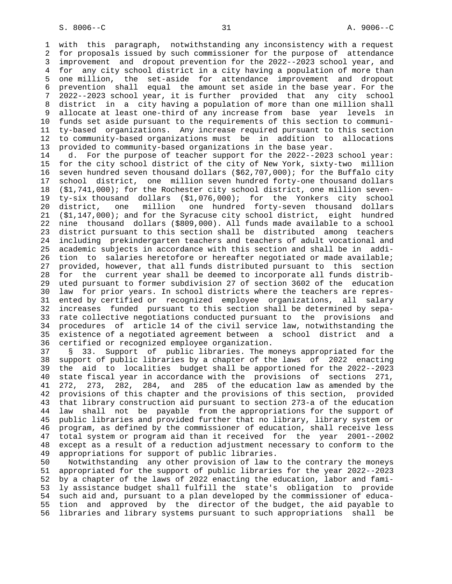1 with this paragraph, notwithstanding any inconsistency with a request 2 for proposals issued by such commissioner for the purpose of attendance 3 improvement and dropout prevention for the 2022--2023 school year, and 4 for any city school district in a city having a population of more than 5 one million, the set-aside for attendance improvement and dropout 6 prevention shall equal the amount set aside in the base year. For the 7 2022--2023 school year, it is further provided that any city school 8 district in a city having a population of more than one million shall 9 allocate at least one-third of any increase from base year levels in 10 funds set aside pursuant to the requirements of this section to communi- 11 ty-based organizations. Any increase required pursuant to this section 12 to community-based organizations must be in addition to allocations 13 provided to community-based organizations in the base year.

 14 d. For the purpose of teacher support for the 2022--2023 school year: 15 for the city school district of the city of New York, sixty-two million 16 seven hundred seven thousand dollars (\$62,707,000); for the Buffalo city 17 school district, one million seven hundred forty-one thousand dollars 18 (\$1,741,000); for the Rochester city school district, one million seven- 19 ty-six thousand dollars (\$1,076,000); for the Yonkers city school 20 district, one million one hundred forty-seven thousand dollars 21 (\$1,147,000); and for the Syracuse city school district, eight hundred 22 nine thousand dollars (\$809,000). All funds made available to a school 23 district pursuant to this section shall be distributed among teachers 24 including prekindergarten teachers and teachers of adult vocational and 25 academic subjects in accordance with this section and shall be in addi- 26 tion to salaries heretofore or hereafter negotiated or made available; 27 provided, however, that all funds distributed pursuant to this section 28 for the current year shall be deemed to incorporate all funds distrib- 29 uted pursuant to former subdivision 27 of section 3602 of the education 30 law for prior years. In school districts where the teachers are repres- 31 ented by certified or recognized employee organizations, all salary 32 increases funded pursuant to this section shall be determined by sepa- 33 rate collective negotiations conducted pursuant to the provisions and 34 procedures of article 14 of the civil service law, notwithstanding the 35 existence of a negotiated agreement between a school district and a 36 certified or recognized employee organization.

 37 § 33. Support of public libraries. The moneys appropriated for the 38 support of public libraries by a chapter of the laws of 2022 enacting 39 the aid to localities budget shall be apportioned for the 2022--2023 40 state fiscal year in accordance with the provisions of sections 271, 41 272, 273, 282, 284, and 285 of the education law as amended by the 42 provisions of this chapter and the provisions of this section, provided 43 that library construction aid pursuant to section 273-a of the education 44 law shall not be payable from the appropriations for the support of 45 public libraries and provided further that no library, library system or 46 program, as defined by the commissioner of education, shall receive less 47 total system or program aid than it received for the year 2001--2002 48 except as a result of a reduction adjustment necessary to conform to the 49 appropriations for support of public libraries.

 50 Notwithstanding any other provision of law to the contrary the moneys 51 appropriated for the support of public libraries for the year 2022--2023 52 by a chapter of the laws of 2022 enacting the education, labor and fami- 53 ly assistance budget shall fulfill the state's obligation to provide 54 such aid and, pursuant to a plan developed by the commissioner of educa- 55 tion and approved by the director of the budget, the aid payable to 56 libraries and library systems pursuant to such appropriations shall be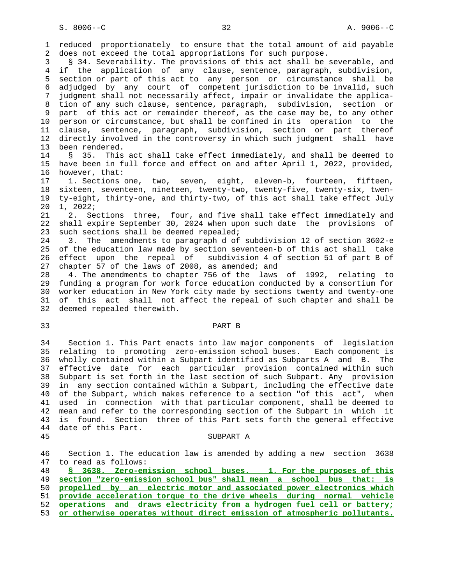1 reduced proportionately to ensure that the total amount of aid payable 2 does not exceed the total appropriations for such purpose.

 3 § 34. Severability. The provisions of this act shall be severable, and 4 if the application of any clause, sentence, paragraph, subdivision, 5 section or part of this act to any person or circumstance shall be 6 adjudged by any court of competent jurisdiction to be invalid, such 7 judgment shall not necessarily affect, impair or invalidate the applica- 8 tion of any such clause, sentence, paragraph, subdivision, section or 9 part of this act or remainder thereof, as the case may be, to any other 10 person or circumstance, but shall be confined in its operation to the 11 clause, sentence, paragraph, subdivision, section or part thereof 12 directly involved in the controversy in which such judgment shall have 13 been rendered.

 14 § 35. This act shall take effect immediately, and shall be deemed to 15 have been in full force and effect on and after April 1, 2022, provided, 16 however, that:

 17 1. Sections one, two, seven, eight, eleven-b, fourteen, fifteen, 18 sixteen, seventeen, nineteen, twenty-two, twenty-five, twenty-six, twen- 19 ty-eight, thirty-one, and thirty-two, of this act shall take effect July 20 1, 2022;

 21 2. Sections three, four, and five shall take effect immediately and 22 shall expire September 30, 2024 when upon such date the provisions of 23 such sections shall be deemed repealed;

 24 3. The amendments to paragraph d of subdivision 12 of section 3602-e 25 of the education law made by section seventeen-b of this act shall take 26 effect upon the repeal of subdivision 4 of section 51 of part B of 27 chapter 57 of the laws of 2008, as amended; and

 28 4. The amendments to chapter 756 of the laws of 1992, relating to 29 funding a program for work force education conducted by a consortium for 30 worker education in New York city made by sections twenty and twenty-one 31 of this act shall not affect the repeal of such chapter and shall be 32 deemed repealed therewith.

## 33 PART B

 34 Section 1. This Part enacts into law major components of legislation 35 relating to promoting zero-emission school buses. Each component is 36 wholly contained within a Subpart identified as Subparts A and B. The 37 effective date for each particular provision contained within such 38 Subpart is set forth in the last section of such Subpart. Any provision 39 in any section contained within a Subpart, including the effective date 40 of the Subpart, which makes reference to a section "of this act", when 41 used in connection with that particular component, shall be deemed to 42 mean and refer to the corresponding section of the Subpart in which it 43 is found. Section three of this Part sets forth the general effective 44 date of this Part.

### 45 SUBPART A

 46 Section 1. The education law is amended by adding a new section 3638 47 to read as follows:

**§ 3638. Zero-emission school buses. 1. For the purposes of this section "zero-emission school bus" shall mean a school bus that: is propelled by an electric motor and associated power electronics which provide acceleration torque to the drive wheels during normal vehicle operations and draws electricity from a hydrogen fuel cell or battery; or otherwise operates without direct emission of atmospheric pollutants.**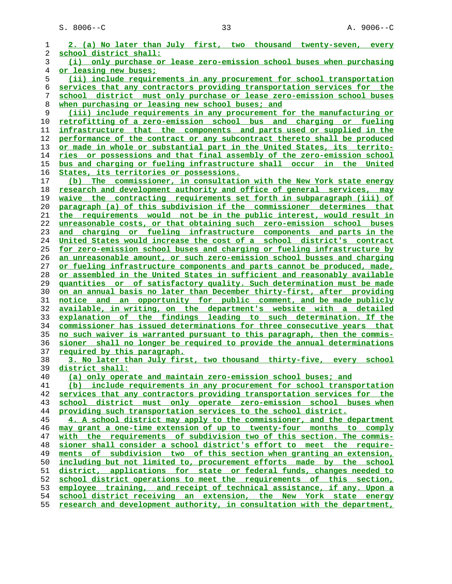| 1        | 2. (a) No later than July first, two thousand twenty-seven,<br>every                                                                             |
|----------|--------------------------------------------------------------------------------------------------------------------------------------------------|
| 2        | school district shall:                                                                                                                           |
| 3        | (i) only purchase or lease zero-emission school buses when purchasing                                                                            |
| 4        | or leasing new buses;                                                                                                                            |
| 5        | (ii) include requirements in any procurement for school transportation                                                                           |
| 6        | services that any contractors providing transportation services for the                                                                          |
| 7        | school district must only purchase or lease zero-emission school buses                                                                           |
| 8        | when purchasing or leasing new school buses; and                                                                                                 |
| 9        | (iii) include requirements in any procurement for the manufacturing or                                                                           |
| 10       | retrofitting of a zero-emission school bus and charging or fueling                                                                               |
|          |                                                                                                                                                  |
| 11<br>12 | infrastructure that the components and parts used or supplied in the<br>performance of the contract or any subcontract thereto shall be produced |
|          |                                                                                                                                                  |
| 13       | or made in whole or substantial part in the United States, its territo-                                                                          |
| 14       | ries or possessions and that final assembly of the zero-emission school                                                                          |
| 15       | bus and charging or fueling infrastructure shall occur in the United                                                                             |
| 16       | States, its territories or possessions.                                                                                                          |
| 17       | (b) The commissioner, in consultation with the New York state energy                                                                             |
| 18       | research and development authority and office of general services, may                                                                           |
| 19       | waive the contracting requirements set forth in subparagraph (iii) of                                                                            |
| 20       | paragraph (a) of this subdivision if the commissioner determines that                                                                            |
| 21       | the requirements would not be in the public interest, would result in                                                                            |
| 22       | unreasonable costs, or that obtaining such zero-emission school buses                                                                            |
| 23       | and charging or fueling infrastructure components and parts in the                                                                               |
| 24       | United States would increase the cost of a school district's contract                                                                            |
| 25       | for zero-emission school buses and charging or fueling infrastructure by                                                                         |
| 26       | an unreasonable amount, or such zero-emission school busses and charging                                                                         |
| 27       | or fueling infrastructure components and parts cannot be produced, made,                                                                         |
| 28       | or assembled in the United States in sufficient and reasonably available                                                                         |
| 29       | quantities or of satisfactory quality. Such determination must be made                                                                           |
| 30       | on an annual basis no later than December thirty-first, after providing                                                                          |
| 31       | notice and an opportunity for public comment, and be made publicly                                                                               |
| 32       | available, in writing, on the department's website with a detailed                                                                               |
| 33       | explanation of the findings leading to such determination. If the                                                                                |
| 34       | commissioner has issued determinations for three consecutive years that                                                                          |
| 35       | no such waiver is warranted pursuant to this paragraph, then the commis-                                                                         |
| 36       | sioner shall no longer be required to provide the annual determinations                                                                          |
| 37       | <u>required by this paragraph.</u>                                                                                                               |
| 38       | 3. No later than July first, two thousand thirty-five, every<br>school                                                                           |
| 39       | district shall:                                                                                                                                  |
| 40       | (a) only operate and maintain zero-emission school buses; and                                                                                    |
| 41       | (b) include requirements in any procurement for school transportation                                                                            |
| 42       | services that any contractors providing transportation services for the                                                                          |
| 43       | school district must only operate zero-emission school buses when                                                                                |
| 44       | providing such transportation services to the school district.                                                                                   |
| 45       | 4. A school district may apply to the commissioner, and the department                                                                           |
| 46       | may grant a one-time extension of up to twenty-four months to comply                                                                             |
| 47       | with the requirements of subdivision two of this section. The commis-                                                                            |
| 48       | sioner shall consider a school district's effort to meet the require-                                                                            |
| 49       | of subdivision two of this section when granting an extension,<br>ments                                                                          |
| 50       | including but not limited to, procurement efforts made by the school                                                                             |
| 51       | district, applications for state or federal funds, changes needed to                                                                             |
| 52       | school district operations to meet the requirements of this section,                                                                             |
| 53       | employee training, and receipt of technical assistance, if any. Upon a                                                                           |
| 54       | school district receiving an extension, the New York state energy                                                                                |
| 55       | research and development authority, in consultation with the department,                                                                         |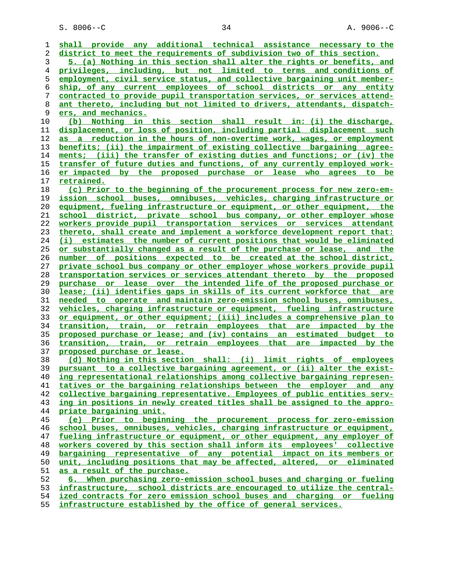S. 8006--C 34 A. 9006--C

| ı              | shall provide any additional technical assistance necessary to the        |
|----------------|---------------------------------------------------------------------------|
| 2              | district to meet the requirements of subdivision two of this section.     |
| 3              | 5. (a) Nothing in this section shall alter the rights or benefits, and    |
| $\overline{4}$ | privileges, including, but not limited to terms and conditions of         |
| 5              | employment, civil service status, and collective bargaining unit member-  |
| 6              | ship, of any current employees of school districts or any entity          |
| 7              | contracted to provide pupil transportation services, or services attend-  |
|                |                                                                           |
| 8              | ant thereto, including but not limited to drivers, attendants, dispatch-  |
| 9              | ers, and mechanics.                                                       |
| 10             | (b) Nothing in this section shall result in: (i) the discharge,           |
| 11             | displacement, or loss of position, including partial displacement such    |
| 12             | as a reduction in the hours of non-overtime work, wages, or employment    |
| 13             | benefits; (ii) the impairment of existing collective bargaining agree-    |
| 14             | ments; (iii) the transfer of existing duties and functions; or (iv) the   |
| 15             | transfer of future duties and functions, of any currently employed work-  |
| 16             | er impacted by the proposed purchase or lease who agrees to be            |
| 17             | <u>retrained.</u>                                                         |
| 18             | (c) Prior to the beginning of the procurement process for new zero-em-    |
| 19             | ission school buses, omnibuses, vehicles, charging infrastructure or      |
| 20             | equipment, fueling infrastructure or equipment, or other equipment, the   |
| 21             | school district, private school bus company, or other employer whose      |
| 22             | workers provide pupil transportation services or services attendant       |
| 23             | thereto, shall create and implement a workforce development report that:  |
| 24             | estimates the number of current positions that would be eliminated<br>(i) |
| 25             | or substantially changed as a result of the purchase or lease, and the    |
| 26             | number of positions expected to be created at the school district,        |
|                |                                                                           |
| 27             | private school bus company or other employer whose workers provide pupil  |
| 28             | transportation services or services attendant thereto by the proposed     |
| 29             | purchase or lease over the intended life of the proposed purchase or      |
| 30             | lease; (ii) identifies gaps in skills of its current workforce that are   |
| 31             | needed to operate and maintain zero-emission school buses, omnibuses,     |
| 32             | vehicles, charging infrastructure or equipment, fueling infrastructure    |
| 33             | or equipment, or other equipment; (iii) includes a comprehensive plan to  |
| 34             | transition, train, or retrain employees that are impacted by the          |
| 35             | proposed purchase or lease; and (iv) contains an estimated budget to      |
| 36             | transition, train, or retrain employees that are impacted by the          |
| 37             | proposed purchase or lease.                                               |
| 38             | (d) Nothing in this section shall: (i) limit rights of employees          |
| 39             | pursuant to a collective bargaining agreement, or (ii) alter the exist-   |
| 40             | ing representational relationships among collective bargaining represen-  |
| 41             | tatives or the bargaining relationships between the employer and any      |
| 42             | collective bargaining representative. Employees of public entities serv-  |
| 43             | ing in positions in newly created titles shall be assigned to the appro-  |
| 44             | priate bargaining unit.                                                   |
| 45             | (e) Prior to beginning the procurement process for zero-emission          |
| 46             | school buses, omnibuses, vehicles, charging infrastructure or equipment,  |
| 47             | fueling infrastructure or equipment, or other equipment, any employer of  |
| 48             | workers covered by this section shall inform its employees' collective    |
| 49             | bargaining representative of any potential impact on its members or       |
|                |                                                                           |
| 50             | unit, including positions that may be affected, altered, or eliminated    |
| 51             | as a result of the purchase.                                              |
| 52             | 6. When purchasing zero-emission school buses and charging or fueling     |
| 53             | infrastructure, school districts are encouraged to utilize the central-   |
| 54             | ized contracts for zero emission school buses and charging or fueling     |
| 55             | infrastructure established by the office of general services.             |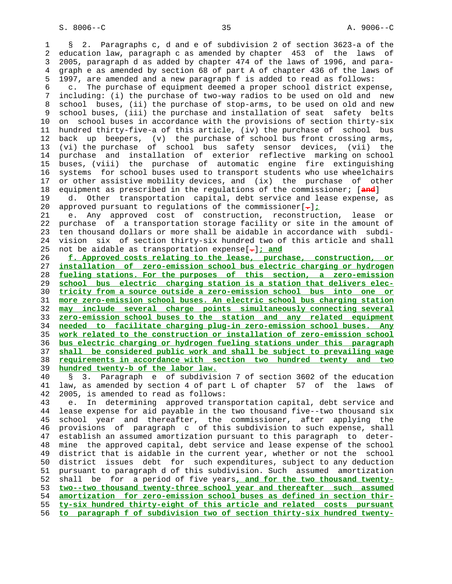1 § 2. Paragraphs c, d and e of subdivision 2 of section 3623-a of the 2 education law, paragraph c as amended by chapter 453 of the laws of 3 2005, paragraph d as added by chapter 474 of the laws of 1996, and para- 4 graph e as amended by section 68 of part A of chapter 436 of the laws of 5 1997, are amended and a new paragraph f is added to read as follows:

 6 c. The purchase of equipment deemed a proper school district expense, 7 including: (i) the purchase of two-way radios to be used on old and new 8 school buses, (ii) the purchase of stop-arms, to be used on old and new 9 school buses, (iii) the purchase and installation of seat safety belts 10 on school buses in accordance with the provisions of section thirty-six 11 hundred thirty-five-a of this article, (iv) the purchase of school bus 12 back up beepers, (v) the purchase of school bus front crossing arms, 13 (vi) the purchase of school bus safety sensor devices, (vii) the 14 purchase and installation of exterior reflective marking on school 15 buses, (viii) the purchase of automatic engine fire extinguishing 16 systems for school buses used to transport students who use wheelchairs 17 or other assistive mobility devices, and (ix) the purchase of other 18 equipment as prescribed in the regulations of the commissioner; [**and**]

 19 d. Other transportation capital, debt service and lease expense, as 20 approved pursuant to regulations of the commissioner[**.**]**;**

 21 e. Any approved cost of construction, reconstruction, lease or 22 purchase of a transportation storage facility or site in the amount of 23 ten thousand dollars or more shall be aidable in accordance with subdi- 24 vision six of section thirty-six hundred two of this article and shall 25 not be aidable as transportation expense[**.**]**; and**

**f. Approved costs relating to the lease, purchase, construction, or installation of zero-emission school bus electric charging or hydrogen fueling stations. For the purposes of this section, a zero-emission school bus electric charging station is a station that delivers elec- tricity from a source outside a zero-emission school bus into one or more zero-emission school buses. An electric school bus charging station may include several charge points simultaneously connecting several zero-emission school buses to the station and any related equipment needed to facilitate charging plug-in zero-emission school buses. Any work related to the construction or installation of zero-emission school bus electric charging or hydrogen fueling stations under this paragraph shall be considered public work and shall be subject to prevailing wage requirements in accordance with section two hundred twenty and two hundred twenty-b of the labor law.**

 40 § 3. Paragraph e of subdivision 7 of section 3602 of the education 41 law, as amended by section 4 of part L of chapter 57 of the laws of 42 2005, is amended to read as follows:

 43 e. In determining approved transportation capital, debt service and 44 lease expense for aid payable in the two thousand five--two thousand six 45 school year and thereafter, the commissioner, after applying the 46 provisions of paragraph c of this subdivision to such expense, shall 47 establish an assumed amortization pursuant to this paragraph to deter- 48 mine the approved capital, debt service and lease expense of the school 49 district that is aidable in the current year, whether or not the school 50 district issues debt for such expenditures, subject to any deduction 51 pursuant to paragraph d of this subdivision. Such assumed amortization 52 shall be for a period of five years**, and for the two thousand twenty-** 53 **two--two thousand twenty-three school year and thereafter such assumed** 54 **amortization for zero-emission school buses as defined in section thir-** 55 **ty-six hundred thirty-eight of this article and related costs pursuant** 56 **to paragraph f of subdivision two of section thirty-six hundred twenty-**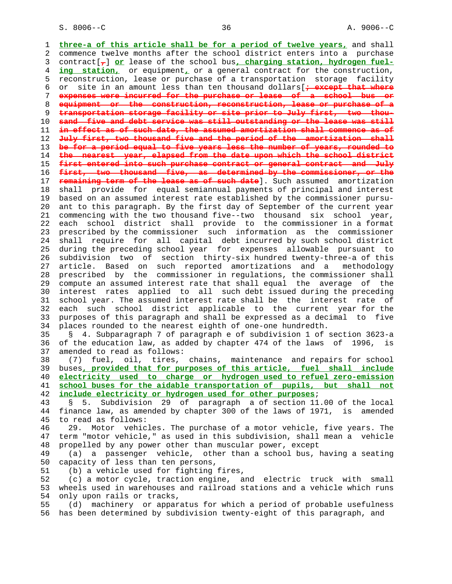S. 8006--C 36 36 A. 9006--C

 1 **three-a of this article shall be for a period of twelve years,** and shall 2 commence twelve months after the school district enters into a purchase 3 contract[**,**] **or** lease of the school bus**, charging station, hydrogen fuel-** 4 **ing station,** or equipment**,** or a general contract for the construction, 5 reconstruction, lease or purchase of a transportation storage facility 6 or site in an amount less than ten thousand dollars[**; except that where** 7 **expenses were incurred for the purchase or lease of a school bus or** 8 **equipment or the construction, reconstruction, lease or purchase of a** 9 **transportation storage facility or site prior to July first, two**  10 **sand five and debt service was still outstanding or the lease was still** 11 **in effect as of such date, the assumed amortization shall commence as of** 12 July first, two thousand five and the period of the amortization 13 **be for a period equal to five years less the number of years, rounded to** 14 **the nearest year, elapsed from the date upon which the school district** 15 **first entered into such purchase contract or general contract and July** 16 **first, two thousand five, as determined by the commissioner, or the** 17 **remaining term of the lease as of such date**]. Such assumed amortization 18 shall provide for equal semiannual payments of principal and interest 19 based on an assumed interest rate established by the commissioner pursu- 20 ant to this paragraph. By the first day of September of the current year 21 commencing with the two thousand five--two thousand six school year, 22 each school district shall provide to the commissioner in a format 23 prescribed by the commissioner such information as the commissioner 24 shall require for all capital debt incurred by such school district 25 during the preceding school year for expenses allowable pursuant to 26 subdivision two of section thirty-six hundred twenty-three-a of this 27 article. Based on such reported amortizations and a methodology 28 prescribed by the commissioner in regulations, the commissioner shall 29 compute an assumed interest rate that shall equal the average of the 30 interest rates applied to all such debt issued during the preceding 31 school year. The assumed interest rate shall be the interest rate of 32 each such school district applicable to the current year for the 33 purposes of this paragraph and shall be expressed as a decimal to five 34 places rounded to the nearest eighth of one-one hundredth. 35 § 4. Subparagraph 7 of paragraph e of subdivision 1 of section 3623-a 36 of the education law, as added by chapter 474 of the laws of 1996, is 37 amended to read as follows: 38 (7) fuel, oil, tires, chains, maintenance and repairs for school 39 buses**, provided that for purposes of this article, fuel shall include** 40 **electricity used to charge or hydrogen used to refuel zero-emission** 41 **school buses for the aidable transportation of pupils, but shall not** 42 **include electricity or hydrogen used for other purposes**; 43 § 5. Subdivision 29 of paragraph a of section 11.00 of the local 44 finance law, as amended by chapter 300 of the laws of 1971, is amended 45 to read as follows: 46 29. Motor vehicles. The purchase of a motor vehicle, five years. The 47 term "motor vehicle," as used in this subdivision, shall mean a vehicle 48 propelled by any power other than muscular power, except 49 (a) a passenger vehicle, other than a school bus, having a seating 50 capacity of less than ten persons, 51 (b) a vehicle used for fighting fires, 52 (c) a motor cycle, traction engine, and electric truck with small 53 wheels used in warehouses and railroad stations and a vehicle which runs 54 only upon rails or tracks, 55 (d) machinery or apparatus for which a period of probable usefulness 56 has been determined by subdivision twenty-eight of this paragraph, and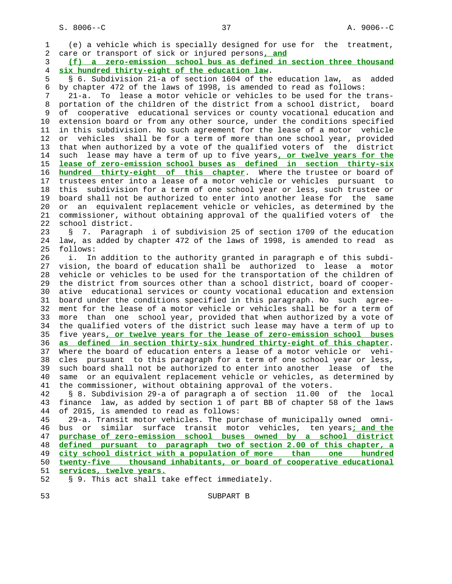1 (e) a vehicle which is specially designed for use for the treatment, 2 care or transport of sick or injured persons**, and** 3 **(f) a zero-emission school bus as defined in section three thousand** 4 **six hundred thirty-eight of the education law**. 5 § 6. Subdivision 21-a of section 1604 of the education law, as added 6 by chapter 472 of the laws of 1998, is amended to read as follows: 7 21-a. To lease a motor vehicle or vehicles to be used for the trans- 8 portation of the children of the district from a school district, board 9 of cooperative educational services or county vocational education and 10 extension board or from any other source, under the conditions specified 11 in this subdivision. No such agreement for the lease of a motor vehicle 12 or vehicles shall be for a term of more than one school year, provided 13 that when authorized by a vote of the qualified voters of the district 14 such lease may have a term of up to five years**, or twelve years for the** 15 **lease of zero-emission school buses as defined in section thirty-six** 16 **hundred thirty-eight of this chapter**. Where the trustee or board of 17 trustees enter into a lease of a motor vehicle or vehicles pursuant to 18 this subdivision for a term of one school year or less, such trustee or 19 board shall not be authorized to enter into another lease for the same 20 or an equivalent replacement vehicle or vehicles, as determined by the 21 commissioner, without obtaining approval of the qualified voters of the 22 school district. 23 § 7. Paragraph i of subdivision 25 of section 1709 of the education 24 law, as added by chapter 472 of the laws of 1998, is amended to read as 25 follows: 26 i. In addition to the authority granted in paragraph e of this subdi- 27 vision, the board of education shall be authorized to lease a motor 28 vehicle or vehicles to be used for the transportation of the children of 29 the district from sources other than a school district, board of cooper- 30 ative educational services or county vocational education and extension 31 board under the conditions specified in this paragraph. No such agree- 32 ment for the lease of a motor vehicle or vehicles shall be for a term of 33 more than one school year, provided that when authorized by a vote of 34 the qualified voters of the district such lease may have a term of up to 35 five years**, or twelve years for the lease of zero-emission school buses** 36 **as defined in section thirty-six hundred thirty-eight of this chapter**. 37 Where the board of education enters a lease of a motor vehicle or vehi- 38 cles pursuant to this paragraph for a term of one school year or less, 39 such board shall not be authorized to enter into another lease of the 40 same or an equivalent replacement vehicle or vehicles, as determined by 41 the commissioner, without obtaining approval of the voters. 42 § 8. Subdivision 29-a of paragraph a of section 11.00 of the local 43 finance law, as added by section 1 of part BB of chapter 58 of the laws 44 of 2015, is amended to read as follows: 45 29-a. Transit motor vehicles. The purchase of municipally owned omni- 46 bus or similar surface transit motor vehicles, ten years**; and the** 47 **purchase of zero-emission school buses owned by a school district** 48 **defined pursuant to paragraph two of section 2.00 of this chapter, a** 49 **city school district with a population of more than one hundred** 50 **twenty-five thousand inhabitants, or board of cooperative educational** 51 **services, twelve years.** 52 § 9. This act shall take effect immediately.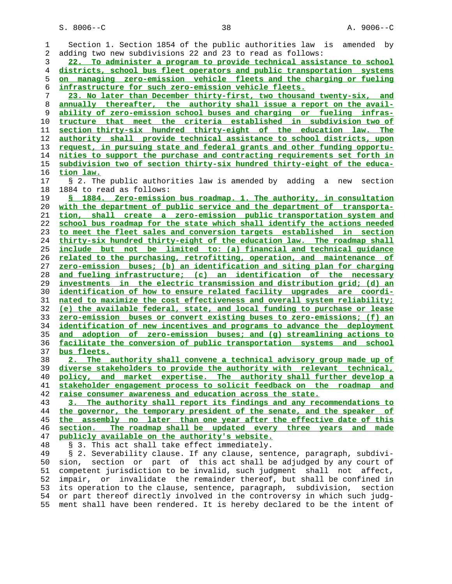S. 8006--C 38 A. 9006--C

 1 Section 1. Section 1854 of the public authorities law is amended by 2 adding two new subdivisions 22 and 23 to read as follows: **22. To administer a program to provide technical assistance to school districts, school bus fleet operators and public transportation systems on managing zero-emission vehicle fleets and the charging or fueling infrastructure for such zero-emission vehicle fleets. 23. No later than December thirty-first, two thousand twenty-six, and annually thereafter, the authority shall issue a report on the avail- ability of zero-emission school buses and charging or fueling infras- tructure that meet the criteria established in subdivision two of section thirty-six hundred thirty-eight of the education law. The authority shall provide technical assistance to school districts, upon request, in pursuing state and federal grants and other funding opportu- nities to support the purchase and contracting requirements set forth in subdivision two of section thirty-six hundred thirty-eight of the educa- tion law.** 17 § 2. The public authorities law is amended by adding a new section 18 1884 to read as follows: **§ 1884. Zero-emission bus roadmap. 1. The authority, in consultation with the department of public service and the department of transporta- tion, shall create a zero-emission public transportation system and school bus roadmap for the state which shall identify the actions needed to meet the fleet sales and conversion targets established in section thirty-six hundred thirty-eight of the education law. The roadmap shall include but not be limited to: (a) financial and technical guidance related to the purchasing, retrofitting, operation, and maintenance of zero-emission buses; (b) an identification and siting plan for charging and fueling infrastructure; (c) an identification of the necessary investments in the electric transmission and distribution grid; (d) an identification of how to ensure related facility upgrades are coordi- nated to maximize the cost effectiveness and overall system reliability; (e) the available federal, state, and local funding to purchase or lease zero-emission buses or convert existing buses to zero-emissions; (f) an identification of new incentives and programs to advance the deployment and adoption of zero-emission buses; and (g) streamlining actions to facilitate the conversion of public transportation systems and school bus fleets. 2. The authority shall convene a technical advisory group made up of diverse stakeholders to provide the authority with relevant technical, policy, and market expertise. The authority shall further develop a stakeholder engagement process to solicit feedback on the roadmap and raise consumer awareness and education across the state. 3. The authority shall report its findings and any recommendations to the governor, the temporary president of the senate, and the speaker of the assembly no later than one year after the effective date of this section. The roadmap shall be updated every three years and made publicly available on the authority's website.** 48 § 3. This act shall take effect immediately. 49 § 2. Severability clause. If any clause, sentence, paragraph, subdivi- 50 sion, section or part of this act shall be adjudged by any court of 51 competent jurisdiction to be invalid, such judgment shall not affect, 52 impair, or invalidate the remainder thereof, but shall be confined in 53 its operation to the clause, sentence, paragraph, subdivision, section 54 or part thereof directly involved in the controversy in which such judg-

55 ment shall have been rendered. It is hereby declared to be the intent of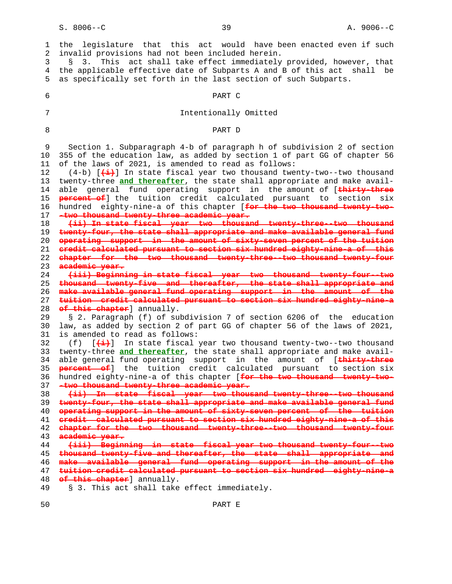1 the legislature that this act would have been enacted even if such 2 invalid provisions had not been included herein. 3 § 3. This act shall take effect immediately provided, however, that 4 the applicable effective date of Subparts A and B of this act shall be 5 as specifically set forth in the last section of such Subparts. 6 PART C 7 Intentionally Omitted 8 PART D 9 Section 1. Subparagraph 4-b of paragraph h of subdivision 2 of section 10 355 of the education law, as added by section 1 of part GG of chapter 56 11 of the laws of 2021, is amended to read as follows: 12 (4-b) [**(i)**] In state fiscal year two thousand twenty-two--two thousand 13 twenty-three **and thereafter**, the state shall appropriate and make avail- 14 able general fund operating support in the amount of [**thirty-three** 15 **percent of**] the tuition credit calculated pursuant to section six 16 hundred eighty-nine-a of this chapter [**for the two thousand twenty-two-** 17 **-two thousand twenty-three academic year.** 18 **(ii) In state fiscal year two thousand twenty-three--two thousand** 19 **twenty-four, the state shall appropriate and make available general fund** 20 **operating support in the amount of sixty-seven percent of the tuition** 21 **credit calculated pursuant to section six hundred eighty-nine-a of this** 22 **chapter for the two thousand twenty-three--two thousand twenty-four** 23 **academic year.** 24 **(iii) Beginning in state fiscal year two thousand twenty-four--two** 25 **thousand twenty-five and thereafter, the state shall appropriate and** 26 **make available general fund operating support in the amount of the** 27 **tuition credit calculated pursuant to section six hundred eighty-nine-a** 28 **of this chapter**] annually. 29 § 2. Paragraph (f) of subdivision 7 of section 6206 of the education 30 law, as added by section 2 of part GG of chapter 56 of the laws of 2021, 31 is amended to read as follows: 32 (f) [**(i)**] In state fiscal year two thousand twenty-two--two thousand 33 twenty-three **and thereafter**, the state shall appropriate and make avail- 34 able general fund operating support in the amount of [**thirty-three** 35 **percent of**] the tuition credit calculated pursuant to section six 36 hundred eighty-nine-a of this chapter [**for the two thousand twenty-two-** 37 **-two thousand twenty-three academic year.** 38 **(ii) In state fiscal year two thousand twenty-three--two thousand** 39 **twenty-four, the state shall appropriate and make available general fund** 40 **operating support in the amount of sixty-seven percent of the tuition** 41 **credit calculated pursuant to section six hundred eighty-nine-a of this** 42 **chapter for the two thousand twenty-three--two thousand twenty-four** 43 **academic year.** 44 **(iii) Beginning in state fiscal year two thousand twenty-four--two** 45 **thousand twenty-five and thereafter, the state shall appropriate and** 46 **make available general fund operating support in the amount of the** 47 **tuition credit calculated pursuant to section six hundred eighty-nine-a** 48 **of this chapter**] annually. 49 § 3. This act shall take effect immediately.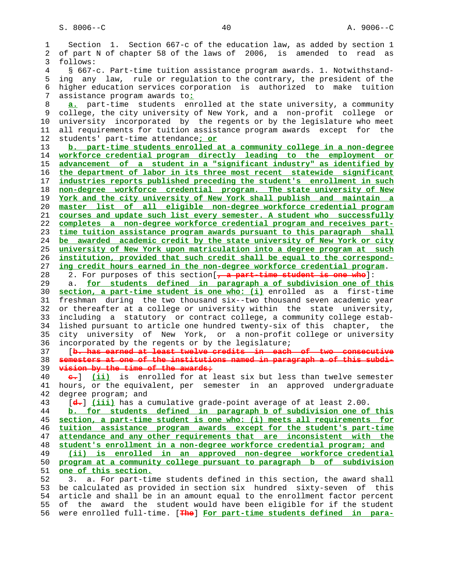S. 8006--C 40 A. 9006--C

 1 Section 1. Section 667-c of the education law, as added by section 1 2 of part N of chapter 58 of the laws of 2006, is amended to read as 3 follows: 4 § 667-c. Part-time tuition assistance program awards. 1. Notwithstand- 5 ing any law, rule or regulation to the contrary, the president of the 6 higher education services corporation is authorized to make tuition 7 assistance program awards to**:** 8 **a.** part-time students enrolled at the state university, a community 9 college, the city university of New York, and a non-profit college or 10 university incorporated by the regents or by the legislature who meet 11 all requirements for tuition assistance program awards except for the 12 students' part-time attendance**; or** 13 **b. part-time students enrolled at a community college in a non-degree** 14 **workforce credential program directly leading to the employment or** 15 **advancement of a student in a "significant industry" as identified by** 16 **the department of labor in its three most recent statewide significant** 17 **industries reports published preceding the student's enrollment in such** 18 **non-degree workforce credential program. The state university of New** 19 **York and the city university of New York shall publish and maintain a** 20 **master list of all eligible non-degree workforce credential program** 21 **courses and update such list every semester. A student who successfully** 22 **completes a non-degree workforce credential program and receives part-** 23 **time tuition assistance program awards pursuant to this paragraph shall** 24 **be awarded academic credit by the state university of New York or city** 25 **university of New York upon matriculation into a degree program at such** 26 **institution, provided that such credit shall be equal to the correspond-** 27 **ing credit hours earned in the non-degree workforce credential program**. 28 2. For purposes of this section[**, a part-time student is one who**]: 29 a. **for students defined in paragraph a of subdivision one of this** 30 **section, a part-time student is one who: (i)** enrolled as a first-time 31 freshman during the two thousand six--two thousand seven academic year 32 or thereafter at a college or university within the state university, 33 including a statutory or contract college, a community college estab- 34 lished pursuant to article one hundred twenty-six of this chapter, the 35 city university of New York, or a non-profit college or university 36 incorporated by the regents or by the legislature; 37 [**b. has earned at least twelve credits in each of two consecutive** 38 **semesters at one of the institutions named in paragraph a of this subdi-** 39 **vision by the time of the awards;** 40 **c.**] **(ii)** is enrolled for at least six but less than twelve semester 41 hours, or the equivalent, per semester in an approved undergraduate 42 degree program; and 43 [**d.**] **(iii)** has a cumulative grade-point average of at least 2.00. 44 **b. for students defined in paragraph b of subdivision one of this** 45 **section, a part-time student is one who: (i) meets all requirements for** 46 **tuition assistance program awards except for the student's part-time** 47 **attendance and any other requirements that are inconsistent with the** 48 **student's enrollment in a non-degree workforce credential program; and** 49 **(ii) is enrolled in an approved non-degree workforce credential** 50 **program at a community college pursuant to paragraph b of subdivision** 51 **one of this section.** 52 3. a. For part-time students defined in this section, the award shall 53 be calculated as provided in section six hundred sixty-seven of this 54 article and shall be in an amount equal to the enrollment factor percent 55 of the award the student would have been eligible for if the student 56 were enrolled full-time. [**The**] **For part-time students defined in para-**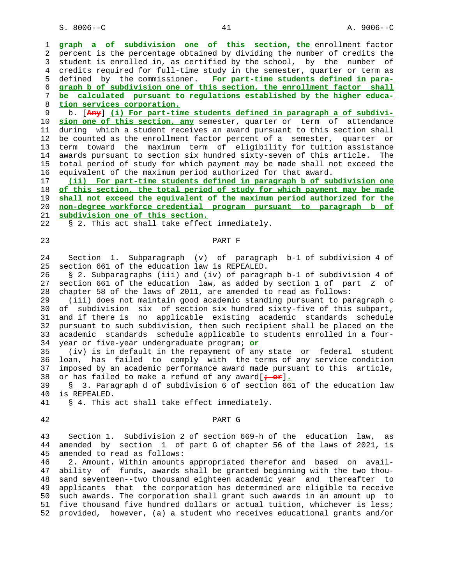1 **graph a of subdivision one of this section, the** enrollment factor 2 percent is the percentage obtained by dividing the number of credits the 3 student is enrolled in, as certified by the school, by the number of 4 credits required for full-time study in the semester, quarter or term as 5 defined by the commissioner. **For part-time students defined in para-** 6 **graph b of subdivision one of this section, the enrollment factor shall** 7 **be calculated pursuant to regulations established by the higher educa-** 8 **tion services corporation.**

 9 b. [**Any**] **(i) For part-time students defined in paragraph a of subdivi-** 10 **sion one of this section, any** semester, quarter or term of attendance 11 during which a student receives an award pursuant to this section shall 12 be counted as the enrollment factor percent of a semester, quarter or 13 term toward the maximum term of eligibility for tuition assistance 14 awards pursuant to section six hundred sixty-seven of this article. The 15 total period of study for which payment may be made shall not exceed the 16 equivalent of the maximum period authorized for that award.

**(ii) For part-time students defined in paragraph b of subdivision one of this section, the total period of study for which payment may be made shall not exceed the equivalent of the maximum period authorized for the non-degree workforce credential program pursuant to paragraph b of subdivision one of this section.**

22 § 2. This act shall take effect immediately.

# 23 PART F

 24 Section 1. Subparagraph (v) of paragraph b-1 of subdivision 4 of 25 section 661 of the education law is REPEALED.

 26 § 2. Subparagraphs (iii) and (iv) of paragraph b-1 of subdivision 4 of 27 section 661 of the education law, as added by section 1 of part Z of 28 chapter 58 of the laws of 2011, are amended to read as follows:

 29 (iii) does not maintain good academic standing pursuant to paragraph c 30 of subdivision six of section six hundred sixty-five of this subpart, 31 and if there is no applicable existing academic standards schedule 32 pursuant to such subdivision, then such recipient shall be placed on the 33 academic standards schedule applicable to students enrolled in a four- 34 year or five-year undergraduate program; **or**

 35 (iv) is in default in the repayment of any state or federal student 36 loan, has failed to comply with the terms of any service condition 37 imposed by an academic performance award made pursuant to this article, 38 or has failed to make a refund of any award[**; or**]**.**

 39 § 3. Paragraph d of subdivision 6 of section 661 of the education law 40 is REPEALED.

41 § 4. This act shall take effect immediately.

# 42 PART G

 43 Section 1. Subdivision 2 of section 669-h of the education law, as 44 amended by section 1 of part G of chapter 56 of the laws of 2021, is 45 amended to read as follows:

 46 2. Amount. Within amounts appropriated therefor and based on avail- 47 ability of funds, awards shall be granted beginning with the two thou- 48 sand seventeen--two thousand eighteen academic year and thereafter to 49 applicants that the corporation has determined are eligible to receive 50 such awards. The corporation shall grant such awards in an amount up to 51 five thousand five hundred dollars or actual tuition, whichever is less; 52 provided, however, (a) a student who receives educational grants and/or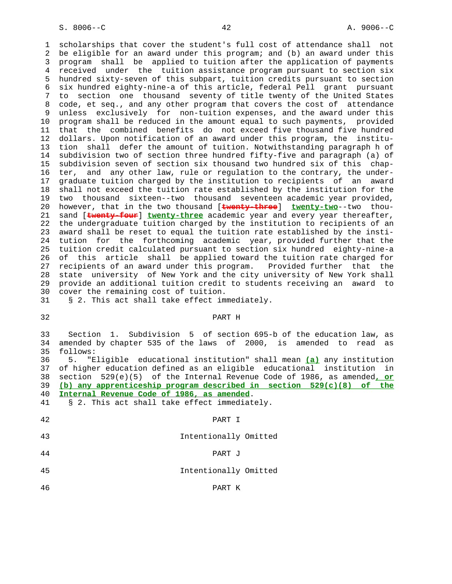1 scholarships that cover the student's full cost of attendance shall not 2 be eligible for an award under this program; and (b) an award under this 3 program shall be applied to tuition after the application of payments 4 received under the tuition assistance program pursuant to section six 5 hundred sixty-seven of this subpart, tuition credits pursuant to section 6 six hundred eighty-nine-a of this article, federal Pell grant pursuant 7 to section one thousand seventy of title twenty of the United States 8 code, et seq., and any other program that covers the cost of attendance 9 unless exclusively for non-tuition expenses, and the award under this 10 program shall be reduced in the amount equal to such payments, provided 11 that the combined benefits do not exceed five thousand five hundred 12 dollars. Upon notification of an award under this program, the institu- 13 tion shall defer the amount of tuition. Notwithstanding paragraph h of 14 subdivision two of section three hundred fifty-five and paragraph (a) of 15 subdivision seven of section six thousand two hundred six of this chap- 16 ter, and any other law, rule or regulation to the contrary, the under- 17 graduate tuition charged by the institution to recipients of an award 18 shall not exceed the tuition rate established by the institution for the 19 two thousand sixteen--two thousand seventeen academic year provided, 20 however, that in the two thousand [**twenty-three**] **twenty-two**--two thou- 21 sand [**twenty-four**] **twenty-three** academic year and every year thereafter, 22 the undergraduate tuition charged by the institution to recipients of an 23 award shall be reset to equal the tuition rate established by the insti- 24 tution for the forthcoming academic year, provided further that the 25 tuition credit calculated pursuant to section six hundred eighty-nine-a 26 of this article shall be applied toward the tuition rate charged for 27 recipients of an award under this program. Provided further that the 28 state university of New York and the city university of New York shall 29 provide an additional tuition credit to students receiving an award to 30 cover the remaining cost of tuition.

31 § 2. This act shall take effect immediately.

41 § 2. This act shall take effect immediately.

# 32 PART H

 33 Section 1. Subdivision 5 of section 695-b of the education law, as 34 amended by chapter 535 of the laws of 2000, is amended to read as 35 follows: 36 5. "Eligible educational institution" shall mean **(a)** any institution

 37 of higher education defined as an eligible educational institution in 38 section 529(e)(5) of the Internal Revenue Code of 1986, as amended**, or** 39 **(b) any apprenticeship program described in section 529(c)(8) of the** 40 **Internal Revenue Code of 1986, as amended**.

 42 PART I 43 Intentionally Omitted 44 PART J 45 Intentionally Omitted 46 PART K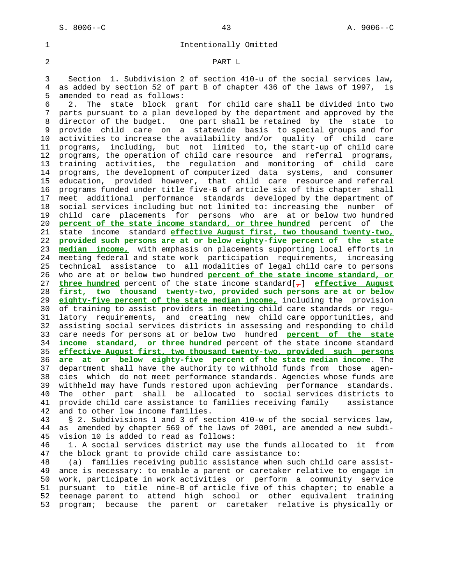1 Intentionally Omitted

# 2 PART L

 3 Section 1. Subdivision 2 of section 410-u of the social services law, 4 as added by section 52 of part B of chapter 436 of the laws of 1997, is 5 amended to read as follows:

 6 2. The state block grant for child care shall be divided into two 7 parts pursuant to a plan developed by the department and approved by the 8 director of the budget. One part shall be retained by the state to 9 provide child care on a statewide basis to special groups and for 10 activities to increase the availability and/or quality of child care 11 programs, including, but not limited to, the start-up of child care 12 programs, the operation of child care resource and referral programs, 13 training activities, the regulation and monitoring of child care 14 programs, the development of computerized data systems, and consumer 15 education, provided however, that child care resource and referral 16 programs funded under title five-B of article six of this chapter shall 17 meet additional performance standards developed by the department of 18 social services including but not limited to: increasing the number of 19 child care placements for persons who are at or below two hundred 20 **percent of the state income standard, or three hundred** percent of the 21 state income standard **effective August first, two thousand twenty-two,** 22 **provided such persons are at or below eighty-five percent of the state** 23 **median income,** with emphasis on placements supporting local efforts in 24 meeting federal and state work participation requirements, increasing 25 technical assistance to all modalities of legal child care to persons 26 who are at or below two hundred **percent of the state income standard, or** 27 **three hundred** percent of the state income standard[**,**] **effective August** 28 **first, two thousand twenty-two, provided such persons are at or below** 29 **eighty-five percent of the state median income,** including the provision 30 of training to assist providers in meeting child care standards or regu- 31 latory requirements, and creating new child care opportunities, and 32 assisting social services districts in assessing and responding to child 33 care needs for persons at or below two hundred **percent of the state** 34 **income standard, or three hundred** percent of the state income standard 35 **effective August first, two thousand twenty-two, provided such persons** 36 **are at or below eighty-five percent of the state median income**. The 37 department shall have the authority to withhold funds from those agen- 38 cies which do not meet performance standards. Agencies whose funds are 39 withheld may have funds restored upon achieving performance standards. 40 The other part shall be allocated to social services districts to 41 provide child care assistance to families receiving family assistance 42 and to other low income families.

 43 § 2. Subdivisions 1 and 3 of section 410-w of the social services law, 44 as amended by chapter 569 of the laws of 2001, are amended a new subdi- 45 vision 10 is added to read as follows:

 46 1. A social services district may use the funds allocated to it from 47 the block grant to provide child care assistance to:

 48 (a) families receiving public assistance when such child care assist- 49 ance is necessary: to enable a parent or caretaker relative to engage in 50 work, participate in work activities or perform a community service 51 pursuant to title nine-B of article five of this chapter; to enable a 52 teenage parent to attend high school or other equivalent training 53 program; because the parent or caretaker relative is physically or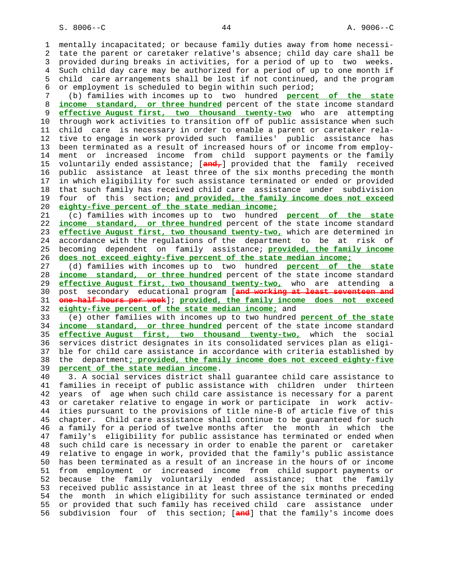1 mentally incapacitated; or because family duties away from home necessi- 2 tate the parent or caretaker relative's absence; child day care shall be 3 provided during breaks in activities, for a period of up to two weeks. 4 Such child day care may be authorized for a period of up to one month if 5 child care arrangements shall be lost if not continued, and the program 6 or employment is scheduled to begin within such period;

 7 (b) families with incomes up to two hundred **percent of the state** 8 **income standard, or three hundred** percent of the state income standard 9 **effective August first, two thousand twenty-two** who are attempting 10 through work activities to transition off of public assistance when such 11 child care is necessary in order to enable a parent or caretaker rela- 12 tive to engage in work provided such families' public assistance has 13 been terminated as a result of increased hours of or income from employ- 14 ment or increased income from child support payments or the family 15 voluntarily ended assistance; [**and,**] provided that the family received 16 public assistance at least three of the six months preceding the month 17 in which eligibility for such assistance terminated or ended or provided 18 that such family has received child care assistance under subdivision 19 four of this section; **and provided, the family income does not exceed** 20 **eighty-five percent of the state median income;**

 21 (c) families with incomes up to two hundred **percent of the state** 22 **income standard, or three hundred** percent of the state income standard 23 **effective August first, two thousand twenty-two,** which are determined in 24 accordance with the regulations of the department to be at risk of 25 becoming dependent on family assistance; **provided, the family income** 26 **does not exceed eighty-five percent of the state median income;**

 27 (d) families with incomes up to two hundred **percent of the state income standard, or three hundred** percent of the state income standard **effective August first, two thousand twenty-two,** who are attending a 30 post secondary educational program [**and working at least seventeen and one-half hours per week**]; **provided, the family income does not exceed eighty-five percent of the state median income;** and

 33 (e) other families with incomes up to two hundred **percent of the state** 34 **income standard, or three hundred** percent of the state income standard 35 **effective August first, two thousand twenty-two,** which the social 36 services district designates in its consolidated services plan as eligi- 37 ble for child care assistance in accordance with criteria established by 38 the department**; provided, the family income does not exceed eighty-five** 39 **percent of the state median income**.

 40 3. A social services district shall guarantee child care assistance to 41 families in receipt of public assistance with children under thirteen 42 years of age when such child care assistance is necessary for a parent 43 or caretaker relative to engage in work or participate in work activ- 44 ities pursuant to the provisions of title nine-B of article five of this 45 chapter. Child care assistance shall continue to be guaranteed for such 46 a family for a period of twelve months after the month in which the 47 family's eligibility for public assistance has terminated or ended when 48 such child care is necessary in order to enable the parent or caretaker 49 relative to engage in work, provided that the family's public assistance 50 has been terminated as a result of an increase in the hours of or income 51 from employment or increased income from child support payments or 52 because the family voluntarily ended assistance; that the family 53 received public assistance in at least three of the six months preceding 54 the month in which eligibility for such assistance terminated or ended 55 or provided that such family has received child care assistance under 56 subdivision four of this section; [**and**] that the family's income does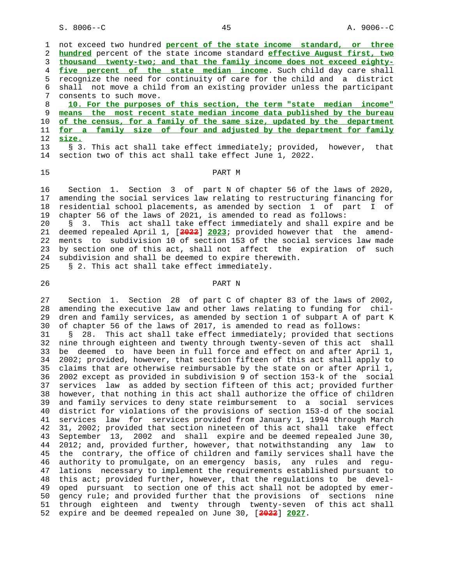S. 8006--C 45 A. 9006--C

|                 | 1 not exceed two hundred percent of the state income standard, or three    |
|-----------------|----------------------------------------------------------------------------|
|                 | 2 hundred percent of the state income standard effective August first, two |
|                 | thousand twenty-two; and that the family income does not exceed eighty-    |
| 4               | five percent of the state median income. Such child day care shall         |
| 5.              | recognize the need for continuity of care for the child and a district     |
| 6               | shall not move a child from an existing provider unless the participant    |
| 7               | consents to such move.                                                     |
|                 |                                                                            |
| 8               | 10. For the purposes of this section, the term "state median income"       |
| 9               | means the most recent state median income data published by the bureau     |
| 10              | of the census, for a family of the same size, updated by the department    |
| 11              | for a family size of four and adjusted by the department for family        |
| 12 <sup>°</sup> | size.                                                                      |
| 13              | § 3. This act shall take effect immediately; provided, however, that       |

### 15 PART M

 16 Section 1. Section 3 of part N of chapter 56 of the laws of 2020, 17 amending the social services law relating to restructuring financing for 18 residential school placements, as amended by section 1 of part I of 19 chapter 56 of the laws of 2021, is amended to read as follows:

 20 § 3. This act shall take effect immediately and shall expire and be 21 deemed repealed April 1, [**2022**] **2023**; provided however that the amend- 22 ments to subdivision 10 of section 153 of the social services law made 23 by section one of this act, shall not affect the expiration of such 24 subdivision and shall be deemed to expire therewith.

25 § 2. This act shall take effect immediately.

### 26 PART N

 27 Section 1. Section 28 of part C of chapter 83 of the laws of 2002, 28 amending the executive law and other laws relating to funding for chil- 29 dren and family services, as amended by section 1 of subpart A of part K 30 of chapter 56 of the laws of 2017, is amended to read as follows:

 31 § 28. This act shall take effect immediately; provided that sections 32 nine through eighteen and twenty through twenty-seven of this act shall 33 be deemed to have been in full force and effect on and after April 1, 34 2002; provided, however, that section fifteen of this act shall apply to 35 claims that are otherwise reimbursable by the state on or after April 1, 36 2002 except as provided in subdivision 9 of section 153-k of the social 37 services law as added by section fifteen of this act; provided further 38 however, that nothing in this act shall authorize the office of children 39 and family services to deny state reimbursement to a social services 40 district for violations of the provisions of section 153-d of the social 41 services law for services provided from January 1, 1994 through March 42 31, 2002; provided that section nineteen of this act shall take effect 43 September 13, 2002 and shall expire and be deemed repealed June 30, 44 2012; and, provided further, however, that notwithstanding any law to 45 the contrary, the office of children and family services shall have the 46 authority to promulgate, on an emergency basis, any rules and regu- 47 lations necessary to implement the requirements established pursuant to 48 this act; provided further, however, that the regulations to be devel- 49 oped pursuant to section one of this act shall not be adopted by emer- 50 gency rule; and provided further that the provisions of sections nine 51 through eighteen and twenty through twenty-seven of this act shall 52 expire and be deemed repealed on June 30, [**2022**] **2027**.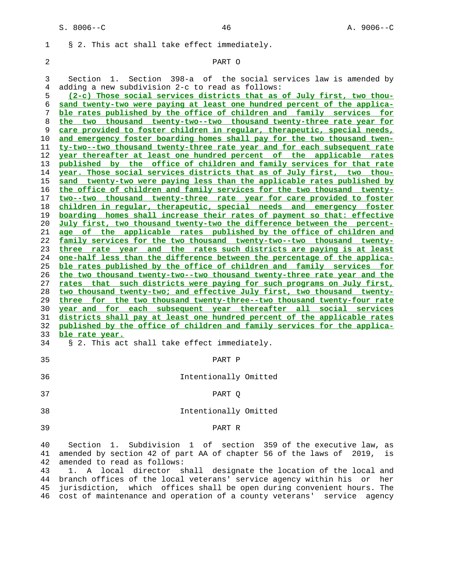# 1 § 2. This act shall take effect immediately.

### 2 PART O

 3 Section 1. Section 398-a of the social services law is amended by 4 adding a new subdivision 2-c to read as follows:

**(2-c) Those social services districts that as of July first, two thou- sand twenty-two were paying at least one hundred percent of the applica- ble rates published by the office of children and family services for the two thousand twenty-two--two thousand twenty-three rate year for care provided to foster children in regular, therapeutic, special needs, and emergency foster boarding homes shall pay for the two thousand twen- ty-two--two thousand twenty-three rate year and for each subsequent rate year thereafter at least one hundred percent of the applicable rates published by the office of children and family services for that rate year. Those social services districts that as of July first, two thou- sand twenty-two were paying less than the applicable rates published by the office of children and family services for the two thousand twenty- two--two thousand twenty-three rate year for care provided to foster children in regular, therapeutic, special needs and emergency foster boarding homes shall increase their rates of payment so that: effective July first, two thousand twenty-two the difference between the percent- age of the applicable rates published by the office of children and family services for the two thousand twenty-two--two thousand twenty- three rate year and the rates such districts are paying is at least one-half less than the difference between the percentage of the applica- ble rates published by the office of children and family services for the two thousand twenty-two--two thousand twenty-three rate year and the rates that such districts were paying for such programs on July first, two thousand twenty-two; and effective July first, two thousand twenty- three for the two thousand twenty-three--two thousand twenty-four rate year and for each subsequent year thereafter all social services districts shall pay at least one hundred percent of the applicable rates published by the office of children and family services for the applica- ble rate year.**

- 34 § 2. This act shall take effect immediately.
- 35 PART P
- 36 Intentionally Omitted
- 37 PART Q
- 38 Intentionally Omitted
- 
- 39 PART R

 40 Section 1. Subdivision 1 of section 359 of the executive law, as 41 amended by section 42 of part AA of chapter 56 of the laws of 2019, is 42 amended to read as follows:

 43 1. A local director shall designate the location of the local and 44 branch offices of the local veterans' service agency within his or her 45 jurisdiction, which offices shall be open during convenient hours. The 46 cost of maintenance and operation of a county veterans' service agency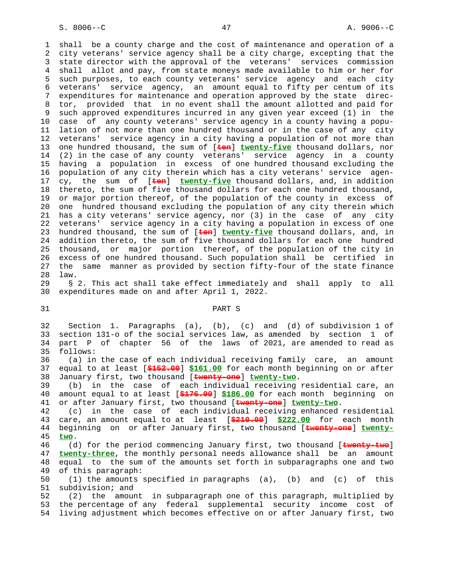1 shall be a county charge and the cost of maintenance and operation of a 2 city veterans' service agency shall be a city charge, excepting that the 3 state director with the approval of the veterans' services commission 4 shall allot and pay, from state moneys made available to him or her for 5 such purposes, to each county veterans' service agency and each city 6 veterans' service agency, an amount equal to fifty per centum of its 7 expenditures for maintenance and operation approved by the state direc- 8 tor, provided that in no event shall the amount allotted and paid for 9 such approved expenditures incurred in any given year exceed (1) in the<br>10 case of any county veterans' service agency in a county having a popucase of any county veterans' service agency in a county having a popu- 11 lation of not more than one hundred thousand or in the case of any city 12 veterans' service agency in a city having a population of not more than 13 one hundred thousand, the sum of [**ten**] **twenty-five** thousand dollars, nor 14 (2) in the case of any county veterans' service agency in a county 15 having a population in excess of one hundred thousand excluding the 16 population of any city therein which has a city veterans' service agen- 17 cy, the sum of [**ten**] **twenty-five** thousand dollars, and, in addition 18 thereto, the sum of five thousand dollars for each one hundred thousand, 19 or major portion thereof, of the population of the county in excess of 20 one hundred thousand excluding the population of any city therein which 21 has a city veterans' service agency, nor (3) in the case of any city 22 veterans' service agency in a city having a population in excess of one 23 hundred thousand, the sum of [**ten**] **twenty-five** thousand dollars, and, in 24 addition thereto, the sum of five thousand dollars for each one hundred 25 thousand, or major portion thereof, of the population of the city in 26 excess of one hundred thousand. Such population shall be certified in 27 the same manner as provided by section fifty-four of the state finance 28 law.

 29 § 2. This act shall take effect immediately and shall apply to all 30 expenditures made on and after April 1, 2022.

# 31 PART S

 32 Section 1. Paragraphs (a), (b), (c) and (d) of subdivision 1 of 33 section 131-o of the social services law, as amended by section 1 of 34 part P of chapter 56 of the laws of 2021, are amended to read as 35 follows:

 36 (a) in the case of each individual receiving family care, an amount 37 equal to at least [**\$152.00**] **\$161.00** for each month beginning on or after 38 January first, two thousand [**twenty-one**] **twenty-two**.

 39 (b) in the case of each individual receiving residential care, an 40 amount equal to at least [**\$176.00**] **\$186.00** for each month beginning on 41 or after January first, two thousand [**twenty-one**] **twenty-two**.

 42 (c) in the case of each individual receiving enhanced residential 43 care, an amount equal to at least [**\$210.00**] **\$222.00** for each month 44 beginning on or after January first, two thousand [**twenty-one**] **twenty-** 45 **two**.

 46 (d) for the period commencing January first, two thousand [**twenty-two**] 47 **twenty-three**, the monthly personal needs allowance shall be an amount 48 equal to the sum of the amounts set forth in subparagraphs one and two 49 of this paragraph:

 50 (1) the amounts specified in paragraphs (a), (b) and (c) of this 51 subdivision; and

 52 (2) the amount in subparagraph one of this paragraph, multiplied by 53 the percentage of any federal supplemental security income cost of 54 living adjustment which becomes effective on or after January first, two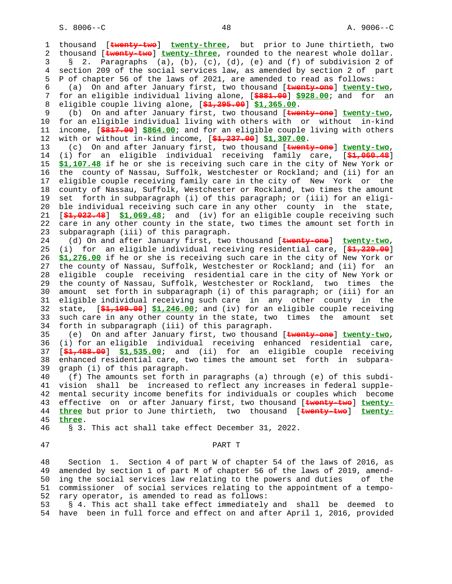1 thousand [**twenty-two**] **twenty-three**, but prior to June thirtieth, two 2 thousand [**twenty-two**] **twenty-three**, rounded to the nearest whole dollar. 3 § 2. Paragraphs (a), (b), (c), (d), (e) and (f) of subdivision 2 of 4 section 209 of the social services law, as amended by section 2 of part 5 P of chapter 56 of the laws of 2021, are amended to read as follows:

 6 (a) On and after January first, two thousand [**twenty-one**] **twenty-two**, 7 for an eligible individual living alone, [**\$881.00**] **\$928.00**; and for an 8 eligible couple living alone, [**\$1,295.00**] **\$1,365.00**.

 9 (b) On and after January first, two thousand [**twenty-one**] **twenty-two**, 10 for an eligible individual living with others with or without in-kind 11 income, [**\$817.00**] **\$864.00**; and for an eligible couple living with others 12 with or without in-kind income, [**\$1,237.00**] **\$1,307.00**.

 13 (c) On and after January first, two thousand [**twenty-one**] **twenty-two**, 14 (i) for an eligible individual receiving family care, [**\$1,060.48**] 15 **\$1,107.48** if he or she is receiving such care in the city of New York or 16 the county of Nassau, Suffolk, Westchester or Rockland; and (ii) for an 17 eligible couple receiving family care in the city of New York or the 18 county of Nassau, Suffolk, Westchester or Rockland, two times the amount 19 set forth in subparagraph (i) of this paragraph; or (iii) for an eligi- 20 ble individual receiving such care in any other county in the state, 21 [**\$1,022.48**] **\$1,069.48**; and (iv) for an eligible couple receiving such 22 care in any other county in the state, two times the amount set forth in 23 subparagraph (iii) of this paragraph.

 24 (d) On and after January first, two thousand [**twenty-one**] **twenty-two**, 25 (i) for an eligible individual receiving residential care, [**\$1,229.00**] 26 **\$1,276.00** if he or she is receiving such care in the city of New York or 27 the county of Nassau, Suffolk, Westchester or Rockland; and (ii) for an 28 eligible couple receiving residential care in the city of New York or 29 the county of Nassau, Suffolk, Westchester or Rockland, two times the 30 amount set forth in subparagraph (i) of this paragraph; or (iii) for an 31 eligible individual receiving such care in any other county in the 32 state, [**\$1,199.00**] **\$1,246.00**; and (iv) for an eligible couple receiving 33 such care in any other county in the state, two times the amount set 34 forth in subparagraph (iii) of this paragraph.

 35 (e) On and after January first, two thousand [**twenty-one**] **twenty-two**, 36 (i) for an eligible individual receiving enhanced residential care, 37 [**\$1,488.00**] **\$1,535.00**; and (ii) for an eligible couple receiving 38 enhanced residential care, two times the amount set forth in subpara- 39 graph (i) of this paragraph.

 40 (f) The amounts set forth in paragraphs (a) through (e) of this subdi- 41 vision shall be increased to reflect any increases in federal supple- 42 mental security income benefits for individuals or couples which become 43 effective on or after January first, two thousand [**twenty-two**] **twenty-** 44 **three** but prior to June thirtieth, two thousand [**twenty-two**] **twenty-** 45 **three**.

46 § 3. This act shall take effect December 31, 2022.

### 47 PART T

 48 Section 1. Section 4 of part W of chapter 54 of the laws of 2016, as 49 amended by section 1 of part M of chapter 56 of the laws of 2019, amend- 50 ing the social services law relating to the powers and duties of the 51 commissioner of social services relating to the appointment of a tempo- 52 rary operator, is amended to read as follows:

 53 § 4. This act shall take effect immediately and shall be deemed to 54 have been in full force and effect on and after April 1, 2016, provided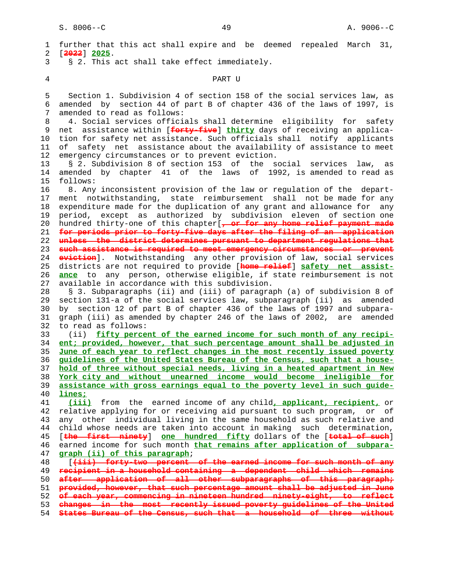1 further that this act shall expire and be deemed repealed March 31, 2 [**2022**] **2025**. 3 § 2. This act shall take effect immediately. 4 **PART** U 5 Section 1. Subdivision 4 of section 158 of the social services law, as 6 amended by section 44 of part B of chapter 436 of the laws of 1997, is 7 amended to read as follows: 8 4. Social services officials shall determine eligibility for safety 9 net assistance within [**forty-five**] **thirty** days of receiving an applica- 10 tion for safety net assistance. Such officials shall notify applicants 11 of safety net assistance about the availability of assistance to meet 12 emergency circumstances or to prevent eviction. 13 § 2. Subdivision 8 of section 153 of the social services law, as 14 amended by chapter 41 of the laws of 1992, is amended to read as 15 follows: 16 8. Any inconsistent provision of the law or regulation of the depart- 17 ment notwithstanding, state reimbursement shall not be made for any 18 expenditure made for the duplication of any grant and allowance for any 19 period, except as authorized by subdivision eleven of section one 20 hundred thirty-one of this chapter[**, or for any home relief payment made** 21 **for periods prior to forty-five days after the filing of an application** 22 **unless the district determines pursuant to department regulations that** 23 **such assistance is required to meet emergency circumstances or prevent** 24 **eviction**]. Notwithstanding any other provision of law, social services 25 districts are not required to provide [**home relief**] **safety net assist-** 26 **ance** to any person, otherwise eligible, if state reimbursement is not 27 available in accordance with this subdivision. 28 § 3. Subparagraphs (ii) and (iii) of paragraph (a) of subdivision 8 of 29 section 131-a of the social services law, subparagraph (ii) as amended 30 by section 12 of part B of chapter 436 of the laws of 1997 and subpara- 31 graph (iii) as amended by chapter 246 of the laws of 2002, are amended 32 to read as follows: 33 (ii) **fifty percent of the earned income for such month of any recipi-** 34 **ent; provided, however, that such percentage amount shall be adjusted in** 35 **June of each year to reflect changes in the most recently issued poverty** 36 **guidelines of the United States Bureau of the Census, such that a house-** 37 **hold of three without special needs, living in a heated apartment in New** 38 **York city and without unearned income would become ineligible for** 39 **assistance with gross earnings equal to the poverty level in such guide-** 40 **lines;** 41 **(iii)** from the earned income of any child**, applicant, recipient,** or 42 relative applying for or receiving aid pursuant to such program, or of 43 any other individual living in the same household as such relative and 44 child whose needs are taken into account in making such determination, 45 [**the first ninety**] **one hundred fifty** dollars of the [**total of such**] 46 earned income for such month **that remains after application of subpara-** 47 **graph (ii) of this paragraph**; 48 [**(iii) forty-two percent of the earned income for such month of any** 49 **recipient in a household containing a dependent child which remains** 50 **after application of all other subparagraphs of this paragraph;** 51 **provided, however, that such percentage amount shall be adjusted in June** 52 **of each year, commencing in nineteen hundred ninety-eight, to reflect** 53 **changes in the most recently issued poverty guidelines of the United** 54 **States Bureau of the Census, such that a household of three without**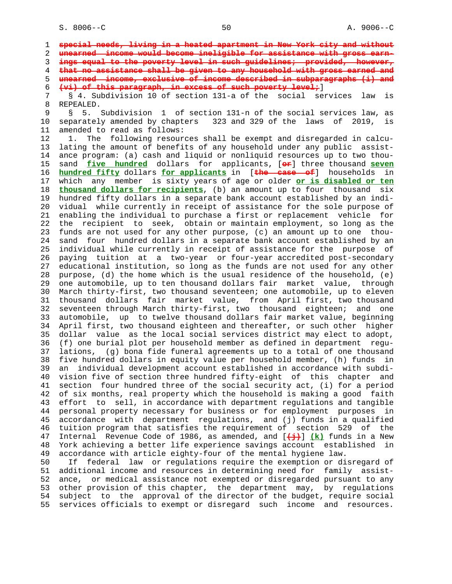$S. 8006 - C$  50 A. 9006--C

 1 **special needs, living in a heated apartment in New York city and without** 2 **unearned income would become ineligible for assistance with gross earn-** 3 **ings equal to the poverty level in such guidelines; provided, however,** 4 **that no assistance shall be given to any household with gross earned and** 5 **unearned income, exclusive of income described in subparagraphs (i) and** 6 **(vi) of this paragraph, in excess of such poverty level;**] 7 § 4. Subdivision 10 of section 131-a of the social services law is 8 REPEALED. 9 § 5. Subdivision 1 of section 131-n of the social services law, as 10 separately amended by chapters 323 and 329 of the laws of 2019, is 11 amended to read as follows: 12 1. The following resources shall be exempt and disregarded in calcu- 13 lating the amount of benefits of any household under any public assist- 14 ance program: (a) cash and liquid or nonliquid resources up to two thou- 15 sand **five hundred** dollars for applicants, [**or**] three thousand **seven** 16 **hundred fifty** dollars **for applicants** in [**the case of**] households in 17 which any member is sixty years of age or older **or is disabled or ten** 18 **thousand dollars for recipients**, (b) an amount up to four thousand six 19 hundred fifty dollars in a separate bank account established by an indi- 20 vidual while currently in receipt of assistance for the sole purpose of 21 enabling the individual to purchase a first or replacement vehicle for 22 the recipient to seek, obtain or maintain employment, so long as the 23 funds are not used for any other purpose, (c) an amount up to one thou- 24 sand four hundred dollars in a separate bank account established by an 25 individual while currently in receipt of assistance for the purpose of 26 paying tuition at a two-year or four-year accredited post-secondary 27 educational institution, so long as the funds are not used for any other 28 purpose, (d) the home which is the usual residence of the household, (e) 29 one automobile, up to ten thousand dollars fair market value, through 30 March thirty-first, two thousand seventeen; one automobile, up to eleven 31 thousand dollars fair market value, from April first, two thousand 32 seventeen through March thirty-first, two thousand eighteen; and one 33 automobile, up to twelve thousand dollars fair market value, beginning 34 April first, two thousand eighteen and thereafter, or such other higher 35 dollar value as the local social services district may elect to adopt, 36 (f) one burial plot per household member as defined in department regu- 37 lations, (g) bona fide funeral agreements up to a total of one thousand 38 five hundred dollars in equity value per household member, (h) funds in 39 an individual development account established in accordance with subdi- 40 vision five of section three hundred fifty-eight of this chapter and 41 section four hundred three of the social security act, (i) for a period 42 of six months, real property which the household is making a good faith 43 effort to sell, in accordance with department regulations and tangible 44 personal property necessary for business or for employment purposes in 45 accordance with department regulations, and (j) funds in a qualified 46 tuition program that satisfies the requirement of section 529 of the 47 Internal Revenue Code of 1986, as amended, and [**(j)**] **(k)** funds in a New 48 York achieving a better life experience savings account established in 49 accordance with article eighty-four of the mental hygiene law. 50 If federal law or regulations require the exemption or disregard of 51 additional income and resources in determining need for family assist- 52 ance, or medical assistance not exempted or disregarded pursuant to any

 53 other provision of this chapter, the department may, by regulations 54 subject to the approval of the director of the budget, require social 55 services officials to exempt or disregard such income and resources.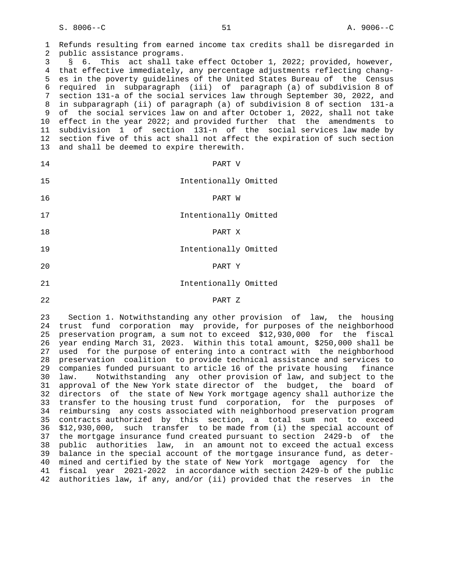1 Refunds resulting from earned income tax credits shall be disregarded in 2 public assistance programs. 3 § 6. This act shall take effect October 1, 2022; provided, however, 4 that effective immediately, any percentage adjustments reflecting chang- 5 es in the poverty guidelines of the United States Bureau of the Census 6 required in subparagraph (iii) of paragraph (a) of subdivision 8 of 7 section 131-a of the social services law through September 30, 2022, and 8 in subparagraph (ii) of paragraph (a) of subdivision 8 of section 131-a 9 of the social services law on and after October 1, 2022, shall not take 10 effect in the year 2022; and provided further that the amendments to 11 subdivision 1 of section 131-n of the social services law made by 12 section five of this act shall not affect the expiration of such section 13 and shall be deemed to expire therewith. 14 PART V 15 Intentionally Omitted 16 PART W 17 Intentionally Omitted 18 PART X 19 Intentionally Omitted

- 20 PART Y
- 21 Intentionally Omitted
- 

### 22 PART Z

 23 Section 1. Notwithstanding any other provision of law, the housing 24 trust fund corporation may provide, for purposes of the neighborhood 25 preservation program, a sum not to exceed \$12,930,000 for the fiscal 26 year ending March 31, 2023. Within this total amount, \$250,000 shall be 27 used for the purpose of entering into a contract with the neighborhood 28 preservation coalition to provide technical assistance and services to 29 companies funded pursuant to article 16 of the private housing finance 30 law. Notwithstanding any other provision of law, and subject to the 31 approval of the New York state director of the budget, the board of 32 directors of the state of New York mortgage agency shall authorize the 33 transfer to the housing trust fund corporation, for the purposes of 34 reimbursing any costs associated with neighborhood preservation program 35 contracts authorized by this section, a total sum not to exceed 36 \$12,930,000, such transfer to be made from (i) the special account of 37 the mortgage insurance fund created pursuant to section 2429-b of the 38 public authorities law, in an amount not to exceed the actual excess 39 balance in the special account of the mortgage insurance fund, as deter- 40 mined and certified by the state of New York mortgage agency for the 41 fiscal year 2021-2022 in accordance with section 2429-b of the public 42 authorities law, if any, and/or (ii) provided that the reserves in the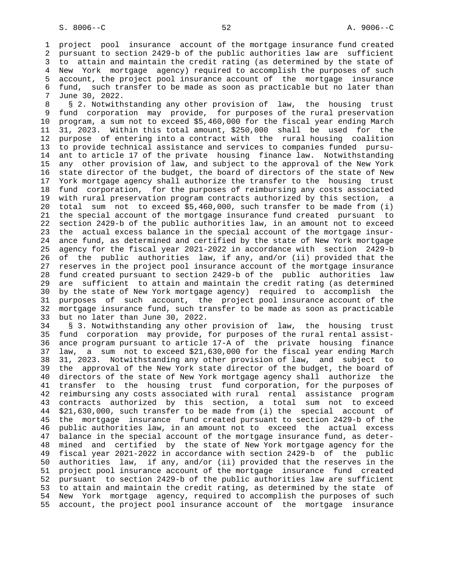1 project pool insurance account of the mortgage insurance fund created 2 pursuant to section 2429-b of the public authorities law are sufficient 3 to attain and maintain the credit rating (as determined by the state of 4 New York mortgage agency) required to accomplish the purposes of such 5 account, the project pool insurance account of the mortgage insurance 6 fund, such transfer to be made as soon as practicable but no later than 7 June 30, 2022.

 8 § 2. Notwithstanding any other provision of law, the housing trust 9 fund corporation may provide, for purposes of the rural preservation 10 program, a sum not to exceed \$5,460,000 for the fiscal year ending March 11 31, 2023. Within this total amount, \$250,000 shall be used for the 12 purpose of entering into a contract with the rural housing coalition 13 to provide technical assistance and services to companies funded pursu- 14 ant to article 17 of the private housing finance law. Notwithstanding 15 any other provision of law, and subject to the approval of the New York 16 state director of the budget, the board of directors of the state of New 17 York mortgage agency shall authorize the transfer to the housing trust 18 fund corporation, for the purposes of reimbursing any costs associated 19 with rural preservation program contracts authorized by this section, a 20 total sum not to exceed \$5,460,000, such transfer to be made from (i) 21 the special account of the mortgage insurance fund created pursuant to 22 section 2429-b of the public authorities law, in an amount not to exceed 23 the actual excess balance in the special account of the mortgage insur- 24 ance fund, as determined and certified by the state of New York mortgage 25 agency for the fiscal year 2021-2022 in accordance with section 2429-b 26 of the public authorities law, if any, and/or (ii) provided that the 27 reserves in the project pool insurance account of the mortgage insurance 28 fund created pursuant to section 2429-b of the public authorities law 29 are sufficient to attain and maintain the credit rating (as determined 30 by the state of New York mortgage agency) required to accomplish the 31 purposes of such account, the project pool insurance account of the 32 mortgage insurance fund, such transfer to be made as soon as practicable 33 but no later than June 30, 2022.

 34 § 3. Notwithstanding any other provision of law, the housing trust 35 fund corporation may provide, for purposes of the rural rental assist- 36 ance program pursuant to article 17-A of the private housing finance 37 law, a sum not to exceed \$21,630,000 for the fiscal year ending March 38 31, 2023. Notwithstanding any other provision of law, and subject to 39 the approval of the New York state director of the budget, the board of 40 directors of the state of New York mortgage agency shall authorize the 41 transfer to the housing trust fund corporation, for the purposes of 42 reimbursing any costs associated with rural rental assistance program 43 contracts authorized by this section, a total sum not to exceed 44 \$21,630,000, such transfer to be made from (i) the special account of 45 the mortgage insurance fund created pursuant to section 2429-b of the 46 public authorities law, in an amount not to exceed the actual excess 47 balance in the special account of the mortgage insurance fund, as deter- 48 mined and certified by the state of New York mortgage agency for the 49 fiscal year 2021-2022 in accordance with section 2429-b of the public 50 authorities law, if any, and/or (ii) provided that the reserves in the 51 project pool insurance account of the mortgage insurance fund created 52 pursuant to section 2429-b of the public authorities law are sufficient 53 to attain and maintain the credit rating, as determined by the state of 54 New York mortgage agency, required to accomplish the purposes of such 55 account, the project pool insurance account of the mortgage insurance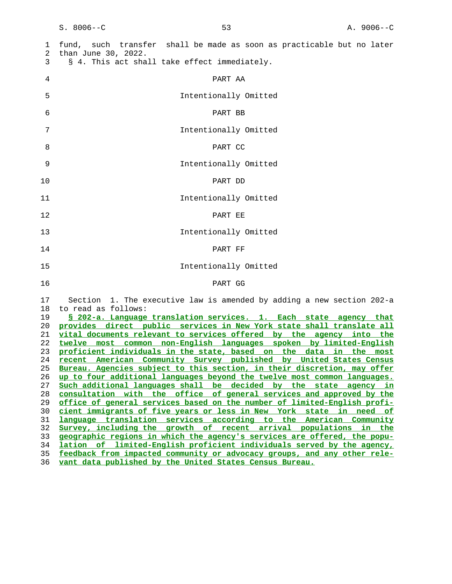| ı<br>2<br>3 | fund, such transfer shall be made as soon as practicable but no later<br>than June 30, 2022.<br>§ 4. This act shall take effect immediately.    |
|-------------|-------------------------------------------------------------------------------------------------------------------------------------------------|
| 4           | PART AA                                                                                                                                         |
| 5           | Intentionally Omitted                                                                                                                           |
| 6           | PART BB                                                                                                                                         |
| 7           | Intentionally Omitted                                                                                                                           |
| 8           | PART CC                                                                                                                                         |
| 9           | Intentionally Omitted                                                                                                                           |
| 10          | PART DD                                                                                                                                         |
| 11          | Intentionally Omitted                                                                                                                           |
| 12          | PART EE                                                                                                                                         |
| 13          | Intentionally Omitted                                                                                                                           |
| 14          | PART FF                                                                                                                                         |
| 15          | Intentionally Omitted                                                                                                                           |
| 16          | PART GG                                                                                                                                         |
| 17<br>18    | Section 1. The executive law is amended by adding a new section 202-a<br>to read as follows:                                                    |
| 19          | § 202-a. Language translation services. 1. Each state agency that                                                                               |
| 20          | provides direct public services in New York state shall translate all                                                                           |
| 21          | vital documents relevant to services offered by the agency into the                                                                             |
| 22          | twelve most common non-English languages spoken by limited-English                                                                              |
| 23          | proficient individuals in the state, based on the data in the most                                                                              |
| 24          | recent American Community Survey published by United States Census                                                                              |
| 25          | Bureau. Agencies subject to this section, in their discretion, may offer                                                                        |
| 26          | up to four additional languages beyond the twelve most common languages.                                                                        |
| 27          | Such additional languages shall be decided by the state agency in                                                                               |
| 28          | consultation with the office of general services and approved by the                                                                            |
| 29<br>30    | office of general services based on the number of limited-English profi-<br>cient immigrants of five years or less in New York state in need of |
| 31          | language translation services according to the American Community                                                                               |
| 32          | Survey, including the growth of recent arrival populations in the                                                                               |
| 33          | geographic regions in which the agency's services are offered, the popu-                                                                        |
| 34          | lation of limited-English proficient individuals served by the agency,                                                                          |

35 **feedback from impacted community or advocacy groups, and any other rele-**

36 **vant data published by the United States Census Bureau.**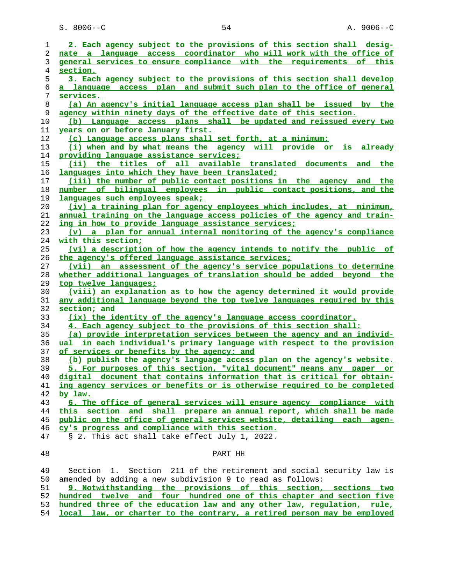S. 8006--C 54 54 A. 9006--C

| 1  | 2. Each agency subject to the provisions of this section shall desig-    |
|----|--------------------------------------------------------------------------|
| 2  | nate a language access coordinator who will work with the office of      |
| 3  | general services to ensure compliance with the requirements of this      |
| 4  | section.                                                                 |
| 5  | 3. Each agency subject to the provisions of this section shall develop   |
| 6  | a language access plan and submit such plan to the office of general     |
| 7  | <u>services.</u>                                                         |
| 8  | (a) An agency's initial language access plan shall be issued by the      |
| 9  | agency within ninety days of the effective date of this section.         |
| 10 | (b) Language access plans shall be updated and reissued every two        |
| 11 | vears on or before January first.                                        |
| 12 | (c) Language access plans shall set forth, at a minimum:                 |
| 13 | (i) when and by what means the agency will provide or is already         |
| 14 | providing language assistance services;                                  |
| 15 | (ii) the titles of all available translated documents and the            |
| 16 | languages into which they have been translated;                          |
| 17 | (iii) the number of public contact positions in the agency and the       |
| 18 | number of bilingual employees in public contact positions, and the       |
| 19 | languages such employees speak;                                          |
| 20 | (iv) a training plan for agency employees which includes, at minimum,    |
| 21 | annual training on the language access policies of the agency and train- |
| 22 | ing in how to provide language assistance services;                      |
| 23 | (v) a plan for annual internal monitoring of the agency's compliance     |
| 24 | with this section;                                                       |
| 25 | (vi) a description of how the agency intends to notify the public of     |
| 26 | the agency's offered language assistance services;                       |
| 27 | (vii) an assessment of the agency's service populations to determine     |
| 28 | whether additional languages of translation should be added beyond the   |
| 29 | top twelve languages;                                                    |
| 30 | (viii) an explanation as to how the agency determined it would provide   |
| 31 | any additional language beyond the top twelve languages required by this |
| 32 | section; and                                                             |
| 33 | (ix) the identity of the agency's language access coordinator.           |
| 34 | 4. Each agency subject to the provisions of this section shall:          |
| 35 | (a) provide interpretation services between the agency and an individ-   |
| 36 | ual in each individual's primary language with respect to the provision  |
| 37 | of services or benefits by the agency; and                               |
| 38 | (b) publish the agency's language access plan on the agency's website.   |
| 39 | 5. For purposes of this section, "vital document" means any paper or     |
| 40 | digital document that contains information that is critical for obtain-  |
| 41 | ing agency services or benefits or is otherwise required to be completed |
| 42 | by law.                                                                  |
| 43 | 6. The office of general services will ensure agency compliance with     |
| 44 | this section and shall prepare an annual report, which shall be made     |
| 45 | public on the office of general services website, detailing each agen-   |
| 46 | cy's progress and compliance with this section.                          |
| 47 | § 2. This act shall take effect July 1, 2022.                            |
|    |                                                                          |
| 48 | PART HH                                                                  |
|    |                                                                          |
| 49 | Section 1. Section 211 of the retirement and social security law is      |
| 50 | amended by adding a new subdivision 9 to read as follows:                |
| 51 | 9. Notwithstanding the provisions of this section, sections two          |
| 52 | hundred twelve and four hundred one of this chapter and section five     |
| 53 | hundred three of the education law and any other law, requlation, rule,  |

**local law, or charter to the contrary, a retired person may be employed**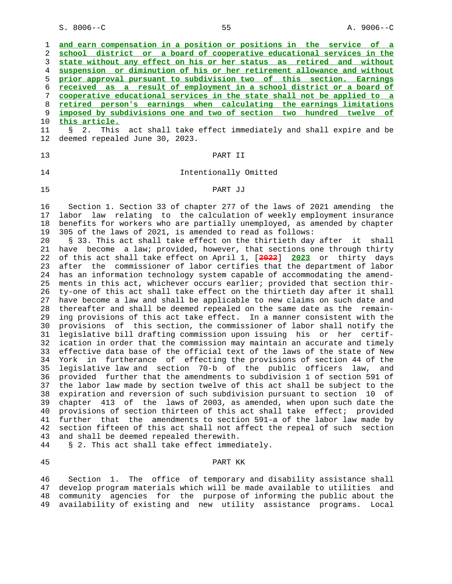S. 8006--C 55 A. 9006--C

|    | and earn compensation in a position or positions in the service of a    |
|----|-------------------------------------------------------------------------|
| 2  | school district or a board of cooperative educational services in the   |
| 3  | state without any effect on his or her status as retired and without    |
| 4  | suspension or diminution of his or her retirement allowance and without |
| 5. | prior approval pursuant to subdivision two of this section. Earnings    |
| 6  | received as a result of employment in a school district or a board of   |
| 7  | cooperative educational services in the state shall not be applied to a |
| 8  | retired person's earnings when calculating the earnings limitations     |
| 9  | imposed by subdivisions one and two of section two hundred twelve of    |
| 10 | this article.                                                           |
| 11 | § 2. This act shall take effect immediately and shall expire and be     |
| 12 | deemed repealed June 30, 2023.                                          |
| 13 | PART II                                                                 |
| 14 | Intentionally Omitted                                                   |
| 15 | PART JJ                                                                 |
| 16 | Section 1. Section 33 of chapter 277 of the laws of 2021 amending the   |

 17 labor law relating to the calculation of weekly employment insurance 18 benefits for workers who are partially unemployed, as amended by chapter 19 305 of the laws of 2021, is amended to read as follows:

 20 § 33. This act shall take effect on the thirtieth day after it shall 21 have become a law; provided, however, that sections one through thirty 22 of this act shall take effect on April 1, [**2022**] **2023** or thirty days 23 after the commissioner of labor certifies that the department of labor 24 has an information technology system capable of accommodating the amend- 25 ments in this act, whichever occurs earlier; provided that section thir- 26 ty-one of this act shall take effect on the thirtieth day after it shall 27 have become a law and shall be applicable to new claims on such date and 28 thereafter and shall be deemed repealed on the same date as the remain- 29 ing provisions of this act take effect. In a manner consistent with the 30 provisions of this section, the commissioner of labor shall notify the 31 legislative bill drafting commission upon issuing his or her certif- 32 ication in order that the commission may maintain an accurate and timely 33 effective data base of the official text of the laws of the state of New 34 York in furtherance of effecting the provisions of section 44 of the 35 legislative law and section 70-b of the public officers law, and 36 provided further that the amendments to subdivision 1 of section 591 of 37 the labor law made by section twelve of this act shall be subject to the 38 expiration and reversion of such subdivision pursuant to section 10 of 39 chapter 413 of the laws of 2003, as amended, when upon such date the 40 provisions of section thirteen of this act shall take effect; provided 41 further that the amendments to section 591-a of the labor law made by 42 section fifteen of this act shall not affect the repeal of such section 43 and shall be deemed repealed therewith.

44 § 2. This act shall take effect immediately.

# 45 PART KK

 46 Section 1. The office of temporary and disability assistance shall 47 develop program materials which will be made available to utilities and 48 community agencies for the purpose of informing the public about the 49 availability of existing and new utility assistance programs. Local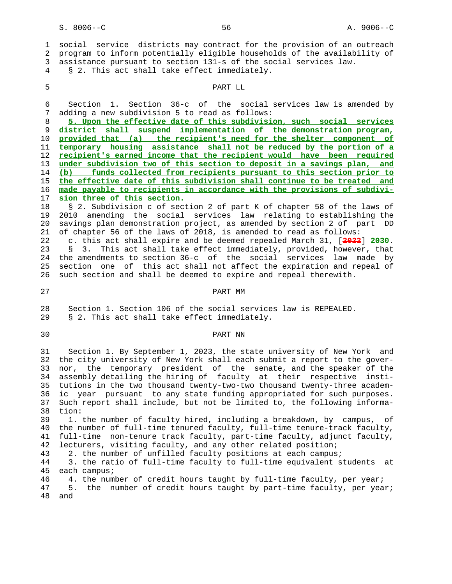1 social service districts may contract for the provision of an outreach 2 program to inform potentially eligible households of the availability of 3 assistance pursuant to section 131-s of the social services law. 4 § 2. This act shall take effect immediately. 5 PART LL 6 Section 1. Section 36-c of the social services law is amended by

 7 adding a new subdivision 5 to read as follows: **5. Upon the effective date of this subdivision, such social services district shall suspend implementation of the demonstration program, provided that (a) the recipient's need for the shelter component of temporary housing assistance shall not be reduced by the portion of a recipient's earned income that the recipient would have been required under subdivision two of this section to deposit in a savings plan, and (b) funds collected from recipients pursuant to this section prior to the effective date of this subdivision shall continue to be treated and made payable to recipients in accordance with the provisions of subdivi- sion three of this section.**

 18 § 2. Subdivision c of section 2 of part K of chapter 58 of the laws of 19 2010 amending the social services law relating to establishing the 20 savings plan demonstration project, as amended by section 2 of part DD 21 of chapter 56 of the laws of 2018, is amended to read as follows:

 22 c. this act shall expire and be deemed repealed March 31, [**2022**] **2030**. 23 § 3. This act shall take effect immediately, provided, however, that 24 the amendments to section 36-c of the social services law made by 25 section one of this act shall not affect the expiration and repeal of 26 such section and shall be deemed to expire and repeal therewith.

27 PART MM

 28 Section 1. Section 106 of the social services law is REPEALED. 29 § 2. This act shall take effect immediately.

# 30 PART NN

 31 Section 1. By September 1, 2023, the state university of New York and 32 the city university of New York shall each submit a report to the gover- 33 nor, the temporary president of the senate, and the speaker of the 34 assembly detailing the hiring of faculty at their respective insti- 35 tutions in the two thousand twenty-two-two thousand twenty-three academ- 36 ic year pursuant to any state funding appropriated for such purposes. 37 Such report shall include, but not be limited to, the following informa- 38 tion:

 39 1. the number of faculty hired, including a breakdown, by campus, of 40 the number of full-time tenured faculty, full-time tenure-track faculty, 41 full-time non-tenure track faculty, part-time faculty, adjunct faculty, 42 lecturers, visiting faculty, and any other related position;

43 2. the number of unfilled faculty positions at each campus;

 44 3. the ratio of full-time faculty to full-time equivalent students at 45 each campus;

46 4. the number of credit hours taught by full-time faculty, per year;

 47 5. the number of credit hours taught by part-time faculty, per year; 48 and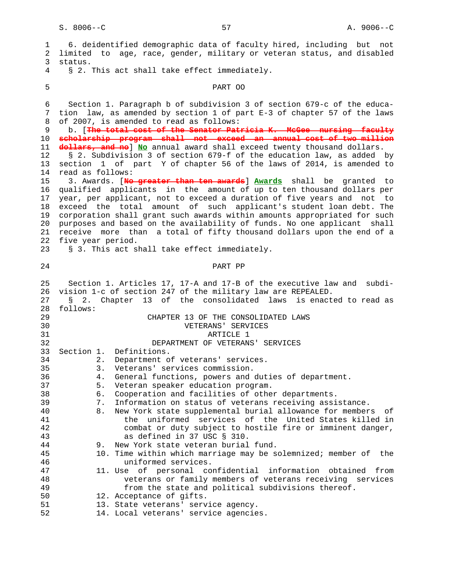| 1<br>2   | 6. deidentified demographic data of faculty hired, including but not<br>limited to age, race, gender, military or veteran status, and disabled |
|----------|------------------------------------------------------------------------------------------------------------------------------------------------|
| 3<br>4   | status.<br>§ 2. This act shall take effect immediately.                                                                                        |
| 5        | PART OO                                                                                                                                        |
| 6        | Section 1. Paragraph b of subdivision 3 of section 679-c of the educa-                                                                         |
| 7<br>8   | tion law, as amended by section 1 of part E-3 of chapter 57 of the laws<br>of 2007, is amended to read as follows:                             |
| 9        | b. [The total cost of the Senator Patricia K. McGee nursing faculty                                                                            |
| 10       | scholarship program shall not exceed an annual cost of two million                                                                             |
| 11       | dollars, and no No annual award shall exceed twenty thousand dollars.                                                                          |
| 12       | § 2. Subdivision 3 of section 679-f of the education law, as added by                                                                          |
| 13       | section 1 of part Y of chapter 56 of the laws of 2014, is amended to                                                                           |
| 14       | read as follows:                                                                                                                               |
| 15       | 3. Awards. [No greater than ten awards] Awards shall be granted to                                                                             |
| 16       | qualified applicants in the amount of up to ten thousand dollars per                                                                           |
| 17       | year, per applicant, not to exceed a duration of five years and not to                                                                         |
| 18       | exceed the total amount of such applicant's student loan debt. The                                                                             |
| 19       | corporation shall grant such awards within amounts appropriated for such                                                                       |
| 20       | purposes and based on the availability of funds. No one applicant shall                                                                        |
| 21       | receive more than a total of fifty thousand dollars upon the end of a                                                                          |
| 22       | five year period.                                                                                                                              |
| 23       | § 3. This act shall take effect immediately.                                                                                                   |
| 24       | PART PP                                                                                                                                        |
|          |                                                                                                                                                |
| 25       |                                                                                                                                                |
| 26       | Section 1. Articles 17, 17-A and 17-B of the executive law and subdi-                                                                          |
| 27       | vision 1-c of section 247 of the military law are REPEALED.<br>2. Chapter 13 of the consolidated laws is enacted to read as<br>S.              |
| 28       | follows:                                                                                                                                       |
| 29       | CHAPTER 13 OF THE CONSOLIDATED LAWS                                                                                                            |
| 30       | VETERANS' SERVICES                                                                                                                             |
| 31       | ARTICLE 1                                                                                                                                      |
| 32       | DEPARTMENT OF VETERANS' SERVICES                                                                                                               |
| 33       | Section 1. Definitions.                                                                                                                        |
| 34       | Department of veterans' services.<br>2.                                                                                                        |
| 35       | 3. Veterans' services commission.                                                                                                              |
| 36       | General functions, powers and duties of department.<br>4.                                                                                      |
| 37       | 5.<br>Veteran speaker education program.                                                                                                       |
| 38       | б.<br>Cooperation and facilities of other departments.                                                                                         |
| 39       | 7.<br>Information on status of veterans receiving assistance.                                                                                  |
| 40       | 8.<br>New York state supplemental burial allowance for members<br>оf                                                                           |
| 41       | the uniformed services of the United States killed in                                                                                          |
| 42       | combat or duty subject to hostile fire or imminent danger,                                                                                     |
| 43       | as defined in 37 USC § 310.<br>9.                                                                                                              |
| 44       | New York state veteran burial fund.                                                                                                            |
| 45<br>46 | 10. Time within which marriage may be solemnized; member of the<br>uniformed services.                                                         |
| 47       | of personal confidential<br>information obtained<br>11. Use<br>from                                                                            |
| 48       | veterans or family members of veterans receiving services                                                                                      |
| 49       | from the state and political subdivisions thereof.                                                                                             |
| 50       | 12. Acceptance of gifts.                                                                                                                       |
| 51       | 13. State veterans' service agency.                                                                                                            |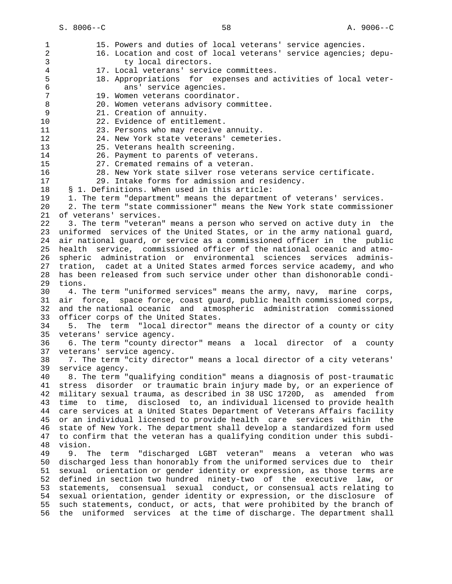| $\mathbf 1$    | 15. Powers and duties of local veterans' service agencies.                |
|----------------|---------------------------------------------------------------------------|
| $\overline{2}$ | 16. Location and cost of local veterans' service agencies; depu-          |
| 3              | ty local directors.                                                       |
| $\overline{4}$ | 17. Local veterans' service committees.                                   |
| 5              | 18. Appropriations for expenses and activities of local veter-            |
| 6              | ans' service agencies.                                                    |
| 7              | 19. Women veterans coordinator.                                           |
| 8              | 20. Women veterans advisory committee.                                    |
| 9              | 21. Creation of annuity.                                                  |
| 10             | 22. Evidence of entitlement.                                              |
| 11             | 23. Persons who may receive annuity.                                      |
| 12             | 24. New York state veterans' cemeteries.                                  |
| 13             | 25. Veterans health screening.                                            |
| 14             | 26. Payment to parents of veterans.                                       |
| 15             | 27. Cremated remains of a veteran.                                        |
| 16             | 28. New York state silver rose veterans service certificate.              |
| 17             | 29. Intake forms for admission and residency.                             |
| 18             | § 1. Definitions. When used in this article:                              |
| 19             | 1. The term "department" means the department of veterans' services.      |
| 20             | 2. The term "state commissioner" means the New York state commissioner    |
| 21             | of veterans' services.                                                    |
| 22             | 3. The term "veteran" means a person who served on active duty in the     |
| 23             | uniformed services of the United States, or in the army national guard,   |
| 24             | air national guard, or service as a commissioned officer in the public    |
| 25             | health service, commissioned officer of the national oceanic and atmo-    |
| 26             | spheric administration or environmental sciences services<br>adminis-     |
| 27             | tration, cadet at a United States armed forces service academy, and who   |
| 28             | has been released from such service under other than dishonorable condi-  |
| 29             | tions.                                                                    |
| 30             | 4. The term "uniformed services" means the army, navy, marine corps,      |
| 31             | air force, space force, coast guard, public health commissioned corps,    |
| 32             | and the national oceanic and atmospheric administration commissioned      |
| 33             | officer corps of the United States.                                       |
| 34             | The term "local director" means the director of a county or city<br>5.    |
| 35             | veterans' service agency.                                                 |
| 36             | 6. The term "county director" means a local director of a county          |
| 37             | veterans' service agency.                                                 |
| 38             | 7. The term "city director" means a local director of a city veterans'    |
| 39             | service agency.                                                           |
| 40             | 8. The term "qualifying condition" means a diagnosis of post-traumatic    |
| 41             | stress disorder or traumatic brain injury made by, or an experience of    |
| 42             | military sexual trauma, as described in 38 USC 1720D, as amended from     |
| 43             | time to time, disclosed to, an individual licensed to provide health      |
| 44             | care services at a United States Department of Veterans Affairs facility  |
| 45             | or an individual licensed to provide health care services within the      |
| 46             | state of New York. The department shall develop a standardized form used  |
| 47             | to confirm that the veteran has a qualifying condition under this subdi-  |
| 48             | vision.                                                                   |
| 49             | term "discharged LGBT veteran"<br>9.<br>The<br>means<br>a veteran who was |
| 50             | discharged less than honorably from the uniformed services due to their   |
| 51             | sexual orientation or gender identity or expression, as those terms are   |
| 52             | defined in section two hundred ninety-two of the executive<br>law,<br>or  |
| 53             | statements, consensual sexual conduct, or consensual acts relating to     |
| 54             | sexual orientation, gender identity or expression, or the disclosure of   |
| 55             | such statements, conduct, or acts, that were prohibited by the branch of  |
| 56             | the uniformed services at the time of discharge. The department shall     |
|                |                                                                           |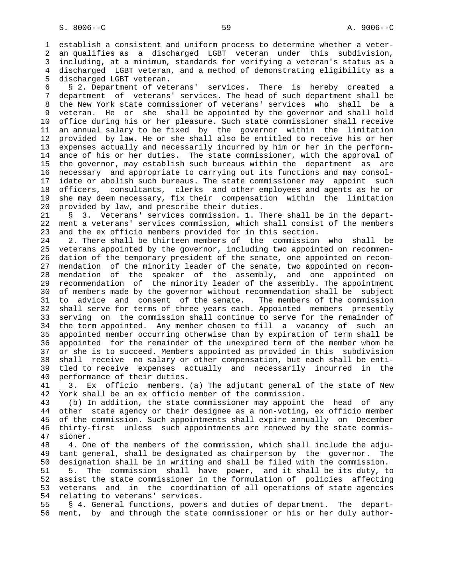1 establish a consistent and uniform process to determine whether a veter- 2 an qualifies as a discharged LGBT veteran under this subdivision, 3 including, at a minimum, standards for verifying a veteran's status as a 4 discharged LGBT veteran, and a method of demonstrating eligibility as a 5 discharged LGBT veteran.

 6 § 2. Department of veterans' services. There is hereby created a 7 department of veterans' services. The head of such department shall be 8 the New York state commissioner of veterans' services who shall be a 9 veteran. He or she shall be appointed by the governor and shall hold 10 office during his or her pleasure. Such state commissioner shall receive 11 an annual salary to be fixed by the governor within the limitation 12 provided by law. He or she shall also be entitled to receive his or her 13 expenses actually and necessarily incurred by him or her in the perform- 14 ance of his or her duties. The state commissioner, with the approval of 15 the governor, may establish such bureaus within the department as are 16 necessary and appropriate to carrying out its functions and may consol- 17 idate or abolish such bureaus. The state commissioner may appoint such 18 officers, consultants, clerks and other employees and agents as he or 19 she may deem necessary, fix their compensation within the limitation 20 provided by law, and prescribe their duties.

 21 § 3. Veterans' services commission. 1. There shall be in the depart- 22 ment a veterans' services commission, which shall consist of the members 23 and the ex officio members provided for in this section.

 24 2. There shall be thirteen members of the commission who shall be 25 veterans appointed by the governor, including two appointed on recommen- 26 dation of the temporary president of the senate, one appointed on recom- 27 mendation of the minority leader of the senate, two appointed on recom- 28 mendation of the speaker of the assembly, and one appointed on 29 recommendation of the minority leader of the assembly. The appointment 30 of members made by the governor without recommendation shall be subject 31 to advice and consent of the senate. The members of the commission 32 shall serve for terms of three years each. Appointed members presently 33 serving on the commission shall continue to serve for the remainder of 34 the term appointed. Any member chosen to fill a vacancy of such an 35 appointed member occurring otherwise than by expiration of term shall be 36 appointed for the remainder of the unexpired term of the member whom he 37 or she is to succeed. Members appointed as provided in this subdivision 38 shall receive no salary or other compensation, but each shall be enti- 39 tled to receive expenses actually and necessarily incurred in the 40 performance of their duties.

 41 3. Ex officio members. (a) The adjutant general of the state of New 42 York shall be an ex officio member of the commission.

 43 (b) In addition, the state commissioner may appoint the head of any 44 other state agency or their designee as a non-voting, ex officio member 45 of the commission. Such appointments shall expire annually on December 46 thirty-first unless such appointments are renewed by the state commis- 47 sioner.

 48 4. One of the members of the commission, which shall include the adju- 49 tant general, shall be designated as chairperson by the governor. The 50 designation shall be in writing and shall be filed with the commission.

 51 5. The commission shall have power, and it shall be its duty, to 52 assist the state commissioner in the formulation of policies affecting 53 veterans and in the coordination of all operations of state agencies 54 relating to veterans' services.

 55 § 4. General functions, powers and duties of department. The depart- 56 ment, by and through the state commissioner or his or her duly author-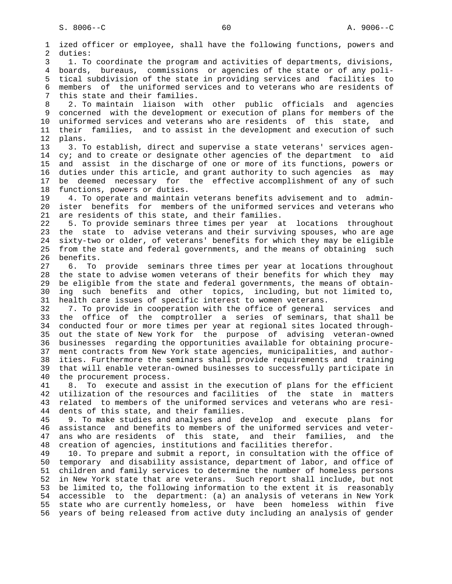1 ized officer or employee, shall have the following functions, powers and 2 duties: 3 1. To coordinate the program and activities of departments, divisions, 4 boards, bureaus, commissions or agencies of the state or of any poli- 5 tical subdivision of the state in providing services and facilities to 6 members of the uniformed services and to veterans who are residents of 7 this state and their families. 8 2. To maintain liaison with other public officials and agencies 9 concerned with the development or execution of plans for members of the 10 uniformed services and veterans who are residents of this state, and 11 their families, and to assist in the development and execution of such 12 plans. 13 3. To establish, direct and supervise a state veterans' services agen- 14 cy; and to create or designate other agencies of the department to aid 15 and assist in the discharge of one or more of its functions, powers or 16 duties under this article, and grant authority to such agencies as may 17 be deemed necessary for the effective accomplishment of any of such 18 functions, powers or duties. 19 4. To operate and maintain veterans benefits advisement and to admin- 20 ister benefits for members of the uniformed services and veterans who 21 are residents of this state, and their families. 22 5. To provide seminars three times per year at locations throughout 23 the state to advise veterans and their surviving spouses, who are age 24 sixty-two or older, of veterans' benefits for which they may be eligible 25 from the state and federal governments, and the means of obtaining such 26 benefits. 27 6. To provide seminars three times per year at locations throughout 28 the state to advise women veterans of their benefits for which they may 29 be eligible from the state and federal governments, the means of obtain- 30 ing such benefits and other topics, including, but not limited to, 31 health care issues of specific interest to women veterans. 32 7. To provide in cooperation with the office of general services and 33 the office of the comptroller a series of seminars, that shall be 34 conducted four or more times per year at regional sites located through- 35 out the state of New York for the purpose of advising veteran-owned 36 businesses regarding the opportunities available for obtaining procure- 37 ment contracts from New York state agencies, municipalities, and author- 38 ities. Furthermore the seminars shall provide requirements and training 39 that will enable veteran-owned businesses to successfully participate in 40 the procurement process. 41 8. To execute and assist in the execution of plans for the efficient 42 utilization of the resources and facilities of the state in matters 43 related to members of the uniformed services and veterans who are resi- 44 dents of this state, and their families. 45 9. To make studies and analyses and develop and execute plans for 46 assistance and benefits to members of the uniformed services and veter- 47 ans who are residents of this state, and their families, and the 48 creation of agencies, institutions and facilities therefor. 49 10. To prepare and submit a report, in consultation with the office of 50 temporary and disability assistance, department of labor, and office of 51 children and family services to determine the number of homeless persons 52 in New York state that are veterans. Such report shall include, but not 53 be limited to, the following information to the extent it is reasonably 54 accessible to the department: (a) an analysis of veterans in New York 55 state who are currently homeless, or have been homeless within five 56 years of being released from active duty including an analysis of gender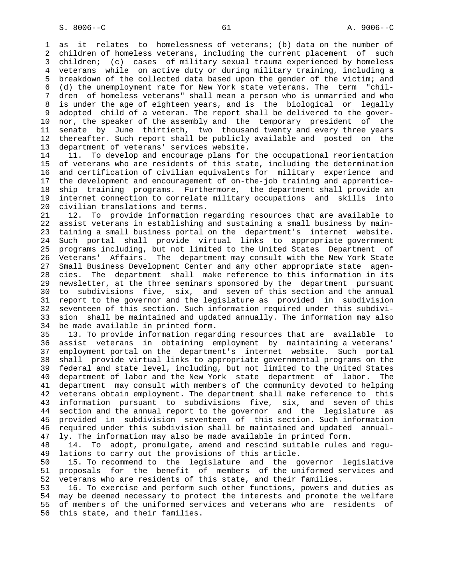1 as it relates to homelessness of veterans; (b) data on the number of 2 children of homeless veterans, including the current placement of such 3 children; (c) cases of military sexual trauma experienced by homeless 4 veterans while on active duty or during military training, including a 5 breakdown of the collected data based upon the gender of the victim; and 6 (d) the unemployment rate for New York state veterans. The term "chil- 7 dren of homeless veterans" shall mean a person who is unmarried and who 8 is under the age of eighteen years, and is the biological or legally 9 adopted child of a veteran. The report shall be delivered to the gover- 10 nor, the speaker of the assembly and the temporary president of the 11 senate by June thirtieth, two thousand twenty and every three years 12 thereafter. Such report shall be publicly available and posted on the 13 department of veterans' services website.

 14 11. To develop and encourage plans for the occupational reorientation 15 of veterans who are residents of this state, including the determination 16 and certification of civilian equivalents for military experience and 17 the development and encouragement of on-the-job training and apprentice- 18 ship training programs. Furthermore, the department shall provide an 19 internet connection to correlate military occupations and skills into 20 civilian translations and terms.

 21 12. To provide information regarding resources that are available to 22 assist veterans in establishing and sustaining a small business by main- 23 taining a small business portal on the department's internet website. 24 Such portal shall provide virtual links to appropriate government 25 programs including, but not limited to the United States Department of 26 Veterans' Affairs. The department may consult with the New York State 27 Small Business Development Center and any other appropriate state agen- 28 cies. The department shall make reference to this information in its 29 newsletter, at the three seminars sponsored by the department pursuant 30 to subdivisions five, six, and seven of this section and the annual 31 report to the governor and the legislature as provided in subdivision 32 seventeen of this section. Such information required under this subdivi- 33 sion shall be maintained and updated annually. The information may also 34 be made available in printed form.

 35 13. To provide information regarding resources that are available to 36 assist veterans in obtaining employment by maintaining a veterans' 37 employment portal on the department's internet website. Such portal 38 shall provide virtual links to appropriate governmental programs on the 39 federal and state level, including, but not limited to the United States 40 department of labor and the New York state department of labor. The 41 department may consult with members of the community devoted to helping 42 veterans obtain employment. The department shall make reference to this 43 information pursuant to subdivisions five, six, and seven of this 44 section and the annual report to the governor and the legislature as 45 provided in subdivision seventeen of this section. Such information 46 required under this subdivision shall be maintained and updated annual- 47 ly. The information may also be made available in printed form.

 48 14. To adopt, promulgate, amend and rescind suitable rules and regu- 49 lations to carry out the provisions of this article.

 50 15. To recommend to the legislature and the governor legislative 51 proposals for the benefit of members of the uniformed services and 52 veterans who are residents of this state, and their families.

 53 16. To exercise and perform such other functions, powers and duties as 54 may be deemed necessary to protect the interests and promote the welfare 55 of members of the uniformed services and veterans who are residents of 56 this state, and their families.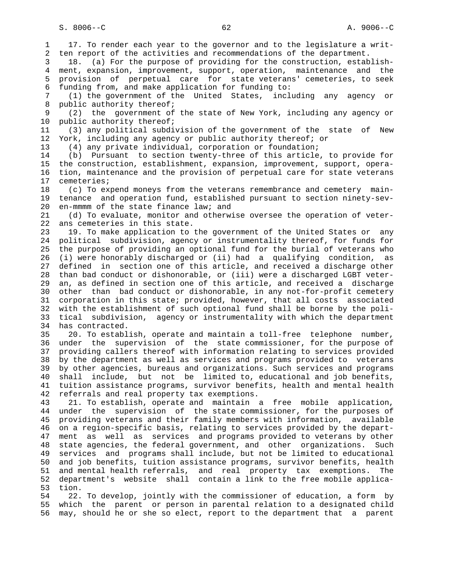1 17. To render each year to the governor and to the legislature a writ- 2 ten report of the activities and recommendations of the department. 3 18. (a) For the purpose of providing for the construction, establish- 4 ment, expansion, improvement, support, operation, maintenance and the 5 provision of perpetual care for state veterans' cemeteries, to seek 6 funding from, and make application for funding to: 7 (1) the government of the United States, including any agency or 8 public authority thereof; 9 (2) the government of the state of New York, including any agency or 10 public authority thereof; public authority thereof; 11 (3) any political subdivision of the government of the state of New 12 York, including any agency or public authority thereof; or 13 (4) any private individual, corporation or foundation; 14 (b) Pursuant to section twenty-three of this article, to provide for 15 the construction, establishment, expansion, improvement, support, opera- 16 tion, maintenance and the provision of perpetual care for state veterans 17 cemeteries; 18 (c) To expend moneys from the veterans remembrance and cemetery main- 19 tenance and operation fund, established pursuant to section ninety-sev- 20 en-mmmm of the state finance law; and 21 (d) To evaluate, monitor and otherwise oversee the operation of veter- 22 ans cemeteries in this state. 23 19. To make application to the government of the United States or any 24 political subdivision, agency or instrumentality thereof, for funds for 25 the purpose of providing an optional fund for the burial of veterans who 26 (i) were honorably discharged or (ii) had a qualifying condition, as 27 defined in section one of this article, and received a discharge other 28 than bad conduct or dishonorable, or (iii) were a discharged LGBT veter- 29 an, as defined in section one of this article, and received a discharge 30 other than bad conduct or dishonorable, in any not-for-profit cemetery 31 corporation in this state; provided, however, that all costs associated 32 with the establishment of such optional fund shall be borne by the poli- 33 tical subdivision, agency or instrumentality with which the department 34 has contracted. 35 20. To establish, operate and maintain a toll-free telephone number, 36 under the supervision of the state commissioner, for the purpose of 37 providing callers thereof with information relating to services provided 38 by the department as well as services and programs provided to veterans 39 by other agencies, bureaus and organizations. Such services and programs 40 shall include, but not be limited to, educational and job benefits, 41 tuition assistance programs, survivor benefits, health and mental health 42 referrals and real property tax exemptions. 43 21. To establish, operate and maintain a free mobile application, 44 under the supervision of the state commissioner, for the purposes of 45 providing veterans and their family members with information, available 46 on a region-specific basis, relating to services provided by the depart- 47 ment as well as services and programs provided to veterans by other 48 state agencies, the federal government, and other organizations. Such 49 services and programs shall include, but not be limited to educational 50 and job benefits, tuition assistance programs, survivor benefits, health 51 and mental health referrals, and real property tax exemptions. The 52 department's website shall contain a link to the free mobile applica- 53 tion. 54 22. To develop, jointly with the commissioner of education, a form by 55 which the parent or person in parental relation to a designated child

56 may, should he or she so elect, report to the department that a parent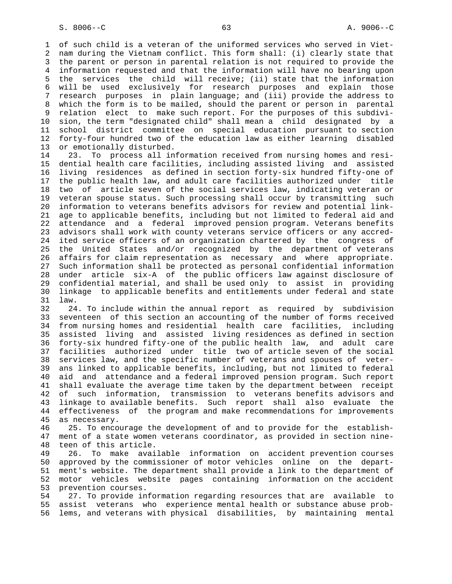1 of such child is a veteran of the uniformed services who served in Viet- 2 nam during the Vietnam conflict. This form shall: (i) clearly state that 3 the parent or person in parental relation is not required to provide the 4 information requested and that the information will have no bearing upon 5 the services the child will receive; (ii) state that the information 6 will be used exclusively for research purposes and explain those 7 research purposes in plain language; and (iii) provide the address to 8 which the form is to be mailed, should the parent or person in parental 9 relation elect to make such report. For the purposes of this subdivi- 10 sion, the term "designated child" shall mean a child designated by a 11 school district committee on special education pursuant to section 12 forty-four hundred two of the education law as either learning disabled 13 or emotionally disturbed.

 14 23. To process all information received from nursing homes and resi- 15 dential health care facilities, including assisted living and assisted 16 living residences as defined in section forty-six hundred fifty-one of 17 the public health law, and adult care facilities authorized under title 18 two of article seven of the social services law, indicating veteran or 19 veteran spouse status. Such processing shall occur by transmitting such 20 information to veterans benefits advisors for review and potential link- 21 age to applicable benefits, including but not limited to federal aid and 22 attendance and a federal improved pension program. Veterans benefits 23 advisors shall work with county veterans service officers or any accred- 24 ited service officers of an organization chartered by the congress of 25 the United States and/or recognized by the department of veterans 26 affairs for claim representation as necessary and where appropriate. 27 Such information shall be protected as personal confidential information 28 under article six-A of the public officers law against disclosure of 29 confidential material, and shall be used only to assist in providing 30 linkage to applicable benefits and entitlements under federal and state 31 law.

 32 24. To include within the annual report as required by subdivision 33 seventeen of this section an accounting of the number of forms received 34 from nursing homes and residential health care facilities, including 35 assisted living and assisted living residences as defined in section 36 forty-six hundred fifty-one of the public health law, and adult care 37 facilities authorized under title two of article seven of the social 38 services law, and the specific number of veterans and spouses of veter- 39 ans linked to applicable benefits, including, but not limited to federal 40 aid and attendance and a federal improved pension program. Such report 41 shall evaluate the average time taken by the department between receipt 42 of such information, transmission to veterans benefits advisors and 43 linkage to available benefits. Such report shall also evaluate the 44 effectiveness of the program and make recommendations for improvements 45 as necessary.

 46 25. To encourage the development of and to provide for the establish- 47 ment of a state women veterans coordinator, as provided in section nine- 48 teen of this article.

 49 26. To make available information on accident prevention courses 50 approved by the commissioner of motor vehicles online on the depart- 51 ment's website. The department shall provide a link to the department of 52 motor vehicles website pages containing information on the accident 53 prevention courses.

 54 27. To provide information regarding resources that are available to 55 assist veterans who experience mental health or substance abuse prob- 56 lems, and veterans with physical disabilities, by maintaining mental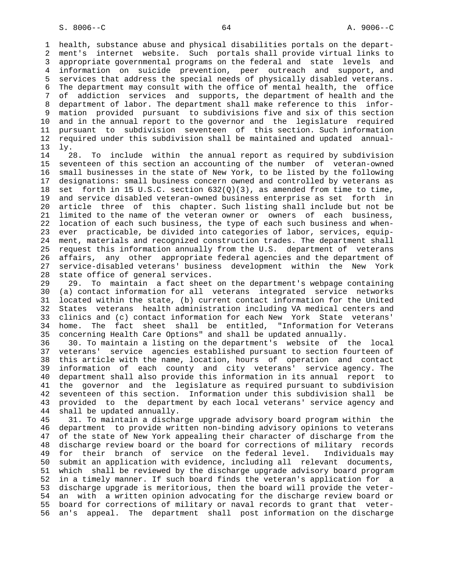1 health, substance abuse and physical disabilities portals on the depart- 2 ment's internet website. Such portals shall provide virtual links to 3 appropriate governmental programs on the federal and state levels and 4 information on suicide prevention, peer outreach and support, and 5 services that address the special needs of physically disabled veterans. 6 The department may consult with the office of mental health, the office 7 of addiction services and supports, the department of health and the 8 department of labor. The department shall make reference to this infor- 9 mation provided pursuant to subdivisions five and six of this section 10 and in the annual report to the governor and the legislature required 11 pursuant to subdivision seventeen of this section. Such information 12 required under this subdivision shall be maintained and updated annual- 13 ly.

 14 28. To include within the annual report as required by subdivision 15 seventeen of this section an accounting of the number of veteran-owned 16 small businesses in the state of New York, to be listed by the following 17 designations: small business concern owned and controlled by veterans as 18 set forth in 15 U.S.C. section  $632(Q)(3)$ , as amended from time to time, 19 and service disabled veteran-owned business enterprise as set forth in 20 article three of this chapter. Such listing shall include but not be 21 limited to the name of the veteran owner or owners of each business, 22 location of each such business, the type of each such business and when- 23 ever practicable, be divided into categories of labor, services, equip- 24 ment, materials and recognized construction trades. The department shall 25 request this information annually from the U.S. department of veterans 26 affairs, any other appropriate federal agencies and the department of 27 service-disabled veterans' business development within the New York 28 state office of general services.

 29 29. To maintain a fact sheet on the department's webpage containing 30 (a) contact information for all veterans integrated service networks 31 located within the state, (b) current contact information for the United 32 States veterans health administration including VA medical centers and 33 clinics and (c) contact information for each New York State veterans' 34 home. The fact sheet shall be entitled, "Information for Veterans 35 concerning Health Care Options" and shall be updated annually.

 36 30. To maintain a listing on the department's website of the local 37 veterans' service agencies established pursuant to section fourteen of 38 this article with the name, location, hours of operation and contact 39 information of each county and city veterans' service agency. The 40 department shall also provide this information in its annual report to 41 the governor and the legislature as required pursuant to subdivision 42 seventeen of this section. Information under this subdivision shall be 43 provided to the department by each local veterans' service agency and 44 shall be updated annually.

 45 31. To maintain a discharge upgrade advisory board program within the 46 department to provide written non-binding advisory opinions to veterans 47 of the state of New York appealing their character of discharge from the 48 discharge review board or the board for corrections of military records 49 for their branch of service on the federal level. Individuals may 50 submit an application with evidence, including all relevant documents, 51 which shall be reviewed by the discharge upgrade advisory board program 52 in a timely manner. If such board finds the veteran's application for a 53 discharge upgrade is meritorious, then the board will provide the veter- 54 an with a written opinion advocating for the discharge review board or 55 board for corrections of military or naval records to grant that veter- 56 an's appeal. The department shall post information on the discharge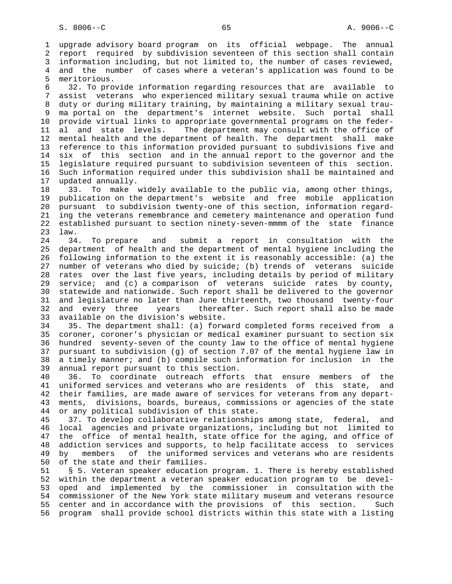1 upgrade advisory board program on its official webpage. The annual 2 report required by subdivision seventeen of this section shall contain 3 information including, but not limited to, the number of cases reviewed, 4 and the number of cases where a veteran's application was found to be 5 meritorious.

 6 32. To provide information regarding resources that are available to 7 assist veterans who experienced military sexual trauma while on active 8 duty or during military training, by maintaining a military sexual trau- 9 ma portal on the department's internet website. Such portal shall<br>10 provide virtual links to appropriate governmental programs on the federprovide virtual links to appropriate governmental programs on the feder- 11 al and state levels. The department may consult with the office of 12 mental health and the department of health. The department shall make 13 reference to this information provided pursuant to subdivisions five and 14 six of this section and in the annual report to the governor and the 15 legislature required pursuant to subdivision seventeen of this section. 16 Such information required under this subdivision shall be maintained and 17 updated annually.

 18 33. To make widely available to the public via, among other things, 19 publication on the department's website and free mobile application 20 pursuant to subdivision twenty-one of this section, information regard- 21 ing the veterans remembrance and cemetery maintenance and operation fund 22 established pursuant to section ninety-seven-mmmm of the state finance 23 law.

 24 34. To prepare and submit a report in consultation with the 25 department of health and the department of mental hygiene including the 26 following information to the extent it is reasonably accessible: (a) the 27 number of veterans who died by suicide; (b) trends of veterans suicide 28 rates over the last five years, including details by period of military 29 service; and (c) a comparison of veterans suicide rates by county, 30 statewide and nationwide. Such report shall be delivered to the governor 31 and legislature no later than June thirteenth, two thousand twenty-four 32 and every three years thereafter. Such report shall also be made 33 available on the division's website.

 34 35. The department shall: (a) forward completed forms received from a 35 coroner, coroner's physician or medical examiner pursuant to section six 36 hundred seventy-seven of the county law to the office of mental hygiene 37 pursuant to subdivision (g) of section 7.07 of the mental hygiene law in 38 a timely manner; and (b) compile such information for inclusion in the 39 annual report pursuant to this section.

 40 36. To coordinate outreach efforts that ensure members of the 41 uniformed services and veterans who are residents of this state, and 42 their families, are made aware of services for veterans from any depart- 43 ments, divisions, boards, bureaus, commissions or agencies of the state 44 or any political subdivision of this state.

 45 37. To develop collaborative relationships among state, federal, and 46 local agencies and private organizations, including but not limited to 47 the office of mental health, state office for the aging, and office of 48 addiction services and supports, to help facilitate access to services 49 by members of the uniformed services and veterans who are residents 50 of the state and their families.

 51 § 5. Veteran speaker education program. 1. There is hereby established 52 within the department a veteran speaker education program to be devel- 53 oped and implemented by the commissioner in consultation with the 54 commissioner of the New York state military museum and veterans resource 55 center and in accordance with the provisions of this section. Such 56 program shall provide school districts within this state with a listing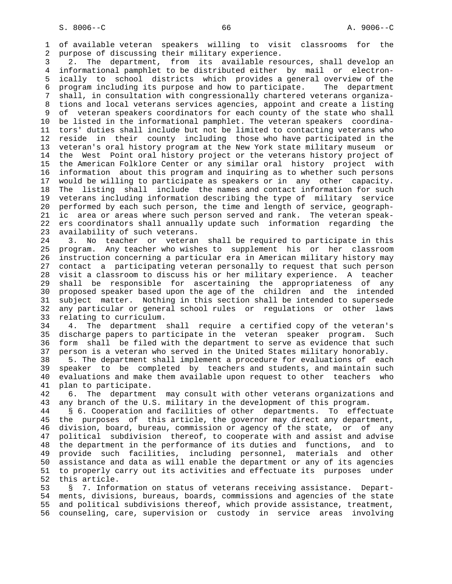1 of available veteran speakers willing to visit classrooms for the 2 purpose of discussing their military experience.

 3 2. The department, from its available resources, shall develop an 4 informational pamphlet to be distributed either by mail or electron- 5 ically to school districts which provides a general overview of the 6 program including its purpose and how to participate. The department 7 shall, in consultation with congressionally chartered veterans organiza- 8 tions and local veterans services agencies, appoint and create a listing 9 of veteran speakers coordinators for each county of the state who shall 10 be listed in the informational pamphlet. The veteran speakers coordina- 11 tors' duties shall include but not be limited to contacting veterans who 12 reside in their county including those who have participated in the 13 veteran's oral history program at the New York state military museum or 14 the West Point oral history project or the veterans history project of 15 the American Folklore Center or any similar oral history project with 16 information about this program and inquiring as to whether such persons 17 would be willing to participate as speakers or in any other capacity. 18 The listing shall include the names and contact information for such 19 veterans including information describing the type of military service 20 performed by each such person, the time and length of service, geograph- 21 ic area or areas where such person served and rank. The veteran speak- 22 ers coordinators shall annually update such information regarding the 23 availability of such veterans.

 24 3. No teacher or veteran shall be required to participate in this 25 program. Any teacher who wishes to supplement his or her classroom 26 instruction concerning a particular era in American military history may 27 contact a participating veteran personally to request that such person 28 visit a classroom to discuss his or her military experience. A teacher 29 shall be responsible for ascertaining the appropriateness of any 30 proposed speaker based upon the age of the children and the intended 31 subject matter. Nothing in this section shall be intended to supersede 32 any particular or general school rules or regulations or other laws 33 relating to curriculum.

 34 4. The department shall require a certified copy of the veteran's 35 discharge papers to participate in the veteran speaker program. Such 36 form shall be filed with the department to serve as evidence that such 37 person is a veteran who served in the United States military honorably. 38 5. The department shall implement a procedure for evaluations of each 39 speaker to be completed by teachers and students, and maintain such 40 evaluations and make them available upon request to other teachers who

 41 plan to participate. 42 6. The department may consult with other veterans organizations and 43 any branch of the U.S. military in the development of this program.

 44 § 6. Cooperation and facilities of other departments. To effectuate 45 the purposes of this article, the governor may direct any department, 46 division, board, bureau, commission or agency of the state, or of any 47 political subdivision thereof, to cooperate with and assist and advise 48 the department in the performance of its duties and functions, and to 49 provide such facilities, including personnel, materials and other 50 assistance and data as will enable the department or any of its agencies 51 to properly carry out its activities and effectuate its purposes under 52 this article.

 53 § 7. Information on status of veterans receiving assistance. Depart- 54 ments, divisions, bureaus, boards, commissions and agencies of the state 55 and political subdivisions thereof, which provide assistance, treatment, 56 counseling, care, supervision or custody in service areas involving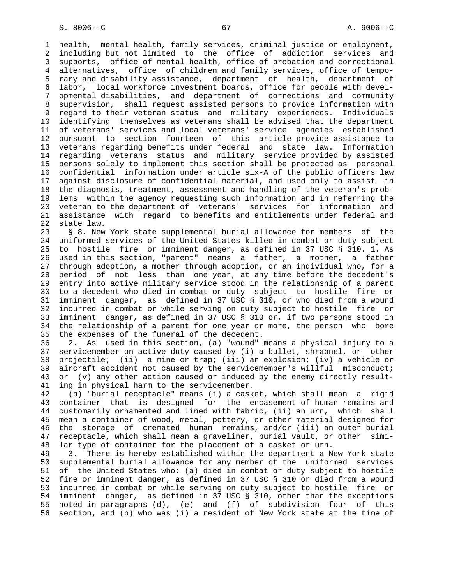1 health, mental health, family services, criminal justice or employment, 2 including but not limited to the office of addiction services and 3 supports, office of mental health, office of probation and correctional 4 alternatives, office of children and family services, office of tempo- 5 rary and disability assistance, department of health, department of 6 labor, local workforce investment boards, office for people with devel- 7 opmental disabilities, and department of corrections and community 8 supervision, shall request assisted persons to provide information with 9 regard to their veteran status and military experiences. Individuals 10 identifying themselves as veterans shall be advised that the department 11 of veterans' services and local veterans' service agencies established<br>12 pursuant to section fourteen of this article provide assistance to pursuant to section fourteen of this article provide assistance to 13 veterans regarding benefits under federal and state law. Information 14 regarding veterans status and military service provided by assisted 15 persons solely to implement this section shall be protected as personal 16 confidential information under article six-A of the public officers law 17 against disclosure of confidential material, and used only to assist in 18 the diagnosis, treatment, assessment and handling of the veteran's prob- 19 lems within the agency requesting such information and in referring the 20 veteran to the department of veterans' services for information and 21 assistance with regard to benefits and entitlements under federal and 22 state law.

 23 § 8. New York state supplemental burial allowance for members of the 24 uniformed services of the United States killed in combat or duty subject 25 to hostile fire or imminent danger, as defined in 37 USC § 310. 1. As 26 used in this section, "parent" means a father, a mother, a father 27 through adoption, a mother through adoption, or an individual who, for a 28 period of not less than one year, at any time before the decedent's 29 entry into active military service stood in the relationship of a parent 30 to a decedent who died in combat or duty subject to hostile fire or 31 imminent danger, as defined in 37 USC § 310, or who died from a wound 32 incurred in combat or while serving on duty subject to hostile fire or 33 imminent danger, as defined in 37 USC § 310 or, if two persons stood in 34 the relationship of a parent for one year or more, the person who bore 35 the expenses of the funeral of the decedent.

 36 2. As used in this section, (a) "wound" means a physical injury to a 37 servicemember on active duty caused by (i) a bullet, shrapnel, or other 38 projectile; (ii) a mine or trap; (iii) an explosion; (iv) a vehicle or 39 aircraft accident not caused by the servicemember's willful misconduct; 40 or (v) any other action caused or induced by the enemy directly result- 41 ing in physical harm to the servicemember.

 42 (b) "burial receptacle" means (i) a casket, which shall mean a rigid 43 container that is designed for the encasement of human remains and 44 customarily ornamented and lined with fabric, (ii) an urn, which shall 45 mean a container of wood, metal, pottery, or other material designed for 46 the storage of cremated human remains, and/or (iii) an outer burial 47 receptacle, which shall mean a graveliner, burial vault, or other simi- 48 lar type of container for the placement of a casket or urn.

 49 3. There is hereby established within the department a New York state 50 supplemental burial allowance for any member of the uniformed services 51 of the United States who: (a) died in combat or duty subject to hostile 52 fire or imminent danger, as defined in 37 USC § 310 or died from a wound 53 incurred in combat or while serving on duty subject to hostile fire or 54 imminent danger, as defined in 37 USC § 310, other than the exceptions 55 noted in paragraphs (d), (e) and (f) of subdivision four of this 56 section, and (b) who was (i) a resident of New York state at the time of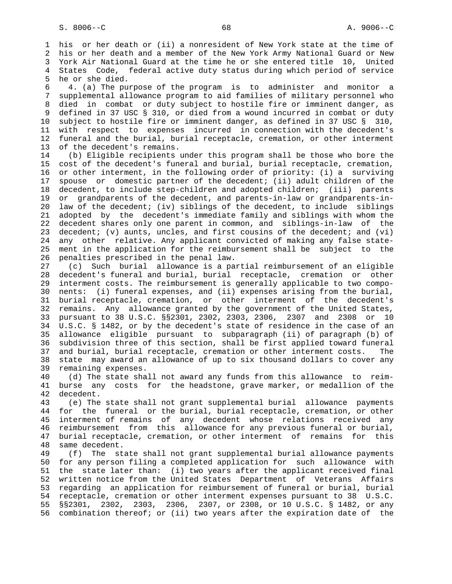1 his or her death or (ii) a nonresident of New York state at the time of 2 his or her death and a member of the New York Army National Guard or New 3 York Air National Guard at the time he or she entered title 10, United 4 States Code, federal active duty status during which period of service 5 he or she died.

 6 4. (a) The purpose of the program is to administer and monitor a 7 supplemental allowance program to aid families of military personnel who 8 died in combat or duty subject to hostile fire or imminent danger, as 9 defined in 37 USC § 310, or died from a wound incurred in combat or duty 10 subject to hostile fire or imminent danger, as defined in 37 USC § 310, 11 with respect to expenses incurred in connection with the decedent's 12 funeral and the burial, burial receptacle, cremation, or other interment 13 of the decedent's remains.

 14 (b) Eligible recipients under this program shall be those who bore the 15 cost of the decedent's funeral and burial, burial receptacle, cremation, 16 or other interment, in the following order of priority: (i) a surviving 17 spouse or domestic partner of the decedent; (ii) adult children of the 18 decedent, to include step-children and adopted children; (iii) parents 19 or grandparents of the decedent, and parents-in-law or grandparents-in- 20 law of the decedent; (iv) siblings of the decedent, to include siblings 21 adopted by the decedent's immediate family and siblings with whom the 22 decedent shares only one parent in common, and siblings-in-law of the 23 decedent; (v) aunts, uncles, and first cousins of the decedent; and  $(vi)$  24 any other relative. Any applicant convicted of making any false state- 25 ment in the application for the reimbursement shall be subject to the 26 penalties prescribed in the penal law.

 27 (c) Such burial allowance is a partial reimbursement of an eligible 28 decedent's funeral and burial, burial receptacle, cremation or other 29 interment costs. The reimbursement is generally applicable to two compo- 30 nents: (i) funeral expenses, and (ii) expenses arising from the burial, 31 burial receptacle, cremation, or other interment of the decedent's 32 remains. Any allowance granted by the government of the United States, 33 pursuant to 38 U.S.C. §§2301, 2302, 2303, 2306, 2307 and 2308 or 10 34 U.S.C. § 1482, or by the decedent's state of residence in the case of an 35 allowance eligible pursuant to subparagraph (ii) of paragraph (b) of 36 subdivision three of this section, shall be first applied toward funeral 37 and burial, burial receptacle, cremation or other interment costs. The 38 state may award an allowance of up to six thousand dollars to cover any 39 remaining expenses.

 40 (d) The state shall not award any funds from this allowance to reim- 41 burse any costs for the headstone, grave marker, or medallion of the 42 decedent.

 43 (e) The state shall not grant supplemental burial allowance payments 44 for the funeral or the burial, burial receptacle, cremation, or other 45 interment of remains of any decedent whose relations received any 46 reimbursement from this allowance for any previous funeral or burial, 47 burial receptacle, cremation, or other interment of remains for this 48 same decedent.

 49 (f) The state shall not grant supplemental burial allowance payments 50 for any person filing a completed application for such allowance with 51 the state later than: (i) two years after the applicant received final 52 written notice from the United States Department of Veterans Affairs 53 regarding an application for reimbursement of funeral or burial, burial 54 receptacle, cremation or other interment expenses pursuant to 38 U.S.C. 55 §§2301, 2302, 2303, 2306, 2307, or 2308, or 10 U.S.C. § 1482, or any 56 combination thereof; or (ii) two years after the expiration date of the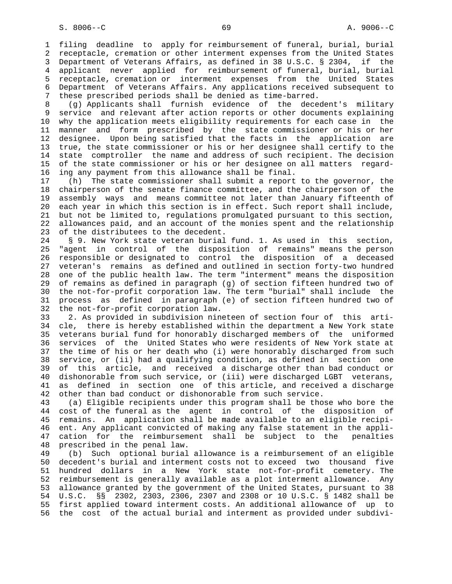1 filing deadline to apply for reimbursement of funeral, burial, burial 2 receptacle, cremation or other interment expenses from the United States 3 Department of Veterans Affairs, as defined in 38 U.S.C. § 2304, if the 4 applicant never applied for reimbursement of funeral, burial, burial 5 receptacle, cremation or interment expenses from the United States 6 Department of Veterans Affairs. Any applications received subsequent to 7 these prescribed periods shall be denied as time-barred.

 8 (g) Applicants shall furnish evidence of the decedent's military 9 service and relevant after action reports or other documents explaining 10 why the application meets eligibility requirements for each case in the 11 manner and form prescribed by the state commissioner or his or her 12 designee. Upon being satisfied that the facts in the application are 13 true, the state commissioner or his or her designee shall certify to the 14 state comptroller the name and address of such recipient. The decision 15 of the state commissioner or his or her designee on all matters regard- 16 ing any payment from this allowance shall be final.

 17 (h) The state commissioner shall submit a report to the governor, the 18 chairperson of the senate finance committee, and the chairperson of the 19 assembly ways and means committee not later than January fifteenth of 20 each year in which this section is in effect. Such report shall include, 21 but not be limited to, regulations promulgated pursuant to this section, 22 allowances paid, and an account of the monies spent and the relationship 23 of the distributees to the decedent.

 24 § 9. New York state veteran burial fund. 1. As used in this section, 25 "agent in control of the disposition of remains" means the person 26 responsible or designated to control the disposition of a deceased 27 veteran's remains as defined and outlined in section forty-two hundred 28 one of the public health law. The term "interment" means the disposition 29 of remains as defined in paragraph (g) of section fifteen hundred two of 30 the not-for-profit corporation law. The term "burial" shall include the 31 process as defined in paragraph (e) of section fifteen hundred two of 32 the not-for-profit corporation law.

 33 2. As provided in subdivision nineteen of section four of this arti- 34 cle, there is hereby established within the department a New York state 35 veterans burial fund for honorably discharged members of the uniformed 36 services of the United States who were residents of New York state at 37 the time of his or her death who (i) were honorably discharged from such 38 service, or (ii) had a qualifying condition, as defined in section one 39 of this article, and received a discharge other than bad conduct or 40 dishonorable from such service, or (iii) were discharged LGBT veterans, 41 as defined in section one of this article, and received a discharge 42 other than bad conduct or dishonorable from such service.

 43 (a) Eligible recipients under this program shall be those who bore the 44 cost of the funeral as the agent in control of the disposition of 45 remains. An application shall be made available to an eligible recipi- 46 ent. Any applicant convicted of making any false statement in the appli- 47 cation for the reimbursement shall be subject to the penalties 48 prescribed in the penal law.

 49 (b) Such optional burial allowance is a reimbursement of an eligible 50 decedent's burial and interment costs not to exceed two thousand five 51 hundred dollars in a New York state not-for-profit cemetery. The 52 reimbursement is generally available as a plot interment allowance. Any 53 allowance granted by the government of the United States, pursuant to 38 54 U.S.C. §§ 2302, 2303, 2306, 2307 and 2308 or 10 U.S.C. § 1482 shall be 55 first applied toward interment costs. An additional allowance of up to 56 the cost of the actual burial and interment as provided under subdivi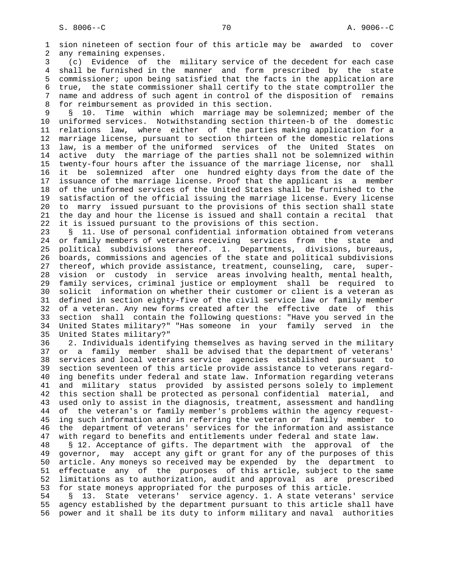1 sion nineteen of section four of this article may be awarded to cover 2 any remaining expenses.

 3 (c) Evidence of the military service of the decedent for each case 4 shall be furnished in the manner and form prescribed by the state 5 commissioner; upon being satisfied that the facts in the application are 6 true, the state commissioner shall certify to the state comptroller the 7 name and address of such agent in control of the disposition of remains 8 for reimbursement as provided in this section.

 9 § 10. Time within which marriage may be solemnized; member of the 10 uniformed services. Notwithstanding section thirteen-b of the domestic 11 relations law, where either of the parties making application for a 12 marriage license, pursuant to section thirteen of the domestic relations 13 law, is a member of the uniformed services of the United States on 14 active duty the marriage of the parties shall not be solemnized within 15 twenty-four hours after the issuance of the marriage license, nor shall 16 it be solemnized after one hundred eighty days from the date of the 17 issuance of the marriage license. Proof that the applicant is a member 18 of the uniformed services of the United States shall be furnished to the 19 satisfaction of the official issuing the marriage license. Every license 20 to marry issued pursuant to the provisions of this section shall state 21 the day and hour the license is issued and shall contain a recital that 22 it is issued pursuant to the provisions of this section.

 23 § 11. Use of personal confidential information obtained from veterans 24 or family members of veterans receiving services from the state and 25 political subdivisions thereof. 1. Departments, divisions, bureaus, 26 boards, commissions and agencies of the state and political subdivisions 27 thereof, which provide assistance, treatment, counseling, care, super- 28 vision or custody in service areas involving health, mental health, 29 family services, criminal justice or employment shall be required to 30 solicit information on whether their customer or client is a veteran as 31 defined in section eighty-five of the civil service law or family member 32 of a veteran. Any new forms created after the effective date of this 33 section shall contain the following questions: "Have you served in the 34 United States military?" "Has someone in your family served in the 35 United States military?"

 36 2. Individuals identifying themselves as having served in the military 37 or a family member shall be advised that the department of veterans' 38 services and local veterans service agencies established pursuant to 39 section seventeen of this article provide assistance to veterans regard- 40 ing benefits under federal and state law. Information regarding veterans 41 and military status provided by assisted persons solely to implement 42 this section shall be protected as personal confidential material, and 43 used only to assist in the diagnosis, treatment, assessment and handling 44 of the veteran's or family member's problems within the agency request- 45 ing such information and in referring the veteran or family member to 46 the department of veterans' services for the information and assistance 47 with regard to benefits and entitlements under federal and state law.

 48 § 12. Acceptance of gifts. The department with the approval of the 49 governor, may accept any gift or grant for any of the purposes of this 50 article. Any moneys so received may be expended by the department to 51 effectuate any of the purposes of this article, subject to the same 52 limitations as to authorization, audit and approval as are prescribed 53 for state moneys appropriated for the purposes of this article.

 54 § 13. State veterans' service agency. 1. A state veterans' service 55 agency established by the department pursuant to this article shall have 56 power and it shall be its duty to inform military and naval authorities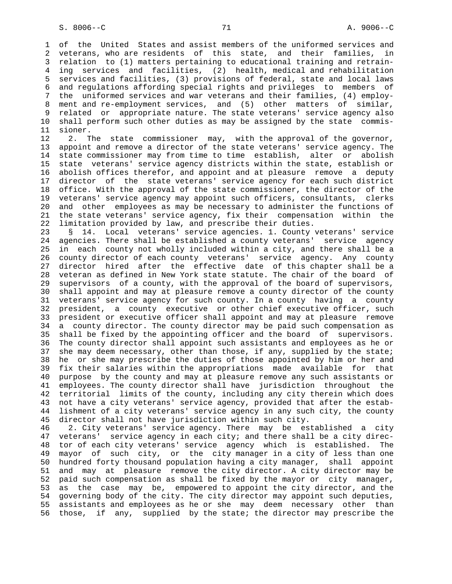1 of the United States and assist members of the uniformed services and 2 veterans, who are residents of this state, and their families, in 3 relation to (1) matters pertaining to educational training and retrain- 4 ing services and facilities, (2) health, medical and rehabilitation 5 services and facilities, (3) provisions of federal, state and local laws 6 and regulations affording special rights and privileges to members of 7 the uniformed services and war veterans and their families, (4) employ- 8 ment and re-employment services, and (5) other matters of similar, 9 related or appropriate nature. The state veterans' service agency also 10 shall perform such other duties as may be assigned by the state commis- 11 sioner.

 12 2. The state commissioner may, with the approval of the governor, 13 appoint and remove a director of the state veterans' service agency. The 14 state commissioner may from time to time establish, alter or abolish 15 state veterans' service agency districts within the state, establish or 16 abolish offices therefor, and appoint and at pleasure remove a deputy 17 director of the state veterans' service agency for each such district 18 office. With the approval of the state commissioner, the director of the 19 veterans' service agency may appoint such officers, consultants, clerks 20 and other employees as may be necessary to administer the functions of 21 the state veterans' service agency, fix their compensation within the 22 limitation provided by law, and prescribe their duties.

 23 § 14. Local veterans' service agencies. 1. County veterans' service 24 agencies. There shall be established a county veterans' service agency 25 in each county not wholly included within a city, and there shall be a 26 county director of each county veterans' service agency. Any county 27 director hired after the effective date of this chapter shall be a 28 veteran as defined in New York state statute. The chair of the board of 29 supervisors of a county, with the approval of the board of supervisors, 30 shall appoint and may at pleasure remove a county director of the county 31 veterans' service agency for such county. In a county having a county 32 president, a county executive or other chief executive officer, such 33 president or executive officer shall appoint and may at pleasure remove 34 a county director. The county director may be paid such compensation as 35 shall be fixed by the appointing officer and the board of supervisors. 36 The county director shall appoint such assistants and employees as he or 37 she may deem necessary, other than those, if any, supplied by the state; 38 he or she may prescribe the duties of those appointed by him or her and 39 fix their salaries within the appropriations made available for that 40 purpose by the county and may at pleasure remove any such assistants or 41 employees. The county director shall have jurisdiction throughout the 42 territorial limits of the county, including any city therein which does 43 not have a city veterans' service agency, provided that after the estab- 44 lishment of a city veterans' service agency in any such city, the county 45 director shall not have jurisdiction within such city.

 46 2. City veterans' service agency. There may be established a city 47 veterans' service agency in each city; and there shall be a city direc- 48 tor of each city veterans' service agency which is established. The 49 mayor of such city, or the city manager in a city of less than one 50 hundred forty thousand population having a city manager, shall appoint 51 and may at pleasure remove the city director. A city director may be 52 paid such compensation as shall be fixed by the mayor or city manager, 53 as the case may be, empowered to appoint the city director, and the 54 governing body of the city. The city director may appoint such deputies, 55 assistants and employees as he or she may deem necessary other than 56 those, if any, supplied by the state; the director may prescribe the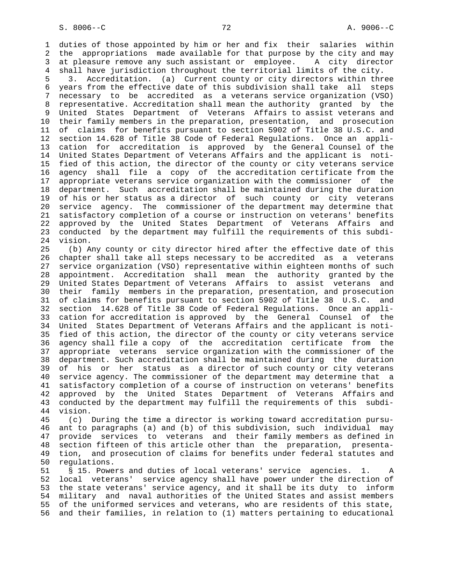1 duties of those appointed by him or her and fix their salaries within 2 the appropriations made available for that purpose by the city and may 3 at pleasure remove any such assistant or employee. A city director 4 shall have jurisdiction throughout the territorial limits of the city.

 5 3. Accreditation. (a) Current county or city directors within three 6 years from the effective date of this subdivision shall take all steps 7 necessary to be accredited as a veterans service organization (VSO) 8 representative. Accreditation shall mean the authority granted by the 9 United States Department of Veterans Affairs to assist veterans and 10 their family members in the preparation, presentation, and prosecution 11 of claims for benefits pursuant to section 5902 of Title 38 U.S.C. and 12 section 14.628 of Title 38 Code of Federal Regulations. Once an appli- 13 cation for accreditation is approved by the General Counsel of the 14 United States Department of Veterans Affairs and the applicant is noti- 15 fied of this action, the director of the county or city veterans service 16 agency shall file a copy of the accreditation certificate from the 17 appropriate veterans service organization with the commissioner of the 18 department. Such accreditation shall be maintained during the duration 19 of his or her status as a director of such county or city veterans 20 service agency. The commissioner of the department may determine that 21 satisfactory completion of a course or instruction on veterans' benefits 22 approved by the United States Department of Veterans Affairs and 23 conducted by the department may fulfill the requirements of this subdi- 24 vision.

 25 (b) Any county or city director hired after the effective date of this 26 chapter shall take all steps necessary to be accredited as a veterans 27 service organization (VSO) representative within eighteen months of such 28 appointment. Accreditation shall mean the authority granted by the 29 United States Department of Veterans Affairs to assist veterans and 30 their family members in the preparation, presentation, and prosecution 31 of claims for benefits pursuant to section 5902 of Title 38 U.S.C. and 32 section 14.628 of Title 38 Code of Federal Regulations. Once an appli- 33 cation for accreditation is approved by the General Counsel of the 34 United States Department of Veterans Affairs and the applicant is noti- 35 fied of this action, the director of the county or city veterans service 36 agency shall file a copy of the accreditation certificate from the 37 appropriate veterans service organization with the commissioner of the 38 department. Such accreditation shall be maintained during the duration 39 of his or her status as a director of such county or city veterans 40 service agency. The commissioner of the department may determine that a 41 satisfactory completion of a course of instruction on veterans' benefits 42 approved by the United States Department of Veterans Affairs and 43 conducted by the department may fulfill the requirements of this subdi- 44 vision.

 45 (c) During the time a director is working toward accreditation pursu- 46 ant to paragraphs (a) and (b) of this subdivision, such individual may 47 provide services to veterans and their family members as defined in 48 section fifteen of this article other than the preparation, presenta- 49 tion, and prosecution of claims for benefits under federal statutes and 50 regulations.

 51 § 15. Powers and duties of local veterans' service agencies. 1. A 52 local veterans' service agency shall have power under the direction of 53 the state veterans' service agency, and it shall be its duty to inform 54 military and naval authorities of the United States and assist members 55 of the uniformed services and veterans, who are residents of this state, 56 and their families, in relation to (1) matters pertaining to educational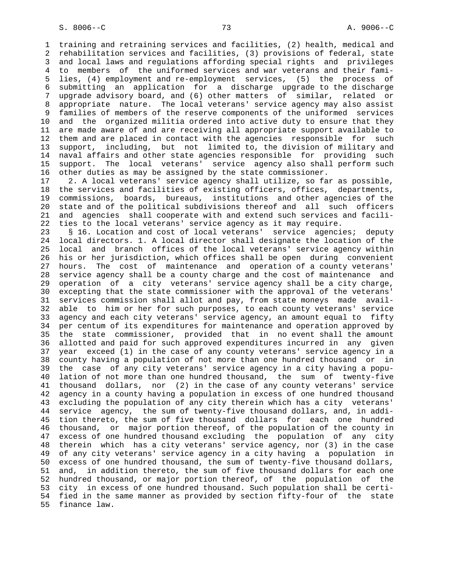1 training and retraining services and facilities, (2) health, medical and 2 rehabilitation services and facilities, (3) provisions of federal, state 3 and local laws and regulations affording special rights and privileges 4 to members of the uniformed services and war veterans and their fami- 5 lies, (4) employment and re-employment services, (5) the process of 6 submitting an application for a discharge upgrade to the discharge 7 upgrade advisory board, and (6) other matters of similar, related or 8 appropriate nature. The local veterans' service agency may also assist 9 families of members of the reserve components of the uniformed services 10 and the organized militia ordered into active duty to ensure that they 11 are made aware of and are receiving all appropriate support available to 12 them and are placed in contact with the agencies responsible for such 13 support, including, but not limited to, the division of military and 14 naval affairs and other state agencies responsible for providing such 15 support. The local veterans' service agency also shall perform such 16 other duties as may be assigned by the state commissioner.

 17 2. A local veterans' service agency shall utilize, so far as possible, 18 the services and facilities of existing officers, offices, departments, 19 commissions, boards, bureaus, institutions and other agencies of the 20 state and of the political subdivisions thereof and all such officers 21 and agencies shall cooperate with and extend such services and facili- 22 ties to the local veterans' service agency as it may require.

 23 § 16. Location and cost of local veterans' service agencies; deputy 24 local directors. 1. A local director shall designate the location of the 25 local and branch offices of the local veterans' service agency within 26 his or her jurisdiction, which offices shall be open during convenient 27 hours. The cost of maintenance and operation of a county veterans' 28 service agency shall be a county charge and the cost of maintenance and 29 operation of a city veterans' service agency shall be a city charge, 30 excepting that the state commissioner with the approval of the veterans' 31 services commission shall allot and pay, from state moneys made avail- 32 able to him or her for such purposes, to each county veterans' service 33 agency and each city veterans' service agency, an amount equal to fifty 34 per centum of its expenditures for maintenance and operation approved by 35 the state commissioner, provided that in no event shall the amount 36 allotted and paid for such approved expenditures incurred in any given 37 year exceed (1) in the case of any county veterans' service agency in a 38 county having a population of not more than one hundred thousand or in 39 the case of any city veterans' service agency in a city having a popu- 40 lation of not more than one hundred thousand, the sum of twenty-five 41 thousand dollars, nor (2) in the case of any county veterans' service 42 agency in a county having a population in excess of one hundred thousand 43 excluding the population of any city therein which has a city veterans' 44 service agency, the sum of twenty-five thousand dollars, and, in addi- 45 tion thereto, the sum of five thousand dollars for each one hundred 46 thousand, or major portion thereof, of the population of the county in 47 excess of one hundred thousand excluding the population of any city 48 therein which has a city veterans' service agency, nor (3) in the case 49 of any city veterans' service agency in a city having a population in 50 excess of one hundred thousand, the sum of twenty-five thousand dollars, 51 and, in addition thereto, the sum of five thousand dollars for each one 52 hundred thousand, or major portion thereof, of the population of the 53 city in excess of one hundred thousand. Such population shall be certi- 54 fied in the same manner as provided by section fifty-four of the state 55 finance law.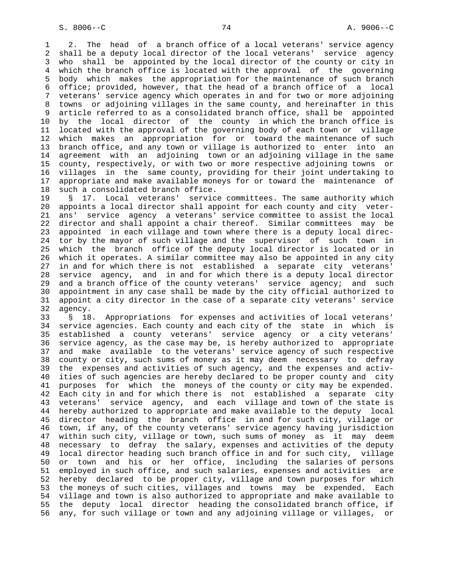1 2. The head of a branch office of a local veterans' service agency 2 shall be a deputy local director of the local veterans' service agency 3 who shall be appointed by the local director of the county or city in 4 which the branch office is located with the approval of the governing 5 body which makes the appropriation for the maintenance of such branch 6 office; provided, however, that the head of a branch office of a local 7 veterans' service agency which operates in and for two or more adjoining 8 towns or adjoining villages in the same county, and hereinafter in this 9 article referred to as a consolidated branch office, shall be appointed<br>10 by the local director of the county in which the branch office is by the local director of the county in which the branch office is 11 located with the approval of the governing body of each town or village 12 which makes an appropriation for or toward the maintenance of such 13 branch office, and any town or village is authorized to enter into an 14 agreement with an adjoining town or an adjoining village in the same 15 county, respectively, or with two or more respective adjoining towns or 16 villages in the same county, providing for their joint undertaking to 17 appropriate and make available moneys for or toward the maintenance of 18 such a consolidated branch office.

 19 § 17. Local veterans' service committees. The same authority which 20 appoints a local director shall appoint for each county and city veter- 21 ans' service agency a veterans' service committee to assist the local 22 director and shall appoint a chair thereof. Similar committees may be 23 appointed in each village and town where there is a deputy local direc- 24 tor by the mayor of such village and the supervisor of such town in 25 which the branch office of the deputy local director is located or in 26 which it operates. A similar committee may also be appointed in any city 27 in and for which there is not established a separate city veterans' 28 service agency, and in and for which there is a deputy local director 29 and a branch office of the county veterans' service agency; and such 30 appointment in any case shall be made by the city official authorized to 31 appoint a city director in the case of a separate city veterans' service 32 agency.

 33 § 18. Appropriations for expenses and activities of local veterans' 34 service agencies. Each county and each city of the state in which is 35 established a county veterans' service agency or a city veterans' 36 service agency, as the case may be, is hereby authorized to appropriate 37 and make available to the veterans' service agency of such respective 38 county or city, such sums of money as it may deem necessary to defray 39 the expenses and activities of such agency, and the expenses and activ- 40 ities of such agencies are hereby declared to be proper county and city 41 purposes for which the moneys of the county or city may be expended. 42 Each city in and for which there is not established a separate city 43 veterans' service agency, and each village and town of the state is 44 hereby authorized to appropriate and make available to the deputy local 45 director heading the branch office in and for such city, village or 46 town, if any, of the county veterans' service agency having jurisdiction 47 within such city, village or town, such sums of money as it may deem 48 necessary to defray the salary, expenses and activities of the deputy 49 local director heading such branch office in and for such city, village 50 or town and his or her office, including the salaries of persons 51 employed in such office, and such salaries, expenses and activities are 52 hereby declared to be proper city, village and town purposes for which 53 the moneys of such cities, villages and towns may be expended. Each 54 village and town is also authorized to appropriate and make available to 55 the deputy local director heading the consolidated branch office, if 56 any, for such village or town and any adjoining village or villages, or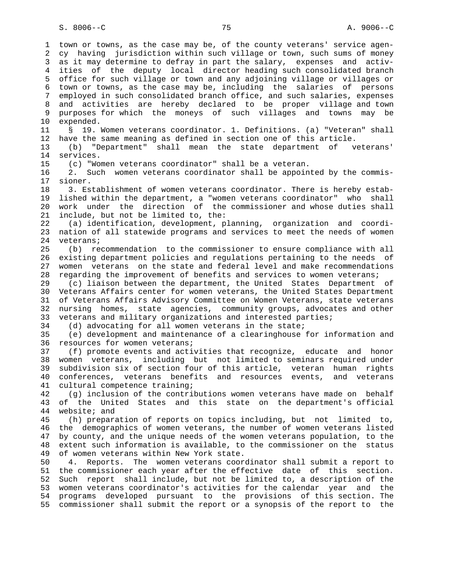1 town or towns, as the case may be, of the county veterans' service agen- 2 cy having jurisdiction within such village or town, such sums of money 3 as it may determine to defray in part the salary, expenses and activ- 4 ities of the deputy local director heading such consolidated branch 5 office for such village or town and any adjoining village or villages or 6 town or towns, as the case may be, including the salaries of persons 7 employed in such consolidated branch office, and such salaries, expenses 8 and activities are hereby declared to be proper village and town 9 purposes for which the moneys of such villages and towns may be 10 expended. 11 § 19. Women veterans coordinator. 1. Definitions. (a) "Veteran" shall 12 have the same meaning as defined in section one of this article. 13 (b) "Department" shall mean the state department of veterans' 14 services. 15 (c) "Women veterans coordinator" shall be a veteran. 16 2. Such women veterans coordinator shall be appointed by the commis- 17 sioner. 18 3. Establishment of women veterans coordinator. There is hereby estab- 19 lished within the department, a "women veterans coordinator" who shall 20 work under the direction of the commissioner and whose duties shall 21 include, but not be limited to, the: 22 (a) identification, development, planning, organization and coordi- 23 nation of all statewide programs and services to meet the needs of women 24 veterans; 25 (b) recommendation to the commissioner to ensure compliance with all 26 existing department policies and regulations pertaining to the needs of 27 women veterans on the state and federal level and make recommendations 28 regarding the improvement of benefits and services to women veterans; 29 (c) liaison between the department, the United States Department of 30 Veterans Affairs center for women veterans, the United States Department 31 of Veterans Affairs Advisory Committee on Women Veterans, state veterans 32 nursing homes, state agencies, community groups, advocates and other 33 veterans and military organizations and interested parties; 34 (d) advocating for all women veterans in the state; 35 (e) development and maintenance of a clearinghouse for information and 36 resources for women veterans; 37 (f) promote events and activities that recognize, educate and honor 38 women veterans, including but not limited to seminars required under 39 subdivision six of section four of this article, veteran human rights 40 conferences, veterans benefits and resources events, and veterans 41 cultural competence training; 42 (g) inclusion of the contributions women veterans have made on behalf 43 of the United States and this state on the department's official 44 website; and 45 (h) preparation of reports on topics including, but not limited to, 46 the demographics of women veterans, the number of women veterans listed 47 by county, and the unique needs of the women veterans population, to the 48 extent such information is available, to the commissioner on the status 49 of women veterans within New York state. 50 4. Reports. The women veterans coordinator shall submit a report to 51 the commissioner each year after the effective date of this section. 52 Such report shall include, but not be limited to, a description of the 53 women veterans coordinator's activities for the calendar year and the 54 programs developed pursuant to the provisions of this section. The 55 commissioner shall submit the report or a synopsis of the report to the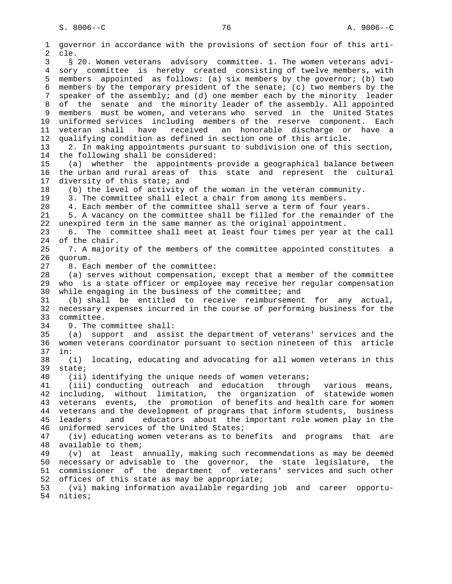1 governor in accordance with the provisions of section four of this arti- 2 cle. 3 § 20. Women veterans advisory committee. 1. The women veterans advi- 4 sory committee is hereby created consisting of twelve members, with 5 members appointed as follows: (a) six members by the governor; (b) two 6 members by the temporary president of the senate; (c) two members by the 7 speaker of the assembly; and (d) one member each by the minority leader 8 of the senate and the minority leader of the assembly. All appointed 9 members must be women, and veterans who served in the United States 10 uniformed services including members of the reserve component. Each 11 veteran shall have received an honorable discharge or have a 12 qualifying condition as defined in section one of this article. 13 2. In making appointments pursuant to subdivision one of this section, 14 the following shall be considered: 15 (a) whether the appointments provide a geographical balance between 16 the urban and rural areas of this state and represent the cultural 17 diversity of this state; and 18 (b) the level of activity of the woman in the veteran community. 19 3. The committee shall elect a chair from among its members. 20 4. Each member of the committee shall serve a term of four years. 21 5. A vacancy on the committee shall be filled for the remainder of the 22 unexpired term in the same manner as the original appointment. 23 6. The committee shall meet at least four times per year at the call 24 of the chair. 25 7. A majority of the members of the committee appointed constitutes a 26 quorum. 27 8. Each member of the committee: 28 (a) serves without compensation, except that a member of the committee 29 who is a state officer or employee may receive her regular compensation 30 while engaging in the business of the committee; and 31 (b) shall be entitled to receive reimbursement for any actual, 32 necessary expenses incurred in the course of performing business for the 33 committee. 34 9. The committee shall: 35 (a) support and assist the department of veterans' services and the 36 women veterans coordinator pursuant to section nineteen of this article 37 in: 38 (i) locating, educating and advocating for all women veterans in this 39 state; 40 (ii) identifying the unique needs of women veterans; 41 (iii) conducting outreach and education through various means, 42 including, without limitation, the organization of statewide women 43 veterans events, the promotion of benefits and health care for women 44 veterans and the development of programs that inform students, business 45 leaders and educators about the important role women play in the 46 uniformed services of the United States; 47 (iv) educating women veterans as to benefits and programs that are 48 available to them; 49 (v) at least annually, making such recommendations as may be deemed 50 necessary or advisable to the governor, the state legislature, the 51 commissioner of the department of veterans' services and such other 52 offices of this state as may be appropriate; 53 (vi) making information available regarding job and career opportu- 54 nities;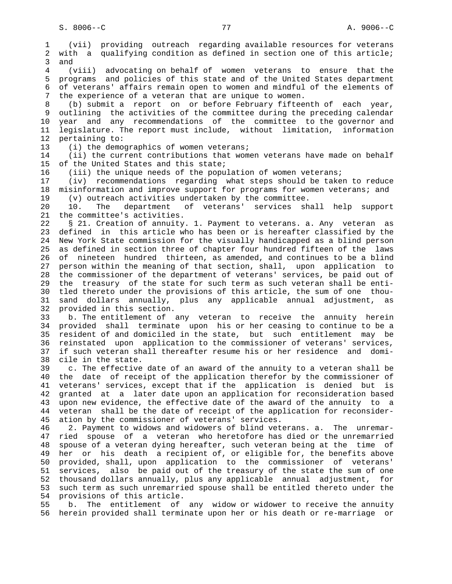1 (vii) providing outreach regarding available resources for veterans 2 with a qualifying condition as defined in section one of this article; 3 and 4 (viii) advocating on behalf of women veterans to ensure that the 5 programs and policies of this state and of the United States department 6 of veterans' affairs remain open to women and mindful of the elements of 7 the experience of a veteran that are unique to women. 8 (b) submit a report on or before February fifteenth of each year, 9 outlining the activities of the committee during the preceding calendar 10 year and any recommendations of the committee to the governor and 11 legislature. The report must include, without limitation, information 12 pertaining to: 13 (i) the demographics of women veterans; 14 (ii) the current contributions that women veterans have made on behalf 15 of the United States and this state; 16 (iii) the unique needs of the population of women veterans; 17 (iv) recommendations regarding what steps should be taken to reduce 18 misinformation and improve support for programs for women veterans; and 19 (v) outreach activities undertaken by the committee. 20 10. The department of veterans' services shall help support 21 the committee's activities. 22 § 21. Creation of annuity. 1. Payment to veterans. a. Any veteran as 23 defined in this article who has been or is hereafter classified by the 24 New York State commission for the visually handicapped as a blind person 25 as defined in section three of chapter four hundred fifteen of the laws 26 of nineteen hundred thirteen, as amended, and continues to be a blind 27 person within the meaning of that section, shall, upon application to 28 the commissioner of the department of veterans' services, be paid out of 29 the treasury of the state for such term as such veteran shall be enti- 30 tled thereto under the provisions of this article, the sum of one thou- 31 sand dollars annually, plus any applicable annual adjustment, as 32 provided in this section. 33 b. The entitlement of any veteran to receive the annuity herein 34 provided shall terminate upon his or her ceasing to continue to be a 35 resident of and domiciled in the state, but such entitlement may be 36 reinstated upon application to the commissioner of veterans' services, 37 if such veteran shall thereafter resume his or her residence and domi- 38 cile in the state. 39 c. The effective date of an award of the annuity to a veteran shall be 40 the date of receipt of the application therefor by the commissioner of 41 veterans' services, except that if the application is denied but is 42 granted at a later date upon an application for reconsideration based 43 upon new evidence, the effective date of the award of the annuity to a 44 veteran shall be the date of receipt of the application for reconsider- 45 ation by the commissioner of veterans' services. 46 2. Payment to widows and widowers of blind veterans. a. The unremar- 47 ried spouse of a veteran who heretofore has died or the unremarried 48 spouse of a veteran dying hereafter, such veteran being at the time of 49 her or his death a recipient of, or eligible for, the benefits above 50 provided, shall, upon application to the commissioner of veterans' 51 services, also be paid out of the treasury of the state the sum of one 52 thousand dollars annually, plus any applicable annual adjustment, for 53 such term as such unremarried spouse shall be entitled thereto under the 54 provisions of this article.

 55 b. The entitlement of any widow or widower to receive the annuity 56 herein provided shall terminate upon her or his death or re-marriage or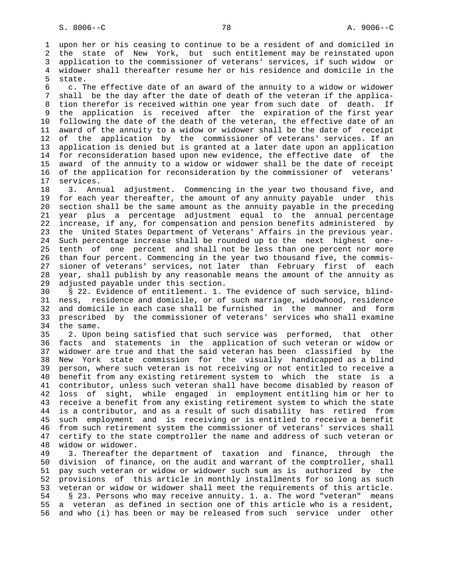1 upon her or his ceasing to continue to be a resident of and domiciled in 2 the state of New York, but such entitlement may be reinstated upon 3 application to the commissioner of veterans' services, if such widow or 4 widower shall thereafter resume her or his residence and domicile in the 5 state.

 6 c. The effective date of an award of the annuity to a widow or widower 7 shall be the day after the date of death of the veteran if the applica- 8 tion therefor is received within one year from such date of death. If 9 the application is received after the expiration of the first year 10 following the date of the death of the veteran, the effective date of an 11 award of the annuity to a widow or widower shall be the date of receipt 12 of the application by the commissioner of veterans' services. If an 13 application is denied but is granted at a later date upon an application 14 for reconsideration based upon new evidence, the effective date of the 15 award of the annuity to a widow or widower shall be the date of receipt 16 of the application for reconsideration by the commissioner of veterans' 17 services.

 18 3. Annual adjustment. Commencing in the year two thousand five, and 19 for each year thereafter, the amount of any annuity payable under this 20 section shall be the same amount as the annuity payable in the preceding 21 year plus a percentage adjustment equal to the annual percentage 22 increase, if any, for compensation and pension benefits administered by 23 the United States Department of Veterans' Affairs in the previous year. 24 Such percentage increase shall be rounded up to the next highest one- 25 tenth of one percent and shall not be less than one percent nor more 26 than four percent. Commencing in the year two thousand five, the commis- 27 sioner of veterans' services, not later than February first of each 28 year, shall publish by any reasonable means the amount of the annuity as 29 adjusted payable under this section.

 30 § 22. Evidence of entitlement. 1. The evidence of such service, blind- 31 ness, residence and domicile, or of such marriage, widowhood, residence 32 and domicile in each case shall be furnished in the manner and form 33 prescribed by the commissioner of veterans' services who shall examine 34 the same.

 35 2. Upon being satisfied that such service was performed, that other 36 facts and statements in the application of such veteran or widow or 37 widower are true and that the said veteran has been classified by the 38 New York state commission for the visually handicapped as a blind 39 person, where such veteran is not receiving or not entitled to receive a 40 benefit from any existing retirement system to which the state is a 41 contributor, unless such veteran shall have become disabled by reason of 42 loss of sight, while engaged in employment entitling him or her to 43 receive a benefit from any existing retirement system to which the state 44 is a contributor, and as a result of such disability has retired from 45 such employment and is receiving or is entitled to receive a benefit 46 from such retirement system the commissioner of veterans' services shall 47 certify to the state comptroller the name and address of such veteran or 48 widow or widower.

 49 3. Thereafter the department of taxation and finance, through the 50 division of finance, on the audit and warrant of the comptroller, shall 51 pay such veteran or widow or widower such sum as is authorized by the 52 provisions of this article in monthly installments for so long as such 53 veteran or widow or widower shall meet the requirements of this article. 54 § 23. Persons who may receive annuity. 1. a. The word "veteran" means 55 a veteran as defined in section one of this article who is a resident, 56 and who (i) has been or may be released from such service under other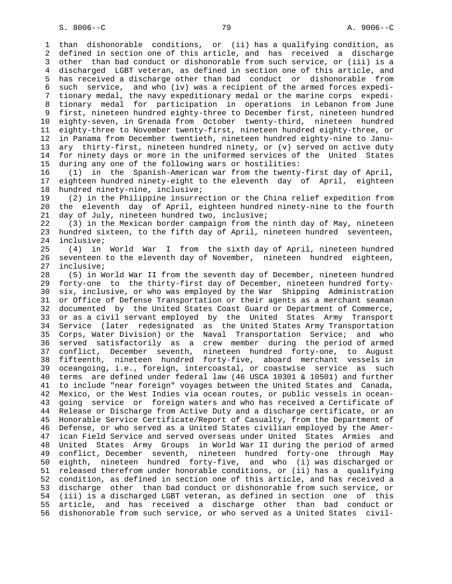1 than dishonorable conditions, or (ii) has a qualifying condition, as 2 defined in section one of this article, and has received a discharge 3 other than bad conduct or dishonorable from such service, or (iii) is a 4 discharged LGBT veteran, as defined in section one of this article, and 5 has received a discharge other than bad conduct or dishonorable from 6 such service, and who (iv) was a recipient of the armed forces expedi- 7 tionary medal, the navy expeditionary medal or the marine corps expedi- 8 tionary medal for participation in operations in Lebanon from June 9 first, nineteen hundred eighty-three to December first, nineteen hundred 10 eighty-seven, in Grenada from October twenty-third, nineteen hundred 11 eighty-three to November twenty-first, nineteen hundred eighty-three, or 12 in Panama from December twentieth, nineteen hundred eighty-nine to Janu- 13 ary thirty-first, nineteen hundred ninety, or (v) served on active duty 14 for ninety days or more in the uniformed services of the United States 15 during any one of the following wars or hostilities:

 16 (1) in the Spanish-American war from the twenty-first day of April, 17 eighteen hundred ninety-eight to the eleventh day of April, eighteen 18 hundred ninety-nine, inclusive;

 19 (2) in the Philippine insurrection or the China relief expedition from 20 the eleventh day of April, eighteen hundred ninety-nine to the fourth 21 day of July, nineteen hundred two, inclusive;

 22 (3) in the Mexican border campaign from the ninth day of May, nineteen 23 hundred sixteen, to the fifth day of April, nineteen hundred seventeen, 24 inclusive;

 25 (4) in World War I from the sixth day of April, nineteen hundred 26 seventeen to the eleventh day of November, nineteen hundred eighteen, 27 inclusive;

 28 (5) in World War II from the seventh day of December, nineteen hundred 29 forty-one to the thirty-first day of December, nineteen hundred forty- 30 six, inclusive, or who was employed by the War Shipping Administration 31 or Office of Defense Transportation or their agents as a merchant seaman 32 documented by the United States Coast Guard or Department of Commerce, 33 or as a civil servant employed by the United States Army Transport 34 Service (later redesignated as the United States Army Transportation 35 Corps, Water Division) or the Naval Transportation Service; and who 36 served satisfactorily as a crew member during the period of armed 37 conflict, December seventh, nineteen hundred forty-one, to August fifteenth, nineteen hundred forty-five, aboard merchant vessels in 39 oceangoing, i.e., foreign, intercoastal, or coastwise service as such 40 terms are defined under federal law (46 USCA 10301 & 10501) and further 41 to include "near foreign" voyages between the United States and Canada, 42 Mexico, or the West Indies via ocean routes, or public vessels in ocean- 43 going service or foreign waters and who has received a Certificate of 44 Release or Discharge from Active Duty and a discharge certificate, or an 45 Honorable Service Certificate/Report of Casualty, from the Department of 46 Defense, or who served as a United States civilian employed by the Amer- 47 ican Field Service and served overseas under United States Armies and 48 United States Army Groups in World War II during the period of armed 49 conflict, December seventh, nineteen hundred forty-one through May 50 eighth, nineteen hundred forty-five, and who (i) was discharged or 51 released therefrom under honorable conditions, or (ii) has a qualifying 52 condition, as defined in section one of this article, and has received a 53 discharge other than bad conduct or dishonorable from such service, or 54 (iii) is a discharged LGBT veteran, as defined in section one of this 55 article, and has received a discharge other than bad conduct or 56 dishonorable from such service, or who served as a United States civil-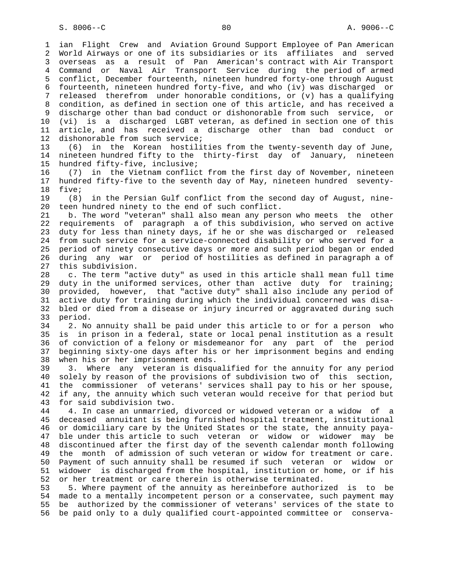1 ian Flight Crew and Aviation Ground Support Employee of Pan American 2 World Airways or one of its subsidiaries or its affiliates and served 3 overseas as a result of Pan American's contract with Air Transport 4 Command or Naval Air Transport Service during the period of armed 5 conflict, December fourteenth, nineteen hundred forty-one through August 6 fourteenth, nineteen hundred forty-five, and who (iv) was discharged or 7 released therefrom under honorable conditions, or (v) has a qualifying 8 condition, as defined in section one of this article, and has received a 9 discharge other than bad conduct or dishonorable from such service, or 10 (vi) is a discharged LGBT veteran, as defined in section one of this 11 article, and has received a discharge other than bad conduct or 12 dishonorable from such service; 13 (6) in the Korean hostilities from the twenty-seventh day of June, 14 nineteen hundred fifty to the thirty-first day of January, nineteen 15 hundred fifty-five, inclusive; 16 (7) in the Vietnam conflict from the first day of November, nineteen 17 hundred fifty-five to the seventh day of May, nineteen hundred seventy- 18 five; 19 (8) in the Persian Gulf conflict from the second day of August, nine- 20 teen hundred ninety to the end of such conflict. 21 b. The word "veteran" shall also mean any person who meets the other 22 requirements of paragraph a of this subdivision, who served on active 23 duty for less than ninety days, if he or she was discharged or released 24 from such service for a service-connected disability or who served for a 25 period of ninety consecutive days or more and such period began or ended 26 during any war or period of hostilities as defined in paragraph a of 27 this subdivision. 28 c. The term "active duty" as used in this article shall mean full time 29 duty in the uniformed services, other than active duty for training; 30 provided, however, that "active duty" shall also include any period of 31 active duty for training during which the individual concerned was disa- 32 bled or died from a disease or injury incurred or aggravated during such 33 period. 34 2. No annuity shall be paid under this article to or for a person who 35 is in prison in a federal, state or local penal institution as a result 36 of conviction of a felony or misdemeanor for any part of the period 37 beginning sixty-one days after his or her imprisonment begins and ending 38 when his or her imprisonment ends. 39 3. Where any veteran is disqualified for the annuity for any period 40 solely by reason of the provisions of subdivision two of this section, 41 the commissioner of veterans' services shall pay to his or her spouse, 42 if any, the annuity which such veteran would receive for that period but 43 for said subdivision two. 44 4. In case an unmarried, divorced or widowed veteran or a widow of a 45 deceased annuitant is being furnished hospital treatment, institutional 46 or domiciliary care by the United States or the state, the annuity paya- 47 ble under this article to such veteran or widow or widower may be 48 discontinued after the first day of the seventh calendar month following 49 the month of admission of such veteran or widow for treatment or care. 50 Payment of such annuity shall be resumed if such veteran or widow or 51 widower is discharged from the hospital, institution or home, or if his 52 or her treatment or care therein is otherwise terminated. 53 5. Where payment of the annuity as hereinbefore authorized is to be 54 made to a mentally incompetent person or a conservatee, such payment may 55 be authorized by the commissioner of veterans' services of the state to

56 be paid only to a duly qualified court-appointed committee or conserva-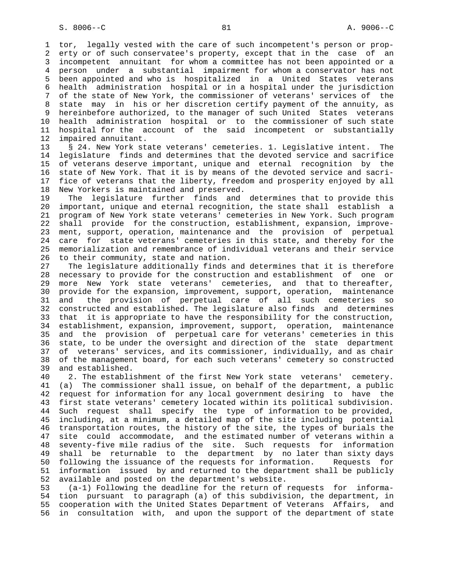1 tor, legally vested with the care of such incompetent's person or prop- 2 erty or of such conservatee's property, except that in the case of an 3 incompetent annuitant for whom a committee has not been appointed or a 4 person under a substantial impairment for whom a conservator has not 5 been appointed and who is hospitalized in a United States veterans 6 health administration hospital or in a hospital under the jurisdiction 7 of the state of New York, the commissioner of veterans' services of the 8 state may in his or her discretion certify payment of the annuity, as 9 hereinbefore authorized, to the manager of such United States veterans 10 health administration hospital or to the commissioner of such state 11 hospital for the account of the said incompetent or substantially 12 impaired annuitant.

 13 § 24. New York state veterans' cemeteries. 1. Legislative intent. The 14 legislature finds and determines that the devoted service and sacrifice 15 of veterans deserve important, unique and eternal recognition by the 16 state of New York. That it is by means of the devoted service and sacri- 17 fice of veterans that the liberty, freedom and prosperity enjoyed by all 18 New Yorkers is maintained and preserved.

 19 The legislature further finds and determines that to provide this 20 important, unique and eternal recognition, the state shall establish a 21 program of New York state veterans' cemeteries in New York. Such program 22 shall provide for the construction, establishment, expansion, improve- 23 ment, support, operation, maintenance and the provision of perpetual 24 care for state veterans' cemeteries in this state, and thereby for the 25 memorialization and remembrance of individual veterans and their service 26 to their community, state and nation.

 27 The legislature additionally finds and determines that it is therefore 28 necessary to provide for the construction and establishment of one or 29 more New York state veterans' cemeteries, and that to thereafter, 30 provide for the expansion, improvement, support, operation, maintenance 31 and the provision of perpetual care of all such cemeteries so 32 constructed and established. The legislature also finds and determines 33 that it is appropriate to have the responsibility for the construction, 34 establishment, expansion, improvement, support, operation, maintenance 35 and the provision of perpetual care for veterans' cemeteries in this 36 state, to be under the oversight and direction of the state department 37 of veterans' services, and its commissioner, individually, and as chair 38 of the management board, for each such veterans' cemetery so constructed 39 and established.

 40 2. The establishment of the first New York state veterans' cemetery. 41 (a) The commissioner shall issue, on behalf of the department, a public 42 request for information for any local government desiring to have the 43 first state veterans' cemetery located within its political subdivision. 44 Such request shall specify the type of information to be provided, 45 including, at a minimum, a detailed map of the site including potential 46 transportation routes, the history of the site, the types of burials the 47 site could accommodate, and the estimated number of veterans within a 48 seventy-five mile radius of the site. Such requests for information 49 shall be returnable to the department by no later than sixty days 50 following the issuance of the requests for information. Requests for 51 information issued by and returned to the department shall be publicly 52 available and posted on the department's website.

 53 (a-1) Following the deadline for the return of requests for informa- 54 tion pursuant to paragraph (a) of this subdivision, the department, in 55 cooperation with the United States Department of Veterans Affairs, and 56 in consultation with, and upon the support of the department of state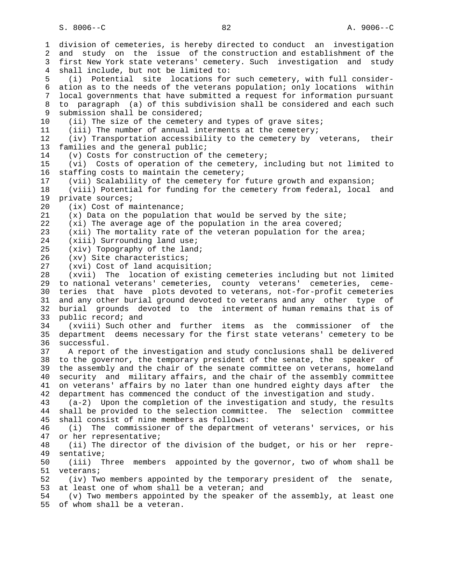1 division of cemeteries, is hereby directed to conduct an investigation 2 and study on the issue of the construction and establishment of the 3 first New York state veterans' cemetery. Such investigation and study 4 shall include, but not be limited to: 5 (i) Potential site locations for such cemetery, with full consider- 6 ation as to the needs of the veterans population; only locations within 7 local governments that have submitted a request for information pursuant 8 to paragraph (a) of this subdivision shall be considered and each such 9 submission shall be considered; 10 (ii) The size of the cemetery and types of grave sites; 11 (iii) The number of annual interments at the cemetery; 12 (iv) Transportation accessibility to the cemetery by veterans, their 13 families and the general public; 14 (v) Costs for construction of the cemetery; 15 (vi) Costs of operation of the cemetery, including but not limited to 16 staffing costs to maintain the cemetery; 17 (vii) Scalability of the cemetery for future growth and expansion; 18 (viii) Potential for funding for the cemetery from federal, local and 19 private sources; 20 (ix) Cost of maintenance; 21 (x) Data on the population that would be served by the site; 22 (xi) The average age of the population in the area covered; 23 (xii) The mortality rate of the veteran population for the area; 24 (xiii) Surrounding land use; 25 (xiv) Topography of the land; 26 (xv) Site characteristics; 27 (xvi) Cost of land acquisition; 28 (xvii) The location of existing cemeteries including but not limited 29 to national veterans' cemeteries, county veterans' cemeteries, ceme- 30 teries that have plots devoted to veterans, not-for-profit cemeteries 31 and any other burial ground devoted to veterans and any other type of 32 burial grounds devoted to the interment of human remains that is of 33 public record; and 34 (xviii) Such other and further items as the commissioner of the 35 department deems necessary for the first state veterans' cemetery to be 36 successful. 37 A report of the investigation and study conclusions shall be delivered 38 to the governor, the temporary president of the senate, the speaker of 39 the assembly and the chair of the senate committee on veterans, homeland 40 security and military affairs, and the chair of the assembly committee 41 on veterans' affairs by no later than one hundred eighty days after the 42 department has commenced the conduct of the investigation and study. 43 (a-2) Upon the completion of the investigation and study, the results 44 shall be provided to the selection committee. The selection committee 45 shall consist of nine members as follows: 46 (i) The commissioner of the department of veterans' services, or his 47 or her representative; 48 (ii) The director of the division of the budget, or his or her repre- 49 sentative; 50 (iii) Three members appointed by the governor, two of whom shall be 51 veterans; 52 (iv) Two members appointed by the temporary president of the senate, 53 at least one of whom shall be a veteran; and 54 (v) Two members appointed by the speaker of the assembly, at least one 55 of whom shall be a veteran.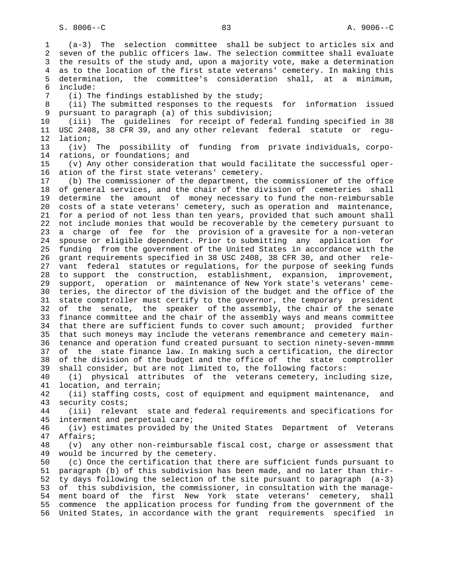1 (a-3) The selection committee shall be subject to articles six and 2 seven of the public officers law. The selection committee shall evaluate 3 the results of the study and, upon a majority vote, make a determination 4 as to the location of the first state veterans' cemetery. In making this 5 determination, the committee's consideration shall, at a minimum, 6 include: 7 (i) The findings established by the study; 8 (ii) The submitted responses to the requests for information issued 9 pursuant to paragraph (a) of this subdivision; 10 (iii) The guidelines for receipt of federal funding specified in 38 11 USC 2408, 38 CFR 39, and any other relevant federal statute or regu- 12 lation; 13 (iv) The possibility of funding from private individuals, corpo- 14 rations, or foundations; and 15 (v) Any other consideration that would facilitate the successful oper- 16 ation of the first state veterans' cemetery. 17 (b) The commissioner of the department, the commissioner of the office 18 of general services, and the chair of the division of cemeteries shall 19 determine the amount of money necessary to fund the non-reimbursable 20 costs of a state veterans' cemetery, such as operation and maintenance, 21 for a period of not less than ten years, provided that such amount shall 22 not include monies that would be recoverable by the cemetery pursuant to 23 a charge of fee for the provision of a gravesite for a non-veteran 24 spouse or eligible dependent. Prior to submitting any application for 25 funding from the government of the United States in accordance with the 26 grant requirements specified in 38 USC 2408, 38 CFR 30, and other rele- 27 vant federal statutes or regulations, for the purpose of seeking funds 28 to support the construction, establishment, expansion, improvement, 29 support, operation or maintenance of New York state's veterans' ceme- 30 teries, the director of the division of the budget and the office of the 31 state comptroller must certify to the governor, the temporary president 32 of the senate, the speaker of the assembly, the chair of the senate 33 finance committee and the chair of the assembly ways and means committee 34 that there are sufficient funds to cover such amount; provided further 35 that such moneys may include the veterans remembrance and cemetery main- 36 tenance and operation fund created pursuant to section ninety-seven-mmmm 37 of the state finance law. In making such a certification, the director 38 of the division of the budget and the office of the state comptroller 39 shall consider, but are not limited to, the following factors: 40 (i) physical attributes of the veterans cemetery, including size, 41 location, and terrain; 42 (ii) staffing costs, cost of equipment and equipment maintenance, and 43 security costs; 44 (iii) relevant state and federal requirements and specifications for 45 interment and perpetual care; 46 (iv) estimates provided by the United States Department of Veterans 47 Affairs; 48 (v) any other non-reimbursable fiscal cost, charge or assessment that 49 would be incurred by the cemetery. 50 (c) Once the certification that there are sufficient funds pursuant to 51 paragraph (b) of this subdivision has been made, and no later than thir- 52 ty days following the selection of the site pursuant to paragraph (a-3) 53 of this subdivision, the commissioner, in consultation with the manage- 54 ment board of the first New York state veterans' cemetery, shall 55 commence the application process for funding from the government of the 56 United States, in accordance with the grant requirements specified in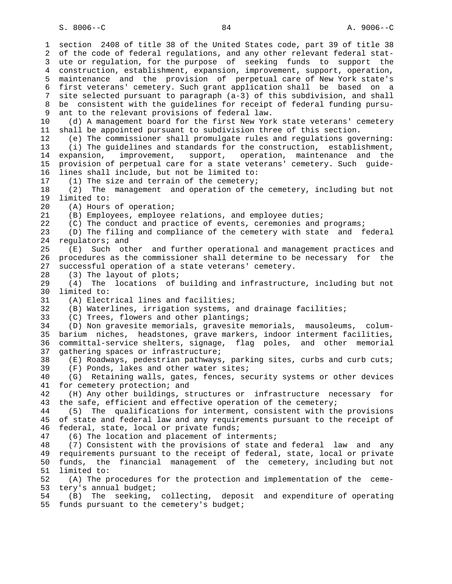$S. 8006 - C$   $84$   $A. 9006 - C$ 

 1 section 2408 of title 38 of the United States code, part 39 of title 38 2 of the code of federal regulations, and any other relevant federal stat- 3 ute or regulation, for the purpose of seeking funds to support the 4 construction, establishment, expansion, improvement, support, operation, 5 maintenance and the provision of perpetual care of New York state's 6 first veterans' cemetery. Such grant application shall be based on a 7 site selected pursuant to paragraph (a-3) of this subdivision, and shall 8 be consistent with the guidelines for receipt of federal funding pursu- 9 ant to the relevant provisions of federal law. 10 (d) A management board for the first New York state veterans' cemetery 11 shall be appointed pursuant to subdivision three of this section. 12 (e) The commissioner shall promulgate rules and regulations governing: 13 (i) The guidelines and standards for the construction, establishment, 14 expansion, improvement, support, operation, maintenance and the 15 provision of perpetual care for a state veterans' cemetery. Such guide- 16 lines shall include, but not be limited to: 17 (1) The size and terrain of the cemetery; 18 (2) The management and operation of the cemetery, including but not 19 limited to: 20 (A) Hours of operation; 21 (B) Employees, employee relations, and employee duties; 22 (C) The conduct and practice of events, ceremonies and programs; 23 (D) The filing and compliance of the cemetery with state and federal 24 regulators; and 25 (E) Such other and further operational and management practices and 26 procedures as the commissioner shall determine to be necessary for the 27 successful operation of a state veterans' cemetery. 28 (3) The layout of plots; 29 (4) The locations of building and infrastructure, including but not 30 limited to: 31 (A) Electrical lines and facilities; 32 (B) Waterlines, irrigation systems, and drainage facilities; 33 (C) Trees, flowers and other plantings; 34 (D) Non gravesite memorials, gravesite memorials, mausoleums, colum- 35 barium niches, headstones, grave markers, indoor interment facilities, 36 committal-service shelters, signage, flag poles, and other memorial 37 gathering spaces or infrastructure; 38 (E) Roadways, pedestrian pathways, parking sites, curbs and curb cuts; 39 (F) Ponds, lakes and other water sites; 40 (G) Retaining walls, gates, fences, security systems or other devices 41 for cemetery protection; and 42 (H) Any other buildings, structures or infrastructure necessary for 43 the safe, efficient and effective operation of the cemetery; 44 (5) The qualifications for interment, consistent with the provisions 45 of state and federal law and any requirements pursuant to the receipt of 46 federal, state, local or private funds; 47 (6) The location and placement of interments; 48 (7) Consistent with the provisions of state and federal law and any 49 requirements pursuant to the receipt of federal, state, local or private 50 funds, the financial management of the cemetery, including but not 51 limited to: 52 (A) The procedures for the protection and implementation of the ceme- 53 tery's annual budget; 54 (B) The seeking, collecting, deposit and expenditure of operating 55 funds pursuant to the cemetery's budget;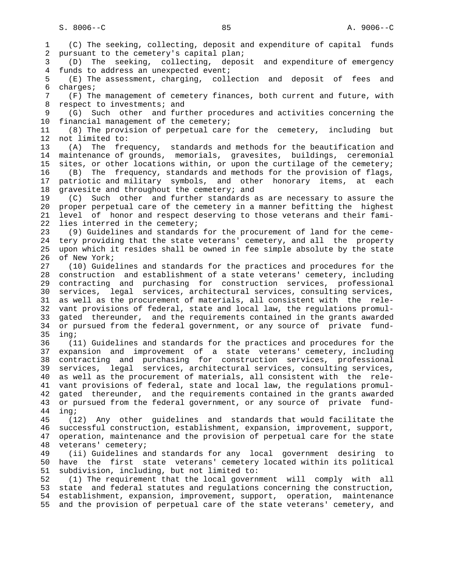1 (C) The seeking, collecting, deposit and expenditure of capital funds 2 pursuant to the cemetery's capital plan; 3 (D) The seeking, collecting, deposit and expenditure of emergency 4 funds to address an unexpected event; 5 (E) The assessment, charging, collection and deposit of fees and 6 charges; 7 (F) The management of cemetery finances, both current and future, with 8 respect to investments; and 9 (G) Such other and further procedures and activities concerning the 10 financial management of the cemetery; 11 (8) The provision of perpetual care for the cemetery, including but 12 not limited to: 13 (A) The frequency, standards and methods for the beautification and 14 maintenance of grounds, memorials, gravesites, buildings, ceremonial 15 sites, or other locations within, or upon the curtilage of the cemetery; 16 (B) The frequency, standards and methods for the provision of flags, 17 patriotic and military symbols, and other honorary items, at each 18 gravesite and throughout the cemetery; and 19 (C) Such other and further standards as are necessary to assure the 20 proper perpetual care of the cemetery in a manner befitting the highest 21 level of honor and respect deserving to those veterans and their fami- 22 lies interred in the cemetery; 23 (9) Guidelines and standards for the procurement of land for the ceme- 24 tery providing that the state veterans' cemetery, and all the property 25 upon which it resides shall be owned in fee simple absolute by the state 26 of New York; 27 (10) Guidelines and standards for the practices and procedures for the 28 construction and establishment of a state veterans' cemetery, including 29 contracting and purchasing for construction services, professional 30 services, legal services, architectural services, consulting services, 31 as well as the procurement of materials, all consistent with the rele- 32 vant provisions of federal, state and local law, the regulations promul- 33 gated thereunder, and the requirements contained in the grants awarded 34 or pursued from the federal government, or any source of private fund- 35 ing; 36 (11) Guidelines and standards for the practices and procedures for the 37 expansion and improvement of a state veterans' cemetery, including 38 contracting and purchasing for construction services, professional 39 services, legal services, architectural services, consulting services, 40 as well as the procurement of materials, all consistent with the rele- 41 vant provisions of federal, state and local law, the regulations promul- 42 gated thereunder, and the requirements contained in the grants awarded 43 or pursued from the federal government, or any source of private fund- 44 ing; 45 (12) Any other guidelines and standards that would facilitate the 46 successful construction, establishment, expansion, improvement, support, 47 operation, maintenance and the provision of perpetual care for the state 48 veterans' cemetery; 49 (ii) Guidelines and standards for any local government desiring to 50 have the first state veterans' cemetery located within its political 51 subdivision, including, but not limited to: 52 (1) The requirement that the local government will comply with all 53 state and federal statutes and regulations concerning the construction, 54 establishment, expansion, improvement, support, operation, maintenance 55 and the provision of perpetual care of the state veterans' cemetery, and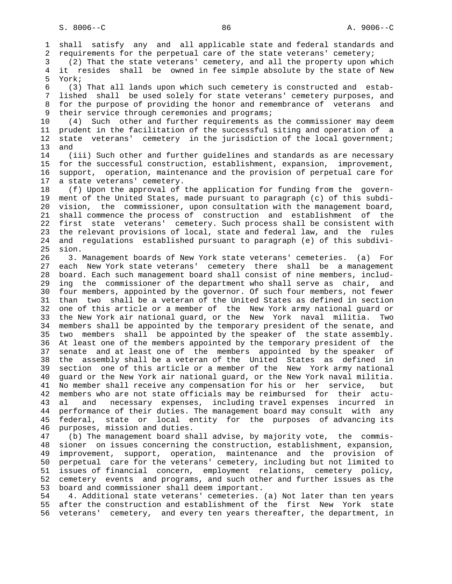1 shall satisfy any and all applicable state and federal standards and 2 requirements for the perpetual care of the state veterans' cemetery; 3 (2) That the state veterans' cemetery, and all the property upon which 4 it resides shall be owned in fee simple absolute by the state of New<br>5 York; York; 6 (3) That all lands upon which such cemetery is constructed and estab- 7 lished shall be used solely for state veterans' cemetery purposes, and 8 for the purpose of providing the honor and remembrance of veterans and 9 their service through ceremonies and programs; 10 (4) Such other and further requirements as the commissioner may deem 11 prudent in the facilitation of the successful siting and operation of a 12 state veterans' cemetery in the jurisdiction of the local government; 13 and 14 (iii) Such other and further guidelines and standards as are necessary 15 for the successful construction, establishment, expansion, improvement, 16 support, operation, maintenance and the provision of perpetual care for 17 a state veterans' cemetery. 18 (f) Upon the approval of the application for funding from the govern- 19 ment of the United States, made pursuant to paragraph (c) of this subdi- 20 vision, the commissioner, upon consultation with the management board, 21 shall commence the process of construction and establishment of the 22 first state veterans' cemetery. Such process shall be consistent with 23 the relevant provisions of local, state and federal law, and the rules 24 and regulations established pursuant to paragraph (e) of this subdivi- 25 sion. 26 3. Management boards of New York state veterans' cemeteries. (a) For 27 each New York state veterans' cemetery there shall be a management 28 board. Each such management board shall consist of nine members, includ- 29 ing the commissioner of the department who shall serve as chair, and 30 four members, appointed by the governor. Of such four members, not fewer 31 than two shall be a veteran of the United States as defined in section 32 one of this article or a member of the New York army national guard or 33 the New York air national guard, or the New York naval militia. Two 34 members shall be appointed by the temporary president of the senate, and 35 two members shall be appointed by the speaker of the state assembly. 36 At least one of the members appointed by the temporary president of the 37 senate and at least one of the members appointed by the speaker of 38 the assembly shall be a veteran of the United States as defined in 39 section one of this article or a member of the New York army national 40 guard or the New York air national guard, or the New York naval militia. 41 No member shall receive any compensation for his or her service, but 42 members who are not state officials may be reimbursed for their actu- 43 al and necessary expenses, including travel expenses incurred in 44 performance of their duties. The management board may consult with any 45 federal, state or local entity for the purposes of advancing its 46 purposes, mission and duties. 47 (b) The management board shall advise, by majority vote, the commis- 48 sioner on issues concerning the construction, establishment, expansion, 49 improvement, support, operation, maintenance and the provision of 50 perpetual care for the veterans' cemetery, including but not limited to 51 issues of financial concern, employment relations, cemetery policy, 52 cemetery events and programs, and such other and further issues as the 53 board and commissioner shall deem important. 54 4. Additional state veterans' cemeteries. (a) Not later than ten years 55 after the construction and establishment of the first New York state

56 veterans' cemetery, and every ten years thereafter, the department, in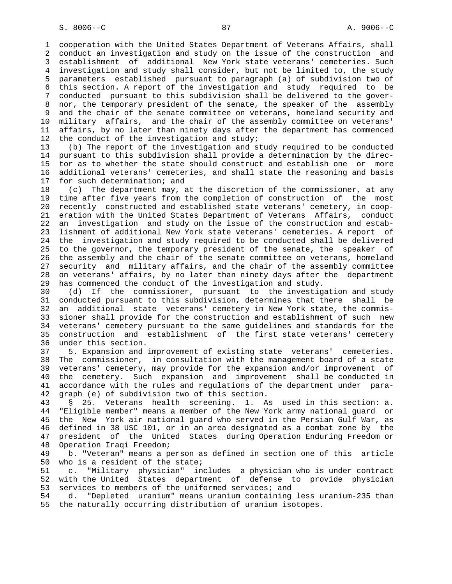1 cooperation with the United States Department of Veterans Affairs, shall 2 conduct an investigation and study on the issue of the construction and 3 establishment of additional New York state veterans' cemeteries. Such 4 investigation and study shall consider, but not be limited to, the study 5 parameters established pursuant to paragraph (a) of subdivision two of 6 this section. A report of the investigation and study required to be 7 conducted pursuant to this subdivision shall be delivered to the gover- 8 nor, the temporary president of the senate, the speaker of the assembly 9 and the chair of the senate committee on veterans, homeland security and 10 military affairs, and the chair of the assembly committee on veterans' 11 affairs, by no later than ninety days after the department has commenced 12 the conduct of the investigation and study;

 13 (b) The report of the investigation and study required to be conducted 14 pursuant to this subdivision shall provide a determination by the direc- 15 tor as to whether the state should construct and establish one or more 16 additional veterans' cemeteries, and shall state the reasoning and basis 17 for such determination; and

 18 (c) The department may, at the discretion of the commissioner, at any 19 time after five years from the completion of construction of the most 20 recently constructed and established state veterans' cemetery, in coop- 21 eration with the United States Department of Veterans Affairs, conduct 22 an investigation and study on the issue of the construction and estab- 23 lishment of additional New York state veterans' cemeteries. A report of 24 the investigation and study required to be conducted shall be delivered 25 to the governor, the temporary president of the senate, the speaker of 26 the assembly and the chair of the senate committee on veterans, homeland 27 security and military affairs, and the chair of the assembly committee 28 on veterans' affairs, by no later than ninety days after the department 29 has commenced the conduct of the investigation and study.

 30 (d) If the commissioner, pursuant to the investigation and study 31 conducted pursuant to this subdivision, determines that there shall be 32 an additional state veterans' cemetery in New York state, the commis- 33 sioner shall provide for the construction and establishment of such new 34 veterans' cemetery pursuant to the same guidelines and standards for the 35 construction and establishment of the first state veterans' cemetery 36 under this section.

 37 5. Expansion and improvement of existing state veterans' cemeteries. 38 The commissioner, in consultation with the management board of a state 39 veterans' cemetery, may provide for the expansion and/or improvement of 40 the cemetery. Such expansion and improvement shall be conducted in 41 accordance with the rules and regulations of the department under para- 42 graph (e) of subdivision two of this section.

 43 § 25. Veterans health screening. 1. As used in this section: a. 44 "Eligible member" means a member of the New York army national guard or 45 the New York air national guard who served in the Persian Gulf War, as 46 defined in 38 USC 101, or in an area designated as a combat zone by the 47 president of the United States during Operation Enduring Freedom or 48 Operation Iraqi Freedom;

 49 b. "Veteran" means a person as defined in section one of this article 50 who is a resident of the state;

 51 c. "Military physician" includes a physician who is under contract 52 with the United States department of defense to provide physician 53 services to members of the uniformed services; and

 54 d. "Depleted uranium" means uranium containing less uranium-235 than 55 the naturally occurring distribution of uranium isotopes.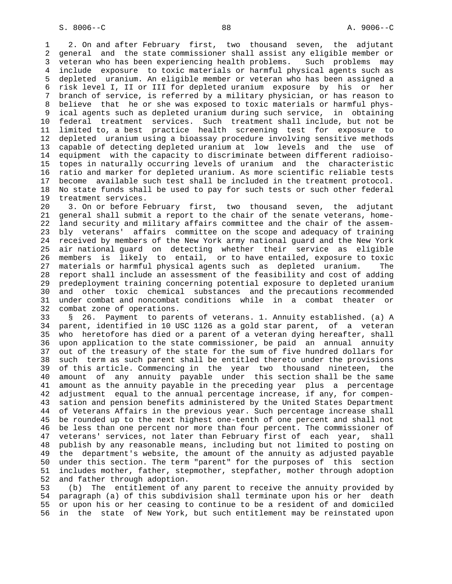1 2. On and after February first, two thousand seven, the adjutant 2 general and the state commissioner shall assist any eligible member or 3 veteran who has been experiencing health problems. Such problems may 4 include exposure to toxic materials or harmful physical agents such as 5 depleted uranium. An eligible member or veteran who has been assigned a 6 risk level I, II or III for depleted uranium exposure by his or her 7 branch of service, is referred by a military physician, or has reason to 8 believe that he or she was exposed to toxic materials or harmful phys- 9 ical agents such as depleted uranium during such service, in obtaining 10 federal treatment services. Such treatment shall include, but not be 11 limited to, a best practice health screening test for exposure to 12 depleted uranium using a bioassay procedure involving sensitive methods 13 capable of detecting depleted uranium at low levels and the use of 14 equipment with the capacity to discriminate between different radioiso- 15 topes in naturally occurring levels of uranium and the characteristic 16 ratio and marker for depleted uranium. As more scientific reliable tests 17 become available such test shall be included in the treatment protocol. 18 No state funds shall be used to pay for such tests or such other federal 19 treatment services.

 20 3. On or before February first, two thousand seven, the adjutant 21 general shall submit a report to the chair of the senate veterans, home- 22 land security and military affairs committee and the chair of the assem- 23 bly veterans' affairs committee on the scope and adequacy of training 24 received by members of the New York army national guard and the New York 25 air national guard on detecting whether their service as eligible 26 members is likely to entail, or to have entailed, exposure to toxic 27 materials or harmful physical agents such as depleted uranium. The 28 report shall include an assessment of the feasibility and cost of adding 29 predeployment training concerning potential exposure to depleted uranium 30 and other toxic chemical substances and the precautions recommended 31 under combat and noncombat conditions while in a combat theater or 32 combat zone of operations.

 33 § 26. Payment to parents of veterans. 1. Annuity established. (a) A 34 parent, identified in 10 USC 1126 as a gold star parent, of a veteran 35 who heretofore has died or a parent of a veteran dying hereafter, shall 36 upon application to the state commissioner, be paid an annual annuity 37 out of the treasury of the state for the sum of five hundred dollars for 38 such term as such parent shall be entitled thereto under the provisions 39 of this article. Commencing in the year two thousand nineteen, the 40 amount of any annuity payable under this section shall be the same 41 amount as the annuity payable in the preceding year plus a percentage 42 adjustment equal to the annual percentage increase, if any, for compen- 43 sation and pension benefits administered by the United States Department 44 of Veterans Affairs in the previous year. Such percentage increase shall 45 be rounded up to the next highest one-tenth of one percent and shall not 46 be less than one percent nor more than four percent. The commissioner of 47 veterans' services, not later than February first of each year, shall 48 publish by any reasonable means, including but not limited to posting on 49 the department's website, the amount of the annuity as adjusted payable 50 under this section. The term "parent" for the purposes of this section 51 includes mother, father, stepmother, stepfather, mother through adoption 52 and father through adoption.

 53 (b) The entitlement of any parent to receive the annuity provided by 54 paragraph (a) of this subdivision shall terminate upon his or her death 55 or upon his or her ceasing to continue to be a resident of and domiciled 56 in the state of New York, but such entitlement may be reinstated upon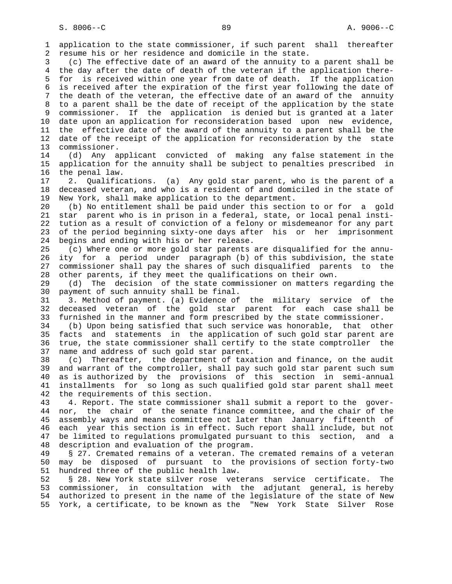1 application to the state commissioner, if such parent shall thereafter 2 resume his or her residence and domicile in the state.

 3 (c) The effective date of an award of the annuity to a parent shall be 4 the day after the date of death of the veteran if the application there- 5 for is received within one year from date of death. If the application 6 is received after the expiration of the first year following the date of 7 the death of the veteran, the effective date of an award of the annuity 8 to a parent shall be the date of receipt of the application by the state 9 commissioner. If the application is denied but is granted at a later 10 date upon an application for reconsideration based upon new evidence, 11 the effective date of the award of the annuity to a parent shall be the 12 date of the receipt of the application for reconsideration by the state 13 commissioner.

 14 (d) Any applicant convicted of making any false statement in the 15 application for the annuity shall be subject to penalties prescribed in 16 the penal law.

 17 2. Qualifications. (a) Any gold star parent, who is the parent of a 18 deceased veteran, and who is a resident of and domiciled in the state of 19 New York, shall make application to the department.

 20 (b) No entitlement shall be paid under this section to or for a gold 21 star parent who is in prison in a federal, state, or local penal insti- 22 tution as a result of conviction of a felony or misdemeanor for any part 23 of the period beginning sixty-one days after his or her imprisonment 24 begins and ending with his or her release.

 25 (c) Where one or more gold star parents are disqualified for the annu- 26 ity for a period under paragraph (b) of this subdivision, the state 27 commissioner shall pay the shares of such disqualified parents to the 28 other parents, if they meet the qualifications on their own.

 29 (d) The decision of the state commissioner on matters regarding the 30 payment of such annuity shall be final.

 31 3. Method of payment. (a) Evidence of the military service of the 32 deceased veteran of the gold star parent for each case shall be 33 furnished in the manner and form prescribed by the state commissioner.

 34 (b) Upon being satisfied that such service was honorable, that other 35 facts and statements in the application of such gold star parent are 36 true, the state commissioner shall certify to the state comptroller the 37 name and address of such gold star parent.

 38 (c) Thereafter, the department of taxation and finance, on the audit 39 and warrant of the comptroller, shall pay such gold star parent such sum 40 as is authorized by the provisions of this section in semi-annual 41 installments for so long as such qualified gold star parent shall meet 42 the requirements of this section.

 43 4. Report. The state commissioner shall submit a report to the gover- 44 nor, the chair of the senate finance committee, and the chair of the 45 assembly ways and means committee not later than January fifteenth of 46 each year this section is in effect. Such report shall include, but not 47 be limited to regulations promulgated pursuant to this section, and a 48 description and evaluation of the program.

 49 § 27. Cremated remains of a veteran. The cremated remains of a veteran 50 may be disposed of pursuant to the provisions of section forty-two 51 hundred three of the public health law.

 52 § 28. New York state silver rose veterans service certificate. The 53 commissioner, in consultation with the adjutant general, is hereby 54 authorized to present in the name of the legislature of the state of New 55 York, a certificate, to be known as the "New York State Silver Rose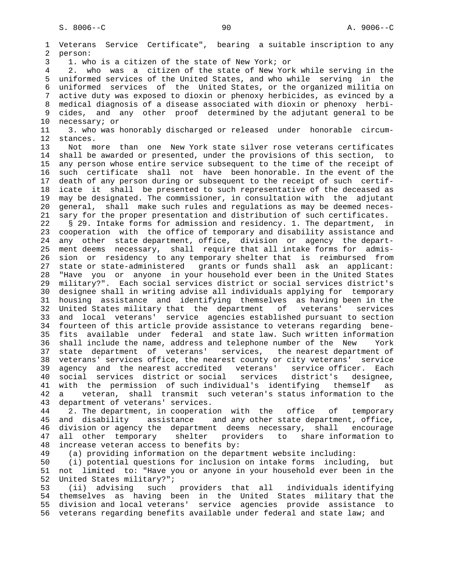1 Veterans Service Certificate", bearing a suitable inscription to any 2 person: 3 1. who is a citizen of the state of New York; or 4 2. who was a citizen of the state of New York while serving in the 5 uniformed services of the United States, and who while serving in the 6 uniformed services of the United States, or the organized militia on 7 active duty was exposed to dioxin or phenoxy herbicides, as evinced by a 8 medical diagnosis of a disease associated with dioxin or phenoxy herbi- 9 cides, and any other proof determined by the adjutant general to be 10 necessary; or 11 3. who was honorably discharged or released under honorable circum- 12 stances. 13 Not more than one New York state silver rose veterans certificates 14 shall be awarded or presented, under the provisions of this section, to 15 any person whose entire service subsequent to the time of the receipt of 16 such certificate shall not have been honorable. In the event of the 17 death of any person during or subsequent to the receipt of such certif- 18 icate it shall be presented to such representative of the deceased as 19 may be designated. The commissioner, in consultation with the adjutant 20 general, shall make such rules and regulations as may be deemed neces- 21 sary for the proper presentation and distribution of such certificates. 22 § 29. Intake forms for admission and residency. 1. The department, in 23 cooperation with the office of temporary and disability assistance and 24 any other state department, office, division or agency the depart- 25 ment deems necessary, shall require that all intake forms for admis- 26 sion or residency to any temporary shelter that is reimbursed from 27 state or state-administered grants or funds shall ask an applicant: 28 "Have you or anyone in your household ever been in the United States 29 military?". Each social services district or social services district's 30 designee shall in writing advise all individuals applying for temporary 31 housing assistance and identifying themselves as having been in the 32 United States military that the department of veterans' services 33 and local veterans' service agencies established pursuant to section 34 fourteen of this article provide assistance to veterans regarding bene- 35 fits available under federal and state law. Such written information 36 shall include the name, address and telephone number of the New York 37 state department of veterans' services, the nearest department of 38 veterans' services office, the nearest county or city veterans' service 39 agency and the nearest accredited veterans' service officer. Each<br>40 social services district or social services district's designee, 40 social services district or social services district's designee, 41 with the permission of such individual's identifying themself as 42 a veteran, shall transmit such veteran's status information to the 43 department of veterans' services. 44 2. The department, in cooperation with the office of temporary 45 and disability assistance and any other state department, office,

 46 division or agency the department deems necessary, shall encourage 47 all other temporary shelter providers to share information to 48 increase veteran access to benefits by:

49 (a) providing information on the department website including:

 50 (i) potential questions for inclusion on intake forms including, but 51 not limited to: "Have you or anyone in your household ever been in the 52 United States military?";

 53 (ii) advising such providers that all individuals identifying 54 themselves as having been in the United States military that the 55 division and local veterans' service agencies provide assistance to 56 veterans regarding benefits available under federal and state law; and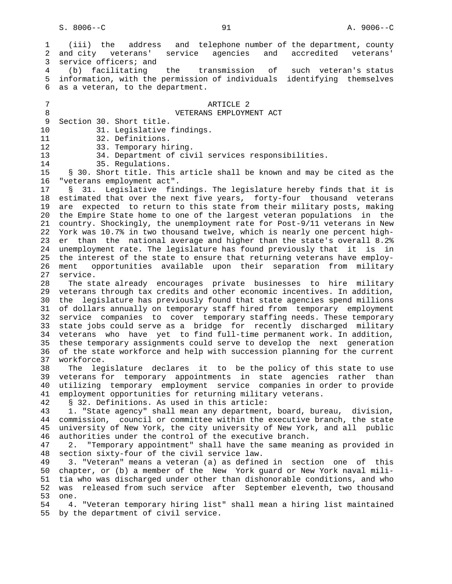1 (iii) the address and telephone number of the department, county 2 and city veterans' service agencies and accredited veterans' 3 service officers; and 4 (b) facilitating the transmission of such veteran's status 5 information, with the permission of individuals identifying themselves 6 as a veteran, to the department. 7 ARTICLE 2 8 VETERANS EMPLOYMENT ACT<br>9 Section 30. Short title. Section 30. Short title. 10 31. Legislative findings. 11 32. Definitions. 12 33. Temporary hiring. 13 34. Department of civil services responsibilities. 14 35. Regulations. 15 § 30. Short title. This article shall be known and may be cited as the 16 "veterans employment act". 17 § 31. Legislative findings. The legislature hereby finds that it is 18 estimated that over the next five years, forty-four thousand veterans 19 are expected to return to this state from their military posts, making 20 the Empire State home to one of the largest veteran populations in the 21 country. Shockingly, the unemployment rate for Post-9/11 veterans in New 22 York was 10.7% in two thousand twelve, which is nearly one percent high- 23 er than the national average and higher than the state's overall 8.2% 24 unemployment rate. The legislature has found previously that it is in 25 the interest of the state to ensure that returning veterans have employ- 26 ment opportunities available upon their separation from military 27 service. 28 The state already encourages private businesses to hire military 29 veterans through tax credits and other economic incentives. In addition, 30 the legislature has previously found that state agencies spend millions 31 of dollars annually on temporary staff hired from temporary employment 32 service companies to cover temporary staffing needs. These temporary 33 state jobs could serve as a bridge for recently discharged military 34 veterans who have yet to find full-time permanent work. In addition, 35 these temporary assignments could serve to develop the next generation 36 of the state workforce and help with succession planning for the current 37 workforce. 38 The legislature declares it to be the policy of this state to use 39 veterans for temporary appointments in state agencies rather than 40 utilizing temporary employment service companies in order to provide 41 employment opportunities for returning military veterans. 42 § 32. Definitions. As used in this article: 43 1. "State agency" shall mean any department, board, bureau, division, 44 commission, council or committee within the executive branch, the state 45 university of New York, the city university of New York, and all public 46 authorities under the control of the executive branch. 47 2. "Temporary appointment" shall have the same meaning as provided in 48 section sixty-four of the civil service law. 49 3. "Veteran" means a veteran (a) as defined in section one of this 50 chapter, or (b) a member of the New York guard or New York naval mili- 51 tia who was discharged under other than dishonorable conditions, and who 52 was released from such service after September eleventh, two thousand 53 one. 54 4. "Veteran temporary hiring list" shall mean a hiring list maintained 55 by the department of civil service.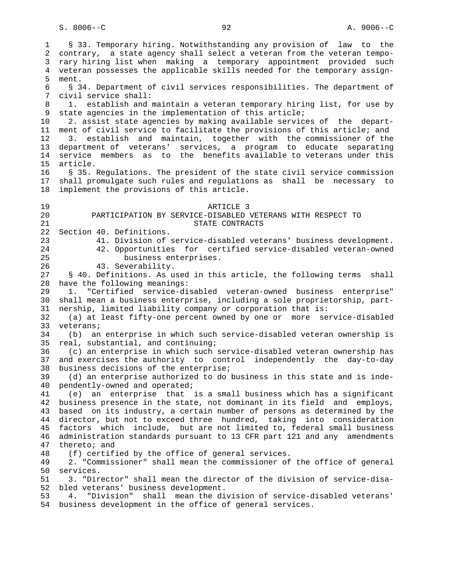1 § 33. Temporary hiring. Notwithstanding any provision of law to the 2 contrary, a state agency shall select a veteran from the veteran tempo- 3 rary hiring list when making a temporary appointment provided such 4 veteran possesses the applicable skills needed for the temporary assign- 5 ment. 6 § 34. Department of civil services responsibilities. The department of 7 civil service shall: 8 1. establish and maintain a veteran temporary hiring list, for use by 9 state agencies in the implementation of this article; 10 2. assist state agencies by making available services of the depart- 11 ment of civil service to facilitate the provisions of this article; and 12 3. establish and maintain, together with the commissioner of the 13 department of veterans' services, a program to educate separating 14 service members as to the benefits available to veterans under this 15 article. 16 § 35. Regulations. The president of the state civil service commission 17 shall promulgate such rules and regulations as shall be necessary to 18 implement the provisions of this article. 19 ARTICLE 3 20 PARTICIPATION BY SERVICE-DISABLED VETERANS WITH RESPECT TO 21 STATE CONTRACTS 22 Section 40. Definitions. 23 41. Division of service-disabled veterans' business development. 24 42. Opportunities for certified service-disabled veteran-owned 25 business enterprises. 26 43. Severability. 27 § 40. Definitions. As used in this article, the following terms shall 28 have the following meanings: 29 1. "Certified service-disabled veteran-owned business enterprise" 30 shall mean a business enterprise, including a sole proprietorship, part- 31 nership, limited liability company or corporation that is: 32 (a) at least fifty-one percent owned by one or more service-disabled 33 veterans; 34 (b) an enterprise in which such service-disabled veteran ownership is 35 real, substantial, and continuing; 36 (c) an enterprise in which such service-disabled veteran ownership has 37 and exercises the authority to control independently the day-to-day 38 business decisions of the enterprise; 39 (d) an enterprise authorized to do business in this state and is inde- 40 pendently-owned and operated; 41 (e) an enterprise that is a small business which has a significant 42 business presence in the state, not dominant in its field and employs, 43 based on its industry, a certain number of persons as determined by the 44 director, but not to exceed three hundred, taking into consideration 45 factors which include, but are not limited to, federal small business 46 administration standards pursuant to 13 CFR part 121 and any amendments 47 thereto; and 48 (f) certified by the office of general services. 49 2. "Commissioner" shall mean the commissioner of the office of general 50 services. 51 3. "Director" shall mean the director of the division of service-disa- 52 bled veterans' business development. 53 4. "Division" shall mean the division of service-disabled veterans' 54 business development in the office of general services.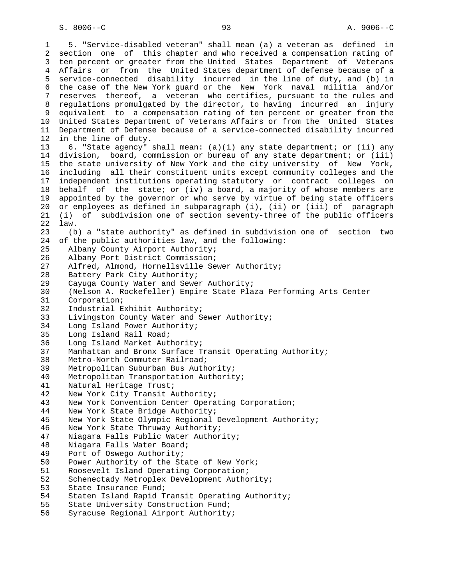S. 8006--C 2008 - 93 A. 9006--C

 1 5. "Service-disabled veteran" shall mean (a) a veteran as defined in 2 section one of this chapter and who received a compensation rating of 3 ten percent or greater from the United States Department of Veterans 4 Affairs or from the United States department of defense because of a 5 service-connected disability incurred in the line of duty, and (b) in 6 the case of the New York guard or the New York naval militia and/or 7 reserves thereof, a veteran who certifies, pursuant to the rules and 8 regulations promulgated by the director, to having incurred an injury 9 equivalent to a compensation rating of ten percent or greater from the 10 United States Department of Veterans Affairs or from the United States 11 Department of Defense because of a service-connected disability incurred 12 in the line of duty. 13 6. "State agency" shall mean: (a)(i) any state department; or (ii) any 14 division, board, commission or bureau of any state department; or (iii) 15 the state university of New York and the city university of New York, 16 including all their constituent units except community colleges and the 17 independent institutions operating statutory or contract colleges on 18 behalf of the state; or (iv) a board, a majority of whose members are 19 appointed by the governor or who serve by virtue of being state officers 20 or employees as defined in subparagraph (i), (ii) or (iii) of paragraph 21 (i) of subdivision one of section seventy-three of the public officers 22 law. 23 (b) a "state authority" as defined in subdivision one of section two 24 of the public authorities law, and the following: 25 Albany County Airport Authority; 26 Albany Port District Commission; 27 Alfred, Almond, Hornellsville Sewer Authority; 28 Battery Park City Authority; 29 Cayuga County Water and Sewer Authority; 30 (Nelson A. Rockefeller) Empire State Plaza Performing Arts Center 31 Corporation; 32 Industrial Exhibit Authority; 33 Livingston County Water and Sewer Authority; 34 Long Island Power Authority; 35 Long Island Rail Road; 36 Long Island Market Authority; 37 Manhattan and Bronx Surface Transit Operating Authority; 38 Metro-North Commuter Railroad; 39 Metropolitan Suburban Bus Authority; 40 Metropolitan Transportation Authority; 41 Natural Heritage Trust; 42 New York City Transit Authority; 43 New York Convention Center Operating Corporation; 44 New York State Bridge Authority; 45 New York State Olympic Regional Development Authority; 46 New York State Thruway Authority; 47 Niagara Falls Public Water Authority; 48 Niagara Falls Water Board; 49 Port of Oswego Authority;<br>50 Power Authority of the St Power Authority of the State of New York; 51 Roosevelt Island Operating Corporation; 52 Schenectady Metroplex Development Authority; 53 State Insurance Fund; 54 Staten Island Rapid Transit Operating Authority; 55 State University Construction Fund;

56 Syracuse Regional Airport Authority;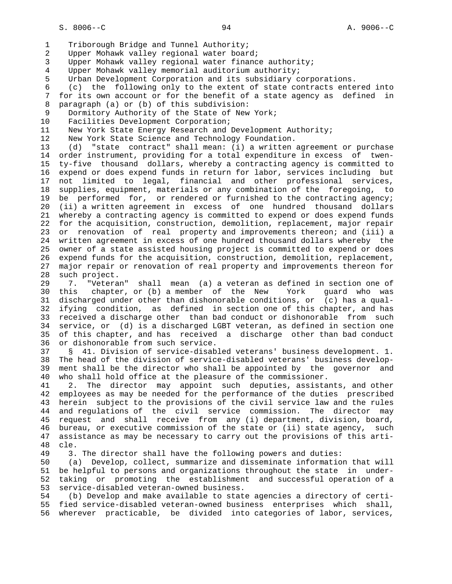1 Triborough Bridge and Tunnel Authority;

2 Upper Mohawk valley regional water board;

3 Upper Mohawk valley regional water finance authority;

4 Upper Mohawk valley memorial auditorium authority;

Urban Development Corporation and its subsidiary corporations.

 6 (c) the following only to the extent of state contracts entered into 7 for its own account or for the benefit of a state agency as defined in 8 paragraph (a) or (b) of this subdivision:

9 Dormitory Authority of the State of New York;

10 Facilities Development Corporation;

11 New York State Energy Research and Development Authority;

12 New York State Science and Technology Foundation.

 13 (d) "state contract" shall mean: (i) a written agreement or purchase 14 order instrument, providing for a total expenditure in excess of twen- 15 ty-five thousand dollars, whereby a contracting agency is committed to 16 expend or does expend funds in return for labor, services including but 17 not limited to legal, financial and other professional services, 18 supplies, equipment, materials or any combination of the foregoing, to 19 be performed for, or rendered or furnished to the contracting agency; 20 (ii) a written agreement in excess of one hundred thousand dollars 21 whereby a contracting agency is committed to expend or does expend funds 22 for the acquisition, construction, demolition, replacement, major repair 23 or renovation of real property and improvements thereon; and (iii) a 24 written agreement in excess of one hundred thousand dollars whereby the 25 owner of a state assisted housing project is committed to expend or does 26 expend funds for the acquisition, construction, demolition, replacement, 27 major repair or renovation of real property and improvements thereon for 28 such project.

 29 7. "Veteran" shall mean (a) a veteran as defined in section one of 30 this chapter, or (b) a member of the New York guard who was 31 discharged under other than dishonorable conditions, or (c) has a qual- 32 ifying condition, as defined in section one of this chapter, and has 33 received a discharge other than bad conduct or dishonorable from such 34 service, or (d) is a discharged LGBT veteran, as defined in section one 35 of this chapter, and has received a discharge other than bad conduct 36 or dishonorable from such service.

 37 § 41. Division of service-disabled veterans' business development. 1. 38 The head of the division of service-disabled veterans' business develop- 39 ment shall be the director who shall be appointed by the governor and 40 who shall hold office at the pleasure of the commissioner.

 41 2. The director may appoint such deputies, assistants, and other 42 employees as may be needed for the performance of the duties prescribed 43 herein subject to the provisions of the civil service law and the rules 44 and regulations of the civil service commission. The director may 45 request and shall receive from any (i) department, division, board, 46 bureau, or executive commission of the state or (ii) state agency, such 47 assistance as may be necessary to carry out the provisions of this arti- 48 cle.

49 3. The director shall have the following powers and duties:

 50 (a) Develop, collect, summarize and disseminate information that will 51 be helpful to persons and organizations throughout the state in under- 52 taking or promoting the establishment and successful operation of a 53 service-disabled veteran-owned business.

 54 (b) Develop and make available to state agencies a directory of certi- 55 fied service-disabled veteran-owned business enterprises which shall, 56 wherever practicable, be divided into categories of labor, services,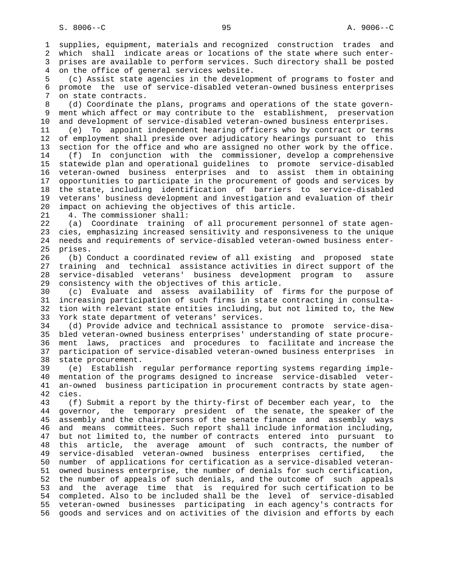1 supplies, equipment, materials and recognized construction trades and 2 which shall indicate areas or locations of the state where such enter- 3 prises are available to perform services. Such directory shall be posted 4 on the office of general services website.

 5 (c) Assist state agencies in the development of programs to foster and 6 promote the use of service-disabled veteran-owned business enterprises 7 on state contracts.

 8 (d) Coordinate the plans, programs and operations of the state govern- 9 ment which affect or may contribute to the establishment, preservation 10 and development of service-disabled veteran-owned business enterprises.

 11 (e) To appoint independent hearing officers who by contract or terms 12 of employment shall preside over adjudicatory hearings pursuant to this 13 section for the office and who are assigned no other work by the office. 14 (f) In conjunction with the commissioner, develop a comprehensive 15 statewide plan and operational guidelines to promote service-disabled 16 veteran-owned business enterprises and to assist them in obtaining 17 opportunities to participate in the procurement of goods and services by 18 the state, including identification of barriers to service-disabled 19 veterans' business development and investigation and evaluation of their 20 impact on achieving the objectives of this article.

21 4. The commissioner shall:

 22 (a) Coordinate training of all procurement personnel of state agen- 23 cies, emphasizing increased sensitivity and responsiveness to the unique 24 needs and requirements of service-disabled veteran-owned business enter- 25 prises.

 26 (b) Conduct a coordinated review of all existing and proposed state 27 training and technical assistance activities in direct support of the 28 service-disabled veterans' business development program to assure 29 consistency with the objectives of this article.

 30 (c) Evaluate and assess availability of firms for the purpose of 31 increasing participation of such firms in state contracting in consulta- 32 tion with relevant state entities including, but not limited to, the New 33 York state department of veterans' services.

 34 (d) Provide advice and technical assistance to promote service-disa- 35 bled veteran-owned business enterprises' understanding of state procure- 36 ment laws, practices and procedures to facilitate and increase the 37 participation of service-disabled veteran-owned business enterprises in 38 state procurement.

 39 (e) Establish regular performance reporting systems regarding imple- 40 mentation of the programs designed to increase service-disabled veter- 41 an-owned business participation in procurement contracts by state agen- 42 cies.

 43 (f) Submit a report by the thirty-first of December each year, to the 44 governor, the temporary president of the senate, the speaker of the 45 assembly and the chairpersons of the senate finance and assembly ways 46 and means committees. Such report shall include information including, 47 but not limited to, the number of contracts entered into pursuant to 48 this article, the average amount of such contracts, the number of 49 service-disabled veteran-owned business enterprises certified, the 50 number of applications for certification as a service-disabled veteran- 51 owned business enterprise, the number of denials for such certification, 52 the number of appeals of such denials, and the outcome of such appeals 53 and the average time that is required for such certification to be 54 completed. Also to be included shall be the level of service-disabled 55 veteran-owned businesses participating in each agency's contracts for 56 goods and services and on activities of the division and efforts by each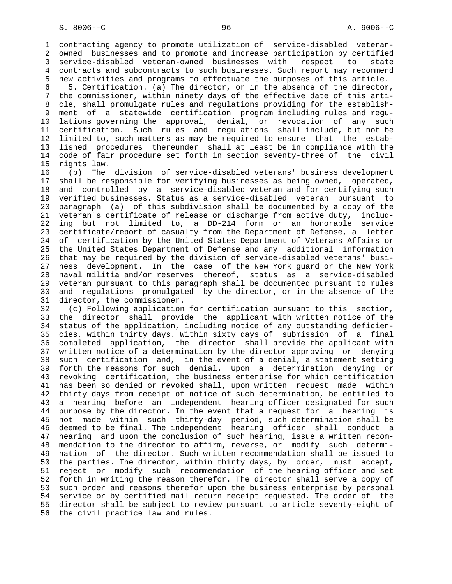1 contracting agency to promote utilization of service-disabled veteran- 2 owned businesses and to promote and increase participation by certified 3 service-disabled veteran-owned businesses with respect to state 4 contracts and subcontracts to such businesses. Such report may recommend 5 new activities and programs to effectuate the purposes of this article.

 6 5. Certification. (a) The director, or in the absence of the director, 7 the commissioner, within ninety days of the effective date of this arti- 8 cle, shall promulgate rules and regulations providing for the establish- 9 ment of a statewide certification program including rules and regu- 10 lations governing the approval, denial, or revocation of any such 11 certification. Such rules and regulations shall include, but not be 12 limited to, such matters as may be required to ensure that the estab- 13 lished procedures thereunder shall at least be in compliance with the 14 code of fair procedure set forth in section seventy-three of the civil 15 rights law.

 16 (b) The division of service-disabled veterans' business development 17 shall be responsible for verifying businesses as being owned, operated, 18 and controlled by a service-disabled veteran and for certifying such 19 verified businesses. Status as a service-disabled veteran pursuant to 20 paragraph (a) of this subdivision shall be documented by a copy of the 21 veteran's certificate of release or discharge from active duty, includ- 22 ing but not limited to, a DD-214 form or an honorable service 23 certificate/report of casualty from the Department of Defense, a letter 24 of certification by the United States Department of Veterans Affairs or 25 the United States Department of Defense and any additional information 26 that may be required by the division of service-disabled veterans' busi- 27 ness development. In the case of the New York guard or the New York 28 naval militia and/or reserves thereof, status as a service-disabled 29 veteran pursuant to this paragraph shall be documented pursuant to rules 30 and regulations promulgated by the director, or in the absence of the 31 director, the commissioner.

 32 (c) Following application for certification pursuant to this section, 33 the director shall provide the applicant with written notice of the 34 status of the application, including notice of any outstanding deficien- 35 cies, within thirty days. Within sixty days of submission of a final 36 completed application, the director shall provide the applicant with 37 written notice of a determination by the director approving or denying 38 such certification and, in the event of a denial, a statement setting 39 forth the reasons for such denial. Upon a determination denying or 40 revoking certification, the business enterprise for which certification 41 has been so denied or revoked shall, upon written request made within 42 thirty days from receipt of notice of such determination, be entitled to 43 a hearing before an independent hearing officer designated for such 44 purpose by the director. In the event that a request for a hearing is 45 not made within such thirty-day period, such determination shall be 46 deemed to be final. The independent hearing officer shall conduct a 47 hearing and upon the conclusion of such hearing, issue a written recom- 48 mendation to the director to affirm, reverse, or modify such determi- 49 nation of the director. Such written recommendation shall be issued to 50 the parties. The director, within thirty days, by order, must accept, 51 reject or modify such recommendation of the hearing officer and set 52 forth in writing the reason therefor. The director shall serve a copy of 53 such order and reasons therefor upon the business enterprise by personal 54 service or by certified mail return receipt requested. The order of the 55 director shall be subject to review pursuant to article seventy-eight of 56 the civil practice law and rules.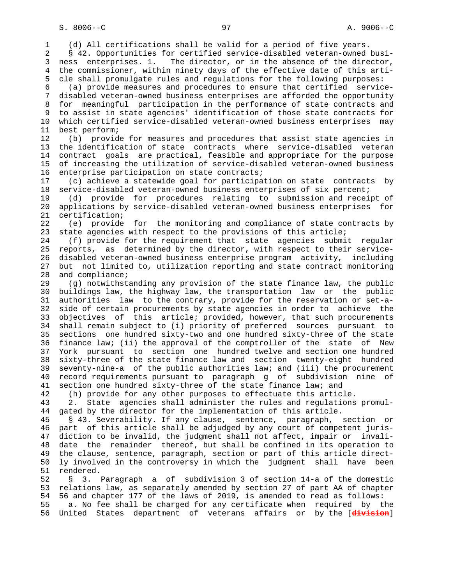1 (d) All certifications shall be valid for a period of five years. 2 § 42. Opportunities for certified service-disabled veteran-owned busi- 3 ness enterprises. 1. The director, or in the absence of the director, 4 the commissioner, within ninety days of the effective date of this arti- 5 cle shall promulgate rules and regulations for the following purposes: 6 (a) provide measures and procedures to ensure that certified service- 7 disabled veteran-owned business enterprises are afforded the opportunity 8 for meaningful participation in the performance of state contracts and 9 to assist in state agencies' identification of those state contracts for 10 which certified service-disabled veteran-owned business enterprises may 11 best perform; 12 (b) provide for measures and procedures that assist state agencies in 13 the identification of state contracts where service-disabled veteran 14 contract goals are practical, feasible and appropriate for the purpose 15 of increasing the utilization of service-disabled veteran-owned business 16 enterprise participation on state contracts; 17 (c) achieve a statewide goal for participation on state contracts by 18 service-disabled veteran-owned business enterprises of six percent; 19 (d) provide for procedures relating to submission and receipt of 20 applications by service-disabled veteran-owned business enterprises for 21 certification; 22 (e) provide for the monitoring and compliance of state contracts by 23 state agencies with respect to the provisions of this article; 24 (f) provide for the requirement that state agencies submit regular 25 reports, as determined by the director, with respect to their service- 26 disabled veteran-owned business enterprise program activity, including 27 but not limited to, utilization reporting and state contract monitoring 28 and compliance; 29 (g) notwithstanding any provision of the state finance law, the public 30 buildings law, the highway law, the transportation law or the public 31 authorities law to the contrary, provide for the reservation or set-a- 32 side of certain procurements by state agencies in order to achieve the 33 objectives of this article; provided, however, that such procurements 34 shall remain subject to (i) priority of preferred sources pursuant to 35 sections one hundred sixty-two and one hundred sixty-three of the state 36 finance law; (ii) the approval of the comptroller of the state of New 37 York pursuant to section one hundred twelve and section one hundred 38 sixty-three of the state finance law and section twenty-eight hundred 39 seventy-nine-a of the public authorities law; and (iii) the procurement 40 record requirements pursuant to paragraph g of subdivision nine of 41 section one hundred sixty-three of the state finance law; and 42 (h) provide for any other purposes to effectuate this article. 43 2. State agencies shall administer the rules and regulations promul- 44 gated by the director for the implementation of this article. 45 § 43. Severability. If any clause, sentence, paragraph, section or 46 part of this article shall be adjudged by any court of competent juris- 47 diction to be invalid, the judgment shall not affect, impair or invali- 48 date the remainder thereof, but shall be confined in its operation to 49 the clause, sentence, paragraph, section or part of this article direct- 50 ly involved in the controversy in which the judgment shall have been 51 rendered. 52 § 3. Paragraph a of subdivision 3 of section 14-a of the domestic 53 relations law, as separately amended by section 27 of part AA of chapter 54 56 and chapter 177 of the laws of 2019, is amended to read as follows: 55 a. No fee shall be charged for any certificate when required by the 56 United States department of veterans affairs or by the [**division**]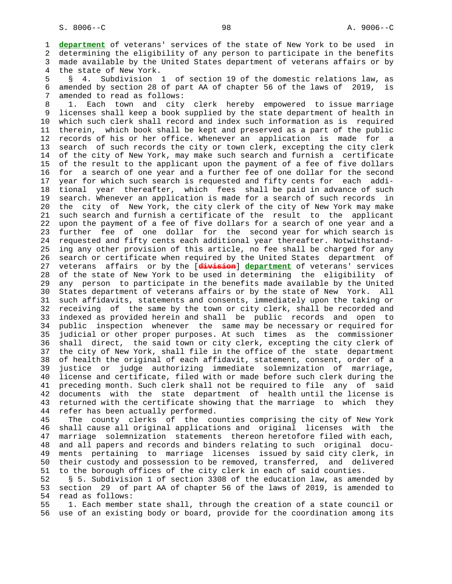1 **department** of veterans' services of the state of New York to be used in 2 determining the eligibility of any person to participate in the benefits 3 made available by the United States department of veterans affairs or by 4 the state of New York.

 5 § 4. Subdivision 1 of section 19 of the domestic relations law, as 6 amended by section 28 of part AA of chapter 56 of the laws of 2019, is 7 amended to read as follows:

 8 1. Each town and city clerk hereby empowered to issue marriage 9 licenses shall keep a book supplied by the state department of health in 10 which such clerk shall record and index such information as is required 11 therein, which book shall be kept and preserved as a part of the public 12 records of his or her office. Whenever an application is made for a 13 search of such records the city or town clerk, excepting the city clerk 14 of the city of New York, may make such search and furnish a certificate 15 of the result to the applicant upon the payment of a fee of five dollars 16 for a search of one year and a further fee of one dollar for the second 17 year for which such search is requested and fifty cents for each addi- 18 tional year thereafter, which fees shall be paid in advance of such 19 search. Whenever an application is made for a search of such records in 20 the city of New York, the city clerk of the city of New York may make 21 such search and furnish a certificate of the result to the applicant 22 upon the payment of a fee of five dollars for a search of one year and a 23 further fee of one dollar for the second year for which search is 24 requested and fifty cents each additional year thereafter. Notwithstand- 25 ing any other provision of this article, no fee shall be charged for any 26 search or certificate when required by the United States department of 27 veterans affairs or by the [**division**] **department** of veterans' services 28 of the state of New York to be used in determining the eligibility of 29 any person to participate in the benefits made available by the United 30 States department of veterans affairs or by the state of New York. All 31 such affidavits, statements and consents, immediately upon the taking or 32 receiving of the same by the town or city clerk, shall be recorded and 33 indexed as provided herein and shall be public records and open to 34 public inspection whenever the same may be necessary or required for 35 judicial or other proper purposes. At such times as the commissioner 36 shall direct, the said town or city clerk, excepting the city clerk of 37 the city of New York, shall file in the office of the state department 38 of health the original of each affidavit, statement, consent, order of a 39 justice or judge authorizing immediate solemnization of marriage, 40 license and certificate, filed with or made before such clerk during the 41 preceding month. Such clerk shall not be required to file any of said 42 documents with the state department of health until the license is 43 returned with the certificate showing that the marriage to which they 44 refer has been actually performed.

 45 The county clerks of the counties comprising the city of New York 46 shall cause all original applications and original licenses with the 47 marriage solemnization statements thereon heretofore filed with each, 48 and all papers and records and binders relating to such original docu- 49 ments pertaining to marriage licenses issued by said city clerk, in 50 their custody and possession to be removed, transferred, and delivered 51 to the borough offices of the city clerk in each of said counties.

 52 § 5. Subdivision 1 of section 3308 of the education law, as amended by 53 section 29 of part AA of chapter 56 of the laws of 2019, is amended to 54 read as follows:

 55 1. Each member state shall, through the creation of a state council or 56 use of an existing body or board, provide for the coordination among its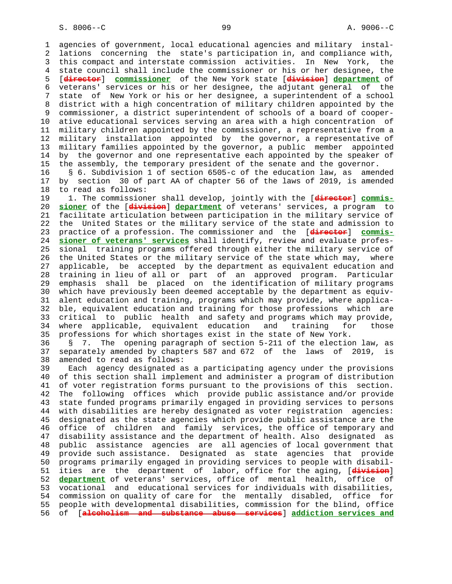1 agencies of government, local educational agencies and military instal- 2 lations concerning the state's participation in, and compliance with, 3 this compact and interstate commission activities. In New York, the 4 state council shall include the commissioner or his or her designee, the 5 [**director**] **commissioner** of the New York state [**division**] **department** of 6 veterans' services or his or her designee, the adjutant general of the 7 state of New York or his or her designee, a superintendent of a school 8 district with a high concentration of military children appointed by the 9 commissioner, a district superintendent of schools of a board of cooper- 10 ative educational services serving an area with a high concentration of 11 military children appointed by the commissioner, a representative from a 12 military installation appointed by the governor, a representative of 13 military families appointed by the governor, a public member appointed 14 by the governor and one representative each appointed by the speaker of 15 the assembly, the temporary president of the senate and the governor.

 16 § 6. Subdivision 1 of section 6505-c of the education law, as amended 17 by section 30 of part AA of chapter 56 of the laws of 2019, is amended 18 to read as follows:

 19 1. The commissioner shall develop, jointly with the [**director**] **commis-** 20 **sioner** of the [**division**] **department** of veterans' services, a program to 21 facilitate articulation between participation in the military service of 22 the United States or the military service of the state and admission to 23 practice of a profession. The commissioner and the [**director**] **commis-** 24 **sioner of veterans' services** shall identify, review and evaluate profes- 25 sional training programs offered through either the military service of 26 the United States or the military service of the state which may, where 27 applicable, be accepted by the department as equivalent education and 28 training in lieu of all or part of an approved program. Particular 29 emphasis shall be placed on the identification of military programs 30 which have previously been deemed acceptable by the department as equiv- 31 alent education and training, programs which may provide, where applica- 32 ble, equivalent education and training for those professions which are 33 critical to public health and safety and programs which may provide, 34 where applicable, equivalent education and training for those 35 professions for which shortages exist in the state of New York.

 36 § 7. The opening paragraph of section 5-211 of the election law, as 37 separately amended by chapters 587 and 672 of the laws of 2019, is 38 amended to read as follows:

 39 Each agency designated as a participating agency under the provisions 40 of this section shall implement and administer a program of distribution 41 of voter registration forms pursuant to the provisions of this section. 42 The following offices which provide public assistance and/or provide 43 state funded programs primarily engaged in providing services to persons 44 with disabilities are hereby designated as voter registration agencies: 45 designated as the state agencies which provide public assistance are the 46 office of children and family services, the office of temporary and 47 disability assistance and the department of health. Also designated as 48 public assistance agencies are all agencies of local government that 49 provide such assistance. Designated as state agencies that provide 50 programs primarily engaged in providing services to people with disabil- 51 ities are the department of labor, office for the aging, [**division**] 52 **department** of veterans' services, office of mental health, office of 53 vocational and educational services for individuals with disabilities, 54 commission on quality of care for the mentally disabled, office for 55 people with developmental disabilities, commission for the blind, office 56 of [**alcoholism and substance abuse services**] **addiction services and**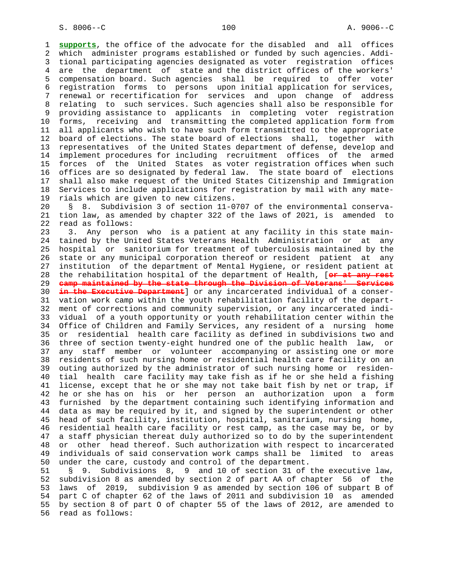1 **supports**, the office of the advocate for the disabled and all offices 2 which administer programs established or funded by such agencies. Addi- 3 tional participating agencies designated as voter registration offices 4 are the department of state and the district offices of the workers' 5 compensation board. Such agencies shall be required to offer voter 6 registration forms to persons upon initial application for services, 7 renewal or recertification for services and upon change of address 8 relating to such services. Such agencies shall also be responsible for 9 providing assistance to applicants in completing voter registration<br>10 forms, receiving and transmitting the completed application form from forms, receiving and transmitting the completed application form from 11 all applicants who wish to have such form transmitted to the appropriate 12 board of elections. The state board of elections shall, together with 13 representatives of the United States department of defense, develop and 14 implement procedures for including recruitment offices of the armed 15 forces of the United States as voter registration offices when such 16 offices are so designated by federal law. The state board of elections 17 shall also make request of the United States Citizenship and Immigration 18 Services to include applications for registration by mail with any mate- 19 rials which are given to new citizens.

 20 § 8. Subdivision 3 of section 11-0707 of the environmental conserva- 21 tion law, as amended by chapter 322 of the laws of 2021, is amended to 22 read as follows:

 23 3. Any person who is a patient at any facility in this state main- 24 tained by the United States Veterans Health Administration or at any 25 hospital or sanitorium for treatment of tuberculosis maintained by the 26 state or any municipal corporation thereof or resident patient at any 27 institution of the department of Mental Hygiene, or resident patient at 28 the rehabilitation hospital of the department of Health, [**or at any rest** 29 **camp maintained by the state through the Division of Veterans' Services** 30 **in the Executive Department**] or any incarcerated individual of a conser- 31 vation work camp within the youth rehabilitation facility of the depart- 32 ment of corrections and community supervision, or any incarcerated indi- 33 vidual of a youth opportunity or youth rehabilitation center within the 34 Office of Children and Family Services, any resident of a nursing home 35 or residential health care facility as defined in subdivisions two and 36 three of section twenty-eight hundred one of the public health law, or 37 any staff member or volunteer accompanying or assisting one or more 38 residents of such nursing home or residential health care facility on an 39 outing authorized by the administrator of such nursing home or residen- 40 tial health care facility may take fish as if he or she held a fishing 41 license, except that he or she may not take bait fish by net or trap, if 42 he or she has on his or her person an authorization upon a form 43 furnished by the department containing such identifying information and 44 data as may be required by it, and signed by the superintendent or other 45 head of such facility, institution, hospital, sanitarium, nursing home, 46 residential health care facility or rest camp, as the case may be, or by 47 a staff physician thereat duly authorized so to do by the superintendent 48 or other head thereof. Such authorization with respect to incarcerated 49 individuals of said conservation work camps shall be limited to areas 50 under the care, custody and control of the department.

 51 § 9. Subdivisions 8, 9 and 10 of section 31 of the executive law, 52 subdivision 8 as amended by section 2 of part AA of chapter 56 of the 53 laws of 2019, subdivision 9 as amended by section 106 of subpart B of 54 part C of chapter 62 of the laws of 2011 and subdivision 10 as amended 55 by section 8 of part O of chapter 55 of the laws of 2012, are amended to 56 read as follows: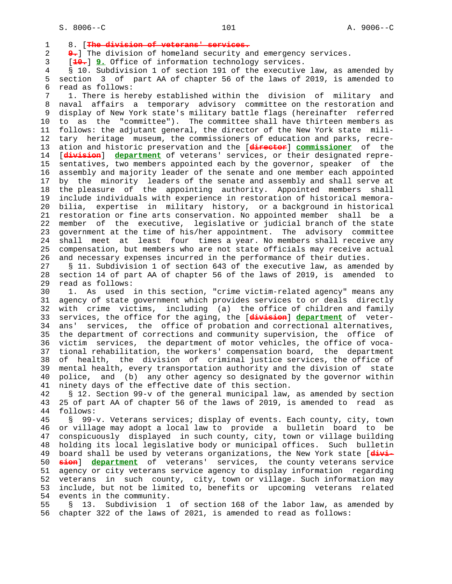1 8. [**The division of veterans' services.** 2 **9.**] The division of homeland security and emergency services. 3 [**10.**] **9.** Office of information technology services. 4 § 10. Subdivision 1 of section 191 of the executive law, as amended by 5 section 3 of part AA of chapter 56 of the laws of 2019, is amended to 6 read as follows: 7 1. There is hereby established within the division of military and 8 naval affairs a temporary advisory committee on the restoration and 9 display of New York state's military battle flags (hereinafter referred 10 to as the "committee"). The committee shall have thirteen members as 11 follows: the adjutant general, the director of the New York state mili- 12 tary heritage museum, the commissioners of education and parks, recre- 13 ation and historic preservation and the [**director**] **commissioner** of the 14 [**division**] **department** of veterans' services, or their designated repre- 15 sentatives, two members appointed each by the governor, speaker of the 16 assembly and majority leader of the senate and one member each appointed 17 by the minority leaders of the senate and assembly and shall serve at 18 the pleasure of the appointing authority. Appointed members shall 19 include individuals with experience in restoration of historical memora- 20 bilia, expertise in military history, or a background in historical 21 restoration or fine arts conservation. No appointed member shall be a 22 member of the executive, legislative or judicial branch of the state 23 government at the time of his/her appointment. The advisory committee 24 shall meet at least four times a year. No members shall receive any 25 compensation, but members who are not state officials may receive actual 26 and necessary expenses incurred in the performance of their duties. 27 § 11. Subdivision 1 of section 643 of the executive law, as amended by 28 section 14 of part AA of chapter 56 of the laws of 2019, is amended to 29 read as follows: 30 1. As used in this section, "crime victim-related agency" means any 31 agency of state government which provides services to or deals directly 32 with crime victims, including (a) the office of children and family 33 services, the office for the aging, the [**division**] **department** of veter- 34 ans' services, the office of probation and correctional alternatives, 35 the department of corrections and community supervision, the office of 36 victim services, the department of motor vehicles, the office of voca- 37 tional rehabilitation, the workers' compensation board, the department 38 of health, the division of criminal justice services, the office of 39 mental health, every transportation authority and the division of state 40 police, and (b) any other agency so designated by the governor within 41 ninety days of the effective date of this section. 42 § 12. Section 99-v of the general municipal law, as amended by section 43 25 of part AA of chapter 56 of the laws of 2019, is amended to read as 44 follows: 45 § 99-v. Veterans services; display of events. Each county, city, town 46 or village may adopt a local law to provide a bulletin board to be 47 conspicuously displayed in such county, city, town or village building 48 holding its local legislative body or municipal offices. Such bulletin 49 board shall be used by veterans organizations, the New York state [**divi-** 50 **sion**] **department** of veterans' services, the county veterans service 51 agency or city veterans service agency to display information regarding 52 veterans in such county, city, town or village. Such information may 53 include, but not be limited to, benefits or upcoming veterans related 54 events in the community. 55 § 13. Subdivision 1 of section 168 of the labor law, as amended by 56 chapter 322 of the laws of 2021, is amended to read as follows: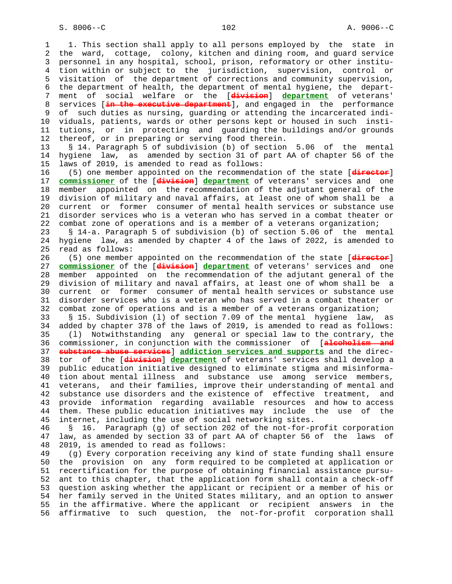1 1. This section shall apply to all persons employed by the state in 2 the ward, cottage, colony, kitchen and dining room, and guard service 3 personnel in any hospital, school, prison, reformatory or other institu- 4 tion within or subject to the jurisdiction, supervision, control or 5 visitation of the department of corrections and community supervision, 6 the department of health, the department of mental hygiene, the depart- 7 ment of social welfare or the [**division**] **department** of veterans' 8 services [**in the executive department**], and engaged in the performance 9 of such duties as nursing, guarding or attending the incarcerated indi- 10 viduals, patients, wards or other persons kept or housed in such insti- 11 tutions, or in protecting and guarding the buildings and/or grounds 12 thereof, or in preparing or serving food therein. 13 § 14. Paragraph 5 of subdivision (b) of section 5.06 of the mental 14 hygiene law, as amended by section 31 of part AA of chapter 56 of the 15 laws of 2019, is amended to read as follows: 16 (5) one member appointed on the recommendation of the state [**director**] 17 **commissioner** of the [**division**] **department** of veterans' services and one 18 member appointed on the recommendation of the adjutant general of the 19 division of military and naval affairs, at least one of whom shall be a 20 current or former consumer of mental health services or substance use 21 disorder services who is a veteran who has served in a combat theater or 22 combat zone of operations and is a member of a veterans organization; 23 § 14-a. Paragraph 5 of subdivision (b) of section 5.06 of the mental 24 hygiene law, as amended by chapter 4 of the laws of 2022, is amended to 25 read as follows: 26 (5) one member appointed on the recommendation of the state [**director**] 27 **commissioner** of the [**division**] **department** of veterans' services and one 28 member appointed on the recommendation of the adjutant general of the 29 division of military and naval affairs, at least one of whom shall be a 30 current or former consumer of mental health services or substance use 31 disorder services who is a veteran who has served in a combat theater or 32 combat zone of operations and is a member of a veterans organization; 33 § 15. Subdivision (l) of section 7.09 of the mental hygiene law, as 34 added by chapter 378 of the laws of 2019, is amended to read as follows: 35 (l) Notwithstanding any general or special law to the contrary, the 36 commissioner, in conjunction with the commissioner of [**alcoholism and** 37 **substance abuse services**] **addiction services and supports** and the direc- 38 tor of the [**division**] **department** of veterans' services shall develop a 39 public education initiative designed to eliminate stigma and misinforma- 40 tion about mental illness and substance use among service members, 41 veterans, and their families, improve their understanding of mental and 42 substance use disorders and the existence of effective treatment, and 43 provide information regarding available resources and how to access 44 them. These public education initiatives may include the use of the 45 internet, including the use of social networking sites. 46 § 16. Paragraph (g) of section 202 of the not-for-profit corporation 47 law, as amended by section 33 of part AA of chapter 56 of the laws of 48 2019, is amended to read as follows:

 49 (g) Every corporation receiving any kind of state funding shall ensure 50 the provision on any form required to be completed at application or 51 recertification for the purpose of obtaining financial assistance pursu- 52 ant to this chapter, that the application form shall contain a check-off 53 question asking whether the applicant or recipient or a member of his or 54 her family served in the United States military, and an option to answer 55 in the affirmative. Where the applicant or recipient answers in the 56 affirmative to such question, the not-for-profit corporation shall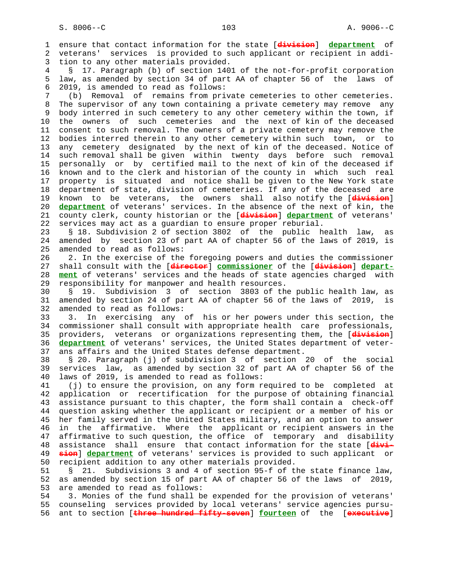1 ensure that contact information for the state [**division**] **department** of 2 veterans' services is provided to such applicant or recipient in addi- 3 tion to any other materials provided.

 4 § 17. Paragraph (b) of section 1401 of the not-for-profit corporation 5 law, as amended by section 34 of part AA of chapter 56 of the laws of 6 2019, is amended to read as follows:

 7 (b) Removal of remains from private cemeteries to other cemeteries. 8 The supervisor of any town containing a private cemetery may remove any 9 body interred in such cemetery to any other cemetery within the town, if 10 the owners of such cemeteries and the next of kin of the deceased 11 consent to such removal. The owners of a private cemetery may remove the 12 bodies interred therein to any other cemetery within such town, or to 13 any cemetery designated by the next of kin of the deceased. Notice of 14 such removal shall be given within twenty days before such removal 15 personally or by certified mail to the next of kin of the deceased if 16 known and to the clerk and historian of the county in which such real 17 property is situated and notice shall be given to the New York state 18 department of state, division of cemeteries. If any of the deceased are 19 known to be veterans, the owners shall also notify the [**division**] 20 **department** of veterans' services. In the absence of the next of kin, the 21 county clerk, county historian or the [**division**] **department** of veterans' 22 services may act as a guardian to ensure proper reburial.

 23 § 18. Subdivision 2 of section 3802 of the public health law, as 24 amended by section 23 of part AA of chapter 56 of the laws of 2019, is 25 amended to read as follows:

 26 2. In the exercise of the foregoing powers and duties the commissioner 27 shall consult with the [**director**] **commissioner** of the [**division**] **depart-** 28 **ment** of veterans' services and the heads of state agencies charged with 29 responsibility for manpower and health resources.

 30 § 19. Subdivision 3 of section 3803 of the public health law, as 31 amended by section 24 of part AA of chapter 56 of the laws of 2019, is 32 amended to read as follows:

 33 3. In exercising any of his or her powers under this section, the 34 commissioner shall consult with appropriate health care professionals, 35 providers, veterans or organizations representing them, the [**division**] 36 **department** of veterans' services, the United States department of veter- 37 ans affairs and the United States defense department.

 38 § 20. Paragraph (j) of subdivision 3 of section 20 of the social 39 services law, as amended by section 32 of part AA of chapter 56 of the 40 laws of 2019, is amended to read as follows:

 41 (j) to ensure the provision, on any form required to be completed at 42 application or recertification for the purpose of obtaining financial 43 assistance pursuant to this chapter, the form shall contain a check-off 44 question asking whether the applicant or recipient or a member of his or 45 her family served in the United States military, and an option to answer 46 in the affirmative. Where the applicant or recipient answers in the 47 affirmative to such question, the office of temporary and disability 48 assistance shall ensure that contact information for the state [**divi-** 49 **sion**] **department** of veterans' services is provided to such applicant or 50 recipient addition to any other materials provided.

 51 § 21. Subdivisions 3 and 4 of section 95-f of the state finance law, 52 as amended by section 15 of part AA of chapter 56 of the laws of 2019, 53 are amended to read as follows:

 54 3. Monies of the fund shall be expended for the provision of veterans' 55 counseling services provided by local veterans' service agencies pursu- 56 ant to section [**three hundred fifty-seven**] **fourteen** of the [**executive**]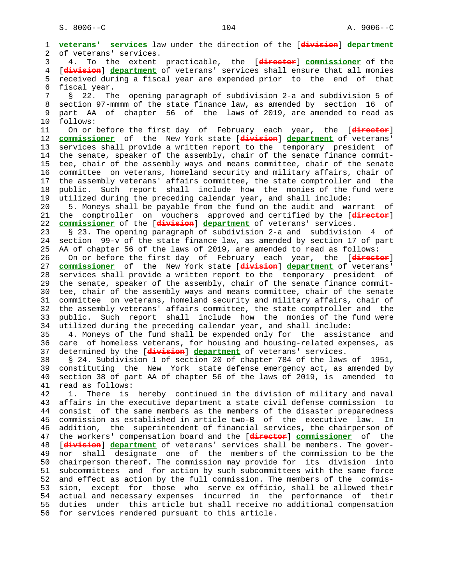1 **veterans' services** law under the direction of the [**division**] **department** 2 of veterans' services. 3 4. To the extent practicable, the [**director**] **commissioner** of the 4 [**division**] **department** of veterans' services shall ensure that all monies 5 received during a fiscal year are expended prior to the end of that 6 fiscal year. 7 § 22. The opening paragraph of subdivision 2-a and subdivision 5 of 8 section 97-mmmm of the state finance law, as amended by section 16 of 9 part AA of chapter 56 of the laws of 2019, are amended to read as 10 follows: 11 On or before the first day of February each year, the [**director**] 12 **commissioner** of the New York state [**division**] **department** of veterans' 13 services shall provide a written report to the temporary president of 14 the senate, speaker of the assembly, chair of the senate finance commit- 15 tee, chair of the assembly ways and means committee, chair of the senate 16 committee on veterans, homeland security and military affairs, chair of 17 the assembly veterans' affairs committee, the state comptroller and the 18 public. Such report shall include how the monies of the fund were 19 utilized during the preceding calendar year, and shall include: 20 5. Moneys shall be payable from the fund on the audit and warrant of 21 the comptroller on vouchers approved and certified by the [**director**] 22 **commissioner** of the [**division**] **department** of veterans' services. 23 § 23. The opening paragraph of subdivision 2-a and subdivision 4 of 24 section 99-v of the state finance law, as amended by section 17 of part 25 AA of chapter 56 of the laws of 2019, are amended to read as follows: 26 On or before the first day of February each year, the [**director**] 27 **commissioner** of the New York state [**division**] **department** of veterans' 28 services shall provide a written report to the temporary president of 29 the senate, speaker of the assembly, chair of the senate finance commit- 30 tee, chair of the assembly ways and means committee, chair of the senate 31 committee on veterans, homeland security and military affairs, chair of 32 the assembly veterans' affairs committee, the state comptroller and the 33 public. Such report shall include how the monies of the fund were 34 utilized during the preceding calendar year, and shall include: 35 4. Moneys of the fund shall be expended only for the assistance and 36 care of homeless veterans, for housing and housing-related expenses, as 37 determined by the [**division**] **department** of veterans' services. 38 § 24. Subdivision 1 of section 20 of chapter 784 of the laws of 1951, 39 constituting the New York state defense emergency act, as amended by 40 section 38 of part AA of chapter 56 of the laws of 2019, is amended to 41 read as follows: 42 1. There is hereby continued in the division of military and naval 43 affairs in the executive department a state civil defense commission to 44 consist of the same members as the members of the disaster preparedness 45 commission as established in article two-B of the executive law. In 46 addition, the superintendent of financial services, the chairperson of 47 the workers' compensation board and the [**director**] **commissioner** of the 48 [**division**] **department** of veterans' services shall be members. The gover- 49 nor shall designate one of the members of the commission to be the 50 chairperson thereof. The commission may provide for its division into 51 subcommittees and for action by such subcommittees with the same force 52 and effect as action by the full commission. The members of the commis- 53 sion, except for those who serve ex officio, shall be allowed their 54 actual and necessary expenses incurred in the performance of their 55 duties under this article but shall receive no additional compensation 56 for services rendered pursuant to this article.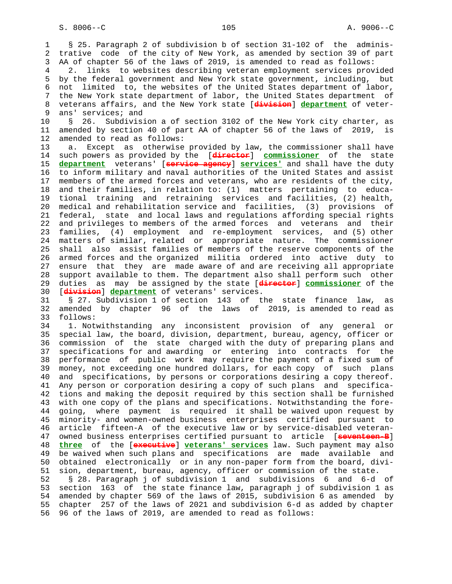1 § 25. Paragraph 2 of subdivision b of section 31-102 of the adminis- 2 trative code of the city of New York, as amended by section 39 of part 3 AA of chapter 56 of the laws of 2019, is amended to read as follows:

 4 2. links to websites describing veteran employment services provided 5 by the federal government and New York state government, including, but 6 not limited to, the websites of the United States department of labor, 7 the New York state department of labor, the United States department of 8 veterans affairs, and the New York state [**division**] **department** of veter- 9 ans' services; and

 10 § 26. Subdivision a of section 3102 of the New York city charter, as 11 amended by section 40 of part AA of chapter 56 of the laws of 2019, is 12 amended to read as follows:

 13 a. Except as otherwise provided by law, the commissioner shall have 14 such powers as provided by the [**director**] **commissioner** of the state 15 **department** veterans' [**service agency**] **services'** and shall have the duty 16 to inform military and naval authorities of the United States and assist 17 members of the armed forces and veterans, who are residents of the city, 18 and their families, in relation to: (1) matters pertaining to educa- 19 tional training and retraining services and facilities, (2) health, 20 medical and rehabilitation service and facilities, (3) provisions of 21 federal, state and local laws and regulations affording special rights 22 and privileges to members of the armed forces and veterans and their 23 families, (4) employment and re-employment services, and (5) other 24 matters of similar, related or appropriate nature. The commissioner 25 shall also assist families of members of the reserve components of the 26 armed forces and the organized militia ordered into active duty to 27 ensure that they are made aware of and are receiving all appropriate 28 support available to them. The department also shall perform such other 29 duties as may be assigned by the state [**director**] **commissioner** of the 30 [**division**] **department** of veterans' services.

 31 § 27. Subdivision 1 of section 143 of the state finance law, as 32 amended by chapter 96 of the laws of 2019, is amended to read as 33 follows:

 34 1. Notwithstanding any inconsistent provision of any general or 35 special law, the board, division, department, bureau, agency, officer or 36 commission of the state charged with the duty of preparing plans and 37 specifications for and awarding or entering into contracts for the 38 performance of public work may require the payment of a fixed sum of 39 money, not exceeding one hundred dollars, for each copy of such plans 40 and specifications, by persons or corporations desiring a copy thereof. 41 Any person or corporation desiring a copy of such plans and specifica- 42 tions and making the deposit required by this section shall be furnished 43 with one copy of the plans and specifications. Notwithstanding the fore- 44 going, where payment is required it shall be waived upon request by 45 minority- and women-owned business enterprises certified pursuant to 46 article fifteen-A of the executive law or by service-disabled veteran- 47 owned business enterprises certified pursuant to article [**seventeen-B**] 48 **three** of the [**executive**] **veterans' services** law. Such payment may also 49 be waived when such plans and specifications are made available and 50 obtained electronically or in any non-paper form from the board, divi- 51 sion, department, bureau, agency, officer or commission of the state. 52 § 28. Paragraph j of subdivision 1 and subdivisions 6 and 6-d of 53 section 163 of the state finance law, paragraph j of subdivision 1 as 54 amended by chapter 569 of the laws of 2015, subdivision 6 as amended by 55 chapter 257 of the laws of 2021 and subdivision 6-d as added by chapter

56 96 of the laws of 2019, are amended to read as follows: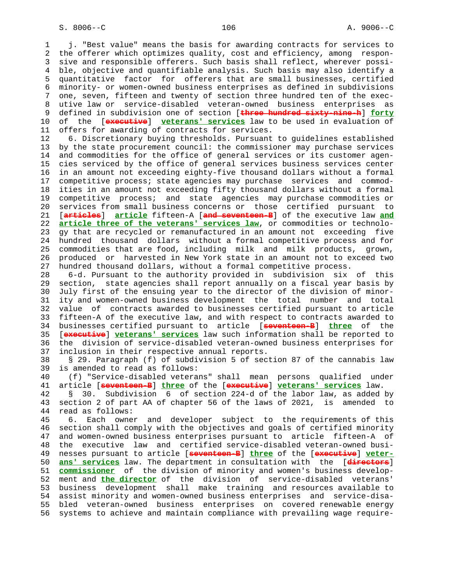1 j. "Best value" means the basis for awarding contracts for services to 2 the offerer which optimizes quality, cost and efficiency, among respon- 3 sive and responsible offerers. Such basis shall reflect, wherever possi- 4 ble, objective and quantifiable analysis. Such basis may also identify a 5 quantitative factor for offerers that are small businesses, certified 6 minority- or women-owned business enterprises as defined in subdivisions 7 one, seven, fifteen and twenty of section three hundred ten of the exec- 8 utive law or service-disabled veteran-owned business enterprises as 9 defined in subdivision one of section [**three hundred sixty-nine-h**] **forty** 10 of the [**executive**] **veterans' services** law to be used in evaluation of 11 offers for awarding of contracts for services.

 12 6. Discretionary buying thresholds. Pursuant to guidelines established 13 by the state procurement council: the commissioner may purchase services 14 and commodities for the office of general services or its customer agen- 15 cies serviced by the office of general services business services center 16 in an amount not exceeding eighty-five thousand dollars without a formal 17 competitive process; state agencies may purchase services and commod- 18 ities in an amount not exceeding fifty thousand dollars without a formal 19 competitive process; and state agencies may purchase commodities or 20 services from small business concerns or those certified pursuant to 21 [**articles**] **article** fifteen-A [**and seventeen-B**] of the executive law **and** 22 **article three of the veterans' services law**, or commodities or technolo- 23 gy that are recycled or remanufactured in an amount not exceeding five 24 hundred thousand dollars without a formal competitive process and for 25 commodities that are food, including milk and milk products, grown, 26 produced or harvested in New York state in an amount not to exceed two 27 hundred thousand dollars, without a formal competitive process.

 28 6-d. Pursuant to the authority provided in subdivision six of this 29 section, state agencies shall report annually on a fiscal year basis by 30 July first of the ensuing year to the director of the division of minor- 31 ity and women-owned business development the total number and total 32 value of contracts awarded to businesses certified pursuant to article 33 fifteen-A of the executive law, and with respect to contracts awarded to 34 businesses certified pursuant to article [**seventeen-B**] **three** of the 35 [**executive**] **veterans' services** law such information shall be reported to 36 the division of service-disabled veteran-owned business enterprises for 37 inclusion in their respective annual reports.

 38 § 29. Paragraph (f) of subdivision 5 of section 87 of the cannabis law 39 is amended to read as follows:

 40 (f) "Service-disabled veterans" shall mean persons qualified under 41 article [**seventeen-B**] **three** of the [**executive**] **veterans' services** law.

 42 § 30. Subdivision 6 of section 224-d of the labor law, as added by 43 section 2 of part AA of chapter 56 of the laws of 2021, is amended to 44 read as follows:

 45 6. Each owner and developer subject to the requirements of this 46 section shall comply with the objectives and goals of certified minority 47 and women-owned business enterprises pursuant to article fifteen-A of 48 the executive law and certified service-disabled veteran-owned busi- 49 nesses pursuant to article [**seventeen-B**] **three** of the [**executive**] **veter-** 50 **ans' services** law. The department in consultation with the [**directors**] 51 **commissioner** of the division of minority and women's business develop- 52 ment and **the director** of the division of service-disabled veterans' 53 business development shall make training and resources available to 54 assist minority and women-owned business enterprises and service-disa- 55 bled veteran-owned business enterprises on covered renewable energy 56 systems to achieve and maintain compliance with prevailing wage require-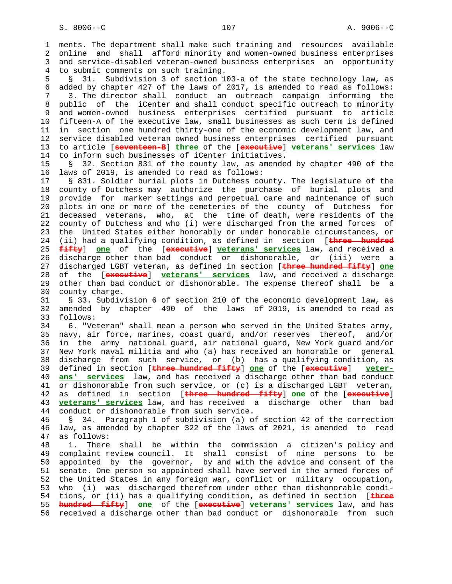1 ments. The department shall make such training and resources available 2 online and shall afford minority and women-owned business enterprises 3 and service-disabled veteran-owned business enterprises an opportunity 4 to submit comments on such training. 5 § 31. Subdivision 3 of section 103-a of the state technology law, as 6 added by chapter 427 of the laws of 2017, is amended to read as follows: 7 3. The director shall conduct an outreach campaign informing the 8 public of the iCenter and shall conduct specific outreach to minority 9 and women-owned business enterprises certified pursuant to article 10 fifteen-A of the executive law, small businesses as such term is defined 11 in section one hundred thirty-one of the economic development law, and 12 service disabled veteran owned business enterprises certified pursuant 13 to article [**seventeen-B**] **three** of the [**executive**] **veterans' services** law 14 to inform such businesses of iCenter initiatives. 15 § 32. Section 831 of the county law, as amended by chapter 490 of the 16 laws of 2019, is amended to read as follows: 17 § 831. Soldier burial plots in Dutchess county. The legislature of the 18 county of Dutchess may authorize the purchase of burial plots and 19 provide for marker settings and perpetual care and maintenance of such 20 plots in one or more of the cemeteries of the county of Dutchess for 21 deceased veterans, who, at the time of death, were residents of the 22 county of Dutchess and who (i) were discharged from the armed forces of 23 the United States either honorably or under honorable circumstances, or 24 (ii) had a qualifying condition, as defined in section [**three hundred** 25 **fifty**] **one** of the [**executive**] **veterans' services** law, and received a 26 discharge other than bad conduct or dishonorable, or (iii) were a 27 discharged LGBT veteran, as defined in section [**three hundred fifty**] **one** 28 of the [**executive**] **veterans' services** law, and received a discharge 29 other than bad conduct or dishonorable. The expense thereof shall be a 30 county charge. 31 § 33. Subdivision 6 of section 210 of the economic development law, as 32 amended by chapter 490 of the laws of 2019, is amended to read as 33 follows: 34 6. "Veteran" shall mean a person who served in the United States army, 35 navy, air force, marines, coast guard, and/or reserves thereof, and/or 36 in the army national guard, air national guard, New York guard and/or 37 New York naval militia and who (a) has received an honorable or general 38 discharge from such service, or (b) has a qualifying condition, as 39 defined in section [**three hundred fifty**] **one** of the [**executive**] **veter-** 40 **ans' services** law, and has received a discharge other than bad conduct 41 or dishonorable from such service, or (c) is a discharged LGBT veteran, 42 as defined in section [**three hundred fifty**] **one** of the [**executive**] 43 **veterans' services** law, and has received a discharge other than bad 44 conduct or dishonorable from such service. 45 § 34. Paragraph 1 of subdivision (a) of section 42 of the correction 46 law, as amended by chapter 322 of the laws of 2021, is amended to read 47 as follows: 48 1. There shall be within the commission a citizen's policy and 49 complaint review council. It shall consist of nine persons to be 50 appointed by the governor, by and with the advice and consent of the 51 senate. One person so appointed shall have served in the armed forces of 52 the United States in any foreign war, conflict or military occupation, 53 who (i) was discharged therefrom under other than dishonorable condi- 54 tions, or (ii) has a qualifying condition, as defined in section [**three** 55 **hundred fifty**] **one** of the [**executive**] **veterans' services** law, and has 56 received a discharge other than bad conduct or dishonorable from such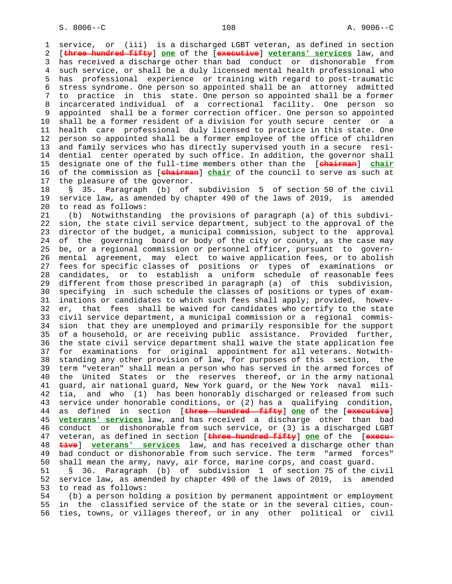1 service, or (iii) is a discharged LGBT veteran, as defined in section 2 [**three hundred fifty**] **one** of the [**executive**] **veterans' services** law, and 3 has received a discharge other than bad conduct or dishonorable from 4 such service, or shall be a duly licensed mental health professional who 5 has professional experience or training with regard to post-traumatic 6 stress syndrome. One person so appointed shall be an attorney admitted 7 to practice in this state. One person so appointed shall be a former 8 incarcerated individual of a correctional facility. One person so 9 appointed shall be a former correction officer. One person so appointed 10 shall be a former resident of a division for youth secure center or a 11 health care professional duly licensed to practice in this state. One 12 person so appointed shall be a former employee of the office of children 13 and family services who has directly supervised youth in a secure resi- 14 dential center operated by such office. In addition, the governor shall 15 designate one of the full-time members other than the [**chairman**] **chair** 16 of the commission as [**chairman**] **chair** of the council to serve as such at 17 the pleasure of the governor.

 18 § 35. Paragraph (b) of subdivision 5 of section 50 of the civil 19 service law, as amended by chapter 490 of the laws of 2019, is amended 20 to read as follows:

 21 (b) Notwithstanding the provisions of paragraph (a) of this subdivi- 22 sion, the state civil service department, subject to the approval of the 23 director of the budget, a municipal commission, subject to the approval 24 of the governing board or body of the city or county, as the case may 25 be, or a regional commission or personnel officer, pursuant to govern- 26 mental agreement, may elect to waive application fees, or to abolish 27 fees for specific classes of positions or types of examinations or 28 candidates, or to establish a uniform schedule of reasonable fees 29 different from those prescribed in paragraph (a) of this subdivision, 30 specifying in such schedule the classes of positions or types of exam- 31 inations or candidates to which such fees shall apply; provided, howev- 32 er, that fees shall be waived for candidates who certify to the state 33 civil service department, a municipal commission or a regional commis- 34 sion that they are unemployed and primarily responsible for the support 35 of a household, or are receiving public assistance. Provided further, 36 the state civil service department shall waive the state application fee 37 for examinations for original appointment for all veterans. Notwith- 38 standing any other provision of law, for purposes of this section, the 39 term "veteran" shall mean a person who has served in the armed forces of 40 the United States or the reserves thereof, or in the army national 41 guard, air national guard, New York guard, or the New York naval mili- 42 tia, and who (1) has been honorably discharged or released from such 43 service under honorable conditions, or (2) has a qualifying condition, 44 as defined in section [**three hundred fifty**] **one** of the [**executive**] 45 **veterans' services** law, and has received a discharge other than bad 46 conduct or dishonorable from such service, or (3) is a discharged LGBT 47 veteran, as defined in section [**three hundred fifty**] **one** of the [**execu-** 48 **tive**] **veterans' services** law, and has received a discharge other than 49 bad conduct or dishonorable from such service. The term "armed forces" 50 shall mean the army, navy, air force, marine corps, and coast guard. 51 § 36. Paragraph (b) of subdivision 1 of section 75 of the civil 52 service law, as amended by chapter 490 of the laws of 2019, is amended 53 to read as follows: 54 (b) a person holding a position by permanent appointment or employment

 55 in the classified service of the state or in the several cities, coun- 56 ties, towns, or villages thereof, or in any other political or civil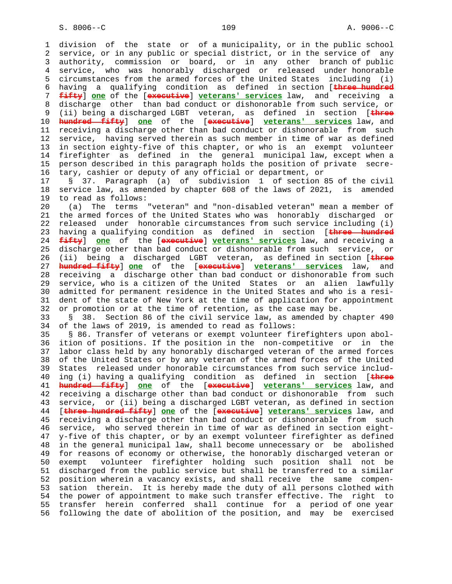1 division of the state or of a municipality, or in the public school 2 service, or in any public or special district, or in the service of any 3 authority, commission or board, or in any other branch of public 4 service, who was honorably discharged or released under honorable 5 circumstances from the armed forces of the United States including (i) 6 having a qualifying condition as defined in section [**three hundred** 7 **fifty**] **one** of the [**executive**] **veterans' services** law, and receiving a 8 discharge other than bad conduct or dishonorable from such service, or 9 (ii) being a discharged LGBT veteran, as defined in section [**three** 10 **hundred fifty**] **one** of the [**executive**] **veterans' services** law, and 11 receiving a discharge other than bad conduct or dishonorable from such 12 service, having served therein as such member in time of war as defined 13 in section eighty-five of this chapter, or who is an exempt volunteer 14 firefighter as defined in the general municipal law, except when a 15 person described in this paragraph holds the position of private secre- 16 tary, cashier or deputy of any official or department, or 17 § 37. Paragraph (a) of subdivision 1 of section 85 of the civil 18 service law, as amended by chapter 608 of the laws of 2021, is amended

19 to read as follows:

 20 (a) The terms "veteran" and "non-disabled veteran" mean a member of 21 the armed forces of the United States who was honorably discharged or 22 released under honorable circumstances from such service including (i) 23 having a qualifying condition as defined in section [**three hundred** 24 **fifty**] **one** of the [**executive**] **veterans' services** law, and receiving a 25 discharge other than bad conduct or dishonorable from such service, or 26 (ii) being a discharged LGBT veteran, as defined in section [**three** 27 **hundred fifty**] **one** of the [**executive**] **veterans' services** law, and 28 receiving a discharge other than bad conduct or dishonorable from such 29 service, who is a citizen of the United States or an alien lawfully 30 admitted for permanent residence in the United States and who is a resi- 31 dent of the state of New York at the time of application for appointment 32 or promotion or at the time of retention, as the case may be.

 33 § 38. Section 86 of the civil service law, as amended by chapter 490 34 of the laws of 2019, is amended to read as follows:

 35 § 86. Transfer of veterans or exempt volunteer firefighters upon abol- 36 ition of positions. If the position in the non-competitive or in the 37 labor class held by any honorably discharged veteran of the armed forces 38 of the United States or by any veteran of the armed forces of the United 39 States released under honorable circumstances from such service includ- 40 ing (i) having a qualifying condition as defined in section [**three** 41 **hundred fifty**] **one** of the [**executive**] **veterans' services** law, and 42 receiving a discharge other than bad conduct or dishonorable from such 43 service, or (ii) being a discharged LGBT veteran, as defined in section 44 [**three hundred fifty**] **one** of the [**executive**] **veterans' services** law, and 45 receiving a discharge other than bad conduct or dishonorable from such 46 service, who served therein in time of war as defined in section eight- 47 y-five of this chapter, or by an exempt volunteer firefighter as defined 48 in the general municipal law, shall become unnecessary or be abolished 49 for reasons of economy or otherwise, the honorably discharged veteran or 50 exempt volunteer firefighter holding such position shall not be 51 discharged from the public service but shall be transferred to a similar 52 position wherein a vacancy exists, and shall receive the same compen- 53 sation therein. It is hereby made the duty of all persons clothed with 54 the power of appointment to make such transfer effective. The right to 55 transfer herein conferred shall continue for a period of one year 56 following the date of abolition of the position, and may be exercised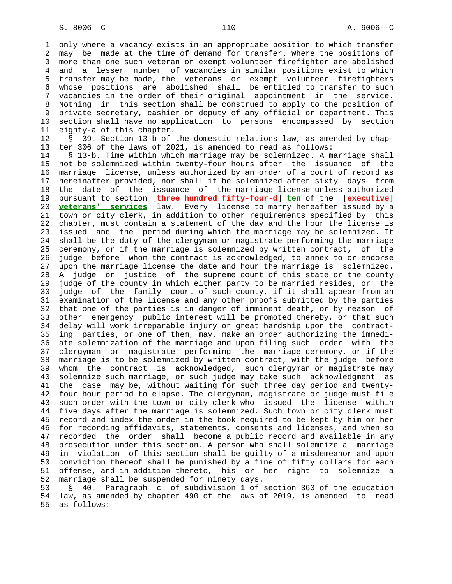1 only where a vacancy exists in an appropriate position to which transfer 2 may be made at the time of demand for transfer. Where the positions of 3 more than one such veteran or exempt volunteer firefighter are abolished 4 and a lesser number of vacancies in similar positions exist to which 5 transfer may be made, the veterans or exempt volunteer firefighters 6 whose positions are abolished shall be entitled to transfer to such 7 vacancies in the order of their original appointment in the service. 8 Nothing in this section shall be construed to apply to the position of 9 private secretary, cashier or deputy of any official or department. This 10 section shall have no application to persons encompassed by section 11 eighty-a of this chapter.

 12 § 39. Section 13-b of the domestic relations law, as amended by chap- 13 ter 306 of the laws of 2021, is amended to read as follows:

 14 § 13-b. Time within which marriage may be solemnized. A marriage shall 15 not be solemnized within twenty-four hours after the issuance of the 16 marriage license, unless authorized by an order of a court of record as 17 hereinafter provided, nor shall it be solemnized after sixty days from 18 the date of the issuance of the marriage license unless authorized 19 pursuant to section [**three hundred fifty-four-d**] **ten** of the [**executive**] 20 **veterans' services** law. Every license to marry hereafter issued by a 21 town or city clerk, in addition to other requirements specified by this 22 chapter, must contain a statement of the day and the hour the license is 23 issued and the period during which the marriage may be solemnized. It 24 shall be the duty of the clergyman or magistrate performing the marriage 25 ceremony, or if the marriage is solemnized by written contract, of the 26 judge before whom the contract is acknowledged, to annex to or endorse 27 upon the marriage license the date and hour the marriage is solemnized. 28 A judge or justice of the supreme court of this state or the county 29 judge of the county in which either party to be married resides, or the 30 judge of the family court of such county, if it shall appear from an 31 examination of the license and any other proofs submitted by the parties 32 that one of the parties is in danger of imminent death, or by reason of 33 other emergency public interest will be promoted thereby, or that such 34 delay will work irreparable injury or great hardship upon the contract- 35 ing parties, or one of them, may, make an order authorizing the immedi- 36 ate solemnization of the marriage and upon filing such order with the 37 clergyman or magistrate performing the marriage ceremony, or if the 38 marriage is to be solemnized by written contract, with the judge before 39 whom the contract is acknowledged, such clergyman or magistrate may 40 solemnize such marriage, or such judge may take such acknowledgment as 41 the case may be, without waiting for such three day period and twenty- 42 four hour period to elapse. The clergyman, magistrate or judge must file 43 such order with the town or city clerk who issued the license within 44 five days after the marriage is solemnized. Such town or city clerk must 45 record and index the order in the book required to be kept by him or her 46 for recording affidavits, statements, consents and licenses, and when so 47 recorded the order shall become a public record and available in any 48 prosecution under this section. A person who shall solemnize a marriage 49 in violation of this section shall be guilty of a misdemeanor and upon 50 conviction thereof shall be punished by a fine of fifty dollars for each 51 offense, and in addition thereto, his or her right to solemnize a 52 marriage shall be suspended for ninety days.

 53 § 40. Paragraph c of subdivision 1 of section 360 of the education 54 law, as amended by chapter 490 of the laws of 2019, is amended to read 55 as follows: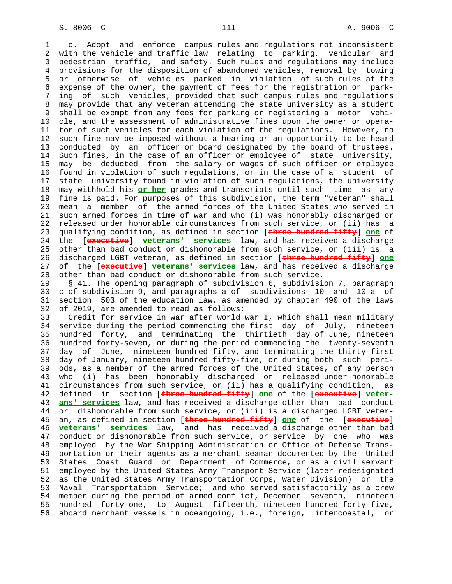1 c. Adopt and enforce campus rules and regulations not inconsistent 2 with the vehicle and traffic law relating to parking, vehicular and 3 pedestrian traffic, and safety. Such rules and regulations may include 4 provisions for the disposition of abandoned vehicles, removal by towing 5 or otherwise of vehicles parked in violation of such rules at the 6 expense of the owner, the payment of fees for the registration or park- 7 ing of such vehicles, provided that such campus rules and regulations 8 may provide that any veteran attending the state university as a student 9 shall be exempt from any fees for parking or registering a motor vehi- 10 cle, and the assessment of administrative fines upon the owner or opera- 11 tor of such vehicles for each violation of the regulations. However, no 12 such fine may be imposed without a hearing or an opportunity to be heard 13 conducted by an officer or board designated by the board of trustees. 14 Such fines, in the case of an officer or employee of state university, 15 may be deducted from the salary or wages of such officer or employee 16 found in violation of such regulations, or in the case of a student of 17 state university found in violation of such regulations, the university 18 may withhold his **or her** grades and transcripts until such time as any 19 fine is paid. For purposes of this subdivision, the term "veteran" shall 20 mean a member of the armed forces of the United States who served in 21 such armed forces in time of war and who (i) was honorably discharged or 22 released under honorable circumstances from such service, or (ii) has a 23 qualifying condition, as defined in section [**three hundred fifty**] **one** of 24 the [**executive**] **veterans' services** law, and has received a discharge 25 other than bad conduct or dishonorable from such service, or (iii) is a 26 discharged LGBT veteran, as defined in section [**three hundred fifty**] **one** 27 of the [**executive**] **veterans' services** law, and has received a discharge 28 other than bad conduct or dishonorable from such service. 29 § 41. The opening paragraph of subdivision 6, subdivision 7, paragraph 30 c of subdivision 9, and paragraphs a of subdivisions 10 and 10-a of 31 section 503 of the education law, as amended by chapter 490 of the laws 32 of 2019, are amended to read as follows: 33 Credit for service in war after world war I, which shall mean military 34 service during the period commencing the first day of July, nineteen 35 hundred forty, and terminating the thirtieth day of June, nineteen 36 hundred forty-seven, or during the period commencing the twenty-seventh 37 day of June, nineteen hundred fifty, and terminating the thirty-first 38 day of January, nineteen hundred fifty-five, or during both such peri- 39 ods, as a member of the armed forces of the United States, of any person 40 who (i) has been honorably discharged or released under honorable 41 circumstances from such service, or (ii) has a qualifying condition, as 42 defined in section [**three hundred fifty**] **one** of the [**executive**] **veter-** 43 **ans' services** law, and has received a discharge other than bad conduct 44 or dishonorable from such service, or (iii) is a discharged LGBT veter- 45 an, as defined in section [**three hundred fifty**] **one** of the [**executive**] 46 **veterans' services** law, and has received a discharge other than bad 47 conduct or dishonorable from such service, or service by one who was 48 employed by the War Shipping Administration or Office of Defense Trans- 49 portation or their agents as a merchant seaman documented by the United 50 States Coast Guard or Department of Commerce, or as a civil servant 51 employed by the United States Army Transport Service (later redesignated 52 as the United States Army Transportation Corps, Water Division) or the 53 Naval Transportation Service; and who served satisfactorily as a crew 54 member during the period of armed conflict, December seventh, nineteen 55 hundred forty-one, to August fifteenth, nineteen hundred forty-five, 56 aboard merchant vessels in oceangoing, i.e., foreign, intercoastal, or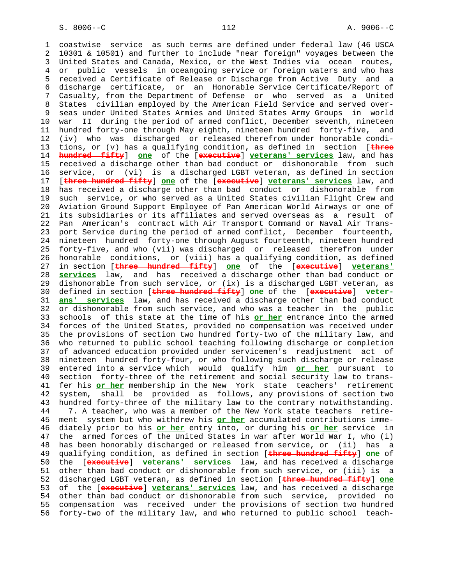1 coastwise service as such terms are defined under federal law (46 USCA 2 10301 & 10501) and further to include "near foreign" voyages between the 3 United States and Canada, Mexico, or the West Indies via ocean routes, 4 or public vessels in oceangoing service or foreign waters and who has 5 received a Certificate of Release or Discharge from Active Duty and a 6 discharge certificate, or an Honorable Service Certificate/Report of 7 Casualty, from the Department of Defense or who served as a United 8 States civilian employed by the American Field Service and served over- 9 seas under United States Armies and United States Army Groups in world<br>10 war II during the period of armed conflict, December seventh, nineteen war II during the period of armed conflict, December seventh, nineteen 11 hundred forty-one through May eighth, nineteen hundred forty-five, and 12 (iv) who was discharged or released therefrom under honorable condi- 13 tions, or (v) has a qualifying condition, as defined in section [**three** 14 **hundred fifty**] **one** of the [**executive**] **veterans' services** law, and has 15 received a discharge other than bad conduct or dishonorable from such 16 service, or (vi) is a discharged LGBT veteran, as defined in section 17 [**three hundred fifty**] **one** of the [**executive**] **veterans' services** law, and 18 has received a discharge other than bad conduct or dishonorable from 19 such service, or who served as a United States civilian Flight Crew and 20 Aviation Ground Support Employee of Pan American World Airways or one of 21 its subsidiaries or its affiliates and served overseas as a result of 22 Pan American's contract with Air Transport Command or Naval Air Trans- 23 port Service during the period of armed conflict, December fourteenth, 24 nineteen hundred forty-one through August fourteenth, nineteen hundred 25 forty-five, and who (vii) was discharged or released therefrom under 26 honorable conditions, or (viii) has a qualifying condition, as defined 27 in section [**three hundred fifty**] **one** of the [**executive**] **veterans'** 28 **services** law, and has received a discharge other than bad conduct or 29 dishonorable from such service, or (ix) is a discharged LGBT veteran, as 30 defined in section [**three hundred fifty**] **one** of the [**executive**] **veter-** 31 **ans' services** law, and has received a discharge other than bad conduct 32 or dishonorable from such service, and who was a teacher in the public 33 schools of this state at the time of his **or her** entrance into the armed 34 forces of the United States, provided no compensation was received under 35 the provisions of section two hundred forty-two of the military law, and 36 who returned to public school teaching following discharge or completion 37 of advanced education provided under servicemen's readjustment act of 38 nineteen hundred forty-four, or who following such discharge or release 39 entered into a service which would qualify him **or her** pursuant to 40 section forty-three of the retirement and social security law to trans- 41 fer his **or her** membership in the New York state teachers' retirement 42 system, shall be provided as follows, any provisions of section two 43 hundred forty-three of the military law to the contrary notwithstanding. 44 7. A teacher, who was a member of the New York state teachers retire- 45 ment system but who withdrew his **or her** accumulated contributions imme- 46 diately prior to his **or her** entry into, or during his **or her** service in 47 the armed forces of the United States in war after World War I, who (i) 48 has been honorably discharged or released from service, or (ii) has a 49 qualifying condition, as defined in section [**three hundred fifty**] **one** of 50 the [**executive**] **veterans' services** law, and has received a discharge 51 other than bad conduct or dishonorable from such service, or (iii) is a 52 discharged LGBT veteran, as defined in section [**three hundred fifty**] **one** 53 of the [**executive**] **veterans' services** law, and has received a discharge 54 other than bad conduct or dishonorable from such service, provided no 55 compensation was received under the provisions of section two hundred 56 forty-two of the military law, and who returned to public school teach-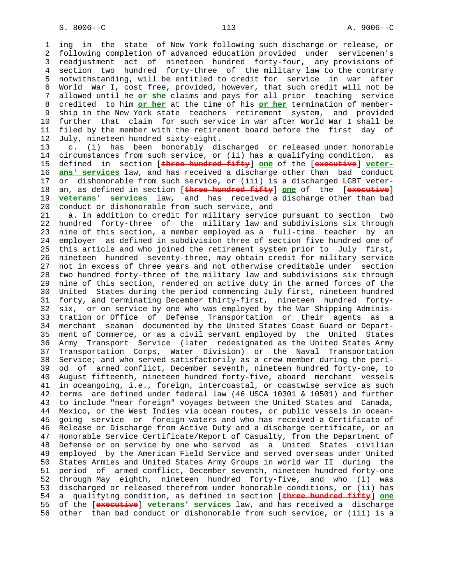1 ing in the state of New York following such discharge or release, or 2 following completion of advanced education provided under servicemen's 3 readjustment act of nineteen hundred forty-four, any provisions of 4 section two hundred forty-three of the military law to the contrary 5 notwithstanding, will be entitled to credit for service in war after 6 World War I, cost free, provided, however, that such credit will not be 7 allowed until he **or she** claims and pays for all prior teaching service 8 credited to him **or her** at the time of his **or her** termination of member- 9 ship in the New York state teachers retirement system, and provided 10 further that claim for such service in war after World War I shall be 11 filed by the member with the retirement board before the first day of 12 July, nineteen hundred sixty-eight.

 13 c. (i) has been honorably discharged or released under honorable 14 circumstances from such service, or (ii) has a qualifying condition, as 15 defined in section [**three hundred fifty**] **one** of the [**executive**] **veter-** 16 **ans' services** law, and has received a discharge other than bad conduct 17 or dishonorable from such service, or (iii) is a discharged LGBT veter- 18 an, as defined in section [**three hundred fifty**] **one** of the [**executive**] 19 **veterans' services** law, and has received a discharge other than bad 20 conduct or dishonorable from such service, and

 21 a. In addition to credit for military service pursuant to section two 22 hundred forty-three of the military law and subdivisions six through 23 nine of this section, a member employed as a full-time teacher by an 24 employer as defined in subdivision three of section five hundred one of 25 this article and who joined the retirement system prior to July first, 26 nineteen hundred seventy-three, may obtain credit for military service 27 not in excess of three years and not otherwise creditable under section 28 two hundred forty-three of the military law and subdivisions six through 29 nine of this section, rendered on active duty in the armed forces of the 30 United States during the period commencing July first, nineteen hundred 31 forty, and terminating December thirty-first, nineteen hundred forty- 32 six, or on service by one who was employed by the War Shipping Adminis- 33 tration or Office of Defense Transportation or their agents as a 34 merchant seaman documented by the United States Coast Guard or Depart- 35 ment of Commerce, or as a civil servant employed by the United States 36 Army Transport Service (later redesignated as the United States Army 37 Transportation Corps, Water Division) or the Naval Transportation 38 Service; and who served satisfactorily as a crew member during the peri- 39 od of armed conflict, December seventh, nineteen hundred forty-one, to 40 August fifteenth, nineteen hundred forty-five, aboard merchant vessels 41 in oceangoing, i.e., foreign, intercoastal, or coastwise service as such 42 terms are defined under federal law (46 USCA 10301 & 10501) and further 43 to include "near foreign" voyages between the United States and Canada, 44 Mexico, or the West Indies via ocean routes, or public vessels in ocean- 45 going service or foreign waters and who has received a Certificate of 46 Release or Discharge from Active Duty and a discharge certificate, or an 47 Honorable Service Certificate/Report of Casualty, from the Department of 48 Defense or on service by one who served as a United States civilian 49 employed by the American Field Service and served overseas under United 50 States Armies and United States Army Groups in world war II during the 51 period of armed conflict, December seventh, nineteen hundred forty-one 52 through May eighth, nineteen hundred forty-five, and who (i) was 53 discharged or released therefrom under honorable conditions, or (ii) has 54 a qualifying condition, as defined in section [**three hundred fifty**] **one** 55 of the [**executive**] **veterans' services** law, and has received a discharge 56 other than bad conduct or dishonorable from such service, or (iii) is a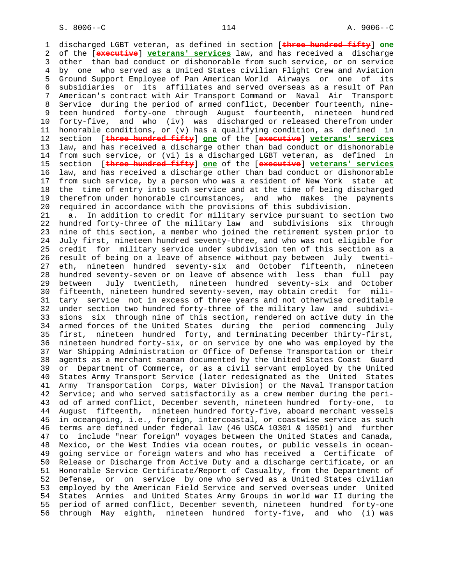1 discharged LGBT veteran, as defined in section [**three hundred fifty**] **one** 2 of the [**executive**] **veterans' services** law, and has received a discharge 3 other than bad conduct or dishonorable from such service, or on service 4 by one who served as a United States civilian Flight Crew and Aviation 5 Ground Support Employee of Pan American World Airways or one of its 6 subsidiaries or its affiliates and served overseas as a result of Pan 7 American's contract with Air Transport Command or Naval Air Transport 8 Service during the period of armed conflict, December fourteenth, nine- 9 teen hundred forty-one through August fourteenth, nineteen hundred<br>10 forty-five, and who (iv) was discharged or released therefrom under 10 forty-five, and who (iv) was discharged or released therefrom under 11 honorable conditions, or (v) has a qualifying condition, as defined in 12 section [**three hundred fifty**] **one** of the [**executive**] **veterans' services** 13 law, and has received a discharge other than bad conduct or dishonorable 14 from such service, or (vi) is a discharged LGBT veteran, as defined in 15 section [**three hundred fifty**] **one** of the [**executive**] **veterans' services** 16 law, and has received a discharge other than bad conduct or dishonorable 17 from such service, by a person who was a resident of New York state at 18 the time of entry into such service and at the time of being discharged 19 therefrom under honorable circumstances, and who makes the payments 20 required in accordance with the provisions of this subdivision.

 21 a. In addition to credit for military service pursuant to section two 22 hundred forty-three of the military law and subdivisions six through 23 nine of this section, a member who joined the retirement system prior to 24 July first, nineteen hundred seventy-three, and who was not eligible for 25 credit for military service under subdivision ten of this section as a 26 result of being on a leave of absence without pay between July twenti- 27 eth, nineteen hundred seventy-six and October fifteenth, nineteen 28 hundred seventy-seven or on leave of absence with less than full pay 29 between July twentieth, nineteen hundred seventy-six and October 30 fifteenth, nineteen hundred seventy-seven, may obtain credit for mili- 31 tary service not in excess of three years and not otherwise creditable 32 under section two hundred forty-three of the military law and subdivi- 33 sions six through nine of this section, rendered on active duty in the 34 armed forces of the United States during the period commencing July 35 first, nineteen hundred forty, and terminating December thirty-first, 36 nineteen hundred forty-six, or on service by one who was employed by the 37 War Shipping Administration or Office of Defense Transportation or their 38 agents as a merchant seaman documented by the United States Coast Guard 39 or Department of Commerce, or as a civil servant employed by the United 40 States Army Transport Service (later redesignated as the United States 41 Army Transportation Corps, Water Division) or the Naval Transportation 42 Service; and who served satisfactorily as a crew member during the peri- 43 od of armed conflict, December seventh, nineteen hundred forty-one, to 44 August fifteenth, nineteen hundred forty-five, aboard merchant vessels 45 in oceangoing, i.e., foreign, intercoastal, or coastwise service as such 46 terms are defined under federal law (46 USCA 10301 & 10501) and further 47 to include "near foreign" voyages between the United States and Canada, 48 Mexico, or the West Indies via ocean routes, or public vessels in ocean- 49 going service or foreign waters and who has received a Certificate of 50 Release or Discharge from Active Duty and a discharge certificate, or an 51 Honorable Service Certificate/Report of Casualty, from the Department of 52 Defense, or on service by one who served as a United States civilian 53 employed by the American Field Service and served overseas under United 54 States Armies and United States Army Groups in world war II during the 55 period of armed conflict, December seventh, nineteen hundred forty-one 56 through May eighth, nineteen hundred forty-five, and who (i) was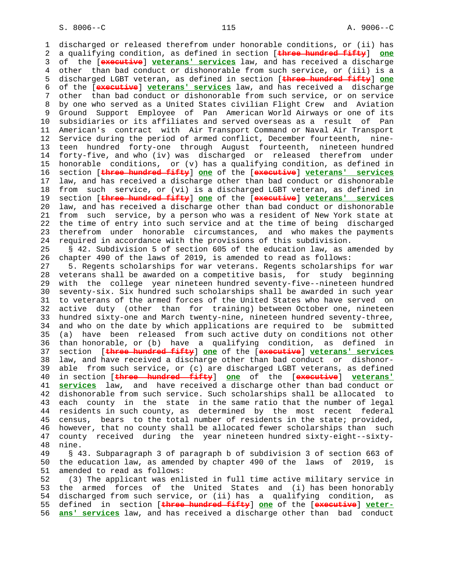1 discharged or released therefrom under honorable conditions, or (ii) has 2 a qualifying condition, as defined in section [**three hundred fifty**] **one** 3 of the [**executive**] **veterans' services** law, and has received a discharge 4 other than bad conduct or dishonorable from such service, or (iii) is a 5 discharged LGBT veteran, as defined in section [**three hundred fifty**] **one** 6 of the [**executive**] **veterans' services** law, and has received a discharge 7 other than bad conduct or dishonorable from such service, or on service 8 by one who served as a United States civilian Flight Crew and Aviation 9 Ground Support Employee of Pan American World Airways or one of its 10 subsidiaries or its affiliates and served overseas as a result of Pan 11 American's contract with Air Transport Command or Naval Air Transport 12 Service during the period of armed conflict, December fourteenth, nine- 13 teen hundred forty-one through August fourteenth, nineteen hundred 14 forty-five, and who (iv) was discharged or released therefrom under 15 honorable conditions, or (v) has a qualifying condition, as defined in 16 section [**three hundred fifty**] **one** of the [**executive**] **veterans' services** 17 law, and has received a discharge other than bad conduct or dishonorable 18 from such service, or (vi) is a discharged LGBT veteran, as defined in 19 section [**three hundred fifty**] **one** of the [**executive**] **veterans' services** 20 law, and has received a discharge other than bad conduct or dishonorable 21 from such service, by a person who was a resident of New York state at 22 the time of entry into such service and at the time of being discharged 23 therefrom under honorable circumstances, and who makes the payments 24 required in accordance with the provisions of this subdivision. 25 § 42. Subdivision 5 of section 605 of the education law, as amended by 26 chapter 490 of the laws of 2019, is amended to read as follows: 27 5. Regents scholarships for war veterans. Regents scholarships for war 28 veterans shall be awarded on a competitive basis, for study beginning 29 with the college year nineteen hundred seventy-five--nineteen hundred 30 seventy-six. Six hundred such scholarships shall be awarded in such year 31 to veterans of the armed forces of the United States who have served on 32 active duty (other than for training) between October one, nineteen 33 hundred sixty-one and March twenty-nine, nineteen hundred seventy-three, 34 and who on the date by which applications are required to be submitted 35 (a) have been released from such active duty on conditions not other 36 than honorable, or (b) have a qualifying condition, as defined in 37 section [**three hundred fifty**] **one** of the [**executive**] **veterans' services** 38 law, and have received a discharge other than bad conduct or dishonor- 39 able from such service, or (c) are discharged LGBT veterans, as defined 40 in section [**three hundred fifty**] **one** of the [**executive**] **veterans'** 41 **services** law, and have received a discharge other than bad conduct or 42 dishonorable from such service. Such scholarships shall be allocated to 43 each county in the state in the same ratio that the number of legal 44 residents in such county, as determined by the most recent federal 45 census, bears to the total number of residents in the state; provided, 46 however, that no county shall be allocated fewer scholarships than such 47 county received during the year nineteen hundred sixty-eight--sixty- 48 nine.

 49 § 43. Subparagraph 3 of paragraph b of subdivision 3 of section 663 of 50 the education law, as amended by chapter 490 of the laws of 2019, is 51 amended to read as follows:

 52 (3) The applicant was enlisted in full time active military service in 53 the armed forces of the United States and (i) has been honorably 54 discharged from such service, or (ii) has a qualifying condition, as 55 defined in section [**three hundred fifty**] **one** of the [**executive**] **veter-** 56 **ans' services** law, and has received a discharge other than bad conduct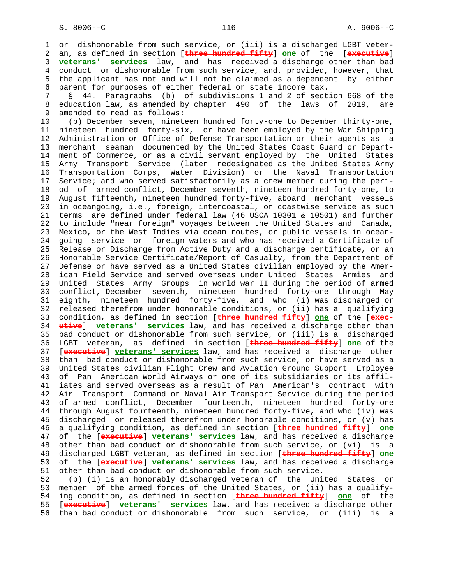1 or dishonorable from such service, or (iii) is a discharged LGBT veter- 2 an, as defined in section [**three hundred fifty**] **one** of the [**executive**] 3 **veterans' services** law, and has received a discharge other than bad 4 conduct or dishonorable from such service, and, provided, however, that 5 the applicant has not and will not be claimed as a dependent by either 6 parent for purposes of either federal or state income tax.

 7 § 44. Paragraphs (b) of subdivisions 1 and 2 of section 668 of the 8 education law, as amended by chapter 490 of the laws of 2019, are 9 amended to read as follows:

 10 (b) December seven, nineteen hundred forty-one to December thirty-one, 11 nineteen hundred forty-six, or have been employed by the War Shipping 12 Administration or Office of Defense Transportation or their agents as a 13 merchant seaman documented by the United States Coast Guard or Depart- 14 ment of Commerce, or as a civil servant employed by the United States 15 Army Transport Service (later redesignated as the United States Army 16 Transportation Corps, Water Division) or the Naval Transportation 17 Service; and who served satisfactorily as a crew member during the peri- 18 od of armed conflict, December seventh, nineteen hundred forty-one, to 19 August fifteenth, nineteen hundred forty-five, aboard merchant vessels 20 in oceangoing, i.e., foreign, intercoastal, or coastwise service as such 21 terms are defined under federal law (46 USCA 10301 & 10501) and further 22 to include "near foreign" voyages between the United States and Canada, 23 Mexico, or the West Indies via ocean routes, or public vessels in ocean- 24 going service or foreign waters and who has received a Certificate of 25 Release or Discharge from Active Duty and a discharge certificate, or an 26 Honorable Service Certificate/Report of Casualty, from the Department of 27 Defense or have served as a United States civilian employed by the Amer- 28 ican Field Service and served overseas under United States Armies and 29 United States Army Groups in world war II during the period of armed 30 conflict, December seventh, nineteen hundred forty-one through May 31 eighth, nineteen hundred forty-five, and who (i) was discharged or 32 released therefrom under honorable conditions, or (ii) has a qualifying 33 condition, as defined in section [**three hundred fifty**] **one** of the [**exec-** 34 **utive**] **veterans' services** law, and has received a discharge other than 35 bad conduct or dishonorable from such service, or (iii) is a discharged 36 LGBT veteran, as defined in section [**three hundred fifty**] **one** of the 37 [**executive**] **veterans' services** law, and has received a discharge other 38 than bad conduct or dishonorable from such service, or have served as a 39 United States civilian Flight Crew and Aviation Ground Support Employee 40 of Pan American World Airways or one of its subsidiaries or its affil- 41 iates and served overseas as a result of Pan American's contract with 42 Air Transport Command or Naval Air Transport Service during the period 43 of armed conflict, December fourteenth, nineteen hundred forty-one 44 through August fourteenth, nineteen hundred forty-five, and who (iv) was 45 discharged or released therefrom under honorable conditions, or (v) has 46 a qualifying condition, as defined in section [**three hundred fifty**] **one** 47 of the [**executive**] **veterans' services** law, and has received a discharge 48 other than bad conduct or dishonorable from such service, or (vi) is a 49 discharged LGBT veteran, as defined in section [**three hundred fifty**] **one** 50 of the [**executive**] **veterans' services** law, and has received a discharge 51 other than bad conduct or dishonorable from such service. 52 (b) (i) is an honorably discharged veteran of the United States or

 53 member of the armed forces of the United States, or (ii) has a qualify- 54 ing condition, as defined in section [**three hundred fifty**] **one** of the 55 [**executive**] **veterans' services** law, and has received a discharge other 56 than bad conduct or dishonorable from such service, or (iii) is a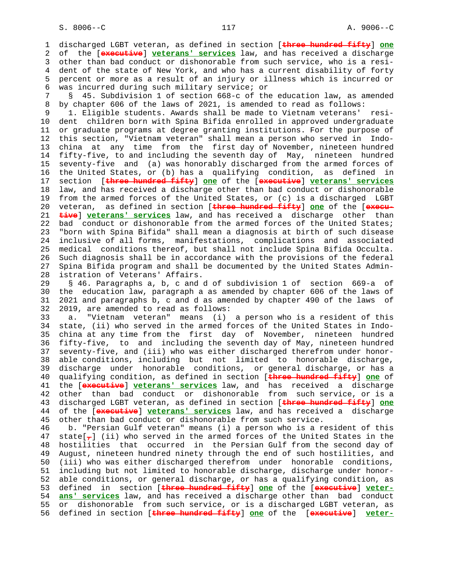1 discharged LGBT veteran, as defined in section [**three hundred fifty**] **one** 2 of the [**executive**] **veterans' services** law, and has received a discharge 3 other than bad conduct or dishonorable from such service, who is a resi- 4 dent of the state of New York, and who has a current disability of forty 5 percent or more as a result of an injury or illness which is incurred or 6 was incurred during such military service; or

 7 § 45. Subdivision 1 of section 668-c of the education law, as amended 8 by chapter 606 of the laws of 2021, is amended to read as follows:

 9 1. Eligible students. Awards shall be made to Vietnam veterans' resi- 10 dent children born with Spina Bifida enrolled in approved undergraduate 11 or graduate programs at degree granting institutions. For the purpose of 12 this section, "Vietnam veteran" shall mean a person who served in Indo- 13 china at any time from the first day of November, nineteen hundred 14 fifty-five, to and including the seventh day of May, nineteen hundred 15 seventy-five and (a) was honorably discharged from the armed forces of 16 the United States, or (b) has a qualifying condition, as defined in 17 section [**three hundred fifty**] **one** of the [**executive**] **veterans' services** 18 law, and has received a discharge other than bad conduct or dishonorable 19 from the armed forces of the United States, or (c) is a discharged LGBT 20 veteran, as defined in section [**three hundred fifty**] **one** of the [**execu-** 21 **tive**] **veterans' services** law, and has received a discharge other than 22 bad conduct or dishonorable from the armed forces of the United States; 23 "born with Spina Bifida" shall mean a diagnosis at birth of such disease 24 inclusive of all forms, manifestations, complications and associated 25 medical conditions thereof, but shall not include Spina Bifida Occulta. 26 Such diagnosis shall be in accordance with the provisions of the federal 27 Spina Bifida program and shall be documented by the United States Admin- 28 istration of Veterans' Affairs.

 29 § 46. Paragraphs a, b, c and d of subdivision 1 of section 669-a of 30 the education law, paragraph a as amended by chapter 606 of the laws of 31 2021 and paragraphs b, c and d as amended by chapter 490 of the laws of 32 2019, are amended to read as follows:

 33 a. "Vietnam veteran" means (i) a person who is a resident of this 34 state, (ii) who served in the armed forces of the United States in Indo- 35 china at any time from the first day of November, nineteen hundred 36 fifty-five, to and including the seventh day of May, nineteen hundred 37 seventy-five, and (iii) who was either discharged therefrom under honor- 38 able conditions, including but not limited to honorable discharge, 39 discharge under honorable conditions, or general discharge, or has a 40 qualifying condition, as defined in section [**three hundred fifty**] **one** of 41 the [**executive**] **veterans' services** law, and has received a discharge 42 other than bad conduct or dishonorable from such service, or is a 43 discharged LGBT veteran, as defined in section [**three hundred fifty**] **one** 44 of the [**executive**] **veterans' services** law, and has received a discharge 45 other than bad conduct or dishonorable from such service.

 46 b. "Persian Gulf veteran" means (i) a person who is a resident of this 47 state[**,**] (ii) who served in the armed forces of the United States in the 48 hostilities that occurred in the Persian Gulf from the second day of 49 August, nineteen hundred ninety through the end of such hostilities, and 50 (iii) who was either discharged therefrom under honorable conditions, 51 including but not limited to honorable discharge, discharge under honor- 52 able conditions, or general discharge, or has a qualifying condition, as 53 defined in section [**three hundred fifty**] **one** of the [**executive**] **veter-** 54 **ans' services** law, and has received a discharge other than bad conduct 55 or dishonorable from such service, or is a discharged LGBT veteran, as 56 defined in section [**three hundred fifty**] **one** of the [**executive**] **veter-**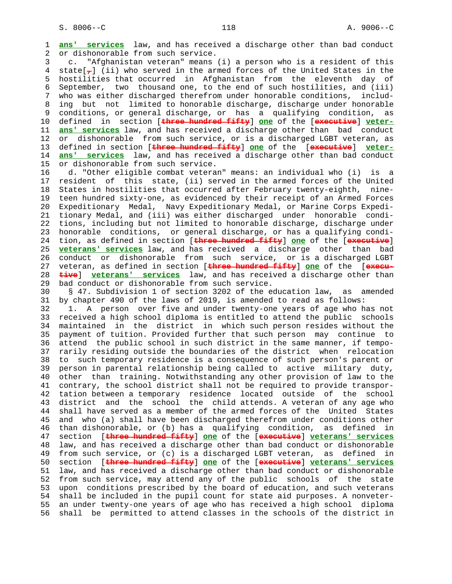1 **ans' services** law, and has received a discharge other than bad conduct 2 or dishonorable from such service. 3 c. "Afghanistan veteran" means (i) a person who is a resident of this 4 state[**,**] (ii) who served in the armed forces of the United States in the 5 hostilities that occurred in Afghanistan from the eleventh day of 6 September, two thousand one, to the end of such hostilities, and (iii) 7 who was either discharged therefrom under honorable conditions, includ- 8 ing but not limited to honorable discharge, discharge under honorable 9 conditions, or general discharge, or has a qualifying condition, as 10 defined in section [**three hundred fifty**] **one** of the [**executive**] **veter-** 11 **ans' services** law, and has received a discharge other than bad conduct 12 or dishonorable from such service, or is a discharged LGBT veteran, as 13 defined in section [**three hundred fifty**] **one** of the [**executive**] **veter-** 14 **ans' services** law, and has received a discharge other than bad conduct 15 or dishonorable from such service. 16 d. "Other eligible combat veteran" means: an individual who (i) is a 17 resident of this state, (ii) served in the armed forces of the United 18 States in hostilities that occurred after February twenty-eighth, nine- 19 teen hundred sixty-one, as evidenced by their receipt of an Armed Forces 20 Expeditionary Medal, Navy Expeditionary Medal, or Marine Corps Expedi- 21 tionary Medal, and (iii) was either discharged under honorable condi- 22 tions, including but not limited to honorable discharge, discharge under 23 honorable conditions, or general discharge, or has a qualifying condi- 24 tion, as defined in section [**three hundred fifty**] **one** of the [**executive**] 25 **veterans' services** law, and has received a discharge other than bad 26 conduct or dishonorable from such service, or is a discharged LGBT 27 veteran, as defined in section [**three hundred fifty**] **one** of the [**execu-** 28 **tive**] **veterans' services** law, and has received a discharge other than 29 bad conduct or dishonorable from such service. 30 § 47. Subdivision 1 of section 3202 of the education law, as amended 31 by chapter 490 of the laws of 2019, is amended to read as follows: 32 1. A person over five and under twenty-one years of age who has not 33 received a high school diploma is entitled to attend the public schools 34 maintained in the district in which such person resides without the 35 payment of tuition. Provided further that such person may continue to 36 attend the public school in such district in the same manner, if tempo- 37 rarily residing outside the boundaries of the district when relocation 38 to such temporary residence is a consequence of such person's parent or 39 person in parental relationship being called to active military duty, 40 other than training. Notwithstanding any other provision of law to the 41 contrary, the school district shall not be required to provide transpor- 42 tation between a temporary residence located outside of the school 43 district and the school the child attends. A veteran of any age who 44 shall have served as a member of the armed forces of the United States 45 and who (a) shall have been discharged therefrom under conditions other 46 than dishonorable, or (b) has a qualifying condition, as defined in 47 section [**three hundred fifty**] **one** of the [**executive**] **veterans' services** 48 law, and has received a discharge other than bad conduct or dishonorable 49 from such service, or (c) is a discharged LGBT veteran, as defined in 50 section [**three hundred fifty**] **one** of the [**executive**] **veterans' services** 51 law, and has received a discharge other than bad conduct or dishonorable 52 from such service, may attend any of the public schools of the state 53 upon conditions prescribed by the board of education, and such veterans 54 shall be included in the pupil count for state aid purposes. A nonveter- 55 an under twenty-one years of age who has received a high school diploma 56 shall be permitted to attend classes in the schools of the district in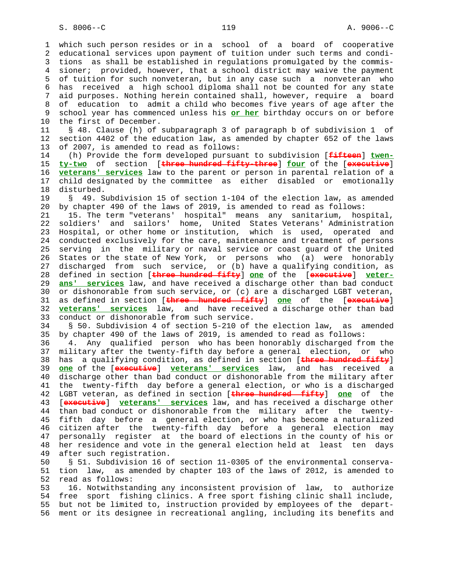1 which such person resides or in a school of a board of cooperative 2 educational services upon payment of tuition under such terms and condi- 3 tions as shall be established in regulations promulgated by the commis- 4 sioner; provided, however, that a school district may waive the payment 5 of tuition for such nonveteran, but in any case such a nonveteran who 6 has received a high school diploma shall not be counted for any state 7 aid purposes. Nothing herein contained shall, however, require a board 8 of education to admit a child who becomes five years of age after the 9 school year has commenced unless his **or her** birthday occurs on or before 10 the first of December. 11 § 48. Clause (h) of subparagraph 3 of paragraph b of subdivision 1 of 12 section 4402 of the education law, as amended by chapter 652 of the laws 13 of 2007, is amended to read as follows: 14 (h) Provide the form developed pursuant to subdivision [**fifteen**] **twen-** 15 **ty-two** of section [**three hundred fifty-three**] **four** of the [**executive**] 16 **veterans' services** law to the parent or person in parental relation of a 17 child designated by the committee as either disabled or emotionally 18 disturbed. 19 § 49. Subdivision 15 of section 1-104 of the election law, as amended 20 by chapter 490 of the laws of 2019, is amended to read as follows: 21 15. The term "veterans' hospital" means any sanitarium, hospital, 22 soldiers' and sailors' home, United States Veterans' Administration 23 Hospital, or other home or institution, which is used, operated and 24 conducted exclusively for the care, maintenance and treatment of persons 25 serving in the military or naval service or coast guard of the United 26 States or the state of New York, or persons who (a) were honorably 27 discharged from such service, or (b) have a qualifying condition, as 28 defined in section [**three hundred fifty**] **one** of the [**executive**] **veter-** 29 **ans' services** law, and have received a discharge other than bad conduct 30 or dishonorable from such service, or (c) are a discharged LGBT veteran, 31 as defined in section [**three hundred fifty**] **one** of the [**executive**] 32 **veterans' services** law, and have received a discharge other than bad 33 conduct or dishonorable from such service. 34 § 50. Subdivision 4 of section 5-210 of the election law, as amended 35 by chapter 490 of the laws of 2019, is amended to read as follows: 36 4. Any qualified person who has been honorably discharged from the 37 military after the twenty-fifth day before a general election, or who 38 has a qualifying condition, as defined in section [**three hundred fifty**] 39 **one** of the [**executive**] **veterans' services** law, and has received a 40 discharge other than bad conduct or dishonorable from the military after 41 the twenty-fifth day before a general election, or who is a discharged 42 LGBT veteran, as defined in section [**three hundred fifty**] **one** of the 43 [**executive**] **veterans' services** law, and has received a discharge other 44 than bad conduct or dishonorable from the military after the twenty- 45 fifth day before a general election, or who has become a naturalized 46 citizen after the twenty-fifth day before a general election may 47 personally register at the board of elections in the county of his or 48 her residence and vote in the general election held at least ten days 49 after such registration. 50 § 51. Subdivision 16 of section 11-0305 of the environmental conserva- 51 tion law, as amended by chapter 103 of the laws of 2012, is amended to 52 read as follows: 53 16. Notwithstanding any inconsistent provision of law, to authorize

 54 free sport fishing clinics. A free sport fishing clinic shall include, 55 but not be limited to, instruction provided by employees of the depart- 56 ment or its designee in recreational angling, including its benefits and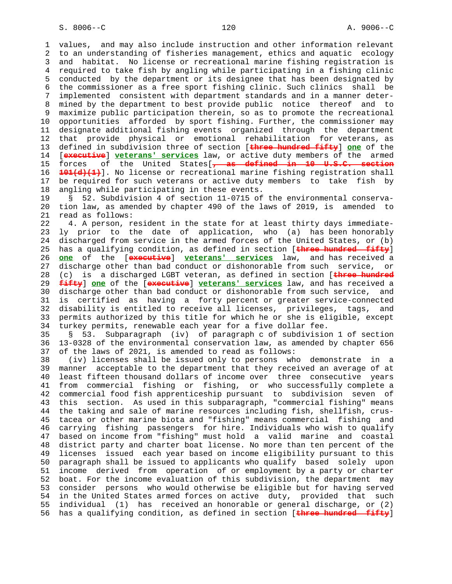1 values, and may also include instruction and other information relevant 2 to an understanding of fisheries management, ethics and aquatic ecology 3 and habitat. No license or recreational marine fishing registration is 4 required to take fish by angling while participating in a fishing clinic 5 conducted by the department or its designee that has been designated by 6 the commissioner as a free sport fishing clinic. Such clinics shall be 7 implemented consistent with department standards and in a manner deter- 8 mined by the department to best provide public notice thereof and to 9 maximize public participation therein, so as to promote the recreational<br>10 opportunities afforded by sport fishing. Further, the commissioner mav 10 opportunities afforded by sport fishing. Further, the commissioner may 11 designate additional fishing events organized through the department 12 that provide physical or emotional rehabilitation for veterans, as 13 defined in subdivision three of section [**three hundred fifty**] **one** of the 14 [**executive**] **veterans' services** law, or active duty members of the armed 15 forces of the United States[**, as defined in 10 U.S.C. section** 16 **101(d)(1)**]. No license or recreational marine fishing registration shall 17 be required for such veterans or active duty members to take fish by 18 angling while participating in these events.

 19 § 52. Subdivision 4 of section 11-0715 of the environmental conserva- 20 tion law, as amended by chapter 490 of the laws of 2019, is amended to 21 read as follows:

 22 4. A person, resident in the state for at least thirty days immediate- 23 ly prior to the date of application, who (a) has been honorably 24 discharged from service in the armed forces of the United States, or (b) 25 has a qualifying condition, as defined in section [**three hundred fifty**] 26 **one** of the [**executive**] **veterans' services** law, and has received a 27 discharge other than bad conduct or dishonorable from such service, or 28 (c) is a discharged LGBT veteran, as defined in section [**three hundred** 29 **fifty**] **one** of the [**executive**] **veterans' services** law, and has received a 30 discharge other than bad conduct or dishonorable from such service, and 31 is certified as having a forty percent or greater service-connected 32 disability is entitled to receive all licenses, privileges, tags, and 33 permits authorized by this title for which he or she is eligible, except 34 turkey permits, renewable each year for a five dollar fee.

 35 § 53. Subparagraph (iv) of paragraph c of subdivision 1 of section 36 13-0328 of the environmental conservation law, as amended by chapter 656 37 of the laws of 2021, is amended to read as follows:

 38 (iv) licenses shall be issued only to persons who demonstrate in a 39 manner acceptable to the department that they received an average of at 40 least fifteen thousand dollars of income over three consecutive years 41 from commercial fishing or fishing, or who successfully complete a 42 commercial food fish apprenticeship pursuant to subdivision seven of 43 this section. As used in this subparagraph, "commercial fishing" means 44 the taking and sale of marine resources including fish, shellfish, crus- 45 tacea or other marine biota and "fishing" means commercial fishing and 46 carrying fishing passengers for hire. Individuals who wish to qualify 47 based on income from "fishing" must hold a valid marine and coastal 48 district party and charter boat license. No more than ten percent of the 49 licenses issued each year based on income eligibility pursuant to this 50 paragraph shall be issued to applicants who qualify based solely upon 51 income derived from operation of or employment by a party or charter 52 boat. For the income evaluation of this subdivision, the department may 53 consider persons who would otherwise be eligible but for having served 54 in the United States armed forces on active duty, provided that such 55 individual (1) has received an honorable or general discharge, or (2) 56 has a qualifying condition, as defined in section [**three hundred fifty**]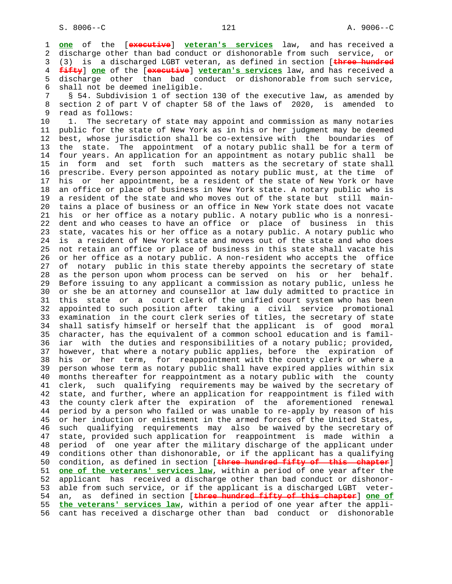1 **one** of the [**executive**] **veteran's services** law, and has received a 2 discharge other than bad conduct or dishonorable from such service, or 3 (3) is a discharged LGBT veteran, as defined in section [**three hundred** 4 **fifty**] **one** of the [**executive**] **veteran's services** law, and has received a 5 discharge other than bad conduct or dishonorable from such service, 6 shall not be deemed ineligible.

 7 § 54. Subdivision 1 of section 130 of the executive law, as amended by 8 section 2 of part V of chapter 58 of the laws of 2020, is amended to 9 read as follows:

 10 1. The secretary of state may appoint and commission as many notaries 11 public for the state of New York as in his or her judgment may be deemed 12 best, whose jurisdiction shall be co-extensive with the boundaries of 13 the state. The appointment of a notary public shall be for a term of 14 four years. An application for an appointment as notary public shall be 15 in form and set forth such matters as the secretary of state shall 16 prescribe. Every person appointed as notary public must, at the time of 17 his or her appointment, be a resident of the state of New York or have 18 an office or place of business in New York state. A notary public who is 19 a resident of the state and who moves out of the state but still main- 20 tains a place of business or an office in New York state does not vacate 21 his or her office as a notary public. A notary public who is a nonresi- 22 dent and who ceases to have an office or place of business in this 23 state, vacates his or her office as a notary public. A notary public who 24 is a resident of New York state and moves out of the state and who does 25 not retain an office or place of business in this state shall vacate his 26 or her office as a notary public. A non-resident who accepts the office 27 of notary public in this state thereby appoints the secretary of state 28 as the person upon whom process can be served on his or her behalf. 29 Before issuing to any applicant a commission as notary public, unless he 30 or she be an attorney and counsellor at law duly admitted to practice in 31 this state or a court clerk of the unified court system who has been 32 appointed to such position after taking a civil service promotional 33 examination in the court clerk series of titles, the secretary of state 34 shall satisfy himself or herself that the applicant is of good moral 35 character, has the equivalent of a common school education and is famil- 36 iar with the duties and responsibilities of a notary public; provided, 37 however, that where a notary public applies, before the expiration of 38 his or her term, for reappointment with the county clerk or where a 39 person whose term as notary public shall have expired applies within six 40 months thereafter for reappointment as a notary public with the county 41 clerk, such qualifying requirements may be waived by the secretary of 42 state, and further, where an application for reappointment is filed with 43 the county clerk after the expiration of the aforementioned renewal 44 period by a person who failed or was unable to re-apply by reason of his 45 or her induction or enlistment in the armed forces of the United States, 46 such qualifying requirements may also be waived by the secretary of 47 state, provided such application for reappointment is made within a 48 period of one year after the military discharge of the applicant under 49 conditions other than dishonorable, or if the applicant has a qualifying 50 condition, as defined in section [**three hundred fifty of this chapter**] 51 **one of the veterans' services law**, within a period of one year after the 52 applicant has received a discharge other than bad conduct or dishonor- 53 able from such service, or if the applicant is a discharged LGBT veter- 54 an, as defined in section [**three hundred fifty of this chapter**] **one of** 55 **the veterans' services law**, within a period of one year after the appli- 56 cant has received a discharge other than bad conduct or dishonorable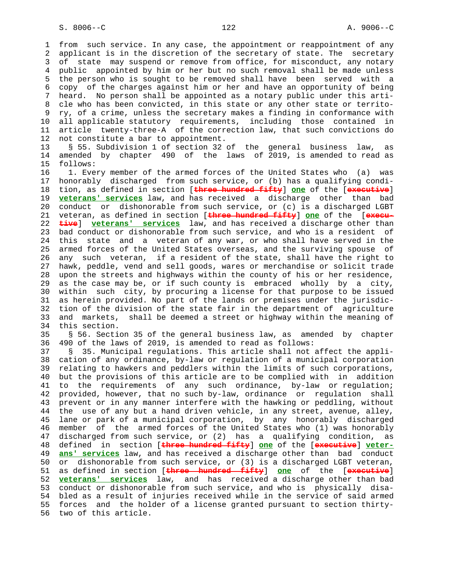1 from such service. In any case, the appointment or reappointment of any 2 applicant is in the discretion of the secretary of state. The secretary 3 of state may suspend or remove from office, for misconduct, any notary 4 public appointed by him or her but no such removal shall be made unless 5 the person who is sought to be removed shall have been served with a 6 copy of the charges against him or her and have an opportunity of being 7 heard. No person shall be appointed as a notary public under this arti- 8 cle who has been convicted, in this state or any other state or territo- 9 ry, of a crime, unless the secretary makes a finding in conformance with 10 all applicable statutory requirements, including those contained in 11 article twenty-three-A of the correction law, that such convictions do 12 not constitute a bar to appointment.

 13 § 55. Subdivision 1 of section 32 of the general business law, as 14 amended by chapter 490 of the laws of 2019, is amended to read as 15 follows:

 16 1. Every member of the armed forces of the United States who (a) was 17 honorably discharged from such service, or (b) has a qualifying condi- 18 tion, as defined in section [**three hundred fifty**] **one** of the [**executive**] 19 **veterans' services** law, and has received a discharge other than bad 20 conduct or dishonorable from such service, or (c) is a discharged LGBT 21 veteran, as defined in section [**three hundred fifty**] **one** of the [**execu-** 22 **tive**] **veterans' services** law, and has received a discharge other than 23 bad conduct or dishonorable from such service, and who is a resident of 24 this state and a veteran of any war, or who shall have served in the 25 armed forces of the United States overseas, and the surviving spouse of 26 any such veteran, if a resident of the state, shall have the right to 27 hawk, peddle, vend and sell goods, wares or merchandise or solicit trade 28 upon the streets and highways within the county of his or her residence, 29 as the case may be, or if such county is embraced wholly by a city, 30 within such city, by procuring a license for that purpose to be issued 31 as herein provided. No part of the lands or premises under the jurisdic- 32 tion of the division of the state fair in the department of agriculture 33 and markets, shall be deemed a street or highway within the meaning of 34 this section.

 35 § 56. Section 35 of the general business law, as amended by chapter 36 490 of the laws of 2019, is amended to read as follows:

 37 § 35. Municipal regulations. This article shall not affect the appli- 38 cation of any ordinance, by-law or regulation of a municipal corporation 39 relating to hawkers and peddlers within the limits of such corporations, 40 but the provisions of this article are to be complied with in addition 41 to the requirements of any such ordinance, by-law or regulation; 42 provided, however, that no such by-law, ordinance or regulation shall 43 prevent or in any manner interfere with the hawking or peddling, without 44 the use of any but a hand driven vehicle, in any street, avenue, alley, 45 lane or park of a municipal corporation, by any honorably discharged 46 member of the armed forces of the United States who (1) was honorably 47 discharged from such service, or (2) has a qualifying condition, as 48 defined in section [**three hundred fifty**] **one** of the [**executive**] **veter-** 49 **ans' services** law, and has received a discharge other than bad conduct 50 or dishonorable from such service, or (3) is a discharged LGBT veteran, 51 as defined in section [**three hundred fifty**] **one** of the [**executive**] 52 **veterans' services** law, and has received a discharge other than bad 53 conduct or dishonorable from such service, and who is physically disa- 54 bled as a result of injuries received while in the service of said armed 55 forces and the holder of a license granted pursuant to section thirty- 56 two of this article.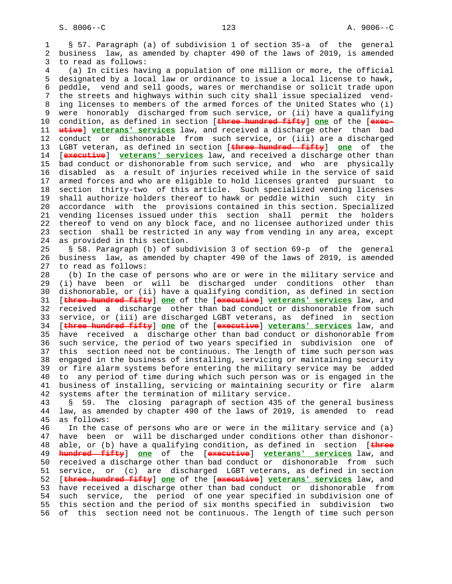1 § 57. Paragraph (a) of subdivision 1 of section 35-a of the general 2 business law, as amended by chapter 490 of the laws of 2019, is amended 3 to read as follows: 4 (a) In cities having a population of one million or more, the official 5 designated by a local law or ordinance to issue a local license to hawk, 6 peddle, vend and sell goods, wares or merchandise or solicit trade upon 7 the streets and highways within such city shall issue specialized vend- 8 ing licenses to members of the armed forces of the United States who (i) 9 were honorably discharged from such service, or (ii) have a qualifying 10 condition, as defined in section [**three hundred fifty**] **one** of the [**exec-** 11 **utive**] **veterans' services** law, and received a discharge other than bad 12 conduct or dishonorable from such service, or (iii) are a discharged 13 LGBT veteran, as defined in section [**three hundred fifty**] **one** of the 14 [**executive**] **veterans' services** law, and received a discharge other than 15 bad conduct or dishonorable from such service, and who are physically 16 disabled as a result of injuries received while in the service of said 17 armed forces and who are eligible to hold licenses granted pursuant to 18 section thirty-two of this article. Such specialized vending licenses 19 shall authorize holders thereof to hawk or peddle within such city in 20 accordance with the provisions contained in this section. Specialized 21 vending licenses issued under this section shall permit the holders 22 thereof to vend on any block face, and no licensee authorized under this 23 section shall be restricted in any way from vending in any area, except 24 as provided in this section. 25 § 58. Paragraph (b) of subdivision 3 of section 69-p of the general 26 business law, as amended by chapter 490 of the laws of 2019, is amended 27 to read as follows: 28 (b) In the case of persons who are or were in the military service and 29 (i) have been or will be discharged under conditions other than 30 dishonorable, or (ii) have a qualifying condition, as defined in section 31 [**three hundred fifty**] **one** of the [**executive**] **veterans' services** law, and 32 received a discharge other than bad conduct or dishonorable from such 33 service, or (iii) are discharged LGBT veterans, as defined in section 34 [**three hundred fifty**] **one** of the [**executive**] **veterans' services** law, and 35 have received a discharge other than bad conduct or dishonorable from 36 such service, the period of two years specified in subdivision one of 37 this section need not be continuous. The length of time such person was 38 engaged in the business of installing, servicing or maintaining security 39 or fire alarm systems before entering the military service may be added 40 to any period of time during which such person was or is engaged in the 41 business of installing, servicing or maintaining security or fire alarm 42 systems after the termination of military service. 43 § 59. The closing paragraph of section 435 of the general business 44 law, as amended by chapter 490 of the laws of 2019, is amended to read 45 as follows: 46 In the case of persons who are or were in the military service and (a) 47 have been or will be discharged under conditions other than dishonor- 48 able, or (b) have a qualifying condition, as defined in section [**three** 49 **hundred fifty**] **one** of the [**executive**] **veterans' services** law, and 50 received a discharge other than bad conduct or dishonorable from such 51 service, or (c) are discharged LGBT veterans, as defined in section 52 [**three hundred fifty**] **one** of the [**executive**] **veterans' services** law, and 53 have received a discharge other than bad conduct or dishonorable from 54 such service, the period of one year specified in subdivision one of 55 this section and the period of six months specified in subdivision two 56 of this section need not be continuous. The length of time such person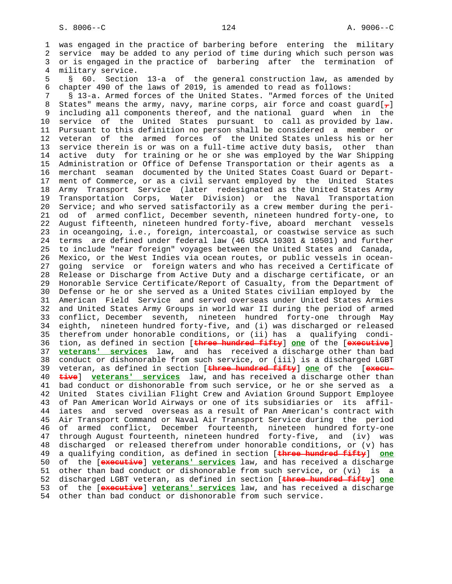1 was engaged in the practice of barbering before entering the military 2 service may be added to any period of time during which such person was 3 or is engaged in the practice of barbering after the termination of 4 military service.

 5 § 60. Section 13-a of the general construction law, as amended by 6 chapter 490 of the laws of 2019, is amended to read as follows:

 7 § 13-a. Armed forces of the United States. "Armed forces of the United 8 States" means the army, navy, marine corps, air force and coast guard[**,**] 9 including all components thereof, and the national guard when in the 10 service of the United States pursuant to call as provided by law. 11 Pursuant to this definition no person shall be considered a member or 12 veteran of the armed forces of the United States unless his or her 13 service therein is or was on a full-time active duty basis, other than 14 active duty for training or he or she was employed by the War Shipping 15 Administration or Office of Defense Transportation or their agents as a 16 merchant seaman documented by the United States Coast Guard or Depart- 17 ment of Commerce, or as a civil servant employed by the United States 18 Army Transport Service (later redesignated as the United States Army 19 Transportation Corps, Water Division) or the Naval Transportation 20 Service; and who served satisfactorily as a crew member during the peri- 21 od of armed conflict, December seventh, nineteen hundred forty-one, to 22 August fifteenth, nineteen hundred forty-five, aboard merchant vessels 23 in oceangoing, i.e., foreign, intercoastal, or coastwise service as such 24 terms are defined under federal law (46 USCA 10301 & 10501) and further 25 to include "near foreign" voyages between the United States and Canada, 26 Mexico, or the West Indies via ocean routes, or public vessels in ocean- 27 going service or foreign waters and who has received a Certificate of 28 Release or Discharge from Active Duty and a discharge certificate, or an 29 Honorable Service Certificate/Report of Casualty, from the Department of 30 Defense or he or she served as a United States civilian employed by the 31 American Field Service and served overseas under United States Armies 32 and United States Army Groups in world war II during the period of armed 33 conflict, December seventh, nineteen hundred forty-one through May 34 eighth, nineteen hundred forty-five, and (i) was discharged or released 35 therefrom under honorable conditions, or (ii) has a qualifying condi- 36 tion, as defined in section [**three hundred fifty**] **one** of the [**executive**] 37 **veterans' services** law, and has received a discharge other than bad 38 conduct or dishonorable from such service, or (iii) is a discharged LGBT 39 veteran, as defined in section [**three hundred fifty**] **one** of the [**execu-** 40 **tive**] **veterans' services** law, and has received a discharge other than 41 bad conduct or dishonorable from such service, or he or she served as a 42 United States civilian Flight Crew and Aviation Ground Support Employee 43 of Pan American World Airways or one of its subsidiaries or its affil- 44 iates and served overseas as a result of Pan American's contract with 45 Air Transport Command or Naval Air Transport Service during the period 46 of armed conflict, December fourteenth, nineteen hundred forty-one 47 through August fourteenth, nineteen hundred forty-five, and (iv) was 48 discharged or released therefrom under honorable conditions, or (v) has 49 a qualifying condition, as defined in section [**three hundred fifty**] **one** 50 of the [**executive**] **veterans' services** law, and has received a discharge 51 other than bad conduct or dishonorable from such service, or (vi) is a 52 discharged LGBT veteran, as defined in section [**three hundred fifty**] **one** 53 of the [**executive**] **veterans' services** law, and has received a discharge 54 other than bad conduct or dishonorable from such service.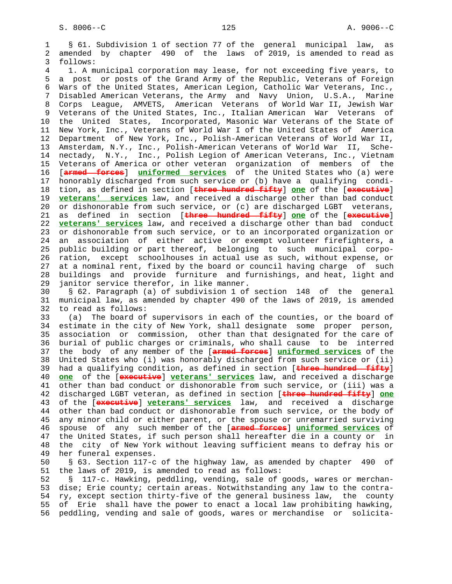1 § 61. Subdivision 1 of section 77 of the general municipal law, as 2 amended by chapter 490 of the laws of 2019, is amended to read as 3 follows: 4 1. A municipal corporation may lease, for not exceeding five years, to 5 a post or posts of the Grand Army of the Republic, Veterans of Foreign 6 Wars of the United States, American Legion, Catholic War Veterans, Inc., 7 Disabled American Veterans, the Army and Navy Union, U.S.A., Marine 8 Corps League, AMVETS, American Veterans of World War II, Jewish War 9 Veterans of the United States, Inc., Italian American War Veterans of 10 the United States, Incorporated, Masonic War Veterans of the State of 11 New York, Inc., Veterans of World War I of the United States of America 12 Department of New York, Inc., Polish-American Veterans of World War II, 13 Amsterdam, N.Y., Inc., Polish-American Veterans of World War II, Sche- 14 nectady, N.Y., Inc., Polish Legion of American Veterans, Inc., Vietnam 15 Veterans of America or other veteran organization of members of the 16 [**armed forces**] **uniformed services** of the United States who (a) were 17 honorably discharged from such service or (b) have a qualifying condi- 18 tion, as defined in section [**three hundred fifty**] **one** of the [**executive**] 19 **veterans' services** law, and received a discharge other than bad conduct 20 or dishonorable from such service, or (c) are discharged LGBT veterans, 21 as defined in section [**three hundred fifty**] **one** of the [**executive**] 22 **veterans' services** law, and received a discharge other than bad conduct 23 or dishonorable from such service, or to an incorporated organization or 24 an association of either active or exempt volunteer firefighters, a 25 public building or part thereof, belonging to such municipal corpo- 26 ration, except schoolhouses in actual use as such, without expense, or 27 at a nominal rent, fixed by the board or council having charge of such 28 buildings and provide furniture and furnishings, and heat, light and 29 janitor service therefor, in like manner. 30 § 62. Paragraph (a) of subdivision 1 of section 148 of the general 31 municipal law, as amended by chapter 490 of the laws of 2019, is amended 32 to read as follows: 33 (a) The board of supervisors in each of the counties, or the board of 34 estimate in the city of New York, shall designate some proper person, 35 association or commission, other than that designated for the care of 36 burial of public charges or criminals, who shall cause to be interred 37 the body of any member of the [**armed forces**] **uniformed services** of the 38 United States who (i) was honorably discharged from such service or (ii) 39 had a qualifying condition, as defined in section [**three hundred fifty**] 40 **one** of the [**executive**] **veterans' services** law, and received a discharge 41 other than bad conduct or dishonorable from such service, or (iii) was a 42 discharged LGBT veteran, as defined in section [**three hundred fifty**] **one** 43 of the [**executive**] **veterans' services** law, and received a discharge 44 other than bad conduct or dishonorable from such service, or the body of 45 any minor child or either parent, or the spouse or unremarried surviving 46 spouse of any such member of the [**armed forces**] **uniformed services** of 47 the United States, if such person shall hereafter die in a county or in 48 the city of New York without leaving sufficient means to defray his or 49 her funeral expenses. 50 § 63. Section 117-c of the highway law, as amended by chapter 490 of 51 the laws of 2019, is amended to read as follows: 52 § 117-c. Hawking, peddling, vending, sale of goods, wares or merchan-

 53 dise; Erie county; certain areas. Notwithstanding any law to the contra- 54 ry, except section thirty-five of the general business law, the county 55 of Erie shall have the power to enact a local law prohibiting hawking, 56 peddling, vending and sale of goods, wares or merchandise or solicita-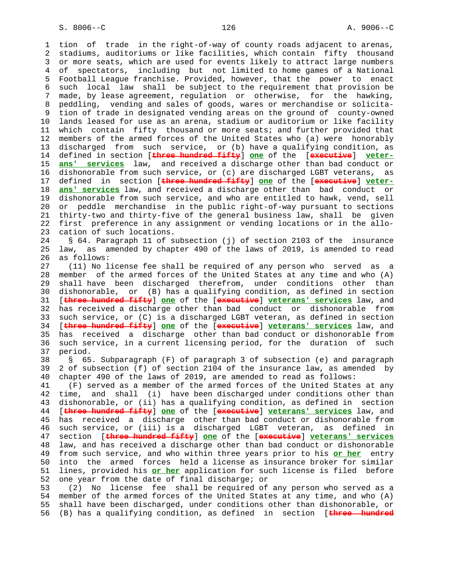1 tion of trade in the right-of-way of county roads adjacent to arenas, 2 stadiums, auditoriums or like facilities, which contain fifty thousand 3 or more seats, which are used for events likely to attract large numbers 4 of spectators, including but not limited to home games of a National 5 Football League franchise. Provided, however, that the power to enact 6 such local law shall be subject to the requirement that provision be 7 made, by lease agreement, regulation or otherwise, for the hawking, 8 peddling, vending and sales of goods, wares or merchandise or solicita- 9 tion of trade in designated vending areas on the ground of county-owned 10 lands leased for use as an arena, stadium or auditorium or like facility 11 which contain fifty thousand or more seats; and further provided that 12 members of the armed forces of the United States who (a) were honorably 13 discharged from such service, or (b) have a qualifying condition, as 14 defined in section [**three hundred fifty**] **one** of the [**executive**] **veter-** 15 **ans' services** law, and received a discharge other than bad conduct or 16 dishonorable from such service, or (c) are discharged LGBT veterans, as 17 defined in section [**three hundred fifty**] **one** of the [**executive**] **veter-** 18 **ans' services** law, and received a discharge other than bad conduct or 19 dishonorable from such service, and who are entitled to hawk, vend, sell 20 or peddle merchandise in the public right-of-way pursuant to sections 21 thirty-two and thirty-five of the general business law, shall be given 22 first preference in any assignment or vending locations or in the allo- 23 cation of such locations. 24 § 64. Paragraph 11 of subsection (j) of section 2103 of the insurance 25 law, as amended by chapter 490 of the laws of 2019, is amended to read 26 as follows: 27 (11) No license fee shall be required of any person who served as a 28 member of the armed forces of the United States at any time and who (A) 29 shall have been discharged therefrom, under conditions other than 30 dishonorable, or (B) has a qualifying condition, as defined in section 31 [**three hundred fifty**] **one** of the [**executive**] **veterans' services** law, and 32 has received a discharge other than bad conduct or dishonorable from 33 such service, or (C) is a discharged LGBT veteran, as defined in section 34 [**three hundred fifty**] **one** of the [**executive**] **veterans' services** law, and 35 has received a discharge other than bad conduct or dishonorable from 36 such service, in a current licensing period, for the duration of such 37 period. 38 § 65. Subparagraph (F) of paragraph 3 of subsection (e) and paragraph 39 2 of subsection (f) of section 2104 of the insurance law, as amended by 40 chapter 490 of the laws of 2019, are amended to read as follows: 41 (F) served as a member of the armed forces of the United States at any 42 time, and shall (i) have been discharged under conditions other than 43 dishonorable, or (ii) has a qualifying condition, as defined in section 44 [**three hundred fifty**] **one** of the [**executive**] **veterans' services** law, and 45 has received a discharge other than bad conduct or dishonorable from 46 such service, or (iii) is a discharged LGBT veteran, as defined in 47 section [**three hundred fifty**] **one** of the [**executive**] **veterans' services** 48 law, and has received a discharge other than bad conduct or dishonorable 49 from such service, and who within three years prior to his **or her** entry 50 into the armed forces held a license as insurance broker for similar 51 lines, provided his **or her** application for such license is filed before 52 one year from the date of final discharge; or 53 (2) No license fee shall be required of any person who served as a 54 member of the armed forces of the United States at any time, and who (A) 55 shall have been discharged, under conditions other than dishonorable, or

56 (B) has a qualifying condition, as defined in section [**three hundred**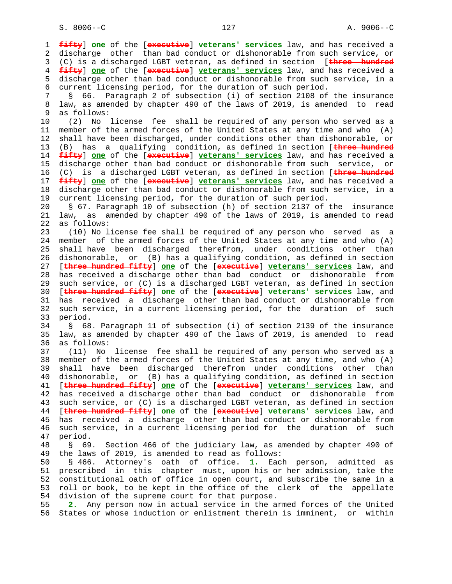1 **fifty**] **one** of the [**executive**] **veterans' services** law, and has received a 2 discharge other than bad conduct or dishonorable from such service, or 3 (C) is a discharged LGBT veteran, as defined in section [**three hundred** 4 **fifty**] **one** of the [**executive**] **veterans' services** law, and has received a 5 discharge other than bad conduct or dishonorable from such service, in a 6 current licensing period, for the duration of such period. 7 § 66. Paragraph 2 of subsection (i) of section 2108 of the insurance 8 law, as amended by chapter 490 of the laws of 2019, is amended to read 9 as follows: 10 (2) No license fee shall be required of any person who served as a 11 member of the armed forces of the United States at any time and who (A) 12 shall have been discharged, under conditions other than dishonorable, or 13 (B) has a qualifying condition, as defined in section [**three hundred** 14 **fifty**] **one** of the [**executive**] **veterans' services** law, and has received a 15 discharge other than bad conduct or dishonorable from such service, or 16 (C) is a discharged LGBT veteran, as defined in section [**three hundred** 17 **fifty**] **one** of the [**executive**] **veterans' services** law, and has received a 18 discharge other than bad conduct or dishonorable from such service, in a 19 current licensing period, for the duration of such period. 20 § 67. Paragraph 10 of subsection (h) of section 2137 of the insurance 21 law, as amended by chapter 490 of the laws of 2019, is amended to read 22 as follows: 23 (10) No license fee shall be required of any person who served as a 24 member of the armed forces of the United States at any time and who (A) 25 shall have been discharged therefrom, under conditions other than 26 dishonorable, or (B) has a qualifying condition, as defined in section 27 [**three hundred fifty**] **one** of the [**executive**] **veterans' services** law, and 28 has received a discharge other than bad conduct or dishonorable from 29 such service, or (C) is a discharged LGBT veteran, as defined in section 30 [**three hundred fifty**] **one** of the [**executive**] **veterans' services** law, and 31 has received a discharge other than bad conduct or dishonorable from 32 such service, in a current licensing period, for the duration of such 33 period. 34 § 68. Paragraph 11 of subsection (i) of section 2139 of the insurance 35 law, as amended by chapter 490 of the laws of 2019, is amended to read 36 as follows: 37 (11) No license fee shall be required of any person who served as a 38 member of the armed forces of the United States at any time, and who (A) 39 shall have been discharged therefrom under conditions other than 40 dishonorable, or (B) has a qualifying condition, as defined in section 41 [**three hundred fifty**] **one** of the [**executive**] **veterans' services** law, and 42 has received a discharge other than bad conduct or dishonorable from 43 such service, or (C) is a discharged LGBT veteran, as defined in section 44 [**three hundred fifty**] **one** of the [**executive**] **veterans' services** law, and 45 has received a discharge other than bad conduct or dishonorable from 46 such service, in a current licensing period for the duration of such 47 period. 48 § 69. Section 466 of the judiciary law, as amended by chapter 490 of 49 the laws of 2019, is amended to read as follows: 50 § 466. Attorney's oath of office. **1.** Each person, admitted as 51 prescribed in this chapter must, upon his or her admission, take the 52 constitutional oath of office in open court, and subscribe the same in a 53 roll or book, to be kept in the office of the clerk of the appellate 54 division of the supreme court for that purpose. 55 **2.** Any person now in actual service in the armed forces of the United 56 States or whose induction or enlistment therein is imminent, or within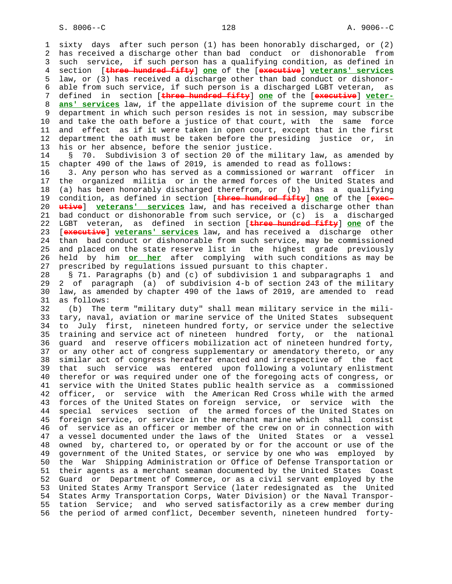1 sixty days after such person (1) has been honorably discharged, or (2) 2 has received a discharge other than bad conduct or dishonorable from 3 such service, if such person has a qualifying condition, as defined in 4 section [**three hundred fifty**] **one** of the [**executive**] **veterans' services** 5 law, or (3) has received a discharge other than bad conduct or dishonor- 6 able from such service, if such person is a discharged LGBT veteran, as 7 defined in section [**three hundred fifty**] **one** of the [**executive**] **veter-** 8 **ans' services** law, if the appellate division of the supreme court in the 9 department in which such person resides is not in session, may subscribe<br>10 and take the oath before a justice of that court, with the same force and take the oath before a justice of that court, with the same force 11 and effect as if it were taken in open court, except that in the first 12 department the oath must be taken before the presiding justice or, in 13 his or her absence, before the senior justice.

 14 § 70. Subdivision 3 of section 20 of the military law, as amended by 15 chapter 490 of the laws of 2019, is amended to read as follows:

 16 3. Any person who has served as a commissioned or warrant officer in 17 the organized militia or in the armed forces of the United States and 18 (a) has been honorably discharged therefrom, or (b) has a qualifying 19 condition, as defined in section [**three hundred fifty**] **one** of the [**exec-** 20 **utive**] **veterans' services** law, and has received a discharge other than 21 bad conduct or dishonorable from such service, or (c) is a discharged 22 LGBT veteran, as defined in section [**three hundred fifty**] **one** of the 23 [**executive**] **veterans' services** law, and has received a discharge other 24 than bad conduct or dishonorable from such service, may be commissioned 25 and placed on the state reserve list in the highest grade previously 26 held by him **or her** after complying with such conditions as may be 27 prescribed by regulations issued pursuant to this chapter.

 28 § 71. Paragraphs (b) and (c) of subdivision 1 and subparagraphs 1 and 29 2 of paragraph (a) of subdivision 4-b of section 243 of the military 30 law, as amended by chapter 490 of the laws of 2019, are amended to read 31 as follows:

 32 (b) The term "military duty" shall mean military service in the mili- 33 tary, naval, aviation or marine service of the United States subsequent 34 to July first, nineteen hundred forty, or service under the selective 35 training and service act of nineteen hundred forty, or the national 36 guard and reserve officers mobilization act of nineteen hundred forty, 37 or any other act of congress supplementary or amendatory thereto, or any 38 similar act of congress hereafter enacted and irrespective of the fact 39 that such service was entered upon following a voluntary enlistment 40 therefor or was required under one of the foregoing acts of congress, or 41 service with the United States public health service as a commissioned 42 officer, or service with the American Red Cross while with the armed 43 forces of the United States on foreign service, or service with the 44 special services section of the armed forces of the United States on 45 foreign service, or service in the merchant marine which shall consist 46 of service as an officer or member of the crew on or in connection with 47 a vessel documented under the laws of the United States or a vessel 48 owned by, chartered to, or operated by or for the account or use of the 49 government of the United States, or service by one who was employed by 50 the War Shipping Administration or Office of Defense Transportation or 51 their agents as a merchant seaman documented by the United States Coast 52 Guard or Department of Commerce, or as a civil servant employed by the 53 United States Army Transport Service (later redesignated as the United 54 States Army Transportation Corps, Water Division) or the Naval Transpor- 55 tation Service; and who served satisfactorily as a crew member during 56 the period of armed conflict, December seventh, nineteen hundred forty-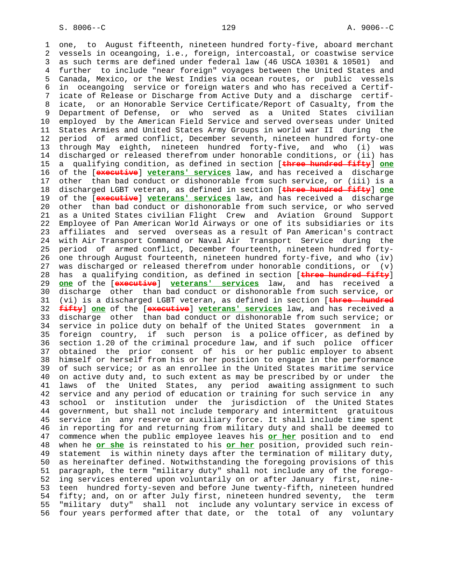1 one, to August fifteenth, nineteen hundred forty-five, aboard merchant 2 vessels in oceangoing, i.e., foreign, intercoastal, or coastwise service 3 as such terms are defined under federal law (46 USCA 10301 & 10501) and 4 further to include "near foreign" voyages between the United States and 5 Canada, Mexico, or the West Indies via ocean routes, or public vessels 6 in oceangoing service or foreign waters and who has received a Certif- 7 icate of Release or Discharge from Active Duty and a discharge certif- 8 icate, or an Honorable Service Certificate/Report of Casualty, from the 9 Department of Defense, or who served as a United States civilian 10 employed by the American Field Service and served overseas under United 11 States Armies and United States Army Groups in world war II during the 12 period of armed conflict, December seventh, nineteen hundred forty-one 13 through May eighth, nineteen hundred forty-five, and who (i) was 14 discharged or released therefrom under honorable conditions, or (ii) has 15 a qualifying condition, as defined in section [**three hundred fifty**] **one** 16 of the [**executive**] **veterans' services** law, and has received a discharge 17 other than bad conduct or dishonorable from such service, or (iii) is a 18 discharged LGBT veteran, as defined in section [**three hundred fifty**] **one** 19 of the [**executive**] **veterans' services** law, and has received a discharge 20 other than bad conduct or dishonorable from such service, or who served 21 as a United States civilian Flight Crew and Aviation Ground Support 22 Employee of Pan American World Airways or one of its subsidiaries or its 23 affiliates and served overseas as a result of Pan American's contract 24 with Air Transport Command or Naval Air Transport Service during the 25 period of armed conflict, December fourteenth, nineteen hundred forty- 26 one through August fourteenth, nineteen hundred forty-five, and who (iv) 27 was discharged or released therefrom under honorable conditions, or (v) 28 has a qualifying condition, as defined in section [**three hundred fifty**] 29 **one** of the [**executive**] **veterans' services** law, and has received a 30 discharge other than bad conduct or dishonorable from such service, or 31 (vi) is a discharged LGBT veteran, as defined in section [**three hundred** 32 **fifty**] **one** of the [**executive**] **veterans' services** law, and has received a 33 discharge other than bad conduct or dishonorable from such service; or 34 service in police duty on behalf of the United States government in a 35 foreign country, if such person is a police officer, as defined by 36 section 1.20 of the criminal procedure law, and if such police officer 37 obtained the prior consent of his or her public employer to absent 38 himself or herself from his or her position to engage in the performance 39 of such service; or as an enrollee in the United States maritime service 40 on active duty and, to such extent as may be prescribed by or under the 41 laws of the United States, any period awaiting assignment to such 42 service and any period of education or training for such service in any 43 school or institution under the jurisdiction of the United States 44 government, but shall not include temporary and intermittent gratuitous 45 service in any reserve or auxiliary force. It shall include time spent 46 in reporting for and returning from military duty and shall be deemed to 47 commence when the public employee leaves his **or her** position and to end 48 when he **or she** is reinstated to his **or her** position, provided such rein- 49 statement is within ninety days after the termination of military duty, 50 as hereinafter defined. Notwithstanding the foregoing provisions of this 51 paragraph, the term "military duty" shall not include any of the forego- 52 ing services entered upon voluntarily on or after January first, nine- 53 teen hundred forty-seven and before June twenty-fifth, nineteen hundred 54 fifty; and, on or after July first, nineteen hundred seventy, the term 55 "military duty" shall not include any voluntary service in excess of 56 four years performed after that date, or the total of any voluntary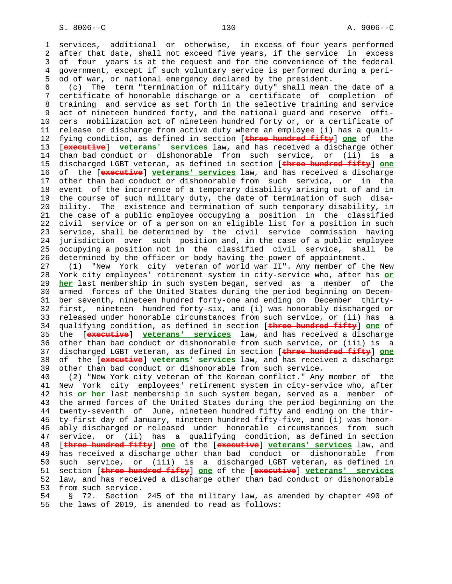1 services, additional or otherwise, in excess of four years performed 2 after that date, shall not exceed five years, if the service in excess 3 of four years is at the request and for the convenience of the federal 4 government, except if such voluntary service is performed during a peri- 5 od of war, or national emergency declared by the president.

 6 (c) The term "termination of military duty" shall mean the date of a 7 certificate of honorable discharge or a certificate of completion of 8 training and service as set forth in the selective training and service 9 act of nineteen hundred forty, and the national guard and reserve offi- 10 cers mobilization act of nineteen hundred forty or, or a certificate of 11 release or discharge from active duty where an employee (i) has a quali- 12 fying condition, as defined in section [**three hundred fifty**] **one** of the 13 [**executive**] **veterans' services** law, and has received a discharge other 14 than bad conduct or dishonorable from such service, or (ii) is a 15 discharged LGBT veteran, as defined in section [**three hundred fifty**] **one** 16 of the [**executive**] **veterans' services** law, and has received a discharge 17 other than bad conduct or dishonorable from such service, or in the 18 event of the incurrence of a temporary disability arising out of and in 19 the course of such military duty, the date of termination of such disa- 20 bility. The existence and termination of such temporary disability, in 21 the case of a public employee occupying a position in the classified 22 civil service or of a person on an eligible list for a position in such 23 service, shall be determined by the civil service commission having 24 jurisdiction over such position and, in the case of a public employee 25 occupying a position not in the classified civil service, shall be 26 determined by the officer or body having the power of appointment.

 27 (1) "New York city veteran of world war II". Any member of the New 28 York city employees' retirement system in city-service who, after his **or** 29 **her** last membership in such system began, served as a member of the 30 armed forces of the United States during the period beginning on Decem- 31 ber seventh, nineteen hundred forty-one and ending on December thirty- 32 first, nineteen hundred forty-six, and (i) was honorably discharged or 33 released under honorable circumstances from such service, or (ii) has a 34 qualifying condition, as defined in section [**three hundred fifty**] **one** of 35 the [**executive**] **veterans' services** law, and has received a discharge 36 other than bad conduct or dishonorable from such service, or (iii) is a 37 discharged LGBT veteran, as defined in section [**three hundred fifty**] **one** 38 of the [**executive**] **veterans' services** law, and has received a discharge 39 other than bad conduct or dishonorable from such service.

 40 (2) "New York city veteran of the Korean conflict." Any member of the 41 New York city employees' retirement system in city-service who, after 42 his **or her** last membership in such system began, served as a member of 43 the armed forces of the United States during the period beginning on the 44 twenty-seventh of June, nineteen hundred fifty and ending on the thir- 45 ty-first day of January, nineteen hundred fifty-five, and (i) was honor- 46 ably discharged or released under honorable circumstances from such 47 service, or (ii) has a qualifying condition, as defined in section 48 [**three hundred fifty**] **one** of the [**executive**] **veterans' services** law, and 49 has received a discharge other than bad conduct or dishonorable from 50 such service, or (iii) is a discharged LGBT veteran, as defined in 51 section [**three hundred fifty**] **one** of the [**executive**] **veterans' services** 52 law, and has received a discharge other than bad conduct or dishonorable 53 from such service.

 54 § 72. Section 245 of the military law, as amended by chapter 490 of 55 the laws of 2019, is amended to read as follows: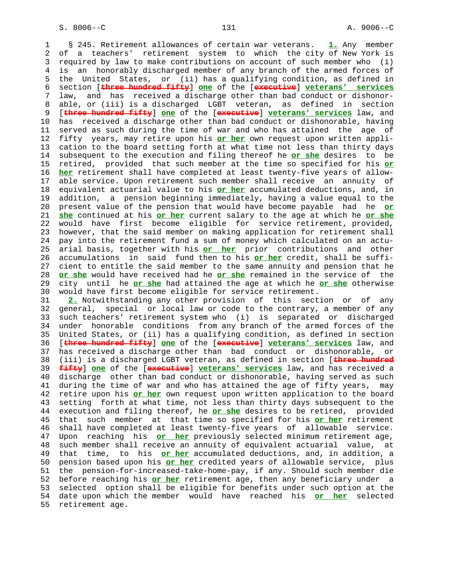1 § 245. Retirement allowances of certain war veterans. **1.** Any member 2 of a teachers' retirement system to which the city of New York is 3 required by law to make contributions on account of such member who (i) 4 is an honorably discharged member of any branch of the armed forces of 5 the United States, or (ii) has a qualifying condition, as defined in 6 section [**three hundred fifty**] **one** of the [**executive**] **veterans' services** 7 law, and has received a discharge other than bad conduct or dishonor- 8 able, or (iii) is a discharged LGBT veteran, as defined in section 9 [**three hundred fifty**] **one** of the [**executive**] **veterans' services** law, and 10 has received a discharge other than bad conduct or dishonorable, having 11 served as such during the time of war and who has attained the age of 12 fifty years, may retire upon his **or her** own request upon written appli- 13 cation to the board setting forth at what time not less than thirty days 14 subsequent to the execution and filing thereof he **or she** desires to be 15 retired, provided that such member at the time so specified for his **or** 16 **her** retirement shall have completed at least twenty-five years of allow- 17 able service. Upon retirement such member shall receive an annuity of 18 equivalent actuarial value to his **or her** accumulated deductions, and, in 19 addition, a pension beginning immediately, having a value equal to the 20 present value of the pension that would have become payable had he **or** 21 **she** continued at his **or her** current salary to the age at which he **or she** 22 would have first become eligible for service retirement, provided, 23 however, that the said member on making application for retirement shall 24 pay into the retirement fund a sum of money which calculated on an actu- 25 arial basis, together with his **or her** prior contributions and other 26 accumulations in said fund then to his **or her** credit, shall be suffi- 27 cient to entitle the said member to the same annuity and pension that he 28 **or she** would have received had he **or she** remained in the service of the 29 city until he **or she** had attained the age at which he **or she** otherwise 30 would have first become eligible for service retirement. 31 **2.** Notwithstanding any other provision of this section or of any 32 general, special or local law or code to the contrary, a member of any

 33 such teachers' retirement system who (i) is separated or discharged 34 under honorable conditions from any branch of the armed forces of the 35 United States, or (ii) has a qualifying condition, as defined in section 36 [**three hundred fifty**] **one** of the [**executive**] **veterans' services** law, and 37 has received a discharge other than bad conduct or dishonorable, or 38 (iii) is a discharged LGBT veteran, as defined in section [**three hundred** 39 **fifty**] **one** of the [**executive**] **veterans' services** law, and has received a 40 discharge other than bad conduct or dishonorable, having served as such 41 during the time of war and who has attained the age of fifty years, may 42 retire upon his **or her** own request upon written application to the board 43 setting forth at what time, not less than thirty days subsequent to the 44 execution and filing thereof, he **or she** desires to be retired, provided 45 that such member at that time so specified for his **or her** retirement 46 shall have completed at least twenty-five years of allowable service. 47 Upon reaching his **or her** previously selected minimum retirement age, 48 such member shall receive an annuity of equivalent actuarial value, at 49 that time, to his **or her** accumulated deductions, and, in addition, a 50 pension based upon his **or her** credited years of allowable service, plus 51 the pension-for-increased-take-home-pay, if any. Should such member die 52 before reaching his **or her** retirement age, then any beneficiary under a 53 selected option shall be eligible for benefits under such option at the 54 date upon which the member would have reached his **or her** selected 55 retirement age.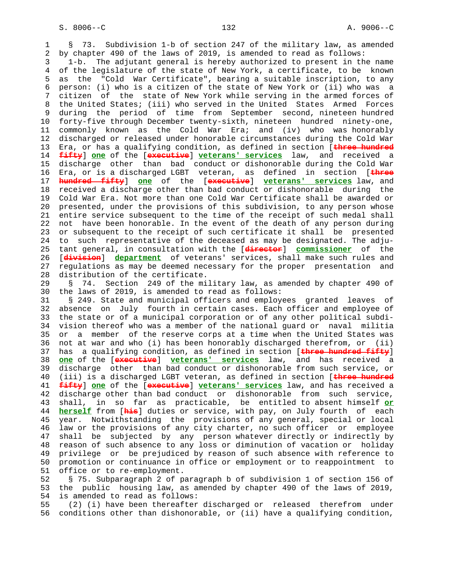1 § 73. Subdivision 1-b of section 247 of the military law, as amended 2 by chapter 490 of the laws of 2019, is amended to read as follows:

 3 1-b. The adjutant general is hereby authorized to present in the name 4 of the legislature of the state of New York, a certificate, to be known 5 as the "Cold War Certificate", bearing a suitable inscription, to any 6 person: (i) who is a citizen of the state of New York or (ii) who was a 7 citizen of the state of New York while serving in the armed forces of 8 the United States; (iii) who served in the United States Armed Forces 9 during the period of time from September second, nineteen hundred 10 forty-five through December twenty-sixth, nineteen hundred ninety-one, 11 commonly known as the Cold War Era; and (iv) who was honorably 12 discharged or released under honorable circumstances during the Cold War 13 Era, or has a qualifying condition, as defined in section [**three hundred** 14 **fifty**] **one** of the [**executive**] **veterans' services** law, and received a 15 discharge other than bad conduct or dishonorable during the Cold War 16 Era, or is a discharged LGBT veteran, as defined in section [**three** 17 **hundred fifty**] **one** of the [**executive**] **veterans' services** law, and 18 received a discharge other than bad conduct or dishonorable during the 19 Cold War Era. Not more than one Cold War Certificate shall be awarded or 20 presented, under the provisions of this subdivision, to any person whose 21 entire service subsequent to the time of the receipt of such medal shall 22 not have been honorable. In the event of the death of any person during 23 or subsequent to the receipt of such certificate it shall be presented 24 to such representative of the deceased as may be designated. The adju- 25 tant general, in consultation with the [**director**] **commissioner** of the 26 [**division**] **department** of veterans' services, shall make such rules and 27 regulations as may be deemed necessary for the proper presentation and 28 distribution of the certificate.

 29 § 74. Section 249 of the military law, as amended by chapter 490 of 30 the laws of 2019, is amended to read as follows:

 31 § 249. State and municipal officers and employees granted leaves of 32 absence on July fourth in certain cases. Each officer and employee of 33 the state or of a municipal corporation or of any other political subdi- 34 vision thereof who was a member of the national guard or naval militia 35 or a member of the reserve corps at a time when the United States was 36 not at war and who (i) has been honorably discharged therefrom, or (ii) 37 has a qualifying condition, as defined in section [**three hundred fifty**] 38 **one** of the [**executive**] **veterans' services** law, and has received a 39 discharge other than bad conduct or dishonorable from such service, or 40 (iii) is a discharged LGBT veteran, as defined in section [**three hundred** 41 **fifty**] **one** of the [**executive**] **veterans' services** law, and has received a 42 discharge other than bad conduct or dishonorable from such service, 43 shall, in so far as practicable, be entitled to absent himself **or** 44 **herself** from [**his**] duties or service, with pay, on July fourth of each 45 year. Notwithstanding the provisions of any general, special or local 46 law or the provisions of any city charter, no such officer or employee 47 shall be subjected by any person whatever directly or indirectly by 48 reason of such absence to any loss or diminution of vacation or holiday 49 privilege or be prejudiced by reason of such absence with reference to 50 promotion or continuance in office or employment or to reappointment to 51 office or to re-employment.

52 § 75. Subparagraph 2 of paragraph b of subdivision 1 of section 156 of<br>53 the public housing law, as amended by chapter 490 of the laws of 2019. the public housing law, as amended by chapter 490 of the laws of 2019, 54 is amended to read as follows:

 55 (2) (i) have been thereafter discharged or released therefrom under 56 conditions other than dishonorable, or (ii) have a qualifying condition,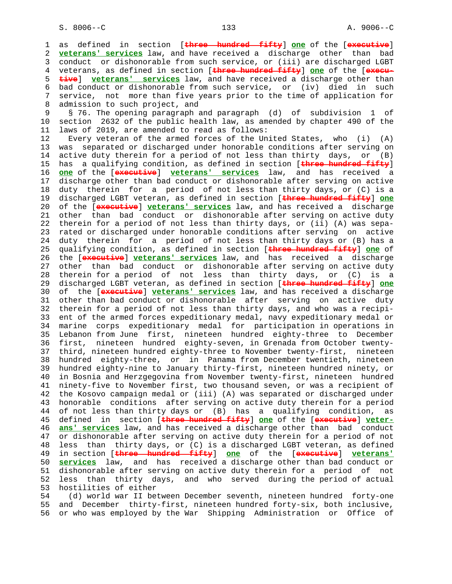1 as defined in section [**three hundred fifty**] **one** of the [**executive**] 2 **veterans' services** law, and have received a discharge other than bad 3 conduct or dishonorable from such service, or (iii) are discharged LGBT 4 veterans, as defined in section [**three hundred fifty**] **one** of the [**execu-** 5 **tive**] **veterans' services** law, and have received a discharge other than 6 bad conduct or dishonorable from such service, or (iv) died in such 7 service, not more than five years prior to the time of application for 8 admission to such project, and 9 § 76. The opening paragraph and paragraph (d) of subdivision 1 of<br>10 section 2632 of the public health law, as amended by chapter 490 of the section 2632 of the public health law, as amended by chapter 490 of the 11 laws of 2019, are amended to read as follows: 12 Every veteran of the armed forces of the United States, who (i) (A) 13 was separated or discharged under honorable conditions after serving on 14 active duty therein for a period of not less than thirty days, or (B) 15 has a qualifying condition, as defined in section [**three hundred fifty**] 16 **one** of the [**executive**] **veterans' services** law, and has received a 17 discharge other than bad conduct or dishonorable after serving on active 18 duty therein for a period of not less than thirty days, or (C) is a 19 discharged LGBT veteran, as defined in section [**three hundred fifty**] **one** 20 of the [**executive**] **veterans' services** law, and has received a discharge 21 other than bad conduct or dishonorable after serving on active duty 22 therein for a period of not less than thirty days, or (ii) (A) was sepa- 23 rated or discharged under honorable conditions after serving on active 24 duty therein for a period of not less than thirty days or (B) has a 25 qualifying condition, as defined in section [**three hundred fifty**] **one** of 26 the [**executive**] **veterans' services** law, and has received a discharge 27 other than bad conduct or dishonorable after serving on active duty 28 therein for a period of not less than thirty days, or (C) is a 29 discharged LGBT veteran, as defined in section [**three hundred fifty**] **one** 30 of the [**executive**] **veterans' services** law, and has received a discharge 31 other than bad conduct or dishonorable after serving on active duty 32 therein for a period of not less than thirty days, and who was a recipi- 33 ent of the armed forces expeditionary medal, navy expeditionary medal or 34 marine corps expeditionary medal for participation in operations in 35 Lebanon from June first, nineteen hundred eighty-three to December 36 first, nineteen hundred eighty-seven, in Grenada from October twenty- 37 third, nineteen hundred eighty-three to November twenty-first, nineteen 38 hundred eighty-three, or in Panama from December twentieth, nineteen 39 hundred eighty-nine to January thirty-first, nineteen hundred ninety, or 40 in Bosnia and Herzgegovina from November twenty-first, nineteen hundred 41 ninety-five to November first, two thousand seven, or was a recipient of 42 the Kosovo campaign medal or (iii) (A) was separated or discharged under 43 honorable conditions after serving on active duty therein for a period 44 of not less than thirty days or (B) has a qualifying condition, as 45 defined in section [**three hundred fifty**] **one** of the [**executive**] **veter-** 46 **ans' services** law, and has received a discharge other than bad conduct 47 or dishonorable after serving on active duty therein for a period of not 48 less than thirty days, or (C) is a discharged LGBT veteran, as defined 49 in section [**three hundred fifty**] **one** of the [**executive**] **veterans'** 50 **services** law, and has received a discharge other than bad conduct or 51 dishonorable after serving on active duty therein for a period of not 52 less than thirty days, and who served during the period of actual 53 hostilities of either 54 (d) world war II between December seventh, nineteen hundred forty-one 55 and December thirty-first, nineteen hundred forty-six, both inclusive,

56 or who was employed by the War Shipping Administration or Office of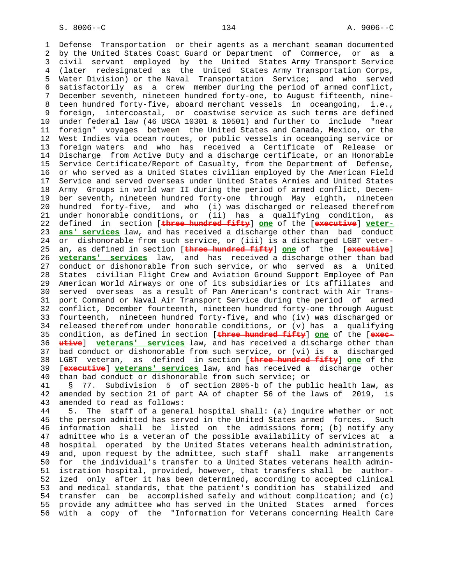1 Defense Transportation or their agents as a merchant seaman documented 2 by the United States Coast Guard or Department of Commerce, or as a 3 civil servant employed by the United States Army Transport Service 4 (later redesignated as the United States Army Transportation Corps, 5 Water Division) or the Naval Transportation Service; and who served 6 satisfactorily as a crew member during the period of armed conflict, 7 December seventh, nineteen hundred forty-one, to August fifteenth, nine- 8 teen hundred forty-five, aboard merchant vessels in oceangoing, i.e., 9 foreign, intercoastal, or coastwise service as such terms are defined 10 under federal law (46 USCA 10301 & 10501) and further to include "near 11 foreign" voyages between the United States and Canada, Mexico, or the 12 West Indies via ocean routes, or public vessels in oceangoing service or 13 foreign waters and who has received a Certificate of Release or 14 Discharge from Active Duty and a discharge certificate, or an Honorable 15 Service Certificate/Report of Casualty, from the Department of Defense, 16 or who served as a United States civilian employed by the American Field 17 Service and served overseas under United States Armies and United States 18 Army Groups in world war II during the period of armed conflict, Decem- 19 ber seventh, nineteen hundred forty-one through May eighth, nineteen 20 hundred forty-five, and who (i) was discharged or released therefrom 21 under honorable conditions, or (ii) has a qualifying condition, as 22 defined in section [**three hundred fifty**] **one** of the [**executive**] **veter-** 23 **ans' services** law, and has received a discharge other than bad conduct 24 or dishonorable from such service, or (iii) is a discharged LGBT veter- 25 an, as defined in section [**three hundred fifty**] **one** of the [**executive**] 26 **veterans' services** law, and has received a discharge other than bad 27 conduct or dishonorable from such service, or who served as a United 28 States civilian Flight Crew and Aviation Ground Support Employee of Pan 29 American World Airways or one of its subsidiaries or its affiliates and 30 served overseas as a result of Pan American's contract with Air Trans- 31 port Command or Naval Air Transport Service during the period of armed 32 conflict, December fourteenth, nineteen hundred forty-one through August 33 fourteenth, nineteen hundred forty-five, and who (iv) was discharged or 34 released therefrom under honorable conditions, or (v) has a qualifying 35 condition, as defined in section [**three hundred fifty**] **one** of the [**exec-** 36 **utive**] **veterans' services** law, and has received a discharge other than 37 bad conduct or dishonorable from such service, or (vi) is a discharged 38 LGBT veteran, as defined in section [**three hundred fifty**] **one** of the 39 [**executive**] **veterans' services** law, and has received a discharge other 40 than bad conduct or dishonorable from such service; or

 41 § 77. Subdivision 5 of section 2805-b of the public health law, as 42 amended by section 21 of part AA of chapter 56 of the laws of 2019, is 43 amended to read as follows:

 44 5. The staff of a general hospital shall: (a) inquire whether or not 45 the person admitted has served in the United States armed forces. Such 46 information shall be listed on the admissions form; (b) notify any 47 admittee who is a veteran of the possible availability of services at a 48 hospital operated by the United States veterans health administration, 49 and, upon request by the admittee, such staff shall make arrangements 50 for the individual's transfer to a United States veterans health admin- 51 istration hospital, provided, however, that transfers shall be author- 52 ized only after it has been determined, according to accepted clinical 53 and medical standards, that the patient's condition has stabilized and 54 transfer can be accomplished safely and without complication; and (c) 55 provide any admittee who has served in the United States armed forces 56 with a copy of the "Information for Veterans concerning Health Care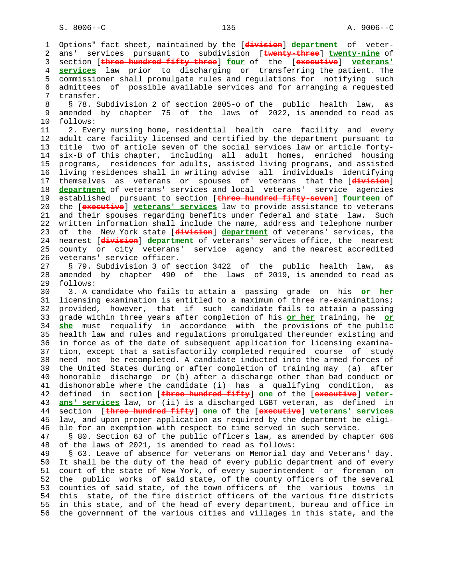2 ans' services pursuant to subdivision [**twenty-three**] **twenty-nine** of 3 section [**three hundred fifty-three**] **four** of the [**executive**] **veterans'** 4 **services** law prior to discharging or transferring the patient. The 5 commissioner shall promulgate rules and regulations for notifying such 6 admittees of possible available services and for arranging a requested 7 transfer. 8 § 78. Subdivision 2 of section 2805-o of the public health law, as 9 amended by chapter 75 of the laws of 2022, is amended to read as 10 follows: 11 2. Every nursing home, residential health care facility and every 12 adult care facility licensed and certified by the department pursuant to 13 title two of article seven of the social services law or article forty- 14 six-B of this chapter, including all adult homes, enriched housing 15 programs, residences for adults, assisted living programs, and assisted 16 living residences shall in writing advise all individuals identifying 17 themselves as veterans or spouses of veterans that the [**division**] 18 **department** of veterans' services and local veterans' service agencies 19 established pursuant to section [**three hundred fifty-seven**] **fourteen** of 20 the [**executive**] **veterans' services** law to provide assistance to veterans 21 and their spouses regarding benefits under federal and state law. Such 22 written information shall include the name, address and telephone number 23 of the New York state [**division**] **department** of veterans' services, the 24 nearest [**division**] **department** of veterans' services office, the nearest 25 county or city veterans' service agency and the nearest accredited 26 veterans' service officer. 27 § 79. Subdivision 3 of section 3422 of the public health law, as 28 amended by chapter 490 of the laws of 2019, is amended to read as 29 follows: 30 3. A candidate who fails to attain a passing grade on his **or her** 31 licensing examination is entitled to a maximum of three re-examinations; 32 provided, however, that if such candidate fails to attain a passing 33 grade within three years after completion of his **or her** training, he **or** 34 **she** must requalify in accordance with the provisions of the public 35 health law and rules and regulations promulgated thereunder existing and 36 in force as of the date of subsequent application for licensing examina- 37 tion, except that a satisfactorily completed required course of study 38 need not be recompleted. A candidate inducted into the armed forces of 39 the United States during or after completion of training may (a) after 40 honorable discharge or (b) after a discharge other than bad conduct or 41 dishonorable where the candidate (i) has a qualifying condition, as 42 defined in section [**three hundred fifty**] **one** of the [**executive**] **veter-** 43 **ans' services** law, or (ii) is a discharged LGBT veteran, as defined in 44 section [**three hundred fifty**] **one** of the [**executive**] **veterans' services** 45 law, and upon proper application as required by the department be eligi- 46 ble for an exemption with respect to time served in such service. 47 § 80. Section 63 of the public officers law, as amended by chapter 606 48 of the laws of 2021, is amended to read as follows: 49 § 63. Leave of absence for veterans on Memorial day and Veterans' day. 50 It shall be the duty of the head of every public department and of every 51 court of the state of New York, of every superintendent or foreman on 52 the public works of said state, of the county officers of the several 53 counties of said state, of the town officers of the various towns in 54 this state, of the fire district officers of the various fire districts 55 in this state, and of the head of every department, bureau and office in 56 the government of the various cities and villages in this state, and the

1 Options" fact sheet, maintained by the [**division**] **department** of veter-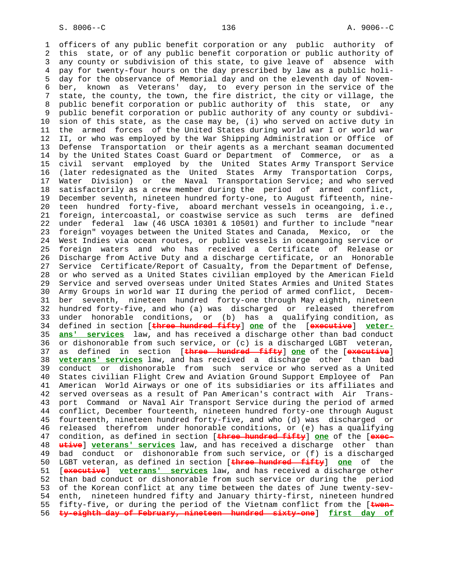1 officers of any public benefit corporation or any public authority of 2 this state, or of any public benefit corporation or public authority of 3 any county or subdivision of this state, to give leave of absence with 4 pay for twenty-four hours on the day prescribed by law as a public holi- 5 day for the observance of Memorial day and on the eleventh day of Novem- 6 ber, known as Veterans' day, to every person in the service of the 7 state, the county, the town, the fire district, the city or village, the 8 public benefit corporation or public authority of this state, or any 9 public benefit corporation or public authority of any county or subdivi- 10 sion of this state, as the case may be, (i) who served on active duty in 11 the armed forces of the United States during world war I or world war 12 II, or who was employed by the War Shipping Administration or Office of 13 Defense Transportation or their agents as a merchant seaman documented 14 by the United States Coast Guard or Department of Commerce, or as a 15 civil servant employed by the United States Army Transport Service 16 (later redesignated as the United States Army Transportation Corps, 17 Water Division) or the Naval Transportation Service; and who served 18 satisfactorily as a crew member during the period of armed conflict, 19 December seventh, nineteen hundred forty-one, to August fifteenth, nine- 20 teen hundred forty-five, aboard merchant vessels in oceangoing, i.e., 21 foreign, intercoastal, or coastwise service as such terms are defined 22 under federal law (46 USCA 10301 & 10501) and further to include "near 23 foreign" voyages between the United States and Canada, Mexico, or the 24 West Indies via ocean routes, or public vessels in oceangoing service or 25 foreign waters and who has received a Certificate of Release or 26 Discharge from Active Duty and a discharge certificate, or an Honorable 27 Service Certificate/Report of Casualty, from the Department of Defense, 28 or who served as a United States civilian employed by the American Field 29 Service and served overseas under United States Armies and United States 30 Army Groups in world war II during the period of armed conflict, Decem- 31 ber seventh, nineteen hundred forty-one through May eighth, nineteen 32 hundred forty-five, and who (a) was discharged or released therefrom 33 under honorable conditions, or (b) has a qualifying condition, as 34 defined in section [**three hundred fifty**] **one** of the [**executive**] **veter-** 35 **ans' services** law, and has received a discharge other than bad conduct 36 or dishonorable from such service, or (c) is a discharged LGBT veteran, 37 as defined in section [**three hundred fifty**] **one** of the [**executive**] 38 **veterans' services** law, and has received a discharge other than bad 39 conduct or dishonorable from such service or who served as a United 40 States civilian Flight Crew and Aviation Ground Support Employee of Pan 41 American World Airways or one of its subsidiaries or its affiliates and 42 served overseas as a result of Pan American's contract with Air Trans- 43 port Command or Naval Air Transport Service during the period of armed 44 conflict, December fourteenth, nineteen hundred forty-one through August 45 fourteenth, nineteen hundred forty-five, and who (d) was discharged or 46 released therefrom under honorable conditions, or (e) has a qualifying 47 condition, as defined in section [**three hundred fifty**] **one** of the [**exec-** 48 **utive**] **veterans' services** law, and has received a discharge other than 49 bad conduct or dishonorable from such service, or (f) is a discharged 50 LGBT veteran, as defined in section [**three hundred fifty**] **one** of the 51 [**executive**] **veterans' services** law, and has received a discharge other 52 than bad conduct or dishonorable from such service or during the period 53 of the Korean conflict at any time between the dates of June twenty-sev- 54 enth, nineteen hundred fifty and January thirty-first, nineteen hundred 55 fifty-five, or during the period of the Vietnam conflict from the [**twen-** 56 **ty-eighth day of February, nineteen hundred sixty-one**] **first day of**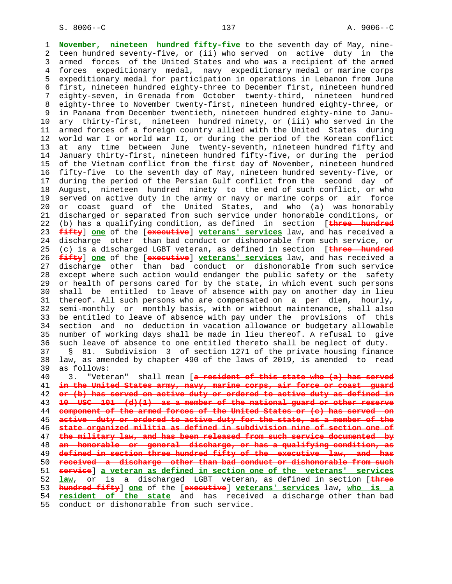1 **November, nineteen hundred fifty-five** to the seventh day of May, nine- 2 teen hundred seventy-five, or (ii) who served on active duty in the 3 armed forces of the United States and who was a recipient of the armed 4 forces expeditionary medal, navy expeditionary medal or marine corps 5 expeditionary medal for participation in operations in Lebanon from June 6 first, nineteen hundred eighty-three to December first, nineteen hundred 7 eighty-seven, in Grenada from October twenty-third, nineteen hundred 8 eighty-three to November twenty-first, nineteen hundred eighty-three, or 9 in Panama from December twentieth, nineteen hundred eighty-nine to Janu-<br>10 ary thirty-first, nineteen hundred ninety, or (iii) who served in the ary thirty-first, nineteen hundred ninety, or (iii) who served in the 11 armed forces of a foreign country allied with the United States during 12 world war I or world war II, or during the period of the Korean conflict 13 at any time between June twenty-seventh, nineteen hundred fifty and 14 January thirty-first, nineteen hundred fifty-five, or during the period 15 of the Vietnam conflict from the first day of November, nineteen hundred 16 fifty-five to the seventh day of May, nineteen hundred seventy-five, or 17 during the period of the Persian Gulf conflict from the second day of 18 August, nineteen hundred ninety to the end of such conflict, or who 19 served on active duty in the army or navy or marine corps or air force 20 or coast guard of the United States, and who (a) was honorably 21 discharged or separated from such service under honorable conditions, or 22 (b) has a qualifying condition, as defined in section [**three hundred** 23 **fifty**] **one** of the [**executive**] **veterans' services** law, and has received a 24 discharge other than bad conduct or dishonorable from such service, or 25 (c) is a discharged LGBT veteran, as defined in section [**three hundred** 26 **fifty**] **one** of the [**executive**] **veterans' services** law, and has received a 27 discharge other than bad conduct or dishonorable from such service 28 except where such action would endanger the public safety or the safety 29 or health of persons cared for by the state, in which event such persons 30 shall be entitled to leave of absence with pay on another day in lieu 31 thereof. All such persons who are compensated on a per diem, hourly, 32 semi-monthly or monthly basis, with or without maintenance, shall also 33 be entitled to leave of absence with pay under the provisions of this 34 section and no deduction in vacation allowance or budgetary allowable 35 number of working days shall be made in lieu thereof. A refusal to give 36 such leave of absence to one entitled thereto shall be neglect of duty. 37 § 81. Subdivision 3 of section 1271 of the private housing finance 38 law, as amended by chapter 490 of the laws of 2019, is amended to read 39 as follows:

 40 3. "Veteran" shall mean [**a resident of this state who (a) has served in the United States army, navy, marine corps, air force or coast guard or (b) has served on active duty or ordered to active duty as defined in 10 USC 101 (d)(1) as a member of the national guard or other reserve component of the armed forces of the United States or (c) has served on active duty or ordered to active duty for the state, as a member of the state organized militia as defined in subdivision nine of section one of the military law, and has been released from such service docum an honorable or general discharge, or has a qualifying condition, as defined in section three hundred fifty of the executive law, and has received a discharge other than bad conduct or dishonorable from such service**] **a veteran as defined in section one of the veterans' services law**, or is a discharged LGBT veteran, as defined in section [**three hundred fifty**] **one** of the [**executive**] **veterans' services** law, **who is a resident of the state** and has received a discharge other than bad 55 conduct or dishonorable from such service.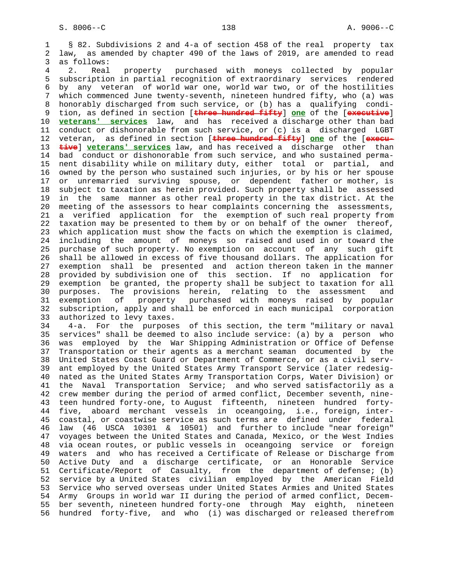1 § 82. Subdivisions 2 and 4-a of section 458 of the real property tax 2 law, as amended by chapter 490 of the laws of 2019, are amended to read 3 as follows:

 4 2. Real property purchased with moneys collected by popular 5 subscription in partial recognition of extraordinary services rendered 6 by any veteran of world war one, world war two, or of the hostilities 7 which commenced June twenty-seventh, nineteen hundred fifty, who (a) was 8 honorably discharged from such service, or (b) has a qualifying condi- 9 tion, as defined in section [**three hundred fifty**] **one** of the [**executive**] 10 **veterans' services** law, and has received a discharge other than bad 11 conduct or dishonorable from such service, or (c) is a discharged LGBT 12 veteran, as defined in section [**three hundred fifty**] **one** of the [**execu-** 13 **tive**] **veterans' services** law, and has received a discharge other than 14 bad conduct or dishonorable from such service, and who sustained perma- 15 nent disability while on military duty, either total or partial, and 16 owned by the person who sustained such injuries, or by his or her spouse 17 or unremarried surviving spouse, or dependent father or mother, is 18 subject to taxation as herein provided. Such property shall be assessed 19 in the same manner as other real property in the tax district. At the 20 meeting of the assessors to hear complaints concerning the assessments, 21 a verified application for the exemption of such real property from 22 taxation may be presented to them by or on behalf of the owner thereof, 23 which application must show the facts on which the exemption is claimed, 24 including the amount of moneys so raised and used in or toward the 25 purchase of such property. No exemption on account of any such gift 26 shall be allowed in excess of five thousand dollars. The application for 27 exemption shall be presented and action thereon taken in the manner 28 provided by subdivision one of this section. If no application for 29 exemption be granted, the property shall be subject to taxation for all 30 purposes. The provisions herein, relating to the assessment and 31 exemption of property purchased with moneys raised by popular 32 subscription, apply and shall be enforced in each municipal corporation 33 authorized to levy taxes.

 34 4-a. For the purposes of this section, the term "military or naval 35 services" shall be deemed to also include service: (a) by a person who 36 was employed by the War Shipping Administration or Office of Defense 37 Transportation or their agents as a merchant seaman documented by the 38 United States Coast Guard or Department of Commerce, or as a civil serv- 39 ant employed by the United States Army Transport Service (later redesig- 40 nated as the United States Army Transportation Corps, Water Division) or 41 the Naval Transportation Service; and who served satisfactorily as a 42 crew member during the period of armed conflict, December seventh, nine- 43 teen hundred forty-one, to August fifteenth, nineteen hundred forty- 44 five, aboard merchant vessels in oceangoing, i.e., foreign, inter- 45 coastal, or coastwise service as such terms are defined under federal 46 law (46 USCA 10301 & 10501) and further to include "near foreign" 47 voyages between the United States and Canada, Mexico, or the West Indies 48 via ocean routes, or public vessels in oceangoing service or foreign 49 waters and who has received a Certificate of Release or Discharge from 50 Active Duty and a discharge certificate, or an Honorable Service 51 Certificate/Report of Casualty, from the department of defense; (b) 52 service by a United States civilian employed by the American Field 53 Service who served overseas under United States Armies and United States 54 Army Groups in world war II during the period of armed conflict, Decem- 55 ber seventh, nineteen hundred forty-one through May eighth, nineteen 56 hundred forty-five, and who (i) was discharged or released therefrom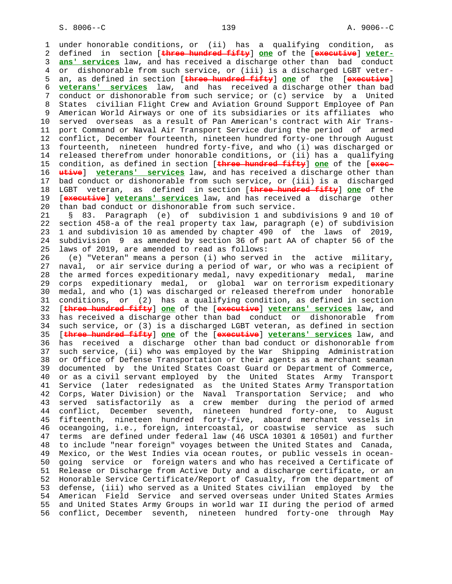1 under honorable conditions, or (ii) has a qualifying condition, as 2 defined in section [**three hundred fifty**] **one** of the [**executive**] **veter-** 3 **ans' services** law, and has received a discharge other than bad conduct 4 or dishonorable from such service, or (iii) is a discharged LGBT veter- 5 an, as defined in section [**three hundred fifty**] **one** of the [**executive**] 6 **veterans' services** law, and has received a discharge other than bad 7 conduct or dishonorable from such service; or (c) service by a United 8 States civilian Flight Crew and Aviation Ground Support Employee of Pan 9 American World Airways or one of its subsidiaries or its affiliates who 10 served overseas as a result of Pan American's contract with Air Trans- 11 port Command or Naval Air Transport Service during the period of armed 12 conflict, December fourteenth, nineteen hundred forty-one through August 13 fourteenth, nineteen hundred forty-five, and who (i) was discharged or 14 released therefrom under honorable conditions, or (ii) has a qualifying 15 condition, as defined in section [**three hundred fifty**] **one** of the [**exec-** 16 **utive**] **veterans' services** law, and has received a discharge other than 17 bad conduct or dishonorable from such service, or (iii) is a discharged 18 LGBT veteran, as defined in section [**three hundred fifty**] **one** of the 19 [**executive**] **veterans' services** law, and has received a discharge other 20 than bad conduct or dishonorable from such service. 21 § 83. Paragraph (e) of subdivision 1 and subdivisions 9 and 10 of 22 section 458-a of the real property tax law, paragraph (e) of subdivision 23 1 and subdivision 10 as amended by chapter 490 of the laws of 2019, 24 subdivision 9 as amended by section 36 of part AA of chapter 56 of the 25 laws of 2019, are amended to read as follows: 26 (e) "Veteran" means a person (i) who served in the active military, 27 naval, or air service during a period of war, or who was a recipient of 28 the armed forces expeditionary medal, navy expeditionary medal, marine 29 corps expeditionary medal, or global war on terrorism expeditionary 30 medal, and who (1) was discharged or released therefrom under honorable 31 conditions, or (2) has a qualifying condition, as defined in section 32 [**three hundred fifty**] **one** of the [**executive**] **veterans' services** law, and 33 has received a discharge other than bad conduct or dishonorable from 34 such service, or (3) is a discharged LGBT veteran, as defined in section 35 [**three hundred fifty**] **one** of the [**executive**] **veterans' services** law, and 36 has received a discharge other than bad conduct or dishonorable from 37 such service, (ii) who was employed by the War Shipping Administration 38 or Office of Defense Transportation or their agents as a merchant seaman 39 documented by the United States Coast Guard or Department of Commerce, 40 or as a civil servant employed by the United States Army Transport 41 Service (later redesignated as the United States Army Transportation 42 Corps, Water Division) or the Naval Transportation Service; and who 43 served satisfactorily as a crew member during the period of armed 44 conflict, December seventh, nineteen hundred forty-one, to August 45 fifteenth, nineteen hundred forty-five, aboard merchant vessels in 46 oceangoing, i.e., foreign, intercoastal, or coastwise service as such 47 terms are defined under federal law (46 USCA 10301 & 10501) and further 48 to include "near foreign" voyages between the United States and Canada, 49 Mexico, or the West Indies via ocean routes, or public vessels in ocean- 50 going service or foreign waters and who has received a Certificate of 51 Release or Discharge from Active Duty and a discharge certificate, or an 52 Honorable Service Certificate/Report of Casualty, from the department of 53 defense, (iii) who served as a United States civilian employed by the 54 American Field Service and served overseas under United States Armies 55 and United States Army Groups in world war II during the period of armed 56 conflict, December seventh, nineteen hundred forty-one through May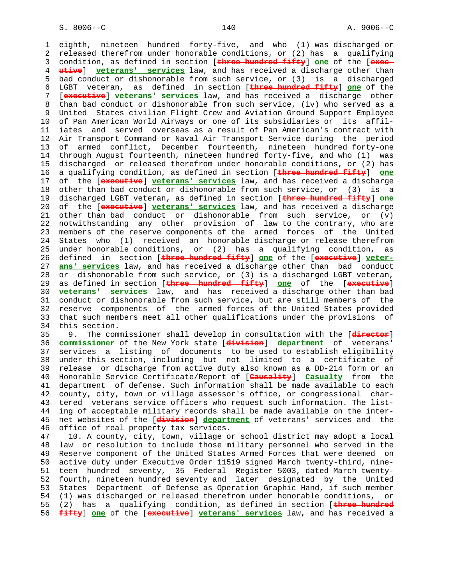1 eighth, nineteen hundred forty-five, and who (1) was discharged or 2 released therefrom under honorable conditions, or (2) has a qualifying 3 condition, as defined in section [**three hundred fifty**] **one** of the [**exec-** 4 **utive**] **veterans' services** law, and has received a discharge other than 5 bad conduct or dishonorable from such service, or (3) is a discharged 6 LGBT veteran, as defined in section [**three hundred fifty**] **one** of the 7 [**executive**] **veterans' services** law, and has received a discharge other 8 than bad conduct or dishonorable from such service, (iv) who served as a 9 United States civilian Flight Crew and Aviation Ground Support Employee 10 of Pan American World Airways or one of its subsidiaries or its affil- 11 iates and served overseas as a result of Pan American's contract with 12 Air Transport Command or Naval Air Transport Service during the period 13 of armed conflict, December fourteenth, nineteen hundred forty-one 14 through August fourteenth, nineteen hundred forty-five, and who (1) was 15 discharged or released therefrom under honorable conditions, or (2) has 16 a qualifying condition, as defined in section [**three hundred fifty**] **one** 17 of the [**executive**] **veterans' services** law, and has received a discharge 18 other than bad conduct or dishonorable from such service, or (3) is a 19 discharged LGBT veteran, as defined in section [**three hundred fifty**] **one** 20 of the [**executive**] **veterans' services** law, and has received a discharge 21 other than bad conduct or dishonorable from such service, or (v) 22 notwithstanding any other provision of law to the contrary, who are 23 members of the reserve components of the armed forces of the United 24 States who (1) received an honorable discharge or release therefrom 25 under honorable conditions, or (2) has a qualifying condition, as 26 defined in section [**three hundred fifty**] **one** of the [**executive**] **veter-** 27 **ans' services** law, and has received a discharge other than bad conduct 28 or dishonorable from such service, or (3) is a discharged LGBT veteran, 29 as defined in section [**three hundred fifty**] **one** of the [**executive**] 30 **veterans' services** law, and has received a discharge other than bad 31 conduct or dishonorable from such service, but are still members of the 32 reserve components of the armed forces of the United States provided 33 that such members meet all other qualifications under the provisions of 34 this section.

 35 9. The commissioner shall develop in consultation with the [**director**] 36 **commissioner** of the New York state [**division**] **department** of veterans' 37 services a listing of documents to be used to establish eligibility 38 under this section, including but not limited to a certificate of 39 release or discharge from active duty also known as a DD-214 form or an 40 Honorable Service Certificate/Report of [**Causality**] **Casualty** from the 41 department of defense. Such information shall be made available to each 42 county, city, town or village assessor's office, or congressional char- 43 tered veterans service officers who request such information. The list- 44 ing of acceptable military records shall be made available on the inter- 45 net websites of the [**division**] **department** of veterans' services and the 46 office of real property tax services.

 47 10. A county, city, town, village or school district may adopt a local 48 law or resolution to include those military personnel who served in the 49 Reserve component of the United States Armed Forces that were deemed on 50 active duty under Executive Order 11519 signed March twenty-third, nine- 51 teen hundred seventy, 35 Federal Register 5003, dated March twenty- 52 fourth, nineteen hundred seventy and later designated by the United 53 States Department of Defense as Operation Graphic Hand, if such member 54 (1) was discharged or released therefrom under honorable conditions, or 55 (2) has a qualifying condition, as defined in section [**three hundred** 56 **fifty**] **one** of the [**executive**] **veterans' services** law, and has received a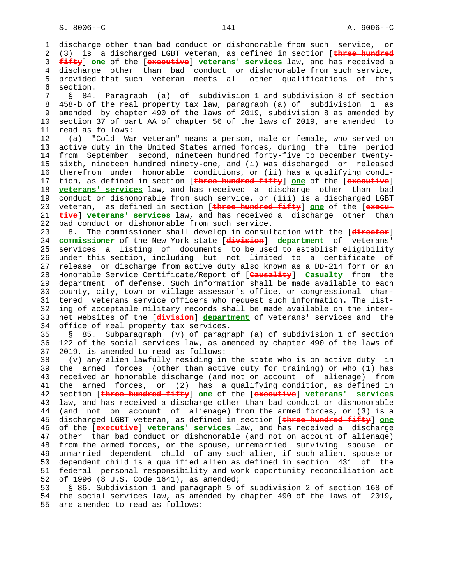1 discharge other than bad conduct or dishonorable from such service, or 2 (3) is a discharged LGBT veteran, as defined in section [**three hundred** 3 **fifty**] **one** of the [**executive**] **veterans' services** law, and has received a 4 discharge other than bad conduct or dishonorable from such service, 5 provided that such veteran meets all other qualifications of this 6 section. 7 § 84. Paragraph (a) of subdivision 1 and subdivision 8 of section 8 458-b of the real property tax law, paragraph (a) of subdivision 1 as 9 amended by chapter 490 of the laws of 2019, subdivision 8 as amended by 10 section 37 of part AA of chapter 56 of the laws of 2019, are amended to 11 read as follows: 12 (a) "Cold War veteran" means a person, male or female, who served on 13 active duty in the United States armed forces, during the time period 14 from September second, nineteen hundred forty-five to December twenty- 15 sixth, nineteen hundred ninety-one, and (i) was discharged or released 16 therefrom under honorable conditions, or (ii) has a qualifying condi- 17 tion, as defined in section [**three hundred fifty**] **one** of the [**executive**] 18 **veterans' services** law, and has received a discharge other than bad 19 conduct or dishonorable from such service, or (iii) is a discharged LGBT 20 veteran, as defined in section [**three hundred fifty**] **one** of the [**execu-** 21 **tive**] **veterans' services** law, and has received a discharge other than 22 bad conduct or dishonorable from such service. 23 8. The commissioner shall develop in consultation with the [**director**] 24 **commissioner** of the New York state [**division**] **department** of veterans' 25 services a listing of documents to be used to establish eligibility 26 under this section, including but not limited to a certificate of 27 release or discharge from active duty also known as a DD-214 form or an 28 Honorable Service Certificate/Report of [**Causality**] **Casualty** from the 29 department of defense. Such information shall be made available to each 30 county, city, town or village assessor's office, or congressional char- 31 tered veterans service officers who request such information. The list- 32 ing of acceptable military records shall be made available on the inter- 33 net websites of the [**division**] **department** of veterans' services and the 34 office of real property tax services. 35 § 85. Subparagraph (v) of paragraph (a) of subdivision 1 of section 36 122 of the social services law, as amended by chapter 490 of the laws of 37 2019, is amended to read as follows: 38 (v) any alien lawfully residing in the state who is on active duty in 39 the armed forces (other than active duty for training) or who (1) has 40 received an honorable discharge (and not on account of alienage) from 41 the armed forces, or (2) has a qualifying condition, as defined in 42 section [**three hundred fifty**] **one** of the [**executive**] **veterans' services** 43 law, and has received a discharge other than bad conduct or dishonorable 44 (and not on account of alienage) from the armed forces, or (3) is a 45 discharged LGBT veteran, as defined in section [**three hundred fifty**] **one** 46 of the [**executive**] **veterans' services** law, and has received a discharge 47 other than bad conduct or dishonorable (and not on account of alienage) 48 from the armed forces, or the spouse, unremarried surviving spouse or 49 unmarried dependent child of any such alien, if such alien, spouse or 50 dependent child is a qualified alien as defined in section 431 of the 51 federal personal responsibility and work opportunity reconciliation act 52 of 1996 (8 U.S. Code 1641), as amended;

 53 § 86. Subdivision 1 and paragraph 5 of subdivision 2 of section 168 of 54 the social services law, as amended by chapter 490 of the laws of 2019, 55 are amended to read as follows: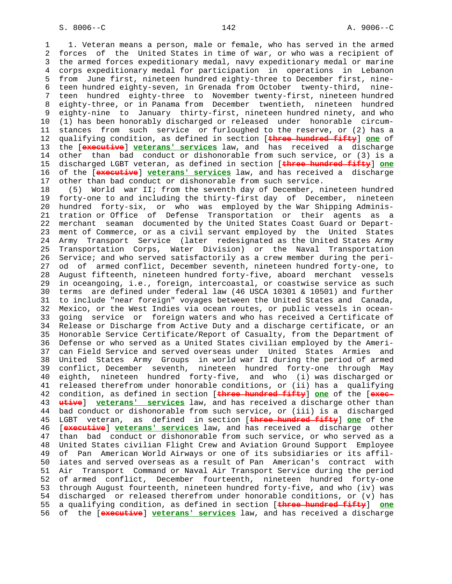1 1. Veteran means a person, male or female, who has served in the armed 2 forces of the United States in time of war, or who was a recipient of 3 the armed forces expeditionary medal, navy expeditionary medal or marine 4 corps expeditionary medal for participation in operations in Lebanon 5 from June first, nineteen hundred eighty-three to December first, nine- 6 teen hundred eighty-seven, in Grenada from October twenty-third, nine- 7 teen hundred eighty-three to November twenty-first, nineteen hundred 8 eighty-three, or in Panama from December twentieth, nineteen hundred 9 eighty-nine to January thirty-first, nineteen hundred ninety, and who<br>10 (1) has been honorably discharged or released under honorable circum-(1) has been honorably discharged or released under honorable circum- 11 stances from such service or furloughed to the reserve, or (2) has a 12 qualifying condition, as defined in section [**three hundred fifty**] **one** of 13 the [**executive**] **veterans' services** law, and has received a discharge 14 other than bad conduct or dishonorable from such service, or (3) is a 15 discharged LGBT veteran, as defined in section [**three hundred fifty**] **one** 16 of the [**executive**] **veterans' services** law, and has received a discharge 17 other than bad conduct or dishonorable from such service. 18 (5) World war II; from the seventh day of December, nineteen hundred 19 forty-one to and including the thirty-first day of December, nineteen 20 hundred forty-six, or who was employed by the War Shipping Adminis- 21 tration or Office of Defense Transportation or their agents as a 22 merchant seaman documented by the United States Coast Guard or Depart- 23 ment of Commerce, or as a civil servant employed by the United States 24 Army Transport Service (later redesignated as the United States Army 25 Transportation Corps, Water Division) or the Naval Transportation 26 Service; and who served satisfactorily as a crew member during the peri- 27 od of armed conflict, December seventh, nineteen hundred forty-one, to 28 August fifteenth, nineteen hundred forty-five, aboard merchant vessels 29 in oceangoing, i.e., foreign, intercoastal, or coastwise service as such 30 terms are defined under federal law (46 USCA 10301 & 10501) and further 31 to include "near foreign" voyages between the United States and Canada, 32 Mexico, or the West Indies via ocean routes, or public vessels in ocean- 33 going service or foreign waters and who has received a Certificate of 34 Release or Discharge from Active Duty and a discharge certificate, or an 35 Honorable Service Certificate/Report of Casualty, from the Department of 36 Defense or who served as a United States civilian employed by the Ameri- 37 can Field Service and served overseas under United States Armies and 38 United States Army Groups in world war II during the period of armed 39 conflict, December seventh, nineteen hundred forty-one through May 40 eighth, nineteen hundred forty-five, and who (i) was discharged or 41 released therefrom under honorable conditions, or (ii) has a qualifying 42 condition, as defined in section [**three hundred fifty**] **one** of the [**exec-** 43 **utive**] **veterans' services** law, and has received a discharge other than 44 bad conduct or dishonorable from such service, or (iii) is a discharged 45 LGBT veteran, as defined in section [**three hundred fifty**] **one** of the 46 [**executive**] **veterans' services** law, and has received a discharge other

 47 than bad conduct or dishonorable from such service, or who served as a 48 United States civilian Flight Crew and Aviation Ground Support Employee 49 of Pan American World Airways or one of its subsidiaries or its affil- 50 iates and served overseas as a result of Pan American's contract with 51 Air Transport Command or Naval Air Transport Service during the period 52 of armed conflict, December fourteenth, nineteen hundred forty-one 53 through August fourteenth, nineteen hundred forty-five, and who (iv) was 54 discharged or released therefrom under honorable conditions, or (v) has 55 a qualifying condition, as defined in section [**three hundred fifty**] **one** 56 of the [**executive**] **veterans' services** law, and has received a discharge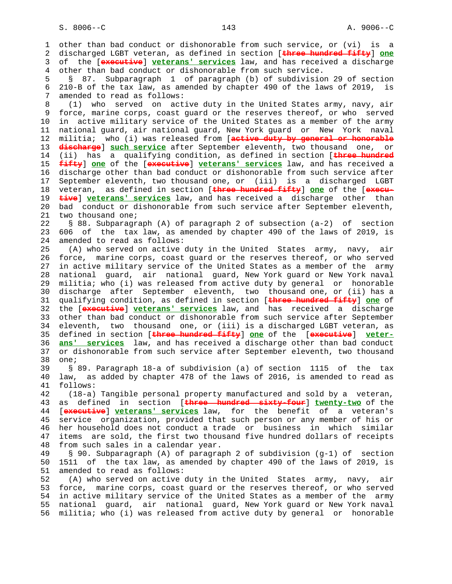1 other than bad conduct or dishonorable from such service, or (vi) is a 2 discharged LGBT veteran, as defined in section [**three hundred fifty**] **one** 3 of the [**executive**] **veterans' services** law, and has received a discharge 4 other than bad conduct or dishonorable from such service. 5 § 87. Subparagraph 1 of paragraph (b) of subdivision 29 of section 6 210-B of the tax law, as amended by chapter 490 of the laws of 2019, is 7 amended to read as follows: 8 (1) who served on active duty in the United States army, navy, air 9 force, marine corps, coast guard or the reserves thereof, or who served<br>10 in active military service of the United States as a member of the army in active military service of the United States as a member of the army 11 national guard, air national guard, New York guard or New York naval 12 militia; who (i) was released from [**active duty by general or honorable** 13 **discharge**] **such service** after September eleventh, two thousand one, or 14 (ii) has a qualifying condition, as defined in section [**three hundred** 15 **fifty**] **one** of the [**executive**] **veterans' services** law, and has received a 16 discharge other than bad conduct or dishonorable from such service after 17 September eleventh, two thousand one, or (iii) is a discharged LGBT 18 veteran, as defined in section [**three hundred fifty**] **one** of the [**execu-** 19 **tive**] **veterans' services** law, and has received a discharge other than 20 bad conduct or dishonorable from such service after September eleventh, 21 two thousand one; 22 § 88. Subparagraph (A) of paragraph 2 of subsection (a-2) of section 23 606 of the tax law, as amended by chapter 490 of the laws of 2019, is 24 amended to read as follows: 25 (A) who served on active duty in the United States army, navy, air 26 force, marine corps, coast guard or the reserves thereof, or who served 27 in active military service of the United States as a member of the army 28 national guard, air national guard, New York guard or New York naval 29 militia; who (i) was released from active duty by general or honorable 30 discharge after September eleventh, two thousand one, or (ii) has a 31 qualifying condition, as defined in section [**three hundred fifty**] **one** of 32 the [**executive**] **veterans' services** law, and has received a discharge 33 other than bad conduct or dishonorable from such service after September 34 eleventh, two thousand one, or (iii) is a discharged LGBT veteran, as 35 defined in section [**three hundred fifty**] **one** of the [**executive**] **veter-** 36 **ans' services** law, and has received a discharge other than bad conduct 37 or dishonorable from such service after September eleventh, two thousand 38 one; 39 § 89. Paragraph 18-a of subdivision (a) of section 1115 of the tax 40 law, as added by chapter 478 of the laws of 2016, is amended to read as 41 follows: 42 (18-a) Tangible personal property manufactured and sold by a veteran, 43 as defined in section [**three hundred sixty-four**] **twenty-two** of the 44 [**executive**] **veterans' services** law, for the benefit of a veteran's 45 service organization, provided that such person or any member of his or 46 her household does not conduct a trade or business in which similar 47 items are sold, the first two thousand five hundred dollars of receipts 48 from such sales in a calendar year. 49 § 90. Subparagraph (A) of paragraph 2 of subdivision (g-1) of section 50 1511 of the tax law, as amended by chapter 490 of the laws of 2019, is 51 amended to read as follows: 52 (A) who served on active duty in the United States army, navy, air 53 force, marine corps, coast guard or the reserves thereof, or who served 54 in active military service of the United States as a member of the army 55 national guard, air national guard, New York guard or New York naval 56 militia; who (i) was released from active duty by general or honorable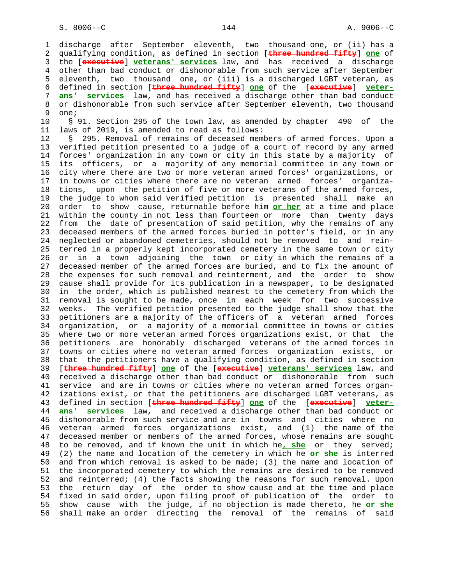1 discharge after September eleventh, two thousand one, or (ii) has a 2 qualifying condition, as defined in section [**three hundred fifty**] **one** of 3 the [**executive**] **veterans' services** law, and has received a discharge 4 other than bad conduct or dishonorable from such service after September 5 eleventh, two thousand one, or (iii) is a discharged LGBT veteran, as 6 defined in section [**three hundred fifty**] **one** of the [**executive**] **veter-** 7 **ans' services** law, and has received a discharge other than bad conduct 8 or dishonorable from such service after September eleventh, two thousand 9 one;<br>10  $\S$ 

§ 91. Section 295 of the town law, as amended by chapter 490 of the 11 laws of 2019, is amended to read as follows:

 12 § 295. Removal of remains of deceased members of armed forces. Upon a 13 verified petition presented to a judge of a court of record by any armed 14 forces' organization in any town or city in this state by a majority of 15 its officers, or a majority of any memorial committee in any town or 16 city where there are two or more veteran armed forces' organizations, or 17 in towns or cities where there are no veteran armed forces' organiza- 18 tions, upon the petition of five or more veterans of the armed forces, 19 the judge to whom said verified petition is presented shall make an 20 order to show cause, returnable before him **or her** at a time and place 21 within the county in not less than fourteen or more than twenty days 22 from the date of presentation of said petition, why the remains of any 23 deceased members of the armed forces buried in potter's field, or in any 24 neglected or abandoned cemeteries, should not be removed to and rein- 25 terred in a properly kept incorporated cemetery in the same town or city 26 or in a town adjoining the town or city in which the remains of a 27 deceased member of the armed forces are buried, and to fix the amount of 28 the expenses for such removal and reinterment, and the order to show 29 cause shall provide for its publication in a newspaper, to be designated 30 in the order, which is published nearest to the cemetery from which the 31 removal is sought to be made, once in each week for two successive 32 weeks. The verified petition presented to the judge shall show that the 33 petitioners are a majority of the officers of a veteran armed forces 34 organization, or a majority of a memorial committee in towns or cities 35 where two or more veteran armed forces organizations exist, or that the 36 petitioners are honorably discharged veterans of the armed forces in 37 towns or cities where no veteran armed forces organization exists, or 38 that the petitioners have a qualifying condition, as defined in section 39 [**three hundred fifty**] **one** of the [**executive**] **veterans' services** law, and 40 received a discharge other than bad conduct or dishonorable from such 41 service and are in towns or cities where no veteran armed forces organ- 42 izations exist, or that the petitioners are discharged LGBT veterans, as 43 defined in section [**three hundred fifty**] **one** of the [**executive**] **veter-** 44 **ans' services** law, and received a discharge other than bad conduct or 45 dishonorable from such service and are in towns and cities where no 46 veteran armed forces organizations exist, and (1) the name of the 47 deceased member or members of the armed forces, whose remains are sought 48 to be removed, and if known the unit in which he**, she** or they served; 49 (2) the name and location of the cemetery in which he **or she** is interred 50 and from which removal is asked to be made; (3) the name and location of 51 the incorporated cemetery to which the remains are desired to be removed 52 and reinterred; (4) the facts showing the reasons for such removal. Upon 53 the return day of the order to show cause and at the time and place 54 fixed in said order, upon filing proof of publication of the order to 55 show cause with the judge, if no objection is made thereto, he **or she** 56 shall make an order directing the removal of the remains of said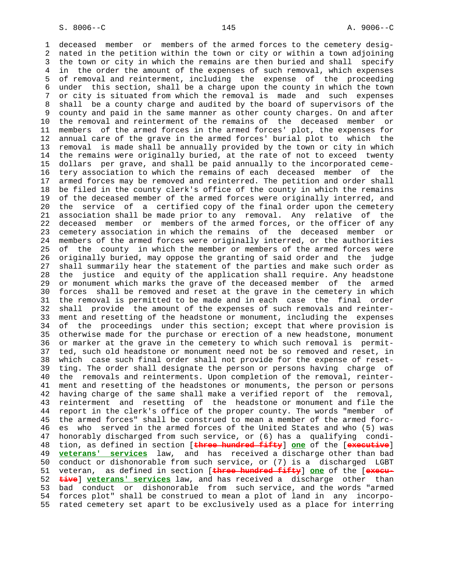1 deceased member or members of the armed forces to the cemetery desig- 2 nated in the petition within the town or city or within a town adjoining 3 the town or city in which the remains are then buried and shall specify 4 in the order the amount of the expenses of such removal, which expenses 5 of removal and reinterment, including the expense of the proceeding 6 under this section, shall be a charge upon the county in which the town 7 or city is situated from which the removal is made and such expenses 8 shall be a county charge and audited by the board of supervisors of the 9 county and paid in the same manner as other county charges. On and after 10 the removal and reinterment of the remains of the deceased member or 11 members of the armed forces in the armed forces' plot, the expenses for 12 annual care of the grave in the armed forces' burial plot to which the 13 removal is made shall be annually provided by the town or city in which 14 the remains were originally buried, at the rate of not to exceed twenty 15 dollars per grave, and shall be paid annually to the incorporated ceme- 16 tery association to which the remains of each deceased member of the 17 armed forces may be removed and reinterred. The petition and order shall 18 be filed in the county clerk's office of the county in which the remains 19 of the deceased member of the armed forces were originally interred, and 20 the service of a certified copy of the final order upon the cemetery 21 association shall be made prior to any removal. Any relative of the 22 deceased member or members of the armed forces, or the officer of any 23 cemetery association in which the remains of the deceased member or 24 members of the armed forces were originally interred, or the authorities 25 of the county in which the member or members of the armed forces were 26 originally buried, may oppose the granting of said order and the judge 27 shall summarily hear the statement of the parties and make such order as 28 the justice and equity of the application shall require. Any headstone 29 or monument which marks the grave of the deceased member of the armed 30 forces shall be removed and reset at the grave in the cemetery in which 31 the removal is permitted to be made and in each case the final order 32 shall provide the amount of the expenses of such removals and reinter- 33 ment and resetting of the headstone or monument, including the expenses 34 of the proceedings under this section; except that where provision is 35 otherwise made for the purchase or erection of a new headstone, monument 36 or marker at the grave in the cemetery to which such removal is permit- 37 ted, such old headstone or monument need not be so removed and reset, in 38 which case such final order shall not provide for the expense of reset- 39 ting. The order shall designate the person or persons having charge of 40 the removals and reinterments. Upon completion of the removal, reinter- 41 ment and resetting of the headstones or monuments, the person or persons 42 having charge of the same shall make a verified report of the removal, 43 reinterment and resetting of the headstone or monument and file the 44 report in the clerk's office of the proper county. The words "member of 45 the armed forces" shall be construed to mean a member of the armed forc- 46 es who served in the armed forces of the United States and who (5) was 47 honorably discharged from such service, or (6) has a qualifying condi- 48 tion, as defined in section [**three hundred fifty**] **one** of the [**executive**] 49 **veterans' services** law, and has received a discharge other than bad 50 conduct or dishonorable from such service, or (7) is a discharged LGBT 51 veteran, as defined in section [**three hundred fifty**] **one** of the [**execu-** 52 **tive**] **veterans' services** law, and has received a discharge other than 53 bad conduct or dishonorable from such service, and the words "armed 54 forces plot" shall be construed to mean a plot of land in any incorpo- 55 rated cemetery set apart to be exclusively used as a place for interring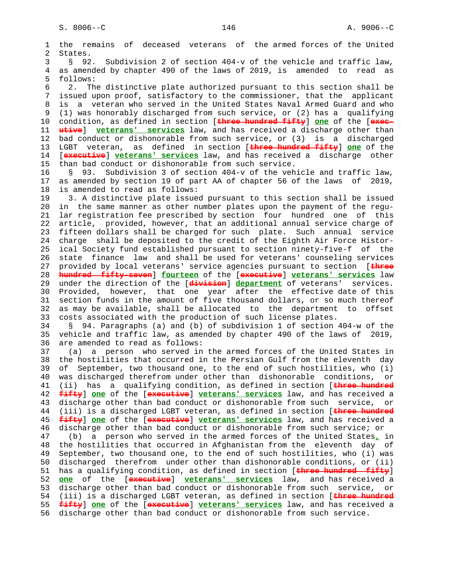1 the remains of deceased veterans of the armed forces of the United 2 States. 3 § 92. Subdivision 2 of section 404-v of the vehicle and traffic law, 4 as amended by chapter 490 of the laws of 2019, is amended to read as 5 follows: 6 2. The distinctive plate authorized pursuant to this section shall be 7 issued upon proof, satisfactory to the commissioner, that the applicant 8 is a veteran who served in the United States Naval Armed Guard and who 9 (1) was honorably discharged from such service, or (2) has a qualifying 10 condition, as defined in section [**three hundred fifty**] **one** of the [**exec-** 11 **utive**] **veterans' services** law, and has received a discharge other than 12 bad conduct or dishonorable from such service, or (3) is a discharged 13 LGBT veteran, as defined in section [**three hundred fifty**] **one** of the 14 [**executive**] **veterans' services** law, and has received a discharge other 15 than bad conduct or dishonorable from such service. 16 § 93. Subdivision 3 of section 404-v of the vehicle and traffic law, 17 as amended by section 19 of part AA of chapter 56 of the laws of 2019, 18 is amended to read as follows: 19 3. A distinctive plate issued pursuant to this section shall be issued 20 in the same manner as other number plates upon the payment of the regu- 21 lar registration fee prescribed by section four hundred one of this 22 article, provided, however, that an additional annual service charge of 23 fifteen dollars shall be charged for such plate. Such annual service 24 charge shall be deposited to the credit of the Eighth Air Force Histor- 25 ical Society fund established pursuant to section ninety-five-f of the 26 state finance law and shall be used for veterans' counseling services 27 provided by local veterans' service agencies pursuant to section [**three** 28 **hundred fifty-seven**] **fourteen** of the [**executive**] **veterans' services** law 29 under the direction of the [**division**] **department** of veterans' services. 30 Provided, however, that one year after the effective date of this 31 section funds in the amount of five thousand dollars, or so much thereof 32 as may be available, shall be allocated to the department to offset 33 costs associated with the production of such license plates. 34 § 94. Paragraphs (a) and (b) of subdivision 1 of section 404-w of the 35 vehicle and traffic law, as amended by chapter 490 of the laws of 2019, 36 are amended to read as follows: 37 (a) a person who served in the armed forces of the United States in 38 the hostilities that occurred in the Persian Gulf from the eleventh day 39 of September, two thousand one, to the end of such hostilities, who (i) 40 was discharged therefrom under other than dishonorable conditions, or 41 (ii) has a qualifying condition, as defined in section [**three hundred** 42 **fifty**] **one** of the [**executive**] **veterans' services** law, and has received a 43 discharge other than bad conduct or dishonorable from such service, or 44 (iii) is a discharged LGBT veteran, as defined in section [**three hundred** 45 **fifty**] **one** of the [**executive**] **veterans' services** law, and has received a 46 discharge other than bad conduct or dishonorable from such service; or 47 (b) a person who served in the armed forces of the United States**,** in 48 the hostilities that occurred in Afghanistan from the eleventh day of 49 September, two thousand one, to the end of such hostilities, who (i) was 50 discharged therefrom under other than dishonorable conditions, or (ii) 51 has a qualifying condition, as defined in section [**three hundred fifty**] 52 **one** of the [**executive**] **veterans' services** law, and has received a 53 discharge other than bad conduct or dishonorable from such service, or 54 (iii) is a discharged LGBT veteran, as defined in section [**three hundred** 55 **fifty**] **one** of the [**executive**] **veterans' services** law, and has received a 56 discharge other than bad conduct or dishonorable from such service.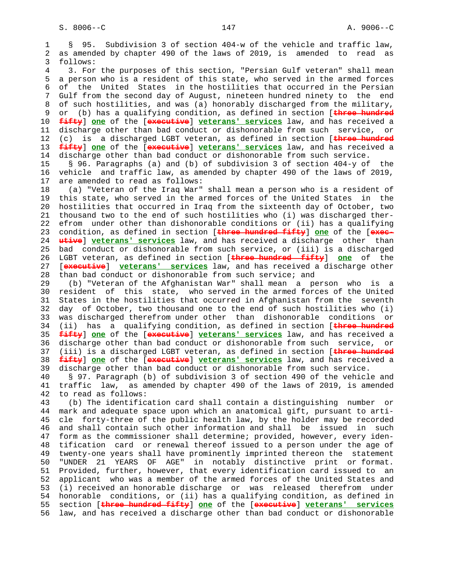1 § 95. Subdivision 3 of section 404-w of the vehicle and traffic law, 2 as amended by chapter 490 of the laws of 2019, is amended to read as 3 follows: 4 3. For the purposes of this section, "Persian Gulf veteran" shall mean 5 a person who is a resident of this state, who served in the armed forces 6 of the United States in the hostilities that occurred in the Persian 7 Gulf from the second day of August, nineteen hundred ninety to the end 8 of such hostilities, and was (a) honorably discharged from the military, 9 or (b) has a qualifying condition, as defined in section [**three hundred** 10 **fifty**] **one** of the [**executive**] **veterans' services** law, and has received a 11 discharge other than bad conduct or dishonorable from such service, or 12 (c) is a discharged LGBT veteran, as defined in section [**three hundred** 13 **fifty**] **one** of the [**executive**] **veterans' services** law, and has received a 14 discharge other than bad conduct or dishonorable from such service. 15 § 96. Paragraphs (a) and (b) of subdivision 3 of section 404-y of the 16 vehicle and traffic law, as amended by chapter 490 of the laws of 2019, 17 are amended to read as follows: 18 (a) "Veteran of the Iraq War" shall mean a person who is a resident of 19 this state, who served in the armed forces of the United States in the 20 hostilities that occurred in Iraq from the sixteenth day of October, two 21 thousand two to the end of such hostilities who (i) was discharged ther- 22 efrom under other than dishonorable conditions or (ii) has a qualifying 23 condition, as defined in section [**three hundred fifty**] **one** of the [**exec-** 24 **utive**] **veterans' services** law, and has received a discharge other than 25 bad conduct or dishonorable from such service, or (iii) is a discharged 26 LGBT veteran, as defined in section [**three hundred fifty**] **one** of the 27 [**executive**] **veterans' services** law, and has received a discharge other 28 than bad conduct or dishonorable from such service; and 29 (b) "Veteran of the Afghanistan War" shall mean a person who is a 30 resident of this state, who served in the armed forces of the United 31 States in the hostilities that occurred in Afghanistan from the seventh 32 day of October, two thousand one to the end of such hostilities who (i) 33 was discharged therefrom under other than dishonorable conditions or 34 (ii) has a qualifying condition, as defined in section [**three hundred** 35 **fifty**] **one** of the [**executive**] **veterans' services** law, and has received a 36 discharge other than bad conduct or dishonorable from such service, or 37 (iii) is a discharged LGBT veteran, as defined in section [**three hundred** 38 **fifty**] **one** of the [**executive**] **veterans' services** law, and has received a 39 discharge other than bad conduct or dishonorable from such service. 40 § 97. Paragraph (b) of subdivision 3 of section 490 of the vehicle and 41 traffic law, as amended by chapter 490 of the laws of 2019, is amended 42 to read as follows: 43 (b) The identification card shall contain a distinguishing number or 44 mark and adequate space upon which an anatomical gift, pursuant to arti- 45 cle forty-three of the public health law, by the holder may be recorded 46 and shall contain such other information and shall be issued in such 47 form as the commissioner shall determine; provided, however, every iden- 48 tification card or renewal thereof issued to a person under the age of 49 twenty-one years shall have prominently imprinted thereon the statement 50 "UNDER 21 YEARS OF AGE" in notably distinctive print or format. 51 Provided, further, however, that every identification card issued to an 52 applicant who was a member of the armed forces of the United States and 53 (i) received an honorable discharge or was released therefrom under

 54 honorable conditions, or (ii) has a qualifying condition, as defined in 55 section [**three hundred fifty**] **one** of the [**executive**] **veterans' services** 56 law, and has received a discharge other than bad conduct or dishonorable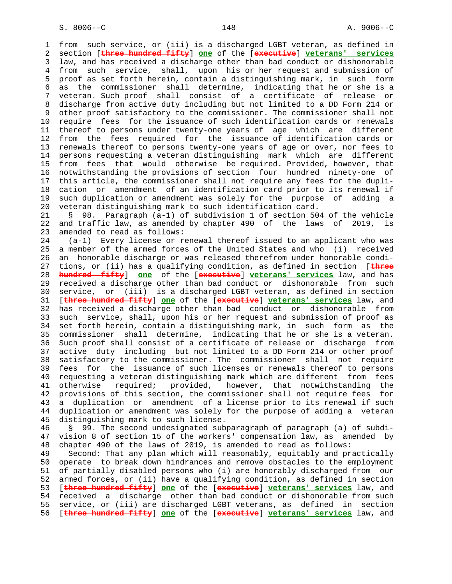1 from such service, or (iii) is a discharged LGBT veteran, as defined in 2 section [**three hundred fifty**] **one** of the [**executive**] **veterans' services** 3 law, and has received a discharge other than bad conduct or dishonorable 4 from such service, shall, upon his or her request and submission of 5 proof as set forth herein, contain a distinguishing mark, in such form 6 as the commissioner shall determine, indicating that he or she is a 7 veteran. Such proof shall consist of a certificate of release or 8 discharge from active duty including but not limited to a DD Form 214 or 9 other proof satisfactory to the commissioner. The commissioner shall not 10 require fees for the issuance of such identification cards or renewals 11 thereof to persons under twenty-one years of age which are different 12 from the fees required for the issuance of identification cards or 13 renewals thereof to persons twenty-one years of age or over, nor fees to 14 persons requesting a veteran distinguishing mark which are different 15 from fees that would otherwise be required. Provided, however, that 16 notwithstanding the provisions of section four hundred ninety-one of 17 this article, the commissioner shall not require any fees for the dupli- 18 cation or amendment of an identification card prior to its renewal if 19 such duplication or amendment was solely for the purpose of adding a 20 veteran distinguishing mark to such identification card.

 21 § 98. Paragraph (a-1) of subdivision 1 of section 504 of the vehicle 22 and traffic law, as amended by chapter 490 of the laws of 2019, is 23 amended to read as follows:

 24 (a-1) Every license or renewal thereof issued to an applicant who was 25 a member of the armed forces of the United States and who (i) received 26 an honorable discharge or was released therefrom under honorable condi- 27 tions, or (ii) has a qualifying condition, as defined in section [**three** 28 **hundred fifty**] **one** of the [**executive**] **veterans' services** law, and has 29 received a discharge other than bad conduct or dishonorable from such 30 service, or (iii) is a discharged LGBT veteran, as defined in section 31 [**three hundred fifty**] **one** of the [**executive**] **veterans' services** law, and 32 has received a discharge other than bad conduct or dishonorable from 33 such service, shall, upon his or her request and submission of proof as 34 set forth herein, contain a distinguishing mark, in such form as the 35 commissioner shall determine, indicating that he or she is a veteran. 36 Such proof shall consist of a certificate of release or discharge from 37 active duty including but not limited to a DD Form 214 or other proof 38 satisfactory to the commissioner. The commissioner shall not require 39 fees for the issuance of such licenses or renewals thereof to persons 40 requesting a veteran distinguishing mark which are different from fees 41 otherwise required; provided, however, that notwithstanding the 42 provisions of this section, the commissioner shall not require fees for 43 a duplication or amendment of a license prior to its renewal if such 44 duplication or amendment was solely for the purpose of adding a veteran 45 distinguishing mark to such license.

 46 § 99. The second undesignated subparagraph of paragraph (a) of subdi- 47 vision 8 of section 15 of the workers' compensation law, as amended by 48 chapter 490 of the laws of 2019, is amended to read as follows:

 49 Second: That any plan which will reasonably, equitably and practically 50 operate to break down hindrances and remove obstacles to the employment 51 of partially disabled persons who (i) are honorably discharged from our 52 armed forces, or (ii) have a qualifying condition, as defined in section 53 [**three hundred fifty**] **one** of the [**executive**] **veterans' services** law, and 54 received a discharge other than bad conduct or dishonorable from such 55 service, or (iii) are discharged LGBT veterans, as defined in section 56 [**three hundred fifty**] **one** of the [**executive**] **veterans' services** law, and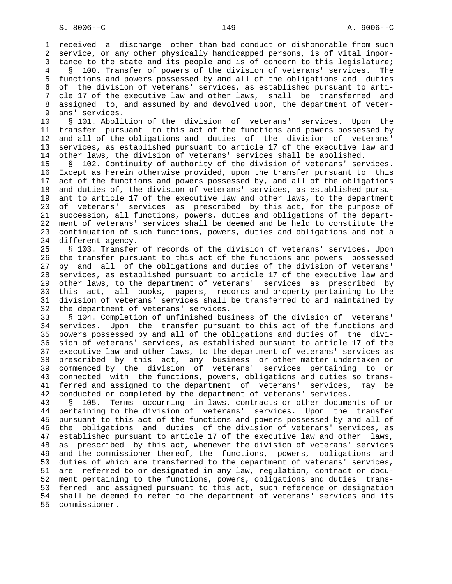1 received a discharge other than bad conduct or dishonorable from such 2 service, or any other physically handicapped persons, is of vital impor- 3 tance to the state and its people and is of concern to this legislature; 4 § 100. Transfer of powers of the division of veterans' services. The 5 functions and powers possessed by and all of the obligations and duties 6 of the division of veterans' services, as established pursuant to arti- 7 cle 17 of the executive law and other laws, shall be transferred and 8 assigned to, and assumed by and devolved upon, the department of veter-

9 ans' services.<br>10 § 101. Aboli § 101. Abolition of the division of veterans' services. Upon the 11 transfer pursuant to this act of the functions and powers possessed by 12 and all of the obligations and duties of the division of veterans' 13 services, as established pursuant to article 17 of the executive law and 14 other laws, the division of veterans' services shall be abolished.

 15 § 102. Continuity of authority of the division of veterans' services. 16 Except as herein otherwise provided, upon the transfer pursuant to this 17 act of the functions and powers possessed by, and all of the obligations 18 and duties of, the division of veterans' services, as established pursu- 19 ant to article 17 of the executive law and other laws, to the department 20 of veterans' services as prescribed by this act, for the purpose of 21 succession, all functions, powers, duties and obligations of the depart- 22 ment of veterans' services shall be deemed and be held to constitute the 23 continuation of such functions, powers, duties and obligations and not a 24 different agency.

 25 § 103. Transfer of records of the division of veterans' services. Upon 26 the transfer pursuant to this act of the functions and powers possessed 27 by and all of the obligations and duties of the division of veterans' 28 services, as established pursuant to article 17 of the executive law and 29 other laws, to the department of veterans' services as prescribed by 30 this act, all books, papers, records and property pertaining to the 31 division of veterans' services shall be transferred to and maintained by 32 the department of veterans' services.

 33 § 104. Completion of unfinished business of the division of veterans' 34 services. Upon the transfer pursuant to this act of the functions and 35 powers possessed by and all of the obligations and duties of the divi- 36 sion of veterans' services, as established pursuant to article 17 of the 37 executive law and other laws, to the department of veterans' services as 38 prescribed by this act, any business or other matter undertaken or 39 commenced by the division of veterans' services pertaining to or 40 connected with the functions, powers, obligations and duties so trans- 41 ferred and assigned to the department of veterans' services, may be 42 conducted or completed by the department of veterans' services.

 43 § 105. Terms occurring in laws, contracts or other documents of or 44 pertaining to the division of veterans' services. Upon the transfer 45 pursuant to this act of the functions and powers possessed by and all of 46 the obligations and duties of the division of veterans' services, as 47 established pursuant to article 17 of the executive law and other laws, 48 as prescribed by this act, whenever the division of veterans' services 49 and the commissioner thereof, the functions, powers, obligations and 50 duties of which are transferred to the department of veterans' services, 51 are referred to or designated in any law, regulation, contract or docu- 52 ment pertaining to the functions, powers, obligations and duties trans- 53 ferred and assigned pursuant to this act, such reference or designation 54 shall be deemed to refer to the department of veterans' services and its 55 commissioner.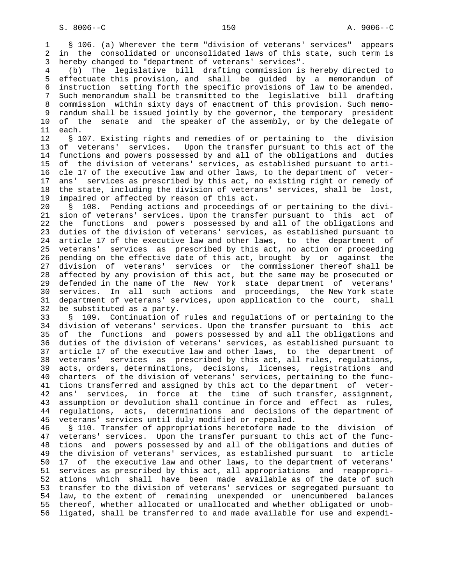1 § 106. (a) Wherever the term "division of veterans' services" appears 2 in the consolidated or unconsolidated laws of this state, such term is 3 hereby changed to "department of veterans' services".

 4 (b) The legislative bill drafting commission is hereby directed to 5 effectuate this provision, and shall be guided by a memorandum of 6 instruction setting forth the specific provisions of law to be amended. 7 Such memorandum shall be transmitted to the legislative bill drafting 8 commission within sixty days of enactment of this provision. Such memo- 9 randum shall be issued jointly by the governor, the temporary president 10 of the senate and the speaker of the assembly, or by the delegate of 11 each.

 12 § 107. Existing rights and remedies of or pertaining to the division 13 of veterans' services. Upon the transfer pursuant to this act of the 14 functions and powers possessed by and all of the obligations and duties 15 of the division of veterans' services, as established pursuant to arti- 16 cle 17 of the executive law and other laws, to the department of veter- 17 ans' services as prescribed by this act, no existing right or remedy of 18 the state, including the division of veterans' services, shall be lost, 19 impaired or affected by reason of this act.

 20 § 108. Pending actions and proceedings of or pertaining to the divi- 21 sion of veterans' services. Upon the transfer pursuant to this act of 22 the functions and powers possessed by and all of the obligations and 23 duties of the division of veterans' services, as established pursuant to 24 article 17 of the executive law and other laws, to the department of 25 veterans' services as prescribed by this act, no action or proceeding 26 pending on the effective date of this act, brought by or against the 27 division of veterans' services or the commissioner thereof shall be 28 affected by any provision of this act, but the same may be prosecuted or 29 defended in the name of the New York state department of veterans' 30 services. In all such actions and proceedings, the New York state 31 department of veterans' services, upon application to the court, shall 32 be substituted as a party.

 33 § 109. Continuation of rules and regulations of or pertaining to the 34 division of veterans' services. Upon the transfer pursuant to this act 35 of the functions and powers possessed by and all the obligations and 36 duties of the division of veterans' services, as established pursuant to 37 article 17 of the executive law and other laws, to the department of 38 veterans' services as prescribed by this act, all rules, regulations, 39 acts, orders, determinations, decisions, licenses, registrations and 40 charters of the division of veterans' services, pertaining to the func- 41 tions transferred and assigned by this act to the department of veter- 42 ans' services, in force at the time of such transfer, assignment, 43 assumption or devolution shall continue in force and effect as rules, 44 regulations, acts, determinations and decisions of the department of 45 veterans' services until duly modified or repealed.

 46 § 110. Transfer of appropriations heretofore made to the division of 47 veterans' services. Upon the transfer pursuant to this act of the func- 48 tions and powers possessed by and all of the obligations and duties of 49 the division of veterans' services, as established pursuant to article 50 17 of the executive law and other laws, to the department of veterans' 51 services as prescribed by this act, all appropriations and reappropri- 52 ations which shall have been made available as of the date of such 53 transfer to the division of veterans' services or segregated pursuant to 54 law, to the extent of remaining unexpended or unencumbered balances 55 thereof, whether allocated or unallocated and whether obligated or unob- 56 ligated, shall be transferred to and made available for use and expendi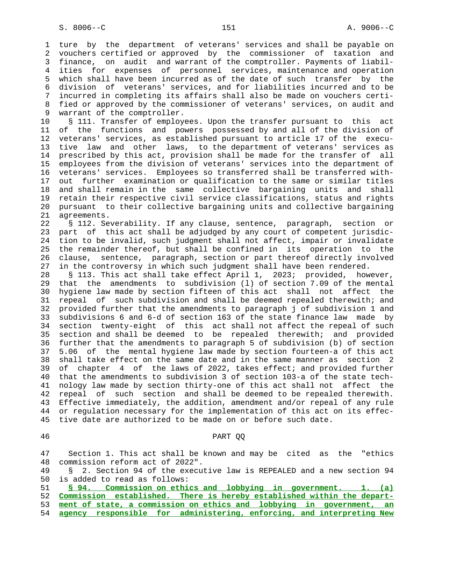1 ture by the department of veterans' services and shall be payable on 2 vouchers certified or approved by the commissioner of taxation and 3 finance, on audit and warrant of the comptroller. Payments of liabil- 4 ities for expenses of personnel services, maintenance and operation 5 which shall have been incurred as of the date of such transfer by the 6 division of veterans' services, and for liabilities incurred and to be 7 incurred in completing its affairs shall also be made on vouchers certi- 8 fied or approved by the commissioner of veterans' services, on audit and 9 warrant of the comptroller.

 10 § 111. Transfer of employees. Upon the transfer pursuant to this act 11 of the functions and powers possessed by and all of the division of 12 veterans' services, as established pursuant to article 17 of the execu- 13 tive law and other laws, to the department of veterans' services as 14 prescribed by this act, provision shall be made for the transfer of all 15 employees from the division of veterans' services into the department of 16 veterans' services. Employees so transferred shall be transferred with- 17 out further examination or qualification to the same or similar titles 18 and shall remain in the same collective bargaining units and shall 19 retain their respective civil service classifications, status and rights 20 pursuant to their collective bargaining units and collective bargaining 21 agreements.

 22 § 112. Severability. If any clause, sentence, paragraph, section or 23 part of this act shall be adjudged by any court of competent jurisdic- 24 tion to be invalid, such judgment shall not affect, impair or invalidate 25 the remainder thereof, but shall be confined in its operation to the 26 clause, sentence, paragraph, section or part thereof directly involved 27 in the controversy in which such judgment shall have been rendered.

 28 § 113. This act shall take effect April 1, 2023; provided, however, 29 that the amendments to subdivision (l) of section 7.09 of the mental 30 hygiene law made by section fifteen of this act shall not affect the 31 repeal of such subdivision and shall be deemed repealed therewith; and 32 provided further that the amendments to paragraph j of subdivision 1 and 33 subdivisions 6 and 6-d of section 163 of the state finance law made by 34 section twenty-eight of this act shall not affect the repeal of such 35 section and shall be deemed to be repealed therewith; and provided 36 further that the amendments to paragraph 5 of subdivision (b) of section 37 5.06 of the mental hygiene law made by section fourteen-a of this act 38 shall take effect on the same date and in the same manner as section 2 39 of chapter 4 of the laws of 2022, takes effect; and provided further 40 that the amendments to subdivision 3 of section 103-a of the state tech- 41 nology law made by section thirty-one of this act shall not affect the 42 repeal of such section and shall be deemed to be repealed therewith. 43 Effective immediately, the addition, amendment and/or repeal of any rule 44 or regulation necessary for the implementation of this act on its effec- 45 tive date are authorized to be made on or before such date.

46 PART QQ

 47 Section 1. This act shall be known and may be cited as the "ethics 48 commission reform act of 2022".

 49 § 2. Section 94 of the executive law is REPEALED and a new section 94 50 is added to read as follows:

 51 **§ 94. Commission on ethics and lobbying in government. 1. (a)** 52 **Commission established. There is hereby established within the depart-** 53 **ment of state, a commission on ethics and lobbying in government, an**

54 **agency responsible for administering, enforcing, and interpreting New**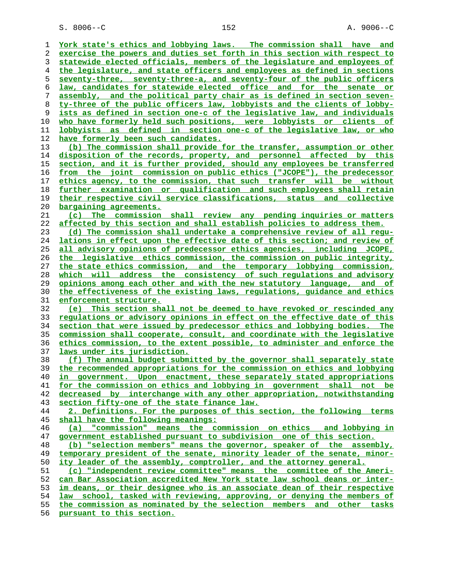S. 8006--C 152 A. 9006--C

**York state's ethics and lobbying laws. The commission shall have and exercise the powers and duties set forth in this section with respect to statewide elected officials, members of the legislature and employees of the legislature, and state officers and employees as defined in sections seventy-three, seventy-three-a, and seventy-four of the public officers law, candidates for statewide elected office and for the senate or assembly, and the political party chair as is defined in section seven- ty-three of the public officers law, lobbyists and the clients of lobby- ists as defined in section one-c of the legislative law, and individuals who have formerly held such positions, were lobbyists or clients of lobbyists as defined in section one-c of the legislative law, or who have formerly been such candidates. (b) The commission shall provide for the transfer, assumption or other disposition of the records, property, and personnel affected by this section, and it is further provided, should any employees be transferred from the joint commission on public ethics ("JCOPE"), the predecessor ethics agency, to the commission, that such transfer will be without further examination or qualification and such employees shall retain their respective civil service classifications, status and collective bargaining agreements. (c) The commission shall review any pending inquiries or matters affected by this section and shall establish policies to address them. (d) The commission shall undertake a comprehensive review of all regu- lations in effect upon the effective date of this section; and review of all advisory opinions of predecessor ethics agencies, including JCOPE, the legislative ethics commission, the commission on public integrity, the state ethics commission, and the temporary lobbying commission, which will address the consistency of such regulations and advisory opinions among each other and with the new statutory language, and of the effectiveness of the existing laws, regulations, guidance and ethics enforcement structure. (e) This section shall not be deemed to have revoked or rescinded any regulations or advisory opinions in effect on the effective date of this section that were issued by predecessor ethics and lobbying bodies. The commission shall cooperate, consult, and coordinate with the legislative ethics commission, to the extent possible, to administer and enforce the laws under its jurisdiction. (f) The annual budget submitted by the governor shall separately state the recommended appropriations for the commission on ethics and lobbying in government. Upon enactment, these separately stated appropriations for the commission on ethics and lobbying in government shall not be decreased by interchange with any other appropriation, notwithstanding section fifty-one of the state finance law. 2. Definitions. For the purposes of this section, the following terms shall have the following meanings: (a) "commission" means the commission on ethics and lobbying in government established pursuant to subdivision one of this section. (b) "selection members" means the governor, speaker of the assembly, temporary president of the senate, minority leader of the senate, minor** ity leader of the assembly, comptroller, and the attorney general. **(c) "independent review committee" means the committee of the Ameri- can Bar Association accredited New York state law school deans or inter- im deans, or their designee who is an associate dean of their respective law school, tasked with reviewing, approving, or denying the members of the commission as nominated by the selection members and other tasks**

**pursuant to this section.**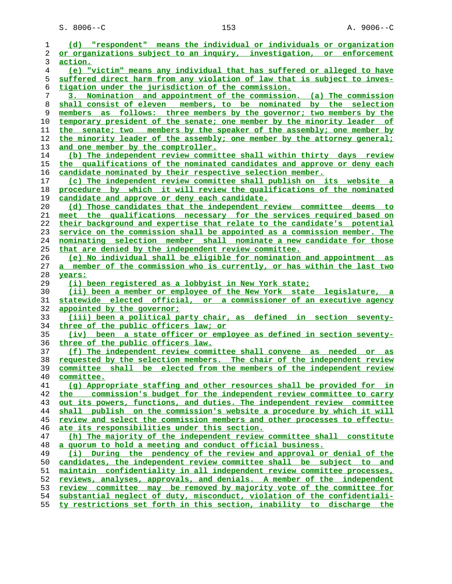S. 8006--C 153 A. 9006--C

| 1        | (d) "respondent" means the individual or individuals or organization                                                                              |
|----------|---------------------------------------------------------------------------------------------------------------------------------------------------|
| 2        | or organizations subject to an inquiry, investigation, or enforcement                                                                             |
| 3        | action.                                                                                                                                           |
| 4        | (e) "victim" means any individual that has suffered or alleged to have                                                                            |
| 5        | suffered direct harm from any violation of law that is subject to inves-                                                                          |
| 6        | tigation under the jurisdiction of the commission.                                                                                                |
| 7        | 3. Nomination and appointment of the commission. (a) The commission                                                                               |
| 8        | shall consist of eleven members, to be nominated by the selection                                                                                 |
| 9        | members as follows: three members by the governor; two members by the                                                                             |
| 10       | temporary president of the senate; one member by the minority leader of                                                                           |
| 11       | the senate; two members by the speaker of the assembly; one member by                                                                             |
| 12       | the minority leader of the assembly; one member by the attorney general;                                                                          |
| 13       | and one member by the comptroller.                                                                                                                |
| 14       | (b) The independent review committee shall within thirty days review                                                                              |
| 15       | the qualifications of the nominated candidates and approve or deny each                                                                           |
| 16       | candidate nominated by their respective selection member.                                                                                         |
| 17       | (c) The independent review committee shall publish on its website a                                                                               |
| 18       | procedure by which it will review the qualifications of the nominated                                                                             |
| 19       | candidate and approve or deny each candidate.                                                                                                     |
| 20       | (d) Those candidates that the independent review committee deems to                                                                               |
| 21       | meet the qualifications necessary for the services required based on                                                                              |
| 22       | their background and expertise that relate to the candidate's potential                                                                           |
| 23       | service on the commission shall be appointed as a commission member. The                                                                          |
| 24       | nominating selection member shall nominate a new candidate for those                                                                              |
| 25       | that are denied by the independent review committee.                                                                                              |
| 26       | (e) No individual shall be eligible for nomination and appointment as                                                                             |
| 27       | a member of the commission who is currently, or has within the last two                                                                           |
| 28       | years:                                                                                                                                            |
|          |                                                                                                                                                   |
| 29       | (i) been registered as a lobbyist in New York state;                                                                                              |
| 30       | (ii) been a member or employee of the New York state legislature, a                                                                               |
| 31       | statewide elected official, or a commissioner of an executive agency                                                                              |
| 32       | appointed by the governor;                                                                                                                        |
| 33       | (iii) been a political party chair, as defined in section seventy-                                                                                |
| 34       | three of the public officers law; or                                                                                                              |
| 35       | (iv) been a state officer or employee as defined in section seventy-                                                                              |
| 36       | three of the public officers law.                                                                                                                 |
| 37       | (f) The independent review committee shall convene as needed or as                                                                                |
| 38       | requested by the selection members. The chair of the independent review                                                                           |
| 39       | committee shall be elected from the members of the independent review                                                                             |
| 40       | committee.                                                                                                                                        |
| 41       | (q) Appropriate staffing and other resources shall be provided for in                                                                             |
| 42       | commission's budget for the independent review committee to carry<br>the                                                                          |
| 43       | out its powers, functions, and duties. The independent review committee                                                                           |
| 44       | shall publish on the commission's website a procedure by which it will                                                                            |
| 45       | review and select the commission members and other processes to effectu-                                                                          |
| 46       | ate its responsibilities under this section.                                                                                                      |
| 47       | (h) The majority of the independent review committee shall constitute                                                                             |
| 48       | a quorum to hold a meeting and conduct official business.                                                                                         |
| 49       | (i) During the pendency of the review and approval or denial of the                                                                               |
| 50       | candidates, the independent review committee shall be subject to and                                                                              |
| 51       | maintain confidentiality in all independent review committee processes,                                                                           |
| 52       | reviews, analyses, approvals, and denials. A member of the independent                                                                            |
| 53       | review committee may be removed by majority vote of the committee for                                                                             |
| 54<br>55 | substantial neglect of duty, misconduct, violation of the confidentiali-<br>ty restrictions set forth in this section, inability to discharge the |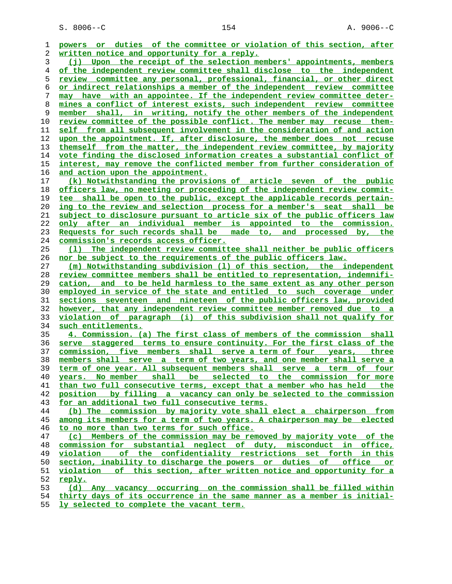S. 8006--C 154 A. 9006--C

**powers or duties of the committee or violation of this section, after written notice and opportunity for a reply. (j) Upon the receipt of the selection members' appointments, members of the independent review committee shall disclose to the independent review committee any personal, professional, financial, or other direct or indirect relationships a member of the independent review committee may have with an appointee. If the independent review committee deter- mines a conflict of interest exists, such independent review committee member shall, in writing, notify the other members of the independent review committee of the possible conflict. The member may recuse them- self from all subsequent involvement in the consideration of and action upon the appointment. If, after disclosure, the member does not recuse themself from the matter, the independent review committee, by majority vote finding the disclosed information creates a substantial conflict of interest, may remove the conflicted member from further consideration of and action upon the appointment. (k) Notwithstanding the provisions of article seven of the public officers law, no meeting or proceeding of the independent review commit- tee shall be open to the public, except the applicable records pertain- ing to the review and selection process for a member's seat shall be subject to disclosure pursuant to article six of the public officers law only after an individual member is appointed to the commission. Requests for such records shall be made to, and processed by, the commission's records access officer. (l) The independent review committee shall neither be public officers nor be subject to the requirements of the public officers law. (m) Notwithstanding subdivision (l) of this section, the independent review committee members shall be entitled to representation, indemnifi- cation, and to be held harmless to the same extent as any other person employed in service of the state and entitled to such coverage under sections seventeen and nineteen of the public officers law, provided however, that any independent review committee member removed due to a violation of paragraph (i) of this subdivision shall not qualify for such entitlements. 4. Commission. (a) The first class of members of the commission shall serve staggered terms to ensure continuity. For the first class of the commission, five members shall serve a term of four years, three members shall serve a term of two years, and one member shall serve a term of one year. All subsequent members shall serve a term of four years. No member shall be selected to the commission for more than two full consecutive terms, except that a member who has held the position by filling a vacancy can only be selected to the commission for an additional two full consecutive terms. (b) The commission by majority vote shall elect a chairperson from among its members for a term of two years. A chairperson may be elected to no more than two terms for such office. (c) Members of the commission may be removed by majority vote of the commission for substantial neglect of duty, misconduct in office, violation of the confidentiality restrictions set forth in this section, inability to discharge the powers or duties of office or violation of this section, after written notice and opportunity for a reply. (d) Any vacancy occurring on the commission shall be filled within thirty days of its occurrence in the same manner as a member is initial-**

**ly selected to complete the vacant term.**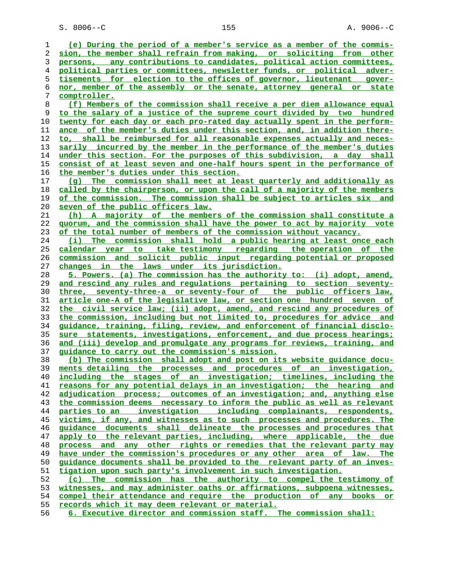S. 8006--C 2008 155 A. 9006--C

**(e) During the period of a member's service as a member of the commis- sion, the member shall refrain from making, or soliciting from other persons, any contributions to candidates, political action committees, political parties or committees, newsletter funds, or political adver- tisements for election to the offices of governor, lieutenant gover- nor, member of the assembly or the senate, attorney general or state comptroller. (f) Members of the commission shall receive a per diem allowance equal to the salary of a justice of the supreme court divided by two hundred twenty for each day or each pro-rated day actually spent in the perform- ance of the member's duties under this section, and, in addition there- to, shall be reimbursed for all reasonable expenses actually and neces- sarily incurred by the member in the performance of the member's duties under this section. For the purposes of this subdivision, a day shall consist of at least seven and one-half hours spent in the performance of the member's duties under this section. (g) The commission shall meet at least quarterly and additionally as called by the chairperson, or upon the call of a majority of the members of the commission. The commission shall be subject to articles six and seven of the public officers law. (h) A majority of the members of the commission shall constitute a quorum, and the commission shall have the power to act by majority vote of the total number of members of the commission without vacancy. (i) The commission shall hold a public hearing at least once each calendar year to take testimony regarding the operation of the commission and solicit public input regarding potential or proposed changes in the laws under its jurisdiction. 5. Powers. (a) The commission has the authority to: (i) adopt, amend, and rescind any rules and regulations pertaining to section seventy- three, seventy-three-a or seventy-four of the public officers law, article one-A of the legislative law, or section one hundred seven of the civil service law; (ii) adopt, amend, and rescind any procedures of the commission, including but not limited to, procedures for advice and guidance, training, filing, review, and enforcement of financial disclo- sure statements, investigations, enforcement, and due process hearings; and (iii) develop and promulgate any programs for reviews, training, and guidance to carry out the commission's mission. (b) The commission shall adopt and post on its website guidance docu- ments detailing the processes and procedures of an investigation, including the stages of an investigation; timelines, including the reasons for any potential delays in an investigation; the hearing and adjudication process; outcomes of an investigation; and, anything else the commission deems necessary to inform the public as well as relevant parties to an investigation including complainants, respondents, victims, if any, and witnesses as to such processes and procedures. The guidance documents shall delineate the processes and procedures that apply to the relevant parties, including, where applicable, the due process and any other rights or remedies that the relevant party may have under the commission's procedures or any other area of law. The guidance documents shall be provided to the relevant party of an inves- tigation upon such party's involvement in such investigation. (c) The commission has the authority to compel the testimony of witnesses, and may administer oaths or affirmations, subpoena witnesses, compel their attendance and require the production of any books or records which it may deem relevant or material.**

**6. Executive director and commission staff. The commission shall:**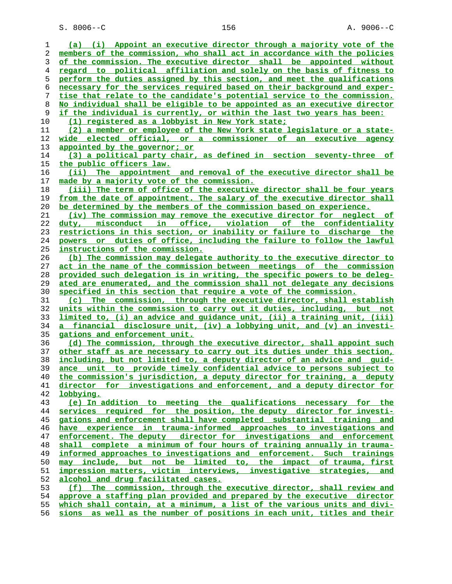S. 8006--C 156 A. 9006--C

**(a) (i) Appoint an executive director through a majority vote of the members of the commission, who shall act in accordance with the policies of the commission. The executive director shall be appointed without regard to political affiliation and solely on the basis of fitness to perform the duties assigned by this section, and meet the qualifications necessary for the services required based on their background and exper- tise that relate to the candidate's potential service to the commission. No individual shall be eligible to be appointed as an executive director if the individual is currently, or within the last two years has been: (1) registered as a lobbyist in New York state; (2) a member or employee of the New York state legislature or a state- wide elected official, or a commissioner of an executive agency appointed by the governor; or (3) a political party chair, as defined in section seventy-three of the public officers law. (ii) The appointment and removal of the executive director shall be made by a majority vote of the commission. (iii) The term of office of the executive director shall be four years from the date of appointment. The salary of the executive director shall be determined by the members of the commission based on experience. (iv) The commission may remove the executive director for neglect of duty, misconduct in office, violation of the confidentiality restrictions in this section, or inability or failure to discharge the powers or duties of office, including the failure to follow the lawful instructions of the commission. (b) The commission may delegate authority to the executive director to act in the name of the commission between meetings of the commission provided such delegation is in writing, the specific powers to be deleg- ated are enumerated, and the commission shall not delegate any decisions specified in this section that require a vote of the commission. (c) The commission, through the executive director, shall establish units within the commission to carry out it duties, including, but not limited to, (i) an advice and guidance unit, (ii) a training unit, (iii) a financial disclosure unit, (iv) a lobbying unit, and (v) an investi- gations and enforcement unit. (d) The commission, through the executive director, shall appoint such other staff as are necessary to carry out its duties under this section, including, but not limited to, a deputy director of an advice and guid- ance unit to provide timely confidential advice to persons subject to the commission's jurisdiction, a deputy director for training, a deputy director for investigations and enforcement, and a deputy director for lobbying. (e) In addition to meeting the qualifications necessary for the services required for the position, the deputy director for investi- gations and enforcement shall have completed substantial training and have experience in trauma-informed approaches to investigations and enforcement. The deputy director for investigations and enforcement shall complete a minimum of four hours of training annually in trauma- informed approaches to investigations and enforcement. Such trainings may include, but not be limited to, the impact of trauma, first impression matters, victim interviews, investigative strategies, and alcohol and drug facilitated cases. (f) The commission, through the executive director, shall review and approve a staffing plan provided and prepared by the executive director which shall contain, at a minimum, a list of the various units and divi- sions as well as the number of positions in each unit, titles and their**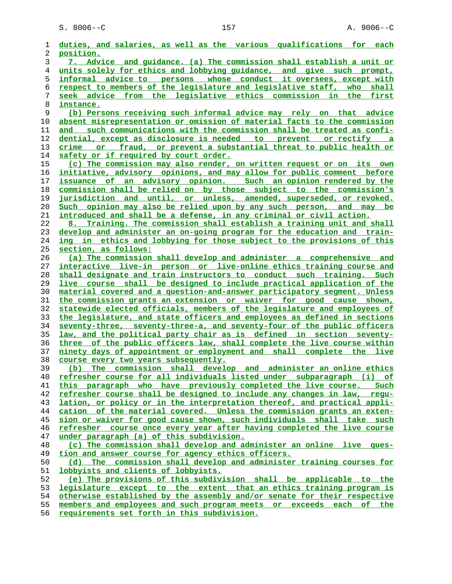| duties, and salaries, as well as the various qualifications for each                                                                            |
|-------------------------------------------------------------------------------------------------------------------------------------------------|
|                                                                                                                                                 |
|                                                                                                                                                 |
| 7. Advice and quidance. (a) The commission shall establish a unit or                                                                            |
| units solely for ethics and lobbying guidance, and give such prompt,                                                                            |
| informal advice to persons whose conduct it oversees, except with                                                                               |
| respect to members of the legislature and legislative staff, who shall                                                                          |
|                                                                                                                                                 |
| seek advice from the legislative ethics commission in the first                                                                                 |
|                                                                                                                                                 |
| (b) Persons receiving such informal advice may rely on that advice                                                                              |
| absent misrepresentation or omission of material facts to the commission                                                                        |
| <u>and such communications with the commission shall be treated as confi-</u>                                                                   |
| dential, except as disclosure is needed to prevent or rectify a                                                                                 |
| crime or fraud, or prevent a substantial threat to public health or                                                                             |
|                                                                                                                                                 |
|                                                                                                                                                 |
| (c) The commission may also render, on written request or on its own                                                                            |
| initiative, advisory opinions, and may allow for public comment before                                                                          |
| issuance of an advisory opinion. Such an opinion rendered by the                                                                                |
| commission shall be relied on by those subject to the commission's                                                                              |
| jurisdiction and until, or unless, amended, superseded, or revoked.                                                                             |
| Such opinion may also be relied upon by any such person, and may be                                                                             |
|                                                                                                                                                 |
| introduced and shall be a defense, in any criminal or civil action.                                                                             |
| 8. Training. The commission shall establish a training unit and shall                                                                           |
| develop and administer an on-going program for the education and train-                                                                         |
| ing in ethics and lobbying for those subject to the provisions of this                                                                          |
|                                                                                                                                                 |
| (a) The commission shall develop and administer a comprehensive and                                                                             |
| interactive live-in person or live-online ethics training course and                                                                            |
| shall designate and train instructors to conduct such training. Such                                                                            |
|                                                                                                                                                 |
| live course shall be designed to include practical application of the                                                                           |
|                                                                                                                                                 |
| material covered and a question-and-answer participatory segment. Unless                                                                        |
| the commission grants an extension or waiver for good cause shown,                                                                              |
| statewide elected officials, members of the legislature and employees of                                                                        |
| the legislature, and state officers and employees as defined in sections                                                                        |
|                                                                                                                                                 |
| seventy-three, seventy-three-a, and seventy-four of the public officers                                                                         |
| law, and the political party chair as is defined in section seventy-                                                                            |
| three of the public officers law, shall complete the live course within                                                                         |
| ninety days of appointment or employment and shall complete the live                                                                            |
|                                                                                                                                                 |
| commission shall develop and administer an online ethics                                                                                        |
| refresher course for all individuals listed under subparagraph (i) of                                                                           |
| this paragraph who have previously completed the live course. Such                                                                              |
| refresher course shall be designed to include any changes in law, regu-                                                                         |
|                                                                                                                                                 |
| lation, or policy or in the interpretation thereof, and practical appli-                                                                        |
| cation of the material covered. Unless the commission grants an exten-                                                                          |
| sion or waiver for good cause shown, such individuals shall take such                                                                           |
| refresher course once every year after having completed the live course                                                                         |
|                                                                                                                                                 |
| (c) The commission shall develop and administer an online live ques-                                                                            |
| tion and answer course for agency ethics officers.                                                                                              |
| (d) The commission shall develop and administer training courses for                                                                            |
|                                                                                                                                                 |
|                                                                                                                                                 |
| (e) The provisions of this subdivision shall be applicable to the                                                                               |
| legislature except to the extent that an ethics training program is                                                                             |
| otherwise established by the assembly and/or senate for their respective<br>members and employees and such program meets or exceeds each of the |
|                                                                                                                                                 |

**requirements set forth in this subdivision.**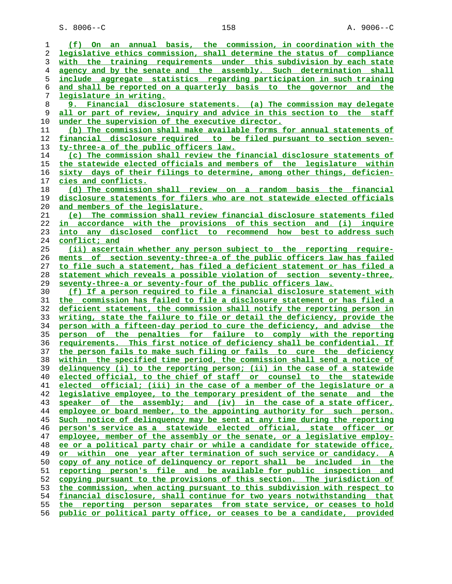S. 8006--C 158 A. 9006--C

**(f) On an annual basis, the commission, in coordination with the legislative ethics commission, shall determine the status of compliance with the training requirements under this subdivision by each state agency and by the senate and the assembly. Such determination shall include aggregate statistics regarding participation in such training and shall be reported on a quarterly basis to the governor and the legislature in writing. 9. Financial disclosure statements. (a) The commission may delegate all or part of review, inquiry and advice in this section to the staff** under the supervision of the executive director. **(b) The commission shall make available forms for annual statements of financial disclosure required to be filed pursuant to section seven- ty-three-a of the public officers law. (c) The commission shall review the financial disclosure statements of the statewide elected officials and members of the legislature within sixty days of their filings to determine, among other things, deficien- cies and conflicts. (d) The commission shall review on a random basis the financial disclosure statements for filers who are not statewide elected officials and members of the legislature. (e) The commission shall review financial disclosure statements filed in accordance with the provisions of this section and (i) inquire into any disclosed conflict to recommend how best to address such conflict; and (ii) ascertain whether any person subject to the reporting require- ments of section seventy-three-a of the public officers law has failed to file such a statement, has filed a deficient statement or has filed a statement which reveals a possible violation of section seventy-three, seventy-three-a or seventy-four of the public officers law. (f) If a person required to file a financial disclosure statement with the commission has failed to file a disclosure statement or has filed a deficient statement, the commission shall notify the reporting person in writing, state the failure to file or detail the deficiency, provide the person with a fifteen-day period to cure the deficiency, and advise the person of the penalties for failure to comply with the reporting requirements. This first notice of deficiency shall be confidential. If the person fails to make such filing or fails to cure the deficiency within the specified time period, the commission shall send a notice of delinquency (i) to the reporting person; (ii) in the case of a statewide elected official, to the chief of staff or counsel to the statewide elected official; (iii) in the case of a member of the legislature or a legislative employee, to the temporary president of the senate and the speaker of the assembly; and (iv) in the case of a state officer, employee or board member, to the appointing authority for such person. Such notice of delinquency may be sent at any time during the reporting person's service as a statewide elected official, state officer or employee, member of the assembly or the senate, or a legislative employ- ee or a political party chair or while a candidate for statewide office, or within one year after termination of such service or candidacy. A copy of any notice of delinquency or report shall be included in the reporting person's file and be available for public inspection and copying pursuant to the provisions of this section. The jurisdiction of the commission, when acting pursuant to this subdivision with respect to financial disclosure, shall continue for two years notwithstanding that the reporting person separates from state service, or ceases to hold public or political party office, or ceases to be a candidate, provided**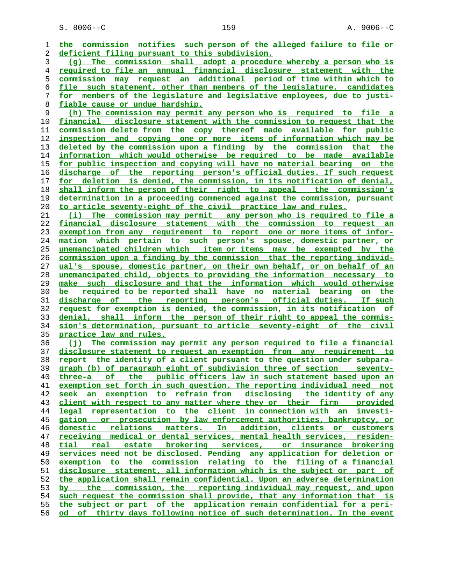S. 8006--C 159 A. 9006--C

**the commission notifies such person of the alleged failure to file or deficient filing pursuant to this subdivision. (g) The commission shall adopt a procedure whereby a person who is required to file an annual financial disclosure statement with the commission may request an additional period of time within which to file such statement, other than members of the legislature, candidates for members of the legislature and legislative employees, due to justi- fiable cause or undue hardship. (h) The commission may permit any person who is required to file a financial disclosure statement with the commission to request that the commission delete from the copy thereof made available for public inspection and copying one or more items of information which may be deleted by the commission upon a finding by the commission that the information which would otherwise be required to be made available for public inspection and copying will have no material bearing on the discharge of the reporting person's official duties. If such request for deletion is denied, the commission, in its notification of denial, shall inform the person of their right to appeal the commission's determination in a proceeding commenced against the commission, pursuant to article seventy-eight of the civil practice law and rules. (i) The commission may permit any person who is required to file a financial disclosure statement with the commission to request an exemption from any requirement to report one or more items of infor- mation which pertain to such person's spouse, domestic partner, or unemancipated children which item or items may be exempted by the commission upon a finding by the commission that the reporting individ- ual's spouse, domestic partner, on their own behalf, or on behalf of an unemancipated child, objects to providing the information necessary to make such disclosure and that the information which would otherwise be required to be reported shall have no material bearing on the discharge of the reporting person's official duties. If such request for exemption is denied, the commission, in its notification of denial, shall inform the person of their right to appeal the commis- sion's determination, pursuant to article seventy-eight of the civil practice law and rules. (j) The commission may permit any person required to file a financial disclosure statement to request an exemption from any requirement to report the identity of a client pursuant to the question under subpara- graph (b) of paragraph eight of subdivision three of section seventy- three-a of the public officers law in such statement based upon an exemption set forth in such question. The reporting individual need not seek an exemption to refrain from disclosing the identity of any client with respect to any matter where they or their firm provided legal representation to the client in connection with an investi- gation or prosecution by law enforcement authorities, bankruptcy, or domestic relations matters. In addition, clients or customers receiving medical or dental services, mental health services, residen- tial real estate brokering services, or insurance brokering services need not be disclosed. Pending any application for deletion or exemption to the commission relating to the filing of a financial disclosure statement, all information which is the subject or part of the application shall remain confidential. Upon an adverse determination by the commission, the reporting individual may request, and upon such request the commission shall provide, that any information that is the subject or part of the application remain confidential for a peri- od of thirty days following notice of such determination. In the event**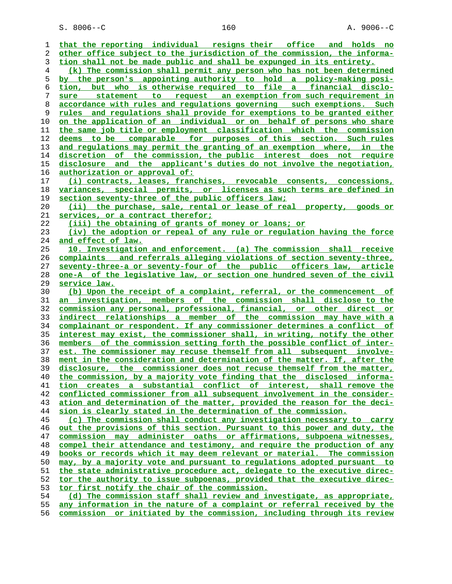S. 8006--C 160 A. 9006--C

**that the reporting individual resigns their office and holds no other office subject to the jurisdiction of the commission, the informa- tion shall not be made public and shall be expunged in its entirety. (k) The commission shall permit any person who has not been determined by the person's appointing authority to hold a policy-making posi- tion, but who is otherwise required to file a financial disclo- sure statement to request an exemption from such requirement in accordance with rules and regulations governing such exemptions. Such rules and regulations shall provide for exemptions to be granted either on the application of an individual or on behalf of persons who share the same job title or employment classification which the commission deems to be comparable for purposes of this section. Such rules and regulations may permit the granting of an exemption where, in the discretion of the commission, the public interest does not require disclosure and the applicant's duties do not involve the negotiation, authorization or approval of: (i) contracts, leases, franchises, revocable consents, concessions, variances, special permits, or licenses as such terms are defined in section seventy-three of the public officers law; (ii) the purchase, sale, rental or lease of real property, goods or services, or a contract therefor; (iii) the obtaining of grants of money or loans; or (iv) the adoption or repeal of any rule or regulation having the force and effect of law. 10. Investigation and enforcement. (a) The commission shall receive complaints and referrals alleging violations of section seventy-three, seventy-three-a or seventy-four of the public officers law, article one-A of the legislative law, or section one hundred seven of the civil service law. (b) Upon the receipt of a complaint, referral, or the commencement of an investigation, members of the commission shall disclose to the commission any personal, professional, financial, or other direct or indirect relationships a member of the commission may have with a complainant or respondent. If any commissioner determines a conflict of interest may exist, the commissioner shall, in writing, notify the other members of the commission setting forth the possible conflict of inter- est. The commissioner may recuse themself from all subsequent involve- ment in the consideration and determination of the matter. If, after the disclosure, the commissioner does not recuse themself from the matter, the commission, by a majority vote finding that the disclosed informa- tion creates a substantial conflict of interest, shall remove the conflicted commissioner from all subsequent involvement in the consider- ation and determination of the matter, provided the reason for the deci- sion is clearly stated in the determination of the commission. (c) The commission shall conduct any investigation necessary to carry out the provisions of this section. Pursuant to this power and duty, the commission may administer oaths or affirmations, subpoena witnesses, compel their attendance and testimony, and require the production of any books or records which it may deem relevant or material. The commission may, by a majority vote and pursuant to regulations adopted pursuant to the state administrative procedure act, delegate to the executive direc- tor the authority to issue subpoenas, provided that the executive direc- tor first notify the chair of the commission. (d) The commission staff shall review and investigate, as appropriate, any information in the nature of a complaint or referral received by the**

**commission or initiated by the commission, including through its review**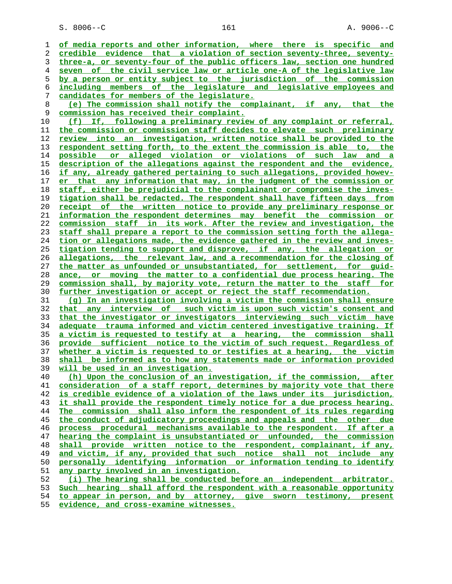S. 8006--C 161 A. 9006--C

**of media reports and other information, where there is specific and credible evidence that a violation of section seventy-three, seventy- three-a, or seventy-four of the public officers law, section one hundred seven of the civil service law or article one-A of the legislative law by a person or entity subject to the jurisdiction of the commission including members of the legislature and legislative employees and candidates for members of the legislature. (e) The commission shall notify the complainant, if any, that the commission has received their complaint. (f) If, following a preliminary review of any complaint or referral, the commission or commission staff decides to elevate such preliminary review into an investigation, written notice shall be provided to the respondent setting forth, to the extent the commission is able to, the possible or alleged violation or violations of such law and a description of the allegations against the respondent and the evidence, if any, already gathered pertaining to such allegations, provided howev- er that any information that may, in the judgment of the commission or staff, either be prejudicial to the complainant or compromise the inves- tigation shall be redacted. The respondent shall have fifteen days from receipt of the written notice to provide any preliminary response or information the respondent determines may benefit the commission or commission staff in its work. After the review and investigation, the staff shall prepare a report to the commission setting forth the allega- tion or allegations made, the evidence gathered in the review and inves- tigation tending to support and disprove, if any, the allegation or allegations, the relevant law, and a recommendation for the closing of the matter as unfounded or unsubstantiated, for settlement, for guid- ance, or moving the matter to a confidential due process hearing. The commission shall, by majority vote, return the matter to the staff for further investigation or accept or reject the staff recommendation. (g) In an investigation involving a victim the commission shall ensure that any interview of such victim is upon such victim's consent and that the investigator or investigators interviewing such victim have adequate trauma informed and victim centered investigative training. If a victim is requested to testify at a hearing, the commission shall provide sufficient notice to the victim of such request. Regardless of whether a victim is requested to or testifies at a hearing, the victim shall be informed as to how any statements made or information provided will be used in an investigation. (h) Upon the conclusion of an investigation, if the commission, after consideration of a staff report, determines by majority vote that there is credible evidence of a violation of the laws under its jurisdiction, it shall provide the respondent timely notice for a due process hearing. The commission shall also inform the respondent of its rules regarding the conduct of adjudicatory proceedings and appeals and the other due process procedural mechanisms available to the respondent. If after a hearing the complaint is unsubstantiated or unfounded, the commission shall provide written notice to the respondent, complainant, if any, and victim, if any, provided that such notice shall not include any personally identifying information or information tending to identify any party involved in an investigation. (i) The hearing shall be conducted before an independent arbitrator. Such hearing shall afford the respondent with a reasonable opportunity to appear in person, and by attorney, give sworn testimony, present evidence, and cross-examine witnesses.**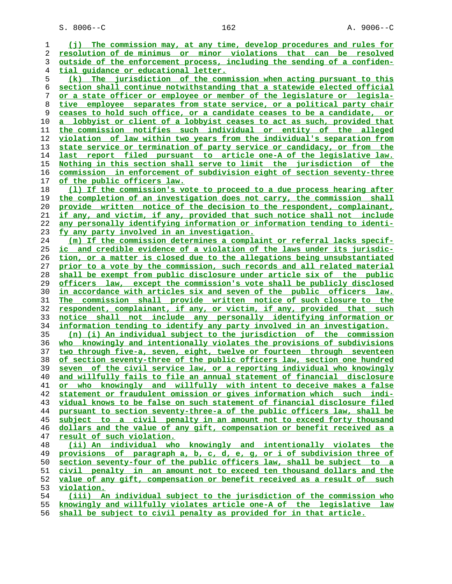S. 8006--C 2008 162 A. 9006--C

**(j) The commission may, at any time, develop procedures and rules for resolution of de minimus or minor violations that can be resolved outside of the enforcement process, including the sending of a confiden- tial guidance or educational letter. (k) The jurisdiction of the commission when acting pursuant to this section shall continue notwithstanding that a statewide elected official or a state officer or employee or member of the legislature or legisla- tive employee separates from state service, or a political party chair ceases to hold such office, or a candidate ceases to be a candidate, or a lobbyist or client of a lobbyist ceases to act as such, provided that the commission notifies such individual or entity of the alleged violation of law within two years from the individual's separation from state service or termination of party service or candidacy, or from the last report filed pursuant to article one-A of the legislative law. Nothing in this section shall serve to limit the jurisdiction of the commission in enforcement of subdivision eight of section seventy-three of the public officers law. (l) If the commission's vote to proceed to a due process hearing after the completion of an investigation does not carry, the commission shall provide written notice of the decision to the respondent, complainant, if any, and victim, if any, provided that such notice shall not include any personally identifying information or information tending to identi- fy any party involved in an investigation. (m) If the commission determines a complaint or referral lacks specif- ic and credible evidence of a violation of the laws under its jurisdic- tion, or a matter is closed due to the allegations being unsubstantiated prior to a vote by the commission, such records and all related material shall be exempt from public disclosure under article six of the public officers law, except the commission's vote shall be publicly disclosed in accordance with articles six and seven of the public officers law. The commission shall provide written notice of such closure to the respondent, complainant, if any, or victim, if any, provided that such notice shall not include any personally identifying information or information tending to identify any party involved in an investigation. (n) (i) An individual subject to the jurisdiction of the commission who knowingly and intentionally violates the provisions of subdivisions two through five-a, seven, eight, twelve or fourteen through seventeen of section seventy-three of the public officers law, section one hundred seven of the civil service law, or a reporting individual who knowingly and willfully fails to file an annual statement of financial disclosure or who knowingly and willfully with intent to deceive makes a false statement or fraudulent omission or gives information which such indi- vidual knows to be false on such statement of financial disclosure filed pursuant to section seventy-three-a of the public officers law, shall be subject to a civil penalty in an amount not to exceed forty thousand dollars and the value of any gift, compensation or benefit received as a result of such violation. (ii) An individual who knowingly and intentionally violates the provisions of paragraph a, b, c, d, e, g, or i of subdivision three of section seventy-four of the public officers law, shall be subject to a civil penalty in an amount not to exceed ten thousand dollars and the value of any gift, compensation or benefit received as a result of such violation. (iii) An individual subject to the jurisdiction of the commission who knowingly and willfully violates article one-A of the legislative law**

**shall be subject to civil penalty as provided for in that article.**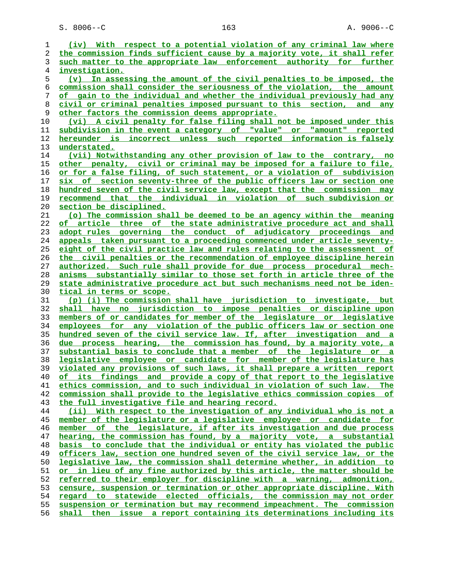S. 8006--C 163 A. 9006--C

| 1  | (iv) With respect to a potential violation of any criminal law where     |
|----|--------------------------------------------------------------------------|
| 2  | the commission finds sufficient cause by a majority vote, it shall refer |
| 3  | such matter to the appropriate law enforcement authority for further     |
| 4  | investigation.                                                           |
| 5  | (v) In assessing the amount of the civil penalties to be imposed, the    |
| 6  | commission shall consider the seriousness of the violation, the amount   |
| 7  | of gain to the individual and whether the individual previously had any  |
| 8  | civil or criminal penalties imposed pursuant to this section, and any    |
| 9  | other factors the commission deems appropriate.                          |
| 10 | (vi) A civil penalty for false filing shall not be imposed under this    |
| 11 | subdivision in the event a category of "value" or "amount" reported      |
| 12 | hereunder is incorrect unless such reported information is falsely       |
| 13 | understated.                                                             |
| 14 | (vii) Notwithstanding any other provision of law to the contrary, no     |
| 15 | other penalty, civil or criminal may be imposed for a failure to file,   |
| 16 | or for a false filing, of such statement, or a violation of subdivision  |
| 17 | six of section seventy-three of the public officers law or section one   |
| 18 | hundred seven of the civil service law, except that the commission may   |
| 19 | recommend that the individual in violation of such subdivision or        |
| 20 | section be disciplined.                                                  |
| 21 | (o) The commission shall be deemed to be an agency within the meaning    |
| 22 | of article three of the state administrative procedure act and shall     |
| 23 |                                                                          |
|    | adopt rules governing the conduct of adjudicatory proceedings and        |
| 24 | appeals taken pursuant to a proceeding commenced under article seventy-  |
| 25 | eight of the civil practice law and rules relating to the assessment of  |
| 26 | the civil penalties or the recommendation of employee discipline herein  |
| 27 | authorized. Such rule shall provide for due process procedural mech-     |
| 28 | anisms substantially similar to those set forth in article three of the  |
| 29 | state administrative procedure act but such mechanisms need not be iden- |
| 30 | tical in terms or scope.                                                 |
| 31 | (p) (i) The commission shall have jurisdiction to investigate, but       |
| 32 | shall have no jurisdiction to impose penalties or discipline upon        |
| 33 | members of or candidates for member of the legislature or legislative    |
| 34 | employees for any violation of the public officers law or section one    |
| 35 | hundred seven of the civil service law. If, after investigation and a    |
| 36 | due process hearing, the commission has found, by a majority vote, a     |
| 37 | substantial basis to conclude that a member of the legislature or a      |
| 38 | legislative employee or candidate for member of the legislature has      |
| 39 | violated any provisions of such laws, it shall prepare a written report  |
| 40 | of its findings and provide a copy of that report to the legislative     |
| 41 | ethics commission, and to such individual in violation of such law. The  |
| 42 | commission shall provide to the legislative ethics commission copies of  |
| 43 | the full investigative file and hearing record.                          |
| 44 | (ii) With respect to the investigation of any individual who is not a    |
| 45 | member of the legislature or a legislative employee or candidate for     |
| 46 | member of the legislature, if after its investigation and due process    |
| 47 | hearing, the commission has found, by a majority vote, a substantial     |
| 48 | basis to conclude that the individual or entity has violated the public  |
| 49 | officers law, section one hundred seven of the civil service law, or the |
| 50 | legislative law, the commission shall determine whether, in addition to  |
| 51 | or in lieu of any fine authorized by this article, the matter should be  |
| 52 | referred to their employer for discipline with a warning, admonition,    |
| 53 | censure, suspension or termination or other appropriate discipline. With |
| 54 | regard to statewide elected officials, the commission may not order      |
| 55 | suspension or termination but may recommend impeachment. The commission  |
| 56 | shall then issue a report containing its determinations including its    |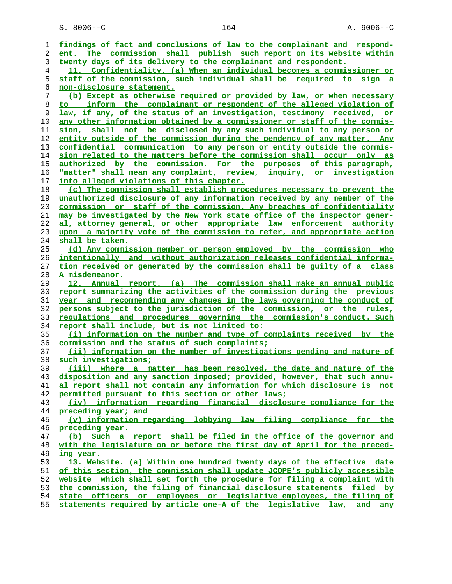S. 8006--C 164 A. 9006--C

**findings of fact and conclusions of law to the complainant and respond- ent. The commission shall publish such report on its website within twenty days of its delivery to the complainant and respondent. 11. Confidentiality. (a) When an individual becomes a commissioner or staff of the commission, such individual shall be required to sign a non-disclosure statement. (b) Except as otherwise required or provided by law, or when necessary to inform the complainant or respondent of the alleged violation of law, if any, of the status of an investigation, testimony received, or any other information obtained by a commissioner or staff of the commis- sion, shall not be disclosed by any such individual to any person or entity outside of the commission during the pendency of any matter. Any confidential communication to any person or entity outside the commis- sion related to the matters before the commission shall occur only as authorized by the commission. For the purposes of this paragraph, "matter" shall mean any complaint, review, inquiry, or investigation into alleged violations of this chapter. (c) The commission shall establish procedures necessary to prevent the unauthorized disclosure of any information received by any member of the commission or staff of the commission. Any breaches of confidentiality may be investigated by the New York state office of the inspector gener- al, attorney general, or other appropriate law enforcement authority upon a majority vote of the commission to refer, and appropriate action shall be taken. (d) Any commission member or person employed by the commission who intentionally and without authorization releases confidential informa- tion received or generated by the commission shall be guilty of a class A misdemeanor. 12. Annual report. (a) The commission shall make an annual public report summarizing the activities of the commission during the previous year and recommending any changes in the laws governing the conduct of persons subject to the jurisdiction of the commission, or the rules, regulations and procedures governing the commission's conduct. Such report shall include, but is not limited to: (i) information on the number and type of complaints received by the commission and the status of such complaints; (ii) information on the number of investigations pending and nature of such investigations; (iii) where a matter has been resolved, the date and nature of the disposition and any sanction imposed; provided, however, that such annu- al report shall not contain any information for which disclosure is not permitted pursuant to this section or other laws; (iv) information regarding financial disclosure compliance for the preceding year; and (v) information regarding lobbying law filing compliance for the preceding year. (b) Such a report shall be filed in the office of the governor and with the legislature on or before the first day of April for the preced- ing year. 13. Website. (a) Within one hundred twenty days of the effective date of this section, the commission shall update JCOPE's publicly accessible website which shall set forth the procedure for filing a complaint with the commission, the filing of financial disclosure statements filed by state officers or employees or legislative employees, the filing of statements required by article one-A of the legislative law, and any**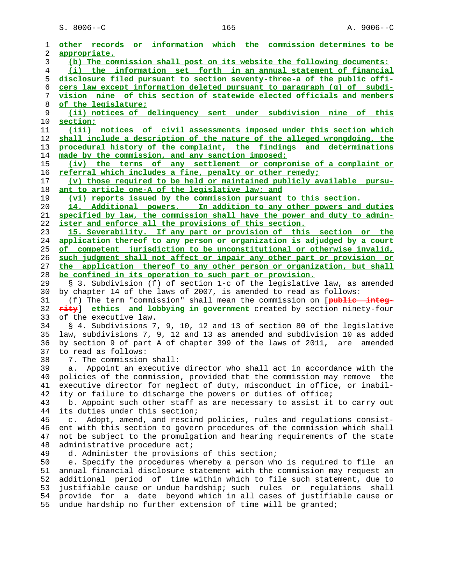| 1  | other records or information which the commission determines to be                              |
|----|-------------------------------------------------------------------------------------------------|
| 2  | appropriate.                                                                                    |
| 3  | (b) The commission shall post on its website the following documents:                           |
| 4  | (i) the information set forth in an annual statement of financial                               |
| 5  | disclosure filed pursuant to section seventy-three-a of the public offi-                        |
| 6  | cers law except information deleted pursuant to paragraph (g) of subdi-                         |
| 7  | vision nine of this section of statewide elected officials and members                          |
| 8  | of the legislature;                                                                             |
| 9  | (ii) notices of delinquency sent under subdivision nine of this                                 |
| 10 | section;                                                                                        |
| 11 | (iii) notices of civil assessments imposed under this section which                             |
| 12 | shall include a description of the nature of the alleged wrongdoing, the                        |
| 13 | procedural history of the complaint, the findings and determinations                            |
| 14 | made by the commission, and any sanction imposed;                                               |
| 15 | (iv) the terms of any settlement or compromise of a complaint or                                |
| 16 | referral which includes a fine, penalty or other remedy;                                        |
| 17 | (v) those required to be held or maintained publicly available pursu-                           |
| 18 | ant to article one-A of the legislative law; and                                                |
| 19 | (vi) reports issued by the commission pursuant to this section.                                 |
| 20 | 14. Additional powers. In addition to any other powers and duties                               |
| 21 | specified by law, the commission shall have the power and duty to admin-                        |
| 22 | ister and enforce all the provisions of this section.                                           |
| 23 | 15. Severability. If any part or provision of this section or the                               |
| 24 | application thereof to any person or organization is adjudged by a court                        |
| 25 | of competent jurisdiction to be unconstitutional or otherwise invalid,                          |
| 26 | such judgment shall not affect or impair any other part or provision or                         |
| 27 | the application thereof to any other person or organization, but shall                          |
| 28 | be confined in its operation to such part or provision.                                         |
| 29 | § 3. Subdivision (f) of section 1-c of the legislative law, as amended                          |
| 30 | by chapter 14 of the laws of 2007, is amended to read as follows:                               |
| 31 | (f) The term "commission" shall mean the commission on [public integ-                           |
| 32 |                                                                                                 |
| 33 | rity] ethics and lobbying in government created by section ninety-four<br>of the executive law. |
| 34 | § 4. Subdivisions 7, 9, 10, 12 and 13 of section 80 of the legislative                          |
|    | law, subdivisions 7, 9, 12 and 13 as amended and subdivision 10 as added                        |
| 35 |                                                                                                 |
| 36 | by section 9 of part A of chapter 399 of the laws of 2011, are amended                          |
| 37 | to read as follows:                                                                             |
| 38 | 7. The commission shall:                                                                        |
| 39 | a. Appoint an executive director who shall act in accordance with the                           |
| 40 | policies of the commission, provided that the commission may remove the                         |
| 41 | executive director for neglect of duty, misconduct in office, or inabil-                        |
| 42 | ity or failure to discharge the powers or duties of office;                                     |
| 43 | b. Appoint such other staff as are necessary to assist it to carry out                          |
| 44 | its duties under this section;                                                                  |
| 45 | Adopt, amend, and rescind policies, rules and regulations consist-<br>$\circ$ .                 |
| 46 | ent with this section to govern procedures of the commission which shall                        |
| 47 | not be subject to the promulgation and hearing requirements of the state                        |
|    |                                                                                                 |
| 48 | administrative procedure act;                                                                   |
| 49 | d. Administer the provisions of this section;                                                   |
| 50 | e. Specify the procedures whereby a person who is required to file an                           |
| 51 | annual financial disclosure statement with the commission may request an                        |
| 52 | additional period of time within which to file such statement, due to                           |
| 53 | justifiable cause or undue hardship; such rules or regulations<br>shall                         |
| 54 | provide for a date beyond which in all cases of justifiable cause or                            |
| 55 | undue hardship no further extension of time will be granted;                                    |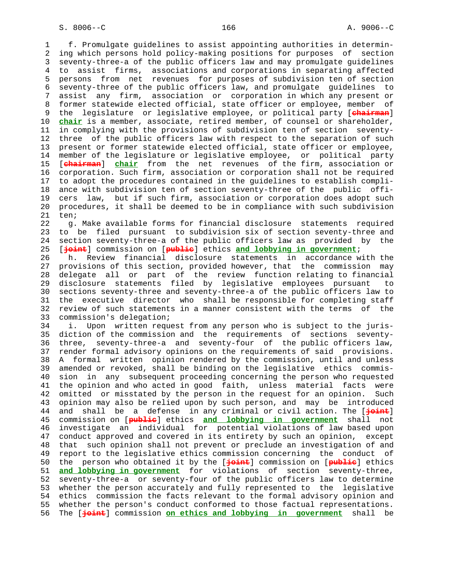1 f. Promulgate guidelines to assist appointing authorities in determin- 2 ing which persons hold policy-making positions for purposes of section 3 seventy-three-a of the public officers law and may promulgate guidelines 4 to assist firms, associations and corporations in separating affected 5 persons from net revenues for purposes of subdivision ten of section 6 seventy-three of the public officers law, and promulgate guidelines to 7 assist any firm, association or corporation in which any present or 8 former statewide elected official, state officer or employee, member of 9 the legislature or legislative employee, or political party [**chairman**] 10 **chair** is a member, associate, retired member, of counsel or shareholder, 11 in complying with the provisions of subdivision ten of section seventy- 12 three of the public officers law with respect to the separation of such 13 present or former statewide elected official, state officer or employee, 14 member of the legislature or legislative employee, or political party 15 [**chairman**] **chair** from the net revenues of the firm, association or 16 corporation. Such firm, association or corporation shall not be required 17 to adopt the procedures contained in the guidelines to establish compli- 18 ance with subdivision ten of section seventy-three of the public offi- 19 cers law, but if such firm, association or corporation does adopt such 20 procedures, it shall be deemed to be in compliance with such subdivision 21 ten;

 22 g. Make available forms for financial disclosure statements required 23 to be filed pursuant to subdivision six of section seventy-three and 24 section seventy-three-a of the public officers law as provided by the 25 [**joint**] commission on [**public**] ethics **and lobbying in government**;

 26 h. Review financial disclosure statements in accordance with the 27 provisions of this section, provided however, that the commission may 28 delegate all or part of the review function relating to financial 29 disclosure statements filed by legislative employees pursuant to 30 sections seventy-three and seventy-three-a of the public officers law to 31 the executive director who shall be responsible for completing staff 32 review of such statements in a manner consistent with the terms of the 33 commission's delegation;

 34 i. Upon written request from any person who is subject to the juris- 35 diction of the commission and the requirements of sections seventy- 36 three, seventy-three-a and seventy-four of the public officers law, 37 render formal advisory opinions on the requirements of said provisions. 38 A formal written opinion rendered by the commission, until and unless 39 amended or revoked, shall be binding on the legislative ethics commis- 40 sion in any subsequent proceeding concerning the person who requested 41 the opinion and who acted in good faith, unless material facts were 42 omitted or misstated by the person in the request for an opinion. Such 43 opinion may also be relied upon by such person, and may be introduced 44 and shall be a defense in any criminal or civil action. The [**joint**] 45 commission on [**public**] ethics **and lobbying in government** shall not 46 investigate an individual for potential violations of law based upon 47 conduct approved and covered in its entirety by such an opinion, except 48 that such opinion shall not prevent or preclude an investigation of and 49 report to the legislative ethics commission concerning the conduct of 50 the person who obtained it by the [**joint**] commission on [**public**] ethics 51 **and lobbying in government** for violations of section seventy-three, 52 seventy-three-a or seventy-four of the public officers law to determine 53 whether the person accurately and fully represented to the legislative 54 ethics commission the facts relevant to the formal advisory opinion and 55 whether the person's conduct conformed to those factual representations. 56 The [**joint**] commission **on ethics and lobbying in government** shall be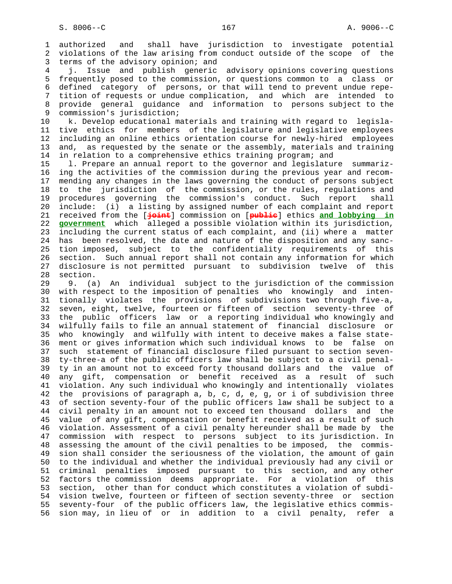1 authorized and shall have jurisdiction to investigate potential 2 violations of the law arising from conduct outside of the scope of the 3 terms of the advisory opinion; and

 4 j. Issue and publish generic advisory opinions covering questions 5 frequently posed to the commission, or questions common to a class or 6 defined category of persons, or that will tend to prevent undue repe- 7 tition of requests or undue complication, and which are intended to 8 provide general guidance and information to persons subject to the 9 commission's jurisdiction;

 10 k. Develop educational materials and training with regard to legisla- 11 tive ethics for members of the legislature and legislative employees 12 including an online ethics orientation course for newly-hired employees 13 and, as requested by the senate or the assembly, materials and training 14 in relation to a comprehensive ethics training program; and

 15 l. Prepare an annual report to the governor and legislature summariz- 16 ing the activities of the commission during the previous year and recom- 17 mending any changes in the laws governing the conduct of persons subject 18 to the jurisdiction of the commission, or the rules, regulations and 19 procedures governing the commission's conduct. Such report shall 20 include: (i) a listing by assigned number of each complaint and report 21 received from the [**joint**] commission on [**public**] ethics **and lobbying in** 22 **government** which alleged a possible violation within its jurisdiction, 23 including the current status of each complaint, and (ii) where a matter 24 has been resolved, the date and nature of the disposition and any sanc- 25 tion imposed, subject to the confidentiality requirements of this 26 section. Such annual report shall not contain any information for which 27 disclosure is not permitted pursuant to subdivision twelve of this 28 section.

 29 9. (a) An individual subject to the jurisdiction of the commission 30 with respect to the imposition of penalties who knowingly and inten- 31 tionally violates the provisions of subdivisions two through five-a, 32 seven, eight, twelve, fourteen or fifteen of section seventy-three of 33 the public officers law or a reporting individual who knowingly and 34 wilfully fails to file an annual statement of financial disclosure or 35 who knowingly and wilfully with intent to deceive makes a false state- 36 ment or gives information which such individual knows to be false on 37 such statement of financial disclosure filed pursuant to section seven- 38 ty-three-a of the public officers law shall be subject to a civil penal- 39 ty in an amount not to exceed forty thousand dollars and the value of 40 any gift, compensation or benefit received as a result of such 41 violation. Any such individual who knowingly and intentionally violates 42 the provisions of paragraph a, b, c, d, e, g, or i of subdivision three 43 of section seventy-four of the public officers law shall be subject to a 44 civil penalty in an amount not to exceed ten thousand dollars and the 45 value of any gift, compensation or benefit received as a result of such 46 violation. Assessment of a civil penalty hereunder shall be made by the 47 commission with respect to persons subject to its jurisdiction. In 48 assessing the amount of the civil penalties to be imposed, the commis- 49 sion shall consider the seriousness of the violation, the amount of gain 50 to the individual and whether the individual previously had any civil or 51 criminal penalties imposed pursuant to this section, and any other 52 factors the commission deems appropriate. For a violation of this 53 section, other than for conduct which constitutes a violation of subdi- 54 vision twelve, fourteen or fifteen of section seventy-three or section 55 seventy-four of the public officers law, the legislative ethics commis- 56 sion may, in lieu of or in addition to a civil penalty, refer a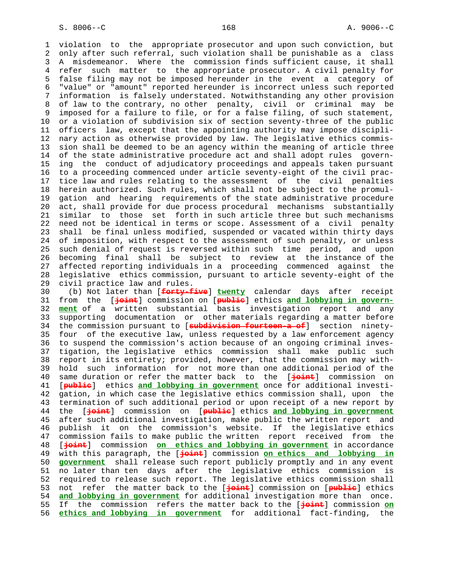1 violation to the appropriate prosecutor and upon such conviction, but 2 only after such referral, such violation shall be punishable as a class 3 A misdemeanor. Where the commission finds sufficient cause, it shall 4 refer such matter to the appropriate prosecutor. A civil penalty for 5 false filing may not be imposed hereunder in the event a category of 6 "value" or "amount" reported hereunder is incorrect unless such reported 7 information is falsely understated. Notwithstanding any other provision 8 of law to the contrary, no other penalty, civil or criminal may be 9 imposed for a failure to file, or for a false filing, of such statement, 10 or a violation of subdivision six of section seventy-three of the public 11 officers law, except that the appointing authority may impose discipli- 12 nary action as otherwise provided by law. The legislative ethics commis- 13 sion shall be deemed to be an agency within the meaning of article three 14 of the state administrative procedure act and shall adopt rules govern- 15 ing the conduct of adjudicatory proceedings and appeals taken pursuant 16 to a proceeding commenced under article seventy-eight of the civil prac- 17 tice law and rules relating to the assessment of the civil penalties 18 herein authorized. Such rules, which shall not be subject to the promul- 19 gation and hearing requirements of the state administrative procedure 20 act, shall provide for due process procedural mechanisms substantially 21 similar to those set forth in such article three but such mechanisms 22 need not be identical in terms or scope. Assessment of a civil penalty 23 shall be final unless modified, suspended or vacated within thirty days 24 of imposition, with respect to the assessment of such penalty, or unless 25 such denial of request is reversed within such time period, and upon 26 becoming final shall be subject to review at the instance of the 27 affected reporting individuals in a proceeding commenced against the 28 legislative ethics commission, pursuant to article seventy-eight of the 29 civil practice law and rules. 30 (b) Not later than [**forty-five**] **twenty** calendar days after receipt

 31 from the [**joint**] commission on [**public**] ethics **and lobbying in govern-** 32 **ment** of a written substantial basis investigation report and any 33 supporting documentation or other materials regarding a matter before 34 the commission pursuant to [**subdivision fourteen-a of**] section ninety- 35 four of the executive law, unless requested by a law enforcement agency 36 to suspend the commission's action because of an ongoing criminal inves- 37 tigation, the legislative ethics commission shall make public such 38 report in its entirety; provided, however, that the commission may with- 39 hold such information for not more than one additional period of the 40 same duration or refer the matter back to the [**joint**] commission on 41 [**public**] ethics **and lobbying in government** once for additional investi- 42 gation, in which case the legislative ethics commission shall, upon the 43 termination of such additional period or upon receipt of a new report by 44 the [**joint**] commission on [**public**] ethics **and lobbying in government** 45 after such additional investigation, make public the written report and 46 publish it on the commission's website. If the legislative ethics 47 commission fails to make public the written report received from the 48 [**joint**] commission **on ethics and lobbying in government** in accordance 49 with this paragraph, the [**joint**] commission **on ethics and lobbying in** 50 **government** shall release such report publicly promptly and in any event 51 no later than ten days after the legislative ethics commission is 52 required to release such report. The legislative ethics commission shall 53 not refer the matter back to the [**joint**] commission on [**public**] ethics 54 **and lobbying in government** for additional investigation more than once. 55 If the commission refers the matter back to the [**joint**] commission **on** 56 **ethics and lobbying in government** for additional fact-finding, the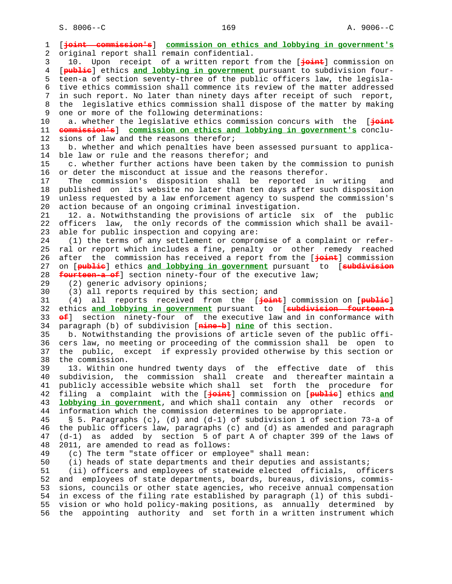S. 8006--C 169 A. 9006--C

 1 [**joint commission's**] **commission on ethics and lobbying in government's** 2 original report shall remain confidential. 3 10. Upon receipt of a written report from the [**joint**] commission on 4 [**public**] ethics **and lobbying in government** pursuant to subdivision four- 5 teen-a of section seventy-three of the public officers law, the legisla- 6 tive ethics commission shall commence its review of the matter addressed 7 in such report. No later than ninety days after receipt of such report, 8 the legislative ethics commission shall dispose of the matter by making 9 one or more of the following determinations: 10 a. whether the legislative ethics commission concurs with the [**joint** 11 **commission's**] **commission on ethics and lobbying in government's** conclu- 12 sions of law and the reasons therefor; 13 b. whether and which penalties have been assessed pursuant to applica- 14 ble law or rule and the reasons therefor; and 15 c. whether further actions have been taken by the commission to punish 16 or deter the misconduct at issue and the reasons therefor. 17 The commission's disposition shall be reported in writing and 18 published on its website no later than ten days after such disposition 19 unless requested by a law enforcement agency to suspend the commission's 20 action because of an ongoing criminal investigation. 21 12. a. Notwithstanding the provisions of article six of the public 22 officers law, the only records of the commission which shall be avail- 23 able for public inspection and copying are: 24 (1) the terms of any settlement or compromise of a complaint or refer- 25 ral or report which includes a fine, penalty or other remedy reached 26 after the commission has received a report from the [**joint**] commission 27 on [**public**] ethics **and lobbying in government** pursuant to [**subdivision** 28 **fourteen-a of**] section ninety-four of the executive law; 29 (2) generic advisory opinions; 30 (3) all reports required by this section; and 31 (4) all reports received from the [**joint**] commission on [**public**] 32 ethics **and lobbying in government** pursuant to [**subdivision fourteen-a** 33 **of**] section ninety-four of the executive law and in conformance with 34 paragraph (b) of subdivision [**nine-b**] **nine** of this section. 35 b. Notwithstanding the provisions of article seven of the public offi- 36 cers law, no meeting or proceeding of the commission shall be open to 37 the public, except if expressly provided otherwise by this section or 38 the commission. 39 13. Within one hundred twenty days of the effective date of this 40 subdivision, the commission shall create and thereafter maintain a 41 publicly accessible website which shall set forth the procedure for 42 filing a complaint with the [**joint**] commission on [**public**] ethics **and** 43 **lobbying in government**, and which shall contain any other records or 44 information which the commission determines to be appropriate. 45 § 5. Paragraphs (c), (d) and (d-1) of subdivision 1 of section 73-a of 46 the public officers law, paragraphs (c) and (d) as amended and paragraph 47 (d-1) as added by section 5 of part A of chapter 399 of the laws of 48 2011, are amended to read as follows: 49 (c) The term "state officer or employee" shall mean: 50 (i) heads of state departments and their deputies and assistants; 51 (ii) officers and employees of statewide elected officials, officers 52 and employees of state departments, boards, bureaus, divisions, commis- 53 sions, councils or other state agencies, who receive annual compensation 54 in excess of the filing rate established by paragraph (l) of this subdi- 55 vision or who hold policy-making positions, as annually determined by 56 the appointing authority and set forth in a written instrument which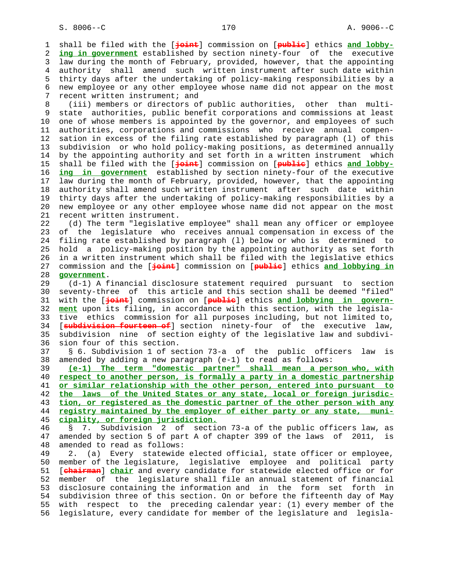1 shall be filed with the [**joint**] commission on [**public**] ethics **and lobby-** 2 **ing in government** established by section ninety-four of the executive 3 law during the month of February, provided, however, that the appointing 4 authority shall amend such written instrument after such date within 5 thirty days after the undertaking of policy-making responsibilities by a 6 new employee or any other employee whose name did not appear on the most 7 recent written instrument; and

 8 (iii) members or directors of public authorities, other than multi- 9 state authorities, public benefit corporations and commissions at least 10 one of whose members is appointed by the governor, and employees of such 11 authorities, corporations and commissions who receive annual compen- 12 sation in excess of the filing rate established by paragraph (l) of this 13 subdivision or who hold policy-making positions, as determined annually 14 by the appointing authority and set forth in a written instrument which 15 shall be filed with the [**joint**] commission on [**public**] ethics **and lobby-** 16 **ing in government** established by section ninety-four of the executive 17 law during the month of February, provided, however, that the appointing 18 authority shall amend such written instrument after such date within 19 thirty days after the undertaking of policy-making responsibilities by a 20 new employee or any other employee whose name did not appear on the most 21 recent written instrument.

 22 (d) The term "legislative employee" shall mean any officer or employee 23 of the legislature who receives annual compensation in excess of the 24 filing rate established by paragraph (l) below or who is determined to 25 hold a policy-making position by the appointing authority as set forth 26 in a written instrument which shall be filed with the legislative ethics 27 commission and the [**joint**] commission on [**public**] ethics **and lobbying in** 28 **government**.

 29 (d-1) A financial disclosure statement required pursuant to section 30 seventy-three of this article and this section shall be deemed "filed" 31 with the [**joint**] commission on [**public**] ethics **and lobbying in govern-** 32 **ment** upon its filing, in accordance with this section, with the legisla- 33 tive ethics commission for all purposes including, but not limited to, 34 [**subdivision fourteen of**] section ninety-four of the executive law, 35 subdivision nine of section eighty of the legislative law and subdivi- 36 sion four of this section.

 37 § 6. Subdivision 1 of section 73-a of the public officers law is 38 amended by adding a new paragraph (e-1) to read as follows:

**(e-1) The term "domestic partner" shall mean a person who, with respect to another person, is formally a party in a domestic partnership or similar relationship with the other person, entered into pursuant to the laws of the United States or any state, local or foreign jurisdic- tion, or registered as the domestic partner of the other person with any registry maintained by the employer of either party or any state, muni- cipality, or foreign jurisdiction.**

 46 § 7. Subdivision 2 of section 73-a of the public officers law, as amended by section 5 of part A of chapter 399 of the laws of 2011, is 48 amended to read as follows:

 49 2. (a) Every statewide elected official, state officer or employee, 50 member of the legislature, legislative employee and political party 51 [**chairman**] **chair** and every candidate for statewide elected office or for 52 member of the legislature shall file an annual statement of financial 53 disclosure containing the information and in the form set forth in 54 subdivision three of this section. On or before the fifteenth day of May 55 with respect to the preceding calendar year: (1) every member of the 56 legislature, every candidate for member of the legislature and legisla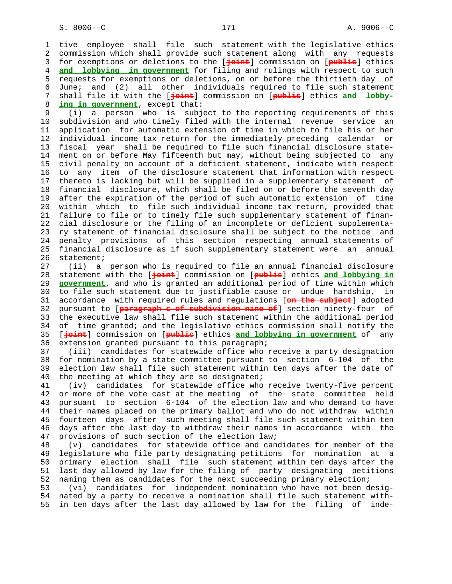1 tive employee shall file such statement with the legislative ethics 2 commission which shall provide such statement along with any requests 3 for exemptions or deletions to the [**joint**] commission on [**public**] ethics 4 **and lobbying in government** for filing and rulings with respect to such 5 requests for exemptions or deletions, on or before the thirtieth day of 6 June; and (2) all other individuals required to file such statement 7 shall file it with the [**joint**] commission on [**public**] ethics **and lobby-** 8 **ing in government**, except that:

 9 (i) a person who is subject to the reporting requirements of this 10 subdivision and who timely filed with the internal revenue service an 11 application for automatic extension of time in which to file his or her 12 individual income tax return for the immediately preceding calendar or 13 fiscal year shall be required to file such financial disclosure state- 14 ment on or before May fifteenth but may, without being subjected to any 15 civil penalty on account of a deficient statement, indicate with respect 16 to any item of the disclosure statement that information with respect 17 thereto is lacking but will be supplied in a supplementary statement of 18 financial disclosure, which shall be filed on or before the seventh day 19 after the expiration of the period of such automatic extension of time 20 within which to file such individual income tax return, provided that 21 failure to file or to timely file such supplementary statement of finan- 22 cial disclosure or the filing of an incomplete or deficient supplementa- 23 ry statement of financial disclosure shall be subject to the notice and 24 penalty provisions of this section respecting annual statements of 25 financial disclosure as if such supplementary statement were an annual 26 statement;

 27 (ii) a person who is required to file an annual financial disclosure 28 statement with the [**joint**] commission on [**public**] ethics **and lobbying in** 29 **government**, and who is granted an additional period of time within which 30 to file such statement due to justifiable cause or undue hardship, in 31 accordance with required rules and regulations [**on the subject**] adopted 32 pursuant to [**paragraph c of subdivision nine of**] section ninety-four of 33 the executive law shall file such statement within the additional period 34 of time granted; and the legislative ethics commission shall notify the 35 [**joint**] commission on [**public**] ethics **and lobbying in government** of any 36 extension granted pursuant to this paragraph;

 37 (iii) candidates for statewide office who receive a party designation 38 for nomination by a state committee pursuant to section 6-104 of the 39 election law shall file such statement within ten days after the date of 40 the meeting at which they are so designated;

 41 (iv) candidates for statewide office who receive twenty-five percent 42 or more of the vote cast at the meeting of the state committee held 43 pursuant to section 6-104 of the election law and who demand to have 44 their names placed on the primary ballot and who do not withdraw within 45 fourteen days after such meeting shall file such statement within ten 46 days after the last day to withdraw their names in accordance with the 47 provisions of such section of the election law;

 48 (v) candidates for statewide office and candidates for member of the 49 legislature who file party designating petitions for nomination at a 50 primary election shall file such statement within ten days after the 51 last day allowed by law for the filing of party designating petitions 52 naming them as candidates for the next succeeding primary election;

 53 (vi) candidates for independent nomination who have not been desig- 54 nated by a party to receive a nomination shall file such statement with- 55 in ten days after the last day allowed by law for the filing of inde-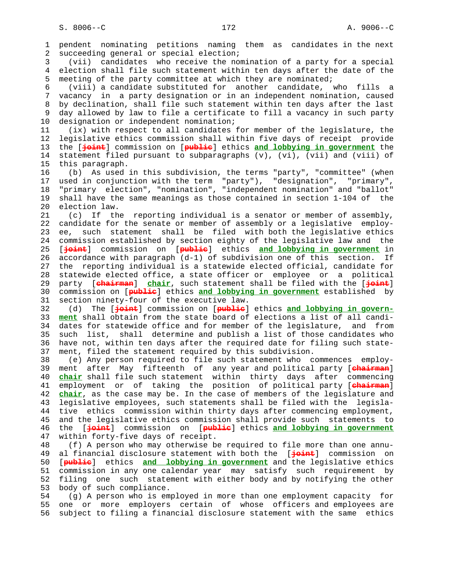1 pendent nominating petitions naming them as candidates in the next 2 succeeding general or special election; 3 (vii) candidates who receive the nomination of a party for a special 4 election shall file such statement within ten days after the date of the 5 meeting of the party committee at which they are nominated; 6 (viii) a candidate substituted for another candidate, who fills a 7 vacancy in a party designation or in an independent nomination, caused 8 by declination, shall file such statement within ten days after the last 9 day allowed by law to file a certificate to fill a vacancy in such party 10 designation or independent nomination; 11 (ix) with respect to all candidates for member of the legislature, the 12 legislative ethics commission shall within five days of receipt provide 13 the [**joint**] commission on [**public**] ethics **and lobbying in government** the 14 statement filed pursuant to subparagraphs (v), (vi), (vii) and (viii) of 15 this paragraph. 16 (b) As used in this subdivision, the terms "party", "committee" (when 17 used in conjunction with the term "party"), "designation", "primary", 18 "primary election", "nomination", "independent nomination" and "ballot" 19 shall have the same meanings as those contained in section 1-104 of the 20 election law. 21 (c) If the reporting individual is a senator or member of assembly, 22 candidate for the senate or member of assembly or a legislative employ- 23 ee, such statement shall be filed with both the legislative ethics 24 commission established by section eighty of the legislative law and the 25 [**joint**] commission on [**public**] ethics **and lobbying in government** in 26 accordance with paragraph (d-1) of subdivision one of this section. If 27 the reporting individual is a statewide elected official, candidate for 28 statewide elected office, a state officer or employee or a political 29 party [**chairman**] **chair**, such statement shall be filed with the [**joint**] 30 commission on [**public**] ethics **and lobbying in government** established by 31 section ninety-four of the executive law. 32 (d) The [**joint**] commission on [**public**] ethics **and lobbying in govern-** 33 **ment** shall obtain from the state board of elections a list of all candi- 34 dates for statewide office and for member of the legislature, and from 35 such list, shall determine and publish a list of those candidates who 36 have not, within ten days after the required date for filing such state- 37 ment, filed the statement required by this subdivision. 38 (e) Any person required to file such statement who commences employ- 39 ment after May fifteenth of any year and political party [**chairman**] 40 **chair** shall file such statement within thirty days after commencing 41 employment or of taking the position of political party [**chairman**] 42 **chair**, as the case may be. In the case of members of the legislature and 43 legislative employees, such statements shall be filed with the legisla- 44 tive ethics commission within thirty days after commencing employment, 45 and the legislative ethics commission shall provide such statements to 46 the [**joint**] commission on [**public**] ethics **and lobbying in government** 47 within forty-five days of receipt. 48 (f) A person who may otherwise be required to file more than one annu- 49 al financial disclosure statement with both the [**joint**] commission on 50 [**public**] ethics **and lobbying in government** and the legislative ethics 51 commission in any one calendar year may satisfy such requirement by 52 filing one such statement with either body and by notifying the other 53 body of such compliance. 54 (g) A person who is employed in more than one employment capacity for 55 one or more employers certain of whose officers and employees are 56 subject to filing a financial disclosure statement with the same ethics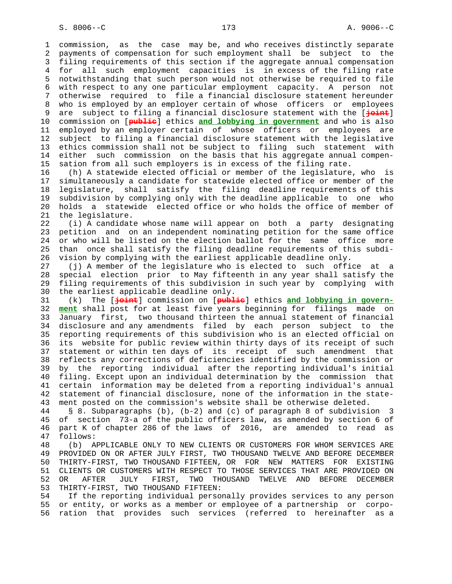1 commission, as the case may be, and who receives distinctly separate 2 payments of compensation for such employment shall be subject to the 3 filing requirements of this section if the aggregate annual compensation 4 for all such employment capacities is in excess of the filing rate 5 notwithstanding that such person would not otherwise be required to file 6 with respect to any one particular employment capacity. A person not 7 otherwise required to file a financial disclosure statement hereunder 8 who is employed by an employer certain of whose officers or employees 9 are subject to filing a financial disclosure statement with the [**joint**] 10 commission on [**public**] ethics **and lobbying in government** and who is also 11 employed by an employer certain of whose officers or employees are 12 subject to filing a financial disclosure statement with the legislative 13 ethics commission shall not be subject to filing such statement with 14 either such commission on the basis that his aggregate annual compen- 15 sation from all such employers is in excess of the filing rate.

 16 (h) A statewide elected official or member of the legislature, who is 17 simultaneously a candidate for statewide elected office or member of the 18 legislature, shall satisfy the filing deadline requirements of this 19 subdivision by complying only with the deadline applicable to one who 20 holds a statewide elected office or who holds the office of member of 21 the legislature.

 22 (i) A candidate whose name will appear on both a party designating 23 petition and on an independent nominating petition for the same office 24 or who will be listed on the election ballot for the same office more 25 than once shall satisfy the filing deadline requirements of this subdi- 26 vision by complying with the earliest applicable deadline only.

 27 (j) A member of the legislature who is elected to such office at a 28 special election prior to May fifteenth in any year shall satisfy the 29 filing requirements of this subdivision in such year by complying with 30 the earliest applicable deadline only.

 31 (k) The [**joint**] commission on [**public**] ethics **and lobbying in govern-** 32 **ment** shall post for at least five years beginning for filings made on 33 January first, two thousand thirteen the annual statement of financial 34 disclosure and any amendments filed by each person subject to the 35 reporting requirements of this subdivision who is an elected official on 36 its website for public review within thirty days of its receipt of such 37 statement or within ten days of its receipt of such amendment that 38 reflects any corrections of deficiencies identified by the commission or 39 by the reporting individual after the reporting individual's initial 40 filing. Except upon an individual determination by the commission that 41 certain information may be deleted from a reporting individual's annual 42 statement of financial disclosure, none of the information in the state- 43 ment posted on the commission's website shall be otherwise deleted.

 44 § 8. Subparagraphs (b), (b-2) and (c) of paragraph 8 of subdivision 3 45 of section 73-a of the public officers law, as amended by section 6 of 46 part K of chapter 286 of the laws of 2016, are amended to read as 47 follows:

 48 (b) APPLICABLE ONLY TO NEW CLIENTS OR CUSTOMERS FOR WHOM SERVICES ARE 49 PROVIDED ON OR AFTER JULY FIRST, TWO THOUSAND TWELVE AND BEFORE DECEMBER 50 THIRTY-FIRST, TWO THOUSAND FIFTEEN, OR FOR NEW MATTERS FOR EXISTING 51 CLIENTS OR CUSTOMERS WITH RESPECT TO THOSE SERVICES THAT ARE PROVIDED ON 52 OR AFTER JULY FIRST, TWO THOUSAND TWELVE AND BEFORE DECEMBER 53 THIRTY-FIRST, TWO THOUSAND FIFTEEN:

 54 If the reporting individual personally provides services to any person 55 or entity, or works as a member or employee of a partnership or corpo- 56 ration that provides such services (referred to hereinafter as a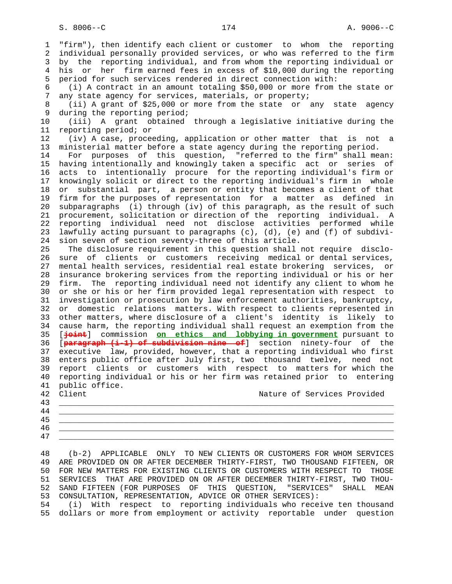1 "firm"), then identify each client or customer to whom the reporting 2 individual personally provided services, or who was referred to the firm 3 by the reporting individual, and from whom the reporting individual or 4 his or her firm earned fees in excess of \$10,000 during the reporting 5 period for such services rendered in direct connection with: 6 (i) A contract in an amount totaling \$50,000 or more from the state or 7 any state agency for services, materials, or property; 8 (ii) A grant of \$25,000 or more from the state or any state agency 9 during the reporting period; 10 (iii) A grant obtained through a legislative initiative during the 11 reporting period; or 12 (iv) A case, proceeding, application or other matter that is not a 13 ministerial matter before a state agency during the reporting period. 14 For purposes of this question, "referred to the firm" shall mean: 15 having intentionally and knowingly taken a specific act or series of 16 acts to intentionally procure for the reporting individual's firm or 17 knowingly solicit or direct to the reporting individual's firm in whole 18 or substantial part, a person or entity that becomes a client of that 19 firm for the purposes of representation for a matter as defined in 20 subparagraphs (i) through (iv) of this paragraph, as the result of such 21 procurement, solicitation or direction of the reporting individual. A 22 reporting individual need not disclose activities performed while 23 lawfully acting pursuant to paragraphs  $(c)$ ,  $(d)$ ,  $(e)$  and  $(f)$  of subdivi- 24 sion seven of section seventy-three of this article. 25 The disclosure requirement in this question shall not require disclo- 26 sure of clients or customers receiving medical or dental services, 27 mental health services, residential real estate brokering services, or 28 insurance brokering services from the reporting individual or his or her 29 firm. The reporting individual need not identify any client to whom he 30 or she or his or her firm provided legal representation with respect to 31 investigation or prosecution by law enforcement authorities, bankruptcy, 32 or domestic relations matters. With respect to clients represented in 33 other matters, where disclosure of a client's identity is likely to 34 cause harm, the reporting individual shall request an exemption from the 35 [**joint**] commission **on ethics and lobbying in government** pursuant to 36 [**paragraph (i-1) of subdivision nine of**] section ninety-four of the 37 executive law, provided, however, that a reporting individual who first 38 enters public office after July first, two thousand twelve, need not 39 report clients or customers with respect to matters for which the 40 reporting individual or his or her firm was retained prior to entering 41 public office. 42 Client Nature of Services Provided 43 \_\_\_\_\_\_\_\_\_\_\_\_\_\_\_\_\_\_\_\_\_\_\_\_\_\_\_\_\_\_\_\_\_\_\_\_\_\_\_\_\_\_\_\_\_\_\_\_\_\_\_\_\_\_\_\_\_\_\_\_\_\_\_\_\_\_\_\_\_\_\_\_ 44 \_\_\_\_\_\_\_\_\_\_\_\_\_\_\_\_\_\_\_\_\_\_\_\_\_\_\_\_\_\_\_\_\_\_\_\_\_\_\_\_\_\_\_\_\_\_\_\_\_\_\_\_\_\_\_\_\_\_\_\_\_\_\_\_\_\_\_\_\_\_\_\_ 45 \_\_\_\_\_\_\_\_\_\_\_\_\_\_\_\_\_\_\_\_\_\_\_\_\_\_\_\_\_\_\_\_\_\_\_\_\_\_\_\_\_\_\_\_\_\_\_\_\_\_\_\_\_\_\_\_\_\_\_\_\_\_\_\_\_\_\_\_\_\_\_\_ 46 \_\_\_\_\_\_\_\_\_\_\_\_\_\_\_\_\_\_\_\_\_\_\_\_\_\_\_\_\_\_\_\_\_\_\_\_\_\_\_\_\_\_\_\_\_\_\_\_\_\_\_\_\_\_\_\_\_\_\_\_\_\_\_\_\_\_\_\_\_\_\_\_ 47 \_\_\_\_\_\_\_\_\_\_\_\_\_\_\_\_\_\_\_\_\_\_\_\_\_\_\_\_\_\_\_\_\_\_\_\_\_\_\_\_\_\_\_\_\_\_\_\_\_\_\_\_\_\_\_\_\_\_\_\_\_\_\_\_\_\_\_\_\_\_\_\_

 48 (b-2) APPLICABLE ONLY TO NEW CLIENTS OR CUSTOMERS FOR WHOM SERVICES 49 ARE PROVIDED ON OR AFTER DECEMBER THIRTY-FIRST, TWO THOUSAND FIFTEEN, OR 50 FOR NEW MATTERS FOR EXISTING CLIENTS OR CUSTOMERS WITH RESPECT TO THOSE 51 SERVICES THAT ARE PROVIDED ON OR AFTER DECEMBER THIRTY-FIRST, TWO THOU- 52 SAND FIFTEEN (FOR PURPOSES OF THIS QUESTION, "SERVICES" SHALL MEAN 53 CONSULTATION, REPRESENTATION, ADVICE OR OTHER SERVICES):

 54 (i) With respect to reporting individuals who receive ten thousand 55 dollars or more from employment or activity reportable under question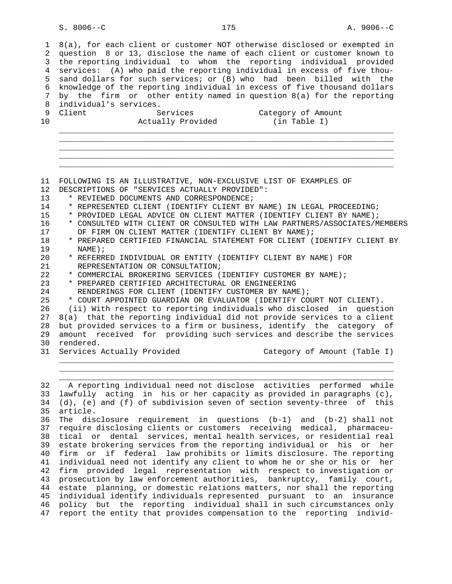## S. 8006--C 175 A. 9006--C

 1 8(a), for each client or customer NOT otherwise disclosed or exempted in 2 question 8 or 13, disclose the name of each client or customer known to 3 the reporting individual to whom the reporting individual provided 4 services: (A) who paid the reporting individual in excess of five thou- 5 sand dollars for such services; or (B) who had been billed with the 6 knowledge of the reporting individual in excess of five thousand dollars 7 by the firm or other entity named in question 8(a) for the reporting 8 individual's services.

 $\mathcal{L}_\text{max} = \frac{1}{2} \sum_{i=1}^{n} \frac{1}{2} \sum_{i=1}^{n} \frac{1}{2} \sum_{i=1}^{n} \frac{1}{2} \sum_{i=1}^{n} \frac{1}{2} \sum_{i=1}^{n} \frac{1}{2} \sum_{i=1}^{n} \frac{1}{2} \sum_{i=1}^{n} \frac{1}{2} \sum_{i=1}^{n} \frac{1}{2} \sum_{i=1}^{n} \frac{1}{2} \sum_{i=1}^{n} \frac{1}{2} \sum_{i=1}^{n} \frac{1}{2} \sum_{i=1}^{n} \frac{1$  $\mathcal{L}_\text{max} = \frac{1}{2} \sum_{i=1}^{n} \frac{1}{2} \sum_{i=1}^{n} \frac{1}{2} \sum_{i=1}^{n} \frac{1}{2} \sum_{i=1}^{n} \frac{1}{2} \sum_{i=1}^{n} \frac{1}{2} \sum_{i=1}^{n} \frac{1}{2} \sum_{i=1}^{n} \frac{1}{2} \sum_{i=1}^{n} \frac{1}{2} \sum_{i=1}^{n} \frac{1}{2} \sum_{i=1}^{n} \frac{1}{2} \sum_{i=1}^{n} \frac{1}{2} \sum_{i=1}^{n} \frac{1$  $\mathcal{L}_\text{max} = \frac{1}{2} \sum_{i=1}^{n} \frac{1}{2} \sum_{i=1}^{n} \frac{1}{2} \sum_{i=1}^{n} \frac{1}{2} \sum_{i=1}^{n} \frac{1}{2} \sum_{i=1}^{n} \frac{1}{2} \sum_{i=1}^{n} \frac{1}{2} \sum_{i=1}^{n} \frac{1}{2} \sum_{i=1}^{n} \frac{1}{2} \sum_{i=1}^{n} \frac{1}{2} \sum_{i=1}^{n} \frac{1}{2} \sum_{i=1}^{n} \frac{1}{2} \sum_{i=1}^{n} \frac{1$  $\mathcal{L}_\text{max}$  , and the set of the set of the set of the set of the set of the set of the set of the set of the set of the set of the set of the set of the set of the set of the set of the set of the set of the set of the  $\mathcal{L}_\text{max} = \frac{1}{2} \sum_{i=1}^{n} \frac{1}{2} \sum_{i=1}^{n} \frac{1}{2} \sum_{i=1}^{n} \frac{1}{2} \sum_{i=1}^{n} \frac{1}{2} \sum_{i=1}^{n} \frac{1}{2} \sum_{i=1}^{n} \frac{1}{2} \sum_{i=1}^{n} \frac{1}{2} \sum_{i=1}^{n} \frac{1}{2} \sum_{i=1}^{n} \frac{1}{2} \sum_{i=1}^{n} \frac{1}{2} \sum_{i=1}^{n} \frac{1}{2} \sum_{i=1}^{n} \frac{1$ 

 9 Client Services Category of Amount Actually Provided (in Table I)

 11 FOLLOWING IS AN ILLUSTRATIVE, NON-EXCLUSIVE LIST OF EXAMPLES OF 12 DESCRIPTIONS OF "SERVICES ACTUALLY PROVIDED": 13 \* REVIEWED DOCUMENTS AND CORRESPONDENCE; 14 \* REPRESENTED CLIENT (IDENTIFY CLIENT BY NAME) IN LEGAL PROCEEDING; 15 \* PROVIDED LEGAL ADVICE ON CLIENT MATTER (IDENTIFY CLIENT BY NAME); 16 \* CONSULTED WITH CLIENT OR CONSULTED WITH LAW PARTNERS/ASSOCIATES/MEMBERS 17 OF FIRM ON CLIENT MATTER (IDENTIFY CLIENT BY NAME); 18 \* PREPARED CERTIFIED FINANCIAL STATEMENT FOR CLIENT (IDENTIFY CLIENT BY 19 NAME); 20 \* REFERRED INDIVIDUAL OR ENTITY (IDENTIFY CLIENT BY NAME) FOR 21 REPRESENTATION OR CONSULTATION; 22 \* COMMERCIAL BROKERING SERVICES (IDENTIFY CUSTOMER BY NAME); 23 \* PREPARED CERTIFIED ARCHITECTURAL OR ENGINEERING 24 RENDERINGS FOR CLIENT (IDENTIFY CUSTOMER BY NAME); 25 \* COURT APPOINTED GUARDIAN OR EVALUATOR (IDENTIFY COURT NOT CLIENT). 26 (ii) With respect to reporting individuals who disclosed in question 27 8(a) that the reporting individual did not provide services to a client 28 but provided services to a firm or business, identify the category of 29 amount received for providing such services and describe the services 30 rendered. 31 Services Actually Provided Category of Amount (Table I)  $\mathcal{L}_\text{max} = \frac{1}{2} \sum_{i=1}^{n} \frac{1}{2} \sum_{i=1}^{n} \frac{1}{2} \sum_{i=1}^{n} \frac{1}{2} \sum_{i=1}^{n} \frac{1}{2} \sum_{i=1}^{n} \frac{1}{2} \sum_{i=1}^{n} \frac{1}{2} \sum_{i=1}^{n} \frac{1}{2} \sum_{i=1}^{n} \frac{1}{2} \sum_{i=1}^{n} \frac{1}{2} \sum_{i=1}^{n} \frac{1}{2} \sum_{i=1}^{n} \frac{1}{2} \sum_{i=1}^{n} \frac{1$ 

 32 A reporting individual need not disclose activities performed while 33 lawfully acting in his or her capacity as provided in paragraphs (c), 34 (d), (e) and (f) of subdivision seven of section seventy-three of this 35 article. 36 The disclosure requirement in questions (b-1) and (b-2) shall not 37 require disclosing clients or customers receiving medical, pharmaceu- 38 tical or dental services, mental health services, or residential real 39 estate brokering services from the reporting individual or his or her 40 firm or if federal law prohibits or limits disclosure. The reporting 41 individual need not identify any client to whom he or she or his or her 42 firm provided legal representation with respect to investigation or 43 prosecution by law enforcement authorities, bankruptcy, family court, 44 estate planning, or domestic relations matters, nor shall the reporting 45 individual identify individuals represented pursuant to an insurance 46 policy but the reporting individual shall in such circumstances only 47 report the entity that provides compensation to the reporting individ-

 $\mathcal{L}_\text{max}$  , and the set of the set of the set of the set of the set of the set of the set of the set of the set of the set of the set of the set of the set of the set of the set of the set of the set of the set of the  $\mathcal{L}_\text{max} = \frac{1}{2} \sum_{i=1}^{n} \frac{1}{2} \sum_{i=1}^{n} \frac{1}{2} \sum_{i=1}^{n} \frac{1}{2} \sum_{i=1}^{n} \frac{1}{2} \sum_{i=1}^{n} \frac{1}{2} \sum_{i=1}^{n} \frac{1}{2} \sum_{i=1}^{n} \frac{1}{2} \sum_{i=1}^{n} \frac{1}{2} \sum_{i=1}^{n} \frac{1}{2} \sum_{i=1}^{n} \frac{1}{2} \sum_{i=1}^{n} \frac{1}{2} \sum_{i=1}^{n} \frac{1$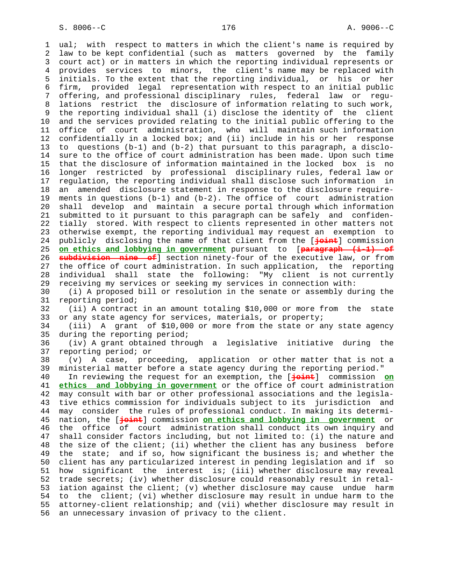1 ual; with respect to matters in which the client's name is required by 2 law to be kept confidential (such as matters governed by the family 3 court act) or in matters in which the reporting individual represents or 4 provides services to minors, the client's name may be replaced with 5 initials. To the extent that the reporting individual, or his or her 6 firm, provided legal representation with respect to an initial public 7 offering, and professional disciplinary rules, federal law or regu- 8 lations restrict the disclosure of information relating to such work, 9 the reporting individual shall (i) disclose the identity of the client 10 and the services provided relating to the initial public offering to the 11 office of court administration, who will maintain such information 12 confidentially in a locked box; and (ii) include in his or her response 13 to questions (b-1) and (b-2) that pursuant to this paragraph, a disclo- 14 sure to the office of court administration has been made. Upon such time 15 that the disclosure of information maintained in the locked box is no 16 longer restricted by professional disciplinary rules, federal law or 17 regulation, the reporting individual shall disclose such information in 18 an amended disclosure statement in response to the disclosure require- 19 ments in questions (b-1) and (b-2). The office of court administration 20 shall develop and maintain a secure portal through which information 21 submitted to it pursuant to this paragraph can be safely and confiden- 22 tially stored. With respect to clients represented in other matters not 23 otherwise exempt, the reporting individual may request an exemption to 24 publicly disclosing the name of that client from the [**joint**] commission 25 **on ethics and lobbying in government** pursuant to [**paragraph (i-1) of** 26 **subdivision nine of**] section ninety-four of the executive law, or from 27 the office of court administration. In such application, the reporting 28 individual shall state the following: "My client is not currently 29 receiving my services or seeking my services in connection with: 30 (i) A proposed bill or resolution in the senate or assembly during the 31 reporting period; 32 (ii) A contract in an amount totaling \$10,000 or more from the state 33 or any state agency for services, materials, or property; 34 (iii) A grant of \$10,000 or more from the state or any state agency 35 during the reporting period; 36 (iv) A grant obtained through a legislative initiative during the 37 reporting period; or 38 (v) A case, proceeding, application or other matter that is not a 39 ministerial matter before a state agency during the reporting period." 40 In reviewing the request for an exemption, the [**joint**] commission **on** 41 **ethics and lobbying in government** or the office of court administration 42 may consult with bar or other professional associations and the legisla- 43 tive ethics commission for individuals subject to its jurisdiction and 44 may consider the rules of professional conduct. In making its determi- 45 nation, the [**joint**] commission **on ethics and lobbying in government** or 46 the office of court administration shall conduct its own inquiry and 47 shall consider factors including, but not limited to: (i) the nature and 48 the size of the client; (ii) whether the client has any business before 49 the state; and if so, how significant the business is; and whether the 50 client has any particularized interest in pending legislation and if so 51 how significant the interest is; (iii) whether disclosure may reveal 52 trade secrets; (iv) whether disclosure could reasonably result in retal- 53 iation against the client; (v) whether disclosure may cause undue harm 54 to the client; (vi) whether disclosure may result in undue harm to the 55 attorney-client relationship; and (vii) whether disclosure may result in 56 an unnecessary invasion of privacy to the client.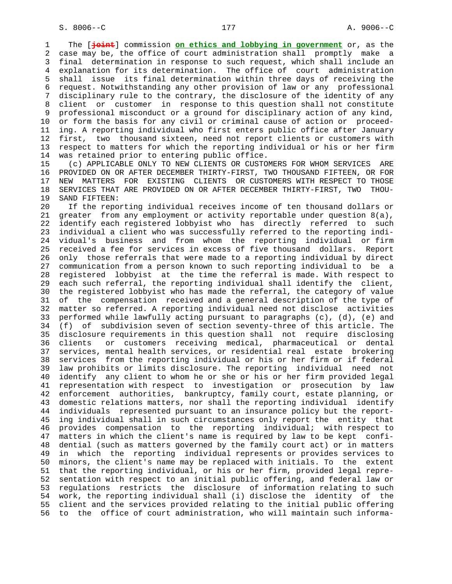1 The [**joint**] commission **on ethics and lobbying in government** or, as the 2 case may be, the office of court administration shall promptly make a 3 final determination in response to such request, which shall include an 4 explanation for its determination. The office of court administration 5 shall issue its final determination within three days of receiving the 6 request. Notwithstanding any other provision of law or any professional 7 disciplinary rule to the contrary, the disclosure of the identity of any 8 client or customer in response to this question shall not constitute 9 professional misconduct or a ground for disciplinary action of any kind, 10 or form the basis for any civil or criminal cause of action or proceed- 11 ing. A reporting individual who first enters public office after January 12 first, two thousand sixteen, need not report clients or customers with 13 respect to matters for which the reporting individual or his or her firm 14 was retained prior to entering public office.

 15 (c) APPLICABLE ONLY TO NEW CLIENTS OR CUSTOMERS FOR WHOM SERVICES ARE 16 PROVIDED ON OR AFTER DECEMBER THIRTY-FIRST, TWO THOUSAND FIFTEEN, OR FOR 17 NEW MATTERS FOR EXISTING CLIENTS OR CUSTOMERS WITH RESPECT TO THOSE 18 SERVICES THAT ARE PROVIDED ON OR AFTER DECEMBER THIRTY-FIRST, TWO THOU- 19 SAND FIFTEEN:

 20 If the reporting individual receives income of ten thousand dollars or 21 greater from any employment or activity reportable under question 8(a), 22 identify each registered lobbyist who has directly referred to such 23 individual a client who was successfully referred to the reporting indi- 24 vidual's business and from whom the reporting individual or firm 25 received a fee for services in excess of five thousand dollars. Report 26 only those referrals that were made to a reporting individual by direct 27 communication from a person known to such reporting individual to be a 28 registered lobbyist at the time the referral is made. With respect to 29 each such referral, the reporting individual shall identify the client, 30 the registered lobbyist who has made the referral, the category of value 31 of the compensation received and a general description of the type of 32 matter so referred. A reporting individual need not disclose activities 33 performed while lawfully acting pursuant to paragraphs (c), (d), (e) and 34 (f) of subdivision seven of section seventy-three of this article. The 35 disclosure requirements in this question shall not require disclosing 36 clients or customers receiving medical, pharmaceutical or dental 37 services, mental health services, or residential real estate brokering 38 services from the reporting individual or his or her firm or if federal 39 law prohibits or limits disclosure. The reporting individual need not 40 identify any client to whom he or she or his or her firm provided legal 41 representation with respect to investigation or prosecution by law 42 enforcement authorities, bankruptcy, family court, estate planning, or 43 domestic relations matters, nor shall the reporting individual identify 44 individuals represented pursuant to an insurance policy but the report- 45 ing individual shall in such circumstances only report the entity that 46 provides compensation to the reporting individual; with respect to 47 matters in which the client's name is required by law to be kept confi- 48 dential (such as matters governed by the family court act) or in matters 49 in which the reporting individual represents or provides services to 50 minors, the client's name may be replaced with initials. To the extent 51 that the reporting individual, or his or her firm, provided legal repre- 52 sentation with respect to an initial public offering, and federal law or 53 regulations restricts the disclosure of information relating to such 54 work, the reporting individual shall (i) disclose the identity of the 55 client and the services provided relating to the initial public offering 56 to the office of court administration, who will maintain such informa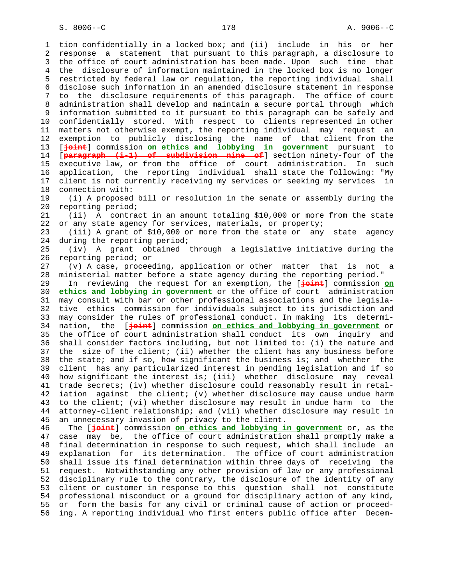S. 8006--C 178 A. 9006--C

 1 tion confidentially in a locked box; and (ii) include in his or her 2 response a statement that pursuant to this paragraph, a disclosure to 3 the office of court administration has been made. Upon such time that 4 the disclosure of information maintained in the locked box is no longer 5 restricted by federal law or regulation, the reporting individual shall 6 disclose such information in an amended disclosure statement in response 7 to the disclosure requirements of this paragraph. The office of court 8 administration shall develop and maintain a secure portal through which 9 information submitted to it pursuant to this paragraph can be safely and 10 confidentially stored. With respect to clients represented in other 11 matters not otherwise exempt, the reporting individual may request an 12 exemption to publicly disclosing the name of that client from the 13 [**joint**] commission **on ethics and lobbying in government** pursuant to 14 [**paragraph (i-1) of subdivision nine of**] section ninety-four of the 15 executive law, or from the office of court administration. In such 16 application, the reporting individual shall state the following: "My 17 client is not currently receiving my services or seeking my services in 18 connection with: 19 (i) A proposed bill or resolution in the senate or assembly during the 20 reporting period; 21 (ii) A contract in an amount totaling \$10,000 or more from the state 22 or any state agency for services, materials, or property; 23 (iii) A grant of \$10,000 or more from the state or any state agency 24 during the reporting period; 25 (iv) A grant obtained through a legislative initiative during the 26 reporting period; or 27 (v) A case, proceeding, application or other matter that is not a 28 ministerial matter before a state agency during the reporting period." 29 In reviewing the request for an exemption, the [**joint**] commission **on** 30 **ethics and lobbying in government** or the office of court administration 31 may consult with bar or other professional associations and the legisla- 32 tive ethics commission for individuals subject to its jurisdiction and 33 may consider the rules of professional conduct. In making its determi- 34 nation, the [**joint**] commission **on ethics and lobbying in government** or 35 the office of court administration shall conduct its own inquiry and 36 shall consider factors including, but not limited to: (i) the nature and 37 the size of the client; (ii) whether the client has any business before 38 the state; and if so, how significant the business is; and whether the 39 client has any particularized interest in pending legislation and if so 40 how significant the interest is; (iii) whether disclosure may reveal 41 trade secrets; (iv) whether disclosure could reasonably result in retal- 42 iation against the client; (v) whether disclosure may cause undue harm 43 to the client; (vi) whether disclosure may result in undue harm to the 44 attorney-client relationship; and (vii) whether disclosure may result in 45 an unnecessary invasion of privacy to the client. 46 The [**joint**] commission **on ethics and lobbying in government** or, as the 47 case may be, the office of court administration shall promptly make a 48 final determination in response to such request, which shall include an 49 explanation for its determination. The office of court administration 50 shall issue its final determination within three days of receiving the 51 request. Notwithstanding any other provision of law or any professional 52 disciplinary rule to the contrary, the disclosure of the identity of any 53 client or customer in response to this question shall not constitute 54 professional misconduct or a ground for disciplinary action of any kind, 55 or form the basis for any civil or criminal cause of action or proceed- 56 ing. A reporting individual who first enters public office after Decem-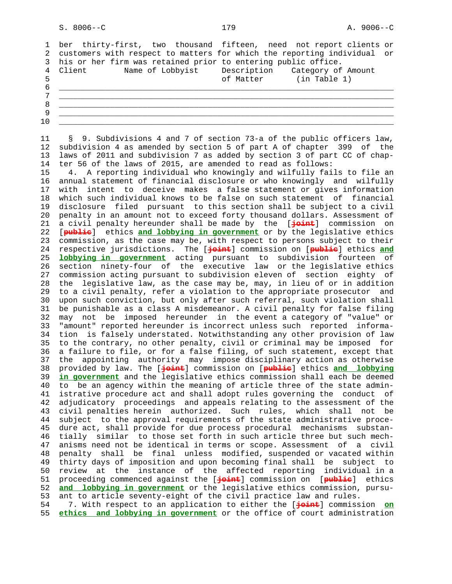1 ber thirty-first, two thousand fifteen, need not report clients or 2 customers with respect to matters for which the reporting individual or 3 his or her firm was retained prior to entering public office. 4 Client Name of Lobbyist Description Category of Amount of Matter (in Table 1) 6 \_\_\_\_\_\_\_\_\_\_\_\_\_\_\_\_\_\_\_\_\_\_\_\_\_\_\_\_\_\_\_\_\_\_\_\_\_\_\_\_\_\_\_\_\_\_\_\_\_\_\_\_\_\_\_\_\_\_\_\_\_\_\_\_\_\_\_\_\_\_\_\_ 7 \_\_\_\_\_\_\_\_\_\_\_\_\_\_\_\_\_\_\_\_\_\_\_\_\_\_\_\_\_\_\_\_\_\_\_\_\_\_\_\_\_\_\_\_\_\_\_\_\_\_\_\_\_\_\_\_\_\_\_\_\_\_\_\_\_\_\_\_\_\_\_\_ 8 \_\_\_\_\_\_\_\_\_\_\_\_\_\_\_\_\_\_\_\_\_\_\_\_\_\_\_\_\_\_\_\_\_\_\_\_\_\_\_\_\_\_\_\_\_\_\_\_\_\_\_\_\_\_\_\_\_\_\_\_\_\_\_\_\_\_\_\_\_\_\_\_

 11 § 9. Subdivisions 4 and 7 of section 73-a of the public officers law, 12 subdivision 4 as amended by section 5 of part A of chapter 399 of the 13 laws of 2011 and subdivision 7 as added by section 3 of part CC of chap- 14 ter 56 of the laws of 2015, are amended to read as follows:

 9 \_\_\_\_\_\_\_\_\_\_\_\_\_\_\_\_\_\_\_\_\_\_\_\_\_\_\_\_\_\_\_\_\_\_\_\_\_\_\_\_\_\_\_\_\_\_\_\_\_\_\_\_\_\_\_\_\_\_\_\_\_\_\_\_\_\_\_\_\_\_\_\_ 10 \_\_\_\_\_\_\_\_\_\_\_\_\_\_\_\_\_\_\_\_\_\_\_\_\_\_\_\_\_\_\_\_\_\_\_\_\_\_\_\_\_\_\_\_\_\_\_\_\_\_\_\_\_\_\_\_\_\_\_\_\_\_\_\_\_\_\_\_\_\_\_\_

 15 4. A reporting individual who knowingly and wilfully fails to file an 16 annual statement of financial disclosure or who knowingly and wilfully 17 with intent to deceive makes a false statement or gives information 18 which such individual knows to be false on such statement of financial 19 disclosure filed pursuant to this section shall be subject to a civil 20 penalty in an amount not to exceed forty thousand dollars. Assessment of 21 a civil penalty hereunder shall be made by the [**joint**] commission on 22 [**public**] ethics **and lobbying in government** or by the legislative ethics 23 commission, as the case may be, with respect to persons subject to their 24 respective jurisdictions. The [**joint**] commission on [**public**] ethics **and** 25 **lobbying in government** acting pursuant to subdivision fourteen of 26 section ninety-four of the executive law or the legislative ethics 27 commission acting pursuant to subdivision eleven of section eighty of 28 the legislative law, as the case may be, may, in lieu of or in addition 29 to a civil penalty, refer a violation to the appropriate prosecutor and 30 upon such conviction, but only after such referral, such violation shall 31 be punishable as a class A misdemeanor. A civil penalty for false filing 32 may not be imposed hereunder in the event a category of "value" or 33 "amount" reported hereunder is incorrect unless such reported informa- 34 tion is falsely understated. Notwithstanding any other provision of law 35 to the contrary, no other penalty, civil or criminal may be imposed for 36 a failure to file, or for a false filing, of such statement, except that 37 the appointing authority may impose disciplinary action as otherwise 38 provided by law. The [**joint**] commission on [**public**] ethics **and lobbying** 39 **in government** and the legislative ethics commission shall each be deemed 40 to be an agency within the meaning of article three of the state admin- 41 istrative procedure act and shall adopt rules governing the conduct of 42 adjudicatory proceedings and appeals relating to the assessment of the 43 civil penalties herein authorized. Such rules, which shall not be 44 subject to the approval requirements of the state administrative proce- 45 dure act, shall provide for due process procedural mechanisms substan- 46 tially similar to those set forth in such article three but such mech- 47 anisms need not be identical in terms or scope. Assessment of a civil 48 penalty shall be final unless modified, suspended or vacated within 49 thirty days of imposition and upon becoming final shall be subject to 50 review at the instance of the affected reporting individual in a 51 proceeding commenced against the [**joint**] commission on [**public**] ethics 52 **and lobbying in government** or the legislative ethics commission, pursu- 53 ant to article seventy-eight of the civil practice law and rules. 54 7. With respect to an application to either the [**joint**] commission **on** 55 **ethics and lobbying in government** or the office of court administration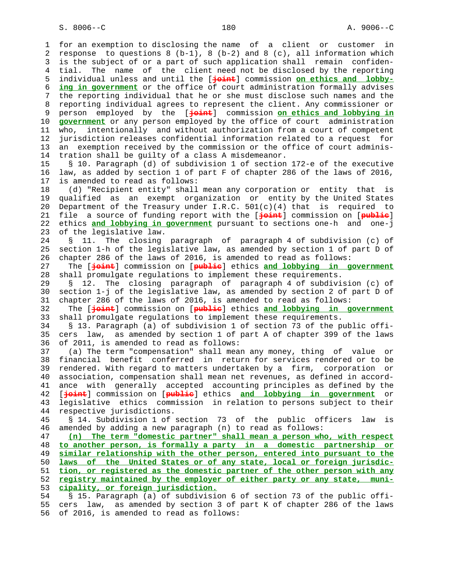S. 8006--C 180 A. 9006--C

 1 for an exemption to disclosing the name of a client or customer in 2 response to questions 8 (b-1), 8 (b-2) and 8 (c), all information which 3 is the subject of or a part of such application shall remain confiden- 4 tial. The name of the client need not be disclosed by the reporting 5 individual unless and until the [**joint**] commission **on ethics and lobby-** 6 **ing in government** or the office of court administration formally advises 7 the reporting individual that he or she must disclose such names and the 8 reporting individual agrees to represent the client. Any commissioner or 9 person employed by the [**joint**] commission **on ethics and lobbying in** 10 **government** or any person employed by the office of court administration 11 who, intentionally and without authorization from a court of competent 12 jurisdiction releases confidential information related to a request for 13 an exemption received by the commission or the office of court adminis- 14 tration shall be guilty of a class A misdemeanor. 15 § 10. Paragraph (d) of subdivision 1 of section 172-e of the executive 16 law, as added by section 1 of part F of chapter 286 of the laws of 2016, 17 is amended to read as follows: 18 (d) "Recipient entity" shall mean any corporation or entity that is 19 qualified as an exempt organization or entity by the United States 20 Department of the Treasury under I.R.C. 501(c)(4) that is required to 21 file a source of funding report with the [**joint**] commission on [**public**] 22 ethics **and lobbying in government** pursuant to sections one-h and one-j 23 of the legislative law. 24 § 11. The closing paragraph of paragraph 4 of subdivision (c) of 25 section 1-h of the legislative law, as amended by section 1 of part D of 26 chapter 286 of the laws of 2016, is amended to read as follows: 27 The [**joint**] commission on [**public**] ethics **and lobbying in government** 28 shall promulgate regulations to implement these requirements. 29 § 12. The closing paragraph of paragraph 4 of subdivision (c) of 30 section 1-j of the legislative law, as amended by section 2 of part D of 31 chapter 286 of the laws of 2016, is amended to read as follows: 32 The [**joint**] commission on [**public**] ethics **and lobbying in government** 33 shall promulgate regulations to implement these requirements. 34 § 13. Paragraph (a) of subdivision 1 of section 73 of the public offi- 35 cers law, as amended by section 1 of part A of chapter 399 of the laws 36 of 2011, is amended to read as follows: 37 (a) The term "compensation" shall mean any money, thing of value or 38 financial benefit conferred in return for services rendered or to be 39 rendered. With regard to matters undertaken by a firm, corporation or 40 association, compensation shall mean net revenues, as defined in accord- 41 ance with generally accepted accounting principles as defined by the 42 [**joint**] commission on [**public**] ethics **and lobbying in government** or 43 legislative ethics commission in relation to persons subject to their 44 respective jurisdictions. 45 § 14. Subdivision 1 of section 73 of the public officers law is 46 amended by adding a new paragraph (n) to read as follows: 47 **(n) The term "domestic partner" shall mean a person who, with respect** 48 **to another person, is formally a party in a domestic partnership or** 49 **similar relationship with the other person, entered into pursuant to the** 50 **laws of the United States or of any state, local or foreign jurisdic-** 51 **tion, or registered as the domestic partner of the other person with any** 52 **registry maintained by the employer of either party or any state, muni-** 53 **cipality, or foreign jurisdiction.** 54 § 15. Paragraph (a) of subdivision 6 of section 73 of the public offi- 55 cers law, as amended by section 3 of part K of chapter 286 of the laws

56 of 2016, is amended to read as follows: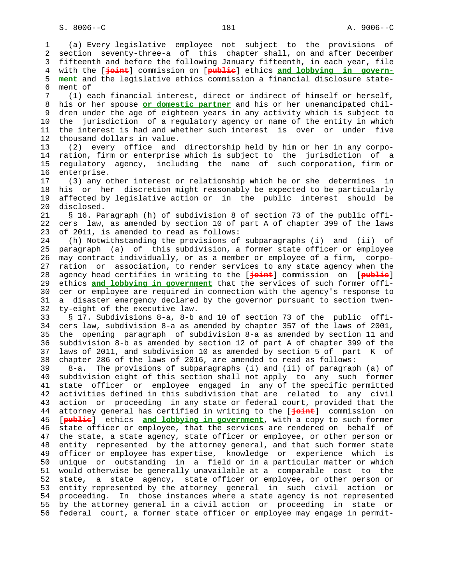1 (a) Every legislative employee not subject to the provisions of 2 section seventy-three-a of this chapter shall, on and after December 3 fifteenth and before the following January fifteenth, in each year, file 4 with the [**joint**] commission on [**public**] ethics **and lobbying in govern-** 5 **ment** and the legislative ethics commission a financial disclosure state- 6 ment of 7 (1) each financial interest, direct or indirect of himself or herself, 8 his or her spouse **or domestic partner** and his or her unemancipated chil- 9 dren under the age of eighteen years in any activity which is subject to 10 the jurisdiction of a regulatory agency or name of the entity in which 11 the interest is had and whether such interest is over or under five 12 thousand dollars in value. 13 (2) every office and directorship held by him or her in any corpo- 14 ration, firm or enterprise which is subject to the jurisdiction of a 15 regulatory agency, including the name of such corporation, firm or 16 enterprise. 17 (3) any other interest or relationship which he or she determines in 18 his or her discretion might reasonably be expected to be particularly 19 affected by legislative action or in the public interest should be 20 disclosed. 21 § 16. Paragraph (h) of subdivision 8 of section 73 of the public offi- 22 cers law, as amended by section 10 of part A of chapter 399 of the laws 23 of 2011, is amended to read as follows: 24 (h) Notwithstanding the provisions of subparagraphs (i) and (ii) of 25 paragraph (a) of this subdivision, a former state officer or employee 26 may contract individually, or as a member or employee of a firm, corpo- 27 ration or association, to render services to any state agency when the 28 agency head certifies in writing to the [**joint**] commission on [**public**] 29 ethics **and lobbying in government** that the services of such former offi- 30 cer or employee are required in connection with the agency's response to 31 a disaster emergency declared by the governor pursuant to section twen- 32 ty-eight of the executive law. 33 § 17. Subdivisions 8-a, 8-b and 10 of section 73 of the public offi- 34 cers law, subdivision 8-a as amended by chapter 357 of the laws of 2001, 35 the opening paragraph of subdivision 8-a as amended by section 11 and 36 subdivision 8-b as amended by section 12 of part A of chapter 399 of the 37 laws of 2011, and subdivision 10 as amended by section 5 of part K of 38 chapter 286 of the laws of 2016, are amended to read as follows: 39 8-a. The provisions of subparagraphs (i) and (ii) of paragraph (a) of 40 subdivision eight of this section shall not apply to any such former 41 state officer or employee engaged in any of the specific permitted 42 activities defined in this subdivision that are related to any civil 43 action or proceeding in any state or federal court, provided that the 44 attorney general has certified in writing to the [**joint**] commission on 45 [**public**] ethics **and lobbying in government**, with a copy to such former 46 state officer or employee, that the services are rendered on behalf of 47 the state, a state agency, state officer or employee, or other person or 48 entity represented by the attorney general, and that such former state 49 officer or employee has expertise, knowledge or experience which is 50 unique or outstanding in a field or in a particular matter or which 51 would otherwise be generally unavailable at a comparable cost to the 52 state, a state agency, state officer or employee, or other person or 53 entity represented by the attorney general in such civil action or 54 proceeding. In those instances where a state agency is not represented 55 by the attorney general in a civil action or proceeding in state or 56 federal court, a former state officer or employee may engage in permit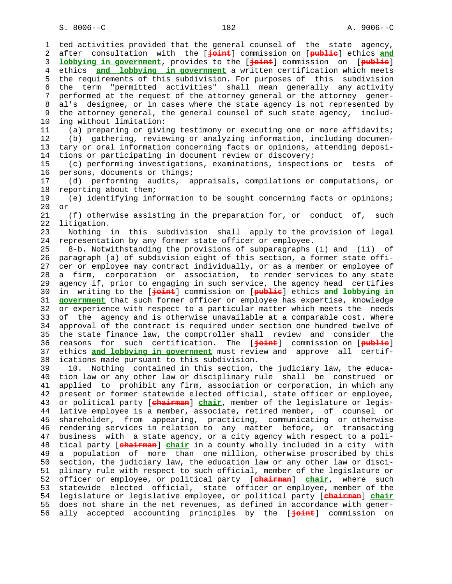S. 8006--C 182 A. 9006--C

 1 ted activities provided that the general counsel of the state agency, 2 after consultation with the [**joint**] commission on [**public**] ethics **and** 3 **lobbying in government**, provides to the [**joint**] commission on [**public**] 4 ethics **and lobbying in government** a written certification which meets 5 the requirements of this subdivision. For purposes of this subdivision 6 the term "permitted activities" shall mean generally any activity 7 performed at the request of the attorney general or the attorney gener- 8 al's designee, or in cases where the state agency is not represented by 9 the attorney general, the general counsel of such state agency, includ- 10 ing without limitation: 11 (a) preparing or giving testimony or executing one or more affidavits; 12 (b) gathering, reviewing or analyzing information, including documen- 13 tary or oral information concerning facts or opinions, attending deposi- 14 tions or participating in document review or discovery; 15 (c) performing investigations, examinations, inspections or tests of 16 persons, documents or things; 17 (d) performing audits, appraisals, compilations or computations, or 18 reporting about them; 19 (e) identifying information to be sought concerning facts or opinions; 20 or 21 (f) otherwise assisting in the preparation for, or conduct of, such 22 litigation. 23 Nothing in this subdivision shall apply to the provision of legal 24 representation by any former state officer or employee. 25 8-b. Notwithstanding the provisions of subparagraphs (i) and (ii) of 26 paragraph (a) of subdivision eight of this section, a former state offi- 27 cer or employee may contract individually, or as a member or employee of 28 a firm, corporation or association, to render services to any state 29 agency if, prior to engaging in such service, the agency head certifies 30 in writing to the [**joint**] commission on [**public**] ethics **and lobbying in** 31 **government** that such former officer or employee has expertise, knowledge 32 or experience with respect to a particular matter which meets the needs 33 of the agency and is otherwise unavailable at a comparable cost. Where 34 approval of the contract is required under section one hundred twelve of 35 the state finance law, the comptroller shall review and consider the 36 reasons for such certification. The [**joint**] commission on [**public**] 37 ethics **and lobbying in government** must review and approve all certif- 38 ications made pursuant to this subdivision. 39 10. Nothing contained in this section, the judiciary law, the educa- 40 tion law or any other law or disciplinary rule shall be construed or 41 applied to prohibit any firm, association or corporation, in which any 42 present or former statewide elected official, state officer or employee, 43 or political party [**chairman**] **chair**, member of the legislature or legis- 44 lative employee is a member, associate, retired member, of counsel or 45 shareholder, from appearing, practicing, communicating or otherwise 46 rendering services in relation to any matter before, or transacting 47 business with a state agency, or a city agency with respect to a poli- 48 tical party [**chairman**] **chair** in a county wholly included in a city with 49 a population of more than one million, otherwise proscribed by this 50 section, the judiciary law, the education law or any other law or disci- 51 plinary rule with respect to such official, member of the legislature or 52 officer or employee, or political party [**chairman**] **chair**, where such 53 statewide elected official, state officer or employee, member of the 54 legislature or legislative employee, or political party [**chairman**] **chair** 55 does not share in the net revenues, as defined in accordance with gener- 56 ally accepted accounting principles by the [**joint**] commission on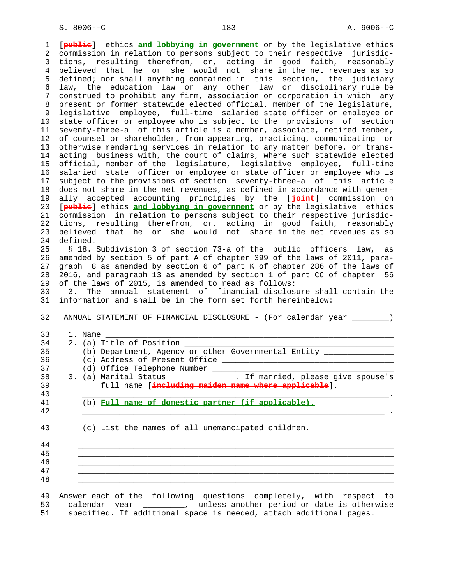1 [**public**] ethics **and lobbying in government** or by the legislative ethics 2 commission in relation to persons subject to their respective jurisdic- 3 tions, resulting therefrom, or, acting in good faith, reasonably 4 believed that he or she would not share in the net revenues as so 5 defined; nor shall anything contained in this section, the judiciary 6 law, the education law or any other law or disciplinary rule be 7 construed to prohibit any firm, association or corporation in which any 8 present or former statewide elected official, member of the legislature, 9 legislative employee, full-time salaried state officer or employee or 10 state officer or employee who is subject to the provisions of section 11 seventy-three-a of this article is a member, associate, retired member, 12 of counsel or shareholder, from appearing, practicing, communicating or 13 otherwise rendering services in relation to any matter before, or trans- 14 acting business with, the court of claims, where such statewide elected 15 official, member of the legislature, legislative employee, full-time 16 salaried state officer or employee or state officer or employee who is 17 subject to the provisions of section seventy-three-a of this article 18 does not share in the net revenues, as defined in accordance with gener- 19 ally accepted accounting principles by the [**joint**] commission on 20 [**public**] ethics **and lobbying in government** or by the legislative ethics 21 commission in relation to persons subject to their respective jurisdic- 22 tions, resulting therefrom, or, acting in good faith, reasonably 23 believed that he or she would not share in the net revenues as so 24 defined. 25 § 18. Subdivision 3 of section 73-a of the public officers law, as 26 amended by section 5 of part A of chapter 399 of the laws of 2011, para- 27 graph 8 as amended by section 6 of part K of chapter 286 of the laws of

 28 2016, and paragraph 13 as amended by section 1 of part CC of chapter 56 29 of the laws of 2015, is amended to read as follows:

 30 3. The annual statement of financial disclosure shall contain the 31 information and shall be in the form set forth hereinbelow:

32 ANNUAL STATEMENT OF FINANCIAL DISCLOSURE - (For calendar year \_\_\_\_\_\_\_\_)

 33 1. Name \_\_\_\_\_\_\_\_\_\_\_\_\_\_\_\_\_\_\_\_\_\_\_\_\_\_\_\_\_\_\_\_\_\_\_\_\_\_\_\_\_\_\_\_\_\_\_\_\_\_\_\_\_\_\_\_\_\_\_\_\_\_ 34 2. (a) Title of Position \_\_\_\_\_\_\_\_\_\_\_\_\_\_\_\_\_\_\_\_\_\_\_\_\_\_\_\_\_\_\_\_\_\_\_\_\_\_\_\_\_\_\_\_\_ 35 (b) Department, Agency or other Governmental Entity \_\_\_\_\_\_\_\_\_\_\_\_\_\_ 36 (c) Address of Present Office \_\_\_\_\_\_\_\_\_\_\_\_\_\_\_\_\_\_\_\_\_\_\_\_\_\_\_\_\_\_\_\_\_\_\_\_\_ 37 (d) Office Telephone Number \_\_\_\_\_\_\_\_\_\_\_\_\_\_\_\_\_\_\_\_\_\_\_\_\_\_\_\_\_\_\_\_\_\_\_\_\_\_\_ 38 3. (a) Marital Status \_\_\_\_\_\_\_\_\_\_\_\_\_\_. If married, please give spouse's 39 full name [**including maiden name where applicable**]. 40 \_\_\_\_\_\_\_\_\_\_\_\_\_\_\_\_\_\_\_\_\_\_\_\_\_\_\_\_\_\_\_\_\_\_\_\_\_\_\_\_\_\_\_\_\_\_\_\_\_\_\_\_\_\_\_\_\_\_\_\_\_\_\_\_\_\_.

## 41 (b) **Full name of domestic partner (if applicable).**

43 (c) List the names of all unemancipated children.

 44 \_\_\_\_\_\_\_\_\_\_\_\_\_\_\_\_\_\_\_\_\_\_\_\_\_\_\_\_\_\_\_\_\_\_\_\_\_\_\_\_\_\_\_\_\_\_\_\_\_\_\_\_\_\_\_\_\_\_\_\_\_\_\_\_\_\_\_\_ 45 \_\_\_\_\_\_\_\_\_\_\_\_\_\_\_\_\_\_\_\_\_\_\_\_\_\_\_\_\_\_\_\_\_\_\_\_\_\_\_\_\_\_\_\_\_\_\_\_\_\_\_\_\_\_\_\_\_\_\_\_\_\_\_\_\_\_\_\_ 46 \_\_\_\_\_\_\_\_\_\_\_\_\_\_\_\_\_\_\_\_\_\_\_\_\_\_\_\_\_\_\_\_\_\_\_\_\_\_\_\_\_\_\_\_\_\_\_\_\_\_\_\_\_\_\_\_\_\_\_\_\_\_\_\_\_\_\_\_ 47 \_\_\_\_\_\_\_\_\_\_\_\_\_\_\_\_\_\_\_\_\_\_\_\_\_\_\_\_\_\_\_\_\_\_\_\_\_\_\_\_\_\_\_\_\_\_\_\_\_\_\_\_\_\_\_\_\_\_\_\_\_\_\_\_\_\_\_\_ 48 \_\_\_\_\_\_\_\_\_\_\_\_\_\_\_\_\_\_\_\_\_\_\_\_\_\_\_\_\_\_\_\_\_\_\_\_\_\_\_\_\_\_\_\_\_\_\_\_\_\_\_\_\_\_\_\_\_\_\_\_\_\_\_\_\_\_\_\_

42 \_\_\_\_\_\_\_\_\_\_\_\_\_\_\_\_\_\_\_\_\_\_\_\_\_\_\_\_\_\_\_\_\_\_\_\_\_\_\_\_\_\_\_\_\_\_\_\_\_\_\_\_\_\_\_\_\_\_\_\_\_\_\_\_\_ .

 49 Answer each of the following questions completely, with respect to 50 calendar year \_\_\_\_\_\_\_\_\_, unless another period or date is otherwise 51 specified. If additional space is needed, attach additional pages.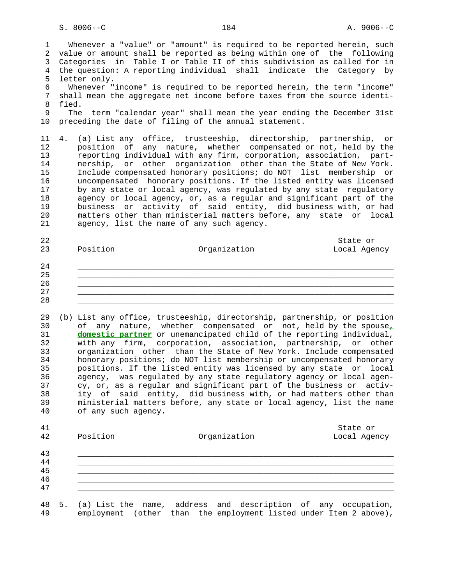S. 8006--C 184 A. 9006--C

 1 Whenever a "value" or "amount" is required to be reported herein, such 2 value or amount shall be reported as being within one of the following 3 Categories in Table I or Table II of this subdivision as called for in 4 the question: A reporting individual shall indicate the Category by 5 letter only. 6 Whenever "income" is required to be reported herein, the term "income" 7 shall mean the aggregate net income before taxes from the source identi- 8 fied. 9 The term "calendar year" shall mean the year ending the December 31st 10 preceding the date of filing of the annual statement.

 11 4. (a) List any office, trusteeship, directorship, partnership, or 12 position of any nature, whether compensated or not, held by the 13 reporting individual with any firm, corporation, association, part- 14 nership, or other organization other than the State of New York. 15 Include compensated honorary positions; do NOT list membership or 16 uncompensated honorary positions. If the listed entity was licensed 17 by any state or local agency, was regulated by any state regulatory 18 agency or local agency, or, as a regular and significant part of the business or activity of said entity, did business with, or had 20 matters other than ministerial matters before, any state or local 21 agency, list the name of any such agency.

22 State or  $\sim$  State or  $\sim$  23 Position Organization Local Agency 24 \_\_\_\_\_\_\_\_\_\_\_\_\_\_\_\_\_\_\_\_\_\_\_\_\_\_\_\_\_\_\_\_\_\_\_\_\_\_\_\_\_\_\_\_\_\_\_\_\_\_\_\_\_\_\_\_\_\_\_\_\_\_\_\_\_\_\_\_ 25 \_\_\_\_\_\_\_\_\_\_\_\_\_\_\_\_\_\_\_\_\_\_\_\_\_\_\_\_\_\_\_\_\_\_\_\_\_\_\_\_\_\_\_\_\_\_\_\_\_\_\_\_\_\_\_\_\_\_\_\_\_\_\_\_\_\_\_\_ 26 \_\_\_\_\_\_\_\_\_\_\_\_\_\_\_\_\_\_\_\_\_\_\_\_\_\_\_\_\_\_\_\_\_\_\_\_\_\_\_\_\_\_\_\_\_\_\_\_\_\_\_\_\_\_\_\_\_\_\_\_\_\_\_\_\_\_\_\_ 27 \_\_\_\_\_\_\_\_\_\_\_\_\_\_\_\_\_\_\_\_\_\_\_\_\_\_\_\_\_\_\_\_\_\_\_\_\_\_\_\_\_\_\_\_\_\_\_\_\_\_\_\_\_\_\_\_\_\_\_\_\_\_\_\_\_\_\_\_ 28 \_\_\_\_\_\_\_\_\_\_\_\_\_\_\_\_\_\_\_\_\_\_\_\_\_\_\_\_\_\_\_\_\_\_\_\_\_\_\_\_\_\_\_\_\_\_\_\_\_\_\_\_\_\_\_\_\_\_\_\_\_\_\_\_\_\_\_\_

 29 (b) List any office, trusteeship, directorship, partnership, or position 30 of any nature, whether compensated or not, held by the spouse**,** 31 **domestic partner** or unemancipated child of the reporting individual, 32 with any firm, corporation, association, partnership, or other 33 organization other than the State of New York. Include compensated 34 honorary positions; do NOT list membership or uncompensated honorary 35 positions. If the listed entity was licensed by any state or local 36 agency, was regulated by any state regulatory agency or local agen- 37 cy, or, as a regular and significant part of the business or activ- 38 ity of said entity, did business with, or had matters other than 39 ministerial matters before, any state or local agency, list the name 40 of any such agency.

| 41     |          |              | State or     |
|--------|----------|--------------|--------------|
| 42     | Position | Organization | Local Agency |
| 43     |          |              |              |
| $4\,4$ |          |              |              |
| 45     |          |              |              |
| 46     |          |              |              |
| 47     |          |              |              |
|        |          |              |              |
|        |          |              |              |

 48 5. (a) List the name, address and description of any occupation, 49 employment (other than the employment listed under Item 2 above),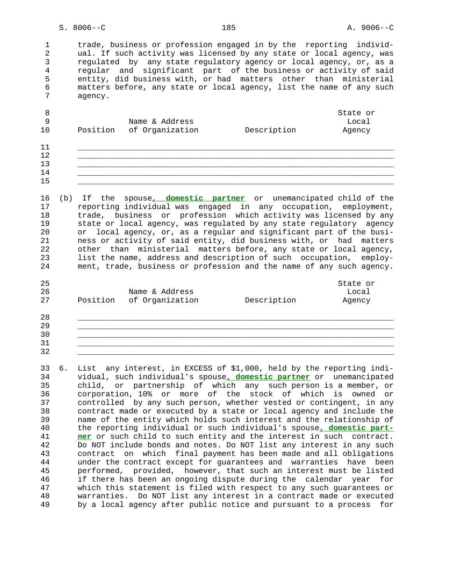S. 8006--C 185 A. 9006--C

 1 trade, business or profession engaged in by the reporting individ- 2 ual. If such activity was licensed by any state or local agency, was<br>3 regulated by any state regulatory agency or local agency, or, as a regulated by any state regulatory agency or local agency, or, as a 4 regular and significant part of the business or activity of said<br>5 entity, did business with, or had matters other than ministerial entity, did business with, or had matters other than ministerial 6 matters before, any state or local agency, list the name of any such 7 agency.

| 8  |          |                 |             | State or |
|----|----------|-----------------|-------------|----------|
| 9  |          | Name & Address  |             | Local    |
| 10 | Position | of Organization | Description | Agency   |
| 11 |          |                 |             |          |
| 12 |          |                 |             |          |
|    |          |                 |             |          |
| 13 |          |                 |             |          |
| 14 |          |                 |             |          |
| 15 |          |                 |             |          |

 16 (b) If the spouse**, domestic partner** or unemancipated child of the 17 reporting individual was engaged in any occupation, employment, 18 trade, business or profession which activity was licensed by any 19 state or local agency, was regulated by any state regulatory agency 20 or local agency, or, as a regular and significant part of the busi- 21 ness or activity of said entity, did business with, or had matters 22 other than ministerial matters before, any state or local agency, 23 list the name, address and description of such occupation, employ- 24 ment, trade, business or profession and the name of any such agency.

| 25 |          |                 |             | State or |
|----|----------|-----------------|-------------|----------|
| 26 |          | Name & Address  |             | Local    |
| 27 | Position | of Organization | Description | Agency   |
| 28 |          |                 |             |          |
| 29 |          |                 |             |          |
| 30 |          |                 |             |          |
| 31 |          |                 |             |          |
| 32 |          |                 |             |          |

 33 6. List any interest, in EXCESS of \$1,000, held by the reporting indi- 34 vidual, such individual's spouse**, domestic partner** or unemancipated 35 child, or partnership of which any such person is a member, or 36 corporation, 10% or more of the stock of which is owned or 37 controlled by any such person, whether vested or contingent, in any 38 contract made or executed by a state or local agency and include the 39 name of the entity which holds such interest and the relationship of 40 the reporting individual or such individual's spouse**, domestic part-** 41 **ner** or such child to such entity and the interest in such contract. 42 Do NOT include bonds and notes. Do NOT list any interest in any such 43 contract on which final payment has been made and all obligations 44 under the contract except for guarantees and warranties have been 45 performed, provided, however, that such an interest must be listed 46 if there has been an ongoing dispute during the calendar year for<br>47 which this statement is filed with respect to any such quarantees or which this statement is filed with respect to any such guarantees or 48 warranties. Do NOT list any interest in a contract made or executed 49 by a local agency after public notice and pursuant to a process for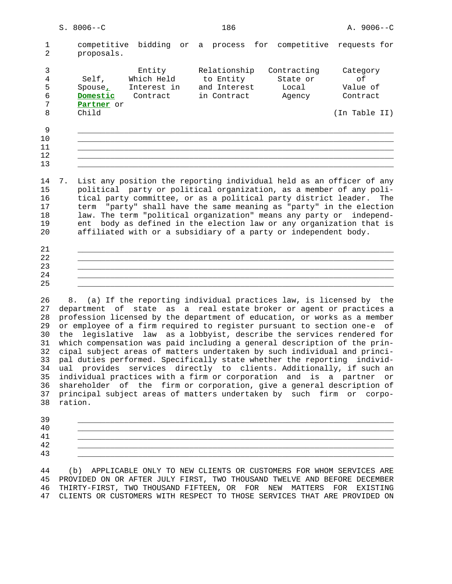|                                  |    | $S. 8006 - C$                                       |                                                 |  | 186                                                      |                                                                                                                                                                                                                                                                                                                                                                                                                                         | $A. 9006 - C$                                           |  |
|----------------------------------|----|-----------------------------------------------------|-------------------------------------------------|--|----------------------------------------------------------|-----------------------------------------------------------------------------------------------------------------------------------------------------------------------------------------------------------------------------------------------------------------------------------------------------------------------------------------------------------------------------------------------------------------------------------------|---------------------------------------------------------|--|
| $\mathbf 1$<br>$\overline{2}$    |    | proposals.                                          | competitive bidding                             |  | or a process                                             | for competitive requests for                                                                                                                                                                                                                                                                                                                                                                                                            |                                                         |  |
| 3<br>4<br>5<br>6<br>7<br>8       |    | Self,<br>Spouse,<br>Domestic<br>Partner or<br>Child | Entity<br>Which Held<br>Interest in<br>Contract |  | Relationship<br>to Entity<br>and Interest<br>in Contract | Contracting<br>State or<br>Local<br>Agency                                                                                                                                                                                                                                                                                                                                                                                              | Category<br>оf<br>Value of<br>Contract<br>(In Table II) |  |
| 9<br>10<br>11<br>12<br>13        |    |                                                     |                                                 |  |                                                          |                                                                                                                                                                                                                                                                                                                                                                                                                                         |                                                         |  |
| 14<br>15<br>16<br>17<br>18<br>19 | 7. |                                                     |                                                 |  |                                                          | List any position the reporting individual held as an officer of any<br>political party or political organization, as a member of any poli-<br>tical party committee, or as a political party district leader. The<br>term "party" shall have the same meaning as "party" in the election<br>law. The term "political organization" means any party or independ-<br>ent body as defined in the election law or any organization that is |                                                         |  |

 21 \_\_\_\_\_\_\_\_\_\_\_\_\_\_\_\_\_\_\_\_\_\_\_\_\_\_\_\_\_\_\_\_\_\_\_\_\_\_\_\_\_\_\_\_\_\_\_\_\_\_\_\_\_\_\_\_\_\_\_\_\_\_\_\_\_\_\_\_ 22 \_\_\_\_\_\_\_\_\_\_\_\_\_\_\_\_\_\_\_\_\_\_\_\_\_\_\_\_\_\_\_\_\_\_\_\_\_\_\_\_\_\_\_\_\_\_\_\_\_\_\_\_\_\_\_\_\_\_\_\_\_\_\_\_\_\_\_\_ 23 \_\_\_\_\_\_\_\_\_\_\_\_\_\_\_\_\_\_\_\_\_\_\_\_\_\_\_\_\_\_\_\_\_\_\_\_\_\_\_\_\_\_\_\_\_\_\_\_\_\_\_\_\_\_\_\_\_\_\_\_\_\_\_\_\_\_\_\_ 24 \_\_\_\_\_\_\_\_\_\_\_\_\_\_\_\_\_\_\_\_\_\_\_\_\_\_\_\_\_\_\_\_\_\_\_\_\_\_\_\_\_\_\_\_\_\_\_\_\_\_\_\_\_\_\_\_\_\_\_\_\_\_\_\_\_\_\_\_ 25 \_\_\_\_\_\_\_\_\_\_\_\_\_\_\_\_\_\_\_\_\_\_\_\_\_\_\_\_\_\_\_\_\_\_\_\_\_\_\_\_\_\_\_\_\_\_\_\_\_\_\_\_\_\_\_\_\_\_\_\_\_\_\_\_\_\_\_\_

20 affiliated with or a subsidiary of a party or independent body.

26 8. (a) If the reporting individual practices law, is licensed by the<br>27 department of state as a real estate broker or agent or practices a department of state as a real estate broker or agent or practices a 28 profession licensed by the department of education, or works as a member 29 or employee of a firm required to register pursuant to section one-e of 30 the legislative law as a lobbyist, describe the services rendered for 31 which compensation was paid including a general description of the prin- 32 cipal subject areas of matters undertaken by such individual and princi- 33 pal duties performed. Specifically state whether the reporting individ- 34 ual provides services directly to clients. Additionally, if such an 35 individual practices with a firm or corporation and is a partner or 36 shareholder of the firm or corporation, give a general description of 37 principal subject areas of matters undertaken by such firm or corpo- 38 ration.

 44 (b) APPLICABLE ONLY TO NEW CLIENTS OR CUSTOMERS FOR WHOM SERVICES ARE 45 PROVIDED ON OR AFTER JULY FIRST, TWO THOUSAND TWELVE AND BEFORE DECEMBER 46 THIRTY-FIRST, TWO THOUSAND FIFTEEN, OR FOR NEW MATTERS FOR EXISTING 47 CLIENTS OR CUSTOMERS WITH RESPECT TO THOSE SERVICES THAT ARE PROVIDED ON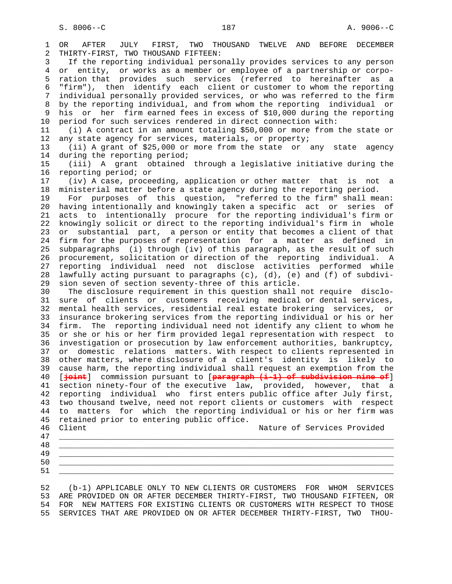1 OR AFTER JULY FIRST, TWO THOUSAND TWELVE AND BEFORE DECEMBER 2 THIRTY-FIRST, TWO THOUSAND FIFTEEN: 3 If the reporting individual personally provides services to any person 4 or entity, or works as a member or employee of a partnership or corpo- 5 ration that provides such services (referred to hereinafter as a 6 "firm"), then identify each client or customer to whom the reporting 7 individual personally provided services, or who was referred to the firm 8 by the reporting individual, and from whom the reporting individual or 9 his or her firm earned fees in excess of \$10,000 during the reporting 10 period for such services rendered in direct connection with: 11 (i) A contract in an amount totaling \$50,000 or more from the state or 12 any state agency for services, materials, or property; 13 (ii) A grant of \$25,000 or more from the state or any state agency 14 during the reporting period; 15 (iii) A grant obtained through a legislative initiative during the 16 reporting period; or 17 (iv) A case, proceeding, application or other matter that is not a 18 ministerial matter before a state agency during the reporting period. 19 For purposes of this question, "referred to the firm" shall mean: 20 having intentionally and knowingly taken a specific act or series of 21 acts to intentionally procure for the reporting individual's firm or 22 knowingly solicit or direct to the reporting individual's firm in whole 23 or substantial part, a person or entity that becomes a client of that 24 firm for the purposes of representation for a matter as defined in 25 subparagraphs (i) through (iv) of this paragraph, as the result of such 26 procurement, solicitation or direction of the reporting individual. A 27 reporting individual need not disclose activities performed while 28 lawfully acting pursuant to paragraphs (c), (d), (e) and (f) of subdivi- 29 sion seven of section seventy-three of this article. 30 The disclosure requirement in this question shall not require disclo- 31 sure of clients or customers receiving medical or dental services, 32 mental health services, residential real estate brokering services, or 33 insurance brokering services from the reporting individual or his or her 34 firm. The reporting individual need not identify any client to whom he 35 or she or his or her firm provided legal representation with respect to 36 investigation or prosecution by law enforcement authorities, bankruptcy, 37 or domestic relations matters. With respect to clients represented in 38 other matters, where disclosure of a client's identity is likely to 39 cause harm, the reporting individual shall request an exemption from the 40 [**joint**] commission pursuant to [**paragraph (i-1) of subdivision nine of**] 41 section ninety-four of the executive law, provided, however, that a 42 reporting individual who first enters public office after July first, 43 two thousand twelve, need not report clients or customers with respect 44 to matters for which the reporting individual or his or her firm was 45 retained prior to entering public office. 46 Client Nature of Services Provided 47 \_\_\_\_\_\_\_\_\_\_\_\_\_\_\_\_\_\_\_\_\_\_\_\_\_\_\_\_\_\_\_\_\_\_\_\_\_\_\_\_\_\_\_\_\_\_\_\_\_\_\_\_\_\_\_\_\_\_\_\_\_\_\_\_\_\_\_\_\_\_\_\_ 48 \_\_\_\_\_\_\_\_\_\_\_\_\_\_\_\_\_\_\_\_\_\_\_\_\_\_\_\_\_\_\_\_\_\_\_\_\_\_\_\_\_\_\_\_\_\_\_\_\_\_\_\_\_\_\_\_\_\_\_\_\_\_\_\_\_\_\_\_\_\_\_\_ 49 \_\_\_\_\_\_\_\_\_\_\_\_\_\_\_\_\_\_\_\_\_\_\_\_\_\_\_\_\_\_\_\_\_\_\_\_\_\_\_\_\_\_\_\_\_\_\_\_\_\_\_\_\_\_\_\_\_\_\_\_\_\_\_\_\_\_\_\_\_\_\_\_ 50 \_\_\_\_\_\_\_\_\_\_\_\_\_\_\_\_\_\_\_\_\_\_\_\_\_\_\_\_\_\_\_\_\_\_\_\_\_\_\_\_\_\_\_\_\_\_\_\_\_\_\_\_\_\_\_\_\_\_\_\_\_\_\_\_\_\_\_\_\_\_\_\_ 51 \_\_\_\_\_\_\_\_\_\_\_\_\_\_\_\_\_\_\_\_\_\_\_\_\_\_\_\_\_\_\_\_\_\_\_\_\_\_\_\_\_\_\_\_\_\_\_\_\_\_\_\_\_\_\_\_\_\_\_\_\_\_\_\_\_\_\_\_\_\_\_\_

 52 (b-1) APPLICABLE ONLY TO NEW CLIENTS OR CUSTOMERS FOR WHOM SERVICES 53 ARE PROVIDED ON OR AFTER DECEMBER THIRTY-FIRST, TWO THOUSAND FIFTEEN, OR 54 FOR NEW MATTERS FOR EXISTING CLIENTS OR CUSTOMERS WITH RESPECT TO THOSE 55 SERVICES THAT ARE PROVIDED ON OR AFTER DECEMBER THIRTY-FIRST, TWO THOU-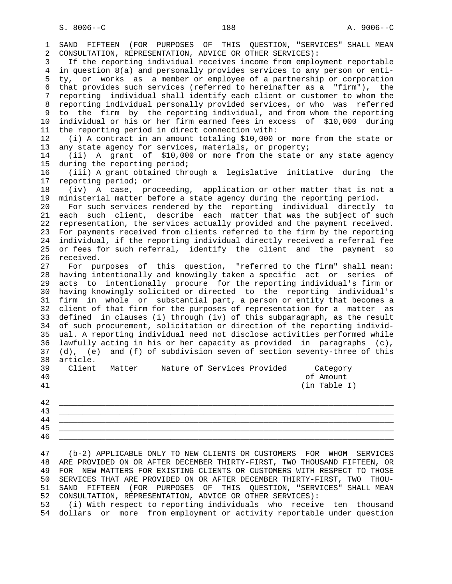1 SAND FIFTEEN (FOR PURPOSES OF THIS QUESTION, "SERVICES" SHALL MEAN 2 CONSULTATION, REPRESENTATION, ADVICE OR OTHER SERVICES): 3 If the reporting individual receives income from employment reportable 4 in question 8(a) and personally provides services to any person or enti- 5 ty, or works as a member or employee of a partnership or corporation 6 that provides such services (referred to hereinafter as a "firm"), the 7 reporting individual shall identify each client or customer to whom the 8 reporting individual personally provided services, or who was referred 9 to the firm by the reporting individual, and from whom the reporting 10 individual or his or her firm earned fees in excess of \$10,000 during 11 the reporting period in direct connection with: 12 (i) A contract in an amount totaling \$10,000 or more from the state or 13 any state agency for services, materials, or property; 14 (ii) A grant of \$10,000 or more from the state or any state agency 15 during the reporting period; 16 (iii) A grant obtained through a legislative initiative during the 17 reporting period; or 18 (iv) A case, proceeding, application or other matter that is not a 19 ministerial matter before a state agency during the reporting period. 20 For such services rendered by the reporting individual directly to 21 each such client, describe each matter that was the subject of such 22 representation, the services actually provided and the payment received. 23 For payments received from clients referred to the firm by the reporting 24 individual, if the reporting individual directly received a referral fee 25 or fees for such referral, identify the client and the payment so 26 received. 27 For purposes of this question, "referred to the firm" shall mean: 28 having intentionally and knowingly taken a specific act or series of 29 acts to intentionally procure for the reporting individual's firm or 30 having knowingly solicited or directed to the reporting individual's 31 firm in whole or substantial part, a person or entity that becomes a 32 client of that firm for the purposes of representation for a matter as 33 defined in clauses (i) through (iv) of this subparagraph, as the result 34 of such procurement, solicitation or direction of the reporting individ- 35 ual. A reporting individual need not disclose activities performed while 36 lawfully acting in his or her capacity as provided in paragraphs (c), 37 (d), (e) and (f) of subdivision seven of section seventy-three of this 38 article. 39 Client Matter Nature of Services Provided Category 40 of Amount 41 (in Table I) 42 \_\_\_\_\_\_\_\_\_\_\_\_\_\_\_\_\_\_\_\_\_\_\_\_\_\_\_\_\_\_\_\_\_\_\_\_\_\_\_\_\_\_\_\_\_\_\_\_\_\_\_\_\_\_\_\_\_\_\_\_\_\_\_\_\_\_\_\_\_\_\_\_ 43 \_\_\_\_\_\_\_\_\_\_\_\_\_\_\_\_\_\_\_\_\_\_\_\_\_\_\_\_\_\_\_\_\_\_\_\_\_\_\_\_\_\_\_\_\_\_\_\_\_\_\_\_\_\_\_\_\_\_\_\_\_\_\_\_\_\_\_\_\_\_\_\_ 44 \_\_\_\_\_\_\_\_\_\_\_\_\_\_\_\_\_\_\_\_\_\_\_\_\_\_\_\_\_\_\_\_\_\_\_\_\_\_\_\_\_\_\_\_\_\_\_\_\_\_\_\_\_\_\_\_\_\_\_\_\_\_\_\_\_\_\_\_\_\_\_\_ 45 \_\_\_\_\_\_\_\_\_\_\_\_\_\_\_\_\_\_\_\_\_\_\_\_\_\_\_\_\_\_\_\_\_\_\_\_\_\_\_\_\_\_\_\_\_\_\_\_\_\_\_\_\_\_\_\_\_\_\_\_\_\_\_\_\_\_\_\_\_\_\_\_ 46 \_\_\_\_\_\_\_\_\_\_\_\_\_\_\_\_\_\_\_\_\_\_\_\_\_\_\_\_\_\_\_\_\_\_\_\_\_\_\_\_\_\_\_\_\_\_\_\_\_\_\_\_\_\_\_\_\_\_\_\_\_\_\_\_\_\_\_\_\_\_\_\_

 47 (b-2) APPLICABLE ONLY TO NEW CLIENTS OR CUSTOMERS FOR WHOM SERVICES 48 ARE PROVIDED ON OR AFTER DECEMBER THIRTY-FIRST, TWO THOUSAND FIFTEEN, OR 49 FOR NEW MATTERS FOR EXISTING CLIENTS OR CUSTOMERS WITH RESPECT TO THOSE 50 SERVICES THAT ARE PROVIDED ON OR AFTER DECEMBER THIRTY-FIRST, TWO THOU- 51 SAND FIFTEEN (FOR PURPOSES OF THIS QUESTION, "SERVICES" SHALL MEAN 52 CONSULTATION, REPRESENTATION, ADVICE OR OTHER SERVICES):

 53 (i) With respect to reporting individuals who receive ten thousand 54 dollars or more from employment or activity reportable under question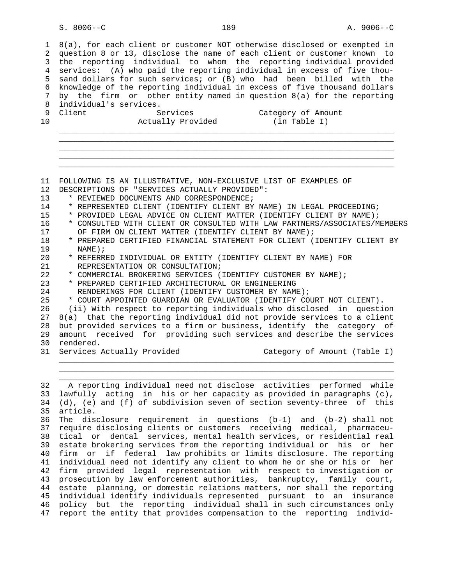### S. 8006--C 189 A. 9006--C

 1 8(a), for each client or customer NOT otherwise disclosed or exempted in 2 question 8 or 13, disclose the name of each client or customer known to 3 the reporting individual to whom the reporting individual provided 4 services: (A) who paid the reporting individual in excess of five thou- 5 sand dollars for such services; or (B) who had been billed with the 6 knowledge of the reporting individual in excess of five thousand dollars 7 by the firm or other entity named in question 8(a) for the reporting 8 individual's services.

 $\mathcal{L}_\text{max} = \frac{1}{2} \sum_{i=1}^{n} \frac{1}{2} \sum_{i=1}^{n} \frac{1}{2} \sum_{i=1}^{n} \frac{1}{2} \sum_{i=1}^{n} \frac{1}{2} \sum_{i=1}^{n} \frac{1}{2} \sum_{i=1}^{n} \frac{1}{2} \sum_{i=1}^{n} \frac{1}{2} \sum_{i=1}^{n} \frac{1}{2} \sum_{i=1}^{n} \frac{1}{2} \sum_{i=1}^{n} \frac{1}{2} \sum_{i=1}^{n} \frac{1}{2} \sum_{i=1}^{n} \frac{1$  $\mathcal{L}_\text{max} = \frac{1}{2} \sum_{i=1}^{n} \frac{1}{2} \sum_{i=1}^{n} \frac{1}{2} \sum_{i=1}^{n} \frac{1}{2} \sum_{i=1}^{n} \frac{1}{2} \sum_{i=1}^{n} \frac{1}{2} \sum_{i=1}^{n} \frac{1}{2} \sum_{i=1}^{n} \frac{1}{2} \sum_{i=1}^{n} \frac{1}{2} \sum_{i=1}^{n} \frac{1}{2} \sum_{i=1}^{n} \frac{1}{2} \sum_{i=1}^{n} \frac{1}{2} \sum_{i=1}^{n} \frac{1$  $\mathcal{L}_\text{max} = \frac{1}{2} \sum_{i=1}^{n} \frac{1}{2} \sum_{i=1}^{n} \frac{1}{2} \sum_{i=1}^{n} \frac{1}{2} \sum_{i=1}^{n} \frac{1}{2} \sum_{i=1}^{n} \frac{1}{2} \sum_{i=1}^{n} \frac{1}{2} \sum_{i=1}^{n} \frac{1}{2} \sum_{i=1}^{n} \frac{1}{2} \sum_{i=1}^{n} \frac{1}{2} \sum_{i=1}^{n} \frac{1}{2} \sum_{i=1}^{n} \frac{1}{2} \sum_{i=1}^{n} \frac{1$  $\mathcal{L}_\text{max}$  , and the set of the set of the set of the set of the set of the set of the set of the set of the set of the set of the set of the set of the set of the set of the set of the set of the set of the set of the  $\mathcal{L}_\text{max} = \frac{1}{2} \sum_{i=1}^{n} \frac{1}{2} \sum_{i=1}^{n} \frac{1}{2} \sum_{i=1}^{n} \frac{1}{2} \sum_{i=1}^{n} \frac{1}{2} \sum_{i=1}^{n} \frac{1}{2} \sum_{i=1}^{n} \frac{1}{2} \sum_{i=1}^{n} \frac{1}{2} \sum_{i=1}^{n} \frac{1}{2} \sum_{i=1}^{n} \frac{1}{2} \sum_{i=1}^{n} \frac{1}{2} \sum_{i=1}^{n} \frac{1}{2} \sum_{i=1}^{n} \frac{1$ 

 9 Client Services Category of Amount Actually Provided (in Table I)

 11 FOLLOWING IS AN ILLUSTRATIVE, NON-EXCLUSIVE LIST OF EXAMPLES OF 12 DESCRIPTIONS OF "SERVICES ACTUALLY PROVIDED": 13 \* REVIEWED DOCUMENTS AND CORRESPONDENCE; 14 \* REPRESENTED CLIENT (IDENTIFY CLIENT BY NAME) IN LEGAL PROCEEDING; 15 \* PROVIDED LEGAL ADVICE ON CLIENT MATTER (IDENTIFY CLIENT BY NAME); 16 \* CONSULTED WITH CLIENT OR CONSULTED WITH LAW PARTNERS/ASSOCIATES/MEMBERS 17 OF FIRM ON CLIENT MATTER (IDENTIFY CLIENT BY NAME); 18 \* PREPARED CERTIFIED FINANCIAL STATEMENT FOR CLIENT (IDENTIFY CLIENT BY 19 NAME); 20 \* REFERRED INDIVIDUAL OR ENTITY (IDENTIFY CLIENT BY NAME) FOR 21 REPRESENTATION OR CONSULTATION; 22 \* COMMERCIAL BROKERING SERVICES (IDENTIFY CUSTOMER BY NAME); 23 \* PREPARED CERTIFIED ARCHITECTURAL OR ENGINEERING 24 RENDERINGS FOR CLIENT (IDENTIFY CUSTOMER BY NAME); 25 \* COURT APPOINTED GUARDIAN OR EVALUATOR (IDENTIFY COURT NOT CLIENT). 26 (ii) With respect to reporting individuals who disclosed in question 27 8(a) that the reporting individual did not provide services to a client 28 but provided services to a firm or business, identify the category of 29 amount received for providing such services and describe the services 30 rendered. 31 Services Actually Provided Category of Amount (Table I)  $\mathcal{L}_\text{max} = \frac{1}{2} \sum_{i=1}^{n} \frac{1}{2} \sum_{i=1}^{n} \frac{1}{2} \sum_{i=1}^{n} \frac{1}{2} \sum_{i=1}^{n} \frac{1}{2} \sum_{i=1}^{n} \frac{1}{2} \sum_{i=1}^{n} \frac{1}{2} \sum_{i=1}^{n} \frac{1}{2} \sum_{i=1}^{n} \frac{1}{2} \sum_{i=1}^{n} \frac{1}{2} \sum_{i=1}^{n} \frac{1}{2} \sum_{i=1}^{n} \frac{1}{2} \sum_{i=1}^{n} \frac{1$ 

 32 A reporting individual need not disclose activities performed while 33 lawfully acting in his or her capacity as provided in paragraphs (c), 34 (d), (e) and (f) of subdivision seven of section seventy-three of this 35 article. 36 The disclosure requirement in questions (b-1) and (b-2) shall not 37 require disclosing clients or customers receiving medical, pharmaceu- 38 tical or dental services, mental health services, or residential real 39 estate brokering services from the reporting individual or his or her 40 firm or if federal law prohibits or limits disclosure. The reporting 41 individual need not identify any client to whom he or she or his or her 42 firm provided legal representation with respect to investigation or 43 prosecution by law enforcement authorities, bankruptcy, family court, 44 estate planning, or domestic relations matters, nor shall the reporting 45 individual identify individuals represented pursuant to an insurance 46 policy but the reporting individual shall in such circumstances only 47 report the entity that provides compensation to the reporting individ-

 $\mathcal{L}_\text{max}$  , and the set of the set of the set of the set of the set of the set of the set of the set of the set of the set of the set of the set of the set of the set of the set of the set of the set of the set of the  $\mathcal{L}_\text{max} = \frac{1}{2} \sum_{i=1}^{n} \frac{1}{2} \sum_{i=1}^{n} \frac{1}{2} \sum_{i=1}^{n} \frac{1}{2} \sum_{i=1}^{n} \frac{1}{2} \sum_{i=1}^{n} \frac{1}{2} \sum_{i=1}^{n} \frac{1}{2} \sum_{i=1}^{n} \frac{1}{2} \sum_{i=1}^{n} \frac{1}{2} \sum_{i=1}^{n} \frac{1}{2} \sum_{i=1}^{n} \frac{1}{2} \sum_{i=1}^{n} \frac{1}{2} \sum_{i=1}^{n} \frac{1$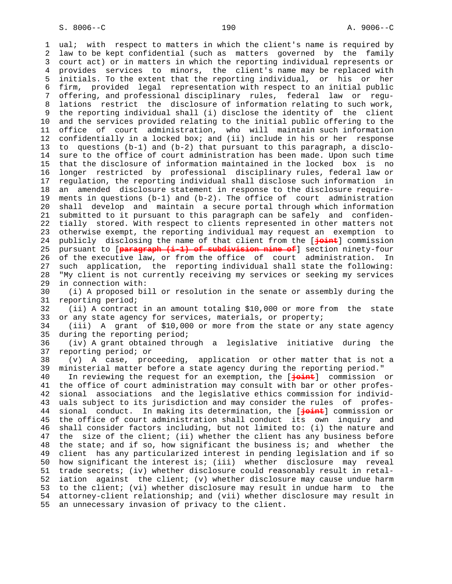1 ual; with respect to matters in which the client's name is required by 2 law to be kept confidential (such as matters governed by the family 3 court act) or in matters in which the reporting individual represents or 4 provides services to minors, the client's name may be replaced with 5 initials. To the extent that the reporting individual, or his or her 6 firm, provided legal representation with respect to an initial public 7 offering, and professional disciplinary rules, federal law or regu- 8 lations restrict the disclosure of information relating to such work, 9 the reporting individual shall (i) disclose the identity of the client 10 and the services provided relating to the initial public offering to the 11 office of court administration, who will maintain such information 12 confidentially in a locked box; and (ii) include in his or her response 13 to questions (b-1) and (b-2) that pursuant to this paragraph, a disclo- 14 sure to the office of court administration has been made. Upon such time 15 that the disclosure of information maintained in the locked box is no 16 longer restricted by professional disciplinary rules, federal law or 17 regulation, the reporting individual shall disclose such information in 18 an amended disclosure statement in response to the disclosure require- 19 ments in questions (b-1) and (b-2). The office of court administration 20 shall develop and maintain a secure portal through which information 21 submitted to it pursuant to this paragraph can be safely and confiden- 22 tially stored. With respect to clients represented in other matters not 23 otherwise exempt, the reporting individual may request an exemption to 24 publicly disclosing the name of that client from the [**joint**] commission 25 pursuant to [**paragraph (i-1) of subdivision nine of**] section ninety-four 26 of the executive law, or from the office of court administration. In 27 such application, the reporting individual shall state the following: 28 "My client is not currently receiving my services or seeking my services 29 in connection with: 30 (i) A proposed bill or resolution in the senate or assembly during the 31 reporting period; 32 (ii) A contract in an amount totaling \$10,000 or more from the state 33 or any state agency for services, materials, or property; 34 (iii) A grant of \$10,000 or more from the state or any state agency 35 during the reporting period; 36 (iv) A grant obtained through a legislative initiative during the 37 reporting period; or 38 (v) A case, proceeding, application or other matter that is not a 39 ministerial matter before a state agency during the reporting period." 40 In reviewing the request for an exemption, the [**joint**] commission or 41 the office of court administration may consult with bar or other profes- 42 sional associations and the legislative ethics commission for individ- 43 uals subject to its jurisdiction and may consider the rules of profes- 44 sional conduct. In making its determination, the [**joint**] commission or 45 the office of court administration shall conduct its own inquiry and 46 shall consider factors including, but not limited to: (i) the nature and 47 the size of the client; (ii) whether the client has any business before 48 the state; and if so, how significant the business is; and whether the 49 client has any particularized interest in pending legislation and if so 50 how significant the interest is; (iii) whether disclosure may reveal 51 trade secrets; (iv) whether disclosure could reasonably result in retal- 52 iation against the client; (v) whether disclosure may cause undue harm 53 to the client; (vi) whether disclosure may result in undue harm to the 54 attorney-client relationship; and (vii) whether disclosure may result in 55 an unnecessary invasion of privacy to the client.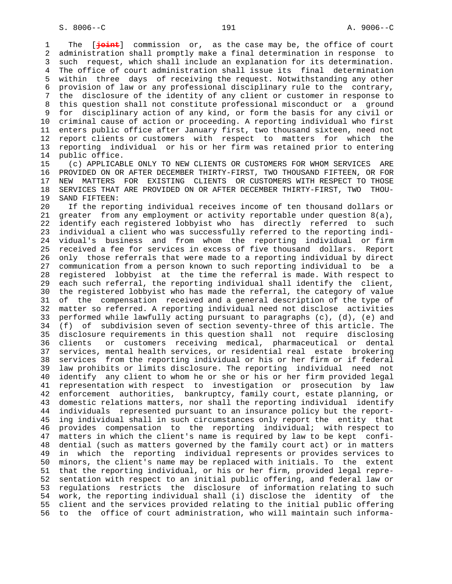1 The [**joint**] commission or, as the case may be, the office of court 2 administration shall promptly make a final determination in response to 3 such request, which shall include an explanation for its determination. 4 The office of court administration shall issue its final determination 5 within three days of receiving the request. Notwithstanding any other 6 provision of law or any professional disciplinary rule to the contrary, 7 the disclosure of the identity of any client or customer in response to 8 this question shall not constitute professional misconduct or a ground 9 for disciplinary action of any kind, or form the basis for any civil or 10 criminal cause of action or proceeding. A reporting individual who first 11 enters public office after January first, two thousand sixteen, need not 12 report clients or customers with respect to matters for which the 13 reporting individual or his or her firm was retained prior to entering 14 public office.

 15 (c) APPLICABLE ONLY TO NEW CLIENTS OR CUSTOMERS FOR WHOM SERVICES ARE 16 PROVIDED ON OR AFTER DECEMBER THIRTY-FIRST, TWO THOUSAND FIFTEEN, OR FOR 17 NEW MATTERS FOR EXISTING CLIENTS OR CUSTOMERS WITH RESPECT TO THOSE 18 SERVICES THAT ARE PROVIDED ON OR AFTER DECEMBER THIRTY-FIRST, TWO THOU- 19 SAND FIFTEEN:

 20 If the reporting individual receives income of ten thousand dollars or 21 greater from any employment or activity reportable under question 8(a), 22 identify each registered lobbyist who has directly referred to such 23 individual a client who was successfully referred to the reporting indi- 24 vidual's business and from whom the reporting individual or firm 25 received a fee for services in excess of five thousand dollars. Report 26 only those referrals that were made to a reporting individual by direct 27 communication from a person known to such reporting individual to be a 28 registered lobbyist at the time the referral is made. With respect to 29 each such referral, the reporting individual shall identify the client, 30 the registered lobbyist who has made the referral, the category of value 31 of the compensation received and a general description of the type of 32 matter so referred. A reporting individual need not disclose activities 33 performed while lawfully acting pursuant to paragraphs (c), (d), (e) and 34 (f) of subdivision seven of section seventy-three of this article. The 35 disclosure requirements in this question shall not require disclosing 36 clients or customers receiving medical, pharmaceutical or dental 37 services, mental health services, or residential real estate brokering 38 services from the reporting individual or his or her firm or if federal 39 law prohibits or limits disclosure. The reporting individual need not 40 identify any client to whom he or she or his or her firm provided legal 41 representation with respect to investigation or prosecution by law 42 enforcement authorities, bankruptcy, family court, estate planning, or 43 domestic relations matters, nor shall the reporting individual identify 44 individuals represented pursuant to an insurance policy but the report- 45 ing individual shall in such circumstances only report the entity that 46 provides compensation to the reporting individual; with respect to 47 matters in which the client's name is required by law to be kept confi- 48 dential (such as matters governed by the family court act) or in matters 49 in which the reporting individual represents or provides services to 50 minors, the client's name may be replaced with initials. To the extent 51 that the reporting individual, or his or her firm, provided legal repre- 52 sentation with respect to an initial public offering, and federal law or 53 regulations restricts the disclosure of information relating to such 54 work, the reporting individual shall (i) disclose the identity of the 55 client and the services provided relating to the initial public offering 56 to the office of court administration, who will maintain such informa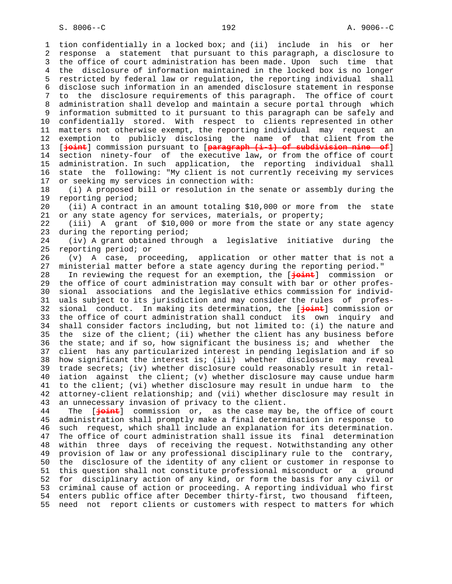S. 8006--C 192 A. 9006--C

 1 tion confidentially in a locked box; and (ii) include in his or her 2 response a statement that pursuant to this paragraph, a disclosure to 3 the office of court administration has been made. Upon such time that 4 the disclosure of information maintained in the locked box is no longer 5 restricted by federal law or regulation, the reporting individual shall 6 disclose such information in an amended disclosure statement in response 7 to the disclosure requirements of this paragraph. The office of court 8 administration shall develop and maintain a secure portal through which 9 information submitted to it pursuant to this paragraph can be safely and<br>10 confidentially stored. With respect to clients represented in other confidentially stored. With respect to clients represented in other 11 matters not otherwise exempt, the reporting individual may request an 12 exemption to publicly disclosing the name of that client from the 13 [**joint**] commission pursuant to [**paragraph (i-1) of subdivision nine of**] 14 section ninety-four of the executive law, or from the office of court 15 administration. In such application, the reporting individual shall 16 state the following: "My client is not currently receiving my services 17 or seeking my services in connection with: 18 (i) A proposed bill or resolution in the senate or assembly during the 19 reporting period; 20 (ii) A contract in an amount totaling \$10,000 or more from the state 21 or any state agency for services, materials, or property; 22 (iii) A grant of \$10,000 or more from the state or any state agency 23 during the reporting period; 24 (iv) A grant obtained through a legislative initiative during the 25 reporting period; or 26 (v) A case, proceeding, application or other matter that is not a 27 ministerial matter before a state agency during the reporting period." 28 In reviewing the request for an exemption, the [**joint**] commission or 29 the office of court administration may consult with bar or other profes- 30 sional associations and the legislative ethics commission for individ- 31 uals subject to its jurisdiction and may consider the rules of profes- 32 sional conduct. In making its determination, the [**joint**] commission or 33 the office of court administration shall conduct its own inquiry and 34 shall consider factors including, but not limited to: (i) the nature and 35 the size of the client; (ii) whether the client has any business before 36 the state; and if so, how significant the business is; and whether the 37 client has any particularized interest in pending legislation and if so 38 how significant the interest is; (iii) whether disclosure may reveal 39 trade secrets; (iv) whether disclosure could reasonably result in retal- 40 iation against the client; (v) whether disclosure may cause undue harm 41 to the client; (vi) whether disclosure may result in undue harm to the 42 attorney-client relationship; and (vii) whether disclosure may result in 43 an unnecessary invasion of privacy to the client. 44 The [**joint**] commission or, as the case may be, the office of court 45 administration shall promptly make a final determination in response to 46 such request, which shall include an explanation for its determination. 47 The office of court administration shall issue its final determination 48 within three days of receiving the request. Notwithstanding any other 49 provision of law or any professional disciplinary rule to the contrary, 50 the disclosure of the identity of any client or customer in response to 51 this question shall not constitute professional misconduct or a ground 52 for disciplinary action of any kind, or form the basis for any civil or 53 criminal cause of action or proceeding. A reporting individual who first 54 enters public office after December thirty-first, two thousand fifteen, 55 need not report clients or customers with respect to matters for which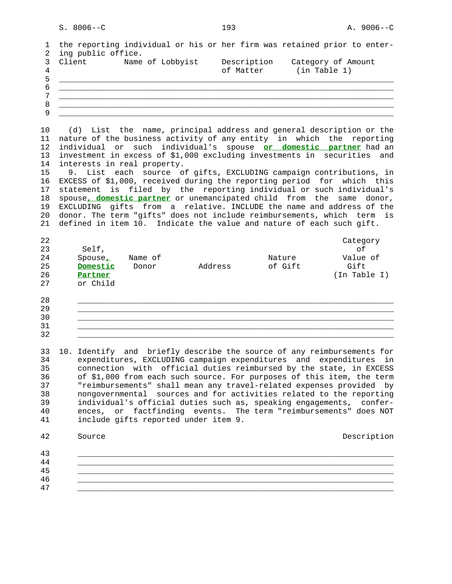| 3<br>$\overline{4}$                                | Client                                                      | Name of Lobbyist            |                                      | Description<br>of Matter | Category of Amount<br>(in Table 1)                                                                                                                                                                                                                                                                                                                                                                                                                                                                                                                                                         |
|----------------------------------------------------|-------------------------------------------------------------|-----------------------------|--------------------------------------|--------------------------|--------------------------------------------------------------------------------------------------------------------------------------------------------------------------------------------------------------------------------------------------------------------------------------------------------------------------------------------------------------------------------------------------------------------------------------------------------------------------------------------------------------------------------------------------------------------------------------------|
| 5<br>6<br>7                                        |                                                             |                             |                                      |                          |                                                                                                                                                                                                                                                                                                                                                                                                                                                                                                                                                                                            |
| $\,8\,$<br>9                                       |                                                             |                             |                                      |                          |                                                                                                                                                                                                                                                                                                                                                                                                                                                                                                                                                                                            |
| 10<br>11<br>12<br>13<br>14<br>15<br>16<br>17<br>18 | 9.                                                          | interests in real property. |                                      |                          | (d) List the name, principal address and general description or the<br>nature of the business activity of any entity in which the reporting<br>individual or such individual's spouse or domestic partner had an<br>investment in excess of \$1,000 excluding investments in securities and<br>List each source of gifts, EXCLUDING campaign contributions, in<br>EXCESS of \$1,000, received during the reporting period for which this<br>statement is filed by the reporting individual or such individual's<br>spouse, domestic partner or unemancipated child from the same<br>donor, |
| 19<br>20<br>21                                     | EXCLUDING                                                   |                             |                                      |                          | gifts from a relative. INCLUDE the name and address of the<br>donor. The term "gifts" does not include reimbursements, which term is<br>defined in item 10. Indicate the value and nature of each such gift.                                                                                                                                                                                                                                                                                                                                                                               |
| 22<br>23<br>24<br>25<br>26<br>27                   | Self,<br>Spouse <u>.</u><br>Domestic<br>Partner<br>or Child | Name of<br>Donor            | Address                              | Nature<br>of Gift        | Category<br>оf<br>Value of<br>Gift<br>(In Table I)                                                                                                                                                                                                                                                                                                                                                                                                                                                                                                                                         |
| 28<br>29<br>30<br>31<br>32                         |                                                             |                             |                                      |                          |                                                                                                                                                                                                                                                                                                                                                                                                                                                                                                                                                                                            |
| 33<br>34<br>35<br>36<br>37<br>38<br>39<br>40<br>41 |                                                             |                             | include gifts reported under item 9. |                          | 10. Identify and briefly describe the source of any reimbursements for<br>expenditures, EXCLUDING campaign expenditures and expenditures in<br>connection with official duties reimbursed by the state, in EXCESS<br>of \$1,000 from each such source. For purposes of this item, the term<br>"reimbursements" shall mean any travel-related expenses provided by<br>nongovernmental sources and for activities related to the reporting<br>individual's official duties such as, speaking engagements, confer-<br>ences, or factfinding events. The term "reimbursements" does NOT        |
| 42                                                 | Source                                                      |                             |                                      |                          | Description                                                                                                                                                                                                                                                                                                                                                                                                                                                                                                                                                                                |
| 43<br>44<br>45                                     |                                                             |                             |                                      |                          |                                                                                                                                                                                                                                                                                                                                                                                                                                                                                                                                                                                            |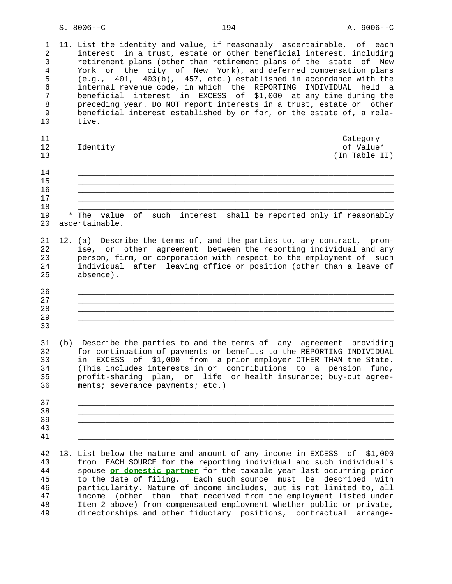| 1<br>2<br>3<br>4<br>5<br>6<br>7<br>8<br>9<br>10                | 11. List the identity and value, if reasonably ascertainable, of each<br>interest in a trust, estate or other beneficial interest, including<br>retirement plans (other than retirement plans of the state of New<br>York or the city of New York), and deferred compensation plans<br>$403(b)$ , $457$ , etc.) established in accordance with the<br>(e. q. , 401,<br>internal revenue code, in which the REPORTING INDIVIDUAL held a<br>interest in EXCESS of<br>\$1,000 at any time during the<br>beneficial<br>preceding year. Do NOT report interests in a trust, estate or<br>other<br>beneficial interest established by or for, or the estate of, a rela-<br>tive. |
|----------------------------------------------------------------|----------------------------------------------------------------------------------------------------------------------------------------------------------------------------------------------------------------------------------------------------------------------------------------------------------------------------------------------------------------------------------------------------------------------------------------------------------------------------------------------------------------------------------------------------------------------------------------------------------------------------------------------------------------------------|
| 11<br>12<br>13                                                 | Category<br>of Value*<br>Identity<br>(In Table II)                                                                                                                                                                                                                                                                                                                                                                                                                                                                                                                                                                                                                         |
| 14<br>15<br>16<br>17<br>18<br>19<br>20<br>21<br>22<br>23<br>24 | * The value<br>shall be reported only if reasonably<br>of<br>such<br>interest<br>ascertainable.<br>12. (a) Describe the terms of, and the parties to, any contract, prom-<br>ise, or other agreement between the reporting individual and any<br>person, firm, or corporation with respect to the employment of such<br>individual after leaving office or position (other than a leave of                                                                                                                                                                                                                                                                                 |
| 25<br>26<br>27<br>28<br>29<br>30                               | absence).                                                                                                                                                                                                                                                                                                                                                                                                                                                                                                                                                                                                                                                                  |
| 31<br>32<br>33<br>34<br>35<br>36                               | (b) Describe the parties to and the terms of any agreement providing<br>for continuation of payments or benefits to the REPORTING INDIVIDUAL<br>EXCESS of \$1,000 from a prior employer OTHER THAN the State.<br>in<br>(This includes interests in or contributions to a pension fund,<br>profit-sharing plan, or life or health insurance; buy-out agree-<br>ments; severance payments; etc.)                                                                                                                                                                                                                                                                             |
| 37<br>38<br>39<br>40<br>41                                     |                                                                                                                                                                                                                                                                                                                                                                                                                                                                                                                                                                                                                                                                            |
| 42<br>43<br>44<br>45<br>46<br>47<br>48                         | 13. List below the nature and amount of any income in EXCESS of<br>\$1,000<br>from EACH SOURCE for the reporting individual and such individual's<br>spouse or domestic partner for the taxable year last occurring prior<br>to the date of filing. Each such source must be described with<br>particularity. Nature of income includes, but is not limited to, all<br>income (other than that received from the employment listed under<br>Item 2 above) from compensated employment whether public or private,                                                                                                                                                           |

Item 2 above) from compensated employment whether public or private, 49 directorships and other fiduciary positions, contractual arrange-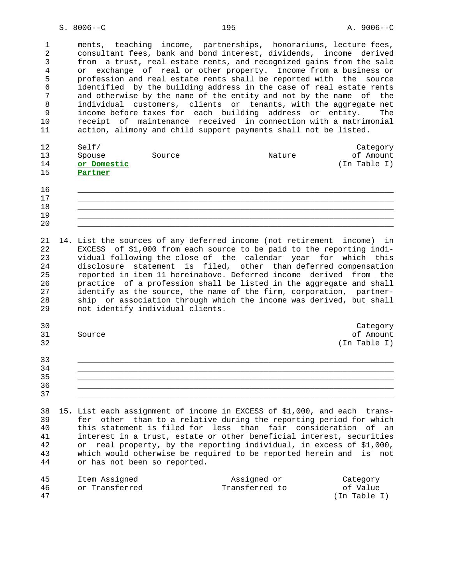1 ments, teaching income, partnerships, honorariums, lecture fees, 2 consultant fees, bank and bond interest, dividends, income derived from a trust, real estate rents, and recognized gains from the sale 4 or exchange of real or other property. Income from a business or<br>5 profession and real estate rents shall be reported with the source 5 profession and real estate rents shall be reported with the source 6 identified by the building address in the case of real estate rents 7 and otherwise by the name of the entity and not by the name of the 8 individual customers, clients or tenants, with the aggregate net 9 income before taxes for each building address or entity. The 10 receipt of maintenance received in connection with a matrimonial 11 action, alimony and child support payments shall not be listed. 12 Self/ Category 13 Spouse Source Source Nature of Amount 14 **or Domestic** (In Table I) 15 **Partner** 16 \_\_\_\_\_\_\_\_\_\_\_\_\_\_\_\_\_\_\_\_\_\_\_\_\_\_\_\_\_\_\_\_\_\_\_\_\_\_\_\_\_\_\_\_\_\_\_\_\_\_\_\_\_\_\_\_\_\_\_\_\_\_\_\_\_\_\_\_ 17 \_\_\_\_\_\_\_\_\_\_\_\_\_\_\_\_\_\_\_\_\_\_\_\_\_\_\_\_\_\_\_\_\_\_\_\_\_\_\_\_\_\_\_\_\_\_\_\_\_\_\_\_\_\_\_\_\_\_\_\_\_\_\_\_\_\_\_\_ 18 \_\_\_\_\_\_\_\_\_\_\_\_\_\_\_\_\_\_\_\_\_\_\_\_\_\_\_\_\_\_\_\_\_\_\_\_\_\_\_\_\_\_\_\_\_\_\_\_\_\_\_\_\_\_\_\_\_\_\_\_\_\_\_\_\_\_\_\_ 19 \_\_\_\_\_\_\_\_\_\_\_\_\_\_\_\_\_\_\_\_\_\_\_\_\_\_\_\_\_\_\_\_\_\_\_\_\_\_\_\_\_\_\_\_\_\_\_\_\_\_\_\_\_\_\_\_\_\_\_\_\_\_\_\_\_\_\_\_ 20 \_\_\_\_\_\_\_\_\_\_\_\_\_\_\_\_\_\_\_\_\_\_\_\_\_\_\_\_\_\_\_\_\_\_\_\_\_\_\_\_\_\_\_\_\_\_\_\_\_\_\_\_\_\_\_\_\_\_\_\_\_\_\_\_\_\_\_\_ 21 14. List the sources of any deferred income (not retirement income) in 22 EXCESS of \$1,000 from each source to be paid to the reporting indi- 23 vidual following the close of the calendar year for which this 24 disclosure statement is filed, other than deferred compensation 25 reported in item 11 hereinabove. Deferred income derived from the 26 practice of a profession shall be listed in the aggregate and shall 27 identify as the source, the name of the firm, corporation, partner- 28 ship or association through which the income was derived, but shall 29 not identify individual clients. 30 Category 31 Source Superintendent Superintendent Superintendent Superintendent Superintendent Superintendent Superintendent Superintendent Superintendent Superintendent Superintendent Superintendent Superintendent Superintendent Su 32 (In Table I) 33 \_\_\_\_\_\_\_\_\_\_\_\_\_\_\_\_\_\_\_\_\_\_\_\_\_\_\_\_\_\_\_\_\_\_\_\_\_\_\_\_\_\_\_\_\_\_\_\_\_\_\_\_\_\_\_\_\_\_\_\_\_\_\_\_\_\_\_\_ 34 \_\_\_\_\_\_\_\_\_\_\_\_\_\_\_\_\_\_\_\_\_\_\_\_\_\_\_\_\_\_\_\_\_\_\_\_\_\_\_\_\_\_\_\_\_\_\_\_\_\_\_\_\_\_\_\_\_\_\_\_\_\_\_\_\_\_\_\_ 35 \_\_\_\_\_\_\_\_\_\_\_\_\_\_\_\_\_\_\_\_\_\_\_\_\_\_\_\_\_\_\_\_\_\_\_\_\_\_\_\_\_\_\_\_\_\_\_\_\_\_\_\_\_\_\_\_\_\_\_\_\_\_\_\_\_\_\_\_ 36 \_\_\_\_\_\_\_\_\_\_\_\_\_\_\_\_\_\_\_\_\_\_\_\_\_\_\_\_\_\_\_\_\_\_\_\_\_\_\_\_\_\_\_\_\_\_\_\_\_\_\_\_\_\_\_\_\_\_\_\_\_\_\_\_\_\_\_\_ 37 \_\_\_\_\_\_\_\_\_\_\_\_\_\_\_\_\_\_\_\_\_\_\_\_\_\_\_\_\_\_\_\_\_\_\_\_\_\_\_\_\_\_\_\_\_\_\_\_\_\_\_\_\_\_\_\_\_\_\_\_\_\_\_\_\_\_\_\_ 38 15. List each assignment of income in EXCESS of \$1,000, and each trans- 39 fer other than to a relative during the reporting period for which 40 this statement is filed for less than fair consideration of an 41 interest in a trust, estate or other beneficial interest, securities 42 or real property, by the reporting individual, in excess of \$1,000, 43 which would otherwise be required to be reported herein and is not 44 or has not been so reported. or has not been so reported.

| 45 | Item Assigned  | Assigned or    | Category     |
|----|----------------|----------------|--------------|
| 46 | or Transferred | Transferred to | of Value     |
| 47 |                |                | (In Table I) |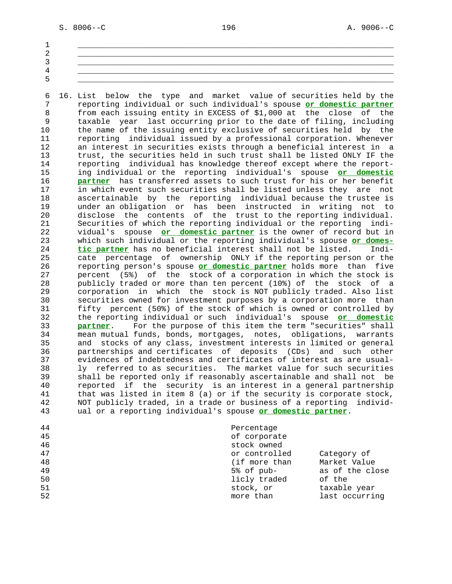| _______ |  |
|---------|--|
|         |  |
|         |  |
| _____   |  |
|         |  |

6 16. List below the type and market value of securities held by the

 7 reporting individual or such individual's spouse **or domestic partner** 8 from each issuing entity in EXCESS of \$1,000 at the close of the<br>9 taxable year last occurring prior to the date of filing, including taxable year last occurring prior to the date of filing, including 10 the name of the issuing entity exclusive of securities held by the 11 reporting individual issued by a professional corporation. Whenever an interest in securities exists through a beneficial interest in a 13 trust, the securities held in such trust shall be listed ONLY IF the 14 reporting individual has knowledge thereof except where the report- 15 ing individual or the reporting individual's spouse **or domestic** 16 **partner** has transferred assets to such trust for his or her benefit 17 in which event such securities shall be listed unless they are not 18 ascertainable by the reporting individual because the trustee is under an obligation or has been instructed in writing not to 20 disclose the contents of the trust to the reporting individual. 21 Securities of which the reporting individual or the reporting indi- 22 vidual's spouse **or domestic partner** is the owner of record but in 23 which such individual or the reporting individual's spouse **or domes-** 24 **tic partner** has no beneficial interest shall not be listed. Indi- 25 cate percentage of ownership ONLY if the reporting person or the 26 reporting person's spouse **or domestic partner** holds more than five 27 percent (5%) of the stock of a corporation in which the stock is 28 publicly traded or more than ten percent (10%) of the stock of a 29 corporation in which the stock is NOT publicly traded. Also list 30 securities owned for investment purposes by a corporation more than 31 fifty percent (50%) of the stock of which is owned or controlled by 32 the reporting individual or such individual's spouse **or domestic** 33 **partner**. For the purpose of this item the term "securities" shall 34 mean mutual funds, bonds, mortgages, notes, obligations, warrants 35 and stocks of any class, investment interests in limited or general 36 partnerships and certificates of deposits (CDs) and such other 37 evidences of indebtedness and certificates of interest as are usual- 38 ly referred to as securities. The market value for such securities 39 shall be reported only if reasonably ascertainable and shall not be 40 reported if the security is an interest in a general partnership 41 that was listed in item 8 (a) or if the security is corporate stock, 42 NOT publicly traded, in a trade or business of a reporting individ- 43 ual or a reporting individual's spouse **or domestic partner**.

| 44 | Percentage    |                 |
|----|---------------|-----------------|
| 45 | of corporate  |                 |
| 46 | stock owned   |                 |
| 47 | or controlled | Category of     |
| 48 | (if more than | Market Value    |
| 49 | $5\%$ of pub- | as of the close |
| 50 | licly traded  | of the          |
| 51 | stock, or     | taxable year    |
| 52 | more than     | last occurring  |
|    |               |                 |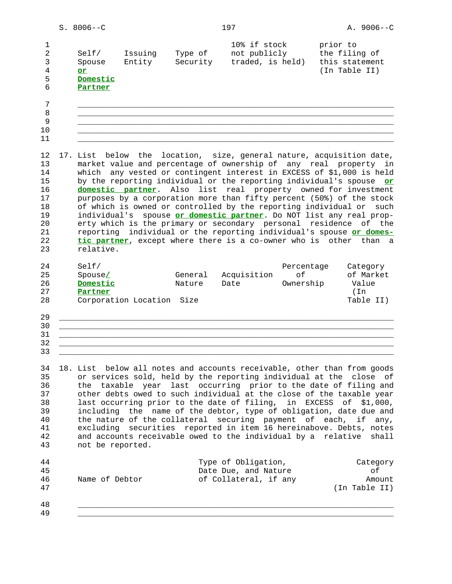S. 8006--C 197 197 A. 9006--C

| $\mathbf 1$<br>2<br>3<br>4<br>5<br>6                                 | Self/<br>Issuing<br>Entity<br>Spouse<br>or<br>Domestic<br>Partner                            | Type of<br>Security | 10% if stock<br>not publicly<br>traded, is held)                     | prior to<br>the filing of<br>this statement<br>(In Table II)                                                                                                                                                                                                                                                                                                                                                                                                                                                                                                                                                                                                                                                                     |
|----------------------------------------------------------------------|----------------------------------------------------------------------------------------------|---------------------|----------------------------------------------------------------------|----------------------------------------------------------------------------------------------------------------------------------------------------------------------------------------------------------------------------------------------------------------------------------------------------------------------------------------------------------------------------------------------------------------------------------------------------------------------------------------------------------------------------------------------------------------------------------------------------------------------------------------------------------------------------------------------------------------------------------|
| 7<br>8<br>9<br>10<br>11                                              |                                                                                              |                     |                                                                      |                                                                                                                                                                                                                                                                                                                                                                                                                                                                                                                                                                                                                                                                                                                                  |
| 12<br>13<br>14<br>15<br>16<br>17<br>18<br>19<br>20<br>21<br>22<br>23 | of which is owned or controlled by the reporting individual or<br>relative.                  |                     |                                                                      | 17. List below the location, size, general nature, acquisition date,<br>market value and percentage of ownership of any real property in<br>which any vested or contingent interest in EXCESS of \$1,000 is held<br>by the reporting individual or the reporting individual's spouse or<br>domestic partner. Also list real property owned for investment<br>purposes by a corporation more than fifty percent (50%) of the stock<br>such<br>individual's spouse or domestic partner. Do NOT list any real prop-<br>erty which is the primary or secondary personal residence of the<br>reporting individual or the reporting individual's spouse or domes-<br>tic partner, except where there is a co-owner who is other than a |
| 24<br>25<br>26<br>27<br>28                                           | Self/<br>$Spouse_$<br>Domestic<br>Partner<br>Corporation Location Size                       | General<br>Nature   | оf<br>Acquisition<br>Date                                            | Percentage<br>Category<br>of Market<br>Ownership<br>Value<br>(In<br>Table II)                                                                                                                                                                                                                                                                                                                                                                                                                                                                                                                                                                                                                                                    |
| 29<br>30<br>31<br>32<br>33                                           |                                                                                              |                     |                                                                      |                                                                                                                                                                                                                                                                                                                                                                                                                                                                                                                                                                                                                                                                                                                                  |
| 34<br>35<br>36<br>37<br>38<br>39<br>40<br>41<br>42<br>43             | 18. List<br>and accounts receivable owed to the individual by a relative<br>not be reported. |                     |                                                                      | below all notes and accounts receivable, other than from goods<br>or services sold, held by the reporting individual at the close of<br>the taxable year last occurring prior to the date of filing and<br>other debts owed to such individual at the close of the taxable year<br>last occurring prior to the date of filing, in EXCESS of \$1,000,<br>including the name of the debtor, type of obligation, date due and<br>the nature of the collateral securing payment of each, if any,<br>excluding securities reported in item 16 hereinabove. Debts, notes<br>shall                                                                                                                                                      |
| 44<br>45<br>46<br>47                                                 | Name of Debtor                                                                               |                     | Type of Obligation,<br>Date Due, and Nature<br>of Collateral, if any | Category<br>оf<br>Amount<br>(In Table II)                                                                                                                                                                                                                                                                                                                                                                                                                                                                                                                                                                                                                                                                                        |
| 48<br>49                                                             |                                                                                              |                     |                                                                      |                                                                                                                                                                                                                                                                                                                                                                                                                                                                                                                                                                                                                                                                                                                                  |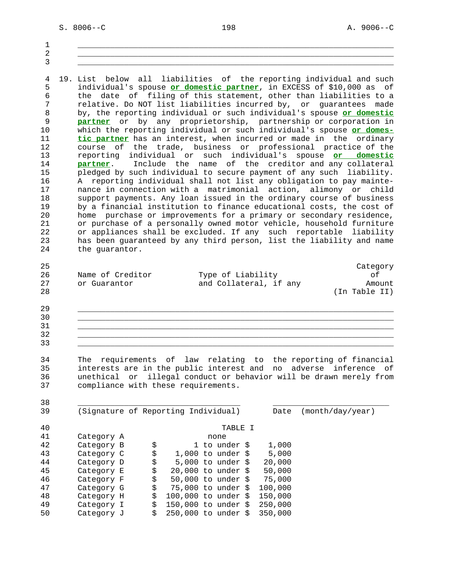| __ |
|----|
|    |
|    |

 4 19. List below all liabilities of the reporting individual and such 5 individual's spouse **or domestic partner**, in EXCESS of \$10,000 as of 6 the date of filing of this statement, other than liabilities to a<br>7 selative. Do NOT list liabilities incurred by, or quarantees made 7 relative. Do NOT list liabilities incurred by, or guarantees made 8 by, the reporting individual or such individual's spouse **or domestic partner** or by any proprietorship, partnership or corporation in 10 which the reporting individual or such individual's spouse **or domes-** 11 **tic partner** has an interest, when incurred or made in the ordinary 12 course of the trade, business or professional practice of the 13 reporting individual or such individual's spouse **or domestic** 14 **partner**. Include the name of the creditor and any collateral 15 pledged by such individual to secure payment of any such liability. 16 A reporting individual shall not list any obligation to pay mainte- 17 nance in connection with a matrimonial action, alimony or child 18 support payments. Any loan issued in the ordinary course of business by a financial institution to finance educational costs, the cost of 20 home purchase or improvements for a primary or secondary residence, 21 or purchase of a personally owned motor vehicle, household furniture 22 or appliances shall be excluded. If any such reportable liability 23 has been guaranteed by any third person, list the liability and name 24 the guarantor.

| 25 |                  |                        | Category      |
|----|------------------|------------------------|---------------|
| 26 | Name of Creditor | Type of Liability      |               |
| 27 | or Guarantor     | and Collateral, if any | Amount        |
| 28 |                  |                        | (In Table II) |

 29 \_\_\_\_\_\_\_\_\_\_\_\_\_\_\_\_\_\_\_\_\_\_\_\_\_\_\_\_\_\_\_\_\_\_\_\_\_\_\_\_\_\_\_\_\_\_\_\_\_\_\_\_\_\_\_\_\_\_\_\_\_\_\_\_\_\_\_\_ 30 \_\_\_\_\_\_\_\_\_\_\_\_\_\_\_\_\_\_\_\_\_\_\_\_\_\_\_\_\_\_\_\_\_\_\_\_\_\_\_\_\_\_\_\_\_\_\_\_\_\_\_\_\_\_\_\_\_\_\_\_\_\_\_\_\_\_\_\_ 31 \_\_\_\_\_\_\_\_\_\_\_\_\_\_\_\_\_\_\_\_\_\_\_\_\_\_\_\_\_\_\_\_\_\_\_\_\_\_\_\_\_\_\_\_\_\_\_\_\_\_\_\_\_\_\_\_\_\_\_\_\_\_\_\_\_\_\_\_ 32 \_\_\_\_\_\_\_\_\_\_\_\_\_\_\_\_\_\_\_\_\_\_\_\_\_\_\_\_\_\_\_\_\_\_\_\_\_\_\_\_\_\_\_\_\_\_\_\_\_\_\_\_\_\_\_\_\_\_\_\_\_\_\_\_\_\_\_\_ 33 \_\_\_\_\_\_\_\_\_\_\_\_\_\_\_\_\_\_\_\_\_\_\_\_\_\_\_\_\_\_\_\_\_\_\_\_\_\_\_\_\_\_\_\_\_\_\_\_\_\_\_\_\_\_\_\_\_\_\_\_\_\_\_\_\_\_\_\_

 34 The requirements of law relating to the reporting of financial 35 interests are in the public interest and no adverse inference of 36 unethical or illegal conduct or behavior will be drawn merely from 37 compliance with these requirements.

38 \_\_\_\_\_\_\_\_\_\_\_\_\_\_\_\_\_\_\_\_\_\_\_\_\_\_\_\_\_\_\_\_\_\_\_ \_\_\_\_\_\_\_\_\_\_\_\_\_\_\_\_\_\_\_\_\_\_\_\_\_

| 39<br>(Signature of Reporting Individual)<br>Date<br>40<br>TABLE I<br>41<br>Category A<br>none<br>42<br>\$<br>1,000<br>1 to under \$<br>Category B<br>43<br>5,000<br>1,000 to under $\sin$<br>\$<br>Category C<br>44<br>20,000<br>$5.000$ to under \$<br>\$<br>Category D<br>45<br>50,000<br>\$<br>20,000 to under \$<br>Category E<br>46<br>\$<br>75,000<br>50,000 to under \$<br>Category F<br>47<br>\$<br>75,000 to under \$<br>100,000<br>Category G |    |            |    |         |                  |  |
|----------------------------------------------------------------------------------------------------------------------------------------------------------------------------------------------------------------------------------------------------------------------------------------------------------------------------------------------------------------------------------------------------------------------------------------------------------|----|------------|----|---------|------------------|--|
|                                                                                                                                                                                                                                                                                                                                                                                                                                                          |    |            |    |         | (month/day/year) |  |
|                                                                                                                                                                                                                                                                                                                                                                                                                                                          |    |            |    |         |                  |  |
|                                                                                                                                                                                                                                                                                                                                                                                                                                                          |    |            |    |         |                  |  |
|                                                                                                                                                                                                                                                                                                                                                                                                                                                          |    |            |    |         |                  |  |
|                                                                                                                                                                                                                                                                                                                                                                                                                                                          |    |            |    |         |                  |  |
|                                                                                                                                                                                                                                                                                                                                                                                                                                                          |    |            |    |         |                  |  |
|                                                                                                                                                                                                                                                                                                                                                                                                                                                          |    |            |    |         |                  |  |
|                                                                                                                                                                                                                                                                                                                                                                                                                                                          |    |            |    |         |                  |  |
|                                                                                                                                                                                                                                                                                                                                                                                                                                                          |    |            |    |         |                  |  |
| $100,000$ to under \$                                                                                                                                                                                                                                                                                                                                                                                                                                    | 48 | Category H | \$ | 150,000 |                  |  |
| 49<br>\$<br>150,000 to under \$<br>250,000<br>Category I                                                                                                                                                                                                                                                                                                                                                                                                 |    |            |    |         |                  |  |
| 50<br>250,000 to under \$<br>350,000<br>Ś<br>Category J                                                                                                                                                                                                                                                                                                                                                                                                  |    |            |    |         |                  |  |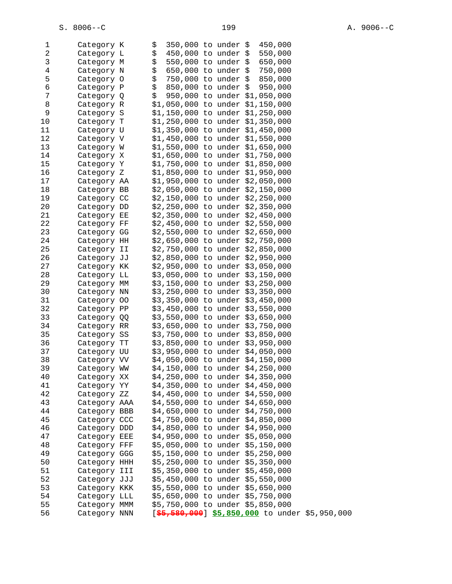| 1              | Category K   | \$ | 350,000 to under \$              |  | 450,000 |                                                |
|----------------|--------------|----|----------------------------------|--|---------|------------------------------------------------|
| $\sqrt{2}$     | Category L   | \$ | 450,000 to under \$              |  | 550,000 |                                                |
| $\mathsf{3}$   | Category M   | \$ | 550,000 to under \$              |  | 650,000 |                                                |
| $\overline{4}$ | Category N   | \$ | 650,000 to under \$              |  | 750,000 |                                                |
| 5              | Category O   | \$ | 750,000 to under \$              |  | 850,000 |                                                |
| 6              | Category P   | \$ | 850,000 to under \$              |  | 950,000 |                                                |
| 7              | Category Q   | \$ | 950,000 to under \$1,050,000     |  |         |                                                |
| $\,8\,$        | Category R   |    | \$1,050,000 to under \$1,150,000 |  |         |                                                |
| 9              | Category S   |    | \$1,150,000 to under \$1,250,000 |  |         |                                                |
| 10             | Category T   |    | \$1,250,000 to under \$1,350,000 |  |         |                                                |
| 11             | Category U   |    | \$1,350,000 to under \$1,450,000 |  |         |                                                |
| 12             | Category V   |    | \$1,450,000 to under \$1,550,000 |  |         |                                                |
| 13             | Category W   |    | \$1,550,000 to under \$1,650,000 |  |         |                                                |
| 14             | Category X   |    | \$1,650,000 to under \$1,750,000 |  |         |                                                |
| 15             | Category Y   |    | \$1,750,000 to under \$1,850,000 |  |         |                                                |
| 16             | Category Z   |    | \$1,850,000 to under \$1,950,000 |  |         |                                                |
| 17             | Category AA  |    | \$1,950,000 to under \$2,050,000 |  |         |                                                |
| 18             | Category BB  |    | \$2,050,000 to under \$2,150,000 |  |         |                                                |
| 19             | Category CC  |    | \$2,150,000 to under \$2,250,000 |  |         |                                                |
| 20             | Category DD  |    | \$2,250,000 to under \$2,350,000 |  |         |                                                |
| 21             | Category EE  |    | \$2,350,000 to under \$2,450,000 |  |         |                                                |
| 22             | Category FF  |    | \$2,450,000 to under \$2,550,000 |  |         |                                                |
| 23             | Category GG  |    | \$2,550,000 to under \$2,650,000 |  |         |                                                |
| 24             | Category HH  |    | \$2,650,000 to under \$2,750,000 |  |         |                                                |
| 25             | Category II  |    | \$2,750,000 to under \$2,850,000 |  |         |                                                |
| 26             | Category JJ  |    | \$2,850,000 to under \$2,950,000 |  |         |                                                |
| 27             | Category KK  |    | \$2,950,000 to under \$3,050,000 |  |         |                                                |
| 28             | Category LL  |    | \$3,050,000 to under \$3,150,000 |  |         |                                                |
| 29             | Category MM  |    | \$3,150,000 to under \$3,250,000 |  |         |                                                |
| 30             | Category NN  |    | \$3,250,000 to under \$3,350,000 |  |         |                                                |
| 31             | Category 00  |    | \$3,350,000 to under \$3,450,000 |  |         |                                                |
| 32             | Category PP  |    | \$3,450,000 to under \$3,550,000 |  |         |                                                |
| 33             | Category QQ  |    | \$3,550,000 to under \$3,650,000 |  |         |                                                |
| 34             | Category RR  |    | \$3,650,000 to under \$3,750,000 |  |         |                                                |
| 35             | Category SS  |    | \$3,750,000 to under \$3,850,000 |  |         |                                                |
| 36             | Category TT  |    | \$3,850,000 to under \$3,950,000 |  |         |                                                |
| 37             | Category UU  |    | \$3,950,000 to under \$4,050,000 |  |         |                                                |
| 38             | Category VV  |    | \$4,050,000 to under \$4,150,000 |  |         |                                                |
| 39             | Category WW  |    | \$4,150,000 to under \$4,250,000 |  |         |                                                |
| 40             | Category XX  |    | \$4,250,000 to under \$4,350,000 |  |         |                                                |
| 41             | Category YY  |    | \$4,350,000 to under \$4,450,000 |  |         |                                                |
| 42             | Category ZZ  |    | \$4,450,000 to under \$4,550,000 |  |         |                                                |
| 43             | Category AAA |    | \$4,550,000 to under \$4,650,000 |  |         |                                                |
| 44             | Category BBB |    | \$4,650,000 to under \$4,750,000 |  |         |                                                |
| 45             | Category CCC |    | \$4,750,000 to under \$4,850,000 |  |         |                                                |
| 46             | Category DDD |    | \$4,850,000 to under \$4,950,000 |  |         |                                                |
| 47             | Category EEE |    | \$4,950,000 to under \$5,050,000 |  |         |                                                |
| 48             | Category FFF |    | \$5,050,000 to under \$5,150,000 |  |         |                                                |
| 49             | Category GGG |    | \$5,150,000 to under \$5,250,000 |  |         |                                                |
| 50             | Category HHH |    | \$5,250,000 to under \$5,350,000 |  |         |                                                |
| 51             | Category III |    | \$5,350,000 to under \$5,450,000 |  |         |                                                |
| 52             | Category JJJ |    | \$5,450,000 to under \$5,550,000 |  |         |                                                |
| 53             | Category KKK |    | \$5,550,000 to under \$5,650,000 |  |         |                                                |
| 54             | Category LLL |    | \$5,650,000 to under \$5,750,000 |  |         |                                                |
| 55             | Category MMM |    | \$5,750,000 to under \$5,850,000 |  |         |                                                |
| 56             | Category NNN |    |                                  |  |         | [\$5,580,000] \$5,850,000 to under \$5,950,000 |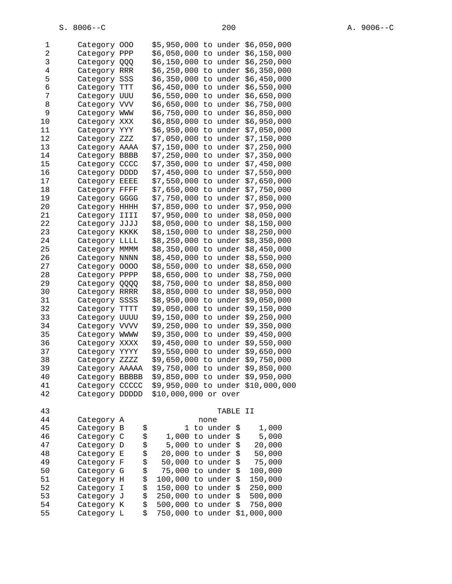| 1              | Category 000   | \$5,950,000 to under \$6,050,000        |
|----------------|----------------|-----------------------------------------|
| 2              | Category PPP   | \$6,050,000<br>to under<br>\$6,150,000  |
| 3              | Category QQQ   | \$6,150,000<br>to under<br>\$6,250,000  |
| $\overline{4}$ | Category RRR   | \$6,250,000<br>to under \$6,350,000     |
| 5              | Category SSS   | \$6,350,000 to under \$6,450,000        |
| б              | Category TTT   | to under \$6,550,000<br>\$6,450,000     |
| 7              | Category UUU   | \$6,550,000<br>\$6,650,000<br>to under  |
| 8              | Category VVV   | to under \$6,750,000<br>\$6,650,000     |
| 9              | Category WWW   | \$6,750,000<br>to under<br>\$6,850,000  |
| 10             | Category XXX   | \$6,850,000<br>to under<br>\$6,950,000  |
| 11             | Category YYY   | to under<br>\$6,950,000<br>\$7,050,000  |
| 12             | Category ZZZ   | to under<br>\$7,150,000<br>\$7,050,000  |
| 13             | Category AAAA  | \$7,150,000<br>to under<br>\$7,250,000  |
| 14             |                | to under<br>\$7,350,000                 |
|                | Category BBBB  | \$7,250,000                             |
| 15             | Category CCCC  | to under<br>\$7,350,000<br>\$7,450,000  |
| 16             | Category DDDD  | \$7,450,000<br>to under<br>\$7,550,000  |
| 17             | Category EEEE  | \$7,550,000<br>to under<br>\$7,650,000  |
| 18             | Category FFFF  | \$7,650,000<br>to under \$7,750,000     |
| 19             | Category GGGG  | \$7,750,000<br>to under \$7,850,000     |
| 20             | Category HHHH  | to under \$7,950,000<br>\$7,850,000     |
| 21             | Category IIII  | \$7,950,000<br>to under<br>\$8,050,000  |
| 22             | Category JJJJ  | \$8,150,000<br>\$8,050,000<br>to under  |
| 23             | Category KKKK  | to under \$8,250,000<br>\$8,150,000     |
| 24             | Category LLLL  | \$8,250,000<br>\$8,350,000<br>to under  |
| 25             | Category MMMM  | \$8,350,000<br>to under<br>\$8,450,000  |
| 26             | Category NNNN  | \$8,450,000<br>to under<br>\$8,550,000  |
| 27             | Category 0000  | \$8,550,000<br>to under<br>\$8,650,000  |
| 28             | Category PPPP  | \$8,650,000<br>to under<br>\$8,750,000  |
| 29             | Category QQQQ  | \$8,750,000<br>to under<br>\$8,850,000  |
| 30             | Category RRRR  | \$8,850,000<br>to under<br>\$8,950,000  |
| 31             | Category SSSS  | \$8,950,000<br>to under<br>\$9,050,000  |
| 32             | Category TTTT  | \$9,050,000<br>\$9,150,000<br>to under  |
| 33             | Category UUUU  | to under \$9,250,000<br>\$9,150,000     |
| 34             | Category VVVV  | to under \$9,350,000<br>\$9,250,000     |
| 35             | Category WWWW  | \$9,350,000<br>to under \$9,450,000     |
| 36             |                | to under \$9,550,000<br>\$9,450,000     |
|                | Category XXXX  |                                         |
| 37             | Category YYYY  | \$9,550,000<br>to under \$9,650,000     |
| 38             | Category ZZZZ  | \$9,650,000 to under \$9,750,000        |
| 39             | Category AAAAA | \$9,750,000 to under \$9,850,000        |
| 40             | Category BBBBB | \$9,850,000 to under \$9,950,000        |
| 41             | Category CCCCC | \$9,950,000 to under \$10,000,000       |
| 42             | Category DDDDD | \$10,000,000 or over                    |
| 43             |                | TABLE II                                |
| 44             | Category A     | none                                    |
| 45             | Category B     | \$<br>1 to under \$<br>1,000            |
| 46             | Category C     | \$<br>5,000<br>1,000 to under<br>\$     |
| 47             | Category D     | \$<br>20,000<br>5,000 to under<br>\$    |
| 48             | Category E     | \$<br>50,000<br>20,000 to under<br>\$   |
| 49             | Category F     | \$<br>50,000 to under<br>75,000<br>\$   |
| 50             | Category G     | \$<br>100,000<br>75,000 to under<br>\$  |
| 51             | Category H     | \$<br>150,000<br>100,000 to under<br>\$ |
| 52             | Category I     | \$<br>150,000 to under<br>250,000<br>\$ |
| 53             | Category J     | \$<br>250,000 to under<br>500,000<br>\$ |
| 54             | Category K     | \$<br>500,000 to under<br>750,000       |
|                |                | \$<br>\$                                |
| 55             | Category L     | 750,000 to under<br>\$1,000,000         |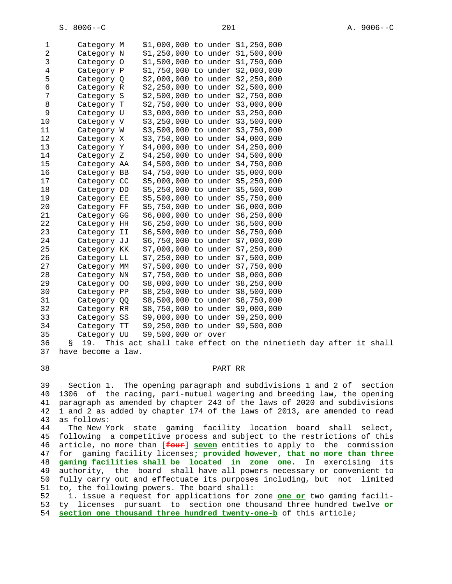| 1              | Category M  | \$1,000,000 to under \$1,250,000 |          |                                  |
|----------------|-------------|----------------------------------|----------|----------------------------------|
| 2              | Category N  | \$1,250,000 to under \$1,500,000 |          |                                  |
| 3              | Category 0  | \$1,500,000                      | to under | \$1,750,000                      |
| $\overline{4}$ | Category P  | \$1,750,000                      | to under | \$2,000,000                      |
| 5              | Category Q  | \$2,000,000                      | to under | \$2,250,000                      |
| 6              | Category R  | \$2,250,000                      | to under | \$2,500,000                      |
| 7              | Category S  | \$2,500,000                      |          | to under \$2,750,000             |
| 8              | Category T  | \$2,750,000 to under \$3,000,000 |          |                                  |
| 9              | Category U  | \$3,000,000 to under \$3,250,000 |          |                                  |
| 10             | Category V  |                                  |          | \$3,250,000 to under \$3,500,000 |
| 11             | Category W  | \$3,500,000 to under             |          | \$3,750,000                      |
| 12             | Category X  | \$3,750,000                      | to under | \$4,000,000                      |
| 13             | Category Y  | \$4,000,000                      | to under | \$4,250,000                      |
| 14             | Category Z  | \$4,250,000                      |          | to under \$4,500,000             |
| 15             | Category AA |                                  |          | \$4,500,000 to under \$4,750,000 |
| 16             | Category BB | \$4,750,000 to under             |          | \$5,000,000                      |
| 17             | Category CC | \$5,000,000 to under             |          | \$5,250,000                      |
| 18             | Category DD | \$5,250,000                      | to under | \$5,500,000                      |
| 19             | Category EE | \$5,500,000                      | to under | \$5,750,000                      |
| 20             | Category FF | \$5,750,000                      | to under | \$6,000,000                      |
| 21             | Category GG | \$6,000,000                      | to under | \$6,250,000                      |
| 22             | Category HH | \$6,250,000                      |          | to under \$6,500,000             |
| 23             | Category II | \$6,500,000 to under \$6,750,000 |          |                                  |
| 24             | Category JJ | \$6,750,000 to under \$7,000,000 |          |                                  |
| 25             | Category KK | \$7,000,000 to under             |          | \$7,250,000                      |
| 26             | Category LL | \$7,250,000                      | to under | \$7,500,000                      |
| 27             | Category MM | \$7,500,000                      | to under | \$7,750,000                      |
| 28             | Category NN | \$7,750,000                      | to under | \$8,000,000                      |
| 29             | Category 00 | \$8,000,000                      | to under | \$8,250,000                      |
| 30             | Category PP | \$8,250,000                      | to under | \$8,500,000                      |
| 31             | Category QQ | \$8,500,000                      | to under | \$8,750,000                      |
| 32             | Category RR | \$8,750,000 to under             |          | \$9,000,000                      |
| 33             | Category SS | \$9,000,000                      | to under | \$9,250,000                      |
| 34             | Category TT | \$9,250,000                      | to under | \$9,500,000                      |
| 35             | Category UU | \$9,500,000 or over              |          |                                  |
|                |             |                                  |          |                                  |

 36 § 19. This act shall take effect on the ninetieth day after it shall 37 have become a law.

# 38 PART RR

 39 Section 1. The opening paragraph and subdivisions 1 and 2 of section 40 1306 of the racing, pari-mutuel wagering and breeding law, the opening 41 paragraph as amended by chapter 243 of the laws of 2020 and subdivisions 42 1 and 2 as added by chapter 174 of the laws of 2013, are amended to read 43 as follows:

 44 The New York state gaming facility location board shall select, 45 following a competitive process and subject to the restrictions of this 46 article, no more than [**four**] **seven** entities to apply to the commission 47 for gaming facility licenses**; provided however, that no more than three** 48 **gaming facilities shall be located in zone one**. In exercising its 49 authority, the board shall have all powers necessary or convenient to 50 fully carry out and effectuate its purposes including, but not limited 51 to, the following powers. The board shall:

 52 1. issue a request for applications for zone **one or** two gaming facili- 53 ty licenses pursuant to section one thousand three hundred twelve **or** 54 **section one thousand three hundred twenty-one-b** of this article;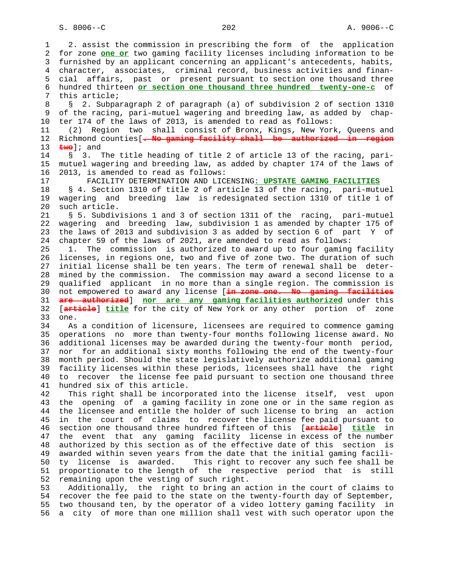1 2. assist the commission in prescribing the form of the application 2 for zone **one or** two gaming facility licenses including information to be 3 furnished by an applicant concerning an applicant's antecedents, habits, 4 character, associates, criminal record, business activities and finan- 5 cial affairs, past or present pursuant to section one thousand three 6 hundred thirteen **or section one thousand three hundred twenty-one-c** of 7 this article; 8 § 2. Subparagraph 2 of paragraph (a) of subdivision 2 of section 1310 9 of the racing, pari-mutuel wagering and breeding law, as added by chap- 10 ter 174 of the laws of 2013, is amended to read as follows: 11 (2) Region two shall consist of Bronx, Kings, New York, Queens and 12 Richmond counties[**. No gaming facility shall be authorized in region** 13 **two**]; and 14 § 3. The title heading of title 2 of article 13 of the racing, pari- 15 mutuel wagering and breeding law, as added by chapter 174 of the laws of 16 2013, is amended to read as follows: 17 FACILITY DETERMINATION AND LICENSING**: UPSTATE GAMING FACILITIES** 18 § 4. Section 1310 of title 2 of article 13 of the racing, pari-mutuel 19 wagering and breeding law is redesignated section 1310 of title 1 of 20 such article. 21 § 5. Subdivisions 1 and 3 of section 1311 of the racing, pari-mutuel 22 wagering and breeding law, subdivision 1 as amended by chapter 175 of 23 the laws of 2013 and subdivision 3 as added by section 6 of part Y of 24 chapter 59 of the laws of 2021, are amended to read as follows: 25 1. The commission is authorized to award up to four gaming facility 26 licenses, in regions one, two and five of zone two. The duration of such 27 initial license shall be ten years. The term of renewal shall be deter- 28 mined by the commission. The commission may award a second license to a 29 qualified applicant in no more than a single region. The commission is 30 not empowered to award any license [**in zone one. No gaming facilities** 31 **are authorized**] **nor are any gaming facilities authorized** under this 32 [**article**] **title** for the city of New York or any other portion of zone 33 one. 34 As a condition of licensure, licensees are required to commence gaming 35 operations no more than twenty-four months following license award. No 36 additional licenses may be awarded during the twenty-four month period, 37 nor for an additional sixty months following the end of the twenty-four 38 month period. Should the state legislatively authorize additional gaming 39 facility licenses within these periods, licensees shall have the right 40 to recover the license fee paid pursuant to section one thousand three 41 hundred six of this article. 42 This right shall be incorporated into the license itself, vest upon 43 the opening of a gaming facility in zone one or in the same region as 44 the licensee and entitle the holder of such license to bring an action 45 in the court of claims to recover the license fee paid pursuant to 46 section one thousand three hundred fifteen of this [**article**] **title** in 47 the event that any gaming facility license in excess of the number 48 authorized by this section as of the effective date of this section is 49 awarded within seven years from the date that the initial gaming facili- 50 ty license is awarded. This right to recover any such fee shall be 51 proportionate to the length of the respective period that is still 52 remaining upon the vesting of such right. 53 Additionally, the right to bring an action in the court of claims to 54 recover the fee paid to the state on the twenty-fourth day of September, 55 two thousand ten, by the operator of a video lottery gaming facility in 56 a city of more than one million shall vest with such operator upon the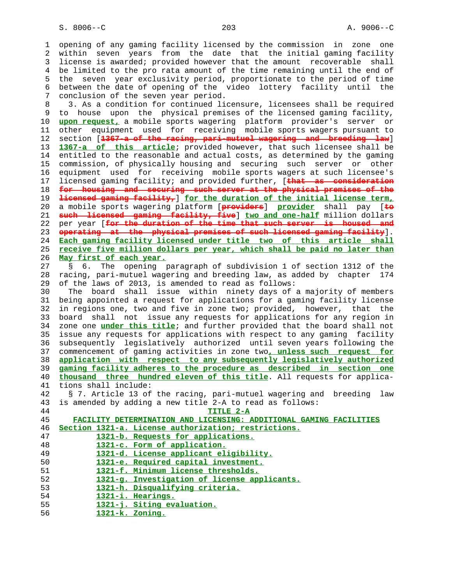1 opening of any gaming facility licensed by the commission in zone one 2 within seven years from the date that the initial gaming facility 3 license is awarded; provided however that the amount recoverable shall 4 be limited to the pro rata amount of the time remaining until the end of 5 the seven year exclusivity period, proportionate to the period of time 6 between the date of opening of the video lottery facility until the 7 conclusion of the seven year period. 8 3. As a condition for continued licensure, licensees shall be required 9 to house upon the physical premises of the licensed gaming facility, 10 **upon request,** a mobile sports wagering platform provider's server or 11 other equipment used for receiving mobile sports wagers pursuant to 12 section [**1367-a of the racing, pari-mutuel wagering and breeding law**] 13 **1367-a of this article**; provided however, that such licensee shall be 14 entitled to the reasonable and actual costs, as determined by the gaming 15 commission, of physically housing and securing such server or other 16 equipment used for receiving mobile sports wagers at such licensee's 17 licensed gaming facility; and provided further, [**that as consideration** 18 **for housing and securing such server at the physical premises of the** 19 **licensed gaming facility,**] **for the duration of the initial license term,** 20 a mobile sports wagering platform [**providers**] **provider** shall pay [**to** 21 **such licensed gaming facility, five**] **two and one-half** million dollars 22 per year [**for the duration of the time that such server is housed and** 23 **operating at the physical premises of such licensed gaming facility**]. 24 **Each gaming facility licensed under title two of this article shall** 25 **receive five million dollars per year, which shall be paid no later than** 26 **May first of each year.** 27 § 6. The opening paragraph of subdivision 1 of section 1312 of the 28 racing, pari-mutuel wagering and breeding law, as added by chapter 174 29 of the laws of 2013, is amended to read as follows: 30 The board shall issue within ninety days of a majority of members 31 being appointed a request for applications for a gaming facility license 32 in regions one, two and five in zone two; provided, however, that the 33 board shall not issue any requests for applications for any region in 34 zone one **under this title**; and further provided that the board shall not 35 issue any requests for applications with respect to any gaming facility 36 subsequently legislatively authorized until seven years following the 37 commencement of gaming activities in zone two**, unless such request for** 38 **application with respect to any subsequently legislatively authorized** 39 **gaming facility adheres to the procedure as described in section one** 40 **thousand three hundred eleven of this title**. All requests for applica- 41 tions shall include: 42 § 7. Article 13 of the racing, pari-mutuel wagering and breeding law 43 is amended by adding a new title 2-A to read as follows: 44 **TITLE 2-A** 45 **FACILITY DETERMINATION AND LICENSING: ADDITIONAL GAMING FACILITIES** 46 **Section 1321-a. License authorization; restrictions.** 47 **1321-b. Requests for applications.** 48 **1321-c. Form of application.** 49 **1321-d. License applicant eligibility.** 50 **1321-e. Required capital investment.** 51 **1321-f. Minimum license thresholds.** 52 **1321-g. Investigation of license applicants.** 53 **1321-h. Disqualifying criteria.** 54 **1321-i. Hearings.** 55 **1321-j. Siting evaluation.** 56 **1321-k. Zoning.**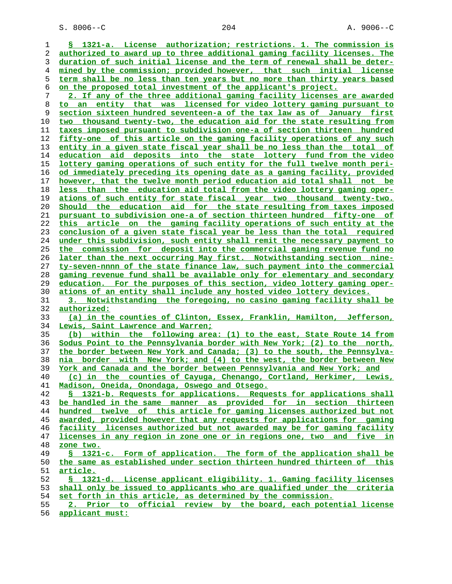S. 8006--C 204 A. 9006--C

**§ 1321-a. License authorization; restrictions. 1. The commission is authorized to award up to three additional gaming facility licenses. The duration of such initial license and the term of renewal shall be deter- mined by the commission; provided however, that such initial license term shall be no less than ten years but no more than thirty years based on the proposed total investment of the applicant's project. 2. If any of the three additional gaming facility licenses are awarded to an entity that was licensed for video lottery gaming pursuant to section sixteen hundred seventeen-a of the tax law as of January first two thousand twenty-two, the education aid for the state resulting from taxes imposed pursuant to subdivision one-a of section thirteen hundred fifty-one of this article on the gaming facility operations of any such entity in a given state fiscal year shall be no less than the total of education aid deposits into the state lottery fund from the video lottery gaming operations of such entity for the full twelve month peri- od immediately preceding its opening date as a gaming facility, provided however, that the twelve month period education aid total shall not be less than the education aid total from the video lottery gaming oper- ations of such entity for state fiscal year two thousand twenty-two. Should the education aid for the state resulting from taxes imposed pursuant to subdivision one-a of section thirteen hundred fifty-one of this article on the gaming facility operations of such entity at the conclusion of a given state fiscal year be less than the total required under this subdivision, such entity shall remit the necessary payment to the commission for deposit into the commercial gaming revenue fund no later than the next occurring May first. Notwithstanding section nine- ty-seven-nnnn of the state finance law, such payment into the commercial gaming revenue fund shall be available only for elementary and secondary education. For the purposes of this section, video lottery gaming oper- ations of an entity shall include any hosted video lottery devices. 3. Notwithstanding the foregoing, no casino gaming facility shall be authorized: (a) in the counties of Clinton, Essex, Franklin, Hamilton, Jefferson, Lewis, Saint Lawrence and Warren; (b) within the following area: (1) to the east, State Route 14 from Sodus Point to the Pennsylvania border with New York; (2) to the north, the border between New York and Canada; (3) to the south, the Pennsylva- nia border with New York; and (4) to the west, the border between New York and Canada and the border between Pennsylvania and New York; and (c) in the counties of Cayuga, Chenango, Cortland, Herkimer, Lewis, Madison, Oneida, Onondaga, Oswego and Otsego. § 1321-b. Requests for applications. Requests for applications shall be handled in the same manner as provided for in section thirteen hundred twelve of this article for gaming licenses authorized but not awarded, provided however that any requests for applications for gaming facility licenses authorized but not awarded may be for gaming facility licenses in any region in zone one or in regions one, two and five in zone two. § 1321-c. Form of application. The form of the application shall be the same as established under section thirteen hundred thirteen of this article. § 1321-d. License applicant eligibility. 1. Gaming facility licenses shall only be issued to applicants who are qualified under the criteria set forth in this article, as determined by the commission. 2. Prior to official review by the board, each potential license**

**applicant must:**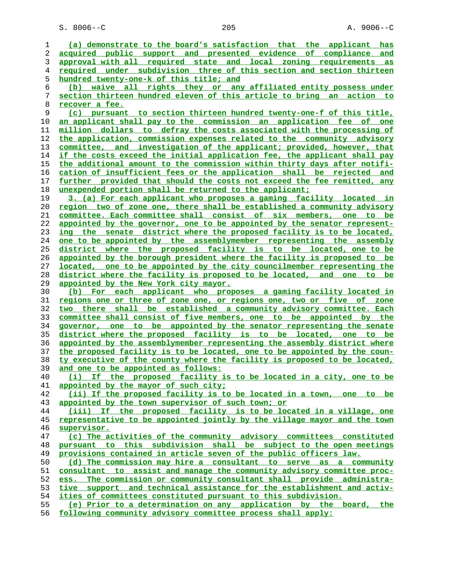S. 8006--C 205 205 A. 9006--C

| 1              | (a) demonstrate to the board's satisfaction that the applicant has           |
|----------------|------------------------------------------------------------------------------|
| 2              | acquired public support and presented evidence of compliance and             |
| 3              | approval with all required state and local zoning requirements as            |
| $\overline{4}$ | required under subdivision three of this section and section thirteen        |
| 5              | hundred twenty-one-k of this title; and                                      |
| 6              | (b) waive all rights they or any affiliated entity possess under             |
| 7              | section thirteen hundred eleven of this article to bring an action to        |
|                |                                                                              |
| 8              | recover a fee.                                                               |
| 9              | (c) pursuant to section thirteen hundred twenty-one-f of this title,         |
| 10             | an applicant shall pay to the commission an application fee of one           |
| 11             | million dollars to defray the costs associated with the processing of        |
| 12             | the application, commission expenses related to the community advisory       |
| 13             | committee, and investigation of the applicant; provided, however, that       |
| 14             | if the costs exceed the initial application fee, the applicant shall pay     |
| 15             | the additional amount to the commission within thirty days after notifi-     |
| 16             | cation of insufficient fees or the application shall be rejected and         |
| 17             | further provided that should the costs not exceed the fee remitted, any      |
| 18             | unexpended portion shall be returned to the applicant;                       |
| 19             | 3. (a) For each applicant who proposes a gaming facility located in          |
| 20             | region two of zone one, there shall be established a community advisory      |
| 21             | committee. Each committee shall consist of six members, one to be            |
| 22             | appointed by the governor, one to be appointed by the senator represent-     |
| 23             | ing the senate district where the proposed facility is to be located,        |
| 24             | one to be appointed by the assemblymember representing the assembly          |
| 25             | district where the proposed facility is to be located, one to be             |
| 26             | appointed by the borough president where the facility is proposed to be      |
| 27             | located, one to be appointed by the city councilmember representing the      |
| 28             | district where the facility is proposed to be located, and one to be         |
| 29             | <u>appointed by the New York city mayor.</u>                                 |
| 30             | (b) For each applicant who proposes a gaming facility located in             |
| 31             | <u>regions one or three of zone one, or regions one, two or five of zone</u> |
| 32             | two there shall be established a community advisory committee. Each          |
| 33             | committee shall consist of five members, one to be appointed by the          |
| 34             | governor, one to be appointed by the senator representing the senate         |
| 35             | district where the proposed facility is to be located, one to be             |
| 36             | appointed by the assemblymember representing the assembly district where     |
| 37             | the proposed facility is to be located, one to be appointed by the coun-     |
| 38             | ty executive of the county where the facility is proposed to be located,     |
| 39             | and one to be appointed as follows:                                          |
| 40             | (i) If the proposed facility is to be located in a city, one to be           |
| 41             | appointed by the mayor of such city;                                         |
| 42             | (ii) If the proposed facility is to be located in a town, one to be          |
| 43             | appointed by the town supervisor of such town; or                            |
| 44             | (iii) If the proposed facility is to be located in a village, one            |
| 45             | representative to be appointed jointly by the village mayor and the town     |
| 46             | supervisor.                                                                  |
| 47             | (c) The activities of the community advisory committees constituted          |
| 48             | pursuant to this subdivision shall be subject to the open meetings           |
| 49             | provisions contained in article seven of the public officers law.            |
| 50             | (d) The commission may hire a consultant to serve as a community             |
| 51             | consultant to assist and manage the community advisory committee proc-       |
| 52             | ess. The commission or community consultant shall provide administra-        |
| 53             | tive support and technical assistance for the establishment and activ-       |
| 54             | ities of committees constituted pursuant to this subdivision.                |
| 55             | (e) Prior to a determination on any application by the board, the            |
| 56             | following community advisory committee process shall apply:                  |
|                |                                                                              |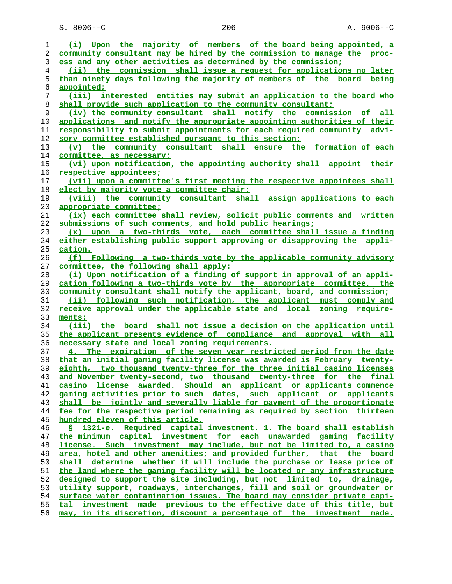S. 8006--C 206 206 A. 9006--C

| 1        | (i) Upon the majority of members of the board being appointed, a                                                                                  |
|----------|---------------------------------------------------------------------------------------------------------------------------------------------------|
| 2        | community consultant may be hired by the commission to manage the proc-                                                                           |
| 3        | ess and any other activities as determined by the commission;                                                                                     |
| 4        | (ii) the commission shall issue a request for applications no later                                                                               |
| 5        | than ninety days following the majority of members of the board being                                                                             |
| 6        | appointed;                                                                                                                                        |
| 7        | (iii) interested entities may submit an application to the board who                                                                              |
| 8        | shall provide such application to the community consultant;                                                                                       |
| 9        | (iv) the community consultant shall notify the commission of all                                                                                  |
| 10       | applications and notify the appropriate appointing authorities of their                                                                           |
| 11       | responsibility to submit appointments for each required community advi-                                                                           |
| 12       | sory committee established pursuant to this section;                                                                                              |
| 13       | (v) the community consultant shall ensure the formation of each                                                                                   |
| 14       | committee, as necessary;                                                                                                                          |
| 15       | (vi) upon notification, the appointing authority shall appoint their                                                                              |
| 16       | respective appointees;                                                                                                                            |
| 17       | (vii) upon a committee's first meeting the respective appointees shall                                                                            |
| 18       | elect by majority vote a committee chair;                                                                                                         |
| 19       | (viii) the community consultant shall assign applications to each                                                                                 |
| 20       | appropriate committee;                                                                                                                            |
| 21       | (ix) each committee shall review, solicit public comments and written                                                                             |
| 22       | submissions of such comments, and hold public hearings;                                                                                           |
| 23       | (x) upon a two-thirds vote, each committee shall issue a finding                                                                                  |
| 24       | either establishing public support approving or disapproving the appli-                                                                           |
| 25       | cation.                                                                                                                                           |
| 26       | (f) Following a two-thirds vote by the applicable community advisory                                                                              |
| 27       | committee, the following shall apply:                                                                                                             |
| 28       | (i) Upon notification of a finding of support in approval of an appli-                                                                            |
| 29       | cation following a two-thirds vote by the appropriate committee, the                                                                              |
| 30       | community consultant shall notify the applicant, board, and commission;                                                                           |
| 31       | (ii) following such notification, the applicant must comply and                                                                                   |
| 32       | receive approval under the applicable state and local zoning require-                                                                             |
| 33       | ments;                                                                                                                                            |
| 34       | (iii) the board shall not issue a decision on the application until                                                                               |
| 35       | the applicant presents evidence of compliance and approval with all                                                                               |
| 36       | necessary state and local zoning requirements.                                                                                                    |
| 37       | The expiration of the seven year restricted period from the date                                                                                  |
| 38       | that an initial gaming facility license was awarded is February twenty-                                                                           |
| 39       | eighth, two thousand twenty-three for the three initial casino licenses                                                                           |
| 40       | and November twenty-second, two thousand twenty-three for the final                                                                               |
| 41       | casino license awarded. Should an applicant or applicants commence                                                                                |
| 42       | gaming activities prior to such dates, such applicant or applicants                                                                               |
| 43       | shall be jointly and severally liable for payment of the proportionate                                                                            |
| 44       | fee for the respective period remaining as required by section thirteen                                                                           |
| 45       | hundred eleven of this article.                                                                                                                   |
| 46       | § 1321-e. Required capital investment. 1. The board shall establish                                                                               |
| 47       | the minimum capital investment for each unawarded gaming facility                                                                                 |
| 48       | license. Such investment may include, but not be limited to, a casino                                                                             |
| 49       | area, hotel and other amenities; and provided further, that the board                                                                             |
| 50       | shall determine whether it will include the purchase or lease price of                                                                            |
|          | the land where the gaming facility will be located or any infrastructure                                                                          |
| 51<br>52 | designed to support the site including, but not limited to, drainage,                                                                             |
|          | utility support, roadways, interchanges, fill and soil or groundwater or                                                                          |
| 53       |                                                                                                                                                   |
| 54       | surface water contamination issues. The board may consider private capi-<br>tal investment made previous to the effective date of this title, but |
| 55       |                                                                                                                                                   |
| 56       | may, in its discretion, discount a percentage of the investment made.                                                                             |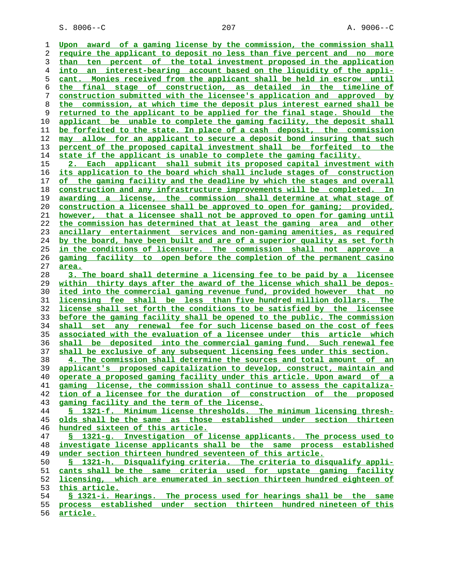S. 8006--C 207 A. 9006--C

**Upon award of a gaming license by the commission, the commission shall require the applicant to deposit no less than five percent and no more than ten percent of the total investment proposed in the application into an interest-bearing account based on the liquidity of the appli- cant. Monies received from the applicant shall be held in escrow until the final stage of construction, as detailed in the timeline of construction submitted with the licensee's application and approved by the commission, at which time the deposit plus interest earned shall be returned to the applicant to be applied for the final stage. Should the applicant be unable to complete the gaming facility, the deposit shall be forfeited to the state. In place of a cash deposit, the commission may allow for an applicant to secure a deposit bond insuring that such percent of the proposed capital investment shall be forfeited to the state if the applicant is unable to complete the gaming facility. 2. Each applicant shall submit its proposed capital investment with its application to the board which shall include stages of construction of the gaming facility and the deadline by which the stages and overall construction and any infrastructure improvements will be completed. In awarding a license, the commission shall determine at what stage of construction a licensee shall be approved to open for gaming; provided, however, that a licensee shall not be approved to open for gaming until the commission has determined that at least the gaming area and other ancillary entertainment services and non-gaming amenities, as required by the board, have been built and are of a superior quality as set forth in the conditions of licensure. The commission shall not approve a gaming facility to open before the completion of the permanent casino area. 3. The board shall determine a licensing fee to be paid by a licensee within thirty days after the award of the license which shall be depos- ited into the commercial gaming revenue fund, provided however that no licensing fee shall be less than five hundred million dollars. The license shall set forth the conditions to be satisfied by the licensee before the gaming facility shall be opened to the public. The commission shall set any renewal fee for such license based on the cost of fees associated with the evaluation of a licensee under this article which shall be deposited into the commercial gaming fund. Such renewal fee shall be exclusive of any subsequent licensing fees under this section. 4. The commission shall determine the sources and total amount of an applicant's proposed capitalization to develop, construct, maintain and operate a proposed gaming facility under this article. Upon award of a gaming license, the commission shall continue to assess the capitaliza- tion of a licensee for the duration of construction of the proposed gaming facility and the term of the license. § 1321-f. Minimum license thresholds. The minimum licensing thresh- olds shall be the same as those established under section thirteen hundred sixteen of this article. § 1321-g. Investigation of license applicants. The process used to investigate license applicants shall be the same process established under section thirteen hundred seventeen of this article. § 1321-h. Disqualifying criteria. The criteria to disqualify appli- cants shall be the same criteria used for upstate gaming facility licensing, which are enumerated in section thirteen hundred eighteen of this article. § 1321-i. Hearings. The process used for hearings shall be the same process established under section thirteen hundred nineteen of this article.**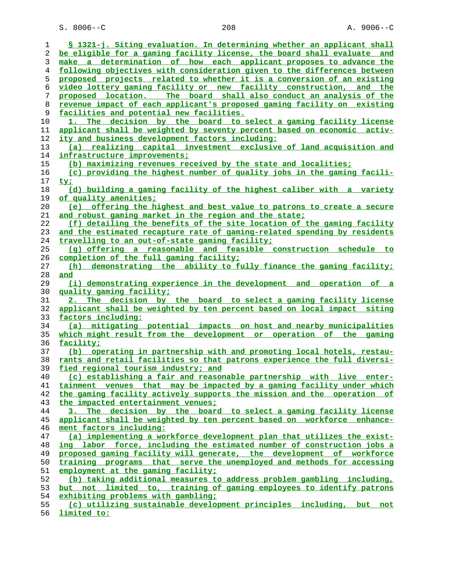S. 8006--C 208 208 A. 9006--C

| 1        | § 1321-j. Siting evaluation. In determining whether an applicant shall                                    |
|----------|-----------------------------------------------------------------------------------------------------------|
| 2        | be eligible for a gaming facility license, the board shall evaluate and                                   |
| 3        | make a determination of how each applicant proposes to advance the                                        |
| 4        | following objectives with consideration given to the differences between                                  |
| 5        | proposed projects related to whether it is a conversion of an existing                                    |
| 6        | video lottery gaming facility or new facility construction, and the                                       |
| 7        | proposed location. The board shall also conduct an analysis of the                                        |
| 8        | revenue impact of each applicant's proposed qaming facility on existing                                   |
| 9        | facilities and potential new facilities.                                                                  |
| 10       | 1. The decision by the board to select a gaming facility license                                          |
| 11       | applicant shall be weighted by seventy percent based on economic activ-                                   |
| 12       | ity and business development factors including:                                                           |
| 13       | (a) realizing capital investment exclusive of land acquisition and                                        |
| 14       | infrastructure improvements;                                                                              |
| 15       | (b) maximizing revenues received by the state and localities;                                             |
| 16       | (c) providing the highest number of quality jobs in the gaming facili-                                    |
| 17       | ty;                                                                                                       |
| 18       | (d) building a gaming facility of the highest caliber with a variety                                      |
| 19       | of quality amenities;                                                                                     |
| 20       | (e) offering the highest and best value to patrons to create a secure                                     |
| 21       | and robust gaming market in the region and the state;                                                     |
| 22       | (f) detailing the benefits of the site location of the gaming facility                                    |
| 23       | and the estimated recapture rate of gaming-related spending by residents                                  |
| 24       | travelling to an out-of-state gaming facility;                                                            |
| 25       | (q) offering a reasonable and feasible construction schedule to                                           |
| 26       | completion of the full gaming facility;                                                                   |
| 27       | (h) demonstrating the ability to fully finance the gaming facility;                                       |
| 28       | and                                                                                                       |
| 29       | (i) demonstrating experience in the development and operation of a                                        |
| 30       | quality gaming facility;                                                                                  |
| 31       | 2. The decision by the board to select a gaming facility license                                          |
| 32       | applicant shall be weighted by ten percent based on local impact siting                                   |
| 33       | factors including:                                                                                        |
| 34       | (a) mitigating potential impacts on host and nearby municipalities                                        |
| 35       | which might result from the development or operation of the gaming                                        |
| 36       | facility;                                                                                                 |
| 37       | (b) operating in partnership with and promoting local hotels, restau-                                     |
| 38       | rants and retail facilities so that patrons experience the full diversi-                                  |
| 39       | fied regional tourism industry; and                                                                       |
| 40       | (c) establishing a fair and reasonable partnership with live enter-                                       |
| 41       | tainment venues that may be impacted by a gaming facility under which                                     |
| 42       | the gaming facility actively supports the mission and the operation of                                    |
| 43       | the impacted entertainment venues;                                                                        |
| 44       |                                                                                                           |
| 45       |                                                                                                           |
|          | 3. The decision by the board to select a gaming facility license                                          |
|          | applicant shall be weighted by ten percent based on workforce enhance-                                    |
| 46       | ment factors including:                                                                                   |
| 47       | (a) implementing a workforce development plan that utilizes the exist-                                    |
| 48       | ing labor force, including the estimated number of construction jobs a                                    |
| 49       | proposed gaming facility will generate, the development of workforce                                      |
| 50       | training programs that serve the unemployed and methods for accessing                                     |
| 51       | employment at the gaming facility;                                                                        |
| 52       | (b) taking additional measures to address problem gambling including,                                     |
| 53       | but not limited to, training of gaming employees to identify patrons                                      |
| 54<br>55 | exhibiting problems with gambling;<br>(c) utilizing sustainable development principles including, but not |

**limited to:**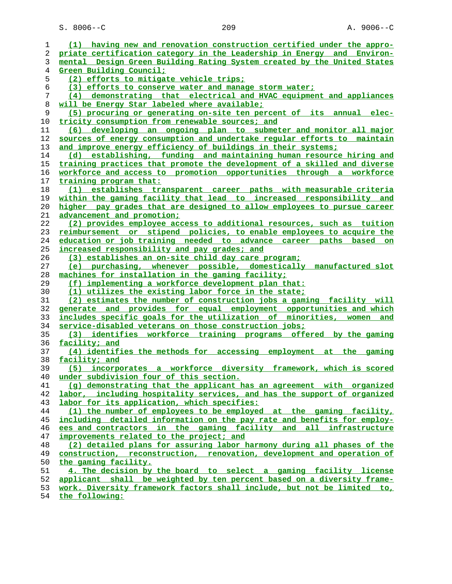S. 8006--C 209 209 A. 9006--C

| 1  | (1) having new and renovation construction certified under the appro-    |
|----|--------------------------------------------------------------------------|
| 2  | priate certification category in the Leadership in Energy and Environ-   |
| 3  | mental Design Green Building Rating System created by the United States  |
| 4  | Green Building Council;                                                  |
| 5  | (2) efforts to mitigate vehicle trips;                                   |
| 6  | (3) efforts to conserve water and manage storm water;                    |
| 7  | (4) demonstrating that electrical and HVAC equipment and appliances      |
| 8  | will be Energy Star labeled where available;                             |
| 9  | (5) procuring or generating on-site ten percent of its annual elec-      |
| 10 | tricity consumption from renewable sources; and                          |
| 11 | (6) developing an ongoing plan to submeter and monitor all major         |
| 12 | sources of energy consumption and undertake regular efforts to maintain  |
| 13 | and improve energy efficiency of buildings in their systems;             |
| 14 | (d) establishing, funding and maintaining human resource hiring and      |
| 15 | training practices that promote the development of a skilled and diverse |
| 16 | workforce and access to promotion opportunities through a workforce      |
| 17 | training program that:                                                   |
| 18 | (1) establishes transparent career paths with measurable criteria        |
| 19 | within the gaming facility that lead to increased responsibility and     |
| 20 | higher pay grades that are designed to allow employees to pursue career  |
| 21 | advancement and promotion;                                               |
| 22 | (2) provides employee access to additional resources, such as tuition    |
| 23 | reimbursement or stipend policies, to enable employees to acquire the    |
| 24 | education or job training needed to advance career paths based on        |
| 25 | increased responsibility and pay grades; and                             |
| 26 | (3) establishes an on-site child day care program;                       |
| 27 | (e) purchasing, whenever possible, domestically manufactured slot        |
| 28 | machines for installation in the gaming facility;                        |
| 29 | (f) implementing a workforce development plan that:                      |
| 30 | (1) utilizes the existing labor force in the state;                      |
| 31 | (2) estimates the number of construction jobs a gaming facility will     |
| 32 | generate and provides for equal employment opportunities and which       |
| 33 | includes specific goals for the utilization of minorities, women and     |
| 34 | service-disabled veterans on those construction jobs;                    |
| 35 | (3) identifies workforce training programs offered by the gaming         |
| 36 | facility; and                                                            |
| 37 | (4) identifies the methods for accessing employment at the gaming        |
| 38 | facility; and                                                            |
| 39 | incorporates a workforce diversity framework, which is scored<br>(5)     |
| 40 | under subdivision four of this section.                                  |
| 41 | (q) demonstrating that the applicant has an agreement with organized     |
| 42 | labor, including hospitality services, and has the support of organized  |
| 43 | labor for its application, which specifies:                              |
| 44 | (1) the number of employees to be employed at the gaming facility,       |
| 45 | including detailed information on the pay rate and benefits for employ-  |
| 46 | ees and contractors in the gaming facility and all infrastructure        |
| 47 | improvements related to the project; and                                 |
| 48 | (2) detailed plans for assuring labor harmony during all phases of the   |
| 49 | construction, reconstruction, renovation, development and operation of   |
| 50 | the gaming facility.                                                     |
| 51 | 4. The decision by the board to select a gaming facility license         |
| 52 | applicant shall be weighted by ten percent based on a diversity frame-   |
| 53 | work. Diversity framework factors shall include, but not be limited to,  |

**the following:**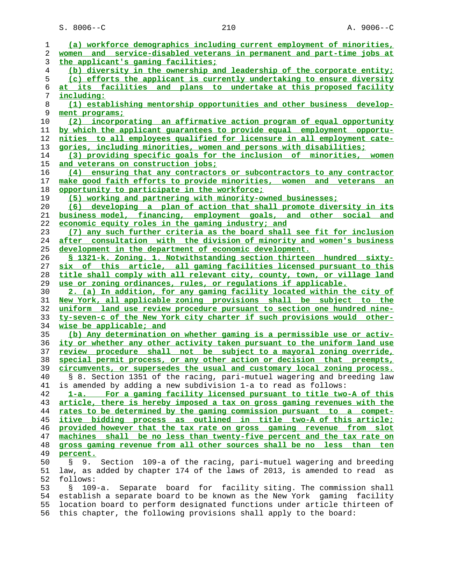S. 8006--C 210 2006--C

| 1              | (a) workforce demographics including current employment of minorities,        |
|----------------|-------------------------------------------------------------------------------|
| 2              | women and service-disabled veterans in permanent and part-time jobs at        |
| 3              | the applicant's gaming facilities;                                            |
| $\overline{4}$ | (b) diversity in the ownership and leadership of the corporate entity;        |
| 5              | (c) efforts the applicant is currently undertaking to ensure diversity        |
| 6              | at its facilities and plans to undertake at this proposed facility            |
| 7              | <u>including:</u>                                                             |
| 8              | (1) establishing mentorship opportunities and other business develop-         |
| 9              | ment programs;                                                                |
| 10             | (2) incorporating an affirmative action program of equal opportunity          |
|                |                                                                               |
| 11             | by which the applicant guarantees to provide equal employment opportu-        |
| 12             | nities to all employees qualified for licensure in all employment cate-       |
| 13             | gories, including minorities, women and persons with disabilities;            |
| 14             | (3) providing specific goals for the inclusion of minorities, women           |
| 15             | and veterans on construction jobs;                                            |
| 16             | (4) ensuring that any contractors or subcontractors to any contractor         |
| 17             | make good faith efforts to provide minorities, women and veterans an          |
| 18             | opportunity to participate in the workforce;                                  |
| 19             | (5) working and partnering with minority-owned businesses;                    |
| 20             | (6) developing a plan of action that shall promote diversity in its           |
| 21             | business model, financing, employment goals, and other social and             |
| 22             | economic equity roles in the gaming industry; and                             |
| 23             | (7) any such further criteria as the board shall see fit for inclusion        |
| 24             | after consultation with the division of minority and women's business         |
| 25             | development in the department of economic development.                        |
| 26             | § 1321-k. Zoning. 1. Notwithstanding section thirteen hundred sixty-          |
| 27             | six of this article, all gaming facilities licensed pursuant to this          |
| 28             | title shall comply with all relevant city, county, town, or village land      |
| 29             | use or zoning ordinances, rules, or regulations if applicable.                |
| 30             | 2. (a) In addition, for any gaming facility located within the city of        |
| 31             | New York, all applicable zoning provisions shall be subject to the            |
| 32             | uniform land use review procedure pursuant to section one hundred nine-       |
| 33             | ty-seven-c of the New York city charter if such provisions would other-       |
| 34             | wise be applicable; and                                                       |
| 35             | (b) Any determination on whether gaming is a permissible use or activ-        |
| 36             | ity or whether any other activity taken pursuant to the uniform land use      |
| 37             | review procedure shall not be subject to a mayoral zoning override,           |
| 38             | special permit process, or any other action or decision that preempts,        |
| 39             | circumvents, or supersedes the usual and customary local zoning process.      |
| 40             | § 8. Section 1351 of the racing, pari-mutuel wagering and breeding law        |
| 41             | is amended by adding a new subdivision 1-a to read as follows:                |
| 42             | 1-a. For a gaming facility licensed pursuant to title two-A of this           |
| 43             | article, there is hereby imposed a tax on gross gaming revenues with the      |
| 44             | rates to be determined by the gaming commission pursuant to a compet-         |
| 45             | itive bidding process as outlined in title two-A of this article;             |
| 46             | provided however that the tax rate on gross gaming revenue from slot          |
| 47             | machines shall be no less than twenty-five percent and the tax rate on        |
| 48             | gross gaming revenue from all other sources shall be no less than ten         |
| 49             | percent.                                                                      |
| 50             | Section 109-a of the racing, pari-mutuel wagering and breeding<br>S<br>9.     |
| 51             | law, as added by chapter 174 of the laws of 2013, is amended to read as       |
|                |                                                                               |
| 52             | follows:                                                                      |
| 53             | Separate board for facility siting. The commission shall<br>Š.<br>$109 - a$ . |
| 54             | establish a separate board to be known as the New York gaming facility        |
| 55             | location board to perform designated functions under article thirteen of      |
| 56             | this chapter, the following provisions shall apply to the board:              |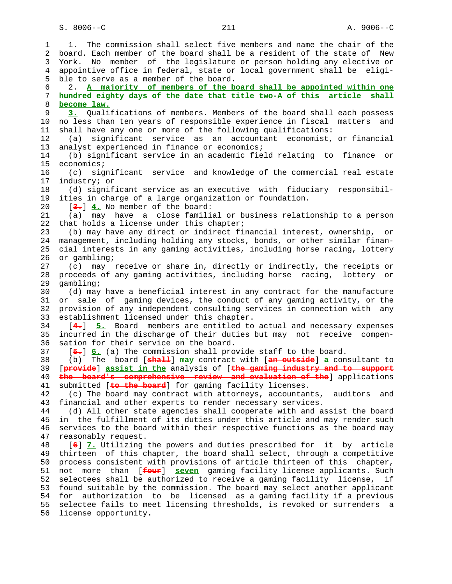1 1. The commission shall select five members and name the chair of the 2 board. Each member of the board shall be a resident of the state of New 3 York. No member of the legislature or person holding any elective or 4 appointive office in federal, state or local government shall be eligi- 5 ble to serve as a member of the board. 6 2. **A majority of members of the board shall be appointed within one** 7 **hundred eighty days of the date that title two-A of this article shall** 8 **become law.** 9 **3.** Qualifications of members. Members of the board shall each possess 10 no less than ten years of responsible experience in fiscal matters and 11 shall have any one or more of the following qualifications: 12 (a) significant service as an accountant economist, or financial 13 analyst experienced in finance or economics; 14 (b) significant service in an academic field relating to finance or 15 economics; 16 (c) significant service and knowledge of the commercial real estate 17 industry; or 18 (d) significant service as an executive with fiduciary responsibil- 19 ities in charge of a large organization or foundation. 20 [**3.**] **4.** No member of the board: 21 (a) may have a close familial or business relationship to a person 22 that holds a license under this chapter; 23 (b) may have any direct or indirect financial interest, ownership, or 24 management, including holding any stocks, bonds, or other similar finan- 25 cial interests in any gaming activities, including horse racing, lottery 26 or gambling; 27 (c) may receive or share in, directly or indirectly, the receipts or 28 proceeds of any gaming activities, including horse racing, lottery or 29 gambling; 30 (d) may have a beneficial interest in any contract for the manufacture 31 or sale of gaming devices, the conduct of any gaming activity, or the 32 provision of any independent consulting services in connection with any 33 establishment licensed under this chapter. 34 [**4.**] **5.** Board members are entitled to actual and necessary expenses 35 incurred in the discharge of their duties but may not receive compen- 36 sation for their service on the board. 37 [**5.**] **6.** (a) The commission shall provide staff to the board. 38 (b) The board [**shall**] **may** contract with [**an outside**] **a** consultant to 39 [**provide**] **assist in the** analysis of [**the gaming industry and to support** 40 **the board's comprehensive review and evaluation of the**] applications 41 submitted [**to the board**] for gaming facility licenses. 42 (c) The board may contract with attorneys, accountants, auditors and 43 financial and other experts to render necessary services. 44 (d) All other state agencies shall cooperate with and assist the board 45 in the fulfillment of its duties under this article and may render such 46 services to the board within their respective functions as the board may 47 reasonably request. 48 [**6**] **7.** Utilizing the powers and duties prescribed for it by article 49 thirteen of this chapter, the board shall select, through a competitive 50 process consistent with provisions of article thirteen of this chapter, 51 not more than [**four**] **seven** gaming facility license applicants. Such 52 selectees shall be authorized to receive a gaming facility license, if 53 found suitable by the commission. The board may select another applicant 54 for authorization to be licensed as a gaming facility if a previous 55 selectee fails to meet licensing thresholds, is revoked or surrenders a 56 license opportunity.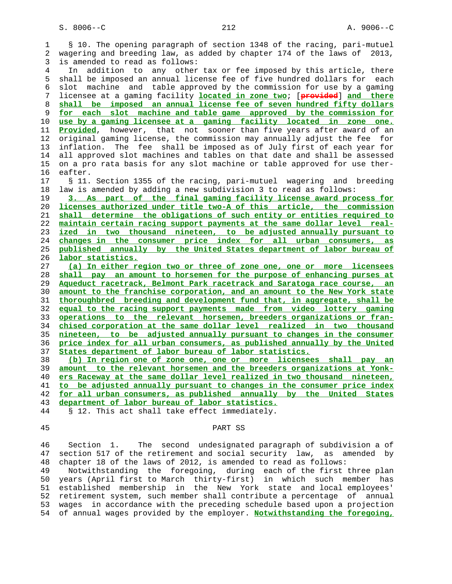1 § 10. The opening paragraph of section 1348 of the racing, pari-mutuel 2 wagering and breeding law, as added by chapter 174 of the laws of 2013, 3 is amended to read as follows: 4 In addition to any other tax or fee imposed by this article, there 5 shall be imposed an annual license fee of five hundred dollars for each 6 slot machine and table approved by the commission for use by a gaming 7 licensee at a gaming facility **located in zone two**; [**provided**] **and there shall be imposed an annual license fee of seven hundred fifty dollars for each slot machine and table game approved by the commission for use by a gaming licensee at a gaming facility located in zone one. Provided**, however, that not sooner than five years after award of an 12 original gaming license, the commission may annually adjust the fee for 13 inflation. The fee shall be imposed as of July first of each year for 14 all approved slot machines and tables on that date and shall be assessed 15 on a pro rata basis for any slot machine or table approved for use ther- 16 eafter. 17 § 11. Section 1355 of the racing, pari-mutuel wagering and breeding 18 law is amended by adding a new subdivision 3 to read as follows: **3. As part of the final gaming facility license award process for licenses authorized under title two-A of this article, the commission shall determine the obligations of such entity or entities required to maintain certain racing support payments at the same dollar level real- ized in two thousand nineteen, to be adjusted annually pursuant to changes in the consumer price index for all urban consumers, as published annually by the United States department of labor bureau of labor statistics. (a) In either region two or three of zone one, one or more licensees shall pay an amount to horsemen for the purpose of enhancing purses at Aqueduct racetrack, Belmont Park racetrack and Saratoga race course, an amount to the franchise corporation, and an amount to the New York state thoroughbred breeding and development fund that, in aggregate, shall be equal to the racing support payments made from video lottery gaming operations to the relevant horsemen, breeders organizations or fran- chised corporation at the same dollar level realized in two thousand nineteen, to be adjusted annually pursuant to changes in the consumer price index for all urban consumers, as published annually by the United States department of labor bureau of labor statistics. (b) In region one of zone one, one or more licensees shall pay an amount to the relevant horsemen and the breeders organizations at Yonk- ers Raceway at the same dollar level realized in two thousand nineteen, to be adjusted annually pursuant to changes in the consumer price index for all urban consumers, as published annually by the United States**

43 **department of labor bureau of labor statistics.**

44 § 12. This act shall take effect immediately.

### 45 PART SS

 46 Section 1. The second undesignated paragraph of subdivision a of 47 section 517 of the retirement and social security law, as amended by 48 chapter 18 of the laws of 2012, is amended to read as follows:

 49 Notwithstanding the foregoing, during each of the first three plan 50 years (April first to March thirty-first) in which such member has 51 established membership in the New York state and local employees' 52 retirement system, such member shall contribute a percentage of annual 53 wages in accordance with the preceding schedule based upon a projection 54 of annual wages provided by the employer. **Notwithstanding the foregoing,**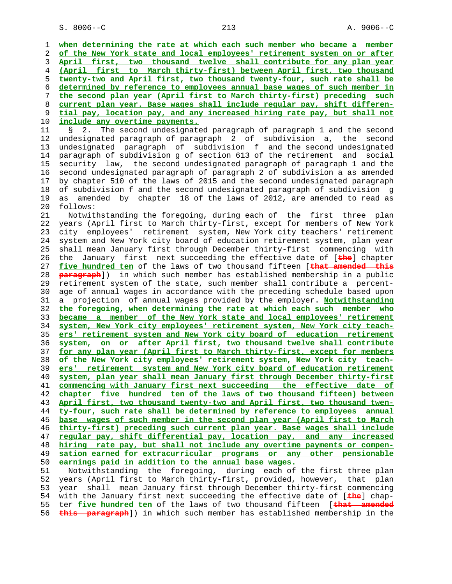1 **when determining the rate at which each such member who became a member** 2 **of the New York state and local employees' retirement system on or after** 3 **April first, two thousand twelve shall contribute for any plan year** 4 **(April first to March thirty-first) between April first, two thousand** 5 **twenty-two and April first, two thousand twenty-four, such rate shall be** 6 **determined by reference to employees annual base wages of such member in** 7 **the second plan year (April first to March thirty-first) preceding such** 8 **current plan year. Base wages shall include regular pay, shift differen-** 9 **tial pay, location pay, and any increased hiring rate pay, but shall not** 10 **include any overtime payments.** 11 § 2. The second undesignated paragraph of paragraph 1 and the second 12 undesignated paragraph of paragraph 2 of subdivision a, the second 13 undesignated paragraph of subdivision f and the second undesignated 14 paragraph of subdivision g of section 613 of the retirement and social 15 security law, the second undesignated paragraph of paragraph 1 and the 16 second undesignated paragraph of paragraph 2 of subdivision a as amended 17 by chapter 510 of the laws of 2015 and the second undesignated paragraph 18 of subdivision f and the second undesignated paragraph of subdivision g 19 as amended by chapter 18 of the laws of 2012, are amended to read as 20 follows: 21 Notwithstanding the foregoing, during each of the first three plan 22 years (April first to March thirty-first, except for members of New York 23 city employees' retirement system, New York city teachers' retirement 24 system and New York city board of education retirement system, plan year 25 shall mean January first through December thirty-first commencing with 26 the January first next succeeding the effective date of [**the**] chapter 27 **five hundred ten** of the laws of two thousand fifteen [**that amended this** 28 **paragraph**]) in which such member has established membership in a public 29 retirement system of the state, such member shall contribute a percent- 30 age of annual wages in accordance with the preceding schedule based upon 31 a projection of annual wages provided by the employer. **Notwithstanding** 32 **the foregoing, when determining the rate at which each such member who** 33 **became a member of the New York state and local employees' retirement** 34 **system, New York city employees' retirement system, New York city teach-** 35 **ers' retirement system and New York city board of education retirement** 36 **system, on or after April first, two thousand twelve shall contribute** 37 **for any plan year (April first to March thirty-first, except for members** 38 **of the New York city employees' retirement system, New York city teach-** 39 **ers' retirement system and New York city board of education retirement** 40 **system, plan year shall mean January first through December thirty-first** 41 **commencing with January first next succeeding the effective date of** 42 **chapter five hundred ten of the laws of two thousand fifteen) between** 43 **April first, two thousand twenty-two and April first, two thousand twen-** 44 **ty-four, such rate shall be determined by reference to employees annual** 45 **base wages of such member in the second plan year (April first to March** 46 **thirty-first) preceding such current plan year. Base wages shall include** 47 **regular pay, shift differential pay, location pay, and any increased** 48 **hiring rate pay, but shall not include any overtime payments or compen-** 49 **sation earned for extracurricular programs or any other pensionable** earnings paid in addition to the annual base wages. 51 Notwithstanding the foregoing, during each of the first three plan 52 years (April first to March thirty-first, provided, however, that plan 53 year shall mean January first through December thirty-first commencing 54 with the January first next succeeding the effective date of [**the**] chap- 55 ter **five hundred ten** of the laws of two thousand fifteen [**that amended** 56 **this paragraph**]) in which such member has established membership in the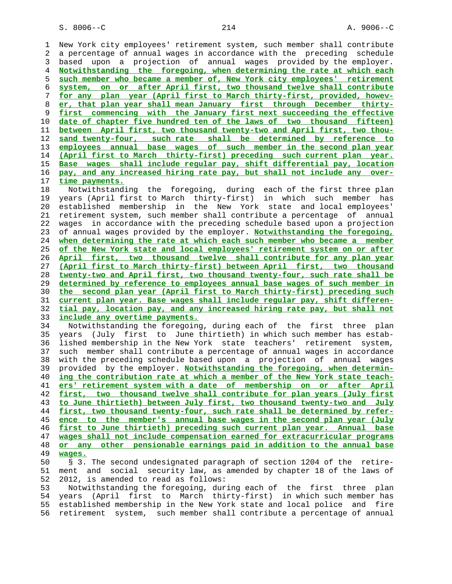1 New York city employees' retirement system, such member shall contribute 2 a percentage of annual wages in accordance with the preceding schedule 3 based upon a projection of annual wages provided by the employer. **Notwithstanding the foregoing, when determining the rate at which each such member who became a member of, New York city employees' retirement system, on or after April first, two thousand twelve shall contribute for any plan year (April first to March thirty-first, provided, howev- er, that plan year shall mean January first through December thirty- first commencing with the January first next succeeding the effective date of chapter five hundred ten of the laws of two thousand fifteen) between April first, two thousand twenty-two and April first, two thou- sand twenty-four, such rate shall be determined by reference to employees annual base wages of such member in the second plan year (April first to March thirty-first) preceding such current plan year. Base wages shall include regular pay, shift differential pay, location pay, and any increased hiring rate pay, but shall not include any over- time payments.** 18 Notwithstanding the foregoing, during each of the first three plan

 19 years (April first to March thirty-first) in which such member has 20 established membership in the New York state and local employees' 21 retirement system, such member shall contribute a percentage of annual 22 wages in accordance with the preceding schedule based upon a projection 23 of annual wages provided by the employer. **Notwithstanding the foregoing, when determining the rate at which each such member who became a member of the New York state and local employees' retirement system on or after April first, two thousand twelve shall contribute for any plan year (April first to March thirty-first) between April first, two thousand twenty-two and April first, two thousand twenty-four, such rate shall be determined by reference to employees annual base wages of such member in the second plan year (April first to March thirty-first) preceding such current plan year. Base wages shall include regular pay, shift differen- tial pay, location pay, and any increased hiring rate pay, but shall not include any overtime payments.**

 34 Notwithstanding the foregoing, during each of the first three plan 35 years (July first to June thirtieth) in which such member has estab- 36 lished membership in the New York state teachers' retirement system, 37 such member shall contribute a percentage of annual wages in accordance 38 with the preceding schedule based upon a projection of annual wages 39 provided by the employer. **Notwithstanding the foregoing, when determin-** 40 **ing the contribution rate at which a member of the New York state teach-** 41 **ers' retirement system with a date of membership on or after April** 42 **first, two thousand twelve shall contribute for plan years (July first** 43 **to June thirtieth) between July first, two thousand twenty-two and July** 44 **first, two thousand twenty-four, such rate shall be determined by refer-** 45 **ence to the member's annual base wages in the second plan year (July** 46 **first to June thirtieth) preceding such current plan year. Annual base** 47 **wages shall not include compensation earned for extracurricular programs** 48 **or any other pensionable earnings paid in addition to the annual base** 49 **wages.**

§ 3. The second undesignated paragraph of section 1204 of the retire- 51 ment and social security law, as amended by chapter 18 of the laws of 52 2012, is amended to read as follows:

 53 Notwithstanding the foregoing, during each of the first three plan 54 years (April first to March thirty-first) in which such member has 55 established membership in the New York state and local police and fire 56 retirement system, such member shall contribute a percentage of annual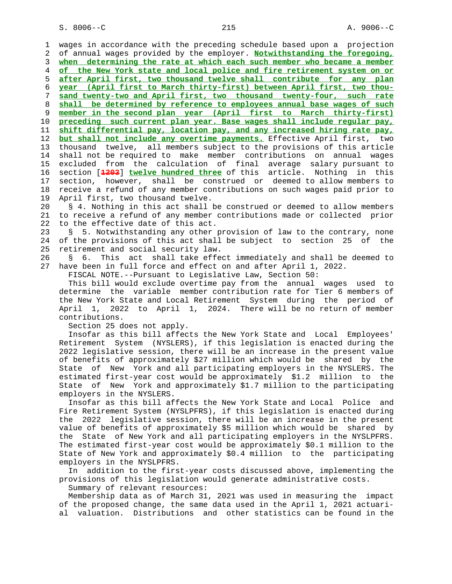1 wages in accordance with the preceding schedule based upon a projection 2 of annual wages provided by the employer. **Notwithstanding the foregoing,** 3 **when determining the rate at which each such member who became a member** 4 **of the New York state and local police and fire retirement system on or** 5 **after April first, two thousand twelve shall contribute for any plan** 6 **year (April first to March thirty-first) between April first, two thou-** 7 **sand twenty-two and April first, two thousand twenty-four, such rate** 8 **shall be determined by reference to employees annual base wages of such** 9 **member in the second plan year (April first to March thirty-first)** 10 **preceding such current plan year. Base wages shall include regular pay,** 11 **shift differential pay, location pay, and any increased hiring rate pay,** 12 **but shall not include any overtime payments.** Effective April first, two 13 thousand twelve, all members subject to the provisions of this article 14 shall not be required to make member contributions on annual wages 15 excluded from the calculation of final average salary pursuant to 16 section [**1203**] **twelve hundred three** of this article. Nothing in this 17 section, however, shall be construed or deemed to allow members to 18 receive a refund of any member contributions on such wages paid prior to 19 April first, two thousand twelve.

 20 § 4. Nothing in this act shall be construed or deemed to allow members 21 to receive a refund of any member contributions made or collected prior 22 to the effective date of this act.

 23 § 5. Notwithstanding any other provision of law to the contrary, none 24 of the provisions of this act shall be subject to section 25 of the 25 retirement and social security law.

 26 § 6. This act shall take effect immediately and shall be deemed to 27 have been in full force and effect on and after April 1, 2022.

FISCAL NOTE.--Pursuant to Legislative Law, Section 50:

 This bill would exclude overtime pay from the annual wages used to determine the variable member contribution rate for Tier 6 members of the New York State and Local Retirement System during the period of April 1, 2022 to April 1, 2024. There will be no return of member contributions.

Section 25 does not apply.

 Insofar as this bill affects the New York State and Local Employees' Retirement System (NYSLERS), if this legislation is enacted during the 2022 legislative session, there will be an increase in the present value of benefits of approximately \$27 million which would be shared by the State of New York and all participating employers in the NYSLERS. The estimated first-year cost would be approximately \$1.2 million to the State of New York and approximately \$1.7 million to the participating employers in the NYSLERS.

 Insofar as this bill affects the New York State and Local Police and Fire Retirement System (NYSLPFRS), if this legislation is enacted during the 2022 legislative session, there will be an increase in the present value of benefits of approximately \$5 million which would be shared by the State of New York and all participating employers in the NYSLPFRS. The estimated first-year cost would be approximately \$0.1 million to the State of New York and approximately \$0.4 million to the participating employers in the NYSLPFRS.

 In addition to the first-year costs discussed above, implementing the provisions of this legislation would generate administrative costs.

Summary of relevant resources:

 Membership data as of March 31, 2021 was used in measuring the impact of the proposed change, the same data used in the April 1, 2021 actuari al valuation. Distributions and other statistics can be found in the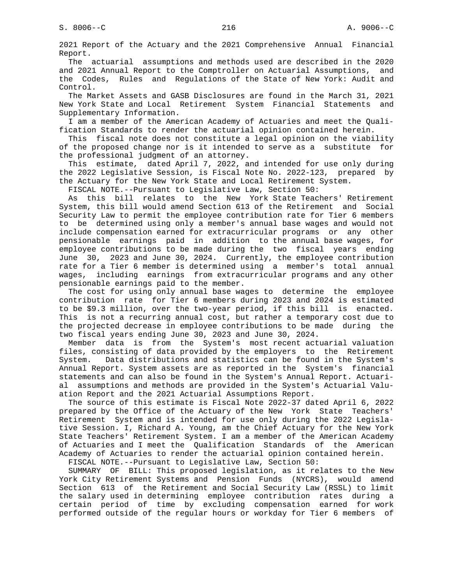2021 Report of the Actuary and the 2021 Comprehensive Annual Financial Report.

 The actuarial assumptions and methods used are described in the 2020 and 2021 Annual Report to the Comptroller on Actuarial Assumptions, and the Codes, Rules and Regulations of the State of New York: Audit and Control.

 The Market Assets and GASB Disclosures are found in the March 31, 2021 New York State and Local Retirement System Financial Statements and Supplementary Information.

 I am a member of the American Academy of Actuaries and meet the Quali fication Standards to render the actuarial opinion contained herein.

 This fiscal note does not constitute a legal opinion on the viability of the proposed change nor is it intended to serve as a substitute for the professional judgment of an attorney.

 This estimate, dated April 7, 2022, and intended for use only during the 2022 Legislative Session, is Fiscal Note No. 2022-123, prepared by the Actuary for the New York State and Local Retirement System.

FISCAL NOTE.--Pursuant to Legislative Law, Section 50:

 As this bill relates to the New York State Teachers' Retirement System, this bill would amend Section 613 of the Retirement and Social Security Law to permit the employee contribution rate for Tier 6 members to be determined using only a member's annual base wages and would not include compensation earned for extracurricular programs or any other pensionable earnings paid in addition to the annual base wages, for employee contributions to be made during the two fiscal years ending June 30, 2023 and June 30, 2024. Currently, the employee contribution rate for a Tier 6 member is determined using a member's total annual wages, including earnings from extracurricular programs and any other pensionable earnings paid to the member.

 The cost for using only annual base wages to determine the employee contribution rate for Tier 6 members during 2023 and 2024 is estimated to be \$9.3 million, over the two-year period, if this bill is enacted. This is not a recurring annual cost, but rather a temporary cost due to the projected decrease in employee contributions to be made during the two fiscal years ending June 30, 2023 and June 30, 2024.

 Member data is from the System's most recent actuarial valuation files, consisting of data provided by the employers to the Retirement System. Data distributions and statistics can be found in the System's Annual Report. System assets are as reported in the System's financial statements and can also be found in the System's Annual Report. Actuari al assumptions and methods are provided in the System's Actuarial Valu ation Report and the 2021 Actuarial Assumptions Report.

 The source of this estimate is Fiscal Note 2022-37 dated April 6, 2022 prepared by the Office of the Actuary of the New York State Teachers' Retirement System and is intended for use only during the 2022 Legisla tive Session. I, Richard A. Young, am the Chief Actuary for the New York State Teachers' Retirement System. I am a member of the American Academy of Actuaries and I meet the Qualification Standards of the American Academy of Actuaries to render the actuarial opinion contained herein.

FISCAL NOTE.--Pursuant to Legislative Law, Section 50:

 SUMMARY OF BILL: This proposed legislation, as it relates to the New York City Retirement Systems and Pension Funds (NYCRS), would amend Section 613 of the Retirement and Social Security Law (RSSL) to limit the salary used in determining employee contribution rates during a certain period of time by excluding compensation earned for work performed outside of the regular hours or workday for Tier 6 members of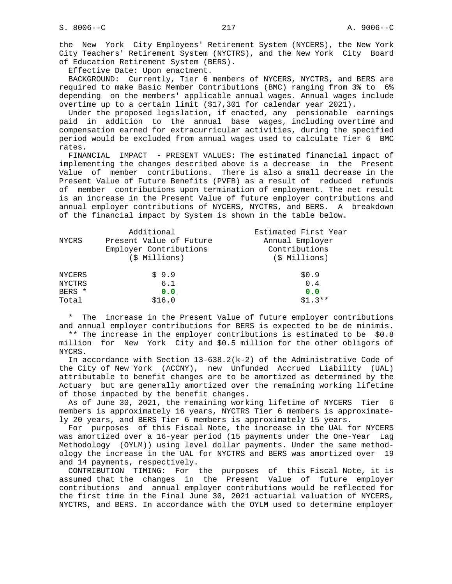the New York City Employees' Retirement System (NYCERS), the New York City Teachers' Retirement System (NYCTRS), and the New York City Board of Education Retirement System (BERS).

Effective Date: Upon enactment.

 BACKGROUND: Currently, Tier 6 members of NYCERS, NYCTRS, and BERS are required to make Basic Member Contributions (BMC) ranging from 3% to 6% depending on the members' applicable annual wages. Annual wages include overtime up to a certain limit (\$17,301 for calendar year 2021).

 Under the proposed legislation, if enacted, any pensionable earnings paid in addition to the annual base wages, including overtime and compensation earned for extracurricular activities, during the specified period would be excluded from annual wages used to calculate Tier 6 BMC rates.

 FINANCIAL IMPACT - PRESENT VALUES: The estimated financial impact of implementing the changes described above is a decrease in the Present Value of member contributions. There is also a small decrease in the Present Value of Future Benefits (PVFB) as a result of reduced refunds of member contributions upon termination of employment. The net result is an increase in the Present Value of future employer contributions and annual employer contributions of NYCERS, NYCTRS, and BERS. A breakdown of the financial impact by System is shown in the table below.

|               | Additional              | Estimated First Year |
|---------------|-------------------------|----------------------|
| NYCRS         | Present Value of Future | Annual Employer      |
|               | Employer Contributions  | Contributions        |
|               | (\$ Millions)           | (\$ Millions)        |
| <b>NYCERS</b> | \$9.9                   | \$0.9                |
| <b>NYCTRS</b> | 6.1                     | 0.4                  |
| BERS *        | 0.0                     | 0.0                  |
| Total         | \$16.0                  | $$1.3**$             |

 \* The increase in the Present Value of future employer contributions and annual employer contributions for BERS is expected to be de minimis.

 \*\* The increase in the employer contributions is estimated to be \$0.8 million for New York City and \$0.5 million for the other obligors of NYCRS.

 In accordance with Section 13-638.2(k-2) of the Administrative Code of the City of New York (ACCNY), new Unfunded Accrued Liability (UAL) attributable to benefit changes are to be amortized as determined by the Actuary but are generally amortized over the remaining working lifetime of those impacted by the benefit changes.

 As of June 30, 2021, the remaining working lifetime of NYCERS Tier 6 members is approximately 16 years, NYCTRS Tier 6 members is approximate ly 20 years, and BERS Tier 6 members is approximately 15 years.

 For purposes of this Fiscal Note, the increase in the UAL for NYCERS was amortized over a 16-year period (15 payments under the One-Year Lag Methodology (OYLM)) using level dollar payments. Under the same method ology the increase in the UAL for NYCTRS and BERS was amortized over 19 and 14 payments, respectively.

 CONTRIBUTION TIMING: For the purposes of this Fiscal Note, it is assumed that the changes in the Present Value of future employer contributions and annual employer contributions would be reflected for the first time in the Final June 30, 2021 actuarial valuation of NYCERS, NYCTRS, and BERS. In accordance with the OYLM used to determine employer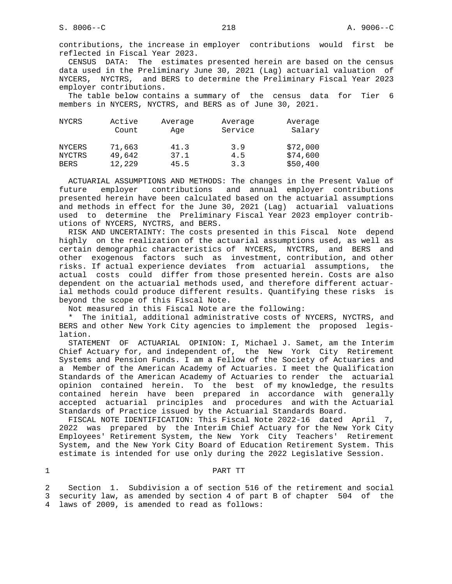contributions, the increase in employer contributions would first be reflected in Fiscal Year 2023.

 CENSUS DATA: The estimates presented herein are based on the census data used in the Preliminary June 30, 2021 (Lag) actuarial valuation of NYCERS, NYCTRS, and BERS to determine the Preliminary Fiscal Year 2023 employer contributions.

 The table below contains a summary of the census data for Tier 6 members in NYCERS, NYCTRS, and BERS as of June 30, 2021.

| <b>NYCRS</b>  | Active<br>Count | Average<br>Age | Average<br>Service | Average<br>Salary |
|---------------|-----------------|----------------|--------------------|-------------------|
| <b>NYCERS</b> | 71,663          | 41.3           | 3.9                | \$72,000          |
| <b>NYCTRS</b> | 49,642          | 37.1           | 4.5                | \$74,600          |
| <b>BERS</b>   | 12,229          | 45.5           | 3.3                | \$50,400          |

 ACTUARIAL ASSUMPTIONS AND METHODS: The changes in the Present Value of future employer contributions and annual employer contributions presented herein have been calculated based on the actuarial assumptions and methods in effect for the June 30, 2021 (Lag) actuarial valuations used to determine the Preliminary Fiscal Year 2023 employer contrib utions of NYCERS, NYCTRS, and BERS.

 RISK AND UNCERTAINTY: The costs presented in this Fiscal Note depend highly on the realization of the actuarial assumptions used, as well as certain demographic characteristics of NYCERS, NYCTRS, and BERS and other exogenous factors such as investment, contribution, and other risks. If actual experience deviates from actuarial assumptions, the actual costs could differ from those presented herein. Costs are also dependent on the actuarial methods used, and therefore different actuar ial methods could produce different results. Quantifying these risks is beyond the scope of this Fiscal Note.

Not measured in this Fiscal Note are the following:

 \* The initial, additional administrative costs of NYCERS, NYCTRS, and BERS and other New York City agencies to implement the proposed legis lation.

 STATEMENT OF ACTUARIAL OPINION: I, Michael J. Samet, am the Interim Chief Actuary for, and independent of, the New York City Retirement Systems and Pension Funds. I am a Fellow of the Society of Actuaries and a Member of the American Academy of Actuaries. I meet the Qualification Standards of the American Academy of Actuaries to render the actuarial opinion contained herein. To the best of my knowledge, the results contained herein have been prepared in accordance with generally accepted actuarial principles and procedures and with the Actuarial Standards of Practice issued by the Actuarial Standards Board.

 FISCAL NOTE IDENTIFICATION: This Fiscal Note 2022-16 dated April 7, 2022 was prepared by the Interim Chief Actuary for the New York City Employees' Retirement System, the New York City Teachers' Retirement System, and the New York City Board of Education Retirement System. This estimate is intended for use only during the 2022 Legislative Session.

### 1 PART TT

 2 Section 1. Subdivision a of section 516 of the retirement and social 3 security law, as amended by section 4 of part B of chapter 504 of the 4 laws of 2009, is amended to read as follows: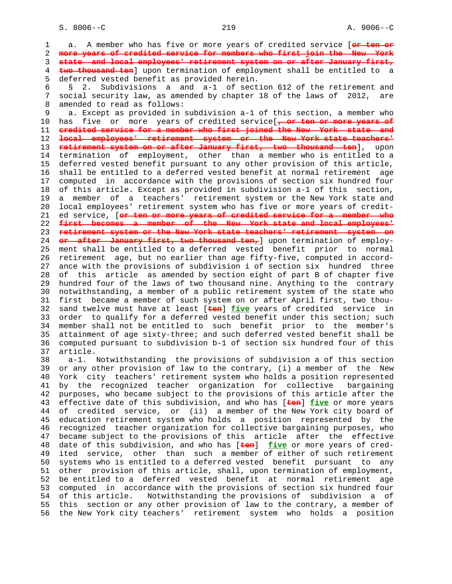1 a. A member who has five or more years of credited service [**or ten or** 2 **more years of credited service for members who first join the New York** 3 **state and local employees' retirement system on or after January first,** 4 **two thousand ten**] upon termination of employment shall be entitled to a 5 deferred vested benefit as provided herein. 6 § 2. Subdivisions a and a-1 of section 612 of the retirement and 7 social security law, as amended by chapter 18 of the laws of 2012, are 8 amended to read as follows: 9 a. Except as provided in subdivision a-1 of this section, a member who 10 has five or more years of credited service[**, or ten or more years of** 11 **credited service for a member who first joined the New York state and** 12 **local employees' retirement system or the New York state teachers'** 13 **retirement system on or after January first, two thousand ten**], upon 14 termination of employment, other than a member who is entitled to a 15 deferred vested benefit pursuant to any other provision of this article, 16 shall be entitled to a deferred vested benefit at normal retirement age 17 computed in accordance with the provisions of section six hundred four 18 of this article. Except as provided in subdivision a-1 of this section, 19 a member of a teachers' retirement system or the New York state and 20 local employees' retirement system who has five or more years of credit- 21 ed service, [**or ten or more years of credited service for a member who** 22 **first becomes a member of the New York state and local employees'** 23 **retirement system or the New York state teachers' retirement system on** 24 **or after January first, two thousand ten,**] upon termination of employ- 25 ment shall be entitled to a deferred vested benefit prior to normal 26 retirement age, but no earlier than age fifty-five, computed in accord- 27 ance with the provisions of subdivision i of section six hundred three 28 of this article as amended by section eight of part B of chapter five 29 hundred four of the laws of two thousand nine. Anything to the contrary 30 notwithstanding, a member of a public retirement system of the state who 31 first became a member of such system on or after April first, two thou- 32 sand twelve must have at least [**ten**] **five** years of credited service in 33 order to qualify for a deferred vested benefit under this section; such 34 member shall not be entitled to such benefit prior to the member's 35 attainment of age sixty-three; and such deferred vested benefit shall be 36 computed pursuant to subdivision b-1 of section six hundred four of this 37 article. 38 a-1. Notwithstanding the provisions of subdivision a of this section 39 or any other provision of law to the contrary, (i) a member of the New 40 York city teachers' retirement system who holds a position represented 41 by the recognized teacher organization for collective bargaining 42 purposes, who became subject to the provisions of this article after the 43 effective date of this subdivision, and who has [**ten**] **five** or more years 44 of credited service, or (ii) a member of the New York city board of 45 education retirement system who holds a position represented by the 46 recognized teacher organization for collective bargaining purposes, who 47 became subject to the provisions of this article after the effective 48 date of this subdivision, and who has [**ten**] **five** or more years of cred- 49 ited service, other than such a member of either of such retirement 50 systems who is entitled to a deferred vested benefit pursuant to any 51 other provision of this article, shall, upon termination of employment, 52 be entitled to a deferred vested benefit at normal retirement age 53 computed in accordance with the provisions of section six hundred four

 54 of this article. Notwithstanding the provisions of subdivision a of 55 this section or any other provision of law to the contrary, a member of 56 the New York city teachers' retirement system who holds a position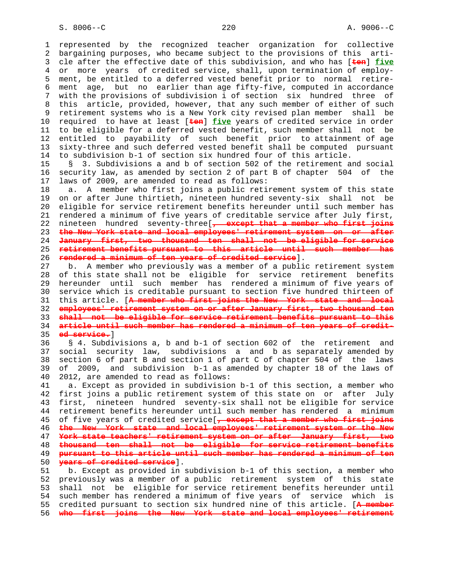1 represented by the recognized teacher organization for collective 2 bargaining purposes, who became subject to the provisions of this arti- 3 cle after the effective date of this subdivision, and who has [**ten**] **five** 4 or more years of credited service, shall, upon termination of employ- 5 ment, be entitled to a deferred vested benefit prior to normal retire- 6 ment age, but no earlier than age fifty-five, computed in accordance 7 with the provisions of subdivision i of section six hundred three of 8 this article, provided, however, that any such member of either of such 9 retirement systems who is a New York city revised plan member shall be 10 required to have at least [**ten**] **five** years of credited service in order 11 to be eligible for a deferred vested benefit, such member shall not be 12 entitled to payability of such benefit prior to attainment of age 13 sixty-three and such deferred vested benefit shall be computed pursuant 14 to subdivision b-1 of section six hundred four of this article. 15 § 3. Subdivisions a and b of section 502 of the retirement and social 16 security law, as amended by section 2 of part B of chapter 504 of the 17 laws of 2009, are amended to read as follows: 18 a. A member who first joins a public retirement system of this state 19 on or after June thirtieth, nineteen hundred seventy-six shall not be 20 eligible for service retirement benefits hereunder until such member has 21 rendered a minimum of five years of creditable service after July first, 22 nineteen hundred seventy-three[**, except that a member who first joins** 23 **the New York state and local employees' retirement system on or after** 24 **January first, two thousand ten shall not be eligible for service** 25 **retirement benefits pursuant to this article until such member has** 26 **rendered a minimum of ten years of credited service**]. 27 b. A member who previously was a member of a public retirement system 28 of this state shall not be eligible for service retirement benefits 29 hereunder until such member has rendered a minimum of five years of 30 service which is creditable pursuant to section five hundred thirteen of 31 this article. [**A member who first joins the New York state and local** 32 **employees' retirement system on or after January first, two thousand ten** 33 **shall not be eligible for service retirement benefits pursuant to this** 34 **article until such member has rendered a minimum of ten years of credit-** 35 **ed service.**] 36 § 4. Subdivisions a, b and b-1 of section 602 of the retirement and 37 social security law, subdivisions a and b as separately amended by 38 section 6 of part B and section 1 of part C of chapter 504 of the laws 39 of 2009, and subdivision b-1 as amended by chapter 18 of the laws of 40 2012, are amended to read as follows: 41 a. Except as provided in subdivision b-1 of this section, a member who 42 first joins a public retirement system of this state on or after July 43 first, nineteen hundred seventy-six shall not be eligible for service 44 retirement benefits hereunder until such member has rendered a minimum 45 of five years of credited service[**, except that a member who first joins** 46 **the New York state and local employees' retirement system or the New** 47 **York state teachers' retirement system on or after January first, two** 48 **thousand ten shall not be eligible for service retirement benefits** 49 **pursuant to this article until such member has rendered a minimum of ten** 50 **years of credited service**]. 51 b. Except as provided in subdivision b-1 of this section, a member who 52 previously was a member of a public retirement system of this state

 55 credited pursuant to section six hundred nine of this article. [**A member** 56 **who first joins the New York state and local employees' retirement**

 53 shall not be eligible for service retirement benefits hereunder until 54 such member has rendered a minimum of five years of service which is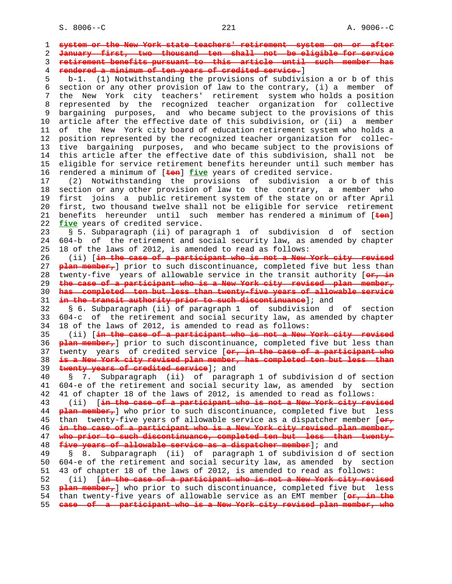1 **system or the New York state teachers' retirement system on or after** 2 **January first, two thousand ten shall not be eligible for service** 3 **retirement benefits pursuant to this article until such member has** 4 **rendered a minimum of ten years of credited service.**] 5 b-1. (1) Notwithstanding the provisions of subdivision a or b of this 6 section or any other provision of law to the contrary, (i) a member of 7 the New York city teachers' retirement system who holds a position 8 represented by the recognized teacher organization for collective 9 bargaining purposes, and who became subject to the provisions of this 10 article after the effective date of this subdivision, or (ii) a member 11 of the New York city board of education retirement system who holds a 12 position represented by the recognized teacher organization for collec- 13 tive bargaining purposes, and who became subject to the provisions of 14 this article after the effective date of this subdivision, shall not be 15 eligible for service retirement benefits hereunder until such member has 16 rendered a minimum of [**ten**] **five** years of credited service. 17 (2) Notwithstanding the provisions of subdivision a or b of this 18 section or any other provision of law to the contrary, a member who 19 first joins a public retirement system of the state on or after April 20 first, two thousand twelve shall not be eligible for service retirement 21 benefits hereunder until such member has rendered a minimum of [**ten**] 22 **five** years of credited service. 23 § 5. Subparagraph (ii) of paragraph 1 of subdivision d of section 24 604-b of the retirement and social security law, as amended by chapter 25 18 of the laws of 2012, is amended to read as follows: 26 (ii) [**in the case of a participant who is not a New York city revised** 27 **plan member,**] prior to such discontinuance, completed five but less than 28 twenty-five years of allowable service in the transit authority [**or, in** 29 **the case of a participant who is a New York city revised plan member,** 30 **has completed ten but less than twenty-five years of allowable service** 31 **in the transit authority prior to such discontinuance**]; and 32 § 6. Subparagraph (ii) of paragraph 1 of subdivision d of section 33 604-c of the retirement and social security law, as amended by chapter 34 18 of the laws of 2012, is amended to read as follows: 35 (ii) [**in the case of a participant who is not a New York city revised** 36 **plan member,**] prior to such discontinuance, completed five but less than 37 twenty years of credited service [**or, in the case of a participant who** 38 **is a New York city revised plan member, has completed ten but less than** 39 **twenty years of credited service**]; and 40 § 7. Subparagraph (ii) of paragraph 1 of subdivision d of section 41 604-e of the retirement and social security law, as amended by section 42 41 of chapter 18 of the laws of 2012, is amended to read as follows: 43 (ii) [**in the case of a participant who is not a New York city revised** 44 **plan member,**] who prior to such discontinuance, completed five but less 45 than twenty-five years of allowable service as a dispatcher member [**or,** 46 **in the case of a participant who is a New York city revised plan member,** 47 **who prior to such discontinuance, completed ten but less than twenty-** 48 **five years of allowable service as a dispatcher member**]; and 49 § 8. Subparagraph (ii) of paragraph 1 of subdivision d of section 50 604-e of the retirement and social security law, as amended by section 51 43 of chapter 18 of the laws of 2012, is amended to read as follows: 52 (ii) [**in the case of a participant who is not a New York city revised** 53 **plan member,**] who prior to such discontinuance, completed five but less 54 than twenty-five years of allowable service as an EMT member [**or, in the** 55 **case of a participant who is a New York city revised plan member, who**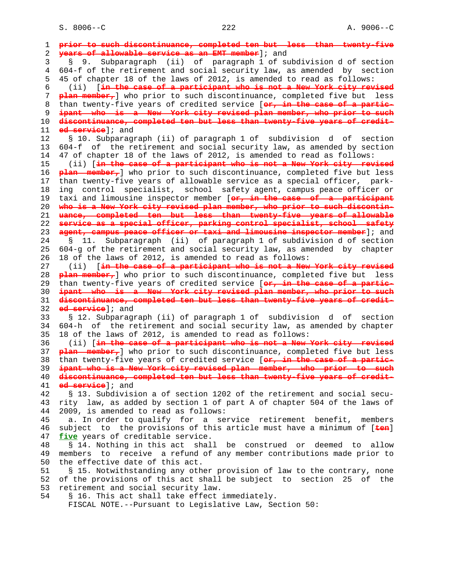1 **prior to such discontinuance, completed ten but less than twenty-five** 2 **years of allowable service as an EMT member**]; and 3 § 9. Subparagraph (ii) of paragraph 1 of subdivision d of section 4 604-f of the retirement and social security law, as amended by section 5 45 of chapter 18 of the laws of 2012, is amended to read as follows: 6 (ii) [**in the case of a participant who is not a New York city revised** 7 **plan member,**] who prior to such discontinuance, completed five but less 8 than twenty-five years of credited service [**or, in the case of a partic-** 9 **ipant who is a New York city revised plan member, who prior to such** 10 **discontinuance, completed ten but less than twenty-five years of credit-** 11 **ed service**]; and 12 § 10. Subparagraph (ii) of paragraph 1 of subdivision d of section 13 604-f of the retirement and social security law, as amended by section 14 47 of chapter 18 of the laws of 2012, is amended to read as follows: 15 (ii) [**in the case of a participant who is not a New York city revised** 16 **plan member,**] who prior to such discontinuance, completed five but less 17 than twenty-five years of allowable service as a special officer, park- 18 ing control specialist, school safety agent, campus peace officer or 19 taxi and limousine inspector member [**or, in the case of a participant** 20 **who is a New York city revised plan member, who prior to such discontin-** 21 **uance, completed ten but less than twenty-five years of allowable** 22 **service as a special officer, parking control specialist, school safety** 23 **agent, campus peace officer or taxi and limousine inspector member**]; and 24 § 11. Subparagraph (ii) of paragraph 1 of subdivision d of section 25 604-g of the retirement and social security law, as amended by chapter 26 18 of the laws of 2012, is amended to read as follows: 27 (ii) [**in the case of a participant who is not a New York city revised** 28 **plan member,**] who prior to such discontinuance, completed five but less 29 than twenty-five years of credited service [**or, in the case of a partic-** 30 **ipant who is a New York city revised plan member, who prior to such** 31 **discontinuance, completed ten but less than twenty-five years of credit-** 32 **ed service**]; and 33 § 12. Subparagraph (ii) of paragraph 1 of subdivision d of section 34 604-h of the retirement and social security law, as amended by chapter 35 18 of the laws of 2012, is amended to read as follows: 36 (ii) [**in the case of a participant who is not a New York city revised** 37 **plan member,**] who prior to such discontinuance, completed five but less 38 than twenty-five years of credited service [**or, in the case of a partic-** 39 **ipant who is a New York city revised plan member, who prior to such** 40 **discontinuance, completed ten but less than twenty-five years of credit-** 41 **ed service**]; and 42 § 13. Subdivision a of section 1202 of the retirement and social secu- 43 rity law, as added by section 1 of part A of chapter 504 of the laws of 44 2009, is amended to read as follows: 45 a. In order to qualify for a service retirement benefit, members 46 subject to the provisions of this article must have a minimum of [**ten**] 47 **five** years of creditable service. 48 § 14. Nothing in this act shall be construed or deemed to allow 49 members to receive a refund of any member contributions made prior to 50 the effective date of this act. 51 § 15. Notwithstanding any other provision of law to the contrary, none 52 of the provisions of this act shall be subject to section 25 of the 53 retirement and social security law. 54 § 16. This act shall take effect immediately. FISCAL NOTE.--Pursuant to Legislative Law, Section 50: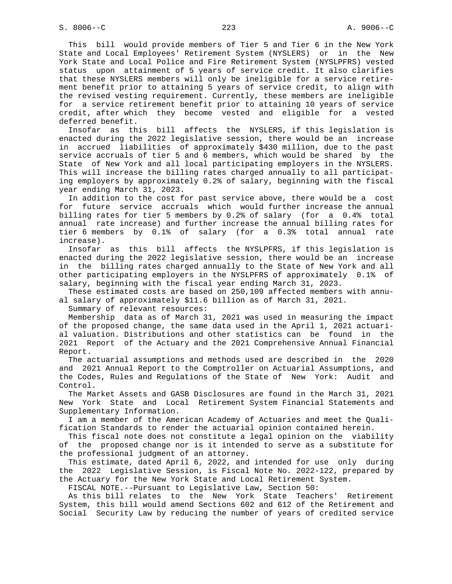This bill would provide members of Tier 5 and Tier 6 in the New York State and Local Employees' Retirement System (NYSLERS) or in the New York State and Local Police and Fire Retirement System (NYSLPFRS) vested status upon attainment of 5 years of service credit. It also clarifies that these NYSLERS members will only be ineligible for a service retire ment benefit prior to attaining 5 years of service credit, to align with the revised vesting requirement. Currently, these members are ineligible for a service retirement benefit prior to attaining 10 years of service credit, after which they become vested and eligible for a vested deferred benefit.

 Insofar as this bill affects the NYSLERS, if this legislation is enacted during the 2022 legislative session, there would be an increase in accrued liabilities of approximately \$430 million, due to the past service accruals of tier 5 and 6 members, which would be shared by the State of New York and all local participating employers in the NYSLERS. This will increase the billing rates charged annually to all participat ing employers by approximately 0.2% of salary, beginning with the fiscal year ending March 31, 2023.

 In addition to the cost for past service above, there would be a cost for future service accruals which would further increase the annual billing rates for tier 5 members by 0.2% of salary (for a 0.4% total annual rate increase) and further increase the annual billing rates for tier 6 members by 0.1% of salary (for a 0.3% total annual rate increase).

 Insofar as this bill affects the NYSLPFRS, if this legislation is enacted during the 2022 legislative session, there would be an increase in the billing rates charged annually to the State of New York and all other participating employers in the NYSLPFRS of approximately 0.1% of salary, beginning with the fiscal year ending March 31, 2023.

 These estimated costs are based on 250,109 affected members with annu al salary of approximately \$11.6 billion as of March 31, 2021.

Summary of relevant resources:

 Membership data as of March 31, 2021 was used in measuring the impact of the proposed change, the same data used in the April 1, 2021 actuari al valuation. Distributions and other statistics can be found in the 2021 Report of the Actuary and the 2021 Comprehensive Annual Financial Report.

 The actuarial assumptions and methods used are described in the 2020 and 2021 Annual Report to the Comptroller on Actuarial Assumptions, and the Codes, Rules and Regulations of the State of New York: Audit and Control.

 The Market Assets and GASB Disclosures are found in the March 31, 2021 New York State and Local Retirement System Financial Statements and Supplementary Information.

 I am a member of the American Academy of Actuaries and meet the Quali fication Standards to render the actuarial opinion contained herein.

 This fiscal note does not constitute a legal opinion on the viability of the proposed change nor is it intended to serve as a substitute for the professional judgment of an attorney.

 This estimate, dated April 6, 2022, and intended for use only during the 2022 Legislative Session, is Fiscal Note No. 2022-122, prepared by the Actuary for the New York State and Local Retirement System.

FISCAL NOTE.--Pursuant to Legislative Law, Section 50:

 As this bill relates to the New York State Teachers' Retirement System, this bill would amend Sections 602 and 612 of the Retirement and Social Security Law by reducing the number of years of credited service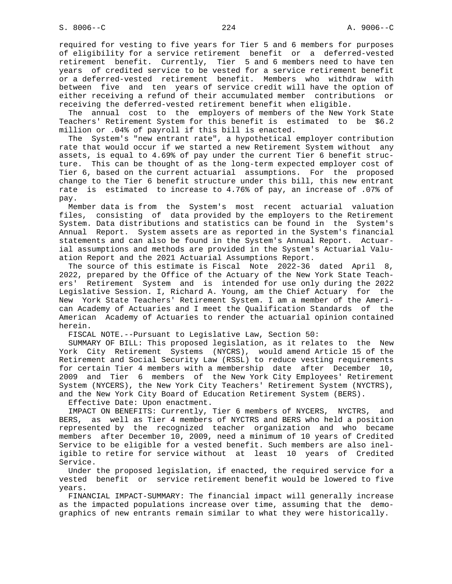required for vesting to five years for Tier 5 and 6 members for purposes of eligibility for a service retirement benefit or a deferred-vested retirement benefit. Currently, Tier 5 and 6 members need to have ten years of credited service to be vested for a service retirement benefit or a deferred-vested retirement benefit. Members who withdraw with between five and ten years of service credit will have the option of either receiving a refund of their accumulated member contributions or receiving the deferred-vested retirement benefit when eligible.

 The annual cost to the employers of members of the New York State Teachers' Retirement System for this benefit is estimated to be \$6.2 million or .04% of payroll if this bill is enacted.

 The System's "new entrant rate", a hypothetical employer contribution rate that would occur if we started a new Retirement System without any assets, is equal to 4.69% of pay under the current Tier 6 benefit struc ture. This can be thought of as the long-term expected employer cost of Tier 6, based on the current actuarial assumptions. For the proposed change to the Tier 6 benefit structure under this bill, this new entrant rate is estimated to increase to 4.76% of pay, an increase of .07% of pay.

 Member data is from the System's most recent actuarial valuation files, consisting of data provided by the employers to the Retirement System. Data distributions and statistics can be found in the System's Annual Report. System assets are as reported in the System's financial statements and can also be found in the System's Annual Report. Actuar ial assumptions and methods are provided in the System's Actuarial Valu ation Report and the 2021 Actuarial Assumptions Report.

 The source of this estimate is Fiscal Note 2022-36 dated April 8, 2022, prepared by the Office of the Actuary of the New York State Teach ers' Retirement System and is intended for use only during the 2022 Legislative Session. I, Richard A. Young, am the Chief Actuary for the New York State Teachers' Retirement System. I am a member of the Ameri can Academy of Actuaries and I meet the Qualification Standards of the American Academy of Actuaries to render the actuarial opinion contained herein.

FISCAL NOTE.--Pursuant to Legislative Law, Section 50:

 SUMMARY OF BILL: This proposed legislation, as it relates to the New York City Retirement Systems (NYCRS), would amend Article 15 of the Retirement and Social Security Law (RSSL) to reduce vesting requirements for certain Tier 4 members with a membership date after December 10, 2009 and Tier 6 members of the New York City Employees' Retirement System (NYCERS), the New York City Teachers' Retirement System (NYCTRS), and the New York City Board of Education Retirement System (BERS).

Effective Date: Upon enactment.

 IMPACT ON BENEFITS: Currently, Tier 6 members of NYCERS, NYCTRS, and BERS, as well as Tier 4 members of NYCTRS and BERS who held a position represented by the recognized teacher organization and who became members after December 10, 2009, need a minimum of 10 years of Credited Service to be eligible for a vested benefit. Such members are also inel igible to retire for service without at least 10 years of Credited Service.

 Under the proposed legislation, if enacted, the required service for a vested benefit or service retirement benefit would be lowered to five years.

 FINANCIAL IMPACT-SUMMARY: The financial impact will generally increase as the impacted populations increase over time, assuming that the demo graphics of new entrants remain similar to what they were historically.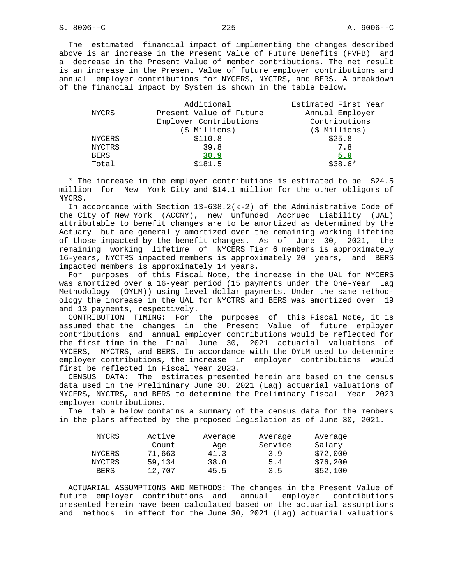The estimated financial impact of implementing the changes described above is an increase in the Present Value of Future Benefits (PVFB) and a decrease in the Present Value of member contributions. The net result is an increase in the Present Value of future employer contributions and annual employer contributions for NYCERS, NYCTRS, and BERS. A breakdown of the financial impact by System is shown in the table below.

| Annual Employer<br>Present Value of Future<br>NYCRS<br>Contributions<br>Employer Contributions | Estimated First Year |
|------------------------------------------------------------------------------------------------|----------------------|
|                                                                                                |                      |
|                                                                                                |                      |
| (\$ Millions)<br>(\$ Millions)                                                                 |                      |
| \$25.8<br>\$110.8<br><b>NYCERS</b>                                                             |                      |
| 39.8<br>7.8<br>NYCTRS                                                                          |                      |
| 30.9<br><b>BERS</b><br>5.0                                                                     |                      |
| $$38.6*$<br>\$181.5<br>Total                                                                   |                      |

 \* The increase in the employer contributions is estimated to be \$24.5 million for New York City and \$14.1 million for the other obligors of NYCRS.

 In accordance with Section 13-638.2(k-2) of the Administrative Code of the City of New York (ACCNY), new Unfunded Accrued Liability (UAL) attributable to benefit changes are to be amortized as determined by the Actuary but are generally amortized over the remaining working lifetime of those impacted by the benefit changes. As of June 30, 2021, the remaining working lifetime of NYCERS Tier 6 members is approximately 16-years, NYCTRS impacted members is approximately 20 years, and BERS impacted members is approximately 14 years.

 For purposes of this Fiscal Note, the increase in the UAL for NYCERS was amortized over a 16-year period (15 payments under the One-Year Lag Methodology (OYLM)) using level dollar payments. Under the same method ology the increase in the UAL for NYCTRS and BERS was amortized over 19 and 13 payments, respectively.

 CONTRIBUTION TIMING: For the purposes of this Fiscal Note, it is assumed that the changes in the Present Value of future employer contributions and annual employer contributions would be reflected for the first time in the Final June 30, 2021 actuarial valuations of NYCERS, NYCTRS, and BERS. In accordance with the OYLM used to determine employer contributions, the increase in employer contributions would first be reflected in Fiscal Year 2023.

 CENSUS DATA: The estimates presented herein are based on the census data used in the Preliminary June 30, 2021 (Lag) actuarial valuations of NYCERS, NYCTRS, and BERS to determine the Preliminary Fiscal Year 2023 employer contributions.

 The table below contains a summary of the census data for the members in the plans affected by the proposed legislation as of June 30, 2021.

| NYCRS         | Active | Average | Average | Average  |
|---------------|--------|---------|---------|----------|
|               | Count  | Age     | Service | Salary   |
| <b>NYCERS</b> | 71,663 | 41.3    | 3.9     | \$72,000 |
| <b>NYCTRS</b> | 59,134 | 38.0    | 5.4     | \$76,200 |
| <b>BERS</b>   | 12,707 | 45.5    | 3.5     | \$52,100 |

 ACTUARIAL ASSUMPTIONS AND METHODS: The changes in the Present Value of future employer contributions and annual employer contributions presented herein have been calculated based on the actuarial assumptions and methods in effect for the June 30, 2021 (Lag) actuarial valuations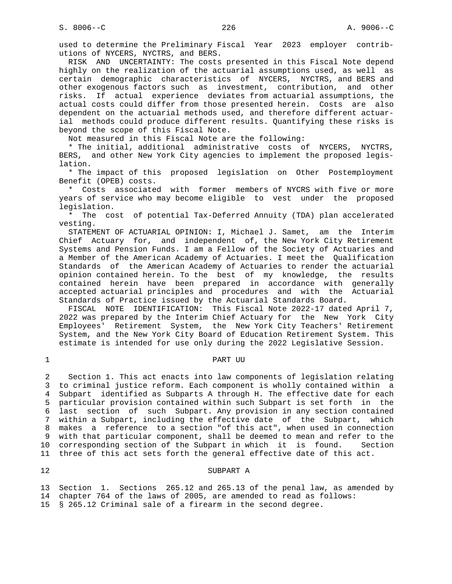used to determine the Preliminary Fiscal Year 2023 employer contrib utions of NYCERS, NYCTRS, and BERS.

 RISK AND UNCERTAINTY: The costs presented in this Fiscal Note depend highly on the realization of the actuarial assumptions used, as well as certain demographic characteristics of NYCERS, NYCTRS, and BERS and other exogenous factors such as investment, contribution, and other risks. If actual experience deviates from actuarial assumptions, the actual costs could differ from those presented herein. Costs are also dependent on the actuarial methods used, and therefore different actuar ial methods could produce different results. Quantifying these risks is beyond the scope of this Fiscal Note.

Not measured in this Fiscal Note are the following:

 \* The initial, additional administrative costs of NYCERS, NYCTRS, BERS, and other New York City agencies to implement the proposed legis lation.

 \* The impact of this proposed legislation on Other Postemployment Benefit (OPEB) costs.

 \* Costs associated with former members of NYCRS with five or more years of service who may become eligible to vest under the proposed legislation.

 \* The cost of potential Tax-Deferred Annuity (TDA) plan accelerated vesting.

 STATEMENT OF ACTUARIAL OPINION: I, Michael J. Samet, am the Interim Chief Actuary for, and independent of, the New York City Retirement Systems and Pension Funds. I am a Fellow of the Society of Actuaries and a Member of the American Academy of Actuaries. I meet the Qualification Standards of the American Academy of Actuaries to render the actuarial opinion contained herein. To the best of my knowledge, the results contained herein have been prepared in accordance with generally accepted actuarial principles and procedures and with the Actuarial Standards of Practice issued by the Actuarial Standards Board.

 FISCAL NOTE IDENTIFICATION: This Fiscal Note 2022-17 dated April 7, 2022 was prepared by the Interim Chief Actuary for the New York City Employees' Retirement System, the New York City Teachers' Retirement System, and the New York City Board of Education Retirement System. This estimate is intended for use only during the 2022 Legislative Session.

# 1 PART UU

 2 Section 1. This act enacts into law components of legislation relating 3 to criminal justice reform. Each component is wholly contained within a 4 Subpart identified as Subparts A through H. The effective date for each 5 particular provision contained within such Subpart is set forth in the 6 last section of such Subpart. Any provision in any section contained 7 within a Subpart, including the effective date of the Subpart, which 8 makes a reference to a section "of this act", when used in connection 9 with that particular component, shall be deemed to mean and refer to the 10 corresponding section of the Subpart in which it is found. Section 11 three of this act sets forth the general effective date of this act.

# 12 SUBPART A

 13 Section 1. Sections 265.12 and 265.13 of the penal law, as amended by 14 chapter 764 of the laws of 2005, are amended to read as follows: 15 § 265.12 Criminal sale of a firearm in the second degree.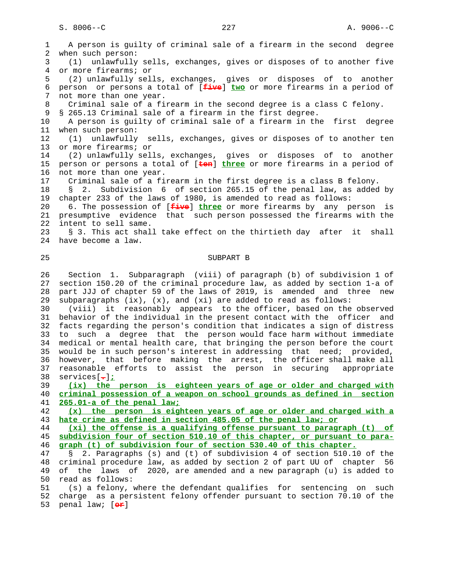1 A person is guilty of criminal sale of a firearm in the second degree 2 when such person: 3 (1) unlawfully sells, exchanges, gives or disposes of to another five 4 or more firearms; or 5 (2) unlawfully sells, exchanges, gives or disposes of to another 6 person or persons a total of [**five**] **two** or more firearms in a period of 7 not more than one year. 8 Criminal sale of a firearm in the second degree is a class C felony. 9 § 265.13 Criminal sale of a firearm in the first degree. 10 A person is guilty of criminal sale of a firearm in the first degree 11 when such person: 12 (1) unlawfully sells, exchanges, gives or disposes of to another ten 13 or more firearms; or 14 (2) unlawfully sells, exchanges, gives or disposes of to another 15 person or persons a total of [**ten**] **three** or more firearms in a period of 16 not more than one year. 17 Criminal sale of a firearm in the first degree is a class B felony. 18 § 2. Subdivision 6 of section 265.15 of the penal law, as added by 19 chapter 233 of the laws of 1980, is amended to read as follows: 20 6. The possession of [**five**] **three** or more firearms by any person is 21 presumptive evidence that such person possessed the firearms with the 22 intent to sell same. 23 § 3. This act shall take effect on the thirtieth day after it shall 24 have become a law. 25 SUBPART B 26 Section 1. Subparagraph (viii) of paragraph (b) of subdivision 1 of 27 section 150.20 of the criminal procedure law, as added by section 1-a of 28 part JJJ of chapter 59 of the laws of 2019, is amended and three new

 29 subparagraphs (ix), (x), and (xi) are added to read as follows: 30 (viii) it reasonably appears to the officer, based on the observed 31 behavior of the individual in the present contact with the officer and 32 facts regarding the person's condition that indicates a sign of distress 33 to such a degree that the person would face harm without immediate 34 medical or mental health care, that bringing the person before the court 35 would be in such person's interest in addressing that need; provided, 36 however, that before making the arrest, the officer shall make all 37 reasonable efforts to assist the person in securing appropriate 38 services[**.**]**;**

 39 **(ix) the person is eighteen years of age or older and charged with** 40 **criminal possession of a weapon on school grounds as defined in section** 41 **265.01-a of the penal law;**

 42 **(x) the person is eighteen years of age or older and charged with a** 43 **hate crime as defined in section 485.05 of the penal law; or**

 44 **(xi) the offense is a qualifying offense pursuant to paragraph (t) of** 45 **subdivision four of section 510.10 of this chapter, or pursuant to para-** 46 **graph (t) of subdivision four of section 530.40 of this chapter.**

 47 § 2. Paragraphs (s) and (t) of subdivision 4 of section 510.10 of the 48 criminal procedure law, as added by section 2 of part UU of chapter 56 49 of the laws of 2020, are amended and a new paragraph (u) is added to 50 read as follows:

 51 (s) a felony, where the defendant qualifies for sentencing on such 52 charge as a persistent felony offender pursuant to section 70.10 of the 53 penal law; [**or**]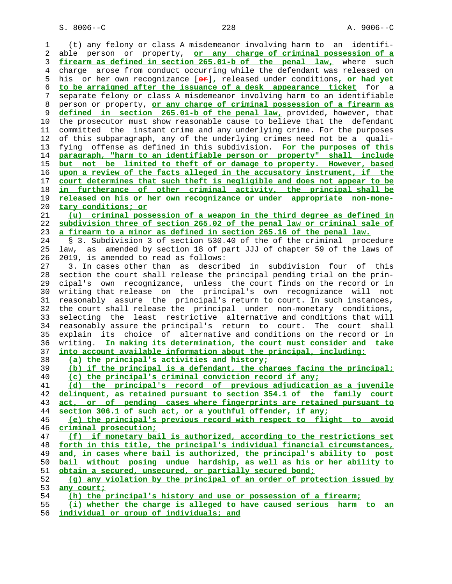| 1  | (t) any felony or class A misdemeanor involving harm to an identifi-        |
|----|-----------------------------------------------------------------------------|
|    |                                                                             |
| 2  | able person or property, or any charge of criminal possession of a          |
| 3  | firearm as defined in section 265.01-b of the penal law, where such         |
| 4  | charge arose from conduct occurring while the defendant was released on     |
| 5  | his or her own recognizance [or], released under conditions, or had yet     |
| 6  | to be arraigned after the issuance of a desk appearance ticket for a        |
| 7  | separate felony or class A misdemeanor involving harm to an identifiable    |
| 8  | person or property, or any charge of criminal possession of a firearm as    |
| 9  | defined in section 265.01-b of the penal law, provided, however, that       |
| 10 | the prosecutor must show reasonable cause to believe that the defendant     |
| 11 | committed the<br>instant crime and any underlying crime. For the purposes   |
| 12 | of this subparagraph, any of the underlying crimes need not be a quali-     |
| 13 | fying offense as defined in this subdivision. For the purposes of this      |
| 14 | paragraph, "harm to an identifiable person or property" shall include       |
| 15 | but not be limited to theft of or damage to property. However, based        |
| 16 | upon a review of the facts alleged in the accusatory instrument, if the     |
|    |                                                                             |
| 17 | court determines that such theft is negligible and does not appear to be    |
| 18 | in furtherance of other criminal activity, the principal shall be           |
| 19 | released on his or her own recognizance or under appropriate non-mone-      |
| 20 | tary conditions; or                                                         |
| 21 | (u) criminal possession of a weapon in the third degree as defined in       |
| 22 | subdivision three of section 265.02 of the penal law or criminal sale of    |
| 23 | a firearm to a minor as defined in section 265.16 of the penal law.         |
| 24 | § 3. Subdivision 3 of section 530.40 of the of the criminal procedure       |
| 25 | amended by section 18 of part JJJ of chapter 59 of the laws of<br>law, as   |
| 26 | 2019, is amended to read as follows:                                        |
| 27 | 3. In cases other than as described in subdivision four of this             |
| 28 | section the court shall release the principal pending trial on the prin-    |
| 29 | cipal's own recognizance, unless the court finds on the record or in        |
| 30 | writing that release on the principal's own recognizance will not           |
| 31 | reasonably assure the principal's return to court. In such instances,       |
| 32 | the court shall release the principal under non-monetary conditions,        |
| 33 | selecting the least restrictive alternative and conditions that will        |
| 34 | reasonably assure the principal's return to court.<br>The<br>court<br>shall |
| 35 | choice of alternative and conditions on the record or in<br>explain its     |
| 36 | In making its determination, the court must consider and take<br>writing.   |
| 37 | into account available information about the principal, including:          |
| 38 | (a) the principal's activities and history;                                 |
| 39 |                                                                             |
|    | (b) if the principal is a defendant, the charges facing the principal;      |
| 40 | (c) the principal's criminal conviction record if any;                      |
| 41 | (d) the principal's record of previous adjudication as a juvenile           |
| 42 | delinquent, as retained pursuant to section 354.1 of the family court       |
| 43 | act, or of pending cases where fingerprints are retained pursuant to        |
| 44 | section 306.1 of such act, or a youthful offender, if any;                  |
| 45 | (e) the principal's previous record with respect to flight to avoid         |
| 46 | criminal prosecution;                                                       |
| 47 | (f) if monetary bail is authorized, according to the restrictions set       |
| 48 | forth in this title, the principal's individual financial circumstances,    |
| 49 | and, in cases where bail is authorized, the principal's ability to post     |
| 50 | bail without posing undue hardship, as well as his or her ability to        |
| 51 | obtain a secured, unsecured, or partially secured bond;                     |
| 52 | (q) any violation by the principal of an order of protection issued by      |
| 53 | any court;                                                                  |
| 54 | (h) the principal's history and use or possession of a firearm;             |
| 55 | (i) whether the charge is alleged to have caused serious harm to an         |
|    |                                                                             |

56 **individual or group of individuals; and**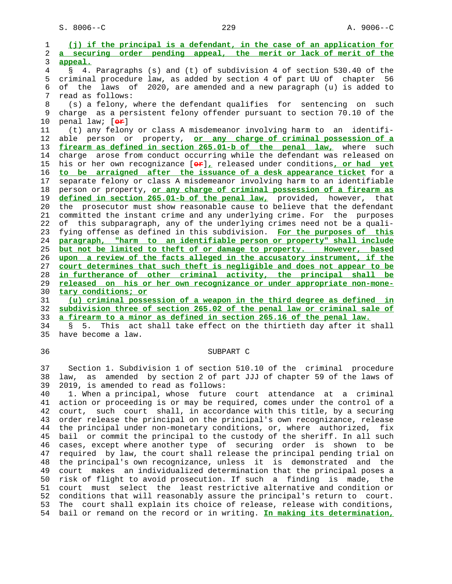1 **(j) if the principal is a defendant, in the case of an application for** 2 **a securing order pending appeal, the merit or lack of merit of the** 3 **appeal.** 4 § 4. Paragraphs (s) and (t) of subdivision 4 of section 530.40 of the 5 criminal procedure law, as added by section 4 of part UU of chapter 56 6 of the laws of 2020, are amended and a new paragraph (u) is added to 7 read as follows: 8 (s) a felony, where the defendant qualifies for sentencing on such 9 charge as a persistent felony offender pursuant to section 70.10 of the 10 penal law; [**or**] 11 (t) any felony or class A misdemeanor involving harm to an identifi- 12 able person or property, **or any charge of criminal possession of a** 13 **firearm as defined in section 265.01-b of the penal law,** where such 14 charge arose from conduct occurring while the defendant was released on 15 his or her own recognizance [**or**]**,** released under conditions**, or had yet** 16 **to be arraigned after the issuance of a desk appearance ticket** for a 17 separate felony or class A misdemeanor involving harm to an identifiable 18 person or property, **or any charge of criminal possession of a firearm as** 19 **defined in section 265.01-b of the penal law,** provided, however, that 20 the prosecutor must show reasonable cause to believe that the defendant 21 committed the instant crime and any underlying crime. For the purposes 22 of this subparagraph, any of the underlying crimes need not be a quali- 23 fying offense as defined in this subdivision. **For the purposes of this** 24 **paragraph, "harm to an identifiable person or property" shall include** 25 **but not be limited to theft of or damage to property. However, based** 26 **upon a review of the facts alleged in the accusatory instrument, if the** 27 **court determines that such theft is negligible and does not appear to be** 28 **in furtherance of other criminal activity, the principal shall be** 29 **released on his or her own recognizance or under appropriate non-mone-** 30 **tary conditions; or** 31 **(u) criminal possession of a weapon in the third degree as defined in**

 32 **subdivision three of section 265.02 of the penal law or criminal sale of** 33 **a firearm to a minor as defined in section 265.16 of the penal law.**

 34 § 5. This act shall take effect on the thirtieth day after it shall 35 have become a law.

# 36 SUBPART C

 37 Section 1. Subdivision 1 of section 510.10 of the criminal procedure 38 law, as amended by section 2 of part JJJ of chapter 59 of the laws of 39 2019, is amended to read as follows:

 40 1. When a principal, whose future court attendance at a criminal 41 action or proceeding is or may be required, comes under the control of a 42 court, such court shall, in accordance with this title, by a securing 43 order release the principal on the principal's own recognizance, release 44 the principal under non-monetary conditions, or, where authorized, fix 45 bail or commit the principal to the custody of the sheriff. In all such 46 cases, except where another type of securing order is shown to be 47 required by law, the court shall release the principal pending trial on 48 the principal's own recognizance, unless it is demonstrated and the 49 court makes an individualized determination that the principal poses a 50 risk of flight to avoid prosecution. If such a finding is made, the 51 court must select the least restrictive alternative and condition or 52 conditions that will reasonably assure the principal's return to court. 53 The court shall explain its choice of release, release with conditions, 54 bail or remand on the record or in writing. **In making its determination,**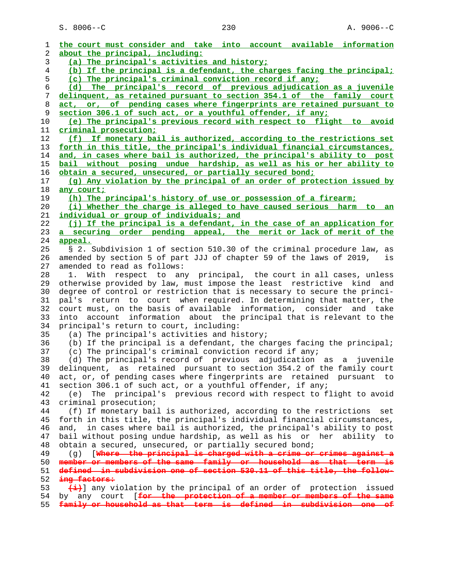| 1              | the court must consider and take into account available information                       |
|----------------|-------------------------------------------------------------------------------------------|
| $\overline{2}$ | about the principal, including:                                                           |
| 3              | (a) The principal's activities and history;                                               |
| 4              | (b) If the principal is a defendant, the charges facing the principal;                    |
| 5              | (c) The principal's criminal conviction record if any;                                    |
| 6              | (d) The principal's record of previous adjudication as a juvenile                         |
| 7              | delinquent, as retained pursuant to section 354.1 of the family court                     |
| 8              | act, or, of pending cases where fingerprints are retained pursuant to                     |
| 9              | section 306.1 of such act, or a youthful offender, if any;                                |
| 10             | (e) The principal's previous record with respect to flight to avoid                       |
| 11             | criminal prosecution;                                                                     |
| 12             | (f) If monetary bail is authorized, according to the restrictions set                     |
| 13             | forth in this title, the principal's individual financial circumstances,                  |
| 14             | and, in cases where bail is authorized, the principal's ability to post                   |
| 15             | bail without posing undue hardship, as well as his or her ability to                      |
| 16             | obtain a secured, unsecured, or partially secured bond;                                   |
| 17             | (g) Any violation by the principal of an order of protection issued by                    |
| 18             | any court;                                                                                |
| 19             | (h) The principal's history of use or possession of a firearm;                            |
| $20 \,$        | (i) Whether the charge is alleged to have caused serious harm to an                       |
| 21             | individual or group of individuals; and                                                   |
| 22             | (j) If the principal is a defendant, in the case of an application for                    |
| 23             | a securing order pending appeal, the merit or lack of merit of the                        |
| 24             | appeal.                                                                                   |
| 25             | § 2. Subdivision 1 of section 510.30 of the criminal procedure law, as                    |
| 26             | amended by section 5 of part JJJ of chapter 59 of the laws of 2019,<br>is                 |
| 27             | amended to read as follows:                                                               |
|                |                                                                                           |
| 28             | With respect to any principal, the court in all cases, unless<br>1.                       |
| 29             | otherwise provided by law, must impose the least restrictive kind and                     |
| 30             | degree of control or restriction that is necessary to secure the princi-                  |
| 31             | pal's return to court when required. In determining that matter, the                      |
| 32             | court must, on the basis of available information, consider and take                      |
| 33             | into account information about the principal that is relevant to the                      |
| 34             | principal's return to court, including:                                                   |
| 35             | (a) The principal's activities and history;                                               |
| 36             | (b) If the principal is a defendant, the charges facing the principal;                    |
| 37             | (c) The principal's criminal conviction record if any;                                    |
| 38             | (d) The principal's record of previous adjudication as a juvenile                         |
| 39             | delinguent, as retained pursuant to section 354.2 of the family court                     |
| 40             | act, or, of pending cases where fingerprints are retained pursuant to                     |
| 41             | section 306.1 of such act, or a youthful offender, if any;                                |
| 42             | (e) The principal's previous record with respect to flight to avoid                       |
| 43             | criminal prosecution;                                                                     |
| 44             | (f) If monetary bail is authorized, according to the restrictions<br>set                  |
| 45             | forth in this title, the principal's individual financial circumstances,                  |
| 46             | and, in cases where bail is authorized, the principal's ability to post                   |
| 47             | bail without posing undue hardship, as well as his or her ability to                      |
| 48             | obtain a secured, unsecured, or partially secured bond;                                   |
| 49             | [Where the principal is charged with a crime or crimes against a<br>(q)                   |
| 50             | member or members of the same family or household as that term is                         |
| 51             | defined in subdivision one of section 530.11 of this title, the follow-                   |
| 52             | ing factors:                                                                              |
| 53             | $\{\frac{\pm 1}{\pm 1}\}$ any violation by the principal of an order of protection issued |
| 54             | by any court [for the protection of a member or members of the same                       |
| 55             | family or household as that term is defined in subdivision one of                         |
|                |                                                                                           |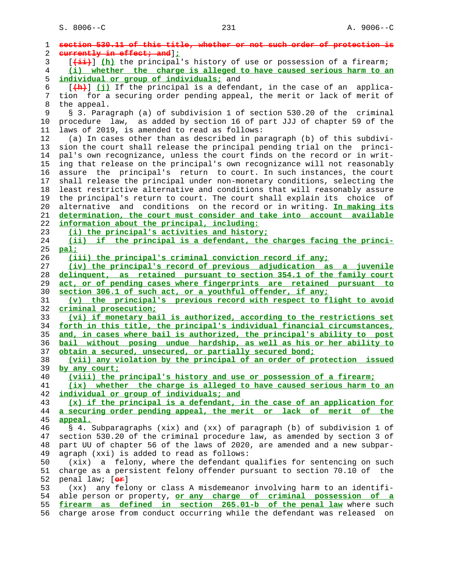| 1        | section 530.11 of this title, whether or not such order of protection is                                                                      |
|----------|-----------------------------------------------------------------------------------------------------------------------------------------------|
| 2        | $currenty$ in effect, and $j$                                                                                                                 |
| 3        | [(ii) In the principal's history of use or possession of a firearm;                                                                           |
| 4        | (i) whether the charge is alleged to have caused serious harm to an                                                                           |
| 5        | individual or group of individuals; and                                                                                                       |
|          | [(h) (j) If the principal is a defendant, in the case of an applica-                                                                          |
| 6        |                                                                                                                                               |
| 7        | tion for a securing order pending appeal, the merit or lack of merit of                                                                       |
| 8        | the appeal.                                                                                                                                   |
| 9        | § 3. Paragraph (a) of subdivision 1 of section 530.20 of the criminal                                                                         |
| 10       | procedure law, as added by section 16 of part JJJ of chapter 59 of the                                                                        |
| 11       | laws of 2019, is amended to read as follows:                                                                                                  |
| 12       | (a) In cases other than as described in paragraph (b) of this subdivi-                                                                        |
| 13       | sion the court shall release the principal pending trial on the princi-                                                                       |
| 14       | pal's own recognizance, unless the court finds on the record or in writ-                                                                      |
| 15       | ing that release on the principal's own recognizance will not reasonably                                                                      |
| 16       | assure the principal's return to court. In such instances, the court                                                                          |
| 17       | shall release the principal under non-monetary conditions, selecting the                                                                      |
| 18       | least restrictive alternative and conditions that will reasonably assure                                                                      |
| 19       | the principal's return to court. The court shall explain its<br>choice of                                                                     |
| 20       | alternative and conditions on the record or in writing. In making its                                                                         |
| 21       | determination, the court must consider and take into account available                                                                        |
| 22       | information about the principal, including:                                                                                                   |
| 23       | (i) the principal's activities and history;                                                                                                   |
| 24       |                                                                                                                                               |
|          | if the principal is a defendant, the charges facing the princi-<br>(ii)                                                                       |
| 25       | pal:                                                                                                                                          |
| 26       | (iii) the principal's criminal conviction record if any;                                                                                      |
| 27       | (iv) the principal's record of previous adjudication as a juvenile                                                                            |
| 28       | delinquent, as retained pursuant to section 354.1 of the family court                                                                         |
| 29       | act, or of pending cases where fingerprints are retained pursuant to                                                                          |
|          |                                                                                                                                               |
| 30       | section 306.1 of such act, or a youthful offender, if any;                                                                                    |
| 31       | (v) the principal's previous record with respect to flight to avoid                                                                           |
| 32       | criminal prosecution;                                                                                                                         |
| 33       | (vi) if monetary bail is authorized, according to the restrictions set                                                                        |
| 34       | forth in this title, the principal's individual financial circumstances,                                                                      |
| 35       | and, in cases where bail is authorized, the principal's ability to post                                                                       |
| 36       | bail without posing undue hardship, as well as his or her ability to                                                                          |
| 37       | obtain a secured, unsecured, or partially secured bond;                                                                                       |
| 38       | (vii) any violation by the principal of an order of protection issued                                                                         |
| 39       | by any court;                                                                                                                                 |
| 40       | (viii) the principal's history and use or possession of a firearm;                                                                            |
| 41       | (ix) whether the charge is alleged to have caused serious harm to an                                                                          |
| 42       | individual or group of individuals; and                                                                                                       |
|          |                                                                                                                                               |
| 43       | (x) if the principal is a defendant, in the case of an application for                                                                        |
| 44       | a securing order pending appeal, the merit or lack of merit of the                                                                            |
| 45       | appeal.                                                                                                                                       |
| 46       | § 4. Subparagraphs (xix) and (xx) of paragraph (b) of subdivision 1 of                                                                        |
| 47       | section 530.20 of the criminal procedure law, as amended by section 3 of                                                                      |
| 48       | part UU of chapter 56 of the laws of 2020, are amended and a new subpar-                                                                      |
| 49       | agraph (xxi) is added to read as follows:                                                                                                     |
| 50       | (xix) a felony, where the defendant qualifies for sentencing on such                                                                          |
| 51       | charge as a persistent felony offender pursuant to section 70.10 of the                                                                       |
| 52       | penal law; [er]                                                                                                                               |
| 53       | any felony or class A misdemeanor involving harm to an identifi-<br>(xx)                                                                      |
| 54       | able person or property, or any charge of criminal possession of a                                                                            |
| 55<br>56 | firearm as defined in section 265.01-b of the penal law where such<br>charge arose from conduct occurring while the defendant was released on |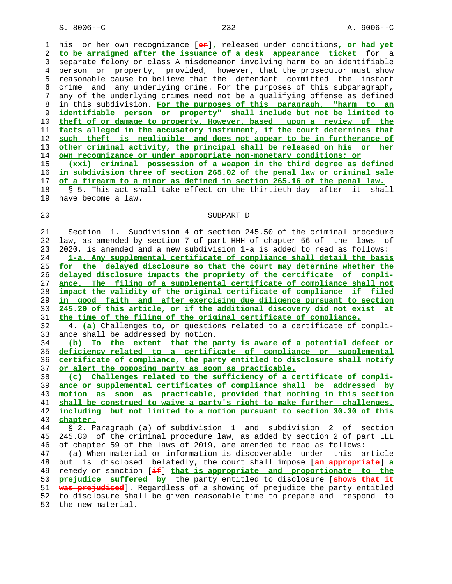1 his or her own recognizance [**or**]**,** released under conditions**, or had yet** 2 **to be arraigned after the issuance of a desk appearance ticket** for a 3 separate felony or class A misdemeanor involving harm to an identifiable 4 person or property, provided, however, that the prosecutor must show 5 reasonable cause to believe that the defendant committed the instant 6 crime and any underlying crime. For the purposes of this subparagraph, 7 any of the underlying crimes need not be a qualifying offense as defined 8 in this subdivision. **For the purposes of this paragraph, "harm to an** 9 **identifiable person or property" shall include but not be limited to** 10 **theft of or damage to property. However, based upon a review of the** 11 **facts alleged in the accusatory instrument, if the court determines that** 12 **such theft is negligible and does not appear to be in furtherance of** 13 **other criminal activity, the principal shall be released on his or her** 14 **own recognizance or under appropriate non-monetary conditions; or** 15 **(xxi) criminal possession of a weapon in the third degree as defined** 16 **in subdivision three of section 265.02 of the penal law or criminal sale** 17 **of a firearm to a minor as defined in section 265.16 of the penal law.**

 18 § 5. This act shall take effect on the thirtieth day after it shall 19 have become a law.

### 20 SUBPART D

 21 Section 1. Subdivision 4 of section 245.50 of the criminal procedure 22 law, as amended by section 7 of part HHH of chapter 56 of the laws of 23 2020, is amended and a new subdivision 1-a is added to read as follows:

**1-a. Any supplemental certificate of compliance shall detail the basis for the delayed disclosure so that the court may determine whether the delayed disclosure impacts the propriety of the certificate of compli- ance. The filing of a supplemental certificate of compliance shall not impact the validity of the original certificate of compliance if filed in good faith and after exercising due diligence pursuant to section 245.20 of this article, or if the additional discovery did not exist at the time of the filing of the original certificate of compliance.**

 32 4. **(a)** Challenges to, or questions related to a certificate of compli- 33 ance shall be addressed by motion.

**(b) To the extent that the party is aware of a potential defect or deficiency related to a certificate of compliance or supplemental certificate of compliance, the party entitled to disclosure shall notify or alert the opposing party as soon as practicable.**

**(c) Challenges related to the sufficiency of a certificate of compli- ance or supplemental certificates of compliance shall be addressed by motion as soon as practicable, provided that nothing in this section shall be construed to waive a party's right to make further challenges, including but not limited to a motion pursuant to section 30.30 of this chapter.**

 44 § 2. Paragraph (a) of subdivision 1 and subdivision 2 of section 45 245.80 of the criminal procedure law, as added by section 2 of part LLL 46 of chapter 59 of the laws of 2019, are amended to read as follows:

 47 (a) When material or information is discoverable under this article 48 but is disclosed belatedly, the court shall impose [**an appropriate**] **a** 49 remedy or sanction [**if**] **that is appropriate and proportionate to the** 50 **prejudice suffered by** the party entitled to disclosure [**shows that it** 51 **was prejudiced**]. Regardless of a showing of prejudice the party entitled 52 to disclosure shall be given reasonable time to prepare and respond to 53 the new material.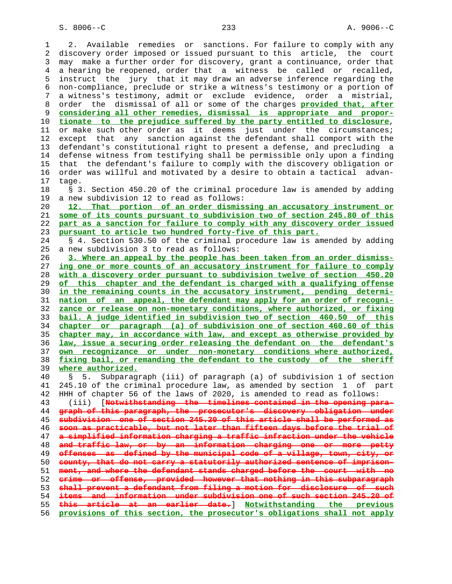S. 8006--C 233 A. 9006--C

 1 2. Available remedies or sanctions. For failure to comply with any 2 discovery order imposed or issued pursuant to this article, the court 3 may make a further order for discovery, grant a continuance, order that 4 a hearing be reopened, order that a witness be called or recalled, 5 instruct the jury that it may draw an adverse inference regarding the 6 non-compliance, preclude or strike a witness's testimony or a portion of 7 a witness's testimony, admit or exclude evidence, order a mistrial, 8 order the dismissal of all or some of the charges **provided that, after** 9 **considering all other remedies, dismissal is appropriate and propor-** 10 **tionate to the prejudice suffered by the party entitled to disclosure**, 11 or make such other order as it deems just under the circumstances; 12 except that any sanction against the defendant shall comport with the 13 defendant's constitutional right to present a defense, and precluding a 14 defense witness from testifying shall be permissible only upon a finding 15 that the defendant's failure to comply with the discovery obligation or 16 order was willful and motivated by a desire to obtain a tactical advan- 17 tage. 18 § 3. Section 450.20 of the criminal procedure law is amended by adding 19 a new subdivision 12 to read as follows: 20 **12. That portion of an order dismissing an accusatory instrument or** 21 **some of its counts pursuant to subdivision two of section 245.80 of this** 22 **part as a sanction for failure to comply with any discovery order issued** 23 **pursuant to article two hundred forty-five of this part.** 24 § 4. Section 530.50 of the criminal procedure law is amended by adding 25 a new subdivision 3 to read as follows: 26 **3. Where an appeal by the people has been taken from an order dismiss-** 27 **ing one or more counts of an accusatory instrument for failure to comply** 28 **with a discovery order pursuant to subdivision twelve of section 450.20** 29 **of this chapter and the defendant is charged with a qualifying offense** 30 **in the remaining counts in the accusatory instrument, pending determi-** 31 **nation of an appeal, the defendant may apply for an order of recogni-** 32 **zance or release on non-monetary conditions, where authorized, or fixing** 33 **bail. A judge identified in subdivision two of section 460.50 of this** 34 **chapter or paragraph (a) of subdivision one of section 460.60 of this** 35 **chapter may, in accordance with law, and except as otherwise provided by** 36 **law, issue a securing order releasing the defendant on the defendant's** 37 **own recognizance or under non-monetary conditions where authorized,** 38 **fixing bail, or remanding the defendant to the custody of the sheriff** 39 **where authorized.** 40 § 5. Subparagraph (iii) of paragraph (a) of subdivision 1 of section 41 245.10 of the criminal procedure law, as amended by section 1 of part 42 HHH of chapter 56 of the laws of 2020, is amended to read as follows: 43 (iii) [**Notwithstanding the timelines contained in the opening para-** 44 **graph of this paragraph, the prosecutor's discovery obligation under** 45 **subdivision one of section 245.20 of this article shall be performed as** 46 **soon as practicable, but not later than fifteen days before the trial of** 47 **a simplified information charging a traffic infraction under the vehicle** 48 **and traffic law, or by an information charging one or more petty** 49 **offenses as defined by the municipal code of a village, town, city, or** 50 **county, that do not carry a statutorily authorized sentence of imprison-** 51 **ment, and where the defendant stands charged before the court with no** 52 **crime or offense, provided however that nothing in this subparagraph** 53 **shall prevent a defendant from filing a motion for disclosure of such** 54 **items and information under subdivision one of such section 245.20 of** 55 **this article at an earlier date.**] **Notwithstanding the previous** 56 **provisions of this section, the prosecutor's obligations shall not apply**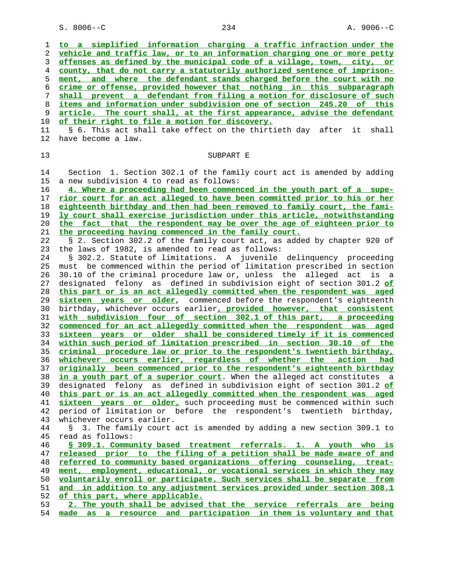S. 8006--C 234 A. 9006--C

| 1        | to a simplified information charging a traffic infraction under the                                                                           |
|----------|-----------------------------------------------------------------------------------------------------------------------------------------------|
| 2        | vehicle and traffic law, or to an information charging one or more petty                                                                      |
| 3        | offenses as defined by the municipal code of a village, town, city, or                                                                        |
| 4        | county, that do not carry a statutorily authorized sentence of imprison-                                                                      |
| 5        | ment, and where the defendant stands charged before the court with no                                                                         |
| 6        | crime or offense, provided however that nothing in this subparagraph                                                                          |
| 7        | shall prevent a defendant from filing a motion for disclosure of such                                                                         |
| 8        | items and information under subdivision one of section 245.20 of this                                                                         |
| 9        | article. The court shall, at the first appearance, advise the defendant                                                                       |
| 10       | of their right to file a motion for discovery.                                                                                                |
|          |                                                                                                                                               |
| 11<br>12 | § 6. This act shall take effect on the thirtieth day after it<br>shall                                                                        |
|          | have become a law.                                                                                                                            |
| 13       | SUBPART E                                                                                                                                     |
|          |                                                                                                                                               |
| 14       | Section 1. Section 302.1 of the family court act is amended by adding                                                                         |
| 15       | a new subdivision 4 to read as follows:                                                                                                       |
| 16       | 4. Where a proceeding had been commenced in the youth part of a supe-                                                                         |
| 17       | rior court for an act alleged to have been committed prior to his or her                                                                      |
| 18       | eighteenth birthday and then had been removed to family court, the fami-                                                                      |
| 19       | ly court shall exercise jurisdiction under this article, notwithstanding                                                                      |
| 20       | the fact that the respondent may be over the age of eighteen prior to                                                                         |
| 21       | the proceeding having commenced in the family court.                                                                                          |
| 22       | § 2. Section 302.2 of the family court act, as added by chapter 920 of                                                                        |
| 23       | the laws of 1982, is amended to read as follows:                                                                                              |
| 24       | § 302.2. Statute of limitations. A juvenile delinquency proceeding                                                                            |
| 25       | must be commenced within the period of limitation prescribed in section                                                                       |
| 26       | 30.10 of the criminal procedure law or, unless the alleged act is a                                                                           |
| 27<br>28 | designated felony as defined in subdivision eight of section 301.2 of                                                                         |
| 29       | this part or is an act allegedly committed when the respondent was aged                                                                       |
| 30       | sixteen years or older, commenced before the respondent's eighteenth<br>birthday, whichever occurs earlier, provided however, that consistent |
| 31       | with subdivision four of section 302.1 of this part, a proceeding                                                                             |
| 32       | commenced for an act allegedly committed when the respondent was<br>aged                                                                      |
| 33       | sixteen years or older shall be considered timely if it is commenced                                                                          |
| 34       | within such period of limitation prescribed in section 30.10 of the                                                                           |
| 35       | criminal procedure law or prior to the respondent's twentieth birthday,                                                                       |
| 36       | whichever occurs earlier, regardless of whether the<br>action had                                                                             |
| 37       | originally been commenced prior to the respondent's eighteenth birthday                                                                       |
| 38       | in a youth part of a superior court. When the alleged act constitutes a                                                                       |
| 39       | designated felony as defined in subdivision eight of section 301.2 of                                                                         |
| 40       | this part or is an act allegedly committed when the respondent was aged                                                                       |
| 41       | sixteen years or older, such proceeding must be commenced within such                                                                         |
| 42       | period of limitation or before the respondent's twentieth birthday,                                                                           |
| 43       | whichever occurs earlier.                                                                                                                     |
| 44       | 3. The family court act is amended by adding a new section 309.1 to<br>S.                                                                     |
| 45       | read as follows:                                                                                                                              |
| 46       | \$ 309.1. Community based treatment referrals. 1. A youth who is                                                                              |
| 47       | released prior to the filing of a petition shall be made aware of and                                                                         |
| 48       | referred to community based organizations offering counseling, treat-                                                                         |
| 49       | ment, employment, educational, or vocational services in which they may                                                                       |
| 50       | voluntarily enroll or participate. Such services shall be separate from                                                                       |
| 51       | and in addition to any adjustment services provided under section 308.1                                                                       |
| 52       | of this part, where applicable.                                                                                                               |
| 53       | 2. The youth shall be advised that the service referrals are being                                                                            |
| 54       | made as a resource and participation in them is voluntary and that                                                                            |
|          |                                                                                                                                               |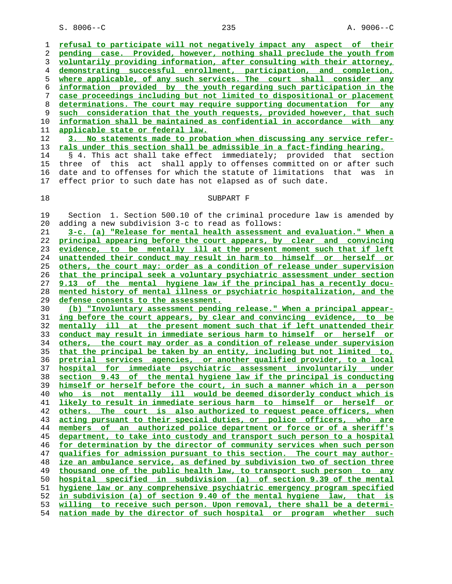**refusal to participate will not negatively impact any aspect of their pending case. Provided, however, nothing shall preclude the youth from voluntarily providing information, after consulting with their attorney, demonstrating successful enrollment, participation, and completion, where applicable, of any such services. The court shall consider any information provided by the youth regarding such participation in the case proceedings including but not limited to dispositional or placement determinations. The court may require supporting documentation for any such consideration that the youth requests, provided however, that such information shall be maintained as confidential in accordance with any applicable state or federal law.**

**3. No statements made to probation when discussing any service refer- rals under this section shall be admissible in a fact-finding hearing.**

 14 § 4. This act shall take effect immediately; provided that section 15 three of this act shall apply to offenses committed on or after such 16 date and to offenses for which the statute of limitations that was in 17 effect prior to such date has not elapsed as of such date.

### 18 SUBPART F

 19 Section 1. Section 500.10 of the criminal procedure law is amended by 20 adding a new subdivision 3-c to read as follows:

**3-c. (a) "Release for mental health assessment and evaluation." When a principal appearing before the court appears, by clear and convincing evidence, to be mentally ill at the present moment such that if left unattended their conduct may result in harm to himself or herself or others, the court may: order as a condition of release under supervision that the principal seek a voluntary psychiatric assessment under section 9.13 of the mental hygiene law if the principal has a recently docu- mented history of mental illness or psychiatric hospitalization, and the defense consents to the assessment.**

**(b) "Involuntary assessment pending release." When a principal appear- ing before the court appears, by clear and convincing evidence, to be mentally ill at the present moment such that if left unattended their conduct may result in immediate serious harm to himself or herself or others, the court may order as a condition of release under supervision that the principal be taken by an entity, including but not limited to, pretrial services agencies, or another qualified provider, to a local hospital for immediate psychiatric assessment involuntarily under section 9.43 of the mental hygiene law if the principal is conducting himself or herself before the court, in such a manner which in a person who is not mentally ill would be deemed disorderly conduct which is likely to result in immediate serious harm to himself or herself or others. The court is also authorized to request peace officers, when acting pursuant to their special duties, or police officers, who are members of an authorized police department or force or of a sheriff's department, to take into custody and transport such person to a hospital for determination by the director of community services when such person qualifies for admission pursuant to this section. The court may author- ize an ambulance service, as defined by subdivision two of section three thousand one of the public health law, to transport such person to any hospital specified in subdivision (a) of section 9.39 of the mental hygiene law or any comprehensive psychiatric emergency program specified in subdivision (a) of section 9.40 of the mental hygiene law, that is willing to receive such person. Upon removal, there shall be a determi- nation made by the director of such hospital or program whether such**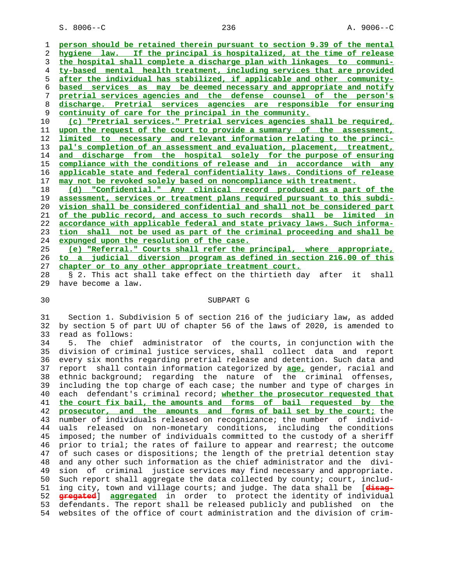S. 8006--C 236 A. 9006--C

**person should be retained therein pursuant to section 9.39 of the mental hygiene law. If the principal is hospitalized, at the time of release the hospital shall complete a discharge plan with linkages to communi- ty-based mental health treatment, including services that are provided after the individual has stabilized, if applicable and other community- based services as may be deemed necessary and appropriate and notify pretrial services agencies and the defense counsel of the person's discharge. Pretrial services agencies are responsible for ensuring continuity of care for the principal in the community.**

**(c) "Pretrial services." Pretrial services agencies shall be required, upon the request of the court to provide a summary of the assessment, limited to necessary and relevant information relating to the princi- pal's completion of an assessment and evaluation, placement, treatment, and discharge from the hospital solely for the purpose of ensuring compliance with the conditions of release and in accordance with any applicable state and federal confidentiality laws. Conditions of release may not be revoked solely based on noncompliance with treatment.**

**(d) "Confidential." Any clinical record produced as a part of the assessment, services or treatment plans required pursuant to this subdi- vision shall be considered confidential and shall not be considered part of the public record, and access to such records shall be limited in accordance with applicable federal and state privacy laws. Such informa- tion shall not be used as part of the criminal proceeding and shall be expunged upon the resolution of the case.**

 25 **(e) "Referral." Courts shall refer the principal, where appropriate,** 26 **to a judicial diversion program as defined in section 216.00 of this** 27 **chapter or to any other appropriate treatment court.**

 28 § 2. This act shall take effect on the thirtieth day after it shall 29 have become a law.

# 30 SUBPART G

 31 Section 1. Subdivision 5 of section 216 of the judiciary law, as added 32 by section 5 of part UU of chapter 56 of the laws of 2020, is amended to 33 read as follows:

 34 5. The chief administrator of the courts, in conjunction with the 35 division of criminal justice services, shall collect data and report 36 every six months regarding pretrial release and detention. Such data and 37 report shall contain information categorized by **age,** gender, racial and 38 ethnic background; regarding the nature of the criminal offenses, 39 including the top charge of each case; the number and type of charges in 40 each defendant's criminal record; **whether the prosecutor requested that** 41 **the court fix bail, the amounts and forms of bail requested by the** 42 **prosecutor, and the amounts and forms of bail set by the court;** the 43 number of individuals released on recognizance; the number of individ- 44 uals released on non-monetary conditions, including the conditions 45 imposed; the number of individuals committed to the custody of a sheriff 46 prior to trial; the rates of failure to appear and rearrest; the outcome 47 of such cases or dispositions; the length of the pretrial detention stay 48 and any other such information as the chief administrator and the divi- 49 sion of criminal justice services may find necessary and appropriate. 50 Such report shall aggregate the data collected by county; court, includ- 51 ing city, town and village courts; and judge. The data shall be [**disag-** 52 **gregated**] **aggregated** in order to protect the identity of individual 53 defendants. The report shall be released publicly and published on the 54 websites of the office of court administration and the division of crim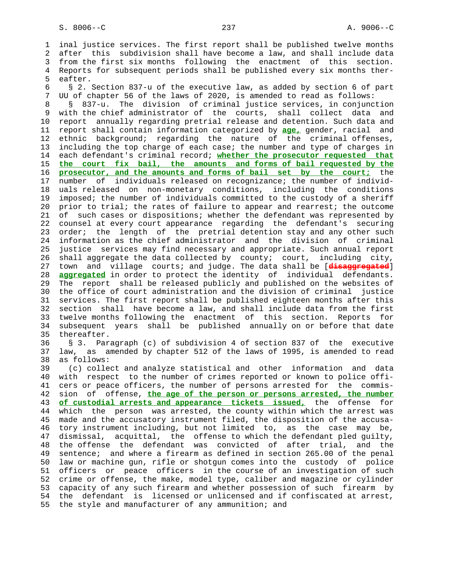1 inal justice services. The first report shall be published twelve months 2 after this subdivision shall have become a law, and shall include data 3 from the first six months following the enactment of this section. 4 Reports for subsequent periods shall be published every six months ther- 5 eafter.

 6 § 2. Section 837-u of the executive law, as added by section 6 of part 7 UU of chapter 56 of the laws of 2020, is amended to read as follows:

 8 § 837-u. The division of criminal justice services, in conjunction 9 with the chief administrator of the courts, shall collect data and 10 report annually regarding pretrial release and detention. Such data and 11 report shall contain information categorized by **age,** gender, racial and 12 ethnic background; regarding the nature of the criminal offenses, 13 including the top charge of each case; the number and type of charges in 14 each defendant's criminal record; **whether the prosecutor requested that** 15 **the court fix bail, the amounts and forms of bail requested by the** 16 **prosecutor, and the amounts and forms of bail set by the court;** the 17 number of individuals released on recognizance; the number of individ- 18 uals released on non-monetary conditions, including the conditions 19 imposed; the number of individuals committed to the custody of a sheriff 20 prior to trial; the rates of failure to appear and rearrest; the outcome 21 of such cases or dispositions; whether the defendant was represented by 22 counsel at every court appearance regarding the defendant's securing 23 order; the length of the pretrial detention stay and any other such 24 information as the chief administrator and the division of criminal 25 justice services may find necessary and appropriate. Such annual report 26 shall aggregate the data collected by county; court, including city, 27 town and village courts; and judge. The data shall be [**disaggregated**] 28 **aggregated** in order to protect the identity of individual defendants. 29 The report shall be released publicly and published on the websites of 30 the office of court administration and the division of criminal justice 31 services. The first report shall be published eighteen months after this 32 section shall have become a law, and shall include data from the first 33 twelve months following the enactment of this section. Reports for 34 subsequent years shall be published annually on or before that date 35 thereafter.

 36 § 3. Paragraph (c) of subdivision 4 of section 837 of the executive 37 law, as amended by chapter 512 of the laws of 1995, is amended to read 38 as follows:

 39 (c) collect and analyze statistical and other information and data 40 with respect to the number of crimes reported or known to police offi- 41 cers or peace officers, the number of persons arrested for the commis- 42 sion of offense, **the age of the person or persons arrested, the number** 43 **of custodial arrests and appearance tickets issued,** the offense for 44 which the person was arrested, the county within which the arrest was 45 made and the accusatory instrument filed, the disposition of the accusa- 46 tory instrument including, but not limited to, as the case may be, 47 dismissal, acquittal, the offense to which the defendant pled guilty, 48 the offense the defendant was convicted of after trial, and the 49 sentence; and where a firearm as defined in section 265.00 of the penal 50 law or machine gun, rifle or shotgun comes into the custody of police 51 officers or peace officers in the course of an investigation of such 52 crime or offense, the make, model type, caliber and magazine or cylinder 53 capacity of any such firearm and whether possession of such firearm by 54 the defendant is licensed or unlicensed and if confiscated at arrest, 55 the style and manufacturer of any ammunition; and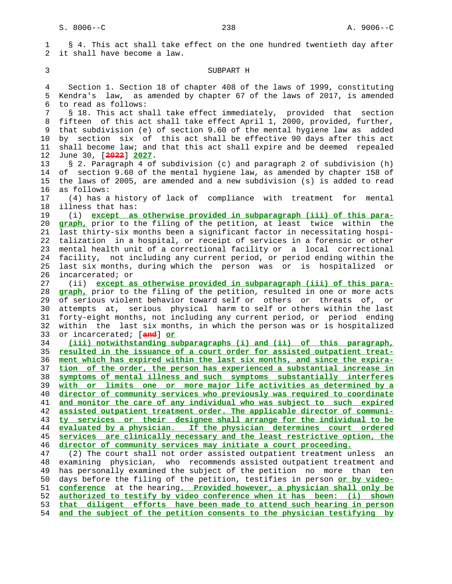1 § 4. This act shall take effect on the one hundred twentieth day after 2 it shall have become a law. 3 SUBPART H 4 Section 1. Section 18 of chapter 408 of the laws of 1999, constituting 5 Kendra's law, as amended by chapter 67 of the laws of 2017, is amended 6 to read as follows: 7 § 18. This act shall take effect immediately, provided that section 8 fifteen of this act shall take effect April 1, 2000, provided, further, 9 that subdivision (e) of section 9.60 of the mental hygiene law as added 10 by section six of this act shall be effective 90 days after this act 11 shall become law; and that this act shall expire and be deemed repealed 12 June 30, [**2022**] **2027**. 13 § 2. Paragraph 4 of subdivision (c) and paragraph 2 of subdivision (h) 14 of section 9.60 of the mental hygiene law, as amended by chapter 158 of 15 the laws of 2005, are amended and a new subdivision (s) is added to read 16 as follows: 17 (4) has a history of lack of compliance with treatment for mental 18 illness that has: 19 (i) **except as otherwise provided in subparagraph (iii) of this para-** 20 **graph,** prior to the filing of the petition, at least twice within the 21 last thirty-six months been a significant factor in necessitating hospi- 22 talization in a hospital, or receipt of services in a forensic or other 23 mental health unit of a correctional facility or a local correctional 24 facility, not including any current period, or period ending within the 25 last six months, during which the person was or is hospitalized or 26 incarcerated; or 27 (ii) **except as otherwise provided in subparagraph (iii) of this para-** 28 **graph,** prior to the filing of the petition, resulted in one or more acts 29 of serious violent behavior toward self or others or threats of, or 30 attempts at, serious physical harm to self or others within the last 31 forty-eight months, not including any current period, or period ending 32 within the last six months, in which the person was or is hospitalized 33 or incarcerated; [**and**] **or** 34 **(iii) notwithstanding subparagraphs (i) and (ii) of this paragraph,** 35 **resulted in the issuance of a court order for assisted outpatient treat-** 36 **ment which has expired within the last six months, and since the expira-** 37 **tion of the order, the person has experienced a substantial increase in** 38 **symptoms of mental illness and such symptoms substantially interferes** 39 **with or limits one or more major life activities as determined by a** 40 **director of community services who previously was required to coordinate** 41 **and monitor the care of any individual who was subject to such expired** 42 **assisted outpatient treatment order. The applicable director of communi-** 43 **ty services or their designee shall arrange for the individual to be** 44 **evaluated by a physician. If the physician determines court ordered** 45 **services are clinically necessary and the least restrictive option, the** 46 **director of community services may initiate a court proceeding.** 47 (2) The court shall not order assisted outpatient treatment unless an 48 examining physician, who recommends assisted outpatient treatment and 49 has personally examined the subject of the petition no more than ten 50 days before the filing of the petition, testifies in person **or by video-** 51 **conference** at the hearing**. Provided however, a physician shall only be** 52 **authorized to testify by video conference when it has been: (i) shown** 53 **that diligent efforts have been made to attend such hearing in person**

54 **and the subject of the petition consents to the physician testifying by**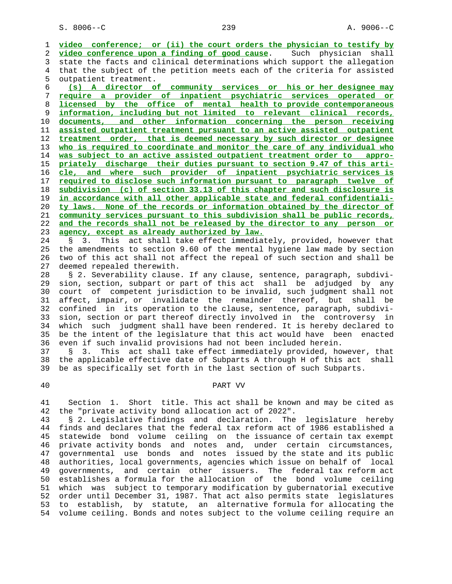**video conference; or (ii) the court orders the physician to testify by video conference upon a finding of good cause**. Such physician shall 3 state the facts and clinical determinations which support the allegation 4 that the subject of the petition meets each of the criteria for assisted 5 outpatient treatment. **(s) A director of community services or his or her designee may require a provider of inpatient psychiatric services operated or licensed by the office of mental health to provide contemporaneous information, including but not limited to relevant clinical records, documents, and other information concerning the person receiving assisted outpatient treatment pursuant to an active assisted outpatient treatment order, that is deemed necessary by such director or designee who is required to coordinate and monitor the care of any individual who was subject to an active assisted outpatient treatment order to appro- priately discharge their duties pursuant to section 9.47 of this arti- cle, and where such provider of inpatient psychiatric services is required to disclose such information pursuant to paragraph twelve of subdivision (c) of section 33.13 of this chapter and such disclosure is**

**in accordance with all other applicable state and federal confidentiali- ty laws. None of the records or information obtained by the director of community services pursuant to this subdivision shall be public records, and the records shall not be released by the director to any person or agency, except as already authorized by law.**

 24 § 3. This act shall take effect immediately, provided, however that 25 the amendments to section 9.60 of the mental hygiene law made by section 26 two of this act shall not affect the repeal of such section and shall be 27 deemed repealed therewith.

 28 § 2. Severability clause. If any clause, sentence, paragraph, subdivi- 29 sion, section, subpart or part of this act shall be adjudged by any 30 court of competent jurisdiction to be invalid, such judgment shall not 31 affect, impair, or invalidate the remainder thereof, but shall be 32 confined in its operation to the clause, sentence, paragraph, subdivi- 33 sion, section or part thereof directly involved in the controversy in 34 which such judgment shall have been rendered. It is hereby declared to 35 be the intent of the legislature that this act would have been enacted 36 even if such invalid provisions had not been included herein.

 37 § 3. This act shall take effect immediately provided, however, that 38 the applicable effective date of Subparts A through H of this act shall 39 be as specifically set forth in the last section of such Subparts.

# 40 PART VV

 41 Section 1. Short title. This act shall be known and may be cited as 42 the "private activity bond allocation act of 2022".

 43 § 2. Legislative findings and declaration. The legislature hereby 44 finds and declares that the federal tax reform act of 1986 established a 45 statewide bond volume ceiling on the issuance of certain tax exempt 46 private activity bonds and notes and, under certain circumstances, 47 governmental use bonds and notes issued by the state and its public 48 authorities, local governments, agencies which issue on behalf of local 49 governments, and certain other issuers. The federal tax reform act 50 establishes a formula for the allocation of the bond volume ceiling 51 which was subject to temporary modification by gubernatorial executive 52 order until December 31, 1987. That act also permits state legislatures 53 to establish, by statute, an alternative formula for allocating the 54 volume ceiling. Bonds and notes subject to the volume ceiling require an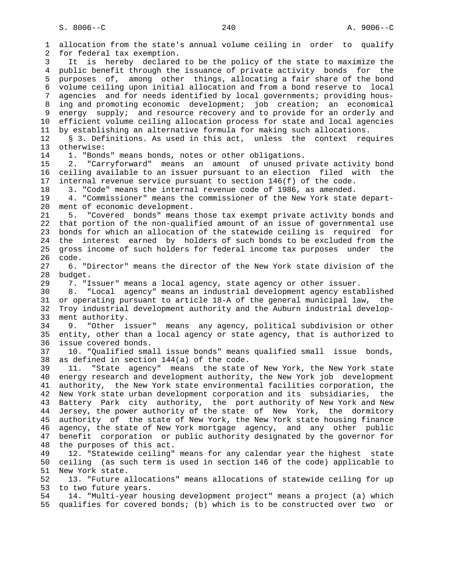1 allocation from the state's annual volume ceiling in order to qualify 2 for federal tax exemption. 3 It is hereby declared to be the policy of the state to maximize the 4 public benefit through the issuance of private activity bonds for the 5 purposes of, among other things, allocating a fair share of the bond 6 volume ceiling upon initial allocation and from a bond reserve to local 7 agencies and for needs identified by local governments; providing hous- 8 ing and promoting economic development; job creation; an economical 9 energy supply; and resource recovery and to provide for an orderly and 10 efficient volume ceiling allocation process for state and local agencies 11 by establishing an alternative formula for making such allocations. 12 § 3. Definitions. As used in this act, unless the context requires 13 otherwise: 14 1. "Bonds" means bonds, notes or other obligations. 15 2. "Carryforward" means an amount of unused private activity bond 16 ceiling available to an issuer pursuant to an election filed with the 17 internal revenue service pursuant to section 146(f) of the code. 18 3. "Code" means the internal revenue code of 1986, as amended. 19 4. "Commissioner" means the commissioner of the New York state depart- 20 ment of economic development. 21 5. "Covered bonds" means those tax exempt private activity bonds and 22 that portion of the non-qualified amount of an issue of governmental use 23 bonds for which an allocation of the statewide ceiling is required for 24 the interest earned by holders of such bonds to be excluded from the 25 gross income of such holders for federal income tax purposes under the 26 code. 27 6. "Director" means the director of the New York state division of the 28 budget. 29 7. "Issuer" means a local agency, state agency or other issuer. 30 8. "Local agency" means an industrial development agency established 31 or operating pursuant to article 18-A of the general municipal law, the 32 Troy industrial development authority and the Auburn industrial develop- 33 ment authority. 34 9. "Other issuer" means any agency, political subdivision or other 35 entity, other than a local agency or state agency, that is authorized to 36 issue covered bonds. 37 10. "Qualified small issue bonds" means qualified small issue bonds, 38 as defined in section 144(a) of the code. 39 11. "State agency" means the state of New York, the New York state 40 energy research and development authority, the New York job development 41 authority, the New York state environmental facilities corporation, the 42 New York state urban development corporation and its subsidiaries, the 43 Battery Park city authority, the port authority of New York and New 44 Jersey, the power authority of the state of New York, the dormitory 45 authority of the state of New York, the New York state housing finance 46 agency, the state of New York mortgage agency, and any other public 47 benefit corporation or public authority designated by the governor for 48 the purposes of this act. 49 12. "Statewide ceiling" means for any calendar year the highest state 50 ceiling (as such term is used in section 146 of the code) applicable to 51 New York state. 52 13. "Future allocations" means allocations of statewide ceiling for up 53 to two future years. 54 14. "Multi-year housing development project" means a project (a) which 55 qualifies for covered bonds; (b) which is to be constructed over two or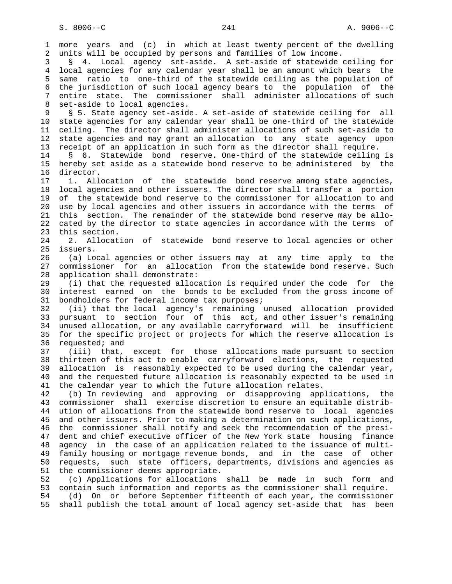1 more years and (c) in which at least twenty percent of the dwelling 2 units will be occupied by persons and families of low income. 3 § 4. Local agency set-aside. A set-aside of statewide ceiling for 4 local agencies for any calendar year shall be an amount which bears the 5 same ratio to one-third of the statewide ceiling as the population of 6 the jurisdiction of such local agency bears to the population of the 7 entire state. The commissioner shall administer allocations of such 8 set-aside to local agencies. 9 § 5. State agency set-aside. A set-aside of statewide ceiling for all 10 state agencies for any calendar year shall be one-third of the statewide 11 ceiling. The director shall administer allocations of such set-aside to 12 state agencies and may grant an allocation to any state agency upon 13 receipt of an application in such form as the director shall require. 14 § 6. Statewide bond reserve. One-third of the statewide ceiling is 15 hereby set aside as a statewide bond reserve to be administered by the 16 director. 17 1. Allocation of the statewide bond reserve among state agencies, 18 local agencies and other issuers. The director shall transfer a portion 19 of the statewide bond reserve to the commissioner for allocation to and 20 use by local agencies and other issuers in accordance with the terms of 21 this section. The remainder of the statewide bond reserve may be allo- 22 cated by the director to state agencies in accordance with the terms of 23 this section. 24 2. Allocation of statewide bond reserve to local agencies or other 25 issuers. 26 (a) Local agencies or other issuers may at any time apply to the 27 commissioner for an allocation from the statewide bond reserve. Such 28 application shall demonstrate: 29 (i) that the requested allocation is required under the code for the 30 interest earned on the bonds to be excluded from the gross income of 31 bondholders for federal income tax purposes; 32 (ii) that the local agency's remaining unused allocation provided 33 pursuant to section four of this act, and other issuer's remaining 34 unused allocation, or any available carryforward will be insufficient 35 for the specific project or projects for which the reserve allocation is 36 requested; and 37 (iii) that, except for those allocations made pursuant to section 38 thirteen of this act to enable carryforward elections, the requested 39 allocation is reasonably expected to be used during the calendar year, 40 and the requested future allocation is reasonably expected to be used in 41 the calendar year to which the future allocation relates. 42 (b) In reviewing and approving or disapproving applications, the 43 commissioner shall exercise discretion to ensure an equitable distrib- 44 ution of allocations from the statewide bond reserve to local agencies 45 and other issuers. Prior to making a determination on such applications, 46 the commissioner shall notify and seek the recommendation of the presi- 47 dent and chief executive officer of the New York state housing finance 48 agency in the case of an application related to the issuance of multi- 49 family housing or mortgage revenue bonds, and in the case of other 50 requests, such state officers, departments, divisions and agencies as 51 the commissioner deems appropriate. 52 (c) Applications for allocations shall be made in such form and 53 contain such information and reports as the commissioner shall require. 54 (d) On or before September fifteenth of each year, the commissioner 55 shall publish the total amount of local agency set-aside that has been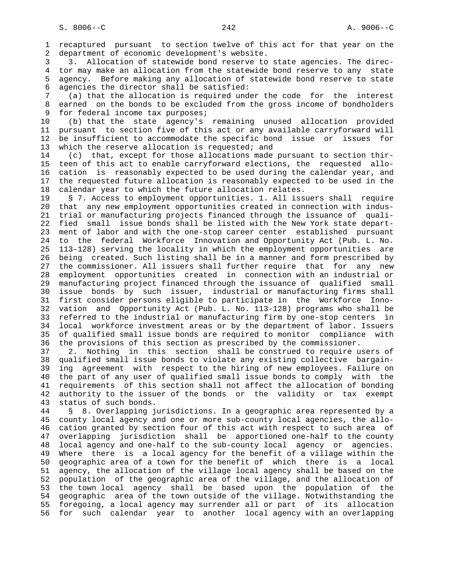1 recaptured pursuant to section twelve of this act for that year on the 2 department of economic development's website.

 3 3. Allocation of statewide bond reserve to state agencies. The direc- 4 tor may make an allocation from the statewide bond reserve to any state 5 agency. Before making any allocation of statewide bond reserve to state 6 agencies the director shall be satisfied:

 7 (a) that the allocation is required under the code for the interest 8 earned on the bonds to be excluded from the gross income of bondholders 9 for federal income tax purposes;

 10 (b) that the state agency's remaining unused allocation provided 11 pursuant to section five of this act or any available carryforward will 12 be insufficient to accommodate the specific bond issue or issues for 13 which the reserve allocation is requested; and

 14 (c) that, except for those allocations made pursuant to section thir- 15 teen of this act to enable carryforward elections, the requested allo- 16 cation is reasonably expected to be used during the calendar year, and 17 the requested future allocation is reasonably expected to be used in the 18 calendar year to which the future allocation relates.

 19 § 7. Access to employment opportunities. 1. All issuers shall require 20 that any new employment opportunities created in connection with indus- 21 trial or manufacturing projects financed through the issuance of quali- 22 fied small issue bonds shall be listed with the New York state depart- 23 ment of labor and with the one-stop career center established pursuant 24 to the federal Workforce Innovation and Opportunity Act (Pub. L. No. 25 113-128) serving the locality in which the employment opportunities are 26 being created. Such listing shall be in a manner and form prescribed by 27 the commissioner. All issuers shall further require that for any new 28 employment opportunities created in connection with an industrial or 29 manufacturing project financed through the issuance of qualified small 30 issue bonds by such issuer, industrial or manufacturing firms shall 31 first consider persons eligible to participate in the Workforce Inno- 32 vation and Opportunity Act (Pub. L. No. 113-128) programs who shall be 33 referred to the industrial or manufacturing firm by one-stop centers in 34 local workforce investment areas or by the department of labor. Issuers 35 of qualified small issue bonds are required to monitor compliance with 36 the provisions of this section as prescribed by the commissioner.

 37 2. Nothing in this section shall be construed to require users of 38 qualified small issue bonds to violate any existing collective bargain- 39 ing agreement with respect to the hiring of new employees. Failure on 40 the part of any user of qualified small issue bonds to comply with the 41 requirements of this section shall not affect the allocation of bonding 42 authority to the issuer of the bonds or the validity or tax exempt 43 status of such bonds.

 44 § 8. Overlapping jurisdictions. In a geographic area represented by a 45 county local agency and one or more sub-county local agencies, the allo- 46 cation granted by section four of this act with respect to such area of 47 overlapping jurisdiction shall be apportioned one-half to the county 48 local agency and one-half to the sub-county local agency or agencies. 49 Where there is a local agency for the benefit of a village within the 50 geographic area of a town for the benefit of which there is a local 51 agency, the allocation of the village local agency shall be based on the 52 population of the geographic area of the village, and the allocation of 53 the town local agency shall be based upon the population of the 54 geographic area of the town outside of the village. Notwithstanding the 55 foregoing, a local agency may surrender all or part of its allocation 56 for such calendar year to another local agency with an overlapping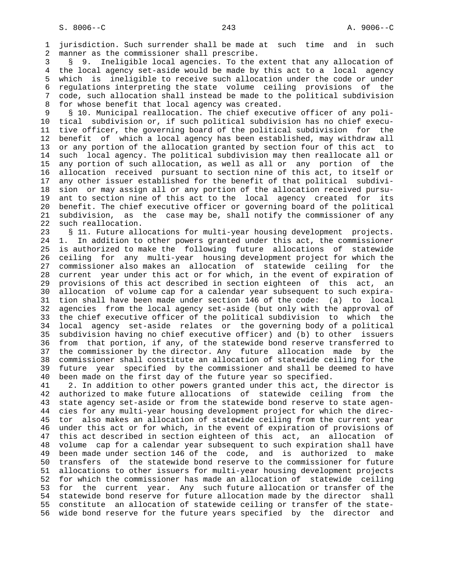1 jurisdiction. Such surrender shall be made at such time and in such 2 manner as the commissioner shall prescribe.

 3 § 9. Ineligible local agencies. To the extent that any allocation of 4 the local agency set-aside would be made by this act to a local agency 5 which is ineligible to receive such allocation under the code or under 6 regulations interpreting the state volume ceiling provisions of the 7 code, such allocation shall instead be made to the political subdivision 8 for whose benefit that local agency was created.

 9 § 10. Municipal reallocation. The chief executive officer of any poli- 10 tical subdivision or, if such political subdivision has no chief execu- 11 tive officer, the governing board of the political subdivision for the 12 benefit of which a local agency has been established, may withdraw all 13 or any portion of the allocation granted by section four of this act to 14 such local agency. The political subdivision may then reallocate all or 15 any portion of such allocation, as well as all or any portion of the 16 allocation received pursuant to section nine of this act, to itself or 17 any other issuer established for the benefit of that political subdivi- 18 sion or may assign all or any portion of the allocation received pursu- 19 ant to section nine of this act to the local agency created for its 20 benefit. The chief executive officer or governing board of the political 21 subdivision, as the case may be, shall notify the commissioner of any 22 such reallocation.

 23 § 11. Future allocations for multi-year housing development projects. 24 1. In addition to other powers granted under this act, the commissioner 25 is authorized to make the following future allocations of statewide 26 ceiling for any multi-year housing development project for which the 27 commissioner also makes an allocation of statewide ceiling for the 28 current year under this act or for which, in the event of expiration of 29 provisions of this act described in section eighteen of this act, an 30 allocation of volume cap for a calendar year subsequent to such expira- 31 tion shall have been made under section 146 of the code: (a) to local 32 agencies from the local agency set-aside (but only with the approval of 33 the chief executive officer of the political subdivision to which the 34 local agency set-aside relates or the governing body of a political 35 subdivision having no chief executive officer) and (b) to other issuers 36 from that portion, if any, of the statewide bond reserve transferred to 37 the commissioner by the director. Any future allocation made by the 38 commissioner shall constitute an allocation of statewide ceiling for the 39 future year specified by the commissioner and shall be deemed to have 40 been made on the first day of the future year so specified.

 41 2. In addition to other powers granted under this act, the director is 42 authorized to make future allocations of statewide ceiling from the 43 state agency set-aside or from the statewide bond reserve to state agen- 44 cies for any multi-year housing development project for which the direc- 45 tor also makes an allocation of statewide ceiling from the current year 46 under this act or for which, in the event of expiration of provisions of 47 this act described in section eighteen of this act, an allocation of 48 volume cap for a calendar year subsequent to such expiration shall have 49 been made under section 146 of the code, and is authorized to make 50 transfers of the statewide bond reserve to the commissioner for future 51 allocations to other issuers for multi-year housing development projects 52 for which the commissioner has made an allocation of statewide ceiling 53 for the current year. Any such future allocation or transfer of the 54 statewide bond reserve for future allocation made by the director shall 55 constitute an allocation of statewide ceiling or transfer of the state- 56 wide bond reserve for the future years specified by the director and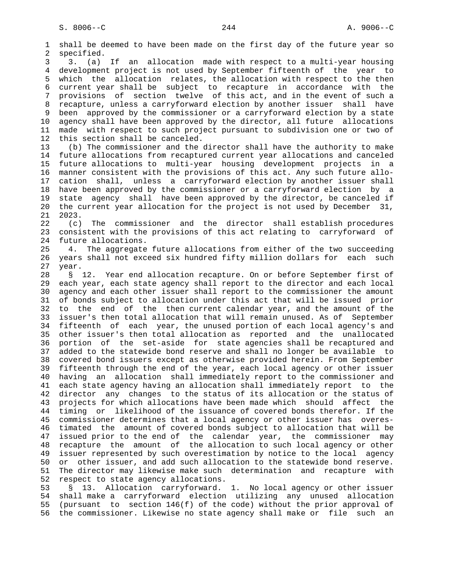1 shall be deemed to have been made on the first day of the future year so 2 specified. 3 3. (a) If an allocation made with respect to a multi-year housing 4 development project is not used by September fifteenth of the year to 5 which the allocation relates, the allocation with respect to the then 6 current year shall be subject to recapture in accordance with the 7 provisions of section twelve of this act, and in the event of such a 8 recapture, unless a carryforward election by another issuer shall have 9 been approved by the commissioner or a carryforward election by a state 10 agency shall have been approved by the director, all future allocations 11 made with respect to such project pursuant to subdivision one or two of 12 this section shall be canceled. 13 (b) The commissioner and the director shall have the authority to make 14 future allocations from recaptured current year allocations and canceled 15 future allocations to multi-year housing development projects in a 16 manner consistent with the provisions of this act. Any such future allo- 17 cation shall, unless a carryforward election by another issuer shall 18 have been approved by the commissioner or a carryforward election by a 19 state agency shall have been approved by the director, be canceled if 20 the current year allocation for the project is not used by December 31, 21 2023. 22 (c) The commissioner and the director shall establish procedures 23 consistent with the provisions of this act relating to carryforward of 24 future allocations. 25 4. The aggregate future allocations from either of the two succeeding 26 years shall not exceed six hundred fifty million dollars for each such 27 year. 28 § 12. Year end allocation recapture. On or before September first of 29 each year, each state agency shall report to the director and each local 30 agency and each other issuer shall report to the commissioner the amount 31 of bonds subject to allocation under this act that will be issued prior 32 to the end of the then current calendar year, and the amount of the 33 issuer's then total allocation that will remain unused. As of September 34 fifteenth of each year, the unused portion of each local agency's and 35 other issuer's then total allocation as reported and the unallocated 36 portion of the set-aside for state agencies shall be recaptured and 37 added to the statewide bond reserve and shall no longer be available to 38 covered bond issuers except as otherwise provided herein. From September 39 fifteenth through the end of the year, each local agency or other issuer 40 having an allocation shall immediately report to the commissioner and 41 each state agency having an allocation shall immediately report to the 42 director any changes to the status of its allocation or the status of 43 projects for which allocations have been made which should affect the 44 timing or likelihood of the issuance of covered bonds therefor. If the 45 commissioner determines that a local agency or other issuer has overes- 46 timated the amount of covered bonds subject to allocation that will be 47 issued prior to the end of the calendar year, the commissioner may 48 recapture the amount of the allocation to such local agency or other 49 issuer represented by such overestimation by notice to the local agency 50 or other issuer, and add such allocation to the statewide bond reserve. 51 The director may likewise make such determination and recapture with 52 respect to state agency allocations. 53 § 13. Allocation carryforward. 1. No local agency or other issuer 54 shall make a carryforward election utilizing any unused allocation

 55 (pursuant to section 146(f) of the code) without the prior approval of 56 the commissioner. Likewise no state agency shall make or file such an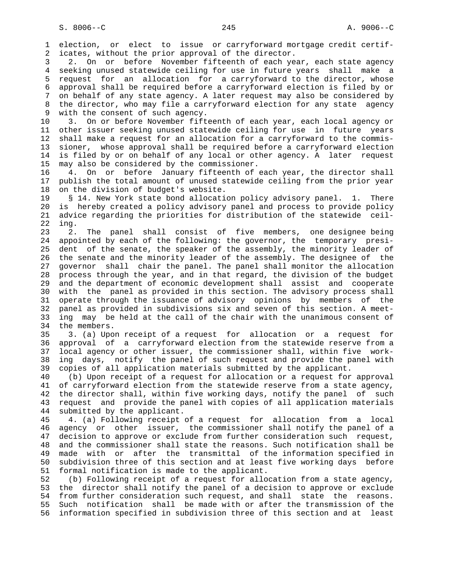1 election, or elect to issue or carryforward mortgage credit certif- 2 icates, without the prior approval of the director.

 3 2. On or before November fifteenth of each year, each state agency 4 seeking unused statewide ceiling for use in future years shall make a 5 request for an allocation for a carryforward to the director, whose 6 approval shall be required before a carryforward election is filed by or 7 on behalf of any state agency. A later request may also be considered by 8 the director, who may file a carryforward election for any state agency 9 with the consent of such agency.

 10 3. On or before November fifteenth of each year, each local agency or 11 other issuer seeking unused statewide ceiling for use in future years 12 shall make a request for an allocation for a carryforward to the commis- 13 sioner, whose approval shall be required before a carryforward election 14 is filed by or on behalf of any local or other agency. A later request 15 may also be considered by the commissioner.

 16 4. On or before January fifteenth of each year, the director shall 17 publish the total amount of unused statewide ceiling from the prior year 18 on the division of budget's website.

 19 § 14. New York state bond allocation policy advisory panel. 1. There 20 is hereby created a policy advisory panel and process to provide policy 21 advice regarding the priorities for distribution of the statewide ceil- 22 ing.

 23 2. The panel shall consist of five members, one designee being 24 appointed by each of the following: the governor, the temporary presi- 25 dent of the senate, the speaker of the assembly, the minority leader of 26 the senate and the minority leader of the assembly. The designee of the 27 governor shall chair the panel. The panel shall monitor the allocation 28 process through the year, and in that regard, the division of the budget 29 and the department of economic development shall assist and cooperate 30 with the panel as provided in this section. The advisory process shall 31 operate through the issuance of advisory opinions by members of the 32 panel as provided in subdivisions six and seven of this section. A meet- 33 ing may be held at the call of the chair with the unanimous consent of 34 the members.

 35 3. (a) Upon receipt of a request for allocation or a request for 36 approval of a carryforward election from the statewide reserve from a 37 local agency or other issuer, the commissioner shall, within five work- 38 ing days, notify the panel of such request and provide the panel with 39 copies of all application materials submitted by the applicant.

 40 (b) Upon receipt of a request for allocation or a request for approval 41 of carryforward election from the statewide reserve from a state agency, 42 the director shall, within five working days, notify the panel of such 43 request and provide the panel with copies of all application materials 44 submitted by the applicant.

 45 4. (a) Following receipt of a request for allocation from a local 46 agency or other issuer, the commissioner shall notify the panel of a 47 decision to approve or exclude from further consideration such request, 48 and the commissioner shall state the reasons. Such notification shall be 49 made with or after the transmittal of the information specified in 50 subdivision three of this section and at least five working days before 51 formal notification is made to the applicant.

 52 (b) Following receipt of a request for allocation from a state agency, 53 the director shall notify the panel of a decision to approve or exclude 54 from further consideration such request, and shall state the reasons. 55 Such notification shall be made with or after the transmission of the 56 information specified in subdivision three of this section and at least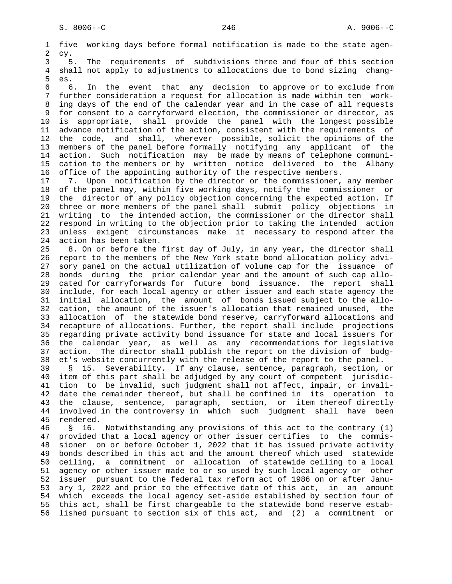1 five working days before formal notification is made to the state agen- 2 cy. 3 5. The requirements of subdivisions three and four of this section 4 shall not apply to adjustments to allocations due to bond sizing chang-<br>5 es. 5 es. 6 6. In the event that any decision to approve or to exclude from 7 further consideration a request for allocation is made within ten work- 8 ing days of the end of the calendar year and in the case of all requests 9 for consent to a carryforward election, the commissioner or director, as 10 is appropriate, shall provide the panel with the longest possible 11 advance notification of the action, consistent with the requirements of 12 the code, and shall, wherever possible, solicit the opinions of the 13 members of the panel before formally notifying any applicant of the 14 action. Such notification may be made by means of telephone communi- 15 cation to the members or by written notice delivered to the Albany 16 office of the appointing authority of the respective members. 17 7. Upon notification by the director or the commissioner, any member 18 of the panel may, within five working days, notify the commissioner or 19 the director of any policy objection concerning the expected action. If 20 three or more members of the panel shall submit policy objections in 21 writing to the intended action, the commissioner or the director shall 22 respond in writing to the objection prior to taking the intended action 23 unless exigent circumstances make it necessary to respond after the 24 action has been taken. 25 8. On or before the first day of July, in any year, the director shall 26 report to the members of the New York state bond allocation policy advi- 27 sory panel on the actual utilization of volume cap for the issuance of 28 bonds during the prior calendar year and the amount of such cap allo- 29 cated for carryforwards for future bond issuance. The report shall 30 include, for each local agency or other issuer and each state agency the 31 initial allocation, the amount of bonds issued subject to the allo- 32 cation, the amount of the issuer's allocation that remained unused, the 33 allocation of the statewide bond reserve, carryforward allocations and 34 recapture of allocations. Further, the report shall include projections 35 regarding private activity bond issuance for state and local issuers for 36 the calendar year, as well as any recommendations for legislative 37 action. The director shall publish the report on the division of budg- 38 et's website concurrently with the release of the report to the panel. 39 § 15. Severability. If any clause, sentence, paragraph, section, or 40 item of this part shall be adjudged by any court of competent jurisdic- 41 tion to be invalid, such judgment shall not affect, impair, or invali- 42 date the remainder thereof, but shall be confined in its operation to 43 the clause, sentence, paragraph, section, or item thereof directly 44 involved in the controversy in which such judgment shall have been 45 rendered. 46 § 16. Notwithstanding any provisions of this act to the contrary (1) 47 provided that a local agency or other issuer certifies to the commis- 48 sioner on or before October 1, 2022 that it has issued private activity 49 bonds described in this act and the amount thereof which used statewide 50 ceiling, a commitment or allocation of statewide ceiling to a local 51 agency or other issuer made to or so used by such local agency or other 52 issuer pursuant to the federal tax reform act of 1986 on or after Janu- 53 ary 1, 2022 and prior to the effective date of this act, in an amount 54 which exceeds the local agency set-aside established by section four of 55 this act, shall be first chargeable to the statewide bond reserve estab- 56 lished pursuant to section six of this act, and (2) a commitment or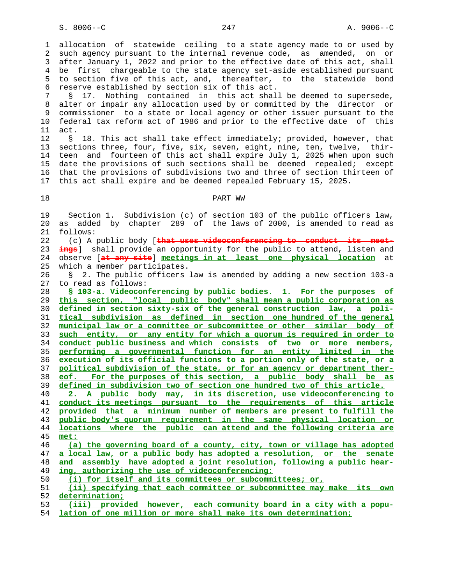1 allocation of statewide ceiling to a state agency made to or used by 2 such agency pursuant to the internal revenue code, as amended, on or 3 after January 1, 2022 and prior to the effective date of this act, shall 4 be first chargeable to the state agency set-aside established pursuant 5 to section five of this act, and, thereafter, to the statewide bond 6 reserve established by section six of this act.

 7 § 17. Nothing contained in this act shall be deemed to supersede, 8 alter or impair any allocation used by or committed by the director or 9 commissioner to a state or local agency or other issuer pursuant to the 10 federal tax reform act of 1986 and prior to the effective date of this 11 act.

 12 § 18. This act shall take effect immediately; provided, however, that 13 sections three, four, five, six, seven, eight, nine, ten, twelve, thir- 14 teen and fourteen of this act shall expire July 1, 2025 when upon such 15 date the provisions of such sections shall be deemed repealed; except 16 that the provisions of subdivisions two and three of section thirteen of 17 this act shall expire and be deemed repealed February 15, 2025.

### 18 PART WW

 19 Section 1. Subdivision (c) of section 103 of the public officers law, 20 as added by chapter 289 of the laws of 2000, is amended to read as 21 follows:

22 (c) A public body [that uses videosonferencing to conduct its 23 **ings**] shall provide an opportunity for the public to attend, listen and 24 observe [**at any site**] **meetings in at least one physical location** at 25 which a member participates.

 26 § 2. The public officers law is amended by adding a new section 103-a 27 to read as follows:

**§ 103-a. Videoconferencing by public bodies. 1. For the purposes of this section, "local public body" shall mean a public corporation as defined in section sixty-six of the general construction law, a poli- tical subdivision as defined in section one hundred of the general municipal law or a committee or subcommittee or other similar body of such entity, or any entity for which a quorum is required in order to conduct public business and which consists of two or more members, performing a governmental function for an entity limited in the execution of its official functions to a portion only of the state, or a political subdivision of the state, or for an agency or department ther- eof. For the purposes of this section, a public body shall be as defined in subdivision two of section one hundred two of this article.**

**2. A public body may, in its discretion, use videoconferencing to conduct its meetings pursuant to the requirements of this article provided that a minimum number of members are present to fulfill the public body's quorum requirement in the same physical location or locations where the public can attend and the following criteria are** 45 **met:**

**(a) the governing board of a county, city, town or village has adopted a local law, or a public body has adopted a resolution, or the senate and assembly have adopted a joint resolution, following a public hear- ing, authorizing the use of videoconferencing:**

50 **(i) for itself and its committees or subcommittees; or,**

 51 **(ii) specifying that each committee or subcommittee may make its own** 52 **determination;**

53 **(iii) provided however, each community board in a city with a popu-**

54 **lation of one million or more shall make its own determination;**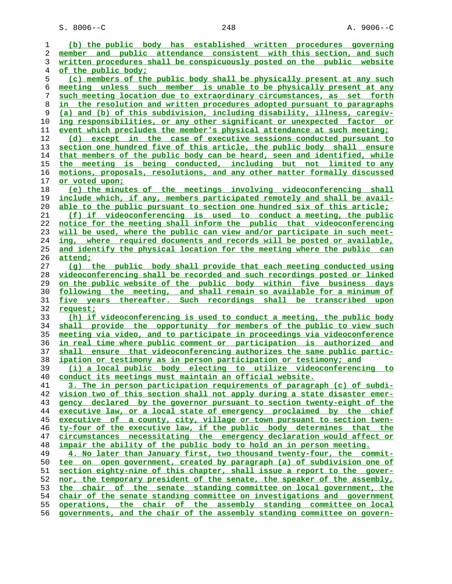| 1  | (b) the public body has established written procedures governing             |
|----|------------------------------------------------------------------------------|
| 2  | member and public attendance consistent with this section, and such          |
| 3  | written procedures shall be conspicuously posted on the public website       |
| 4  | of the public body;                                                          |
| 5  | (c) members of the public body shall be physically present at any such       |
| 6  | meeting unless such member is unable to be physically present at any         |
| 7  | such meeting location due to extraordinary circumstances, as set forth       |
|    |                                                                              |
| 8  | in the resolution and written procedures adopted pursuant to paragraphs      |
| 9  | (a) and (b) of this subdivision, including disability, illness, caregiv-     |
| 10 | ing responsibilities, or any other significant or unexpected factor or       |
| 11 | event which precludes the member's physical attendance at such meeting;      |
| 12 | (d) except in the case of executive sessions conducted pursuant to           |
| 13 | section one hundred five of this article, the public body shall ensure       |
| 14 | that members of the public body can be heard, seen and identified, while     |
| 15 | the meeting is being conducted, including but not limited to any             |
| 16 | motions, proposals, resolutions, and any other matter formally discussed     |
| 17 | or voted upon;                                                               |
| 18 | (e) the minutes of the meetings involving videoconferencing shall            |
|    |                                                                              |
| 19 | include which, if any, members participated remotely and shall be avail-     |
| 20 | able to the public pursuant to section one hundred six of this article;      |
| 21 | (f) if videoconferencing is used to conduct a meeting, the public            |
| 22 | notice for the meeting shall inform the public that videoconferencing        |
| 23 | will be used, where the public can view and/or participate in such meet-     |
| 24 | ing, where required documents and records will be posted or available,       |
| 25 | and identify the physical location for the meeting where the public can      |
| 26 | attend;                                                                      |
| 27 | (q) the public body shall provide that each meeting conducted using          |
| 28 | videoconferencing shall be recorded and such recordings posted or linked     |
| 29 | on the public website of the public body within five business days           |
| 30 | following the meeting, and shall remain so available for a minimum of        |
| 31 | five years thereafter. Such recordings shall be transcribed upon             |
|    |                                                                              |
| 32 | request;                                                                     |
| 33 | (h) if videoconferencing is used to conduct a meeting, the public body       |
| 34 | shall provide the opportunity for members of the public to view such         |
| 35 | meeting via video, and to participate in proceedings via videoconference     |
| 36 | in real time where public comment or participation is authorized and         |
| 37 | shall ensure that videoconferencing authorizes the same public partic-       |
| 38 | <u>ipation or testimony as in person participation or testimony; and</u>     |
| 39 | (i) a local public body electing to utilize videoconferencing to             |
| 40 | conduct its meetings must maintain an official website.                      |
| 41 | 3. The in person participation requirements of paragraph (c) of subdi-       |
| 42 | vision two of this section shall not apply during a state disaster emer-     |
| 43 | gency declared by the governor pursuant to section twenty-eight of the       |
| 44 | executive law, or a local state of emergency proclaimed by the chief         |
| 45 | executive of a county, city, village or town pursuant to section twen-       |
| 46 | ty-four of the executive law, if the public body determines that the         |
|    | circumstances necessitating the emergency declaration would affect or        |
| 47 |                                                                              |
| 48 | impair the ability of the public body to hold an in person meeting.          |
| 49 | 4. No later than January first, two thousand twenty-four, the commit-        |
| 50 | open government, created by paragraph (a) of subdivision one of<br>tee<br>on |
| 51 | section eighty-nine of this chapter, shall issue a report to the gover-      |
| 52 | nor, the temporary president of the senate, the speaker of the assembly,     |
| 53 | chair of the senate standing committee on local government, the<br>the       |
| 54 | chair of the senate standing committee on investigations and government      |
| 55 | operations, the chair of the assembly standing committee on local            |
| 56 | governments, and the chair of the assembly standing committee on govern-     |
|    |                                                                              |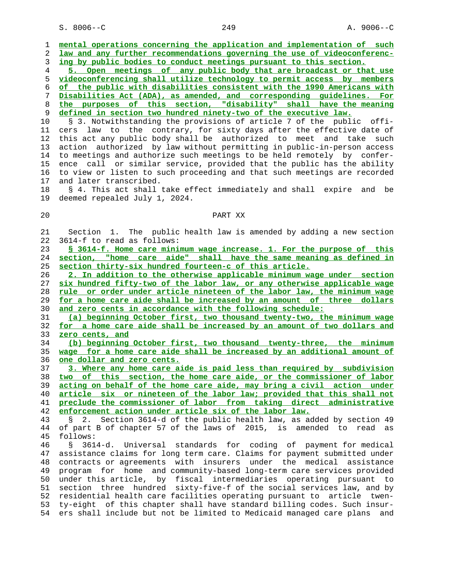S. 8006--C 249 229 A. 9006--C

|                                                                                                                                              | mental operations concerning the application and implementation of such<br>law and any further recommendations governing the use of videoconferenc-   |
|----------------------------------------------------------------------------------------------------------------------------------------------|-------------------------------------------------------------------------------------------------------------------------------------------------------|
| 2<br>3                                                                                                                                       | ing by public bodies to conduct meetings pursuant to this section.                                                                                    |
| 4                                                                                                                                            | 5. Open meetings of any public body that are broadcast or that use                                                                                    |
| 5                                                                                                                                            | videoconferencing shall utilize technology to permit access by members                                                                                |
|                                                                                                                                              |                                                                                                                                                       |
| 6                                                                                                                                            | of the public with disabilities consistent with the 1990 Americans with                                                                               |
| 7                                                                                                                                            | Disabilities Act (ADA), as amended, and corresponding quidelines. For                                                                                 |
| 8                                                                                                                                            | the purposes of this section, "disability" shall have the meaning                                                                                     |
| 9<br>10                                                                                                                                      | defined in section two hundred ninety-two of the executive law.                                                                                       |
| 11                                                                                                                                           | § 3. Notwithstanding the provisions of article 7 of the public<br>offi-                                                                               |
|                                                                                                                                              | cers law to the contrary, for sixty days after the effective date of                                                                                  |
|                                                                                                                                              | this act any public body shall be authorized to meet and take such                                                                                    |
|                                                                                                                                              | action authorized by law without permitting in public-in-person access                                                                                |
|                                                                                                                                              | to meetings and authorize such meetings to be held remotely by confer-                                                                                |
|                                                                                                                                              | ence call or similar service, provided that the public has the ability                                                                                |
|                                                                                                                                              | to view or listen to such proceeding and that such meetings are recorded                                                                              |
|                                                                                                                                              | and later transcribed.                                                                                                                                |
|                                                                                                                                              | § 4. This act shall take effect immediately and shall expire and be                                                                                   |
|                                                                                                                                              | deemed repealed July 1, 2024.                                                                                                                         |
|                                                                                                                                              |                                                                                                                                                       |
|                                                                                                                                              | PART XX                                                                                                                                               |
|                                                                                                                                              |                                                                                                                                                       |
|                                                                                                                                              | Section 1. The public health law is amended by adding a new section                                                                                   |
|                                                                                                                                              | 3614-f to read as follows:                                                                                                                            |
|                                                                                                                                              | \$ 3614-f. Home care minimum wage increase. 1. For the purpose of this                                                                                |
|                                                                                                                                              | section, "home care aide" shall have the same meaning as defined in                                                                                   |
|                                                                                                                                              | section thirty-six hundred fourteen-c of this article.                                                                                                |
|                                                                                                                                              | 2. In addition to the otherwise applicable minimum wage under section                                                                                 |
|                                                                                                                                              | six hundred fifty-two of the labor law, or any otherwise applicable wage                                                                              |
|                                                                                                                                              | rule or order under article nineteen of the labor law, the minimum wage                                                                               |
|                                                                                                                                              |                                                                                                                                                       |
|                                                                                                                                              | for a home care aide shall be increased by an amount of three dollars                                                                                 |
|                                                                                                                                              | and zero cents in accordance with the following schedule:                                                                                             |
|                                                                                                                                              | (a) beginning October first, two thousand twenty-two, the minimum wage                                                                                |
|                                                                                                                                              | for a home care aide shall be increased by an amount of two dollars and                                                                               |
|                                                                                                                                              | zero cents, and                                                                                                                                       |
|                                                                                                                                              | (b) beginning October first, two thousand twenty-three, the minimum                                                                                   |
|                                                                                                                                              | wage for a home care aide shall be increased by an additional amount of                                                                               |
|                                                                                                                                              | one dollar and zero cents.                                                                                                                            |
|                                                                                                                                              | 3. Where any home care aide is paid less than required by subdivision                                                                                 |
|                                                                                                                                              | two of this section, the home care aide, or the commissioner of labor                                                                                 |
|                                                                                                                                              | acting on behalf of the home care aide, may bring a civil action under                                                                                |
|                                                                                                                                              | article six or nineteen of the labor law; provided that this shall not                                                                                |
|                                                                                                                                              |                                                                                                                                                       |
|                                                                                                                                              | preclude the commissioner of labor from taking direct administrative                                                                                  |
|                                                                                                                                              | enforcement action under article six of the labor law.<br>Ş.                                                                                          |
|                                                                                                                                              | 2. Section 3614-d of the public health law, as added by section 49                                                                                    |
|                                                                                                                                              | of part B of chapter 57 of the laws of 2015, is amended to read as                                                                                    |
|                                                                                                                                              | follows:                                                                                                                                              |
|                                                                                                                                              | 3614-d. Universal standards for coding of payment for medical<br>$\mathcal{S}$                                                                        |
|                                                                                                                                              | assistance claims for long term care. Claims for payment submitted under                                                                              |
|                                                                                                                                              | contracts or agreements with insurers under the medical assistance                                                                                    |
|                                                                                                                                              | program for home and community-based long-term care services provided                                                                                 |
|                                                                                                                                              | under this article, by fiscal intermediaries operating pursuant to                                                                                    |
| 29<br>30<br>31<br>32<br>33<br>34<br>35<br>36<br>37<br>38<br>39<br>40<br>41<br>42<br>43<br>44<br>45<br>46<br>47<br>48<br>49<br>50<br>51<br>52 | section three hundred sixty-five-f of the social services law, and by                                                                                 |
| 53                                                                                                                                           | residential health care facilities operating pursuant to article twen-                                                                                |
| 54                                                                                                                                           | ty-eight of this chapter shall have standard billing codes. Such insur-<br>ers shall include but not be limited to Medicaid managed care plans<br>and |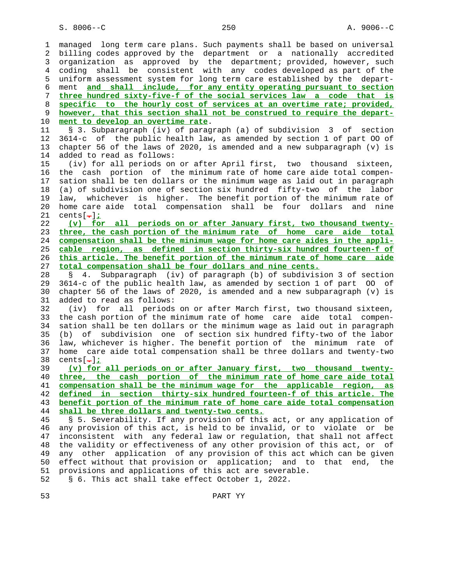1 managed long term care plans. Such payments shall be based on universal 2 billing codes approved by the department or a nationally accredited 3 organization as approved by the department; provided, however, such 4 coding shall be consistent with any codes developed as part of the 5 uniform assessment system for long term care established by the depart- 6 ment **and shall include, for any entity operating pursuant to section** 7 **three hundred sixty-five-f of the social services law a code that is** 8 **specific to the hourly cost of services at an overtime rate; provided,** 9 **however, that this section shall not be construed to require the depart-** 10 **ment to develop an overtime rate**. 11 § 3. Subparagraph (iv) of paragraph (a) of subdivision 3 of section 12 3614-c of the public health law, as amended by section 1 of part OO of 13 chapter 56 of the laws of 2020, is amended and a new subparagraph (v) is 14 added to read as follows: 15 (iv) for all periods on or after April first, two thousand sixteen, 16 the cash portion of the minimum rate of home care aide total compen- 17 sation shall be ten dollars or the minimum wage as laid out in paragraph 18 (a) of subdivision one of section six hundred fifty-two of the labor 19 law, whichever is higher. The benefit portion of the minimum rate of 20 home care aide total compensation shall be four dollars and nine 21 cents[**.**]**;** 22 **(v) for all periods on or after January first, two thousand twenty-** 23 **three, the cash portion of the minimum rate of home care aide total** 24 **compensation shall be the minimum wage for home care aides in the appli-** 25 **cable region, as defined in section thirty-six hundred fourteen-f of** 26 **this article. The benefit portion of the minimum rate of home care aide** 27 **total compensation shall be four dollars and nine cents.** 28 § 4. Subparagraph (iv) of paragraph (b) of subdivision 3 of section 29 3614-c of the public health law, as amended by section 1 of part OO of 30 chapter 56 of the laws of 2020, is amended and a new subparagraph (v) is 31 added to read as follows: 32 (iv) for all periods on or after March first, two thousand sixteen, 33 the cash portion of the minimum rate of home care aide total compen- 34 sation shall be ten dollars or the minimum wage as laid out in paragraph 35 (b) of subdivision one of section six hundred fifty-two of the labor 36 law, whichever is higher. The benefit portion of the minimum rate of 37 home care aide total compensation shall be three dollars and twenty-two 38 cents[**.**]**;** 39 **(v) for all periods on or after January first, two thousand twenty-** 40 **three, the cash portion of the minimum rate of home care aide total** 41 **compensation shall be the minimum wage for the applicable region, as** 42 **defined in section thirty-six hundred fourteen-f of this article. The** 43 **benefit portion of the minimum rate of home care aide total compensation** 44 **shall be three dollars and twenty-two cents.** 45 § 5. Severability. If any provision of this act, or any application of 46 any provision of this act, is held to be invalid, or to violate or be 47 inconsistent with any federal law or regulation, that shall not affect 48 the validity or effectiveness of any other provision of this act, or of 49 any other application of any provision of this act which can be given 50 effect without that provision or application; and to that end, the 51 provisions and applications of this act are severable. 52 § 6. This act shall take effect October 1, 2022.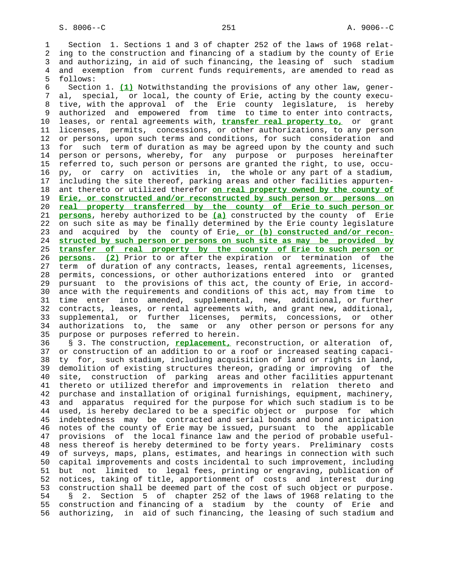1 Section 1. Sections 1 and 3 of chapter 252 of the laws of 1968 relat- 2 ing to the construction and financing of a stadium by the county of Erie 3 and authorizing, in aid of such financing, the leasing of such stadium 4 and exemption from current funds requirements, are amended to read as  $15$  follows: 5 follows:

 6 Section 1. **(1)** Notwithstanding the provisions of any other law, gener- 7 al, special, or local, the county of Erie, acting by the county execu- 8 tive, with the approval of the Erie county legislature, is hereby 9 authorized and empowered from time to time to enter into contracts, 10 leases, or rental agreements with, **transfer real property to,** or grant 11 licenses, permits, concessions, or other authorizations, to any person 12 or persons, upon such terms and conditions, for such consideration and 13 for such term of duration as may be agreed upon by the county and such 14 person or persons, whereby, for any purpose or purposes hereinafter 15 referred to, such person or persons are granted the right, to use, occu- 16 py, or carry on activities in, the whole or any part of a stadium, 17 including the site thereof, parking areas and other facilities appurten- 18 ant thereto or utilized therefor **on real property owned by the county of** 19 **Erie, or constructed and/or reconstructed by such person or persons on** 20 **real property transferred by the county of Erie to such person or** 21 **persons**, hereby authorized to be **(a)** constructed by the county of Erie 22 on such site as may be finally determined by the Erie county legislature 23 and acquired by the county of Erie**, or (b) constructed and/or recon-** 24 **structed by such person or persons on such site as may be provided by** 25 **transfer of real property by the county of Erie to such person or** 26 **persons**. **(2)** Prior to or after the expiration or termination of the 27 term of duration of any contracts, leases, rental agreements, licenses, 28 permits, concessions, or other authorizations entered into or granted 29 pursuant to the provisions of this act, the county of Erie, in accord- 30 ance with the requirements and conditions of this act, may from time to 31 time enter into amended, supplemental, new, additional, or further 32 contracts, leases, or rental agreements with, and grant new, additional, 33 supplemental, or further licenses, permits, concessions, or other 34 authorizations to, the same or any other person or persons for any 35 purpose or purposes referred to herein.

 36 § 3. The construction, **replacement,** reconstruction, or alteration of, 37 or construction of an addition to or a roof or increased seating capaci- 38 ty for, such stadium, including acquisition of land or rights in land, 39 demolition of existing structures thereon, grading or improving of the 40 site, construction of parking areas and other facilities appurtenant 41 thereto or utilized therefor and improvements in relation thereto and 42 purchase and installation of original furnishings, equipment, machinery, 43 and apparatus required for the purpose for which such stadium is to be 44 used, is hereby declared to be a specific object or purpose for which 45 indebtedness may be contracted and serial bonds and bond anticipation 46 notes of the county of Erie may be issued, pursuant to the applicable 47 provisions of the local finance law and the period of probable useful- 48 ness thereof is hereby determined to be forty years. Preliminary costs 49 of surveys, maps, plans, estimates, and hearings in connection with such 50 capital improvements and costs incidental to such improvement, including 51 but not limited to legal fees, printing or engraving, publication of 52 notices, taking of title, apportionment of costs and interest during 53 construction shall be deemed part of the cost of such object or purpose. 54 § 2. Section 5 of chapter 252 of the laws of 1968 relating to the 55 construction and financing of a stadium by the county of Erie and 56 authorizing, in aid of such financing, the leasing of such stadium and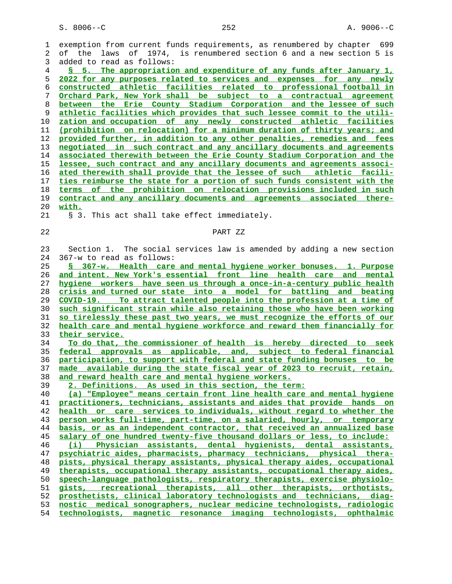S. 8006--C 252 A. 9006--C

 1 exemption from current funds requirements, as renumbered by chapter 699 2 of the laws of 1974, is renumbered section 6 and a new section 5 is 3 added to read as follows: **§ 5. The appropriation and expenditure of any funds after January 1, 2022 for any purposes related to services and expenses for any newly constructed athletic facilities related to professional football in Orchard Park, New York shall be subject to a contractual agreement between the Erie County Stadium Corporation and the lessee of such athletic facilities which provides that such lessee commit to the utili- zation and occupation of any newly constructed athletic facilities (prohibition on relocation) for a minimum duration of thirty years; and provided further, in addition to any other penalties, remedies and fees negotiated in such contract and any ancillary documents and agreements associated therewith between the Erie County Stadium Corporation and the lessee, such contract and any ancillary documents and agreements associ- ated therewith shall provide that the lessee of such athletic facili- ties reimburse the state for a portion of such funds consistent with the terms of the prohibition on relocation provisions included in such contract and any ancillary documents and agreements associated there- with.** 21 § 3. This act shall take effect immediately. 22 PART ZZ 23 Section 1. The social services law is amended by adding a new section 24 367-w to read as follows: **§ 367-w. Health care and mental hygiene worker bonuses. 1. Purpose and intent. New York's essential front line health care and mental hygiene workers have seen us through a once-in-a-century public health crisis and turned our state into a model for battling and beating COVID-19. To attract talented people into the profession at a time of such significant strain while also retaining those who have been working so tirelessly these past two years, we must recognize the efforts of our health care and mental hygiene workforce and reward them financially for their service. To do that, the commissioner of health is hereby directed to seek federal approvals as applicable, and, subject to federal financial participation, to support with federal and state funding bonuses to be made available during the state fiscal year of 2023 to recruit, retain, and reward health care and mental hygiene workers. 2. Definitions. As used in this section, the term: (a) "Employee" means certain front line health care and mental hygiene practitioners, technicians, assistants and aides that provide hands on health or care services to individuals, without regard to whether the person works full-time, part-time, on a salaried, hourly, or temporary basis, or as an independent contractor, that received an annualized base salary of one hundred twenty-five thousand dollars or less, to include: (i) Physician assistants, dental hygienists, dental assistants, psychiatric aides, pharmacists, pharmacy technicians, physical thera- pists, physical therapy assistants, physical therapy aides, occupational therapists, occupational therapy assistants, occupational therapy aides, speech-language pathologists, respiratory therapists, exercise physiolo- gists, recreational therapists, all other therapists, orthotists, prosthetists, clinical laboratory technologists and technicians, diag- nostic medical sonographers, nuclear medicine technologists, radiologic technologists, magnetic resonance imaging technologists, ophthalmic**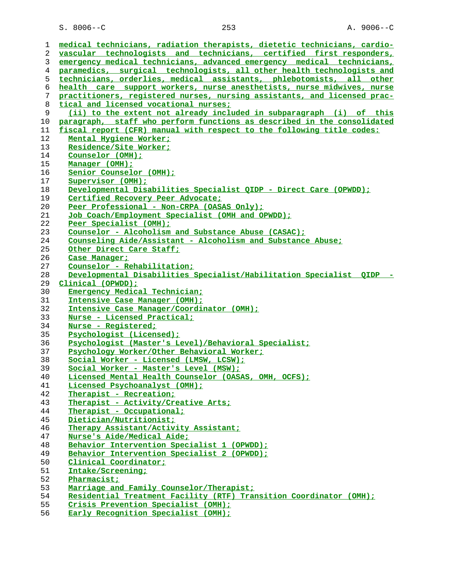| 1        | medical technicians, radiation therapists, dietetic technicians, cardio-      |
|----------|-------------------------------------------------------------------------------|
| 2        | vascular technologists and technicians, certified first responders,           |
| 3        | emergency medical technicians, advanced emergency medical technicians,        |
| 4        | paramedics, surgical technologists, all other health technologists and        |
| 5        | technicians, orderlies, medical assistants, phlebotomists, all other          |
| 6        | health care support workers, nurse anesthetists, nurse midwives, nurse        |
| 7        | practitioners, registered nurses, nursing assistants, and licensed prac-      |
| 8        | tical and licensed vocational nurses;                                         |
| 9        | (ii) to the extent not already included in subparagraph (i) of this           |
| 10       | paragraph, staff who perform functions as described in the consolidated       |
| 11       | fiscal report (CFR) manual with respect to the following title codes:         |
| 12       | Mental Hygiene Worker;                                                        |
| 13       | Residence/Site Worker;                                                        |
| 14       | Counselor (OMH) ;                                                             |
| 15       | Manager (OMH) ;                                                               |
| 16       | Senior Counselor (OMH);                                                       |
| 17       | Supervisor (OMH);                                                             |
| 18       | Developmental Disabilities Specialist QIDP - Direct Care (OPWDD);             |
| 19       | Certified Recovery Peer Advocate;                                             |
| 20       | Peer Professional - Non-CRPA (OASAS Only);                                    |
| 21       | Job Coach/Employment Specialist (OMH and OPWDD);                              |
| 22<br>23 | Peer Specialist (OMH):<br>Counselor - Alcoholism and Substance Abuse (CASAC); |
| 24       | Counseling Aide/Assistant - Alcoholism and Substance Abuse;                   |
| 25       | Other Direct Care Staff:                                                      |
| 26       |                                                                               |
| 27       | Case Manager;<br>Counselor - Rehabilitation;                                  |
| 28       | Developmental Disabilities Specialist/Habilitation Specialist OIDP            |
| 29       | Clinical (OPWDD);                                                             |
| 30       | Emergency Medical Technician;                                                 |
| 31       | Intensive Case Manager (OMH);                                                 |
| 32       | Intensive Case Manager/Coordinator (OMH);                                     |
| 33       | Nurse - Licensed Practical;                                                   |
| 34       | Nurse - Registered;                                                           |
| 35       | Psychologist (Licensed) ;                                                     |
| 36       | Psychologist (Master's Level)/Behavioral Specialist;                          |
| 37       | Psychology Worker/Other Behavioral Worker;                                    |
| 38       | Social Worker - Licensed (LMSW, LCSW);                                        |
| 39       | Social Worker - Master's Level (MSW);                                         |
| 40       | Licensed Mental Health Counselor (OASAS, OMH, OCFS);                          |
| 41       | Licensed Psychoanalyst (OMH);                                                 |
| 42       | Therapist - Recreation;                                                       |
| 43       | Therapist - Activity/Creative Arts;                                           |
| 44       | Therapist - Occupational;                                                     |
| 45       | Dietician/Nutritionist;                                                       |
| 46       | Therapy Assistant/Activity Assistant;                                         |
| 47       | Nurse's Aide/Medical Aide;                                                    |
| 48       | Behavior Intervention Specialist 1 (OPWDD);                                   |
| 49       | Behavior Intervention Specialist 2 (OPWDD);                                   |
| 50       | Clinical Coordinator;                                                         |
| 51       | Intake/Screening;                                                             |
| 52       | Pharmacist;                                                                   |
| 53       | Marriage and Family Counselor/Therapist;                                      |
| 54       | Residential Treatment Facility (RTF) Transition Coordinator (OMH);            |
| 55       | Crisis Prevention Specialist (OMH);                                           |

**Early Recognition Specialist (OMH);**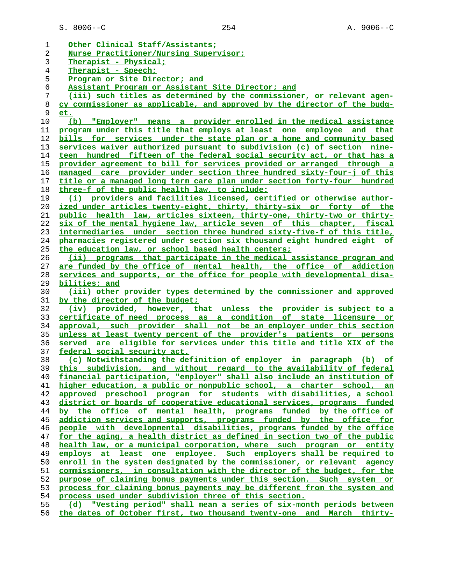| 1        | Other Clinical Staff/Assistants;                                                                                               |
|----------|--------------------------------------------------------------------------------------------------------------------------------|
| 2        | Nurse Practitioner/Nursing Supervisor;                                                                                         |
| 3        | Therapist - Physical:                                                                                                          |
| 4        | Therapist - Speech;                                                                                                            |
| 5        | Program or Site Director; and                                                                                                  |
| 6        | Assistant Program or Assistant Site Director; and                                                                              |
| 7        | (iii) such titles as determined by the commissioner, or relevant agen-                                                         |
| 8        | cy commissioner as applicable, and approved by the director of the budg-                                                       |
| 9        | et.                                                                                                                            |
| 10       | "Employer" means a provider enrolled in the medical assistance<br>(b)                                                          |
| 11       | program under this title that employs at least one employee and that                                                           |
| 12       | bills for services under the state plan or a home and community based                                                          |
| 13       | services waiver authorized pursuant to subdivision (c) of section nine-                                                        |
| 14       | teen hundred fifteen of the federal social security act, or that has a                                                         |
| 15       | provider agreement to bill for services provided or arranged through a                                                         |
| 16       | managed care provider under section three hundred sixty-four-j of this                                                         |
| 17       | title or a managed long term care plan under section forty-four hundred                                                        |
| 18       | three-f of the public health law, to include:                                                                                  |
| 19       | (i) providers and facilities licensed, certified or otherwise author-                                                          |
| 20       | ized under articles twenty-eight, thirty, thirty-six or forty of the                                                           |
| 21       | public health law, articles sixteen, thirty-one, thirty-two or thirty-                                                         |
| 22       | six of the mental hygiene law, article seven of this chapter, fiscal                                                           |
| 23       | intermediaries under section three hundred sixty-five-f of this title,                                                         |
| 24       | pharmacies registered under section six thousand eight hundred eight of                                                        |
| 25       | the education law, or school based health centers;                                                                             |
| 26       | (ii) programs that participate in the medical assistance program and                                                           |
| 27       | are funded by the office of mental health, the office of addiction                                                             |
| 28       | services and supports, or the office for people with developmental disa-                                                       |
| 29       | bilities; and                                                                                                                  |
| 30       | (iii) other provider types determined by the commissioner and approved                                                         |
| 31       | by the director of the budget;                                                                                                 |
| 32       | (iv) provided, however, that unless the provider is subject to a                                                               |
| 33       | certificate of need process as a condition of state licensure or                                                               |
| 34       | approval, such provider shall not be an employer under this section                                                            |
| 35       | unless at least twenty percent of the provider's patients or persons                                                           |
| 36       | served are eligible for services under this title and title XIX of the                                                         |
| 37       | federal social security act.                                                                                                   |
| 38       | (c) Notwithstanding the definition of employer in paragraph (b) of                                                             |
| 39       | this subdivision, and without regard to the availability of federal                                                            |
| 40       | financial participation, "employer" shall also include an institution of                                                       |
| 41       | higher education, a public or nonpublic school, a charter school, an                                                           |
| 42       | approved preschool program for students with disabilities, a school                                                            |
| 43       | district or boards of cooperative educational services, programs funded                                                        |
| 44       | by the office of mental health, programs funded by the office of                                                               |
| 45       | addiction services and supports, programs funded by the office for                                                             |
| 46       | people with developmental disabilities, programs funded by the office                                                          |
| 47       | for the aging, a health district as defined in section two of the public                                                       |
| 48       | health law, or a municipal corporation, where such program or<br>entity                                                        |
| 49       | employs at least one employee. Such employers shall be required to                                                             |
| 50       | enroll in the system designated by the commissioner, or relevant agency                                                        |
| 51       |                                                                                                                                |
|          | commissioners, in consultation with the director of the budget, for the                                                        |
| 52       | purpose of claiming bonus payments under this section. Such system or                                                          |
| 53       | process for claiming bonus payments may be different from the system and                                                       |
| 54<br>55 | process used under subdivision three of this section.<br>(d) "Vesting period" shall mean a series of six-month periods between |

**the dates of October first, two thousand twenty-one and March thirty-**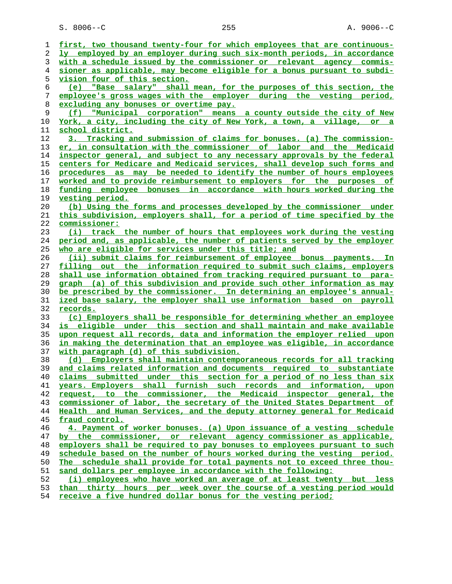S. 8006--C 255 A. 9006--C

| 1        | first, two thousand twenty-four for which employees that are continuous-                                                                    |
|----------|---------------------------------------------------------------------------------------------------------------------------------------------|
| 2        | ly employed by an employer during such six-month periods, in accordance                                                                     |
| 3        | with a schedule issued by the commissioner or relevant agency commis-                                                                       |
| 4        | sioner as applicable, may become eligible for a bonus pursuant to subdi-                                                                    |
| 5        | <u>vision four of this section.</u>                                                                                                         |
| 6        | (e) "Base salary" shall mean, for the purposes of this section, the                                                                         |
| 7        | employee's gross wages with the employer during the vesting period,                                                                         |
| 8        | excluding any bonuses or overtime pay.                                                                                                      |
| 9        | (f) "Municipal corporation" means a county outside the city of New                                                                          |
| 10       | York, a city, including the city of New York, a town, a village, or a                                                                       |
| 11       | <u>school district.</u>                                                                                                                     |
| 12       | 3. Tracking and submission of claims for bonuses. (a) The commission-                                                                       |
| 13       | er, in consultation with the commissioner of labor and the Medicaid                                                                         |
| 14       | inspector general, and subject to any necessary approvals by the federal                                                                    |
| 15       | centers for Medicare and Medicaid services, shall develop such forms and                                                                    |
| 16       | procedures as may be needed to identify the number of hours employees                                                                       |
|          |                                                                                                                                             |
| 17       | worked and to provide reimbursement to employers for the purposes of<br>funding employee bonuses in accordance with hours worked during the |
| 18       |                                                                                                                                             |
| 19       | vesting period.                                                                                                                             |
| 20       | (b) Using the forms and processes developed by the commissioner under                                                                       |
| 21       | this subdivision, employers shall, for a period of time specified by the                                                                    |
| 22       | commissioner:                                                                                                                               |
| 23       | (i) track the number of hours that employees work during the vesting                                                                        |
| 24       | period and, as applicable, the number of patients served by the employer                                                                    |
| 25       | <u>who are eligible for services under this title; and </u>                                                                                 |
| 26       | (ii) submit claims for reimbursement of employee bonus payments. In                                                                         |
| 27       | filling out the information required to submit such claims, employers                                                                       |
| 28       | shall use information obtained from tracking required pursuant to para-                                                                     |
| 29       | graph (a) of this subdivision and provide such other information as may                                                                     |
| 30       | be prescribed by the commissioner. In determining an employee's annual-                                                                     |
| 31       | ized base salary, the employer shall use information based on payroll                                                                       |
| 32       | <u>records.</u>                                                                                                                             |
| 33       | (c) Employers shall be responsible for determining whether an employee                                                                      |
| 34       | is eligible under this section and shall maintain and make available                                                                        |
| 35       | upon request all records, data and information the employer relied upon                                                                     |
| 36       | in making the determination that an employee was eligible, in accordance                                                                    |
| 37       | with paragraph (d) of this subdivision.                                                                                                     |
| 38       | (d) Employers shall maintain contemporaneous records for all tracking                                                                       |
| 39       | and claims related information and documents required to substantiate                                                                       |
| 40       | claims submitted under this section for a period of no less than six                                                                        |
| 41       | years. Employers shall furnish such records and information, upon                                                                           |
| 42       | request, to the commissioner, the Medicaid inspector general, the                                                                           |
| 43       | commissioner of labor, the secretary of the United States Department of                                                                     |
| 44       | Health and Human Services, and the deputy attorney general for Medicaid                                                                     |
| 45       | fraud control.                                                                                                                              |
| 46       | 4. Payment of worker bonuses. (a) Upon issuance of a vesting schedule                                                                       |
| 47       | by the commissioner, or relevant agency commissioner as applicable,                                                                         |
| 48       | employers shall be required to pay bonuses to employees pursuant to such                                                                    |
| 49       | schedule based on the number of hours worked during the vesting period.                                                                     |
| 50       | The schedule shall provide for total payments not to exceed three thou-                                                                     |
| 51       | sand dollars per employee in accordance with the following:                                                                                 |
| 52       |                                                                                                                                             |
|          | (i) employees who have worked an average of at least twenty but less                                                                        |
| 53<br>54 | than thirty hours per week over the course of a vesting period would<br>receive a five hundred dollar bonus for the vesting period;         |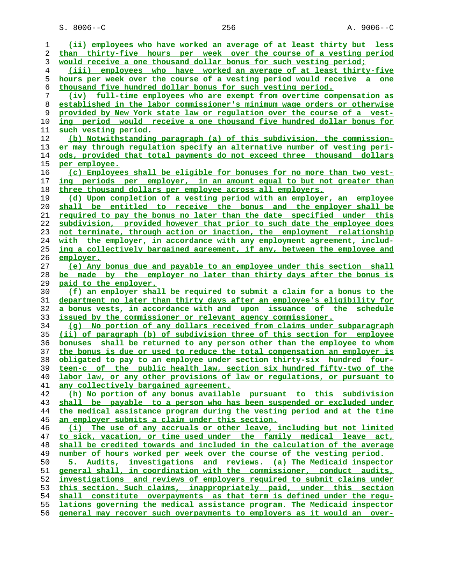S. 8006--C 256 256 A. 9006--C

| 1              | (ii) employees who have worked an average of at least thirty but less           |
|----------------|---------------------------------------------------------------------------------|
| 2              | than thirty-five hours per week over the course of a vesting period             |
| 3              | would receive a one thousand dollar bonus for such vesting period;              |
| $\overline{4}$ | (iii) employees who have worked an average of at least thirty-five              |
| 5              | hours per week over the course of a vesting period would receive a one          |
| 6              | thousand five hundred dollar bonus for such vesting period.                     |
| 7              | (iv) full-time employees who are exempt from overtime compensation as           |
| 8              | established in the labor commissioner's minimum wage orders or otherwise        |
| 9              |                                                                                 |
|                | provided by New York state law or regulation over the course of a vest-         |
| 10             | ing period would receive a one thousand five hundred dollar bonus for           |
| 11             | such vesting period.                                                            |
| 12             | (b) Notwithstanding paragraph (a) of this subdivision, the commission-          |
| 13             | er may through regulation specify an alternative number of vesting peri-        |
| 14             | ods, provided that total payments do not exceed three thousand dollars          |
| 15             | per employee.                                                                   |
| 16             | (c) Employees shall be eligible for bonuses for no more than two vest-          |
| 17             | ing periods per employer, in an amount equal to but not greater than            |
| 18             | three thousand dollars per employee across all employers.                       |
| 19             | (d) Upon completion of a vesting period with an employer, an employee           |
| 20             | shall be entitled to receive the bonus and the employer shall be                |
| 21             | required to pay the bonus no later than the date specified under this           |
| 22             | subdivision, provided however that prior to such date the employee does         |
| 23             | not terminate, through action or inaction, the employment relationship          |
| 24             | with the employer, in accordance with any employment agreement, includ-         |
|                |                                                                                 |
| 25             | ing a collectively bargained agreement, if any, between the employee and        |
| 26             | employer.                                                                       |
| 27             | (e) Any bonus due and payable to an employee under this section shall           |
| 28             | be made by the employer no later than thirty days after the bonus is            |
| 29             | paid to the employer.                                                           |
| 30             | (f) an employer shall be required to submit a claim for a bonus to the          |
| 31             | <u>department no later than thirty days after an employee's eligibility for</u> |
| 32             | a bonus vests, in accordance with and upon issuance of the schedule             |
| 33             | <u>issued by the commissioner or relevant agency commissioner.</u>              |
| 34             | (g) No portion of any dollars received from claims under subparagraph           |
| 35             | (ii) of paragraph (b) of subdivision three of this section for employee         |
| 36             | bonuses shall be returned to any person other than the employee to whom         |
| 37             | the bonus is due or used to reduce the total compensation an employer is        |
| 38             | obligated to pay to an employee under section thirty-six hundred four-          |
| 39             | of the public health law, section six hundred fifty-two of the<br>teen-c        |
| 40             | labor law, or any other provisions of law or regulations, or pursuant to        |
| 41             | any collectively bargained agreement.                                           |
| 42             | (h) No portion of any bonus available pursuant to this subdivision              |
| 43             | shall be payable to a person who has been suspended or excluded under           |
| 44             | the medical assistance program during the vesting period and at the time        |
|                |                                                                                 |
| 45             | an employer submits a claim under this section.                                 |
| 46             | (i) The use of any accruals or other leave, including but not limited           |
| 47             | to sick, vacation, or time used under the family medical leave act,             |
| 48             | shall be credited towards and included in the calculation of the average        |
| 49             | number of hours worked per week over the course of the vesting period.          |
| 50             | 5. Audits, investigations and reviews. (a) The Medicaid inspector               |
| 51             | general shall, in coordination with the commissioner, conduct audits,           |
| 52             | investigations and reviews of employers required to submit claims under         |
| 53             | this section. Such claims, inappropriately paid, under this section             |
| 54             | shall constitute overpayments as that term is defined under the regu-           |
| 55             | lations governing the medical assistance program. The Medicaid inspector        |
| 56             | general may recover such overpayments to employers as it would an over-         |
|                |                                                                                 |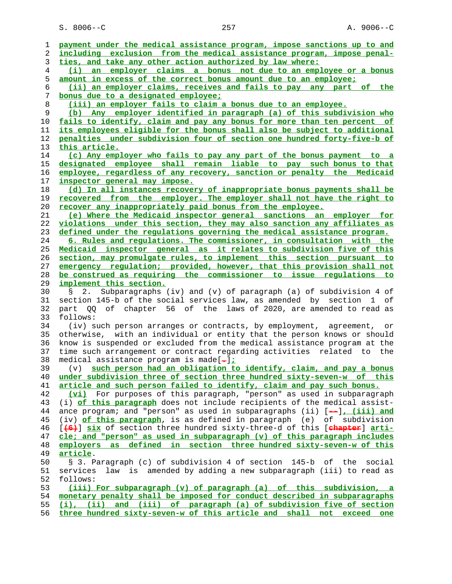S. 8006--C 257 A. 9006--C

**payment under the medical assistance program, impose sanctions up to and including exclusion from the medical assistance program, impose penal- ties, and take any other action authorized by law where: (i) an employer claims a bonus not due to an employee or a bonus amount in excess of the correct bonus amount due to an employee; (ii) an employer claims, receives and fails to pay any part of the bonus due to a designated employee; (iii) an employer fails to claim a bonus due to an employee. (b) Any employer identified in paragraph (a) of this subdivision who fails to identify, claim and pay any bonus for more than ten percent of its employees eligible for the bonus shall also be subject to additional penalties under subdivision four of section one hundred forty-five-b of this article. (c) Any employer who fails to pay any part of the bonus payment to a designated employee shall remain liable to pay such bonus to that employee, regardless of any recovery, sanction or penalty the Medicaid inspector general may impose. (d) In all instances recovery of inappropriate bonus payments shall be recovered from the employer. The employer shall not have the right to recover any inappropriately paid bonus from the employee. (e) Where the Medicaid inspector general sanctions an employer for violations under this section, they may also sanction any affiliates as defined under the regulations governing the medical assistance program. 6. Rules and regulations. The commissioner, in consultation with the Medicaid inspector general as it relates to subdivision five of this section, may promulgate rules, to implement this section pursuant to emergency regulation; provided, however, that this provision shall not be construed as requiring the commissioner to issue regulations to implement this section.** 30 § 2. Subparagraphs (iv) and (v) of paragraph (a) of subdivision 4 of 31 section 145-b of the social services law, as amended by section 1 of 32 part QQ of chapter 56 of the laws of 2020, are amended to read as 33 follows: 34 (iv) such person arranges or contracts, by employment, agreement, or 35 otherwise, with an individual or entity that the person knows or should 36 know is suspended or excluded from the medical assistance program at the 37 time such arrangement or contract regarding activities related to the 38 medical assistance program is made[**.**]**;** 39 (v) **such person had an obligation to identify, claim, and pay a bonus under subdivision three of section three hundred sixty-seven-w of this article and such person failed to identify, claim and pay such bonus. (vi)** For purposes of this paragraph, "person" as used in subparagraph 43 (i) **of this paragraph** does not include recipients of the medical assist- 44 ance program; and "person" as used in subparagraphs (ii) [**--**]**, (iii) and** 45 (iv) **of this paragraph**, is as defined in paragraph (e) of subdivision 46 [**(6)**] **six** of section three hundred sixty-three-d of this [**chapter**] **arti- cle; and "person" as used in subparagraph (v) of this paragraph includes employers as defined in section three hundred sixty-seven-w of this article**. § 3. Paragraph (c) of subdivision 4 of section 145-b of the social 51 services law is amended by adding a new subparagraph (iii) to read as 52 follows: **(iii) For subparagraph (v) of paragraph (a) of this subdivision, a monetary penalty shall be imposed for conduct described in subparagraphs (i), (ii) and (iii) of paragraph (a) of subdivision five of section three hundred sixty-seven-w of this article and shall not exceed one**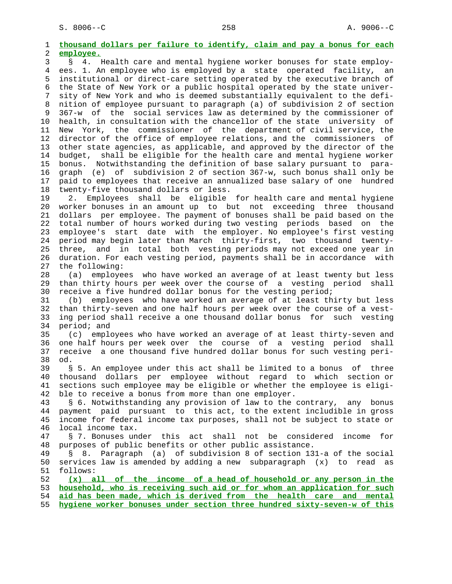1 **thousand dollars per failure to identify, claim and pay a bonus for each** 2 **employee.**

 3 § 4. Health care and mental hygiene worker bonuses for state employ- 4 ees. 1. An employee who is employed by a state operated facility, an 5 institutional or direct-care setting operated by the executive branch of 6 the State of New York or a public hospital operated by the state univer- 7 sity of New York and who is deemed substantially equivalent to the defi- 8 nition of employee pursuant to paragraph (a) of subdivision 2 of section 9 367-w of the social services law as determined by the commissioner of 10 health, in consultation with the chancellor of the state university of 11 New York, the commissioner of the department of civil service, the 12 director of the office of employee relations, and the commissioners of 13 other state agencies, as applicable, and approved by the director of the 14 budget, shall be eligible for the health care and mental hygiene worker 15 bonus. Notwithstanding the definition of base salary pursuant to para- 16 graph (e) of subdivision 2 of section 367-w, such bonus shall only be 17 paid to employees that receive an annualized base salary of one hundred 18 twenty-five thousand dollars or less.

 19 2. Employees shall be eligible for health care and mental hygiene 20 worker bonuses in an amount up to but not exceeding three thousand 21 dollars per employee. The payment of bonuses shall be paid based on the 22 total number of hours worked during two vesting periods based on the 23 employee's start date with the employer. No employee's first vesting 24 period may begin later than March thirty-first, two thousand twenty- 25 three, and in total both vesting periods may not exceed one year in 26 duration. For each vesting period, payments shall be in accordance with 27 the following:

 28 (a) employees who have worked an average of at least twenty but less 29 than thirty hours per week over the course of a vesting period shall 30 receive a five hundred dollar bonus for the vesting period;

 31 (b) employees who have worked an average of at least thirty but less 32 than thirty-seven and one half hours per week over the course of a vest- 33 ing period shall receive a one thousand dollar bonus for such vesting 34 period; and

 35 (c) employees who have worked an average of at least thirty-seven and 36 one half hours per week over the course of a vesting period shall 37 receive a one thousand five hundred dollar bonus for such vesting peri- 38 od.

 39 § 5. An employee under this act shall be limited to a bonus of three 40 thousand dollars per employee without regard to which section or 41 sections such employee may be eligible or whether the employee is eligi- 42 ble to receive a bonus from more than one employer.

 43 § 6. Notwithstanding any provision of law to the contrary, any bonus 44 payment paid pursuant to this act, to the extent includible in gross 45 income for federal income tax purposes, shall not be subject to state or 46 local income tax.

 47 § 7. Bonuses under this act shall not be considered income for 48 purposes of public benefits or other public assistance.

 49 § 8. Paragraph (a) of subdivision 8 of section 131-a of the social 50 services law is amended by adding a new subparagraph (x) to read as 51 follows:

 52 **(x) all of the income of a head of household or any person in the** 53 **household, who is receiving such aid or for whom an application for such** 54 **aid has been made, which is derived from the health care and mental**

55 **hygiene worker bonuses under section three hundred sixty-seven-w of this**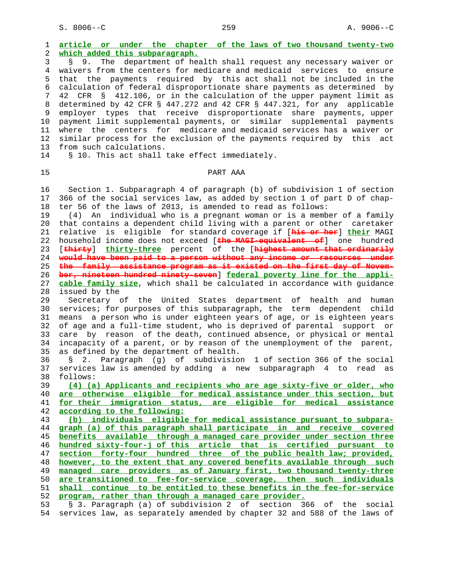1 **article or under the chapter of the laws of two thousand twenty-two** 2 **which added this subparagraph.** 3 § 9. The department of health shall request any necessary waiver or 4 waivers from the centers for medicare and medicaid services to ensure 5 that the payments required by this act shall not be included in the 6 calculation of federal disproportionate share payments as determined by 7 42 CFR § 412.106, or in the calculation of the upper payment limit as 8 determined by 42 CFR § 447.272 and 42 CFR § 447.321, for any applicable 9 employer types that receive disproportionate share payments, upper 10 payment limit supplemental payments, or similar supplemental payments 11 where the centers for medicare and medicaid services has a waiver or 12 similar process for the exclusion of the payments required by this act 13 from such calculations. 14 § 10. This act shall take effect immediately. 15 PART AAA 16 Section 1. Subparagraph 4 of paragraph (b) of subdivision 1 of section 17 366 of the social services law, as added by section 1 of part D of chap- 18 ter 56 of the laws of 2013, is amended to read as follows: 19 (4) An individual who is a pregnant woman or is a member of a family 20 that contains a dependent child living with a parent or other caretaker 21 relative is eligible for standard coverage if [**his or her**] **their** MAGI 22 household income does not exceed [**the MAGI-equivalent of**] one hundred 23 [**thirty**] **thirty-three** percent of the [**highest amount that ordinarily** 24 **would have been paid to a person without any income or resources under** 25 **the family assistance program as it existed on the first day of Novem-** 26 **ber, nineteen hundred ninety-seven**] **federal poverty line for the appli-** 27 **cable family size**, which shall be calculated in accordance with guidance 28 issued by the 29 Secretary of the United States department of health and human 30 services; for purposes of this subparagraph, the term dependent child 31 means a person who is under eighteen years of age, or is eighteen years 32 of age and a full-time student, who is deprived of parental support or 33 care by reason of the death, continued absence, or physical or mental 34 incapacity of a parent, or by reason of the unemployment of the parent, 35 as defined by the department of health. 36 § 2. Paragraph (g) of subdivision 1 of section 366 of the social 37 services law is amended by adding a new subparagraph 4 to read as 38 follows: 39 **(4) (a) Applicants and recipients who are age sixty-five or older, who** 40 **are otherwise eligible for medical assistance under this section, but** 41 **for their immigration status, are eligible for medical assistance** 42 **according to the following:** 43 **(b) individuals eligible for medical assistance pursuant to subpara-** 44 **graph (a) of this paragraph shall participate in and receive covered** 45 **benefits available through a managed care provider under section three** 46 **hundred sixty-four-j of this article that is certified pursuant to** 47 **section forty-four hundred three of the public health law; provided,** 48 **however, to the extent that any covered benefits available through such** 49 **managed care providers as of January first, two thousand twenty-three** 50 **are transitioned to fee-for-service coverage, then such individuals** 51 **shall continue to be entitled to these benefits in the fee-for-service** 52 **program, rather than through a managed care provider.** 53 § 3. Paragraph (a) of subdivision 2 of section 366 of the social

54 services law, as separately amended by chapter 32 and 588 of the laws of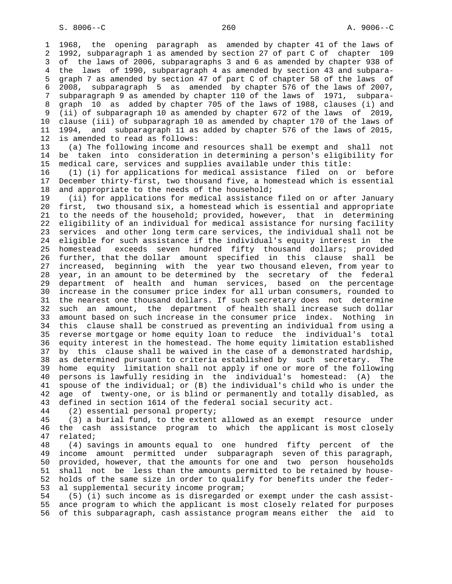1 1968, the opening paragraph as amended by chapter 41 of the laws of 2 1992, subparagraph 1 as amended by section 27 of part C of chapter 109 3 of the laws of 2006, subparagraphs 3 and 6 as amended by chapter 938 of 4 the laws of 1990, subparagraph 4 as amended by section 43 and subpara- 5 graph 7 as amended by section 47 of part C of chapter 58 of the laws of 6 2008, subparagraph 5 as amended by chapter 576 of the laws of 2007, 7 subparagraph 9 as amended by chapter 110 of the laws of 1971, subpara- 8 graph 10 as added by chapter 705 of the laws of 1988, clauses (i) and 9 (ii) of subparagraph 10 as amended by chapter 672 of the laws of 2019, 10 clause (iii) of subparagraph 10 as amended by chapter 170 of the laws of 11 1994, and subparagraph 11 as added by chapter 576 of the laws of 2015, 12 is amended to read as follows:

 13 (a) The following income and resources shall be exempt and shall not 14 be taken into consideration in determining a person's eligibility for 15 medical care, services and supplies available under this title:

 16 (1) (i) for applications for medical assistance filed on or before 17 December thirty-first, two thousand five, a homestead which is essential 18 and appropriate to the needs of the household;

 19 (ii) for applications for medical assistance filed on or after January 20 first, two thousand six, a homestead which is essential and appropriate 21 to the needs of the household; provided, however, that in determining 22 eligibility of an individual for medical assistance for nursing facility 23 services and other long term care services, the individual shall not be 24 eligible for such assistance if the individual's equity interest in the 25 homestead exceeds seven hundred fifty thousand dollars; provided 26 further, that the dollar amount specified in this clause shall be 27 increased, beginning with the year two thousand eleven, from year to 28 year, in an amount to be determined by the secretary of the federal 29 department of health and human services, based on the percentage 30 increase in the consumer price index for all urban consumers, rounded to 31 the nearest one thousand dollars. If such secretary does not determine 32 such an amount, the department of health shall increase such dollar 33 amount based on such increase in the consumer price index. Nothing in 34 this clause shall be construed as preventing an individual from using a 35 reverse mortgage or home equity loan to reduce the individual's total 36 equity interest in the homestead. The home equity limitation established 37 by this clause shall be waived in the case of a demonstrated hardship, 38 as determined pursuant to criteria established by such secretary. The 39 home equity limitation shall not apply if one or more of the following 40 persons is lawfully residing in the individual's homestead: (A) the 41 spouse of the individual; or (B) the individual's child who is under the 42 age of twenty-one, or is blind or permanently and totally disabled, as 43 defined in section 1614 of the federal social security act.

44 (2) essential personal property;

 45 (3) a burial fund, to the extent allowed as an exempt resource under 46 the cash assistance program to which the applicant is most closely 47 related;

 48 (4) savings in amounts equal to one hundred fifty percent of the 49 income amount permitted under subparagraph seven of this paragraph, 50 provided, however, that the amounts for one and two person households 51 shall not be less than the amounts permitted to be retained by house- 52 holds of the same size in order to qualify for benefits under the feder- 53 al supplemental security income program;

 54 (5) (i) such income as is disregarded or exempt under the cash assist- 55 ance program to which the applicant is most closely related for purposes 56 of this subparagraph, cash assistance program means either the aid to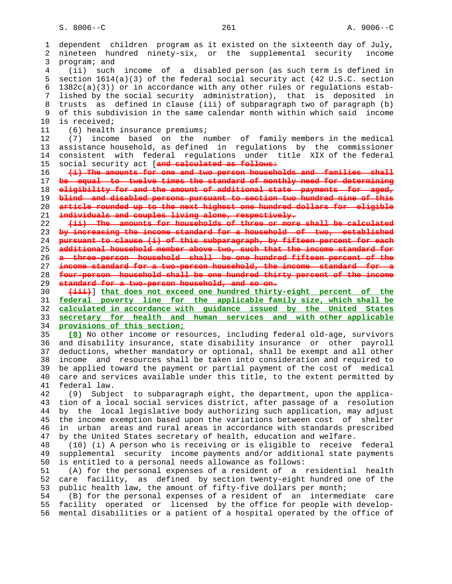1 dependent children program as it existed on the sixteenth day of July, 2 nineteen hundred ninety-six, or the supplemental security income 3 program; and 4 (ii) such income of a disabled person (as such term is defined in 5 section 1614(a)(3) of the federal social security act (42 U.S.C. section 6 1382c(a)(3)) or in accordance with any other rules or regulations estab- 7 lished by the social security administration), that is deposited in 8 trusts as defined in clause (iii) of subparagraph two of paragraph (b) 9 of this subdivision in the same calendar month within which said income 10 is received; 11 (6) health insurance premiums; 12 (7) income based on the number of family members in the medical 13 assistance household, as defined in regulations by the commissioner 14 consistent with federal regulations under title XIX of the federal 15 social security act [**and calculated as follows:** 16 **(i) The amounts for one and two person households and families shall** 17 **be equal to twelve times the standard of monthly need for determining** 18 **eligibility for and the amount of additional state payments for aged,** 19 **blind and disabled persons pursuant to section two hundred nine of this** 20 **article rounded up to the next highest one hundred dollars for eligible** 21 **individuals and couples living alone, respectively.** 22 **(ii) The amounts for households of three or more shall be calculated** 23 **by increasing the income standard for a household of two, established** 24 **pursuant to clause (i) of this subparagraph, by fifteen percent for each** 25 **additional household member above two, such that the income standard for** 26 **a three-person household shall be one hundred fifteen percent of the** 27 **income standard for a two-person household, the income standard for a** 28 **four-person household shall be one hundred thirty percent of the income** 29 **standard for a two-person household, and so on.** 30 **(iii)**] **that does not exceed one hundred thirty-eight percent of the** 31 **federal poverty line for the applicable family size, which shall be** 32 **calculated in accordance with guidance issued by the United States** 33 **secretary for health and human services and with other applicable** 34 **provisions of this section;** 35 **(8)** No other income or resources, including federal old-age, survivors 36 and disability insurance, state disability insurance or other payroll 37 deductions, whether mandatory or optional, shall be exempt and all other 38 income and resources shall be taken into consideration and required to 39 be applied toward the payment or partial payment of the cost of medical 40 care and services available under this title, to the extent permitted by 41 federal law. 42 (9) Subject to subparagraph eight, the department, upon the applica- 43 tion of a local social services district, after passage of a resolution 44 by the local legislative body authorizing such application, may adjust 45 the income exemption based upon the variations between cost of shelter 46 in urban areas and rural areas in accordance with standards prescribed 47 by the United States secretary of health, education and welfare. 48 (10) (i) A person who is receiving or is eligible to receive federal 49 supplemental security income payments and/or additional state payments 50 is entitled to a personal needs allowance as follows: 51 (A) for the personal expenses of a resident of a residential health 52 care facility, as defined by section twenty-eight hundred one of the 53 public health law, the amount of fifty-five dollars per month; 54 (B) for the personal expenses of a resident of an intermediate care 55 facility operated or licensed by the office for people with develop- 56 mental disabilities or a patient of a hospital operated by the office of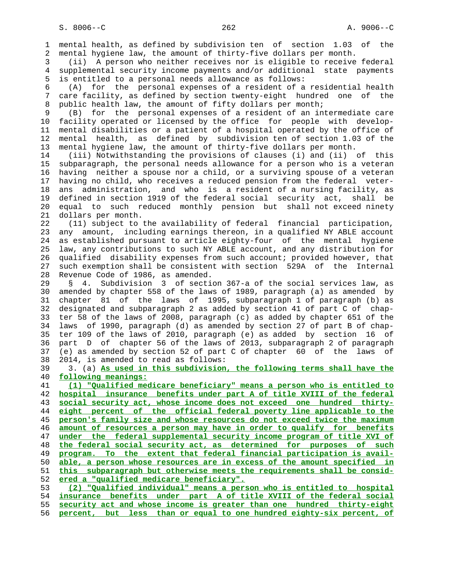1 mental health, as defined by subdivision ten of section 1.03 of the 2 mental hygiene law, the amount of thirty-five dollars per month.

 3 (ii) A person who neither receives nor is eligible to receive federal 4 supplemental security income payments and/or additional state payments 5 is entitled to a personal needs allowance as follows:

 6 (A) for the personal expenses of a resident of a residential health 7 care facility, as defined by section twenty-eight hundred one of the 8 public health law, the amount of fifty dollars per month;

 9 (B) for the personal expenses of a resident of an intermediate care 10 facility operated or licensed by the office for people with develop- 11 mental disabilities or a patient of a hospital operated by the office of 12 mental health, as defined by subdivision ten of section 1.03 of the 13 mental hygiene law, the amount of thirty-five dollars per month.

 14 (iii) Notwithstanding the provisions of clauses (i) and (ii) of this 15 subparagraph, the personal needs allowance for a person who is a veteran 16 having neither a spouse nor a child, or a surviving spouse of a veteran 17 having no child, who receives a reduced pension from the federal veter- 18 ans administration, and who is a resident of a nursing facility, as 19 defined in section 1919 of the federal social security act, shall be 20 equal to such reduced monthly pension but shall not exceed ninety 21 dollars per month.

 22 (11) subject to the availability of federal financial participation, 23 any amount, including earnings thereon, in a qualified NY ABLE account 24 as established pursuant to article eighty-four of the mental hygiene 25 law, any contributions to such NY ABLE account, and any distribution for 26 qualified disability expenses from such account; provided however, that 27 such exemption shall be consistent with section 529A of the Internal 28 Revenue Code of 1986, as amended.

 29 § 4. Subdivision 3 of section 367-a of the social services law, as 30 amended by chapter 558 of the laws of 1989, paragraph (a) as amended by 31 chapter 81 of the laws of 1995, subparagraph 1 of paragraph (b) as 32 designated and subparagraph 2 as added by section 41 of part C of chap- 33 ter 58 of the laws of 2008, paragraph (c) as added by chapter 651 of the 34 laws of 1990, paragraph (d) as amended by section 27 of part B of chap- 35 ter 109 of the laws of 2010, paragraph (e) as added by section 16 of 36 part D of chapter 56 of the laws of 2013, subparagraph 2 of paragraph 37 (e) as amended by section 52 of part C of chapter 60 of the laws of 38 2014, is amended to read as follows:

 39 3. (a) **As used in this subdivision, the following terms shall have the** 40 **following meanings:**

**(1) "Qualified medicare beneficiary" means a person who is entitled to hospital insurance benefits under part A of title XVIII of the federal social security act, whose income does not exceed one hundred thirty- eight percent of the official federal poverty line applicable to the person's family size and whose resources do not exceed twice the maximum amount of resources a person may have in order to qualify for benefits under the federal supplemental security income program of title XVI of the federal social security act, as determined for purposes of such program. To the extent that federal financial participation is avail- able, a person whose resources are in excess of the amount specified in this subparagraph but otherwise meets the requirements shall be consid- ered a "qualified medicare beneficiary". (2) "Qualified individual" means a person who is entitled to hospital insurance benefits under part A of title XVIII of the federal social**

 55 **security act and whose income is greater than one hundred thirty-eight** 56 **percent, but less than or equal to one hundred eighty-six percent, of**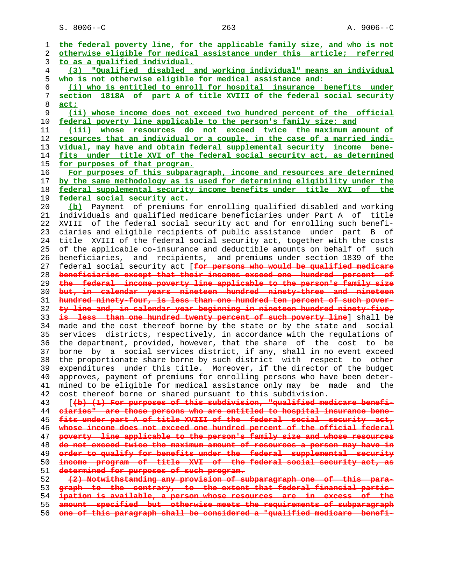**the federal poverty line, for the applicable family size, and who is not otherwise eligible for medical assistance under this article; referred to as a qualified individual. (3) "Qualified disabled and working individual" means an individual who is not otherwise eligible for medical assistance and: (i) who is entitled to enroll for hospital insurance benefits under section 1818A of part A of title XVIII of the federal social security act; (ii) whose income does not exceed two hundred percent of the official federal poverty line applicable to the person's family size; and (iii) whose resources do not exceed twice the maximum amount of resources that an individual or a couple, in the case of a married indi- vidual, may have and obtain federal supplemental security income bene- fits under title XVI of the federal social security act, as determined for purposes of that program. For purposes of this subparagraph, income and resources are determined by the same methodology as is used for determining eligibility under the federal supplemental security income benefits under title XVI of the federal social security act. (b)** Payment of premiums for enrolling qualified disabled and working 21 individuals and qualified medicare beneficiaries under Part A of title 22 XVIII of the federal social security act and for enrolling such benefi- 23 ciaries and eligible recipients of public assistance under part B of 24 title XVIII of the federal social security act, together with the costs 25 of the applicable co-insurance and deductible amounts on behalf of such 26 beneficiaries, and recipients, and premiums under section 1839 of the 27 federal social security act [**for persons who would be qualified medicare beneficiaries except that their incomes exceed one hundred percent of the federal income poverty line applicable to the person's family size but, in calendar years nineteen hundred ninety-three and nineteen hundred ninety-four, is less than one hundred ten percent of such pover- ty line and, in calendar year beginning in nineteen hundred ninety-five, is less than one hundred twenty percent of such poverty line**] shall be 34 made and the cost thereof borne by the state or by the state and social 35 services districts, respectively, in accordance with the regulations of 36 the department, provided, however, that the share of the cost to be 37 borne by a social services district, if any, shall in no event exceed 38 the proportionate share borne by such district with respect to other 39 expenditures under this title. Moreover, if the director of the budget 40 approves, payment of premiums for enrolling persons who have been deter- 41 mined to be eligible for medical assistance only may be made and the 42 cost thereof borne or shared pursuant to this subdivision. 43 [**(b) (1) For purposes of this subdivision, "qualified medicare benefi- ciaries" are those persons who are entitled to hospital insurance bene- fits under part A of title XVIII of the federal social security act, whose income does not exceed one hundred percent of the official federal poverty line applicable to the person's family size and whose resources do not exceed twice the maximum amount of resources a person may have in order to qualify for benefits under the federal supplemental security income program of title XVI of the federal social security act, as determined for purposes of such program. (2) Notwithstanding any provision of subparagraph one of this para- graph to the contrary, to the extent that federal financial partic- ipation is available, a person whose resources are in excess of the amount specified but otherwise meets the requirements of subparagraph one of this paragraph shall be considered a "qualified medicare benefi-**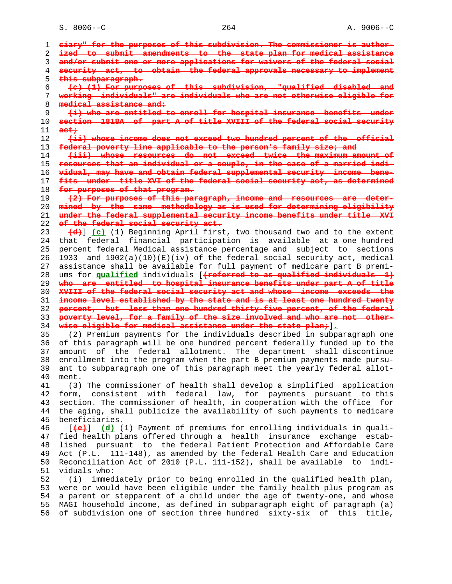S. 8006--C 264 A. 9006--C

 1 **ciary" for the purposes of this subdivision. The commissioner is author-** 2 **ized to submit amendments to the state plan for medical assistance** 3 **and/or submit one or more applications for waivers of the federal social** 4 **security act, to obtain the federal approvals necessary to implement** 5 **this subparagraph.** 6 **(c) (1) For purposes of this subdivision, "qualified disabled and** 7 **working individuals" are individuals who are not otherwise eligible for** 8 **medical assistance and:** 9 **(i) who are entitled to enroll for hospital insurance benefits under** 10 **section 1818A of part A of title XVIII of the federal social security** 11 **act;** 12 **(ii) whose income does not exceed two hundred percent of the official** 13 **federal poverty line applicable to the person's family size; and** 14 **(iii) whose resources do not exceed twice the maximum amount of** 15 **resources that an individual or a couple, in the case of a married indi-** 16 **vidual, may have and obtain federal supplemental security income bene-** 17 **fits under title XVI of the federal social security act, as determined** 18 **for purposes of that program.** 19 **(2) For purposes of this paragraph, income and resources are deter-** 20 **mined by the same methodology as is used for determining eligibility** 21 **under the federal supplemental security income benefits under title XVI** 22 **of the federal social security act.** 23 **(d)**] **(c)** (1) Beginning April first, two thousand two and to the extent 24 that federal financial participation is available at a one hundred 25 percent federal Medical assistance percentage and subject to sections 26 1933 and 1902(a)(10)(E)(iv) of the federal social security act, medical 27 assistance shall be available for full payment of medicare part B premi- 28 ums for **qualified** individuals [**(referred to as qualified individuals 1)** 29 **who are entitled to hospital insurance benefits under part A of title** 30 **XVIII of the federal social security act and whose income exceeds the** 31 **income level established by the state and is at least one hundred twenty** 32 **percent, but less than one hundred thirty-five percent, of the federal** 33 **poverty level, for a family of the size involved and who are not other-** 34 **wise eligible for medical assistance under the state plan;**]**.** 35 (2) Premium payments for the individuals described in subparagraph one 36 of this paragraph will be one hundred percent federally funded up to the 37 amount of the federal allotment. The department shall discontinue 38 enrollment into the program when the part B premium payments made pursu- 39 ant to subparagraph one of this paragraph meet the yearly federal allot- 40 ment. 41 (3) The commissioner of health shall develop a simplified application 42 form, consistent with federal law, for payments pursuant to this 43 section. The commissioner of health, in cooperation with the office for 44 the aging, shall publicize the availability of such payments to medicare 45 beneficiaries. 46 [**(e)**] **(d)** (1) Payment of premiums for enrolling individuals in quali- 47 fied health plans offered through a health insurance exchange estab- 48 lished pursuant to the federal Patient Protection and Affordable Care 49 Act (P.L. 111-148), as amended by the federal Health Care and Education 50 Reconciliation Act of 2010 (P.L. 111-152), shall be available to indi- 51 viduals who: 52 (i) immediately prior to being enrolled in the qualified health plan, 53 were or would have been eligible under the family health plus program as 54 a parent or stepparent of a child under the age of twenty-one, and whose 55 MAGI household income, as defined in subparagraph eight of paragraph (a) 56 of subdivision one of section three hundred sixty-six of this title,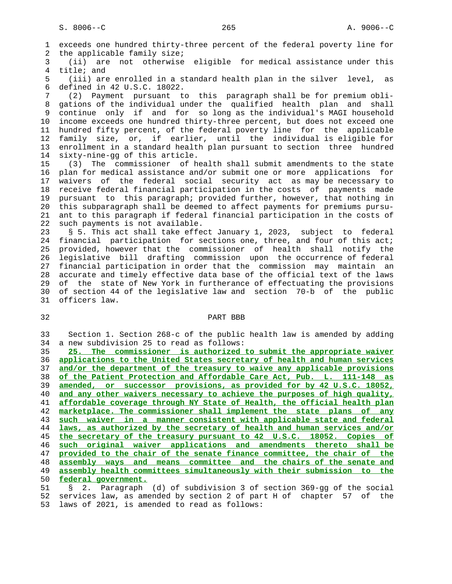1 exceeds one hundred thirty-three percent of the federal poverty line for 2 the applicable family size; 3 (ii) are not otherwise eligible for medical assistance under this 4 title; and 5 (iii) are enrolled in a standard health plan in the silver level, as 6 defined in 42 U.S.C. 18022. 7 (2) Payment pursuant to this paragraph shall be for premium obli- 8 gations of the individual under the qualified health plan and shall 9 continue only if and for so long as the individual's MAGI household 10 income exceeds one hundred thirty-three percent, but does not exceed one 11 hundred fifty percent, of the federal poverty line for the applicable 12 family size, or, if earlier, until the individual is eligible for 13 enrollment in a standard health plan pursuant to section three hundred 14 sixty-nine-gg of this article. 15 (3) The commissioner of health shall submit amendments to the state 16 plan for medical assistance and/or submit one or more applications for 17 waivers of the federal social security act as may be necessary to 18 receive federal financial participation in the costs of payments made 19 pursuant to this paragraph; provided further, however, that nothing in 20 this subparagraph shall be deemed to affect payments for premiums pursu- 21 ant to this paragraph if federal financial participation in the costs of 22 such payments is not available. 23 § 5. This act shall take effect January 1, 2023, subject to federal 24 financial participation for sections one, three, and four of this act; 25 provided, however that the commissioner of health shall notify the 26 legislative bill drafting commission upon the occurrence of federal 27 financial participation in order that the commission may maintain an 28 accurate and timely effective data base of the official text of the laws 29 of the state of New York in furtherance of effectuating the provisions 30 of section 44 of the legislative law and section 70-b of the public 31 officers law. 32 PART BBB 33 Section 1. Section 268-c of the public health law is amended by adding 34 a new subdivision 25 to read as follows: 35 **25. The commissioner is authorized to submit the appropriate waiver**

**applications to the United States secretary of health and human services and/or the department of the treasury to waive any applicable provisions of the Patient Protection and Affordable Care Act, Pub. L. 111-148 as amended, or successor provisions, as provided for by 42 U.S.C. 18052, and any other waivers necessary to achieve the purposes of high quality, affordable coverage through NY State of Health, the official health plan marketplace. The commissioner shall implement the state plans of any such waiver in a manner consistent with applicable state and federal laws, as authorized by the secretary of health and human services and/or the secretary of the treasury pursuant to 42 U.S.C. 18052. Copies of such original waiver applications and amendments thereto shall be provided to the chair of the senate finance committee, the chair of the assembly ways and means committee and the chairs of the senate and assembly health committees simultaneously with their submission to the federal government.**

 51 § 2. Paragraph (d) of subdivision 3 of section 369-gg of the social 52 services law, as amended by section 2 of part H of chapter 57 of the 53 laws of 2021, is amended to read as follows: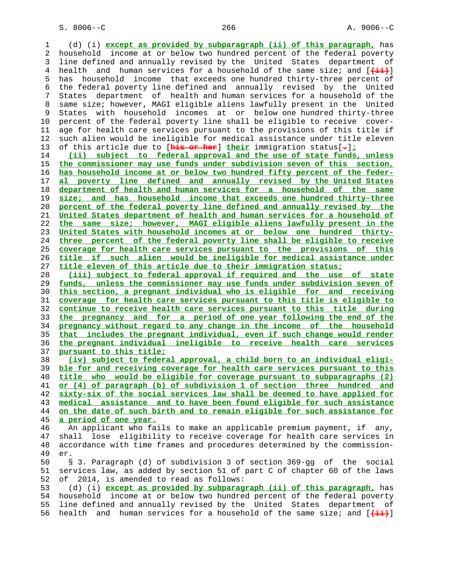1 (d) (i) **except as provided by subparagraph (ii) of this paragraph,** has 2 household income at or below two hundred percent of the federal poverty 3 line defined and annually revised by the United States department of 4 health and human services for a household of the same size; and [**(ii)**] 5 has household income that exceeds one hundred thirty-three percent of 6 the federal poverty line defined and annually revised by the United 7 States department of health and human services for a household of the 8 same size; however, MAGI eligible aliens lawfully present in the United 9 States with household incomes at or below one hundred thirty-three 10 percent of the federal poverty line shall be eligible to receive cover- 11 age for health care services pursuant to the provisions of this title if 12 such alien would be ineligible for medical assistance under title eleven 13 of this article due to [**his or her**] **their** immigration status[**.**]**;** 14 **(ii) subject to federal approval and the use of state funds, unless** 15 **the commissioner may use funds under subdivision seven of this section,** 16 **has household income at or below two hundred fifty percent of the feder-** 17 **al poverty line defined and annually revised by the United States** 18 **department of health and human services for a household of the same** 19 **size; and has household income that exceeds one hundred thirty-three** 20 **percent of the federal poverty line defined and annually revised by the** 21 **United States department of health and human services for a household of** 22 **the same size; however, MAGI eligible aliens lawfully present in the** 23 **United States with household incomes at or below one hundred thirty-** 24 **three percent of the federal poverty line shall be eligible to receive** 25 **coverage for health care services pursuant to the provisions of this** 26 **title if such alien would be ineligible for medical assistance under** 27 **title eleven of this article due to their immigration status;** 28 **(iii) subject to federal approval if required and the use of state** 29 **funds, unless the commissioner may use funds under subdivision seven of** 30 **this section, a pregnant individual who is eligible for and receiving** 31 **coverage for health care services pursuant to this title is eligible to** 32 **continue to receive health care services pursuant to this title during** 33 **the pregnancy and for a period of one year following the end of the** 34 **pregnancy without regard to any change in the income of the household** 35 **that includes the pregnant individual, even if such change would render** 36 **the pregnant individual ineligible to receive health care services** 37 **pursuant to this title;** 38 **(iv) subject to federal approval, a child born to an individual eligi-** 39 **ble for and receiving coverage for health care services pursuant to this** 40 **title who would be eligible for coverage pursuant to subparagraphs (2)** 41 **or (4) of paragraph (b) of subdivision 1 of section three hundred and** 42 **sixty-six of the social services law shall be deemed to have applied for** 43 **medical assistance and to have been found eligible for such assistance** 44 **on the date of such birth and to remain eligible for such assistance for** 45 **a period of one year.** 46 An applicant who fails to make an applicable premium payment, if any, 47 shall lose eligibility to receive coverage for health care services in 48 accordance with time frames and procedures determined by the commission- 49 er. 50 § 3. Paragraph (d) of subdivision 3 of section 369-gg of the social 51 services law, as added by section 51 of part C of chapter 60 of the laws 52 of 2014, is amended to read as follows: 53 (d) (i) **except as provided by subparagraph (ii) of this paragraph,** has 54 household income at or below two hundred percent of the federal poverty 55 line defined and annually revised by the United States department of 56 health and human services for a household of the same size; and [**(ii)**]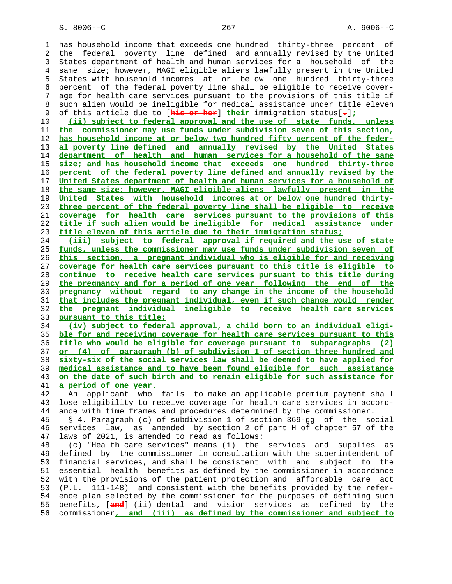1 has household income that exceeds one hundred thirty-three percent of 2 the federal poverty line defined and annually revised by the United 3 States department of health and human services for a household of the 4 same size; however, MAGI eligible aliens lawfully present in the United 5 States with household incomes at or below one hundred thirty-three 6 percent of the federal poverty line shall be eligible to receive cover- 7 age for health care services pursuant to the provisions of this title if 8 such alien would be ineligible for medical assistance under title eleven 9 of this article due to [**his or her**] **their** immigration status[**.**]**;**

**(ii) subject to federal approval and the use of state funds, unless the commissioner may use funds under subdivision seven of this section, has household income at or below two hundred fifty percent of the feder- al poverty line defined and annually revised by the United States department of health and human services for a household of the same size; and has household income that exceeds one hundred thirty-three percent of the federal poverty line defined and annually revised by the United States department of health and human services for a household of the same size; however, MAGI eligible aliens lawfully present in the United States with household incomes at or below one hundred thirty- three percent of the federal poverty line shall be eligible to receive coverage for health care services pursuant to the provisions of this title if such alien would be ineligible for medical assistance under title eleven of this article due to their immigration status;**

**(iii) subject to federal approval if required and the use of state funds, unless the commissioner may use funds under subdivision seven of this section, a pregnant individual who is eligible for and receiving coverage for health care services pursuant to this title is eligible to continue to receive health care services pursuant to this title during the pregnancy and for a period of one year following the end of the pregnancy without regard to any change in the income of the household that includes the pregnant individual, even if such change would render the pregnant individual ineligible to receive health care services pursuant to this title;**

**(iv) subject to federal approval, a child born to an individual eligi- ble for and receiving coverage for health care services pursuant to this title who would be eligible for coverage pursuant to subparagraphs (2) or (4) of paragraph (b) of subdivision 1 of section three hundred and sixty-six of the social services law shall be deemed to have applied for medical assistance and to have been found eligible for such assistance on the date of such birth and to remain eligible for such assistance for a period of one year.**

 42 An applicant who fails to make an applicable premium payment shall 43 lose eligibility to receive coverage for health care services in accord- 44 ance with time frames and procedures determined by the commissioner.

 45 § 4. Paragraph (c) of subdivision 1 of section 369-gg of the social 46 services law, as amended by section 2 of part H of chapter 57 of the 47 laws of 2021, is amended to read as follows:

 48 (c) "Health care services" means (i) the services and supplies as 49 defined by the commissioner in consultation with the superintendent of 50 financial services, and shall be consistent with and subject to the 51 essential health benefits as defined by the commissioner in accordance 52 with the provisions of the patient protection and affordable care act 53 (P.L. 111-148) and consistent with the benefits provided by the refer- 54 ence plan selected by the commissioner for the purposes of defining such 55 benefits, [**and**] (ii) dental and vision services as defined by the 56 commissioner**, and (iii) as defined by the commissioner and subject to**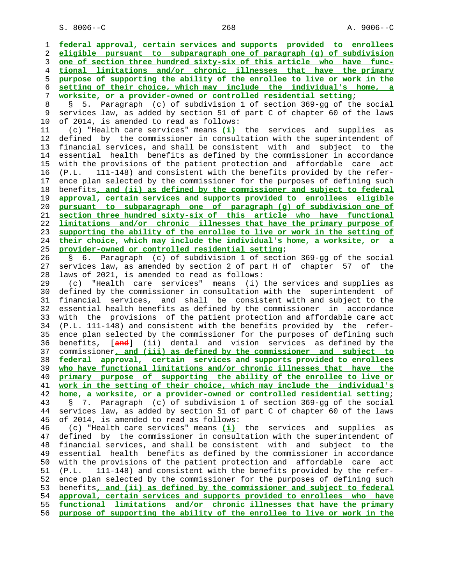S. 8006--C 268 A. 9006--C

 1 **federal approval, certain services and supports provided to enrollees** 2 **eligible pursuant to subparagraph one of paragraph (g) of subdivision** 3 **one of section three hundred sixty-six of this article who have func-** 4 **tional limitations and/or chronic illnesses that have the primary** 5 **purpose of supporting the ability of the enrollee to live or work in the** 6 **setting of their choice, which may include the individual's home, a** 7 **worksite, or a provider-owned or controlled residential setting**; 8 § 5. Paragraph (c) of subdivision 1 of section 369-gg of the social 9 services law, as added by section 51 of part C of chapter 60 of the laws<br>10 of 2014, is amended to read as follows: of 2014, is amended to read as follows: 11 (c) "Health care services" means **(i)** the services and supplies as 12 defined by the commissioner in consultation with the superintendent of 13 financial services, and shall be consistent with and subject to the 14 essential health benefits as defined by the commissioner in accordance 15 with the provisions of the patient protection and affordable care act 16 (P.L. 111-148) and consistent with the benefits provided by the refer- 17 ence plan selected by the commissioner for the purposes of defining such 18 benefits**, and (ii) as defined by the commissioner and subject to federal** 19 **approval, certain services and supports provided to enrollees eligible** 20 **pursuant to subparagraph one of paragraph (g) of subdivision one of** 21 **section three hundred sixty-six of this article who have functional** 22 **limitations and/or chronic illnesses that have the primary purpose of** 23 **supporting the ability of the enrollee to live or work in the setting of** 24 **their choice, which may include the individual's home, a worksite, or a** 25 **provider-owned or controlled residential setting**; 26 § 6. Paragraph (c) of subdivision 1 of section 369-gg of the social 27 services law, as amended by section 2 of part H of chapter 57 of the 28 laws of 2021, is amended to read as follows: 29 (c) "Health care services" means (i) the services and supplies as 30 defined by the commissioner in consultation with the superintendent of 31 financial services, and shall be consistent with and subject to the 32 essential health benefits as defined by the commissioner in accordance 33 with the provisions of the patient protection and affordable care act 34 (P.L. 111-148) and consistent with the benefits provided by the refer- 35 ence plan selected by the commissioner for the purposes of defining such 36 benefits, [**and**] (ii) dental and vision services as defined by the 37 commissioner**, and (iii) as defined by the commissioner and subject to** 38 **federal approval, certain services and supports provided to enrollees** 39 **who have functional limitations and/or chronic illnesses that have the** 40 **primary purpose of supporting the ability of the enrollee to live or** 41 **work in the setting of their choice, which may include the individual's** 42 **home, a worksite, or a provider-owned or controlled residential setting**; 43 § 7. Paragraph (c) of subdivision 1 of section 369-gg of the social 44 services law, as added by section 51 of part C of chapter 60 of the laws 45 of 2014, is amended to read as follows: 46 (c) "Health care services" means **(i)** the services and supplies as 47 defined by the commissioner in consultation with the superintendent of 48 financial services, and shall be consistent with and subject to the 49 essential health benefits as defined by the commissioner in accordance 50 with the provisions of the patient protection and affordable care act 51 (P.L. 111-148) and consistent with the benefits provided by the refer- 52 ence plan selected by the commissioner for the purposes of defining such 53 benefits**, and (ii) as defined by the commissioner and subject to federal** 54 **approval, certain services and supports provided to enrollees who have** 55 **functional limitations and/or chronic illnesses that have the primary** 56 **purpose of supporting the ability of the enrollee to live or work in the**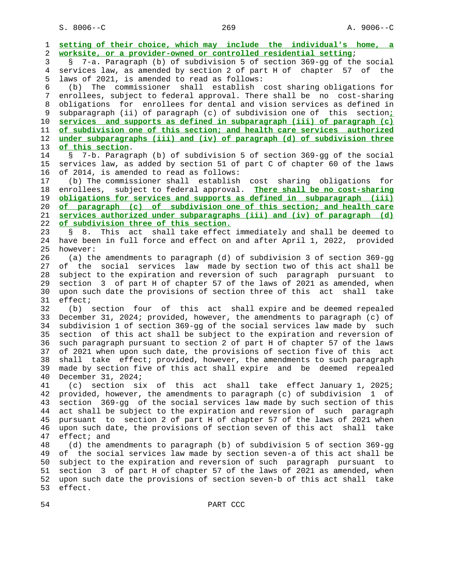1 **setting of their choice, which may include the individual's home, a** 2 **worksite, or a provider-owned or controlled residential setting**; 3 § 7-a. Paragraph (b) of subdivision 5 of section 369-gg of the social 4 services law, as amended by section 2 of part H of chapter 57 of the 5 laws of 2021, is amended to read as follows: 6 (b) The commissioner shall establish cost sharing obligations for 7 enrollees, subject to federal approval. There shall be no cost-sharing 8 obligations for enrollees for dental and vision services as defined in 9 subparagraph (ii) of paragraph (c) of subdivision one of this section<sub>i</sub><br>10 <u>services and supports as defined in subparagraph</u> (iii) of paragraph (c) 10 **services and supports as defined in subparagraph (iii) of paragraph (c)** 11 **of subdivision one of this section; and health care services authorized** 12 **under subparagraphs (iii) and (iv) of paragraph (d) of subdivision three** 13 **of this section**. 14 § 7-b. Paragraph (b) of subdivision 5 of section 369-gg of the social 15 services law, as added by section 51 of part C of chapter 60 of the laws 16 of 2014, is amended to read as follows: 17 (b) The commissioner shall establish cost sharing obligations for 18 enrollees, subject to federal approval. **There shall be no cost-sharing** 19 **obligations for services and supports as defined in subparagraph (iii)** 20 **of paragraph (c) of subdivision one of this section; and health care** 21 **services authorized under subparagraphs (iii) and (iv) of paragraph (d)** 22 **of subdivision three of this section.** 23 § 8. This act shall take effect immediately and shall be deemed to 24 have been in full force and effect on and after April 1, 2022, provided 25 however: 26 (a) the amendments to paragraph (d) of subdivision 3 of section 369-gg 27 of the social services law made by section two of this act shall be 28 subject to the expiration and reversion of such paragraph pursuant to 29 section 3 of part H of chapter 57 of the laws of 2021 as amended, when 30 upon such date the provisions of section three of this act shall take 31 effect; 32 (b) section four of this act shall expire and be deemed repealed 33 December 31, 2024; provided, however, the amendments to paragraph (c) of 34 subdivision 1 of section 369-gg of the social services law made by such 35 section of this act shall be subject to the expiration and reversion of 36 such paragraph pursuant to section 2 of part H of chapter 57 of the laws 37 of 2021 when upon such date, the provisions of section five of this act 38 shall take effect; provided, however, the amendments to such paragraph 39 made by section five of this act shall expire and be deemed repealed 40 December 31, 2024; 41 (c) section six of this act shall take effect January 1, 2025; 42 provided, however, the amendments to paragraph (c) of subdivision 1 of 43 section 369-gg of the social services law made by such section of this 44 act shall be subject to the expiration and reversion of such paragraph 45 pursuant to section 2 of part H of chapter 57 of the laws of 2021 when 46 upon such date, the provisions of section seven of this act shall take 47 effect; and 48 (d) the amendments to paragraph (b) of subdivision 5 of section 369-gg 49 of the social services law made by section seven-a of this act shall be 50 subject to the expiration and reversion of such paragraph pursuant to 51 section 3 of part H of chapter 57 of the laws of 2021 as amended, when 52 upon such date the provisions of section seven-b of this act shall take 53 effect.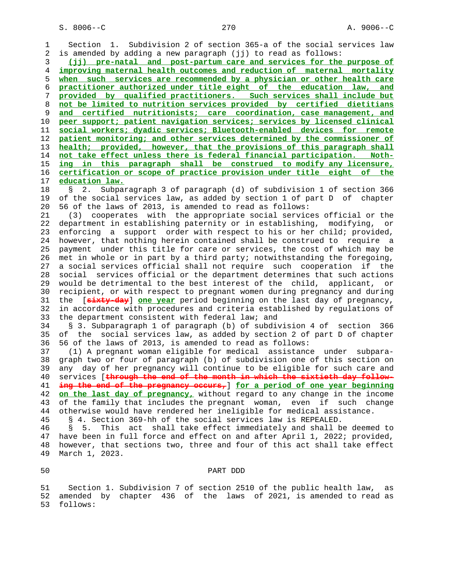S. 8006--C 270 A. 9006--C

 1 Section 1. Subdivision 2 of section 365-a of the social services law 2 is amended by adding a new paragraph (jj) to read as follows: 3 **(jj) pre-natal and post-partum care and services for the purpose of** 4 **improving maternal health outcomes and reduction of maternal mortality** 5 **when such services are recommended by a physician or other health care** 6 **practitioner authorized under title eight of the education law, and** 7 **provided by qualified practitioners. Such services shall include but** 8 **not be limited to nutrition services provided by certified dietitians** 9 **and certified nutritionists; care coordination, case management, and** 10 **peer support; patient navigation services; services by licensed clinical** 11 **social workers; dyadic services; Bluetooth-enabled devices for remote** 12 **patient monitoring; and other services determined by the commissioner of** 13 **health; provided, however, that the provisions of this paragraph shall** 14 **not take effect unless there is federal financial participation. Noth-** 15 **ing in this paragraph shall be construed to modify any licensure,** 16 **certification or scope of practice provision under title eight of the** 17 **education law.** 18 § 2. Subparagraph 3 of paragraph (d) of subdivision 1 of section 366 19 of the social services law, as added by section 1 of part D of chapter 20 56 of the laws of 2013, is amended to read as follows: 21 (3) cooperates with the appropriate social services official or the 22 department in establishing paternity or in establishing, modifying, or 23 enforcing a support order with respect to his or her child; provided, 24 however, that nothing herein contained shall be construed to require a 25 payment under this title for care or services, the cost of which may be 26 met in whole or in part by a third party; notwithstanding the foregoing, 27 a social services official shall not require such cooperation if the 28 social services official or the department determines that such actions 29 would be detrimental to the best interest of the child, applicant, or 30 recipient, or with respect to pregnant women during pregnancy and during 31 the [**sixty-day**] **one year** period beginning on the last day of pregnancy, 32 in accordance with procedures and criteria established by regulations of 33 the department consistent with federal law; and 34 § 3. Subparagraph 1 of paragraph (b) of subdivision 4 of section 366 35 of the social services law, as added by section 2 of part D of chapter 36 56 of the laws of 2013, is amended to read as follows: 37 (1) A pregnant woman eligible for medical assistance under subpara- 38 graph two or four of paragraph (b) of subdivision one of this section on 39 any day of her pregnancy will continue to be eligible for such care and 40 services [**through the end of the month in which the sixtieth day follow-** 41 **ing the end of the pregnancy occurs,**] **for a period of one year beginning** 42 **on the last day of pregnancy,** without regard to any change in the income 43 of the family that includes the pregnant woman, even if such change 44 otherwise would have rendered her ineligible for medical assistance. 45 § 4. Section 369-hh of the social services law is REPEALED. 46 § 5. This act shall take effect immediately and shall be deemed to 47 have been in full force and effect on and after April 1, 2022; provided, 48 however, that sections two, three and four of this act shall take effect 49 March 1, 2023. 50 PART DDD

 51 Section 1. Subdivision 7 of section 2510 of the public health law, as 52 amended by chapter 436 of the laws of 2021, is amended to read as 53 follows: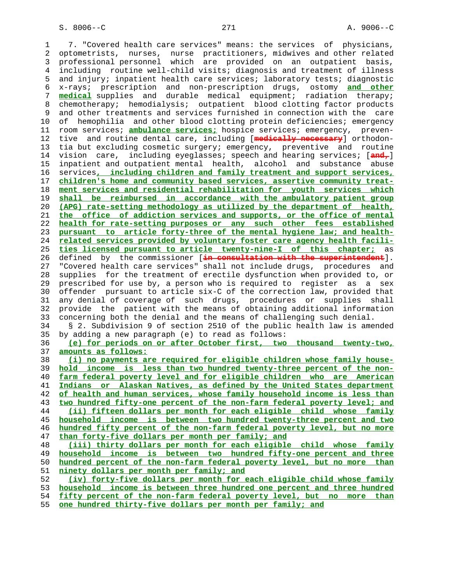1 7. "Covered health care services" means: the services of physicians, 2 optometrists, nurses, nurse practitioners, midwives and other related 3 professional personnel which are provided on an outpatient basis, 4 including routine well-child visits; diagnosis and treatment of illness 5 and injury; inpatient health care services; laboratory tests; diagnostic 6 x-rays; prescription and non-prescription drugs, ostomy **and other** 7 **medical** supplies and durable medical equipment; radiation therapy; 8 chemotherapy; hemodialysis; outpatient blood clotting factor products 9 and other treatments and services furnished in connection with the care 10 of hemophilia and other blood clotting protein deficiencies; emergency 11 room services; **ambulance services;** hospice services; emergency, preven- 12 tive and routine dental care, including [**medically necessary**] orthodon- 13 tia but excluding cosmetic surgery; emergency, preventive and routine 14 vision care, including eyeglasses; speech and hearing services; [**and,**] 15 inpatient and outpatient mental health, alcohol and substance abuse 16 services**, including children and family treatment and support services,** 17 **children's home and community based services, assertive community treat-** 18 **ment services and residential rehabilitation for youth services which** 19 **shall be reimbursed in accordance with the ambulatory patient group** 20 **(APG) rate-setting methodology as utilized by the department of health,** 21 **the office of addiction services and supports, or the office of mental** 22 **health for rate-setting purposes or any such other fees established** 23 **pursuant to article forty-three of the mental hygiene law; and health-** 24 **related services provided by voluntary foster care agency health facili-** 25 **ties licensed pursuant to article twenty-nine-I of this chapter;** as 26 defined by the commissioner [**in consultation with the superintendent**]. 27 "Covered health care services" shall not include drugs, procedures and 28 supplies for the treatment of erectile dysfunction when provided to, or 29 prescribed for use by, a person who is required to register as a sex 30 offender pursuant to article six-C of the correction law, provided that 31 any denial of coverage of such drugs, procedures or supplies shall 32 provide the patient with the means of obtaining additional information 33 concerning both the denial and the means of challenging such denial. 34 § 2. Subdivision 9 of section 2510 of the public health law is amended 35 by adding a new paragraph (e) to read as follows: 36 **(e) for periods on or after October first, two thousand twenty-two,** 37 **amounts as follows:** 38 **(i) no payments are required for eligible children whose family house-** 39 **hold income is less than two hundred twenty-three percent of the non-** 40 **farm federal poverty level and for eligible children who are American** 41 **Indians or Alaskan Natives, as defined by the United States department** 42 **of health and human services, whose family household income is less than** 43 **two hundred fifty-one percent of the non-farm federal poverty level; and** 44 **(ii) fifteen dollars per month for each eligible child whose family** 45 **household income is between two hundred twenty-three percent and two** 46 **hundred fifty percent of the non-farm federal poverty level, but no more** 47 **than forty-five dollars per month per family; and** 48 **(iii) thirty dollars per month for each eligible child whose family** 49 **household income is between two hundred fifty-one percent and three** hundred percent of the non-farm federal poverty level, but no more than 51 **ninety dollars per month per family; and** 52 **(iv) forty-five dollars per month for each eligible child whose family** 53 **household income is between three hundred one percent and three hundred** 54 **fifty percent of the non-farm federal poverty level, but no more than**

55 **one hundred thirty-five dollars per month per family; and**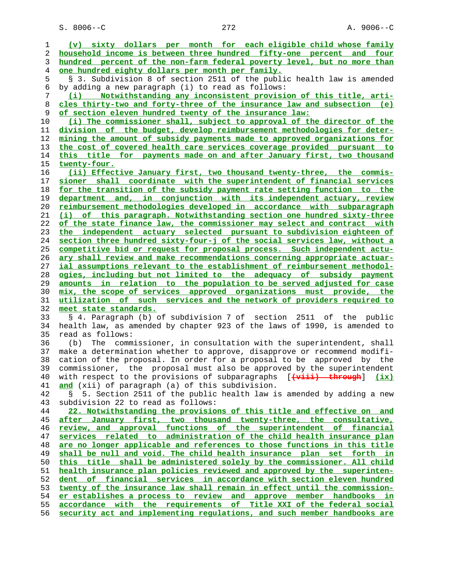S. 8006--C 272 A. 9006--C

**(v) sixty dollars per month for each eligible child whose family household income is between three hundred fifty-one percent and four hundred percent of the non-farm federal poverty level, but no more than one hundred eighty dollars per month per family.** 5 § 3. Subdivision 8 of section 2511 of the public health law is amended 6 by adding a new paragraph (i) to read as follows: **(i) Notwithstanding any inconsistent provision of this title, arti- cles thirty-two and forty-three of the insurance law and subsection (e) of section eleven hundred twenty of the insurance law: (i) The commissioner shall, subject to approval of the director of the division of the budget, develop reimbursement methodologies for deter- mining the amount of subsidy payments made to approved organizations for the cost of covered health care services coverage provided pursuant to this title for payments made on and after January first, two thousand twenty-four. (ii) Effective January first, two thousand twenty-three, the commis- sioner shall coordinate with the superintendent of financial services for the transition of the subsidy payment rate setting function to the department and, in conjunction with its independent actuary, review reimbursement methodologies developed in accordance with subparagraph (i) of this paragraph. Notwithstanding section one hundred sixty-three of the state finance law, the commissioner may select and contract with the independent actuary selected pursuant to subdivision eighteen of section three hundred sixty-four-j of the social services law, without a competitive bid or request for proposal process. Such independent actu- ary shall review and make recommendations concerning appropriate actuar- ial assumptions relevant to the establishment of reimbursement methodol- ogies, including but not limited to the adequacy of subsidy payment amounts in relation to the population to be served adjusted for case mix, the scope of services approved organizations must provide, the utilization of such services and the network of providers required to meet state standards.** 33 § 4. Paragraph (b) of subdivision 7 of section 2511 of the public 34 health law, as amended by chapter 923 of the laws of 1990, is amended to 35 read as follows: 36 (b) The commissioner, in consultation with the superintendent, shall 37 make a determination whether to approve, disapprove or recommend modifi- 38 cation of the proposal. In order for a proposal to be approved by the 39 commissioner, the proposal must also be approved by the superintendent 40 with respect to the provisions of subparagraphs [**(viii) through**] **(ix) and** (xii) of paragraph (a) of this subdivision. 42 § 5. Section 2511 of the public health law is amended by adding a new 43 subdivision 22 to read as follows: **22. Notwithstanding the provisions of this title and effective on and after January first, two thousand twenty-three, the consultative, review, and approval functions of the superintendent of financial services related to administration of the child health insurance plan are no longer applicable and references to those functions in this title shall be null and void. The child health insurance plan set forth in this title shall be administered solely by the commissioner. All child health insurance plan policies reviewed and approved by the superinten- dent of financial services in accordance with section eleven hundred twenty of the insurance law shall remain in effect until the commission- er establishes a process to review and approve member handbooks in accordance with the requirements of Title XXI of the federal social security act and implementing regulations, and such member handbooks are**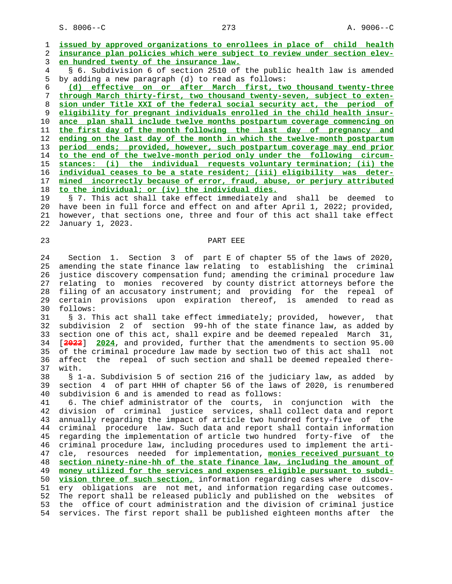S. 8006--C 273 A. 9006--C

 1 **issued by approved organizations to enrollees in place of child health** 2 **insurance plan policies which were subject to review under section elev-** 3 **en hundred twenty of the insurance law.**

 4 § 6. Subdivision 6 of section 2510 of the public health law is amended 5 by adding a new paragraph (d) to read as follows:

**(d) effective on or after March first, two thousand twenty-three through March thirty-first, two thousand twenty-seven, subject to exten- sion under Title XXI of the federal social security act, the period of eligibility for pregnant individuals enrolled in the child health insur- ance plan shall include twelve months postpartum coverage commencing on the first day of the month following the last day of pregnancy and ending on the last day of the month in which the twelve-month postpartum period ends; provided, however, such postpartum coverage may end prior to the end of the twelve-month period only under the following circum- stances: (i) the individual requests voluntary termination; (ii) the individual ceases to be a state resident; (iii) eligibility was deter- mined incorrectly because of error, fraud, abuse, or perjury attributed to the individual; or (iv) the individual dies.**

 19 § 7. This act shall take effect immediately and shall be deemed to 20 have been in full force and effect on and after April 1, 2022; provided, 21 however, that sections one, three and four of this act shall take effect 22 January 1, 2023.

## 23 PART EEE

 24 Section 1. Section 3 of part E of chapter 55 of the laws of 2020, 25 amending the state finance law relating to establishing the criminal 26 justice discovery compensation fund; amending the criminal procedure law 27 relating to monies recovered by county district attorneys before the 28 filing of an accusatory instrument; and providing for the repeal of 29 certain provisions upon expiration thereof, is amended to read as 30 follows:

 31 § 3. This act shall take effect immediately; provided, however, that 32 subdivision 2 of section 99-hh of the state finance law, as added by 33 section one of this act, shall expire and be deemed repealed March 31, 34 [**2022**] **2024**, and provided, further that the amendments to section 95.00 35 of the criminal procedure law made by section two of this act shall not 36 affect the repeal of such section and shall be deemed repealed there- 37 with.

 38 § 1-a. Subdivision 5 of section 216 of the judiciary law, as added by 39 section 4 of part HHH of chapter 56 of the laws of 2020, is renumbered 40 subdivision 6 and is amended to read as follows:

 41 6. The chief administrator of the courts, in conjunction with the 42 division of criminal justice services, shall collect data and report 43 annually regarding the impact of article two hundred forty-five of the 44 criminal procedure law. Such data and report shall contain information 45 regarding the implementation of article two hundred forty-five of the 46 criminal procedure law, including procedures used to implement the arti- 47 cle, resources needed for implementation, **monies received pursuant to** 48 **section ninety-nine-hh of the state finance law, including the amount of** 49 **money utilized for the services and expenses eligible pursuant to subdi-** 50 **vision three of such section,** information regarding cases where discov- 51 ery obligations are not met, and information regarding case outcomes. 52 The report shall be released publicly and published on the websites of 53 the office of court administration and the division of criminal justice 54 services. The first report shall be published eighteen months after the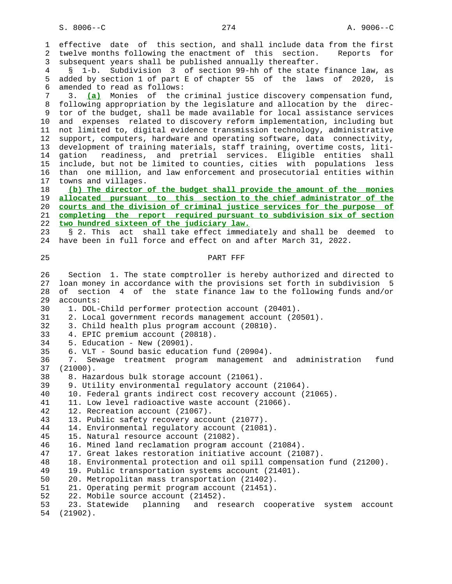1 effective date of this section, and shall include data from the first 2 twelve months following the enactment of this section. Reports for 3 subsequent years shall be published annually thereafter. 4 § 1-b. Subdivision 3 of section 99-hh of the state finance law, as 5 added by section 1 of part E of chapter 55 of the laws of 2020, is 6 amended to read as follows: 7 3. **(a)** Monies of the criminal justice discovery compensation fund, 8 following appropriation by the legislature and allocation by the direc- 9 tor of the budget, shall be made available for local assistance services 10 and expenses related to discovery reform implementation, including but 11 not limited to, digital evidence transmission technology, administrative 12 support, computers, hardware and operating software, data connectivity, 13 development of training materials, staff training, overtime costs, liti- 14 gation readiness, and pretrial services. Eligible entities shall 15 include, but not be limited to counties, cities with populations less 16 than one million, and law enforcement and prosecutorial entities within 17 towns and villages. 18 **(b) The director of the budget shall provide the amount of the monies** 19 **allocated pursuant to this section to the chief administrator of the** 20 **courts and the division of criminal justice services for the purpose of** 21 **completing the report required pursuant to subdivision six of section** 22 **two hundred sixteen of the judiciary law.** 23 § 2. This act shall take effect immediately and shall be deemed to 24 have been in full force and effect on and after March 31, 2022. 25 PART FFF 26 Section 1. The state comptroller is hereby authorized and directed to 27 loan money in accordance with the provisions set forth in subdivision 5 28 of section 4 of the state finance law to the following funds and/or 29 accounts: 30 1. DOL-Child performer protection account (20401). 31 2. Local government records management account (20501). 32 3. Child health plus program account (20810). 33 4. EPIC premium account (20818). 34 5. Education - New (20901). 35 6. VLT - Sound basic education fund (20904). 36 7. Sewage treatment program management and administration fund 37 (21000). 38 8. Hazardous bulk storage account (21061). 39 9. Utility environmental regulatory account (21064). 40 10. Federal grants indirect cost recovery account (21065). 41 11. Low level radioactive waste account (21066). 42 12. Recreation account (21067). 43 13. Public safety recovery account (21077). 44 14. Environmental regulatory account (21081). 45 15. Natural resource account (21082). 46 16. Mined land reclamation program account (21084). 47 17. Great lakes restoration initiative account (21087). 48 18. Environmental protection and oil spill compensation fund (21200). 49 19. Public transportation systems account (21401). 50 20. Metropolitan mass transportation (21402). 51 21. Operating permit program account (21451). 52 22. Mobile source account (21452). 53 23. Statewide planning and research cooperative system account 54 (21902).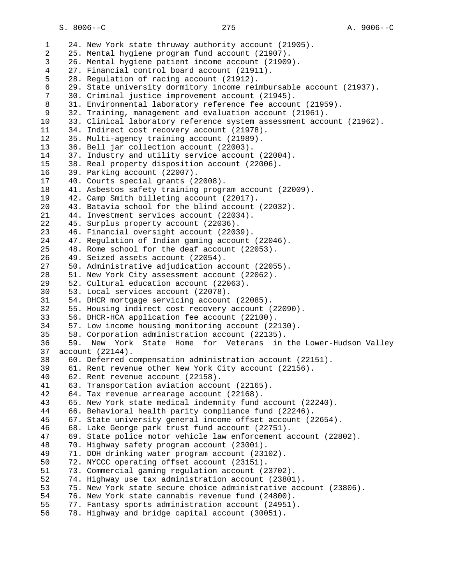1 24. New York state thruway authority account (21905). 2 25. Mental hygiene program fund account (21907). 3 26. Mental hygiene patient income account (21909). 4 27. Financial control board account (21911).<br>5 28. Requlation of racing account (21912). 28. Regulation of racing account (21912). 6 29. State university dormitory income reimbursable account (21937). 7 30. Criminal justice improvement account (21945). 8 31. Environmental laboratory reference fee account (21959). 9 32. Training, management and evaluation account (21961).<br>10 33. Clinical laboratory reference system assessment acco 33. Clinical laboratory reference system assessment account (21962). 11 34. Indirect cost recovery account (21978). 12 35. Multi-agency training account (21989). 13 36. Bell jar collection account (22003). 14 37. Industry and utility service account (22004). 15 38. Real property disposition account (22006). 16 39. Parking account (22007). 17 40. Courts special grants (22008). 18 41. Asbestos safety training program account (22009). 19 42. Camp Smith billeting account (22017).<br>20 43. Batavia school for the blind account 43. Batavia school for the blind account (22032). 21 44. Investment services account (22034). 22 45. Surplus property account (22036). 23 46. Financial oversight account (22039). 24 47. Regulation of Indian gaming account (22046). 25 48. Rome school for the deaf account (22053). 26 49. Seized assets account (22054). 27 50. Administrative adjudication account (22055). 28 51. New York City assessment account (22062). 29 52. Cultural education account (22063). 30 53. Local services account (22078). 31 54. DHCR mortgage servicing account (22085). 32 55. Housing indirect cost recovery account (22090). 33 56. DHCR-HCA application fee account (22100). 34 57. Low income housing monitoring account (22130). 35 58. Corporation administration account (22135). 36 59. New York State Home for Veterans in the Lower-Hudson Valley 37 account (22144). 38 60. Deferred compensation administration account (22151). 39 61. Rent revenue other New York City account (22156). 40 62. Rent revenue account (22158). 41 63. Transportation aviation account (22165). 42 64. Tax revenue arrearage account (22168). 43 65. New York state medical indemnity fund account (22240). 44 66. Behavioral health parity compliance fund (22246). 45 67. State university general income offset account (22654). 46 68. Lake George park trust fund account (22751). 47 69. State police motor vehicle law enforcement account (22802). 48 70. Highway safety program account (23001). 49 71. DOH drinking water program account (23102).<br>50 72. NYCCC operating offset account (23151). 72. NYCCC operating offset account (23151). 51 73. Commercial gaming regulation account (23702). 52 74. Highway use tax administration account (23801). 53 75. New York state secure choice administrative account (23806). 54 76. New York state cannabis revenue fund (24800). 55 77. Fantasy sports administration account (24951). 56 78. Highway and bridge capital account (30051).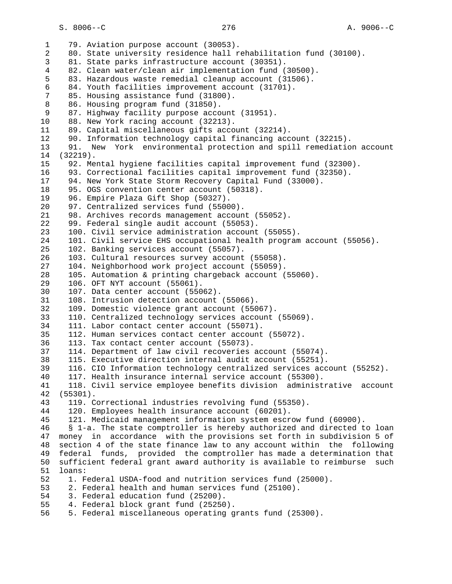1 79. Aviation purpose account (30053). 2 80. State university residence hall rehabilitation fund (30100). 3 81. State parks infrastructure account (30351). 4 82. Clean water/clean air implementation fund (30500). 83. Hazardous waste remedial cleanup account (31506). 6 84. Youth facilities improvement account (31701). 7 85. Housing assistance fund (31800). 8 86. Housing program fund (31850). 9 87. Highway facility purpose account (31951).<br>10 88. New York racing account (32213). 88. New York racing account (32213). 11 89. Capital miscellaneous gifts account (32214). 12 90. Information technology capital financing account (32215). 13 91. New York environmental protection and spill remediation account 14 (32219). 15 92. Mental hygiene facilities capital improvement fund (32300). 16 93. Correctional facilities capital improvement fund (32350). 17 94. New York State Storm Recovery Capital Fund (33000). 18 95. OGS convention center account (50318). 19 96. Empire Plaza Gift Shop (50327). 20 97. Centralized services fund (55000). 21 98. Archives records management account (55052). 22 99. Federal single audit account (55053). 23 100. Civil service administration account (55055). 24 101. Civil service EHS occupational health program account (55056). 25 102. Banking services account (55057). 26 103. Cultural resources survey account (55058). 27 104. Neighborhood work project account (55059). 28 105. Automation & printing chargeback account (55060). 29 106. OFT NYT account (55061). 30 107. Data center account (55062). 31 108. Intrusion detection account (55066). 32 109. Domestic violence grant account (55067). 33 110. Centralized technology services account (55069). 34 111. Labor contact center account (55071). 35 112. Human services contact center account (55072). 36 113. Tax contact center account (55073). 37 114. Department of law civil recoveries account (55074). 38 115. Executive direction internal audit account (55251). 39 116. CIO Information technology centralized services account (55252). 40 117. Health insurance internal service account (55300). 41 118. Civil service employee benefits division administrative account 42 (55301). 43 119. Correctional industries revolving fund (55350). 44 120. Employees health insurance account (60201). 45 121. Medicaid management information system escrow fund (60900). 46 § 1-a. The state comptroller is hereby authorized and directed to loan 47 money in accordance with the provisions set forth in subdivision 5 of 48 section 4 of the state finance law to any account within the following 49 federal funds, provided the comptroller has made a determination that<br>50 sufficient federal grant award authority is available to reimburse such sufficient federal grant award authority is available to reimburse such 51 loans: 52 1. Federal USDA-food and nutrition services fund (25000). 53 2. Federal health and human services fund (25100). 54 3. Federal education fund (25200). 55 4. Federal block grant fund (25250).

56 5. Federal miscellaneous operating grants fund (25300).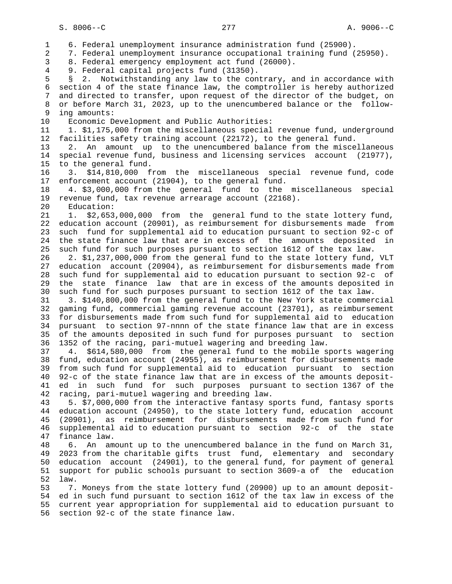1 6. Federal unemployment insurance administration fund (25900). 2 7. Federal unemployment insurance occupational training fund (25950). 3 8. Federal emergency employment act fund (26000). 4 9. Federal capital projects fund (31350). 5 § 2. Notwithstanding any law to the contrary, and in accordance with 6 section 4 of the state finance law, the comptroller is hereby authorized 7 and directed to transfer, upon request of the director of the budget, on 8 or before March 31, 2023, up to the unencumbered balance or the follow- 9 ing amounts: 10 Economic Development and Public Authorities: 11 1. \$1,175,000 from the miscellaneous special revenue fund, underground 12 facilities safety training account (22172), to the general fund. 13 2. An amount up to the unencumbered balance from the miscellaneous 14 special revenue fund, business and licensing services account (21977), 15 to the general fund. 16 3. \$14,810,000 from the miscellaneous special revenue fund, code 17 enforcement account (21904), to the general fund. 18 4. \$3,000,000 from the general fund to the miscellaneous special 19 revenue fund, tax revenue arrearage account (22168). 20 Education: 21 1. \$2,653,000,000 from the general fund to the state lottery fund, 22 education account (20901), as reimbursement for disbursements made from 23 such fund for supplemental aid to education pursuant to section 92-c of 24 the state finance law that are in excess of the amounts deposited in 25 such fund for such purposes pursuant to section 1612 of the tax law. 26 2. \$1,237,000,000 from the general fund to the state lottery fund, VLT 27 education account (20904), as reimbursement for disbursements made from 28 such fund for supplemental aid to education pursuant to section 92-c of 29 the state finance law that are in excess of the amounts deposited in 30 such fund for such purposes pursuant to section 1612 of the tax law. 31 3. \$140,800,000 from the general fund to the New York state commercial 32 gaming fund, commercial gaming revenue account (23701), as reimbursement 33 for disbursements made from such fund for supplemental aid to education 34 pursuant to section 97-nnnn of the state finance law that are in excess 35 of the amounts deposited in such fund for purposes pursuant to section 36 1352 of the racing, pari-mutuel wagering and breeding law. 37 4. \$614,580,000 from the general fund to the mobile sports wagering 38 fund, education account (24955), as reimbursement for disbursements made 39 from such fund for supplemental aid to education pursuant to section 40 92-c of the state finance law that are in excess of the amounts deposit- 41 ed in such fund for such purposes pursuant to section 1367 of the 42 racing, pari-mutuel wagering and breeding law. 43 5. \$7,000,000 from the interactive fantasy sports fund, fantasy sports 44 education account (24950), to the state lottery fund, education account 45 (20901), as reimbursement for disbursements made from such fund for 46 supplemental aid to education pursuant to section 92-c of the state 47 finance law. 48 6. An amount up to the unencumbered balance in the fund on March 31, 49 2023 from the charitable gifts trust fund, elementary and secondary 50 education account (24901), to the general fund, for payment of general 51 support for public schools pursuant to section 3609-a of the education 52 law. 53 7. Moneys from the state lottery fund (20900) up to an amount deposit- 54 ed in such fund pursuant to section 1612 of the tax law in excess of the 55 current year appropriation for supplemental aid to education pursuant to 56 section 92-c of the state finance law.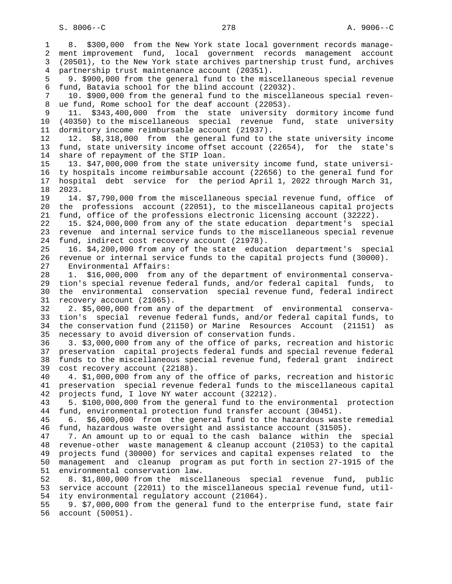1 8. \$300,000 from the New York state local government records manage- 2 ment improvement fund, local government records management account 3 (20501), to the New York state archives partnership trust fund, archives 4 partnership trust maintenance account (20351). 5 9. \$900,000 from the general fund to the miscellaneous special revenue 6 fund, Batavia school for the blind account (22032). 7 10. \$900,000 from the general fund to the miscellaneous special reven- 8 ue fund, Rome school for the deaf account (22053). 9 11. \$343,400,000 from the state university dormitory income fund 10 (40350) to the miscellaneous special revenue fund, state university 11 dormitory income reimbursable account (21937). 12 12. \$8,318,000 from the general fund to the state university income 13 fund, state university income offset account (22654), for the state's 14 share of repayment of the STIP loan. 15 13. \$47,000,000 from the state university income fund, state universi- 16 ty hospitals income reimbursable account (22656) to the general fund for 17 hospital debt service for the period April 1, 2022 through March 31, 18 2023. 19 14. \$7,790,000 from the miscellaneous special revenue fund, office of 20 the professions account (22051), to the miscellaneous capital projects 21 fund, office of the professions electronic licensing account (32222). 22 15. \$24,000,000 from any of the state education department's special 23 revenue and internal service funds to the miscellaneous special revenue 24 fund, indirect cost recovery account (21978). 25 16. \$4,200,000 from any of the state education department's special 26 revenue or internal service funds to the capital projects fund (30000). 27 Environmental Affairs: 28 1. \$16,000,000 from any of the department of environmental conserva- 29 tion's special revenue federal funds, and/or federal capital funds, to 30 the environmental conservation special revenue fund, federal indirect 31 recovery account (21065). 32 2. \$5,000,000 from any of the department of environmental conserva- 33 tion's special revenue federal funds, and/or federal capital funds, to 34 the conservation fund (21150) or Marine Resources Account (21151) as 35 necessary to avoid diversion of conservation funds. 36 3. \$3,000,000 from any of the office of parks, recreation and historic 37 preservation capital projects federal funds and special revenue federal 38 funds to the miscellaneous special revenue fund, federal grant indirect 39 cost recovery account (22188). 40 4. \$1,000,000 from any of the office of parks, recreation and historic 41 preservation special revenue federal funds to the miscellaneous capital 42 projects fund, I love NY water account (32212). 43 5. \$100,000,000 from the general fund to the environmental protection 44 fund, environmental protection fund transfer account (30451). 45 6. \$6,000,000 from the general fund to the hazardous waste remedial 46 fund, hazardous waste oversight and assistance account (31505). 47 7. An amount up to or equal to the cash balance within the special 48 revenue-other waste management & cleanup account (21053) to the capital 49 projects fund (30000) for services and capital expenses related to the 50 management and cleanup program as put forth in section 27-1915 of the 51 environmental conservation law. 52 8. \$1,800,000 from the miscellaneous special revenue fund, public<br>53 service account (22011) to the miscellaneous special revenue fund. utilservice account (22011) to the miscellaneous special revenue fund, util- 54 ity environmental regulatory account (21064). 55 9. \$7,000,000 from the general fund to the enterprise fund, state fair 56 account (50051).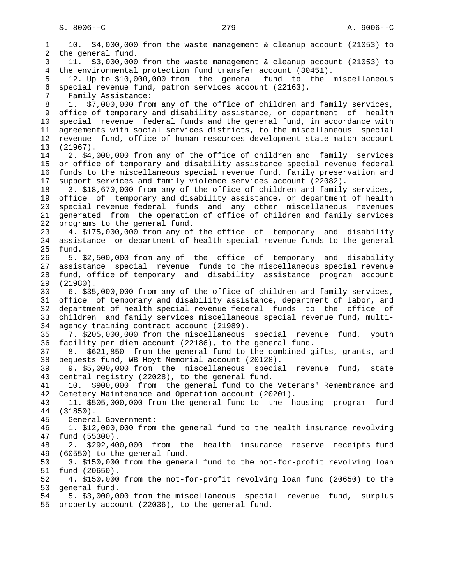1 10. \$4,000,000 from the waste management & cleanup account (21053) to 2 the general fund. 3 11. \$3,000,000 from the waste management & cleanup account (21053) to 4 the environmental protection fund transfer account (30451). 5 12. Up to \$10,000,000 from the general fund to the miscellaneous 6 special revenue fund, patron services account (22163). 7 Family Assistance: 8 1. \$7,000,000 from any of the office of children and family services, 9 office of temporary and disability assistance, or department of health 10 special revenue federal funds and the general fund, in accordance with 11 agreements with social services districts, to the miscellaneous special 12 revenue fund, office of human resources development state match account 13 (21967). 14 2. \$4,000,000 from any of the office of children and family services 15 or office of temporary and disability assistance special revenue federal 16 funds to the miscellaneous special revenue fund, family preservation and 17 support services and family violence services account (22082). 18 3. \$18,670,000 from any of the office of children and family services, 19 office of temporary and disability assistance, or department of health 20 special revenue federal funds and any other miscellaneous revenues 21 generated from the operation of office of children and family services 22 programs to the general fund. 23 4. \$175,000,000 from any of the office of temporary and disability 24 assistance or department of health special revenue funds to the general 25 fund. 26 5. \$2,500,000 from any of the office of temporary and disability 27 assistance special revenue funds to the miscellaneous special revenue 28 fund, office of temporary and disability assistance program account 29 (21980). 30 6. \$35,000,000 from any of the office of children and family services, 31 office of temporary and disability assistance, department of labor, and 32 department of health special revenue federal funds to the office of 33 children and family services miscellaneous special revenue fund, multi- 34 agency training contract account (21989). 35 7. \$205,000,000 from the miscellaneous special revenue fund, youth 36 facility per diem account (22186), to the general fund. 37 8. \$621,850 from the general fund to the combined gifts, grants, and 38 bequests fund, WB Hoyt Memorial account (20128). 39 9. \$5,000,000 from the miscellaneous special revenue fund, state 40 central registry (22028), to the general fund. 41 10. \$900,000 from the general fund to the Veterans' Remembrance and 42 Cemetery Maintenance and Operation account (20201). 43 11. \$505,000,000 from the general fund to the housing program fund 44 (31850). 45 General Government: 46 1. \$12,000,000 from the general fund to the health insurance revolving 47 fund (55300). 48 2. \$292,400,000 from the health insurance reserve receipts fund 49 (60550) to the general fund. 50 3. \$150,000 from the general fund to the not-for-profit revolving loan 51 fund (20650). 52 4. \$150,000 from the not-for-profit revolving loan fund (20650) to the 53 general fund. 54 5. \$3,000,000 from the miscellaneous special revenue fund, surplus 55 property account (22036), to the general fund.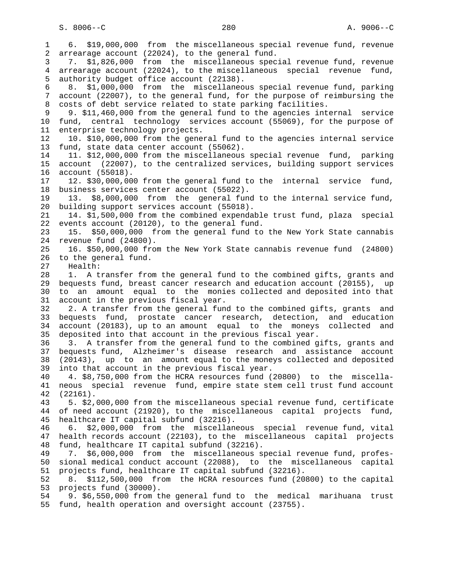1 6. \$19,000,000 from the miscellaneous special revenue fund, revenue 2 arrearage account (22024), to the general fund. 3 7. \$1,826,000 from the miscellaneous special revenue fund, revenue 4 arrearage account (22024), to the miscellaneous special revenue fund, 5 authority budget office account (22138). 6 8. \$1,000,000 from the miscellaneous special revenue fund, parking 7 account (22007), to the general fund, for the purpose of reimbursing the 8 costs of debt service related to state parking facilities. 9 9. \$11,460,000 from the general fund to the agencies internal service 10 fund, central technology services account (55069), for the purpose of 11 enterprise technology projects. 12 10. \$10,000,000 from the general fund to the agencies internal service 13 fund, state data center account (55062). 14 11. \$12,000,000 from the miscellaneous special revenue fund, parking 15 account (22007), to the centralized services, building support services 16 account (55018). 17 12. \$30,000,000 from the general fund to the internal service fund, 18 business services center account (55022). 19 13. \$8,000,000 from the general fund to the internal service fund, 20 building support services account (55018). 21 14. \$1,500,000 from the combined expendable trust fund, plaza special 22 events account (20120), to the general fund. 23 15. \$50,000,000 from the general fund to the New York State cannabis 24 revenue fund (24800). 25 16. \$50,000,000 from the New York State cannabis revenue fund (24800) 26 to the general fund. 27 Health: 28 1. A transfer from the general fund to the combined gifts, grants and 29 bequests fund, breast cancer research and education account (20155), up 30 to an amount equal to the monies collected and deposited into that 31 account in the previous fiscal year. 32 2. A transfer from the general fund to the combined gifts, grants and 33 bequests fund, prostate cancer research, detection, and education 34 account (20183), up to an amount equal to the moneys collected and 35 deposited into that account in the previous fiscal year. 36 3. A transfer from the general fund to the combined gifts, grants and 37 bequests fund, Alzheimer's disease research and assistance account 38 (20143), up to an amount equal to the moneys collected and deposited 39 into that account in the previous fiscal year. 40 4. \$8,750,000 from the HCRA resources fund (20800) to the miscella- 41 neous special revenue fund, empire state stem cell trust fund account 42 (22161). 43 5. \$2,000,000 from the miscellaneous special revenue fund, certificate 44 of need account (21920), to the miscellaneous capital projects fund, 45 healthcare IT capital subfund (32216). 46 6. \$2,000,000 from the miscellaneous special revenue fund, vital 47 health records account (22103), to the miscellaneous capital projects 48 fund, healthcare IT capital subfund (32216). 49 7. \$6,000,000 from the miscellaneous special revenue fund, profes- 50 sional medical conduct account (22088), to the miscellaneous capital 51 projects fund, healthcare IT capital subfund (32216). 52 8. \$112,500,000 from the HCRA resources fund (20800) to the capital 53 projects fund (30000). 54 9. \$6,550,000 from the general fund to the medical marihuana trust 55 fund, health operation and oversight account (23755).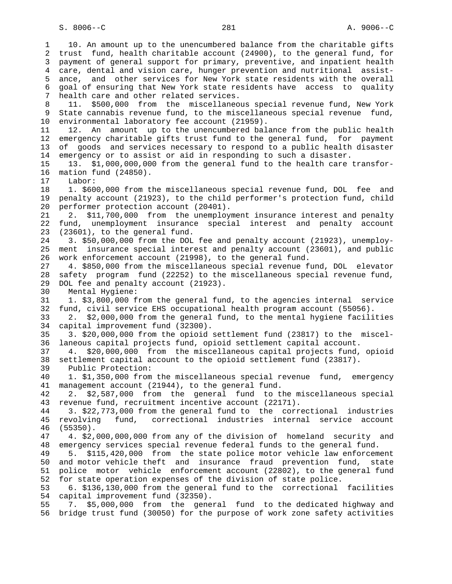1 10. An amount up to the unencumbered balance from the charitable gifts 2 trust fund, health charitable account (24900), to the general fund, for 3 payment of general support for primary, preventive, and inpatient health 4 care, dental and vision care, hunger prevention and nutritional assist- 5 ance, and other services for New York state residents with the overall 6 goal of ensuring that New York state residents have access to quality 7 health care and other related services. 8 11. \$500,000 from the miscellaneous special revenue fund, New York 9 State cannabis revenue fund, to the miscellaneous special revenue fund, 10 environmental laboratory fee account (21959). 11 12. An amount up to the unencumbered balance from the public health 12 emergency charitable gifts trust fund to the general fund, for payment 13 of goods and services necessary to respond to a public health disaster 14 emergency or to assist or aid in responding to such a disaster. 15 13. \$1,000,000,000 from the general fund to the health care transfor- 16 mation fund (24850). 17 Labor: 18 1. \$600,000 from the miscellaneous special revenue fund, DOL fee and 19 penalty account (21923), to the child performer's protection fund, child 20 performer protection account (20401). 21 2. \$11,700,000 from the unemployment insurance interest and penalty 22 fund, unemployment insurance special interest and penalty account 23 (23601), to the general fund. 24 3. \$50,000,000 from the DOL fee and penalty account (21923), unemploy- 25 ment insurance special interest and penalty account (23601), and public 26 work enforcement account (21998), to the general fund. 27 4. \$850,000 from the miscellaneous special revenue fund, DOL elevator 28 safety program fund (22252) to the miscellaneous special revenue fund, 29 DOL fee and penalty account (21923). 30 Mental Hygiene: 31 1. \$3,800,000 from the general fund, to the agencies internal service 32 fund, civil service EHS occupational health program account (55056). 33 2. \$2,000,000 from the general fund, to the mental hygiene facilities 34 capital improvement fund (32300). 35 3. \$20,000,000 from the opioid settlement fund (23817) to the miscel- 36 laneous capital projects fund, opioid settlement capital account. 37 4. \$20,000,000 from the miscellaneous capital projects fund, opioid 38 settlement capital account to the opioid settlement fund (23817). 39 Public Protection: 40 1. \$1,350,000 from the miscellaneous special revenue fund, emergency 41 management account (21944), to the general fund. 42 2. \$2,587,000 from the general fund to the miscellaneous special 43 revenue fund, recruitment incentive account (22171). 44 3. \$22,773,000 from the general fund to the correctional industries 45 revolving fund, correctional industries internal service account 46 (55350). 47 4. \$2,000,000,000 from any of the division of homeland security and 48 emergency services special revenue federal funds to the general fund. 49 5. \$115,420,000 from the state police motor vehicle law enforcement 50 and motor vehicle theft and insurance fraud prevention fund, state 51 police motor vehicle enforcement account (22802), to the general fund 52 for state operation expenses of the division of state police. 53 6. \$136,130,000 from the general fund to the correctional facilities 54 capital improvement fund (32350). 55 7. \$5,000,000 from the general fund to the dedicated highway and 56 bridge trust fund (30050) for the purpose of work zone safety activities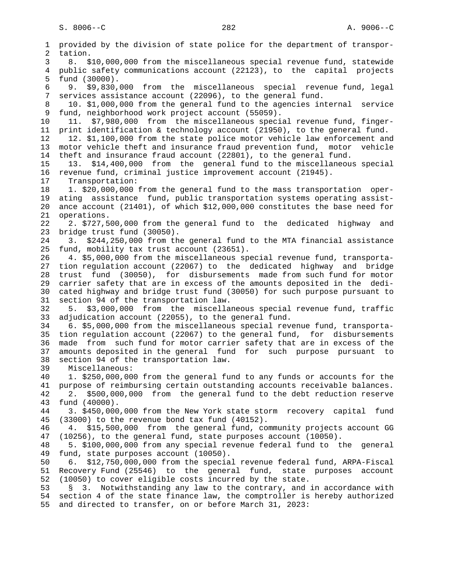1 provided by the division of state police for the department of transpor- 2 tation. 3 8. \$10,000,000 from the miscellaneous special revenue fund, statewide 4 public safety communications account (22123), to the capital projects 5 fund (30000). 6 9. \$9,830,000 from the miscellaneous special revenue fund, legal 7 services assistance account (22096), to the general fund. 8 10. \$1,000,000 from the general fund to the agencies internal service 9 fund, neighborhood work project account (55059). 10 11. \$7,980,000 from the miscellaneous special revenue fund, finger- 11 print identification & technology account (21950), to the general fund. 12 12. \$1,100,000 from the state police motor vehicle law enforcement and 13 motor vehicle theft and insurance fraud prevention fund, motor vehicle 14 theft and insurance fraud account (22801), to the general fund. 15 13. \$14,400,000 from the general fund to the miscellaneous special 16 revenue fund, criminal justice improvement account (21945). 17 Transportation: 18 1. \$20,000,000 from the general fund to the mass transportation oper- 19 ating assistance fund, public transportation systems operating assist- 20 ance account (21401), of which \$12,000,000 constitutes the base need for 21 operations. 22 2. \$727,500,000 from the general fund to the dedicated highway and 23 bridge trust fund (30050). 24 3. \$244,250,000 from the general fund to the MTA financial assistance 25 fund, mobility tax trust account (23651). 26 4. \$5,000,000 from the miscellaneous special revenue fund, transporta- 27 tion regulation account (22067) to the dedicated highway and bridge 28 trust fund (30050), for disbursements made from such fund for motor 29 carrier safety that are in excess of the amounts deposited in the dedi- 30 cated highway and bridge trust fund (30050) for such purpose pursuant to 31 section 94 of the transportation law. 32 5. \$3,000,000 from the miscellaneous special revenue fund, traffic 33 adjudication account (22055), to the general fund. 34 6. \$5,000,000 from the miscellaneous special revenue fund, transporta- 35 tion regulation account (22067) to the general fund, for disbursements 36 made from such fund for motor carrier safety that are in excess of the 37 amounts deposited in the general fund for such purpose pursuant to 38 section 94 of the transportation law. 39 Miscellaneous: 40 1. \$250,000,000 from the general fund to any funds or accounts for the 41 purpose of reimbursing certain outstanding accounts receivable balances. 42 2. \$500,000,000 from the general fund to the debt reduction reserve 43 fund (40000). 44 3. \$450,000,000 from the New York state storm recovery capital fund 45 (33000) to the revenue bond tax fund (40152). 46 4. \$15,500,000 from the general fund, community projects account GG 47 (10256), to the general fund, state purposes account (10050). 48 5. \$100,000,000 from any special revenue federal fund to the general 49 fund, state purposes account (10050). 50 6. \$12,750,000,000 from the special revenue federal fund, ARPA-Fiscal 51 Recovery Fund (25546) to the general fund, state purposes account 52 (10050) to cover eligible costs incurred by the state. 53 § 3. Notwithstanding any law to the contrary, and in accordance with 54 section 4 of the state finance law, the comptroller is hereby authorized 55 and directed to transfer, on or before March 31, 2023: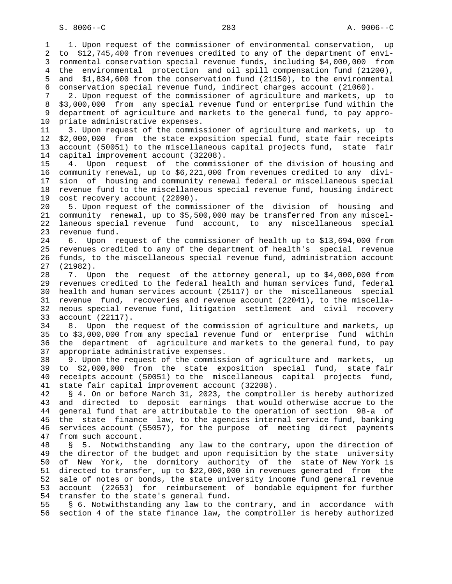1 1. Upon request of the commissioner of environmental conservation, up 2 to \$12,745,400 from revenues credited to any of the department of envi- 3 ronmental conservation special revenue funds, including \$4,000,000 from 4 the environmental protection and oil spill compensation fund (21200), 5 and \$1,834,600 from the conservation fund (21150), to the environmental 6 conservation special revenue fund, indirect charges account (21060). 7 2. Upon request of the commissioner of agriculture and markets, up to 8 \$3,000,000 from any special revenue fund or enterprise fund within the 9 department of agriculture and markets to the general fund, to pay appro- 10 priate administrative expenses. 11 3. Upon request of the commissioner of agriculture and markets, up to 12 \$2,000,000 from the state exposition special fund, state fair receipts 13 account (50051) to the miscellaneous capital projects fund, state fair 14 capital improvement account (32208). 15 4. Upon request of the commissioner of the division of housing and 16 community renewal, up to \$6,221,000 from revenues credited to any divi- 17 sion of housing and community renewal federal or miscellaneous special 18 revenue fund to the miscellaneous special revenue fund, housing indirect 19 cost recovery account (22090). 20 5. Upon request of the commissioner of the division of housing and 21 community renewal, up to \$5,500,000 may be transferred from any miscel- 22 laneous special revenue fund account, to any miscellaneous special 23 revenue fund. 24 6. Upon request of the commissioner of health up to \$13,694,000 from 25 revenues credited to any of the department of health's special revenue 26 funds, to the miscellaneous special revenue fund, administration account 27 (21982). 28 7. Upon the request of the attorney general, up to \$4,000,000 from 29 revenues credited to the federal health and human services fund, federal 30 health and human services account (25117) or the miscellaneous special 31 revenue fund, recoveries and revenue account (22041), to the miscella- 32 neous special revenue fund, litigation settlement and civil recovery 33 account (22117). 34 8. Upon the request of the commission of agriculture and markets, up 35 to \$3,000,000 from any special revenue fund or enterprise fund within 36 the department of agriculture and markets to the general fund, to pay 37 appropriate administrative expenses. 38 9. Upon the request of the commission of agriculture and markets, up 39 to \$2,000,000 from the state exposition special fund, state fair 40 receipts account (50051) to the miscellaneous capital projects fund, 41 state fair capital improvement account (32208). 42 § 4. On or before March 31, 2023, the comptroller is hereby authorized 43 and directed to deposit earnings that would otherwise accrue to the 44 general fund that are attributable to the operation of section 98-a of 45 the state finance law, to the agencies internal service fund, banking 46 services account (55057), for the purpose of meeting direct payments 47 from such account. 48 § 5. Notwithstanding any law to the contrary, upon the direction of 49 the director of the budget and upon requisition by the state university 50 of New York, the dormitory authority of the state of New York is 51 directed to transfer, up to \$22,000,000 in revenues generated from the 52 sale of notes or bonds, the state university income fund general revenue 53 account (22653) for reimbursement of bondable equipment for further 54 transfer to the state's general fund. 55 § 6. Notwithstanding any law to the contrary, and in accordance with 56 section 4 of the state finance law, the comptroller is hereby authorized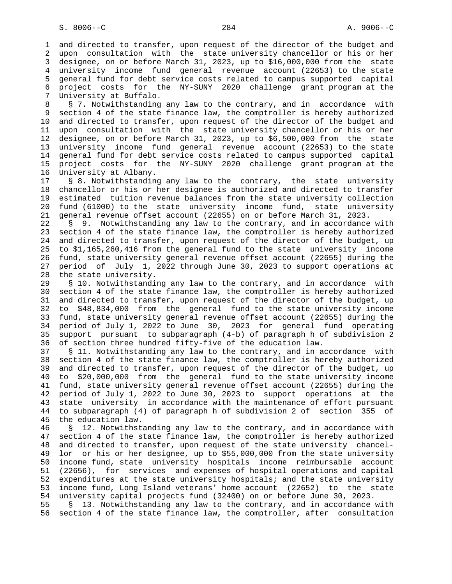1 and directed to transfer, upon request of the director of the budget and 2 upon consultation with the state university chancellor or his or her 3 designee, on or before March 31, 2023, up to \$16,000,000 from the state 4 university income fund general revenue account (22653) to the state 5 general fund for debt service costs related to campus supported capital 6 project costs for the NY-SUNY 2020 challenge grant program at the 7 University at Buffalo.

 8 § 7. Notwithstanding any law to the contrary, and in accordance with 9 section 4 of the state finance law, the comptroller is hereby authorized 10 and directed to transfer, upon request of the director of the budget and 11 upon consultation with the state university chancellor or his or her 12 designee, on or before March 31, 2023, up to \$6,500,000 from the state 13 university income fund general revenue account (22653) to the state 14 general fund for debt service costs related to campus supported capital 15 project costs for the NY-SUNY 2020 challenge grant program at the 16 University at Albany.

 17 § 8. Notwithstanding any law to the contrary, the state university 18 chancellor or his or her designee is authorized and directed to transfer 19 estimated tuition revenue balances from the state university collection 20 fund (61000) to the state university income fund, state university 21 general revenue offset account (22655) on or before March 31, 2023.

 22 § 9. Notwithstanding any law to the contrary, and in accordance with 23 section 4 of the state finance law, the comptroller is hereby authorized 24 and directed to transfer, upon request of the director of the budget, up 25 to \$1,165,260,416 from the general fund to the state university income 26 fund, state university general revenue offset account (22655) during the 27 period of July 1, 2022 through June 30, 2023 to support operations at 28 the state university.

 29 § 10. Notwithstanding any law to the contrary, and in accordance with 30 section 4 of the state finance law, the comptroller is hereby authorized 31 and directed to transfer, upon request of the director of the budget, up 32 to \$48,834,000 from the general fund to the state university income 33 fund, state university general revenue offset account (22655) during the 34 period of July 1, 2022 to June 30, 2023 for general fund operating 35 support pursuant to subparagraph (4-b) of paragraph h of subdivision 2 36 of section three hundred fifty-five of the education law.

 37 § 11. Notwithstanding any law to the contrary, and in accordance with 38 section 4 of the state finance law, the comptroller is hereby authorized 39 and directed to transfer, upon request of the director of the budget, up 40 to \$20,000,000 from the general fund to the state university income 41 fund, state university general revenue offset account (22655) during the 42 period of July 1, 2022 to June 30, 2023 to support operations at the 43 state university in accordance with the maintenance of effort pursuant 44 to subparagraph (4) of paragraph h of subdivision 2 of section 355 of 45 the education law.

 46 § 12. Notwithstanding any law to the contrary, and in accordance with 47 section 4 of the state finance law, the comptroller is hereby authorized 48 and directed to transfer, upon request of the state university chancel- 49 lor or his or her designee, up to \$55,000,000 from the state university 50 income fund, state university hospitals income reimbursable account 51 (22656), for services and expenses of hospital operations and capital 52 expenditures at the state university hospitals; and the state university 53 income fund, Long Island veterans' home account (22652) to the state 54 university capital projects fund (32400) on or before June 30, 2023.

 55 § 13. Notwithstanding any law to the contrary, and in accordance with 56 section 4 of the state finance law, the comptroller, after consultation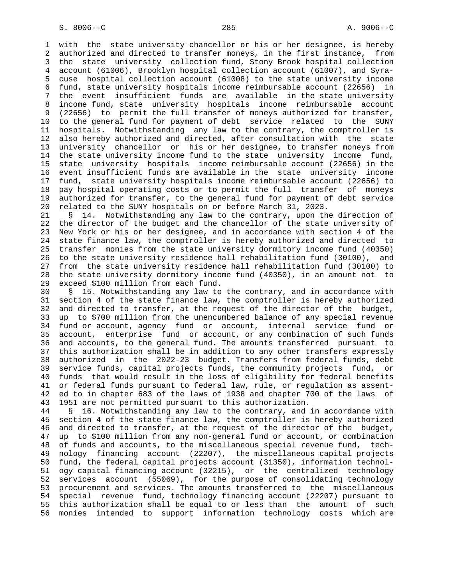1 with the state university chancellor or his or her designee, is hereby 2 authorized and directed to transfer moneys, in the first instance, from 3 the state university collection fund, Stony Brook hospital collection 4 account (61006), Brooklyn hospital collection account (61007), and Syra- 5 cuse hospital collection account (61008) to the state university income 6 fund, state university hospitals income reimbursable account (22656) in 7 the event insufficient funds are available in the state university 8 income fund, state university hospitals income reimbursable account 9 (22656) to permit the full transfer of moneys authorized for transfer, 10 to the general fund for payment of debt service related to the SUNY 11 hospitals. Notwithstanding any law to the contrary, the comptroller is 12 also hereby authorized and directed, after consultation with the state 13 university chancellor or his or her designee, to transfer moneys from 14 the state university income fund to the state university income fund, 15 state university hospitals income reimbursable account (22656) in the 16 event insufficient funds are available in the state university income 17 fund, state university hospitals income reimbursable account (22656) to 18 pay hospital operating costs or to permit the full transfer of moneys 19 authorized for transfer, to the general fund for payment of debt service 20 related to the SUNY hospitals on or before March 31, 2023.

 21 § 14. Notwithstanding any law to the contrary, upon the direction of 22 the director of the budget and the chancellor of the state university of 23 New York or his or her designee, and in accordance with section 4 of the 24 state finance law, the comptroller is hereby authorized and directed to 25 transfer monies from the state university dormitory income fund (40350) 26 to the state university residence hall rehabilitation fund (30100), and 27 from the state university residence hall rehabilitation fund (30100) to 28 the state university dormitory income fund (40350), in an amount not to 29 exceed \$100 million from each fund.

 30 § 15. Notwithstanding any law to the contrary, and in accordance with 31 section 4 of the state finance law, the comptroller is hereby authorized 32 and directed to transfer, at the request of the director of the budget, 33 up to \$700 million from the unencumbered balance of any special revenue 34 fund or account, agency fund or account, internal service fund or 35 account, enterprise fund or account, or any combination of such funds 36 and accounts, to the general fund. The amounts transferred pursuant to 37 this authorization shall be in addition to any other transfers expressly 38 authorized in the 2022-23 budget. Transfers from federal funds, debt 39 service funds, capital projects funds, the community projects fund, or 40 funds that would result in the loss of eligibility for federal benefits 41 or federal funds pursuant to federal law, rule, or regulation as assent- 42 ed to in chapter 683 of the laws of 1938 and chapter 700 of the laws of 43 1951 are not permitted pursuant to this authorization.

 44 § 16. Notwithstanding any law to the contrary, and in accordance with 45 section 4 of the state finance law, the comptroller is hereby authorized 46 and directed to transfer, at the request of the director of the budget, 47 up to \$100 million from any non-general fund or account, or combination 48 of funds and accounts, to the miscellaneous special revenue fund, tech- 49 nology financing account (22207), the miscellaneous capital projects 50 fund, the federal capital projects account (31350), information technol- 51 ogy capital financing account (32215), or the centralized technology 52 services account (55069), for the purpose of consolidating technology 53 procurement and services. The amounts transferred to the miscellaneous 54 special revenue fund, technology financing account (22207) pursuant to 55 this authorization shall be equal to or less than the amount of such 56 monies intended to support information technology costs which are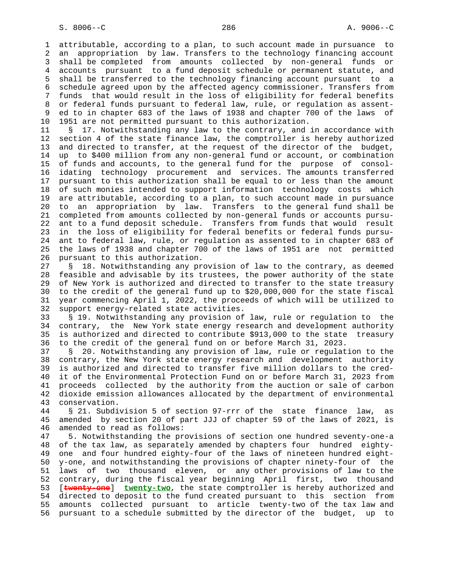1 attributable, according to a plan, to such account made in pursuance to 2 an appropriation by law. Transfers to the technology financing account 3 shall be completed from amounts collected by non-general funds or 4 accounts pursuant to a fund deposit schedule or permanent statute, and 5 shall be transferred to the technology financing account pursuant to a 6 schedule agreed upon by the affected agency commissioner. Transfers from 7 funds that would result in the loss of eligibility for federal benefits 8 or federal funds pursuant to federal law, rule, or regulation as assent- 9 ed to in chapter 683 of the laws of 1938 and chapter 700 of the laws of 10 1951 are not permitted pursuant to this authorization.

 11 § 17. Notwithstanding any law to the contrary, and in accordance with 12 section 4 of the state finance law, the comptroller is hereby authorized 13 and directed to transfer, at the request of the director of the budget, 14 up to \$400 million from any non-general fund or account, or combination 15 of funds and accounts, to the general fund for the purpose of consol- 16 idating technology procurement and services. The amounts transferred 17 pursuant to this authorization shall be equal to or less than the amount 18 of such monies intended to support information technology costs which 19 are attributable, according to a plan, to such account made in pursuance 20 to an appropriation by law. Transfers to the general fund shall be 21 completed from amounts collected by non-general funds or accounts pursu- 22 ant to a fund deposit schedule. Transfers from funds that would result 23 in the loss of eligibility for federal benefits or federal funds pursu- 24 ant to federal law, rule, or regulation as assented to in chapter 683 of 25 the laws of 1938 and chapter 700 of the laws of 1951 are not permitted 26 pursuant to this authorization.

 27 § 18. Notwithstanding any provision of law to the contrary, as deemed 28 feasible and advisable by its trustees, the power authority of the state 29 of New York is authorized and directed to transfer to the state treasury 30 to the credit of the general fund up to \$20,000,000 for the state fiscal 31 year commencing April 1, 2022, the proceeds of which will be utilized to 32 support energy-related state activities.

 33 § 19. Notwithstanding any provision of law, rule or regulation to the 34 contrary, the New York state energy research and development authority 35 is authorized and directed to contribute \$913,000 to the state treasury 36 to the credit of the general fund on or before March 31, 2023.

 37 § 20. Notwithstanding any provision of law, rule or regulation to the 38 contrary, the New York state energy research and development authority 39 is authorized and directed to transfer five million dollars to the cred- 40 it of the Environmental Protection Fund on or before March 31, 2023 from 41 proceeds collected by the authority from the auction or sale of carbon 42 dioxide emission allowances allocated by the department of environmental 43 conservation.

 44 § 21. Subdivision 5 of section 97-rrr of the state finance law, as 45 amended by section 20 of part JJJ of chapter 59 of the laws of 2021, is 46 amended to read as follows:

 47 5. Notwithstanding the provisions of section one hundred seventy-one-a 48 of the tax law, as separately amended by chapters four hundred eighty- 49 one and four hundred eighty-four of the laws of nineteen hundred eight- 50 y-one, and notwithstanding the provisions of chapter ninety-four of the 51 laws of two thousand eleven, or any other provisions of law to the 52 contrary, during the fiscal year beginning April first, two thousand 53 [**twenty-one**] **twenty-two**, the state comptroller is hereby authorized and 54 directed to deposit to the fund created pursuant to this section from 55 amounts collected pursuant to article twenty-two of the tax law and 56 pursuant to a schedule submitted by the director of the budget, up to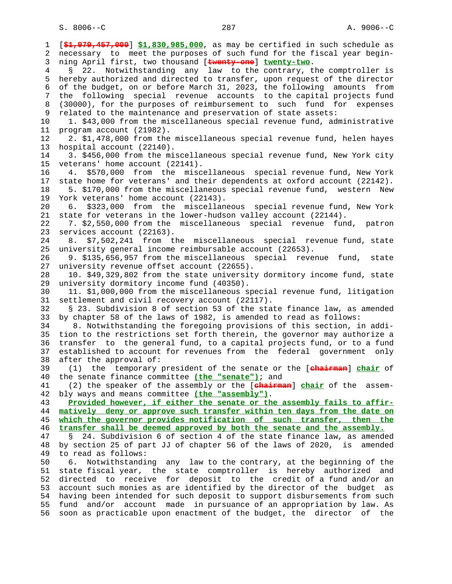1 [**\$1,979,457,000**] **\$1,830,985,000**, as may be certified in such schedule as 2 necessary to meet the purposes of such fund for the fiscal year begin- 3 ning April first, two thousand [**twenty-one**] **twenty-two**. 4 § 22. Notwithstanding any law to the contrary, the comptroller is 5 hereby authorized and directed to transfer, upon request of the director 6 of the budget, on or before March 31, 2023, the following amounts from 7 the following special revenue accounts to the capital projects fund 8 (30000), for the purposes of reimbursement to such fund for expenses 9 related to the maintenance and preservation of state assets: 10 1. \$43,000 from the miscellaneous special revenue fund, administrative 11 program account (21982). 12 2. \$1,478,000 from the miscellaneous special revenue fund, helen hayes 13 hospital account (22140). 14 3. \$456,000 from the miscellaneous special revenue fund, New York city 15 veterans' home account (22141). 16 4. \$570,000 from the miscellaneous special revenue fund, New York 17 state home for veterans' and their dependents at oxford account (22142). 18 5. \$170,000 from the miscellaneous special revenue fund, western New 19 York veterans' home account (22143). 20 6. \$323,000 from the miscellaneous special revenue fund, New York 21 state for veterans in the lower-hudson valley account (22144). 22 7. \$2,550,000 from the miscellaneous special revenue fund, patron 23 services account (22163). 24 8. \$7,502,241 from the miscellaneous special revenue fund, state 25 university general income reimbursable account (22653). 26 9. \$135,656,957 from the miscellaneous special revenue fund, state 27 university revenue offset account (22655). 28 10. \$49,329,802 from the state university dormitory income fund, state 29 university dormitory income fund (40350). 30 11. \$1,000,000 from the miscellaneous special revenue fund, litigation 31 settlement and civil recovery account (22117). 32 § 23. Subdivision 8 of section 53 of the state finance law, as amended 33 by chapter 58 of the laws of 1982, is amended to read as follows: 34 8. Notwithstanding the foregoing provisions of this section, in addi- 35 tion to the restrictions set forth therein, the governor may authorize a 36 transfer to the general fund, to a capital projects fund, or to a fund 37 established to account for revenues from the federal government only 38 after the approval of: 39 (1) the temporary president of the senate or the [**chairman**] **chair** of 40 the senate finance committee **(the "senate")**; and 41 (2) the speaker of the assembly or the [**chairman**] **chair** of the assem- 42 bly ways and means committee **(the "assembly")**. 43 **Provided however, if either the senate or the assembly fails to affir-** 44 **matively deny or approve such transfer within ten days from the date on** 45 **which the governor provides notification of such transfer, then the** 46 **transfer shall be deemed approved by both the senate and the assembly.** 47 § 24. Subdivision 6 of section 4 of the state finance law, as amended 48 by section 25 of part JJ of chapter 56 of the laws of 2020, is amended 49 to read as follows: 50 6. Notwithstanding any law to the contrary, at the beginning of the 51 state fiscal year, the state comptroller is hereby authorized and 52 directed to receive for deposit to the credit of a fund and/or an 53 account such monies as are identified by the director of the budget as 54 having been intended for such deposit to support disbursements from such 55 fund and/or account made in pursuance of an appropriation by law. As 56 soon as practicable upon enactment of the budget, the director of the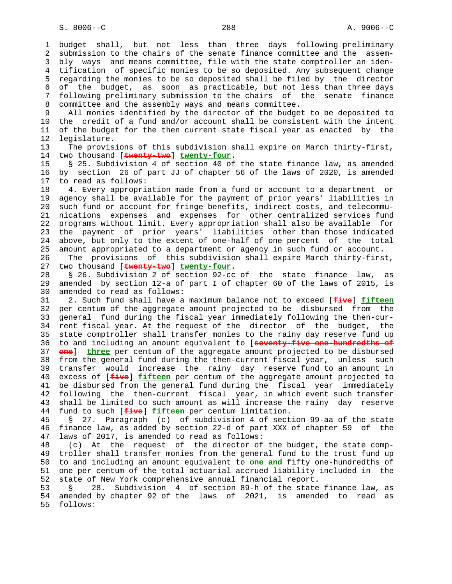1 budget shall, but not less than three days following preliminary 2 submission to the chairs of the senate finance committee and the assem- 3 bly ways and means committee, file with the state comptroller an iden- 4 tification of specific monies to be so deposited. Any subsequent change 5 regarding the monies to be so deposited shall be filed by the director 6 of the budget, as soon as practicable, but not less than three days 7 following preliminary submission to the chairs of the senate finance 8 committee and the assembly ways and means committee.

 9 All monies identified by the director of the budget to be deposited to 10 the credit of a fund and/or account shall be consistent with the intent 11 of the budget for the then current state fiscal year as enacted by the 12 legislature.

 13 The provisions of this subdivision shall expire on March thirty-first, 14 two thousand [**twenty-two**] **twenty-four**.

 15 § 25. Subdivision 4 of section 40 of the state finance law, as amended 16 by section 26 of part JJ of chapter 56 of the laws of 2020, is amended 17 to read as follows:

 18 4. Every appropriation made from a fund or account to a department or 19 agency shall be available for the payment of prior years' liabilities in 20 such fund or account for fringe benefits, indirect costs, and telecommu- 21 nications expenses and expenses for other centralized services fund 22 programs without limit. Every appropriation shall also be available for 23 the payment of prior years' liabilities other than those indicated 24 above, but only to the extent of one-half of one percent of the total 25 amount appropriated to a department or agency in such fund or account.

 26 The provisions of this subdivision shall expire March thirty-first, 27 two thousand [**twenty-two**] **twenty-four**.

 28 § 26. Subdivision 2 of section 92-cc of the state finance law, as 29 amended by section 12-a of part I of chapter 60 of the laws of 2015, is 30 amended to read as follows:

 31 2. Such fund shall have a maximum balance not to exceed [**five**] **fifteen** 32 per centum of the aggregate amount projected to be disbursed from the 33 general fund during the fiscal year immediately following the then-cur- 34 rent fiscal year. At the request of the director of the budget, the 35 state comptroller shall transfer monies to the rainy day reserve fund up 36 to and including an amount equivalent to [**seventy-five one-hundredths of** 37 **one**] **three** per centum of the aggregate amount projected to be disbursed 38 from the general fund during the then-current fiscal year, unless such 39 transfer would increase the rainy day reserve fund to an amount in 40 excess of [**five**] **fifteen** per centum of the aggregate amount projected to 41 be disbursed from the general fund during the fiscal year immediately 42 following the then-current fiscal year, in which event such transfer 43 shall be limited to such amount as will increase the rainy day reserve 44 fund to such [**five**] **fifteen** per centum limitation.

 45 § 27. Paragraph (c) of subdivision 4 of section 99-aa of the state 46 finance law, as added by section 22-d of part XXX of chapter 59 of the 47 laws of 2017, is amended to read as follows:

 48 (c) At the request of the director of the budget, the state comp- 49 troller shall transfer monies from the general fund to the trust fund up 50 to and including an amount equivalent to **one and** fifty one-hundredths of 51 one per centum of the total actuarial accrued liability included in the 52 state of New York comprehensive annual financial report.

 53 § 28. Subdivision 4 of section 89-h of the state finance law, as 54 amended by chapter 92 of the laws of 2021, is amended to read as 55 follows: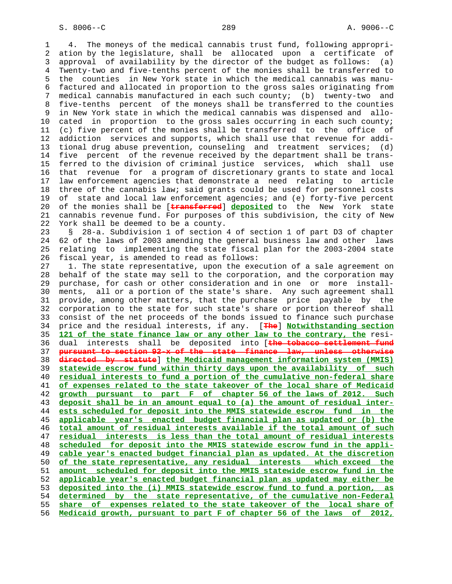1 4. The moneys of the medical cannabis trust fund, following appropri- 2 ation by the legislature, shall be allocated upon a certificate of 3 approval of availability by the director of the budget as follows: (a) 4 Twenty-two and five-tenths percent of the monies shall be transferred to 5 the counties in New York state in which the medical cannabis was manu- 6 factured and allocated in proportion to the gross sales originating from 7 medical cannabis manufactured in each such county; (b) twenty-two and 8 five-tenths percent of the moneys shall be transferred to the counties 9 in New York state in which the medical cannabis was dispensed and allo- 10 cated in proportion to the gross sales occurring in each such county; 11 (c) five percent of the monies shall be transferred to the office of 12 addiction services and supports, which shall use that revenue for addi- 13 tional drug abuse prevention, counseling and treatment services; (d) 14 five percent of the revenue received by the department shall be trans- 15 ferred to the division of criminal justice services, which shall use 16 that revenue for a program of discretionary grants to state and local 17 law enforcement agencies that demonstrate a need relating to article 18 three of the cannabis law; said grants could be used for personnel costs 19 of state and local law enforcement agencies; and (e) forty-five percent 20 of the monies shall be [**transferred**] **deposited** to the New York state 21 cannabis revenue fund. For purposes of this subdivision, the city of New 22 York shall be deemed to be a county. 23 § 28-a. Subdivision 1 of section 4 of section 1 of part D3 of chapter 24 62 of the laws of 2003 amending the general business law and other laws 25 relating to implementing the state fiscal plan for the 2003-2004 state 26 fiscal year, is amended to read as follows: 27 1. The state representative, upon the execution of a sale agreement on 28 behalf of the state may sell to the corporation, and the corporation may 29 purchase, for cash or other consideration and in one or more install- 30 ments, all or a portion of the state's share. Any such agreement shall 31 provide, among other matters, that the purchase price payable by the 32 corporation to the state for such state's share or portion thereof shall 33 consist of the net proceeds of the bonds issued to finance such purchase 34 price and the residual interests, if any. [**The**] **Notwithstanding section** 35 **121 of the state finance law or any other law to the contrary, the** resi- 36 dual interests shall be deposited into [**the tobacco settlement fund** 37 **pursuant to section 92-x of the state finance law, unless otherwise**

**directed by statute**] **the Medicaid management information system (MMIS) statewide escrow fund within thirty days upon the availability of such residual interests to fund a portion of the cumulative non-federal share of expenses related to the state takeover of the local share of Medicaid growth pursuant to part F of chapter 56 of the laws of 2012. Such deposit shall be in an amount equal to (a) the amount of residual inter- ests scheduled for deposit into the MMIS statewide escrow fund in the applicable year's enacted budget financial plan as updated or (b) the total amount of residual interests available if the total amount of such residual interests is less than the total amount of residual interests scheduled for deposit into the MMIS statewide escrow fund in the appli- cable year's enacted budget financial plan as updated. At the discretion of the state representative, any residual interests which exceed the amount scheduled for deposit into the MMIS statewide escrow fund in the applicable year's enacted budget financial plan as updated may either be deposited into the (i) MMIS statewide escrow fund to fund a portion, as determined by the state representative, of the cumulative non-Federal share of expenses related to the state takeover of the local share of Medicaid growth, pursuant to part F of chapter 56 of the laws of 2012,**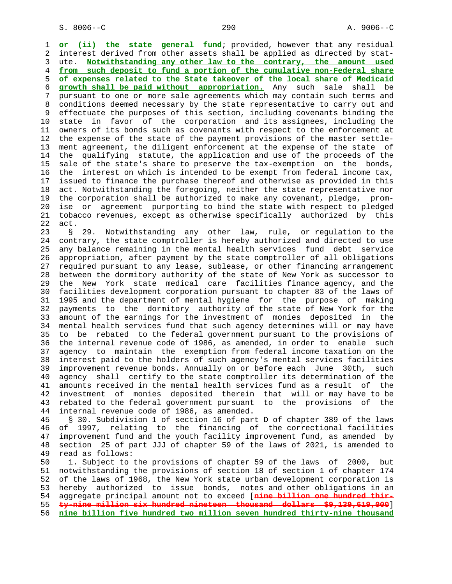1 **or (ii) the state general fund**; provided, however that any residual 2 interest derived from other assets shall be applied as directed by stat- 3 ute. **Notwithstanding any other law to the contrary, the amount used** 4 **from such deposit to fund a portion of the cumulative non-Federal share** 5 **of expenses related to the State takeover of the local share of Medicaid** 6 **growth shall be paid without appropriation.** Any such sale shall be 7 pursuant to one or more sale agreements which may contain such terms and 8 conditions deemed necessary by the state representative to carry out and 9 effectuate the purposes of this section, including covenants binding the 10 state in favor of the corporation and its assignees, including the 11 owners of its bonds such as covenants with respect to the enforcement at 12 the expense of the state of the payment provisions of the master settle- 13 ment agreement, the diligent enforcement at the expense of the state of 14 the qualifying statute, the application and use of the proceeds of the 15 sale of the state's share to preserve the tax-exemption on the bonds, 16 the interest on which is intended to be exempt from federal income tax, 17 issued to finance the purchase thereof and otherwise as provided in this 18 act. Notwithstanding the foregoing, neither the state representative nor 19 the corporation shall be authorized to make any covenant, pledge, prom- 20 ise or agreement purporting to bind the state with respect to pledged 21 tobacco revenues, except as otherwise specifically authorized by this 22 act.

 23 § 29. Notwithstanding any other law, rule, or regulation to the 24 contrary, the state comptroller is hereby authorized and directed to use 25 any balance remaining in the mental health services fund debt service 26 appropriation, after payment by the state comptroller of all obligations 27 required pursuant to any lease, sublease, or other financing arrangement 28 between the dormitory authority of the state of New York as successor to 29 the New York state medical care facilities finance agency, and the 30 facilities development corporation pursuant to chapter 83 of the laws of 31 1995 and the department of mental hygiene for the purpose of making 32 payments to the dormitory authority of the state of New York for the 33 amount of the earnings for the investment of monies deposited in the 34 mental health services fund that such agency determines will or may have 35 to be rebated to the federal government pursuant to the provisions of 36 the internal revenue code of 1986, as amended, in order to enable such 37 agency to maintain the exemption from federal income taxation on the 38 interest paid to the holders of such agency's mental services facilities 39 improvement revenue bonds. Annually on or before each June 30th, such 40 agency shall certify to the state comptroller its determination of the 41 amounts received in the mental health services fund as a result of the 42 investment of monies deposited therein that will or may have to be 43 rebated to the federal government pursuant to the provisions of the 44 internal revenue code of 1986, as amended.

 45 § 30. Subdivision 1 of section 16 of part D of chapter 389 of the laws 46 of 1997, relating to the financing of the correctional facilities 47 improvement fund and the youth facility improvement fund, as amended by 48 section 25 of part JJJ of chapter 59 of the laws of 2021, is amended to 49 read as follows:

 50 1. Subject to the provisions of chapter 59 of the laws of 2000, but 51 notwithstanding the provisions of section 18 of section 1 of chapter 174 52 of the laws of 1968, the New York state urban development corporation is 53 hereby authorized to issue bonds, notes and other obligations in an 54 aggregate principal amount not to exceed [**nine billion one hundred thir-** 55 **ty-nine million six hundred nineteen thousand dollars \$9,139,619,000**] 56 **nine billion five hundred two million seven hundred thirty-nine thousand**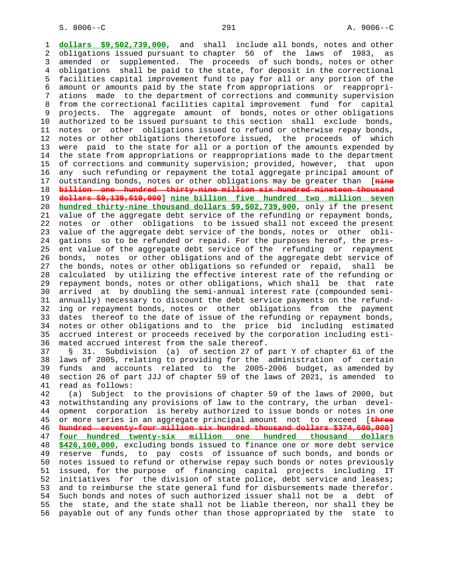1 **dollars \$9,502,739,000**, and shall include all bonds, notes and other 2 obligations issued pursuant to chapter 56 of the laws of 1983, as 3 amended or supplemented. The proceeds of such bonds, notes or other 4 obligations shall be paid to the state, for deposit in the correctional 5 facilities capital improvement fund to pay for all or any portion of the 6 amount or amounts paid by the state from appropriations or reappropri- 7 ations made to the department of corrections and community supervision 8 from the correctional facilities capital improvement fund for capital 9 projects. The aggregate amount of bonds, notes or other obligations 10 authorized to be issued pursuant to this section shall exclude bonds, 11 notes or other obligations issued to refund or otherwise repay bonds, 12 notes or other obligations theretofore issued, the proceeds of which 13 were paid to the state for all or a portion of the amounts expended by 14 the state from appropriations or reappropriations made to the department 15 of corrections and community supervision; provided, however, that upon 16 any such refunding or repayment the total aggregate principal amount of 17 outstanding bonds, notes or other obligations may be greater than [**nine** 18 **billion one hundred thirty-nine million six hundred nineteen thousand** 19 **dollars \$9,139,619,000**] **nine billion five hundred two million seven** 20 **hundred thirty-nine thousand dollars \$9,502,739,000**, only if the present 21 value of the aggregate debt service of the refunding or repayment bonds, 22 notes or other obligations to be issued shall not exceed the present 23 value of the aggregate debt service of the bonds, notes or other obli- 24 gations so to be refunded or repaid. For the purposes hereof, the pres- 25 ent value of the aggregate debt service of the refunding or repayment 26 bonds, notes or other obligations and of the aggregate debt service of 27 the bonds, notes or other obligations so refunded or repaid, shall be 28 calculated by utilizing the effective interest rate of the refunding or 29 repayment bonds, notes or other obligations, which shall be that rate 30 arrived at by doubling the semi-annual interest rate (compounded semi- 31 annually) necessary to discount the debt service payments on the refund- 32 ing or repayment bonds, notes or other obligations from the payment 33 dates thereof to the date of issue of the refunding or repayment bonds, 34 notes or other obligations and to the price bid including estimated 35 accrued interest or proceeds received by the corporation including esti- 36 mated accrued interest from the sale thereof. 37 § 31. Subdivision (a) of section 27 of part Y of chapter 61 of the 38 laws of 2005, relating to providing for the administration of certain 39 funds and accounts related to the 2005-2006 budget, as amended by 40 section 26 of part JJJ of chapter 59 of the laws of 2021, is amended to 41 read as follows: 42 (a) Subject to the provisions of chapter 59 of the laws of 2000, but 43 notwithstanding any provisions of law to the contrary, the urban devel- 44 opment corporation is hereby authorized to issue bonds or notes in one 45 or more series in an aggregate principal amount not to exceed [**three** 46 **hundred seventy-four million six hundred thousand dollars \$374,600,000**] 47 **four hundred twenty-six million one hundred thousand dollars** 48 **\$426,100,000**, excluding bonds issued to finance one or more debt service 49 reserve funds, to pay costs of issuance of such bonds, and bonds or 50 notes issued to refund or otherwise repay such bonds or notes previously 51 issued, for the purpose of financing capital projects including IT 52 initiatives for the division of state police, debt service and leases; 53 and to reimburse the state general fund for disbursements made therefor. 54 Such bonds and notes of such authorized issuer shall not be a debt of

 55 the state, and the state shall not be liable thereon, nor shall they be 56 payable out of any funds other than those appropriated by the state to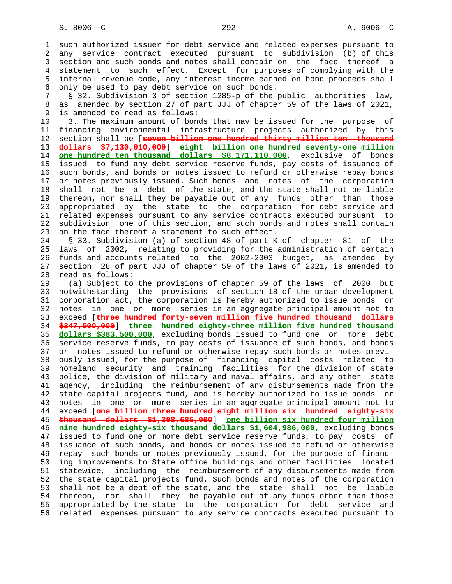1 such authorized issuer for debt service and related expenses pursuant to 2 any service contract executed pursuant to subdivision (b) of this 3 section and such bonds and notes shall contain on the face thereof a 4 statement to such effect. Except for purposes of complying with the 5 internal revenue code, any interest income earned on bond proceeds shall 6 only be used to pay debt service on such bonds.

 7 § 32. Subdivision 3 of section 1285-p of the public authorities law, 8 as amended by section 27 of part JJJ of chapter 59 of the laws of 2021, 9 is amended to read as follows:<br>10 3. The maximum amount of bon

3. The maximum amount of bonds that may be issued for the purpose of 11 financing environmental infrastructure projects authorized by this 12 section shall be [**seven billion one hundred thirty million ten thousand** 13 **dollars \$7,130,010,000**] **eight billion one hundred seventy-one million** 14 **one hundred ten thousand dollars \$8,171,110,000**, exclusive of bonds 15 issued to fund any debt service reserve funds, pay costs of issuance of 16 such bonds, and bonds or notes issued to refund or otherwise repay bonds 17 or notes previously issued. Such bonds and notes of the corporation 18 shall not be a debt of the state, and the state shall not be liable 19 thereon, nor shall they be payable out of any funds other than those 20 appropriated by the state to the corporation for debt service and 21 related expenses pursuant to any service contracts executed pursuant to 22 subdivision one of this section, and such bonds and notes shall contain 23 on the face thereof a statement to such effect.

 24 § 33. Subdivision (a) of section 48 of part K of chapter 81 of the 25 laws of 2002, relating to providing for the administration of certain 26 funds and accounts related to the 2002-2003 budget, as amended by 27 section 28 of part JJJ of chapter 59 of the laws of 2021, is amended to 28 read as follows:

 29 (a) Subject to the provisions of chapter 59 of the laws of 2000 but 30 notwithstanding the provisions of section 18 of the urban development 31 corporation act, the corporation is hereby authorized to issue bonds or 32 notes in one or more series in an aggregate principal amount not to 33 exceed [**three hundred forty-seven million five hundred thousand dollars** 34 **\$347,500,000**] **three hundred eighty-three million five hundred thousand** 35 **dollars \$383,500,000**, excluding bonds issued to fund one or more debt 36 service reserve funds, to pay costs of issuance of such bonds, and bonds 37 or notes issued to refund or otherwise repay such bonds or notes previ- 38 ously issued, for the purpose of financing capital costs related to 39 homeland security and training facilities for the division of state 40 police, the division of military and naval affairs, and any other state 41 agency, including the reimbursement of any disbursements made from the 42 state capital projects fund, and is hereby authorized to issue bonds or 43 notes in one or more series in an aggregate principal amount not to 44 exceed [**one billion three hundred eight million six hundred eighty-six** 45 **thousand dollars \$1,308,686,000**] **one billion six hundred four million** 46 **nine hundred eighty-six thousand dollars \$1,604,986,000,** excluding bonds 47 issued to fund one or more debt service reserve funds, to pay costs of 48 issuance of such bonds, and bonds or notes issued to refund or otherwise 49 repay such bonds or notes previously issued, for the purpose of financ- 50 ing improvements to State office buildings and other facilities located 51 statewide, including the reimbursement of any disbursements made from 52 the state capital projects fund. Such bonds and notes of the corporation 53 shall not be a debt of the state, and the state shall not be liable 54 thereon, nor shall they be payable out of any funds other than those 55 appropriated by the state to the corporation for debt service and 56 related expenses pursuant to any service contracts executed pursuant to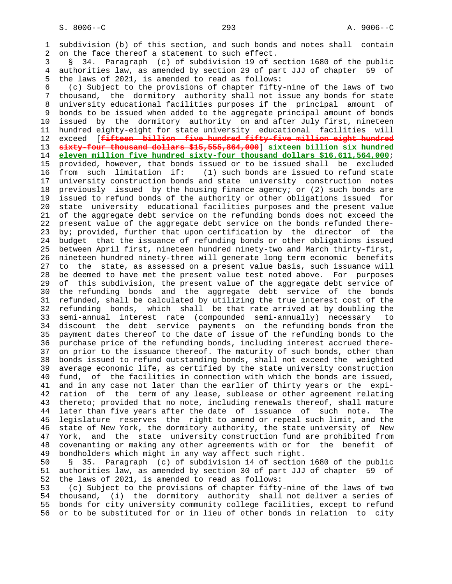1 subdivision (b) of this section, and such bonds and notes shall contain 2 on the face thereof a statement to such effect.

 3 § 34. Paragraph (c) of subdivision 19 of section 1680 of the public 4 authorities law, as amended by section 29 of part JJJ of chapter 59 of 5 the laws of 2021, is amended to read as follows:

 6 (c) Subject to the provisions of chapter fifty-nine of the laws of two 7 thousand, the dormitory authority shall not issue any bonds for state 8 university educational facilities purposes if the principal amount of 9 bonds to be issued when added to the aggregate principal amount of bonds 10 issued by the dormitory authority on and after July first, nineteen 11 hundred eighty-eight for state university educational facilities will 12 exceed [**fifteen billion five hundred fifty-five million eight hundred** 13 **sixty-four thousand dollars \$15,555,864,000**] **sixteen billion six hundred** 14 **eleven million five hundred sixty-four thousand dollars \$16,611,564,000**; 15 provided, however, that bonds issued or to be issued shall be excluded 16 from such limitation if: (1) such bonds are issued to refund state 17 university construction bonds and state university construction notes 18 previously issued by the housing finance agency; or (2) such bonds are 19 issued to refund bonds of the authority or other obligations issued for 20 state university educational facilities purposes and the present value 21 of the aggregate debt service on the refunding bonds does not exceed the 22 present value of the aggregate debt service on the bonds refunded there- 23 by; provided, further that upon certification by the director of the 24 budget that the issuance of refunding bonds or other obligations issued 25 between April first, nineteen hundred ninety-two and March thirty-first, 26 nineteen hundred ninety-three will generate long term economic benefits 27 to the state, as assessed on a present value basis, such issuance will 28 be deemed to have met the present value test noted above. For purposes 29 of this subdivision, the present value of the aggregate debt service of 30 the refunding bonds and the aggregate debt service of the bonds 31 refunded, shall be calculated by utilizing the true interest cost of the 32 refunding bonds, which shall be that rate arrived at by doubling the 33 semi-annual interest rate (compounded semi-annually) necessary to 34 discount the debt service payments on the refunding bonds from the 35 payment dates thereof to the date of issue of the refunding bonds to the 36 purchase price of the refunding bonds, including interest accrued there- 37 on prior to the issuance thereof. The maturity of such bonds, other than 38 bonds issued to refund outstanding bonds, shall not exceed the weighted 39 average economic life, as certified by the state university construction 40 fund, of the facilities in connection with which the bonds are issued, 41 and in any case not later than the earlier of thirty years or the expi- 42 ration of the term of any lease, sublease or other agreement relating 43 thereto; provided that no note, including renewals thereof, shall mature 44 later than five years after the date of issuance of such note. The 45 legislature reserves the right to amend or repeal such limit, and the 46 state of New York, the dormitory authority, the state university of New 47 York, and the state university construction fund are prohibited from 48 covenanting or making any other agreements with or for the benefit of 49 bondholders which might in any way affect such right.

 50 § 35. Paragraph (c) of subdivision 14 of section 1680 of the public 51 authorities law, as amended by section 30 of part JJJ of chapter 59 of 52 the laws of 2021, is amended to read as follows:

 53 (c) Subject to the provisions of chapter fifty-nine of the laws of two 54 thousand, (i) the dormitory authority shall not deliver a series of 55 bonds for city university community college facilities, except to refund 56 or to be substituted for or in lieu of other bonds in relation to city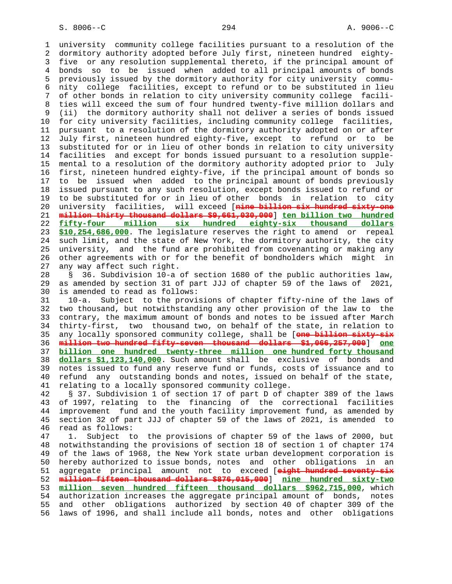1 university community college facilities pursuant to a resolution of the 2 dormitory authority adopted before July first, nineteen hundred eighty- 3 five or any resolution supplemental thereto, if the principal amount of 4 bonds so to be issued when added to all principal amounts of bonds 5 previously issued by the dormitory authority for city university commu- 6 nity college facilities, except to refund or to be substituted in lieu 7 of other bonds in relation to city university community college facili- 8 ties will exceed the sum of four hundred twenty-five million dollars and 9 (ii) the dormitory authority shall not deliver a series of bonds issued 10 for city university facilities, including community college facilities, 11 pursuant to a resolution of the dormitory authority adopted on or after 12 July first, nineteen hundred eighty-five, except to refund or to be 13 substituted for or in lieu of other bonds in relation to city university 14 facilities and except for bonds issued pursuant to a resolution supple- 15 mental to a resolution of the dormitory authority adopted prior to July 16 first, nineteen hundred eighty-five, if the principal amount of bonds so 17 to be issued when added to the principal amount of bonds previously 18 issued pursuant to any such resolution, except bonds issued to refund or 19 to be substituted for or in lieu of other bonds in relation to city 20 university facilities, will exceed [**nine billion six hundred sixty-one** 21 **million thirty thousand dollars \$9,661,030,000**] **ten billion two hundred** 22 **fifty-four million six hundred eighty-six thousand dollars** 23 **\$10,254,686,000**. The legislature reserves the right to amend or repeal 24 such limit, and the state of New York, the dormitory authority, the city 25 university, and the fund are prohibited from covenanting or making any 26 other agreements with or for the benefit of bondholders which might in 27 any way affect such right. 28 § 36. Subdivision 10-a of section 1680 of the public authorities law, 29 as amended by section 31 of part JJJ of chapter 59 of the laws of 2021, 30 is amended to read as follows: 31 10-a. Subject to the provisions of chapter fifty-nine of the laws of 32 two thousand, but notwithstanding any other provision of the law to the 33 contrary, the maximum amount of bonds and notes to be issued after March 34 thirty-first, two thousand two, on behalf of the state, in relation to 35 any locally sponsored community college, shall be [**one billion sixty-six** 36 **million two hundred fifty-seven thousand dollars \$1,066,257,000**] **one** 37 **billion one hundred twenty-three million one hundred forty thousand** 38 **dollars \$1,123,140,000**. Such amount shall be exclusive of bonds and 39 notes issued to fund any reserve fund or funds, costs of issuance and to 40 refund any outstanding bonds and notes, issued on behalf of the state, 41 relating to a locally sponsored community college. 42 § 37. Subdivision 1 of section 17 of part D of chapter 389 of the laws 43 of 1997, relating to the financing of the correctional facilities 44 improvement fund and the youth facility improvement fund, as amended by 45 section 32 of part JJJ of chapter 59 of the laws of 2021, is amended to 46 read as follows: 47 1. Subject to the provisions of chapter 59 of the laws of 2000, but 48 notwithstanding the provisions of section 18 of section 1 of chapter 174 49 of the laws of 1968, the New York state urban development corporation is 50 hereby authorized to issue bonds, notes and other obligations in an 51 aggregate principal amount not to exceed [**eight hundred seventy-six** 52 **million fifteen thousand dollars \$876,015,000**] **nine hundred sixty-two** 53 **million seven hundred fifteen thousand dollars \$962,715,000**, which 54 authorization increases the aggregate principal amount of bonds, notes 55 and other obligations authorized by section 40 of chapter 309 of the 56 laws of 1996, and shall include all bonds, notes and other obligations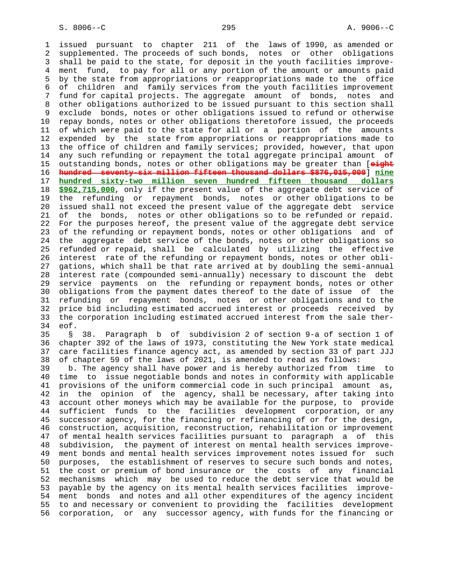1 issued pursuant to chapter 211 of the laws of 1990, as amended or 2 supplemented. The proceeds of such bonds, notes or other obligations 3 shall be paid to the state, for deposit in the youth facilities improve- 4 ment fund, to pay for all or any portion of the amount or amounts paid 5 by the state from appropriations or reappropriations made to the office 6 of children and family services from the youth facilities improvement 7 fund for capital projects. The aggregate amount of bonds, notes and 8 other obligations authorized to be issued pursuant to this section shall 9 exclude bonds, notes or other obligations issued to refund or otherwise<br>10 repay bonds, notes or other obligations theretofore issued. the proceeds repay bonds, notes or other obligations theretofore issued, the proceeds 11 of which were paid to the state for all or a portion of the amounts 12 expended by the state from appropriations or reappropriations made to 13 the office of children and family services; provided, however, that upon 14 any such refunding or repayment the total aggregate principal amount of 15 outstanding bonds, notes or other obligations may be greater than [**eight** 16 **hundred seventy-six million fifteen thousand dollars \$876,015,000**] **nine** 17 **hundred sixty-two million seven hundred fifteen thousand dollars** 18 **\$962,715,000**, only if the present value of the aggregate debt service of 19 the refunding or repayment bonds, notes or other obligations to be 20 issued shall not exceed the present value of the aggregate debt service 21 of the bonds, notes or other obligations so to be refunded or repaid. 22 For the purposes hereof, the present value of the aggregate debt service 23 of the refunding or repayment bonds, notes or other obligations and of 24 the aggregate debt service of the bonds, notes or other obligations so 25 refunded or repaid, shall be calculated by utilizing the effective 26 interest rate of the refunding or repayment bonds, notes or other obli- 27 gations, which shall be that rate arrived at by doubling the semi-annual 28 interest rate (compounded semi-annually) necessary to discount the debt 29 service payments on the refunding or repayment bonds, notes or other 30 obligations from the payment dates thereof to the date of issue of the 31 refunding or repayment bonds, notes or other obligations and to the 32 price bid including estimated accrued interest or proceeds received by 33 the corporation including estimated accrued interest from the sale ther- 34 eof.

 35 § 38. Paragraph b of subdivision 2 of section 9-a of section 1 of 36 chapter 392 of the laws of 1973, constituting the New York state medical 37 care facilities finance agency act, as amended by section 33 of part JJJ 38 of chapter 59 of the laws of 2021, is amended to read as follows:

 39 b. The agency shall have power and is hereby authorized from time to 40 time to issue negotiable bonds and notes in conformity with applicable 41 provisions of the uniform commercial code in such principal amount as, 42 in the opinion of the agency, shall be necessary, after taking into 43 account other moneys which may be available for the purpose, to provide 44 sufficient funds to the facilities development corporation, or any 45 successor agency, for the financing or refinancing of or for the design, 46 construction, acquisition, reconstruction, rehabilitation or improvement 47 of mental health services facilities pursuant to paragraph a of this 48 subdivision, the payment of interest on mental health services improve- 49 ment bonds and mental health services improvement notes issued for such 50 purposes, the establishment of reserves to secure such bonds and notes, 51 the cost or premium of bond insurance or the costs of any financial 52 mechanisms which may be used to reduce the debt service that would be 53 payable by the agency on its mental health services facilities improve- 54 ment bonds and notes and all other expenditures of the agency incident 55 to and necessary or convenient to providing the facilities development 56 corporation, or any successor agency, with funds for the financing or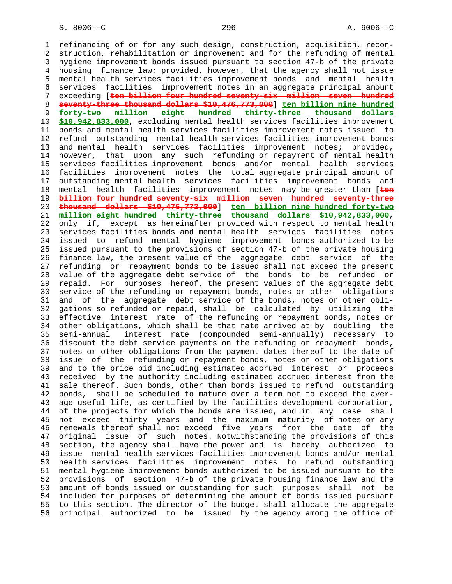S. 8006--C 296 A. 9006--C

 1 refinancing of or for any such design, construction, acquisition, recon- 2 struction, rehabilitation or improvement and for the refunding of mental 3 hygiene improvement bonds issued pursuant to section 47-b of the private 4 housing finance law; provided, however, that the agency shall not issue 5 mental health services facilities improvement bonds and mental health 6 services facilities improvement notes in an aggregate principal amount 7 exceeding [**ten billion four hundred seventy-six million seven hundred** 8 **seventy-three thousand dollars \$10,476,773,000**] **ten billion nine hundred** 9 **forty-two million eight hundred thirty-three thousand dollars** 10 **\$10,942,833,000**, excluding mental health services facilities improvement 11 bonds and mental health services facilities improvement notes issued to 12 refund outstanding mental health services facilities improvement bonds 13 and mental health services facilities improvement notes; provided, 14 however, that upon any such refunding or repayment of mental health 15 services facilities improvement bonds and/or mental health services 16 facilities improvement notes the total aggregate principal amount of 17 outstanding mental health services facilities improvement bonds and 18 mental health facilities improvement notes may be greater than [**ten** 19 **billion four hundred seventy-six million seven hundred seventy-three** 20 **thousand dollars \$10,476,773,000**] **ten billion nine hundred forty-two** 21 **million eight hundred thirty-three thousand dollars \$10,942,833,000**, 22 only if, except as hereinafter provided with respect to mental health 23 services facilities bonds and mental health services facilities notes 24 issued to refund mental hygiene improvement bonds authorized to be 25 issued pursuant to the provisions of section 47-b of the private housing 26 finance law, the present value of the aggregate debt service of the 27 refunding or repayment bonds to be issued shall not exceed the present 28 value of the aggregate debt service of the bonds to be refunded or 29 repaid. For purposes hereof, the present values of the aggregate debt 30 service of the refunding or repayment bonds, notes or other obligations 31 and of the aggregate debt service of the bonds, notes or other obli- 32 gations so refunded or repaid, shall be calculated by utilizing the 33 effective interest rate of the refunding or repayment bonds, notes or 34 other obligations, which shall be that rate arrived at by doubling the 35 semi-annual interest rate (compounded semi-annually) necessary to 36 discount the debt service payments on the refunding or repayment bonds, 37 notes or other obligations from the payment dates thereof to the date of 38 issue of the refunding or repayment bonds, notes or other obligations 39 and to the price bid including estimated accrued interest or proceeds 40 received by the authority including estimated accrued interest from the 41 sale thereof. Such bonds, other than bonds issued to refund outstanding 42 bonds, shall be scheduled to mature over a term not to exceed the aver- 43 age useful life, as certified by the facilities development corporation, 44 of the projects for which the bonds are issued, and in any case shall 45 not exceed thirty years and the maximum maturity of notes or any 46 renewals thereof shall not exceed five years from the date of the 47 original issue of such notes. Notwithstanding the provisions of this 48 section, the agency shall have the power and is hereby authorized to 49 issue mental health services facilities improvement bonds and/or mental 50 health services facilities improvement notes to refund outstanding 51 mental hygiene improvement bonds authorized to be issued pursuant to the 52 provisions of section 47-b of the private housing finance law and the 53 amount of bonds issued or outstanding for such purposes shall not be 54 included for purposes of determining the amount of bonds issued pursuant 55 to this section. The director of the budget shall allocate the aggregate 56 principal authorized to be issued by the agency among the office of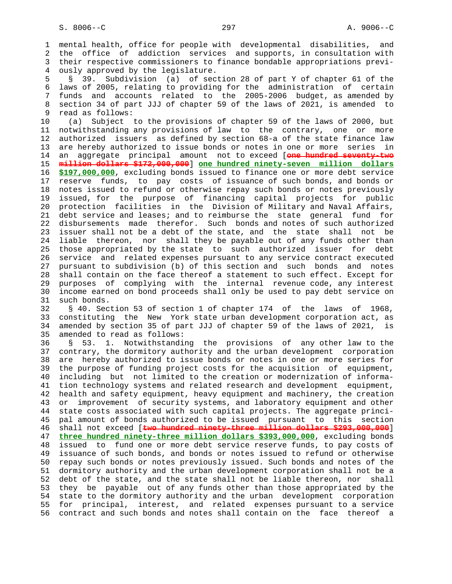1 mental health, office for people with developmental disabilities, and 2 the office of addiction services and supports, in consultation with 3 their respective commissioners to finance bondable appropriations previ- 4 ously approved by the legislature.

 5 § 39. Subdivision (a) of section 28 of part Y of chapter 61 of the 6 laws of 2005, relating to providing for the administration of certain 7 funds and accounts related to the 2005-2006 budget, as amended by 8 section 34 of part JJJ of chapter 59 of the laws of 2021, is amended to 9 read as follows:

 10 (a) Subject to the provisions of chapter 59 of the laws of 2000, but 11 notwithstanding any provisions of law to the contrary, one or more 12 authorized issuers as defined by section 68-a of the state finance law 13 are hereby authorized to issue bonds or notes in one or more series in 14 an aggregate principal amount not to exceed [**one hundred seventy-two** 15 **million dollars \$172,000,000**] **one hundred ninety-seven million dollars** 16 **\$197,000,000**, excluding bonds issued to finance one or more debt service 17 reserve funds, to pay costs of issuance of such bonds, and bonds or 18 notes issued to refund or otherwise repay such bonds or notes previously 19 issued, for the purpose of financing capital projects for public 20 protection facilities in the Division of Military and Naval Affairs, 21 debt service and leases; and to reimburse the state general fund for 22 disbursements made therefor. Such bonds and notes of such authorized 23 issuer shall not be a debt of the state, and the state shall not be 24 liable thereon, nor shall they be payable out of any funds other than 25 those appropriated by the state to such authorized issuer for debt 26 service and related expenses pursuant to any service contract executed 27 pursuant to subdivision (b) of this section and such bonds and notes 28 shall contain on the face thereof a statement to such effect. Except for 29 purposes of complying with the internal revenue code, any interest 30 income earned on bond proceeds shall only be used to pay debt service on 31 such bonds.

 32 § 40. Section 53 of section 1 of chapter 174 of the laws of 1968, 33 constituting the New York state urban development corporation act, as 34 amended by section 35 of part JJJ of chapter 59 of the laws of 2021, is 35 amended to read as follows:

 36 § 53. 1. Notwithstanding the provisions of any other law to the 37 contrary, the dormitory authority and the urban development corporation 38 are hereby authorized to issue bonds or notes in one or more series for 39 the purpose of funding project costs for the acquisition of equipment, 40 including but not limited to the creation or modernization of informa- 41 tion technology systems and related research and development equipment, 42 health and safety equipment, heavy equipment and machinery, the creation 43 or improvement of security systems, and laboratory equipment and other 44 state costs associated with such capital projects. The aggregate princi- 45 pal amount of bonds authorized to be issued pursuant to this section 46 shall not exceed [**two hundred ninety-three million dollars \$293,000,000**] 47 **three hundred ninety-three million dollars \$393,000,000**, excluding bonds 48 issued to fund one or more debt service reserve funds, to pay costs of 49 issuance of such bonds, and bonds or notes issued to refund or otherwise 50 repay such bonds or notes previously issued. Such bonds and notes of the 51 dormitory authority and the urban development corporation shall not be a 52 debt of the state, and the state shall not be liable thereon, nor shall 53 they be payable out of any funds other than those appropriated by the 54 state to the dormitory authority and the urban development corporation 55 for principal, interest, and related expenses pursuant to a service 56 contract and such bonds and notes shall contain on the face thereof a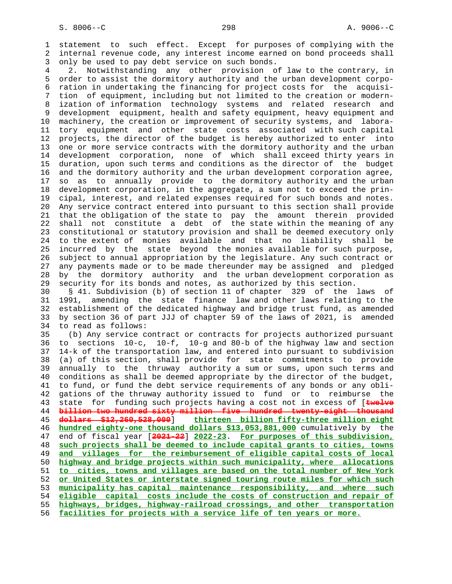1 statement to such effect. Except for purposes of complying with the 2 internal revenue code, any interest income earned on bond proceeds shall 3 only be used to pay debt service on such bonds.

 4 2. Notwithstanding any other provision of law to the contrary, in 5 order to assist the dormitory authority and the urban development corpo- 6 ration in undertaking the financing for project costs for the acquisi- 7 tion of equipment, including but not limited to the creation or modern- 8 ization of information technology systems and related research and 9 development equipment, health and safety equipment, heavy equipment and<br>10 machinery, the creation or improvement of security systems, and laboramachinery, the creation or improvement of security systems, and labora- 11 tory equipment and other state costs associated with such capital 12 projects, the director of the budget is hereby authorized to enter into 13 one or more service contracts with the dormitory authority and the urban 14 development corporation, none of which shall exceed thirty years in 15 duration, upon such terms and conditions as the director of the budget 16 and the dormitory authority and the urban development corporation agree, 17 so as to annually provide to the dormitory authority and the urban 18 development corporation, in the aggregate, a sum not to exceed the prin- 19 cipal, interest, and related expenses required for such bonds and notes. 20 Any service contract entered into pursuant to this section shall provide 21 that the obligation of the state to pay the amount therein provided 22 shall not constitute a debt of the state within the meaning of any 23 constitutional or statutory provision and shall be deemed executory only 24 to the extent of monies available and that no liability shall be 25 incurred by the state beyond the monies available for such purpose, 26 subject to annual appropriation by the legislature. Any such contract or 27 any payments made or to be made thereunder may be assigned and pledged 28 by the dormitory authority and the urban development corporation as 29 security for its bonds and notes, as authorized by this section.

 30 § 41. Subdivision (b) of section 11 of chapter 329 of the laws of 31 1991, amending the state finance law and other laws relating to the 32 establishment of the dedicated highway and bridge trust fund, as amended 33 by section 36 of part JJJ of chapter 59 of the laws of 2021, is amended 34 to read as follows:

 35 (b) Any service contract or contracts for projects authorized pursuant 36 to sections 10-c, 10-f, 10-g and 80-b of the highway law and section 37 14-k of the transportation law, and entered into pursuant to subdivision 38 (a) of this section, shall provide for state commitments to provide 39 annually to the thruway authority a sum or sums, upon such terms and 40 conditions as shall be deemed appropriate by the director of the budget, 41 to fund, or fund the debt service requirements of any bonds or any obli- 42 gations of the thruway authority issued to fund or to reimburse the 43 state for funding such projects having a cost not in excess of [**twelve** 44 **billion two hundred sixty million five hundred twenty-eight thousand** 45 **dollars \$12,260,528,000**] **thirteen billion fifty-three million eight** 46 **hundred eighty-one thousand dollars \$13,053,881,000** cumulatively by the 47 end of fiscal year [**2021-22**] **2022-23**. **For purposes of this subdivision,** 48 **such projects shall be deemed to include capital grants to cities, towns** 49 **and villages for the reimbursement of eligible capital costs of local** 50 **highway and bridge projects within such municipality, where allocations** 51 **to cities, towns and villages are based on the total number of New York** 52 **or United States or interstate signed touring route miles for which such** 53 **municipality has capital maintenance responsibility, and where such** 54 **eligible capital costs include the costs of construction and repair of** 55 **highways, bridges, highway-railroad crossings, and other transportation** 56 **facilities for projects with a service life of ten years or more.**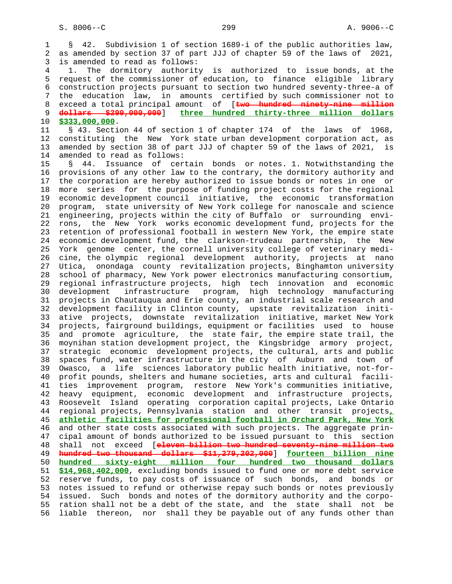1 § 42. Subdivision 1 of section 1689-i of the public authorities law, 2 as amended by section 37 of part JJJ of chapter 59 of the laws of 2021, 3 is amended to read as follows: 4 1. The dormitory authority is authorized to issue bonds, at the 5 request of the commissioner of education, to finance eligible library 6 construction projects pursuant to section two hundred seventy-three-a of 7 the education law, in amounts certified by such commissioner not to 8 exceed a total principal amount of [**two hundred ninety-nine million** 9 **dollars \$299,000,000**] **three hundred thirty-three million dollars** 10 **\$333,000,000**. 11 § 43. Section 44 of section 1 of chapter 174 of the laws of 1968, 12 constituting the New York state urban development corporation act, as 13 amended by section 38 of part JJJ of chapter 59 of the laws of 2021, is 14 amended to read as follows: 15 § 44. Issuance of certain bonds or notes. 1. Notwithstanding the 16 provisions of any other law to the contrary, the dormitory authority and 17 the corporation are hereby authorized to issue bonds or notes in one or 18 more series for the purpose of funding project costs for the regional 19 economic development council initiative, the economic transformation 20 program, state university of New York college for nanoscale and science 21 engineering, projects within the city of Buffalo or surrounding envi- 22 rons, the New York works economic development fund, projects for the 23 retention of professional football in western New York, the empire state 24 economic development fund, the clarkson-trudeau partnership, the New 25 York genome center, the cornell university college of veterinary medi- 26 cine, the olympic regional development authority, projects at nano 27 Utica, onondaga county revitalization projects, Binghamton university 28 school of pharmacy, New York power electronics manufacturing consortium, 29 regional infrastructure projects, high tech innovation and economic 30 development infrastructure program, high technology manufacturing 31 projects in Chautauqua and Erie county, an industrial scale research and 32 development facility in Clinton county, upstate revitalization initi- 33 ative projects, downstate revitalization initiative, market New York 34 projects, fairground buildings, equipment or facilities used to house 35 and promote agriculture, the state fair, the empire state trail, the 36 moynihan station development project, the Kingsbridge armory project, 37 strategic economic development projects, the cultural, arts and public 38 spaces fund, water infrastructure in the city of Auburn and town of 39 Owasco, a life sciences laboratory public health initiative, not-for- 40 profit pounds, shelters and humane societies, arts and cultural facili- 41 ties improvement program, restore New York's communities initiative, 42 heavy equipment, economic development and infrastructure projects, 43 Roosevelt Island operating corporation capital projects, Lake Ontario 44 regional projects, Pennsylvania station and other transit projects**,** 45 **athletic facilities for professional football in Orchard Park, New York** 46 and other state costs associated with such projects. The aggregate prin- 47 cipal amount of bonds authorized to be issued pursuant to this section 48 shall not exceed [**eleven billion two hundred seventy-nine million two** 49 **hundred two thousand dollars \$11,279,202,000**] **fourteen billion nine** 50 **hundred sixty-eight million four hundred two thousand dollars** 51 **\$14,968,402,000**, excluding bonds issued to fund one or more debt service 52 reserve funds, to pay costs of issuance of such bonds, and bonds or 53 notes issued to refund or otherwise repay such bonds or notes previously 54 issued. Such bonds and notes of the dormitory authority and the corpo- 55 ration shall not be a debt of the state, and the state shall not be 56 liable thereon, nor shall they be payable out of any funds other than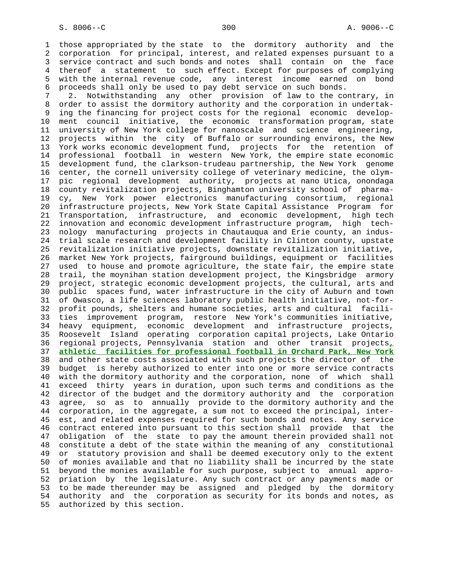1 those appropriated by the state to the dormitory authority and the 2 corporation for principal, interest, and related expenses pursuant to a 3 service contract and such bonds and notes shall contain on the face 4 thereof a statement to such effect. Except for purposes of complying 5 with the internal revenue code, any interest income earned on bond 6 proceeds shall only be used to pay debt service on such bonds.

 7 2. Notwithstanding any other provision of law to the contrary, in 8 order to assist the dormitory authority and the corporation in undertak- 9 ing the financing for project costs for the regional economic develop-<br>10 ment council initiative, the economic transformation program, state ment council initiative, the economic transformation program, state 11 university of New York college for nanoscale and science engineering, 12 projects within the city of Buffalo or surrounding environs, the New 13 York works economic development fund, projects for the retention of 14 professional football in western New York, the empire state economic 15 development fund, the clarkson-trudeau partnership, the New York genome 16 center, the cornell university college of veterinary medicine, the olym- 17 pic regional development authority, projects at nano Utica, onondaga 18 county revitalization projects, Binghamton university school of pharma- 19 cy, New York power electronics manufacturing consortium, regional 20 infrastructure projects, New York State Capital Assistance Program for 21 Transportation, infrastructure, and economic development, high tech 22 innovation and economic development infrastructure program, high tech- 23 nology manufacturing projects in Chautauqua and Erie county, an indus- 24 trial scale research and development facility in Clinton county, upstate 25 revitalization initiative projects, downstate revitalization initiative, 26 market New York projects, fairground buildings, equipment or facilities 27 used to house and promote agriculture, the state fair, the empire state 28 trail, the moynihan station development project, the Kingsbridge armory 29 project, strategic economic development projects, the cultural, arts and 30 public spaces fund, water infrastructure in the city of Auburn and town 31 of Owasco, a life sciences laboratory public health initiative, not-for- 32 profit pounds, shelters and humane societies, arts and cultural facili- 33 ties improvement program, restore New York's communities initiative, 34 heavy equipment, economic development and infrastructure projects, 35 Roosevelt Island operating corporation capital projects, Lake Ontario 36 regional projects, Pennsylvania station and other transit projects**,** 37 **athletic facilities for professional football in Orchard Park, New York** 38 and other state costs associated with such projects the director of the 39 budget is hereby authorized to enter into one or more service contracts 40 with the dormitory authority and the corporation, none of which shall 41 exceed thirty years in duration, upon such terms and conditions as the 42 director of the budget and the dormitory authority and the corporation 43 agree, so as to annually provide to the dormitory authority and the 44 corporation, in the aggregate, a sum not to exceed the principal, inter- 45 est, and related expenses required for such bonds and notes. Any service 46 contract entered into pursuant to this section shall provide that the 47 obligation of the state to pay the amount therein provided shall not 48 constitute a debt of the state within the meaning of any constitutional 49 or statutory provision and shall be deemed executory only to the extent 50 of monies available and that no liability shall be incurred by the state 51 beyond the monies available for such purpose, subject to annual appro- 52 priation by the legislature. Any such contract or any payments made or 53 to be made thereunder may be assigned and pledged by the dormitory 54 authority and the corporation as security for its bonds and notes, as 55 authorized by this section.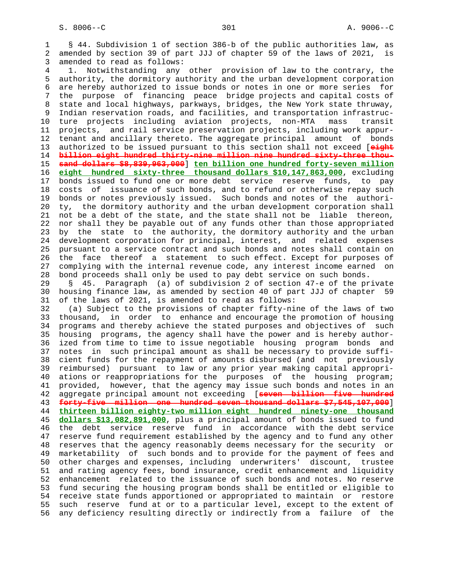1 § 44. Subdivision 1 of section 386-b of the public authorities law, as 2 amended by section 39 of part JJJ of chapter 59 of the laws of 2021, is 3 amended to read as follows:

 4 1. Notwithstanding any other provision of law to the contrary, the 5 authority, the dormitory authority and the urban development corporation 6 are hereby authorized to issue bonds or notes in one or more series for 7 the purpose of financing peace bridge projects and capital costs of 8 state and local highways, parkways, bridges, the New York state thruway, 9 Indian reservation roads, and facilities, and transportation infrastruc- 10 ture projects including aviation projects, non-MTA mass transit 11 projects, and rail service preservation projects, including work appur- 12 tenant and ancillary thereto. The aggregate principal amount of bonds 13 authorized to be issued pursuant to this section shall not exceed [**eight** 14 **billion eight hundred thirty-nine million nine hundred sixty-three thou-** 15 **sand dollars \$8,839,963,000**] **ten billion one hundred forty-seven million** 16 **eight hundred sixty-three thousand dollars \$10,147,863,000**, excluding 17 bonds issued to fund one or more debt service reserve funds, to pay 18 costs of issuance of such bonds, and to refund or otherwise repay such 19 bonds or notes previously issued. Such bonds and notes of the authori- 20 ty, the dormitory authority and the urban development corporation shall 21 not be a debt of the state, and the state shall not be liable thereon, 22 nor shall they be payable out of any funds other than those appropriated 23 by the state to the authority, the dormitory authority and the urban 24 development corporation for principal, interest, and related expenses 25 pursuant to a service contract and such bonds and notes shall contain on 26 the face thereof a statement to such effect. Except for purposes of 27 complying with the internal revenue code, any interest income earned on 28 bond proceeds shall only be used to pay debt service on such bonds.

 29 § 45. Paragraph (a) of subdivision 2 of section 47-e of the private 30 housing finance law, as amended by section 40 of part JJJ of chapter 59 31 of the laws of 2021, is amended to read as follows:

 32 (a) Subject to the provisions of chapter fifty-nine of the laws of two 33 thousand, in order to enhance and encourage the promotion of housing 34 programs and thereby achieve the stated purposes and objectives of such 35 housing programs, the agency shall have the power and is hereby author- 36 ized from time to time to issue negotiable housing program bonds and 37 notes in such principal amount as shall be necessary to provide suffi- 38 cient funds for the repayment of amounts disbursed (and not previously 39 reimbursed) pursuant to law or any prior year making capital appropri- 40 ations or reappropriations for the purposes of the housing program; 41 provided, however, that the agency may issue such bonds and notes in an 42 aggregate principal amount not exceeding [**seven billion five hundred** 43 **forty-five million one hundred seven thousand dollars \$7,545,107,000**] 44 **thirteen billion eighty-two million eight hundred ninety-one thousand** 45 **dollars \$13,082,891,000**, plus a principal amount of bonds issued to fund 46 the debt service reserve fund in accordance with the debt service 47 reserve fund requirement established by the agency and to fund any other 48 reserves that the agency reasonably deems necessary for the security or 49 marketability of such bonds and to provide for the payment of fees and 50 other charges and expenses, including underwriters' discount, trustee 51 and rating agency fees, bond insurance, credit enhancement and liquidity 52 enhancement related to the issuance of such bonds and notes. No reserve 53 fund securing the housing program bonds shall be entitled or eligible to 54 receive state funds apportioned or appropriated to maintain or restore 55 such reserve fund at or to a particular level, except to the extent of 56 any deficiency resulting directly or indirectly from a failure of the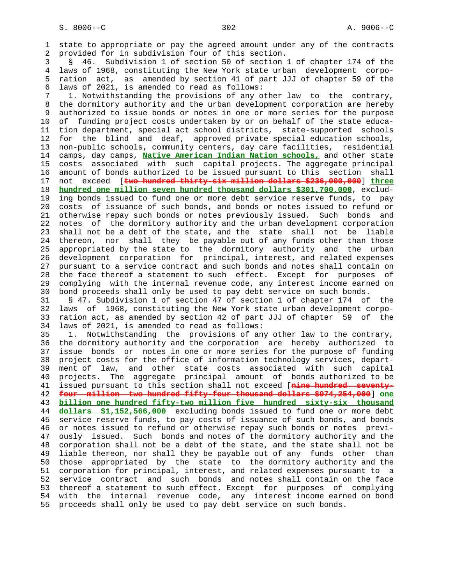1 state to appropriate or pay the agreed amount under any of the contracts 2 provided for in subdivision four of this section.

 3 § 46. Subdivision 1 of section 50 of section 1 of chapter 174 of the 4 laws of 1968, constituting the New York state urban development corpo- 5 ration act, as amended by section 41 of part JJJ of chapter 59 of the 6 laws of 2021, is amended to read as follows:

 7 1. Notwithstanding the provisions of any other law to the contrary, 8 the dormitory authority and the urban development corporation are hereby 9 authorized to issue bonds or notes in one or more series for the purpose 10 of funding project costs undertaken by or on behalf of the state educa- 11 tion department, special act school districts, state-supported schools 12 for the blind and deaf, approved private special education schools, 13 non-public schools, community centers, day care facilities, residential 14 camps, day camps, **Native American Indian Nation schools,** and other state 15 costs associated with such capital projects. The aggregate principal 16 amount of bonds authorized to be issued pursuant to this section shall 17 not exceed [**two hundred thirty-six million dollars \$236,000,000**] **three** 18 **hundred one million seven hundred thousand dollars \$301,700,000**, exclud- 19 ing bonds issued to fund one or more debt service reserve funds, to pay 20 costs of issuance of such bonds, and bonds or notes issued to refund or 21 otherwise repay such bonds or notes previously issued. Such bonds and 22 notes of the dormitory authority and the urban development corporation 23 shall not be a debt of the state, and the state shall not be liable 24 thereon, nor shall they be payable out of any funds other than those 25 appropriated by the state to the dormitory authority and the urban 26 development corporation for principal, interest, and related expenses 27 pursuant to a service contract and such bonds and notes shall contain on 28 the face thereof a statement to such effect. Except for purposes of 29 complying with the internal revenue code, any interest income earned on 30 bond proceeds shall only be used to pay debt service on such bonds.

 31 § 47. Subdivision 1 of section 47 of section 1 of chapter 174 of the 32 laws of 1968, constituting the New York state urban development corpo- 33 ration act, as amended by section 42 of part JJJ of chapter 59 of the 34 laws of 2021, is amended to read as follows:

 35 1. Notwithstanding the provisions of any other law to the contrary, 36 the dormitory authority and the corporation are hereby authorized to 37 issue bonds or notes in one or more series for the purpose of funding 38 project costs for the office of information technology services, depart- 39 ment of law, and other state costs associated with such capital 40 projects. The aggregate principal amount of bonds authorized to be 41 issued pursuant to this section shall not exceed [**nine hundred seventy-** 42 **four million two hundred fifty-four thousand dollars \$974,254,000**] **one** 43 **billion one hundred fifty-two million five hundred sixty-six thousand** 44 **dollars \$1,152,566,000** excluding bonds issued to fund one or more debt 45 service reserve funds, to pay costs of issuance of such bonds, and bonds 46 or notes issued to refund or otherwise repay such bonds or notes previ- 47 ously issued. Such bonds and notes of the dormitory authority and the 48 corporation shall not be a debt of the state, and the state shall not be 49 liable thereon, nor shall they be payable out of any funds other than 50 those appropriated by the state to the dormitory authority and the 51 corporation for principal, interest, and related expenses pursuant to a 52 service contract and such bonds and notes shall contain on the face 53 thereof a statement to such effect. Except for purposes of complying 54 with the internal revenue code, any interest income earned on bond 55 proceeds shall only be used to pay debt service on such bonds.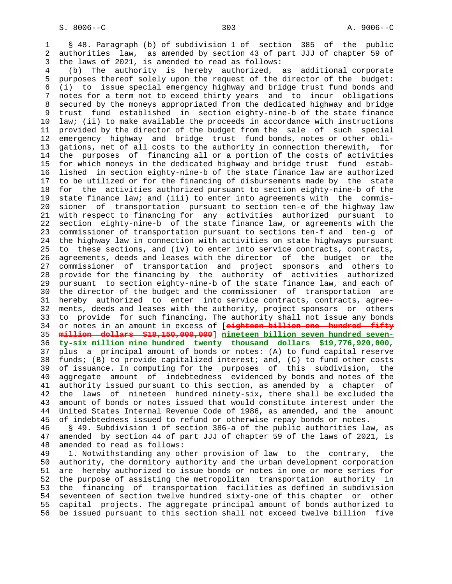1 § 48. Paragraph (b) of subdivision 1 of section 385 of the public 2 authorities law, as amended by section 43 of part JJJ of chapter 59 of 3 the laws of 2021, is amended to read as follows:

 4 (b) The authority is hereby authorized, as additional corporate 5 purposes thereof solely upon the request of the director of the budget: 6 (i) to issue special emergency highway and bridge trust fund bonds and 7 notes for a term not to exceed thirty years and to incur obligations 8 secured by the moneys appropriated from the dedicated highway and bridge 9 trust fund established in section eighty-nine-b of the state finance 10 law; (ii) to make available the proceeds in accordance with instructions 11 provided by the director of the budget from the sale of such special 12 emergency highway and bridge trust fund bonds, notes or other obli- 13 gations, net of all costs to the authority in connection therewith, for 14 the purposes of financing all or a portion of the costs of activities 15 for which moneys in the dedicated highway and bridge trust fund estab- 16 lished in section eighty-nine-b of the state finance law are authorized 17 to be utilized or for the financing of disbursements made by the state 18 for the activities authorized pursuant to section eighty-nine-b of the 19 state finance law; and (iii) to enter into agreements with the commis- 20 sioner of transportation pursuant to section ten-e of the highway law 21 with respect to financing for any activities authorized pursuant to 22 section eighty-nine-b of the state finance law, or agreements with the 23 commissioner of transportation pursuant to sections ten-f and ten-g of 24 the highway law in connection with activities on state highways pursuant 25 to these sections, and (iv) to enter into service contracts, contracts, 26 agreements, deeds and leases with the director of the budget or the 27 commissioner of transportation and project sponsors and others to 28 provide for the financing by the authority of activities authorized 29 pursuant to section eighty-nine-b of the state finance law, and each of 30 the director of the budget and the commissioner of transportation are 31 hereby authorized to enter into service contracts, contracts, agree- 32 ments, deeds and leases with the authority, project sponsors or others 33 to provide for such financing. The authority shall not issue any bonds 34 or notes in an amount in excess of [**eighteen billion one hundred fifty** 35 **million dollars \$18,150,000,000**] **nineteen billion seven hundred seven-** 36 **ty-six million nine hundred twenty thousand dollars \$19,776,920,000**,

 37 plus a principal amount of bonds or notes: (A) to fund capital reserve 38 funds; (B) to provide capitalized interest; and, (C) to fund other costs 39 of issuance. In computing for the purposes of this subdivision, the 40 aggregate amount of indebtedness evidenced by bonds and notes of the 41 authority issued pursuant to this section, as amended by a chapter of 42 the laws of nineteen hundred ninety-six, there shall be excluded the 43 amount of bonds or notes issued that would constitute interest under the 44 United States Internal Revenue Code of 1986, as amended, and the amount 45 of indebtedness issued to refund or otherwise repay bonds or notes.

 46 § 49. Subdivision 1 of section 386-a of the public authorities law, as 47 amended by section 44 of part JJJ of chapter 59 of the laws of 2021, is 48 amended to read as follows:

 49 1. Notwithstanding any other provision of law to the contrary, the 50 authority, the dormitory authority and the urban development corporation 51 are hereby authorized to issue bonds or notes in one or more series for 52 the purpose of assisting the metropolitan transportation authority in 53 the financing of transportation facilities as defined in subdivision 54 seventeen of section twelve hundred sixty-one of this chapter or other 55 capital projects. The aggregate principal amount of bonds authorized to 56 be issued pursuant to this section shall not exceed twelve billion five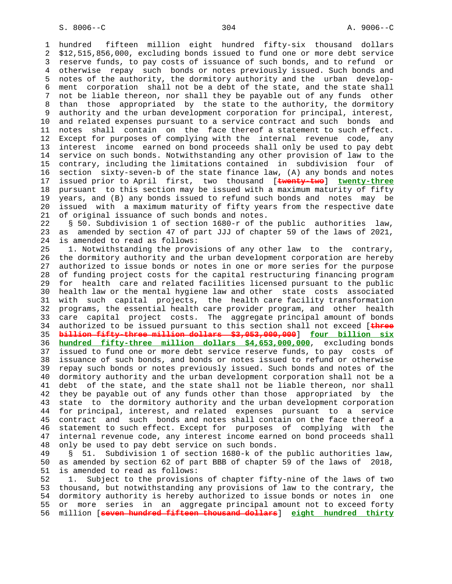1 hundred fifteen million eight hundred fifty-six thousand dollars 2 \$12,515,856,000, excluding bonds issued to fund one or more debt service 3 reserve funds, to pay costs of issuance of such bonds, and to refund or 4 otherwise repay such bonds or notes previously issued. Such bonds and 5 notes of the authority, the dormitory authority and the urban develop- 6 ment corporation shall not be a debt of the state, and the state shall 7 not be liable thereon, nor shall they be payable out of any funds other 8 than those appropriated by the state to the authority, the dormitory 9 authority and the urban development corporation for principal, interest, 10 and related expenses pursuant to a service contract and such bonds and 11 notes shall contain on the face thereof a statement to such effect. 12 Except for purposes of complying with the internal revenue code, any 13 interest income earned on bond proceeds shall only be used to pay debt 14 service on such bonds. Notwithstanding any other provision of law to the 15 contrary, including the limitations contained in subdivision four of 16 section sixty-seven-b of the state finance law, (A) any bonds and notes 17 issued prior to April first, two thousand [**twenty-two**] **twenty-three** 18 pursuant to this section may be issued with a maximum maturity of fifty 19 years, and (B) any bonds issued to refund such bonds and notes may be 20 issued with a maximum maturity of fifty years from the respective date 21 of original issuance of such bonds and notes.

 22 § 50. Subdivision 1 of section 1680-r of the public authorities law, 23 as amended by section 47 of part JJJ of chapter 59 of the laws of 2021, 24 is amended to read as follows:

 25 1. Notwithstanding the provisions of any other law to the contrary, 26 the dormitory authority and the urban development corporation are hereby 27 authorized to issue bonds or notes in one or more series for the purpose 28 of funding project costs for the capital restructuring financing program 29 for health care and related facilities licensed pursuant to the public 30 health law or the mental hygiene law and other state costs associated 31 with such capital projects, the health care facility transformation 32 programs, the essential health care provider program, and other health 33 care capital project costs. The aggregate principal amount of bonds 34 authorized to be issued pursuant to this section shall not exceed [**three** 35 **billion fifty-three million dollars \$3,053,000,000**] **four billion six** 36 **hundred fifty-three million dollars \$4,653,000,000**, excluding bonds 37 issued to fund one or more debt service reserve funds, to pay costs of 38 issuance of such bonds, and bonds or notes issued to refund or otherwise 39 repay such bonds or notes previously issued. Such bonds and notes of the 40 dormitory authority and the urban development corporation shall not be a 41 debt of the state, and the state shall not be liable thereon, nor shall 42 they be payable out of any funds other than those appropriated by the 43 state to the dormitory authority and the urban development corporation 44 for principal, interest, and related expenses pursuant to a service 45 contract and such bonds and notes shall contain on the face thereof a 46 statement to such effect. Except for purposes of complying with the 47 internal revenue code, any interest income earned on bond proceeds shall 48 only be used to pay debt service on such bonds.

 49 § 51. Subdivision 1 of section 1680-k of the public authorities law, 50 as amended by section 62 of part BBB of chapter 59 of the laws of 2018, 51 is amended to read as follows:

 52 1. Subject to the provisions of chapter fifty-nine of the laws of two 53 thousand, but notwithstanding any provisions of law to the contrary, the 54 dormitory authority is hereby authorized to issue bonds or notes in one 55 or more series in an aggregate principal amount not to exceed forty 56 million [**seven hundred fifteen thousand dollars**] **eight hundred thirty**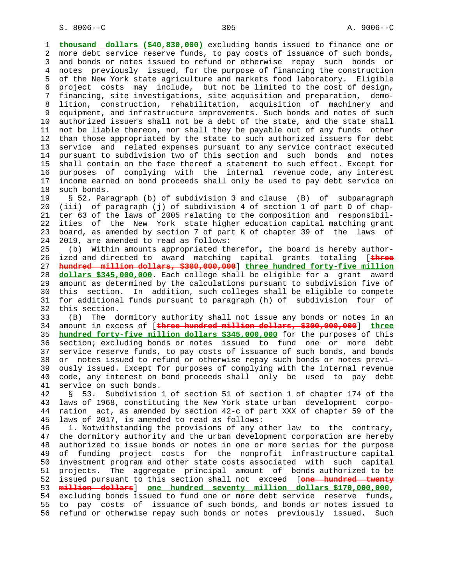1 **thousand dollars (\$40,830,000)** excluding bonds issued to finance one or 2 more debt service reserve funds, to pay costs of issuance of such bonds, 3 and bonds or notes issued to refund or otherwise repay such bonds or 4 notes previously issued, for the purpose of financing the construction 5 of the New York state agriculture and markets food laboratory. Eligible 6 project costs may include, but not be limited to the cost of design, 7 financing, site investigations, site acquisition and preparation, demo- 8 lition, construction, rehabilitation, acquisition of machinery and 9 equipment, and infrastructure improvements. Such bonds and notes of such 10 authorized issuers shall not be a debt of the state, and the state shall 11 not be liable thereon, nor shall they be payable out of any funds other 12 than those appropriated by the state to such authorized issuers for debt 13 service and related expenses pursuant to any service contract executed 14 pursuant to subdivision two of this section and such bonds and notes 15 shall contain on the face thereof a statement to such effect. Except for 16 purposes of complying with the internal revenue code, any interest 17 income earned on bond proceeds shall only be used to pay debt service on 18 such bonds. 19 § 52. Paragraph (b) of subdivision 3 and clause (B) of subparagraph 20 (iii) of paragraph (j) of subdivision 4 of section 1 of part D of chap- 21 ter 63 of the laws of 2005 relating to the composition and responsibil- 22 ities of the New York state higher education capital matching grant 23 board, as amended by section 7 of part K of chapter 39 of the laws of

24 2019, are amended to read as follows:

 25 (b) Within amounts appropriated therefor, the board is hereby author- 26 ized and directed to award matching capital grants totaling [**three** 27 **hundred million dollars, \$300,000,000**] **three hundred forty-five million** 28 **dollars \$345,000,000**. Each college shall be eligible for a grant award 29 amount as determined by the calculations pursuant to subdivision five of 30 this section. In addition, such colleges shall be eligible to compete 31 for additional funds pursuant to paragraph (h) of subdivision four of 32 this section.

 33 (B) The dormitory authority shall not issue any bonds or notes in an 34 amount in excess of [**three hundred million dollars, \$300,000,000**] **three** 35 **hundred forty-five million dollars \$345,000,000** for the purposes of this 36 section; excluding bonds or notes issued to fund one or more debt 37 service reserve funds, to pay costs of issuance of such bonds, and bonds 38 or notes issued to refund or otherwise repay such bonds or notes previ- 39 ously issued. Except for purposes of complying with the internal revenue 40 code, any interest on bond proceeds shall only be used to pay debt 41 service on such bonds.

 42 § 53. Subdivision 1 of section 51 of section 1 of chapter 174 of the 43 laws of 1968, constituting the New York state urban development corpo- 44 ration act, as amended by section 42-c of part XXX of chapter 59 of the 45 laws of 2017, is amended to read as follows:

 46 1. Notwithstanding the provisions of any other law to the contrary, 47 the dormitory authority and the urban development corporation are hereby 48 authorized to issue bonds or notes in one or more series for the purpose 49 of funding project costs for the nonprofit infrastructure capital 50 investment program and other state costs associated with such capital 51 projects. The aggregate principal amount of bonds authorized to be 52 issued pursuant to this section shall not exceed [**one hundred twenty** 53 **million dollars**] **one hundred seventy million dollars \$170,000,000**, 54 excluding bonds issued to fund one or more debt service reserve funds, 55 to pay costs of issuance of such bonds, and bonds or notes issued to 56 refund or otherwise repay such bonds or notes previously issued. Such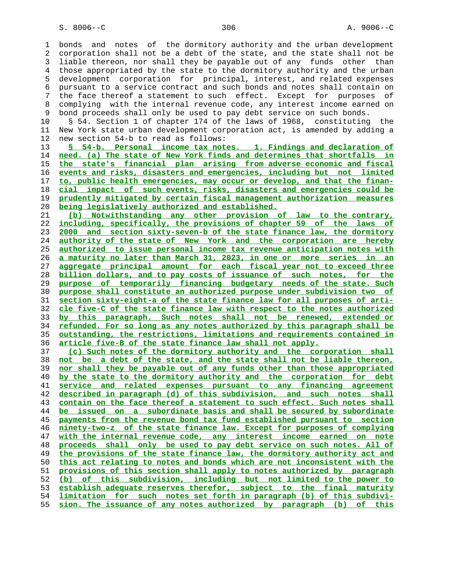1 bonds and notes of the dormitory authority and the urban development 2 corporation shall not be a debt of the state, and the state shall not be 3 liable thereon, nor shall they be payable out of any funds other than 4 those appropriated by the state to the dormitory authority and the urban 5 development corporation for principal, interest, and related expenses 6 pursuant to a service contract and such bonds and notes shall contain on 7 the face thereof a statement to such effect. Except for purposes of 8 complying with the internal revenue code, any interest income earned on 9 bond proceeds shall only be used to pay debt service on such bonds. 10 § 54. Section 1 of chapter 174 of the laws of 1968, constituting the 11 New York state urban development corporation act, is amended by adding a 12 new section 54-b to read as follows: **§ 54-b. Personal income tax notes. 1. Findings and declaration of need. (a) The state of New York finds and determines that shortfalls in the state's financial plan arising from adverse economic and fiscal events and risks, disasters and emergencies, including but not limited to, public health emergencies, may occur or develop, and that the finan- cial impact of such events, risks, disasters and emergencies could be prudently mitigated by certain fiscal management authorization measures being legislatively authorized and established. (b) Notwithstanding any other provision of law to the contrary, including, specifically, the provisions of chapter 59 of the laws of 2000 and section sixty-seven-b of the state finance law, the dormitory authority of the state of New York and the corporation are hereby authorized to issue personal income tax revenue anticipation notes with a maturity no later than March 31, 2023, in one or more series in an aggregate principal amount for each fiscal year not to exceed three billion dollars, and to pay costs of issuance of such notes, for the purpose of temporarily financing budgetary needs of the state. Such purpose shall constitute an authorized purpose under subdivision two of section sixty-eight-a of the state finance law for all purposes of arti- cle five-C of the state finance law with respect to the notes authorized by this paragraph. Such notes shall not be renewed, extended or refunded. For so long as any notes authorized by this paragraph shall be outstanding, the restrictions, limitations and requirements contained in article five-B of the state finance law shall not apply. (c) Such notes of the dormitory authority and the corporation shall not be a debt of the state, and the state shall not be liable thereon, nor shall they be payable out of any funds other than those appropriated by the state to the dormitory authority and the corporation for debt service and related expenses pursuant to any financing agreement described in paragraph (d) of this subdivision, and such notes shall contain on the face thereof a statement to such effect. Such notes shall be issued on a subordinate basis and shall be secured by subordinate payments from the revenue bond tax fund established pursuant to section ninety-two-z of the state finance law. Except for purposes of complying with the internal revenue code, any interest income earned on note proceeds shall only be used to pay debt service on such notes. All of the provisions of the state finance law, the dormitory authority act and this act relating to notes and bonds which are not inconsistent with the provisions of this section shall apply to notes authorized by paragraph (b) of this subdivision, including but not limited to the power to establish adequate reserves therefor, subject to the final maturity limitation for such notes set forth in paragraph (b) of this subdivi- sion. The issuance of any notes authorized by paragraph (b) of this**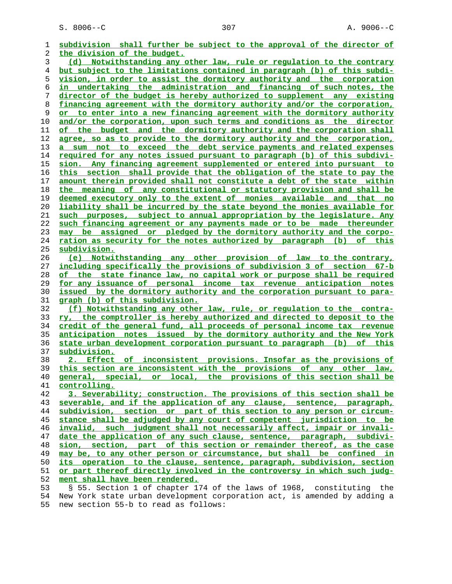S. 8006--C 307 A. 9006--C

**subdivision shall further be subject to the approval of the director of the division of the budget. (d) Notwithstanding any other law, rule or regulation to the contrary but subject to the limitations contained in paragraph (b) of this subdi- vision, in order to assist the dormitory authority and the corporation in undertaking the administration and financing of such notes, the director of the budget is hereby authorized to supplement any existing financing agreement with the dormitory authority and/or the corporation, or to enter into a new financing agreement with the dormitory authority** and/or the corporation, upon such terms and conditions as the director **of the budget and the dormitory authority and the corporation shall agree, so as to provide to the dormitory authority and the corporation, a sum not to exceed the debt service payments and related expenses required for any notes issued pursuant to paragraph (b) of this subdivi- sion. Any financing agreement supplemented or entered into pursuant to this section shall provide that the obligation of the state to pay the amount therein provided shall not constitute a debt of the state within the meaning of any constitutional or statutory provision and shall be deemed executory only to the extent of monies available and that no liability shall be incurred by the state beyond the monies available for such purposes, subject to annual appropriation by the legislature. Any such financing agreement or any payments made or to be made thereunder may be assigned or pledged by the dormitory authority and the corpo- ration as security for the notes authorized by paragraph (b) of this subdivision. (e) Notwithstanding any other provision of law to the contrary, including specifically the provisions of subdivision 3 of section 67-b of the state finance law, no capital work or purpose shall be required for any issuance of personal income tax revenue anticipation notes issued by the dormitory authority and the corporation pursuant to para- graph (b) of this subdivision. (f) Notwithstanding any other law, rule, or regulation to the contra- ry, the comptroller is hereby authorized and directed to deposit to the credit of the general fund, all proceeds of personal income tax revenue anticipation notes issued by the dormitory authority and the New York state urban development corporation pursuant to paragraph (b) of this subdivision. 2. Effect of inconsistent provisions. Insofar as the provisions of this section are inconsistent with the provisions of any other law, general, special, or local, the provisions of this section shall be controlling. 3. Severability; construction. The provisions of this section shall be severable, and if the application of any clause, sentence, paragraph, subdivision, section or part of this section to any person or circum- stance shall be adjudged by any court of competent jurisdiction to be invalid, such judgment shall not necessarily affect, impair or invali- date the application of any such clause, sentence, paragraph, subdivi- sion, section, part of this section or remainder thereof, as the case may be, to any other person or circumstance, but shall be confined in its operation to the clause, sentence, paragraph, subdivision, section or part thereof directly involved in the controversy in which such judg- ment shall have been rendered.** 53 § 55. Section 1 of chapter 174 of the laws of 1968, constituting the 54 New York state urban development corporation act, is amended by adding a

55 new section 55-b to read as follows: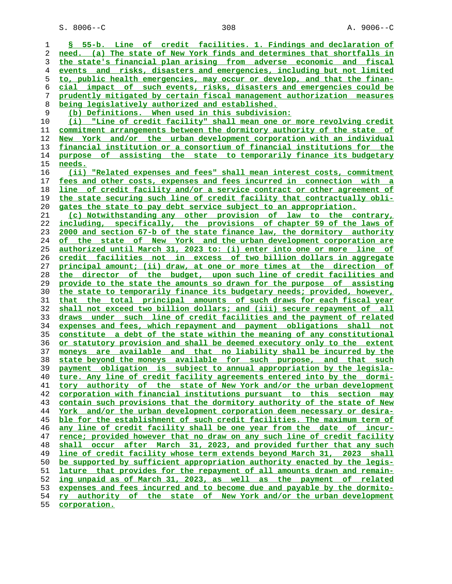S. 8006--C 308 A. 9006--C

**§ 55-b. Line of credit facilities. 1. Findings and declaration of need. (a) The state of New York finds and determines that shortfalls in the state's financial plan arising from adverse economic and fiscal events and risks, disasters and emergencies, including but not limited to, public health emergencies, may occur or develop, and that the finan- cial impact of such events, risks, disasters and emergencies could be prudently mitigated by certain fiscal management authorization measures being legislatively authorized and established. (b) Definitions. When used in this subdivision: (i) "Line of credit facility" shall mean one or more revolving credit commitment arrangements between the dormitory authority of the state of New York and/or the urban development corporation with an individual financial institution or a consortium of financial institutions for the purpose of assisting the state to temporarily finance its budgetary needs. (ii) "Related expenses and fees" shall mean interest costs, commitment fees and other costs, expenses and fees incurred in connection with a line of credit facility and/or a service contract or other agreement of the state securing such line of credit facility that contractually obli- gates the state to pay debt service subject to an appropriation. (c) Notwithstanding any other provision of law to the contrary, including, specifically, the provisions of chapter 59 of the laws of 2000 and section 67-b of the state finance law, the dormitory authority of the state of New York and the urban development corporation are authorized until March 31, 2023 to: (i) enter into one or more line of credit facilities not in excess of two billion dollars in aggregate principal amount; (ii) draw, at one or more times at the direction of the director of the budget, upon such line of credit facilities and provide to the state the amounts so drawn for the purpose of assisting the state to temporarily finance its budgetary needs; provided, however, that the total principal amounts of such draws for each fiscal year shall not exceed two billion dollars; and (iii) secure repayment of all draws under such line of credit facilities and the payment of related expenses and fees, which repayment and payment obligations shall not constitute a debt of the state within the meaning of any constitutional or statutory provision and shall be deemed executory only to the extent moneys are available and that no liability shall be incurred by the state beyond the moneys available for such purpose, and that such payment obligation is subject to annual appropriation by the legisla- ture. Any line of credit facility agreements entered into by the dormi- tory authority of the state of New York and/or the urban development corporation with financial institutions pursuant to this section may contain such provisions that the dormitory authority of the state of New York and/or the urban development corporation deem necessary or desira- ble for the establishment of such credit facilities. The maximum term of any line of credit facility shall be one year from the date of incur- rence; provided however that no draw on any such line of credit facility shall occur after March 31, 2023, and provided further that any such line of credit facility whose term extends beyond March 31, 2023 shall be supported by sufficient appropriation authority enacted by the legis- lature that provides for the repayment of all amounts drawn and remain- ing unpaid as of March 31, 2023, as well as the payment of related expenses and fees incurred and to become due and payable by the dormito- ry authority of the state of New York and/or the urban development corporation.**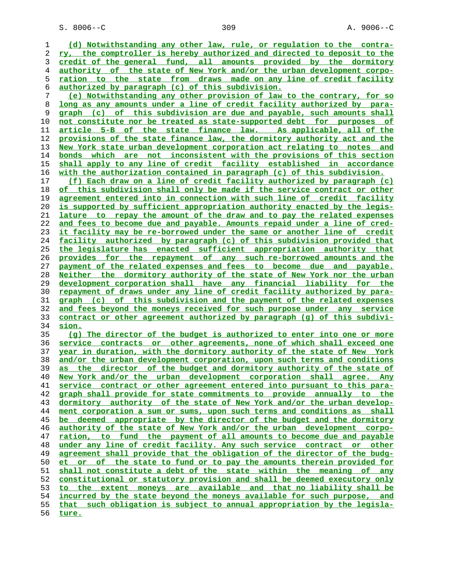S. 8006--C 309 A. 9006--C

**(d) Notwithstanding any other law, rule, or regulation to the contra- ry, the comptroller is hereby authorized and directed to deposit to the credit of the general fund, all amounts provided by the dormitory authority of the state of New York and/or the urban development corpo- ration to the state from draws made on any line of credit facility authorized by paragraph (c) of this subdivision. (e) Notwithstanding any other provision of law to the contrary, for so long as any amounts under a line of credit facility authorized by para- graph (c) of this subdivision are due and payable, such amounts shall not constitute nor be treated as state-supported debt for purposes of article 5-B of the state finance law. As applicable, all of the provisions of the state finance law, the dormitory authority act and the New York state urban development corporation act relating to notes and bonds which are not inconsistent with the provisions of this section shall apply to any line of credit facility established in accordance with the authorization contained in paragraph (c) of this subdivision. (f) Each draw on a line of credit facility authorized by paragraph (c) of this subdivision shall only be made if the service contract or other agreement entered into in connection with such line of credit facility is supported by sufficient appropriation authority enacted by the legis- lature to repay the amount of the draw and to pay the related expenses and fees to become due and payable. Amounts repaid under a line of cred- it facility may be re-borrowed under the same or another line of credit facility authorized by paragraph (c) of this subdivision provided that the legislature has enacted sufficient appropriation authority that provides for the repayment of any such re-borrowed amounts and the payment of the related expenses and fees to become due and payable. Neither the dormitory authority of the state of New York nor the urban development corporation shall have any financial liability for the repayment of draws under any line of credit facility authorized by para- graph (c) of this subdivision and the payment of the related expenses and fees beyond the moneys received for such purpose under any service contract or other agreement authorized by paragraph (g) of this subdivi- sion. (g) The director of the budget is authorized to enter into one or more service contracts or other agreements, none of which shall exceed one year in duration, with the dormitory authority of the state of New York and/or the urban development corporation, upon such terms and conditions as the director of the budget and dormitory authority of the state of New York and/or the urban development corporation shall agree. Any service contract or other agreement entered into pursuant to this para- graph shall provide for state commitments to provide annually to the dormitory authority of the state of New York and/or the urban develop- ment corporation a sum or sums, upon such terms and conditions as shall be deemed appropriate by the director of the budget and the dormitory authority of the state of New York and/or the urban development corpo- ration, to fund the payment of all amounts to become due and payable under any line of credit facility. Any such service contract or other agreement shall provide that the obligation of the director of the budg- et or of the state to fund or to pay the amounts therein provided for shall not constitute a debt of the state within the meaning of any constitutional or statutory provision and shall be deemed executory only to the extent moneys are available and that no liability shall be incurred by the state beyond the moneys available for such purpose, and that such obligation is subject to annual appropriation by the legisla- ture.**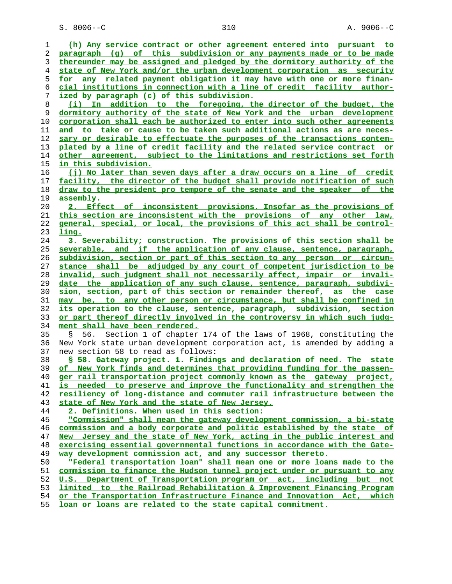S. 8006--C 310 <br>310 <br>A. 9006--C

| 1        | (h) Any service contract or other agreement entered into pursuant to                                                                             |
|----------|--------------------------------------------------------------------------------------------------------------------------------------------------|
| 2        | paragraph (q) of this subdivision or any payments made or to be made                                                                             |
| 3        | thereunder may be assigned and pledged by the dormitory authority of the                                                                         |
| 4        | state of New York and/or the urban development corporation as security                                                                           |
| 5        | for any related payment obligation it may have with one or more finan-                                                                           |
| 6        | cial institutions in connection with a line of credit facility author-                                                                           |
| 7        | ized by paragraph (c) of this subdivision.                                                                                                       |
| 8        | (i) In addition to the foregoing, the director of the budget, the                                                                                |
| 9        | dormitory authority of the state of New York and the urban development                                                                           |
| 10       | corporation shall each be authorized to enter into such other agreements                                                                         |
| 11       | and to take or cause to be taken such additional actions as are neces-                                                                           |
| 12       | sary or desirable to effectuate the purposes of the transactions contem-                                                                         |
| 13       | plated by a line of credit facility and the related service contract or                                                                          |
| 14       | other agreement, subject to the limitations and restrictions set forth                                                                           |
| 15       | <u>in this subdivision.</u>                                                                                                                      |
| 16       | (j) No later than seven days after a draw occurs on a line of credit                                                                             |
| 17       | facility, the director of the budget shall provide notification of such                                                                          |
| 18       | draw to the president pro tempore of the senate and the speaker of the                                                                           |
| 19       | assembly.                                                                                                                                        |
| 20       | 2. Effect of inconsistent provisions. Insofar as the provisions of                                                                               |
| 21       | this section are inconsistent with the provisions of any other law,                                                                              |
| 22       | general, special, or local, the provisions of this act shall be control-                                                                         |
| 23       | ling.<br>3. Severability; construction. The provisions of this section shall be                                                                  |
| 24       |                                                                                                                                                  |
| 25       | severable, and if the application of any clause, sentence, paragraph,                                                                            |
| 26       | subdivision, section or part of this section to any person or circum-                                                                            |
| 27       | stance shall be adjudged by any court of competent jurisdiction to be                                                                            |
| 28<br>29 | invalid, such judgment shall not necessarily affect, impair or invali-<br>date the application of any such clause, sentence, paragraph, subdivi- |
| 30       | sion, section, part of this section or remainder thereof, as the case                                                                            |
| 31       | may be, to any other person or circumstance, but shall be confined in                                                                            |
| 32       | its operation to the clause, sentence, paragraph, subdivision, section                                                                           |
| 33       | or part thereof directly involved in the controversy in which such judg-                                                                         |
| 34       | ment shall have been rendered.                                                                                                                   |
| 35       | Section 1 of chapter 174 of the laws of 1968, constituting the<br>56.<br>S                                                                       |
| 36       | New York state urban development corporation act, is amended by adding a                                                                         |
| 37       | new section 58 to read as follows:                                                                                                               |
| 38       | § 58. Gateway project. 1. Findings and declaration of need. The state                                                                            |
| 39       | of New York finds and determines that providing funding for the passen-                                                                          |
| 40       | ger rail transportation project commonly known as the gateway project,                                                                           |
| 41       | is needed to preserve and improve the functionality and strengthen the                                                                           |
| 42       | resiliency of long-distance and commuter rail infrastructure between the                                                                         |
| 43       | state of New York and the state of New Jersey.                                                                                                   |
| 44       | 2. Definitions. When used in this section:                                                                                                       |
| 45       | "Commission" shall mean the gateway development commission, a bi-state                                                                           |
| 46       | commission and a body corporate and politic established by the state of                                                                          |
| 47       | New Jersey and the state of New York, acting in the public interest and                                                                          |
| 48       | exercising essential governmental functions in accordance with the Gate-                                                                         |
| 49       | way development commission act, and any successor thereto.                                                                                       |
| 50       | "Federal transportation loan" shall mean one or more loans made to the                                                                           |
| 51       | commission to finance the Hudson tunnel project under or pursuant to any                                                                         |
| 52       | U.S. Department of Transportation program or act, including but not                                                                              |
| 53       | limited to the Railroad Rehabilitation & Improvement Financing Program                                                                           |
| 54       | or the Transportation Infrastructure Finance and Innovation Act, which                                                                           |
| 55       | loan or loans are related to the state capital commitment.                                                                                       |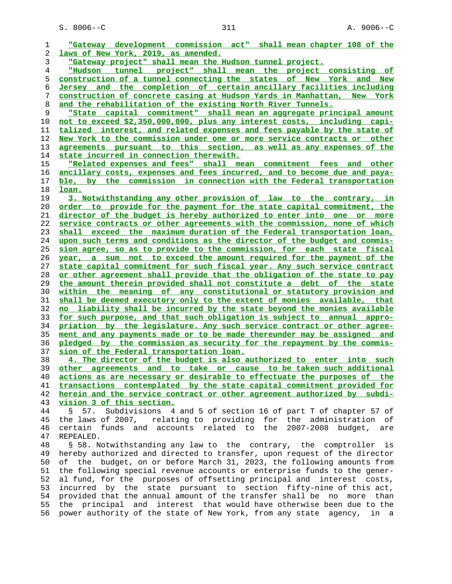S. 8006--C 311 A. 9006--C

**"Gateway development commission act" shall mean chapter 108 of the laws of New York, 2019, as amended. "Gateway project" shall mean the Hudson tunnel project. "Hudson tunnel project" shall mean the project consisting of construction of a tunnel connecting the states of New York and New Jersey and the completion of certain ancillary facilities including construction of concrete casing at Hudson Yards in Manhattan, New York and the rehabilitation of the existing North River Tunnels. "State capital commitment" shall mean an aggregate principal amount not to exceed \$2,350,000,000, plus any interest costs, including capi- talized interest, and related expenses and fees payable by the state of New York to the commission under one or more service contracts or other agreements pursuant to this section, as well as any expenses of the state incurred in connection therewith. "Related expenses and fees" shall mean commitment fees and other ancillary costs, expenses and fees incurred, and to become due and paya- ble, by the commission in connection with the Federal transportation loan. 3. Notwithstanding any other provision of law to the contrary, in order to provide for the payment for the state capital commitment, the director of the budget is hereby authorized to enter into one or more service contracts or other agreements with the commission, none of which shall exceed the maximum duration of the Federal transportation loan, upon such terms and conditions as the director of the budget and commis- sion agree, so as to provide to the commission, for each state fiscal year, a sum not to exceed the amount required for the payment of the state capital commitment for such fiscal year. Any such service contract or other agreement shall provide that the obligation of the state to pay the amount therein provided shall not constitute a debt of the state within the meaning of any constitutional or statutory provision and shall be deemed executory only to the extent of monies available, that no liability shall be incurred by the state beyond the monies available for such purpose, and that such obligation is subject to annual appro- priation by the legislature. Any such service contract or other agree- ment and any payments made or to be made thereunder may be assigned and pledged by the commission as security for the repayment by the commis- sion of the Federal transportation loan. 4. The director of the budget is also authorized to enter into such other agreements and to take or cause to be taken such additional actions as are necessary or desirable to effectuate the purposes of the transactions contemplated by the state capital commitment provided for herein and the service contract or other agreement authorized by subdi- vision 3 of this section.** 44 § 57. Subdivisions 4 and 5 of section 16 of part T of chapter 57 of 45 the laws of 2007, relating to providing for the administration of 46 certain funds and accounts related to the 2007-2008 budget, are 47 REPEALED. 48 § 58. Notwithstanding any law to the contrary, the comptroller is 49 hereby authorized and directed to transfer, upon request of the director 50 of the budget, on or before March 31, 2023, the following amounts from 51 the following special revenue accounts or enterprise funds to the gener- 52 al fund, for the purposes of offsetting principal and interest costs, 53 incurred by the state pursuant to section fifty-nine of this act, 54 provided that the annual amount of the transfer shall be no more than 55 the principal and interest that would have otherwise been due to the 56 power authority of the state of New York, from any state agency, in a